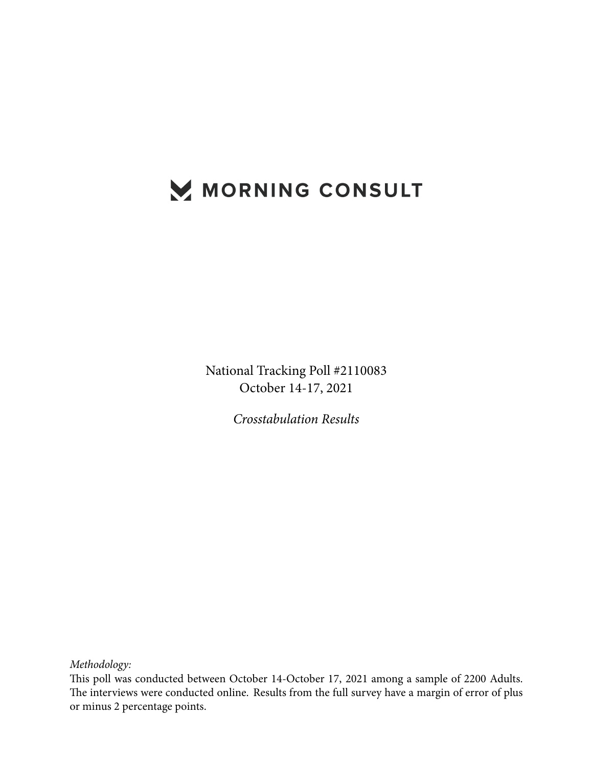# MORNING CONSULT

National Tracking Poll #2110083 October 14-17, 2021

*Crosstabulation Results*

*Methodology:*

This poll was conducted between October 14-October 17, 2021 among a sample of 2200 Adults. The interviews were conducted online. Results from the full survey have a margin of error of plus or minus 2 percentage points.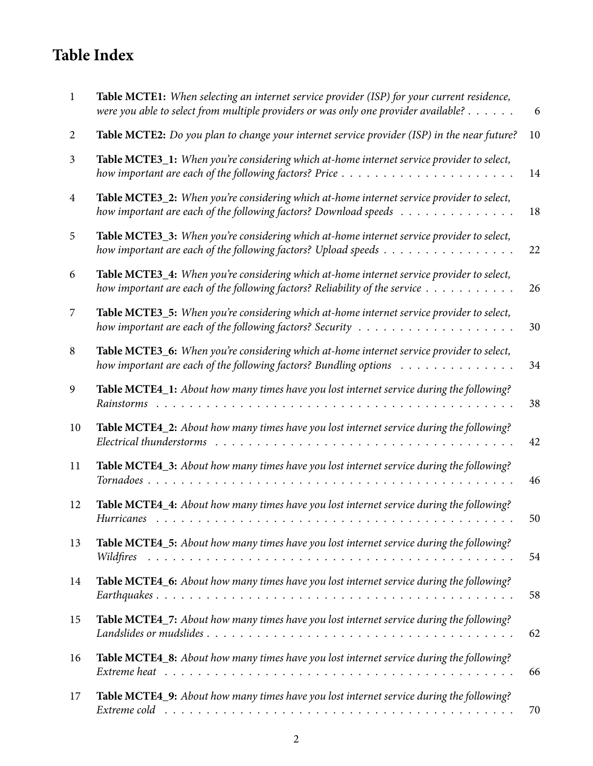## **Table Index**

| -1             | Table MCTE1: When selecting an internet service provider (ISP) for your current residence,<br>were you able to select from multiple providers or was only one provider available?                 | 6  |
|----------------|---------------------------------------------------------------------------------------------------------------------------------------------------------------------------------------------------|----|
| $\overline{2}$ | Table MCTE2: Do you plan to change your internet service provider (ISP) in the near future?                                                                                                       | 10 |
| 3              | Table MCTE3_1: When you're considering which at-home internet service provider to select,<br>how important are each of the following factors? Price $\dots \dots \dots \dots \dots \dots \dots$   | 14 |
| $\overline{4}$ | Table MCTE3_2: When you're considering which at-home internet service provider to select,<br>how important are each of the following factors? Download speeds                                     | 18 |
| 5              | Table MCTE3_3: When you're considering which at-home internet service provider to select,<br>how important are each of the following factors? Upload speeds $\dots \dots \dots \dots \dots \dots$ | 22 |
| 6              | Table MCTE3_4: When you're considering which at-home internet service provider to select,<br>how important are each of the following factors? Reliability of the service $\dots \dots \dots$      | 26 |
| 7              | Table MCTE3_5: When you're considering which at-home internet service provider to select,                                                                                                         | 30 |
| 8              | Table MCTE3_6: When you're considering which at-home internet service provider to select,<br>how important are each of the following factors? Bundling options                                    | 34 |
| 9              | Table MCTE4_1: About how many times have you lost internet service during the following?<br>Rainstorms<br>and the state of the state of the                                                       | 38 |
| 10             | Table MCTE4_2: About how many times have you lost internet service during the following?<br>Electrical thunderstorms                                                                              | 42 |
| 11             | Table MCTE4_3: About how many times have you lost internet service during the following?<br>Tornadoes.                                                                                            | 46 |
| 12             | Table MCTE4_4: About how many times have you lost internet service during the following?<br>Hurricanes                                                                                            | 50 |
| 13             | Table MCTE4_5: About how many times have you lost internet service during the following?                                                                                                          | 54 |
| 14             | Table MCTE4_6: About how many times have you lost internet service during the following?                                                                                                          | 58 |
| 15             | Table MCTE4_7: About how many times have you lost internet service during the following?                                                                                                          | 62 |
| 16             | Table MCTE4_8: About how many times have you lost internet service during the following?                                                                                                          | 66 |
| 17             | Table MCTE4_9: About how many times have you lost internet service during the following?                                                                                                          | 70 |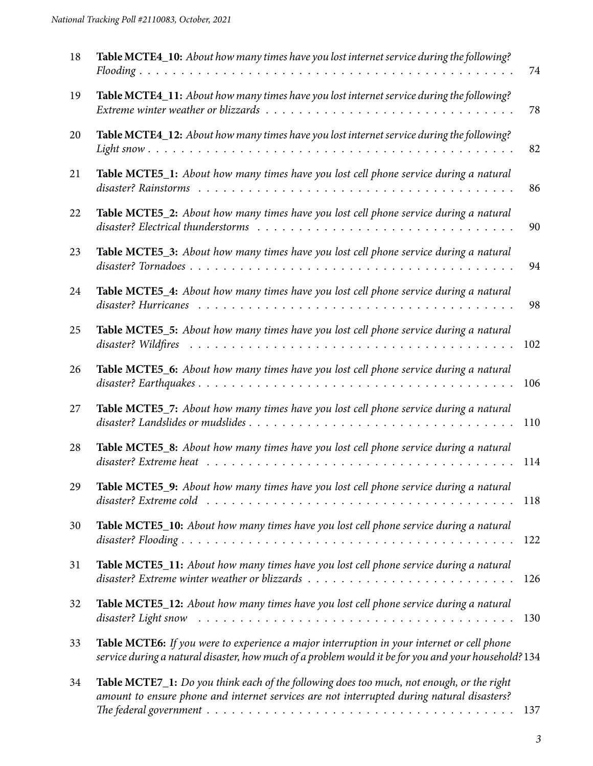| 18 | Table MCTE4_10: About how many times have you lost internet service during the following?                                                                                                          | 74  |
|----|----------------------------------------------------------------------------------------------------------------------------------------------------------------------------------------------------|-----|
| 19 | Table MCTE4_11: About how many times have you lost internet service during the following?                                                                                                          | 78  |
| 20 | Table MCTE4_12: About how many times have you lost internet service during the following?                                                                                                          | 82  |
| 21 | Table MCTE5_1: About how many times have you lost cell phone service during a natural                                                                                                              | 86  |
| 22 | Table MCTE5_2: About how many times have you lost cell phone service during a natural                                                                                                              | 90  |
| 23 | Table MCTE5_3: About how many times have you lost cell phone service during a natural                                                                                                              | 94  |
| 24 | Table MCTE5_4: About how many times have you lost cell phone service during a natural                                                                                                              | 98  |
| 25 | Table MCTE5_5: About how many times have you lost cell phone service during a natural                                                                                                              | 102 |
| 26 | Table MCTE5_6: About how many times have you lost cell phone service during a natural                                                                                                              | 106 |
| 27 | Table MCTE5_7: About how many times have you lost cell phone service during a natural                                                                                                              | 110 |
| 28 | Table MCTE5_8: About how many times have you lost cell phone service during a natural                                                                                                              | 114 |
| 29 | <b>Table MCTE5_9:</b> About how many times have you lost cell phone service during a natural                                                                                                       | 118 |
| 30 | Table MCTE5_10: About how many times have you lost cell phone service during a natural                                                                                                             | 122 |
| 31 | Table MCTE5_11: About how many times have you lost cell phone service during a natural                                                                                                             | 126 |
| 32 | Table MCTE5_12: About how many times have you lost cell phone service during a natural                                                                                                             | 130 |
| 33 | Table MCTE6: If you were to experience a major interruption in your internet or cell phone<br>service during a natural disaster, how much of a problem would it be for you and your household? 134 |     |
| 34 | Table MCTE7_1: Do you think each of the following does too much, not enough, or the right<br>amount to ensure phone and internet services are not interrupted during natural disasters?            | 137 |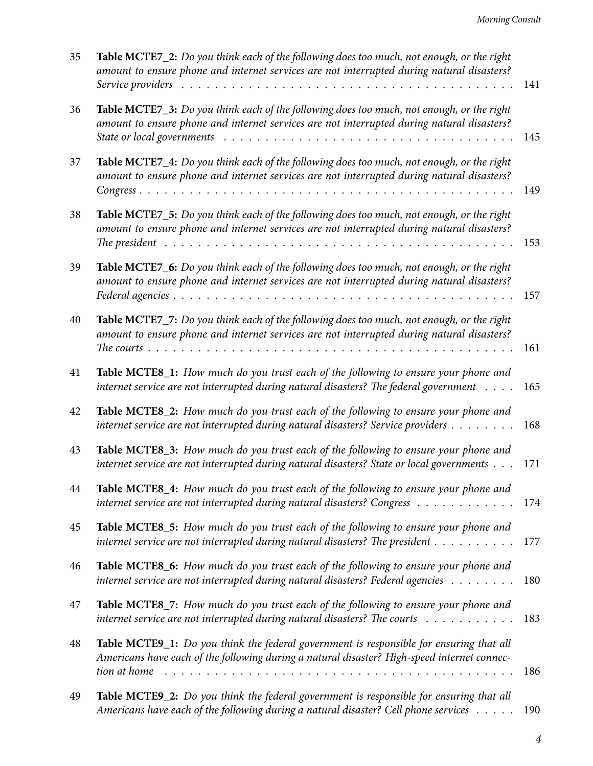| 35 | Table MCTE7_2: Do you think each of the following does too much, not enough, or the right<br>amount to ensure phone and internet services are not interrupted during natural disasters?                                                                                                                            | 141 |
|----|--------------------------------------------------------------------------------------------------------------------------------------------------------------------------------------------------------------------------------------------------------------------------------------------------------------------|-----|
| 36 | Table MCTE7_3: Do you think each of the following does too much, not enough, or the right<br>amount to ensure phone and internet services are not interrupted during natural disasters?<br>State or local governments $\ldots \ldots \ldots \ldots \ldots \ldots \ldots \ldots \ldots \ldots \ldots \ldots \ldots$ | 145 |
| 37 | Table MCTE7_4: Do you think each of the following does too much, not enough, or the right<br>amount to ensure phone and internet services are not interrupted during natural disasters?                                                                                                                            | 149 |
| 38 | Table MCTE7_5: Do you think each of the following does too much, not enough, or the right<br>amount to ensure phone and internet services are not interrupted during natural disasters?                                                                                                                            | 153 |
| 39 | Table MCTE7_6: Do you think each of the following does too much, not enough, or the right<br>amount to ensure phone and internet services are not interrupted during natural disasters?                                                                                                                            | 157 |
| 40 | Table MCTE7_7: Do you think each of the following does too much, not enough, or the right<br>amount to ensure phone and internet services are not interrupted during natural disasters?                                                                                                                            | 161 |
| 41 | Table MCTE8_1: How much do you trust each of the following to ensure your phone and<br>internet service are not interrupted during natural disasters? The federal government                                                                                                                                       | 165 |
| 42 | Table MCTE8_2: How much do you trust each of the following to ensure your phone and<br>internet service are not interrupted during natural disasters? Service providers                                                                                                                                            | 168 |
| 43 | Table MCTE8_3: How much do you trust each of the following to ensure your phone and<br>internet service are not interrupted during natural disasters? State or local governments                                                                                                                                   | 171 |
| 44 | Table MCTE8_4: How much do you trust each of the following to ensure your phone and<br>internet service are not interrupted during natural disasters? Congress                                                                                                                                                     | 174 |
| 45 | Table MCTE8_5: How much do you trust each of the following to ensure your phone and<br>internet service are not interrupted during natural disasters? The president $\dots \dots \dots$                                                                                                                            | 177 |
| 46 | Table MCTE8_6: How much do you trust each of the following to ensure your phone and<br>internet service are not interrupted during natural disasters? Federal agencies                                                                                                                                             | 180 |
| 47 | Table MCTE8_7: How much do you trust each of the following to ensure your phone and<br>internet service are not interrupted during natural disasters? The courts $\ldots \ldots \ldots$                                                                                                                            | 183 |
| 48 | Table MCTE9_1: Do you think the federal government is responsible for ensuring that all<br>Americans have each of the following during a natural disaster? High-speed internet connec-<br>tion at home                                                                                                             | 186 |
| 49 | Table MCTE9_2: Do you think the federal government is responsible for ensuring that all<br>Americans have each of the following during a natural disaster? Cell phone services                                                                                                                                     | 190 |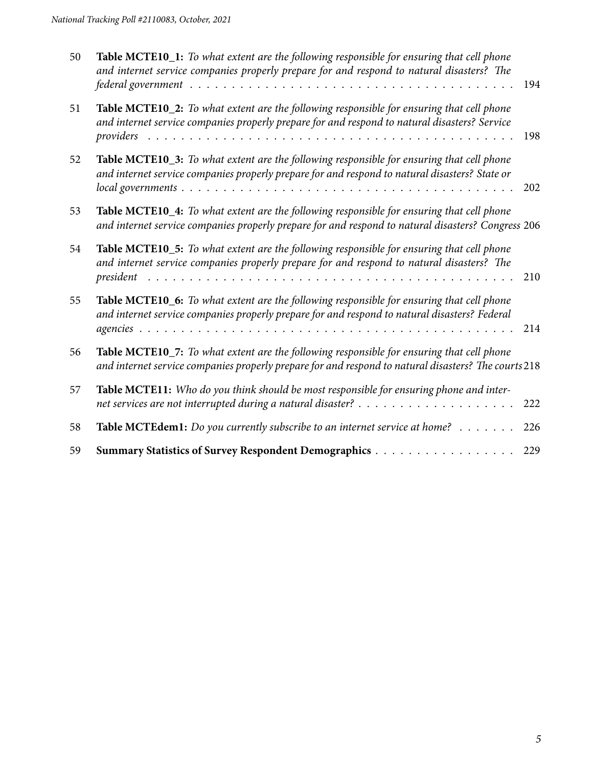| 50 | Table MCTE10_1: To what extent are the following responsible for ensuring that cell phone<br>and internet service companies properly prepare for and respond to natural disasters? The                  | 194 |
|----|---------------------------------------------------------------------------------------------------------------------------------------------------------------------------------------------------------|-----|
| 51 | Table MCTE10_2: To what extent are the following responsible for ensuring that cell phone<br>and internet service companies properly prepare for and respond to natural disasters? Service<br>providers | 198 |
| 52 | Table MCTE10_3: To what extent are the following responsible for ensuring that cell phone<br>and internet service companies properly prepare for and respond to natural disasters? State or             | 202 |
| 53 | Table MCTE10_4: To what extent are the following responsible for ensuring that cell phone<br>and internet service companies properly prepare for and respond to natural disasters? Congress 206         |     |
| 54 | Table MCTE10_5: To what extent are the following responsible for ensuring that cell phone<br>and internet service companies properly prepare for and respond to natural disasters? The<br>president     | 210 |
| 55 | Table MCTE10_6: To what extent are the following responsible for ensuring that cell phone<br>and internet service companies properly prepare for and respond to natural disasters? Federal              | 214 |
| 56 | Table MCTE10_7: To what extent are the following responsible for ensuring that cell phone<br>and internet service companies properly prepare for and respond to natural disasters? The courts 218       |     |
| 57 | Table MCTE11: Who do you think should be most responsible for ensuring phone and inter-                                                                                                                 | 222 |
| 58 | Table MCTEdem1: Do you currently subscribe to an internet service at home?                                                                                                                              | 226 |
| 59 | Summary Statistics of Survey Respondent Demographics                                                                                                                                                    | 229 |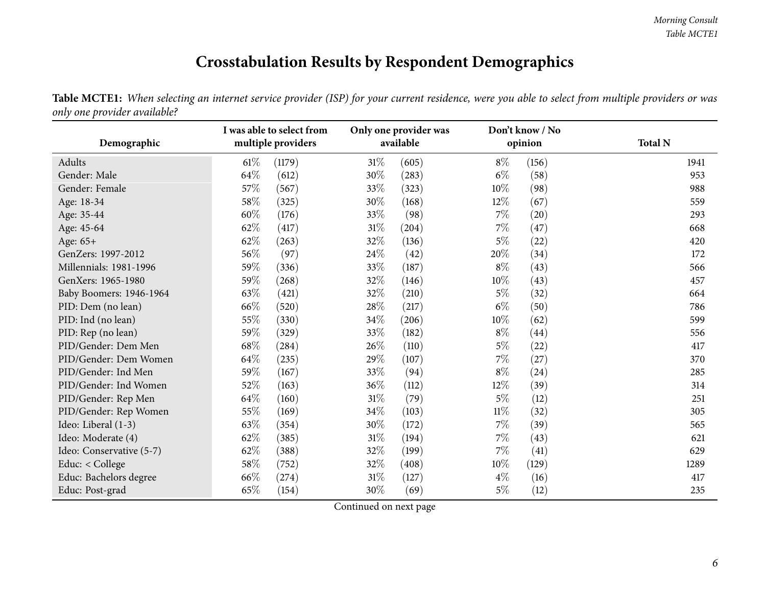### **Crosstabulation Results by Respondent Demographics**

Table MCTE1: When selecting an internet service provider (ISP) for your current residence, were you able to select from multiple providers or was *only one provider available?*

<span id="page-5-0"></span>

| Demographic              | I was able to select from<br>multiple providers |        |        | Only one provider was<br>available |        | Don't know / No<br>opinion | <b>Total N</b> |
|--------------------------|-------------------------------------------------|--------|--------|------------------------------------|--------|----------------------------|----------------|
| Adults                   | $61\%$                                          | (1179) | $31\%$ | (605)                              | $8\%$  | (156)                      | 1941           |
| Gender: Male             | 64\%                                            | (612)  | 30%    | (283)                              | $6\%$  | (58)                       | 953            |
| Gender: Female           | 57\%                                            | (567)  | 33\%   | (323)                              | $10\%$ | (98)                       | 988            |
| Age: 18-34               | 58\%                                            | (325)  | 30%    | (168)                              | $12\%$ | (67)                       | 559            |
| Age: 35-44               | 60%                                             | (176)  | 33\%   | (98)                               | $7\%$  | (20)                       | 293            |
| Age: 45-64               | 62%                                             | (417)  | 31\%   | (204)                              | $7\%$  | (47)                       | 668            |
| Age: 65+                 | 62\%                                            | (263)  | 32\%   | (136)                              | $5\%$  | (22)                       | 420            |
| GenZers: 1997-2012       | 56\%                                            | (97)   | 24\%   | (42)                               | 20%    | (34)                       | 172            |
| Millennials: 1981-1996   | 59%                                             | (336)  | 33\%   | (187)                              | $8\%$  | (43)                       | 566            |
| GenXers: 1965-1980       | 59%                                             | (268)  | 32\%   | (146)                              | 10%    | (43)                       | 457            |
| Baby Boomers: 1946-1964  | 63\%                                            | (421)  | 32%    | (210)                              | $5\%$  | (32)                       | 664            |
| PID: Dem (no lean)       | 66\%                                            | (520)  | 28\%   | (217)                              | $6\%$  | (50)                       | 786            |
| PID: Ind (no lean)       | 55%                                             | (330)  | 34\%   | (206)                              | $10\%$ | (62)                       | 599            |
| PID: Rep (no lean)       | 59%                                             | (329)  | 33%    | (182)                              | $8\%$  | (44)                       | 556            |
| PID/Gender: Dem Men      | 68\%                                            | (284)  | 26\%   | (110)                              | $5\%$  | (22)                       | 417            |
| PID/Gender: Dem Women    | 64\%                                            | (235)  | 29%    | (107)                              | $7\%$  | (27)                       | 370            |
| PID/Gender: Ind Men      | 59%                                             | (167)  | 33\%   | (94)                               | $8\%$  | (24)                       | 285            |
| PID/Gender: Ind Women    | 52\%                                            | (163)  | 36\%   | (112)                              | $12\%$ | (39)                       | 314            |
| PID/Gender: Rep Men      | $64\%$                                          | (160)  | $31\%$ | (79)                               | $5\%$  | (12)                       | 251            |
| PID/Gender: Rep Women    | 55%                                             | (169)  | 34\%   | (103)                              | $11\%$ | (32)                       | 305            |
| Ideo: Liberal (1-3)      | 63\%                                            | (354)  | 30%    | (172)                              | $7\%$  | (39)                       | 565            |
| Ideo: Moderate (4)       | 62\%                                            | (385)  | $31\%$ | (194)                              | 7%     | (43)                       | 621            |
| Ideo: Conservative (5-7) | 62\%                                            | (388)  | 32\%   | (199)                              | $7\%$  | (41)                       | 629            |
| Educ: < College          | 58\%                                            | (752)  | 32\%   | (408)                              | $10\%$ | (129)                      | 1289           |
| Educ: Bachelors degree   | 66\%                                            | (274)  | $31\%$ | (127)                              | $4\%$  | (16)                       | 417            |
| Educ: Post-grad          | 65%                                             | (154)  | 30\%   | (69)                               | $5\%$  | (12)                       | 235            |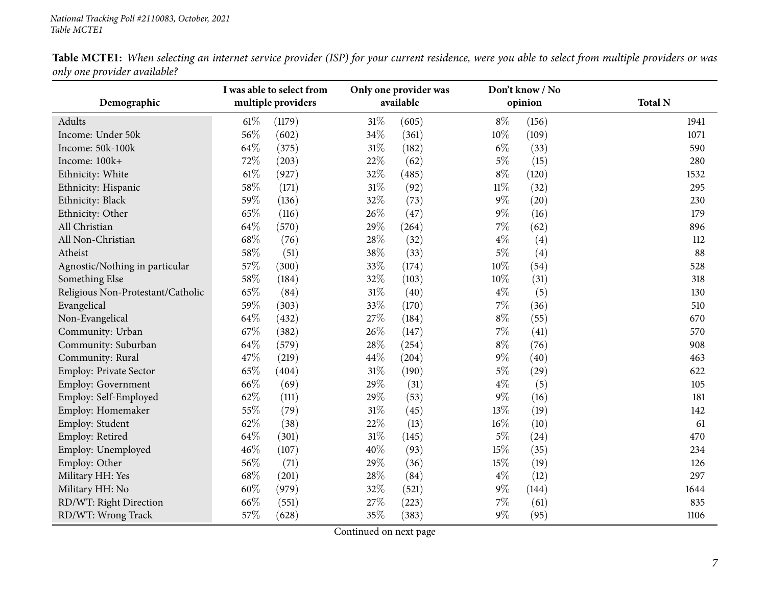| Table MCTE1: When selecting an internet service provider (ISP) for your current residence, were you able to select from multiple providers or was |  |
|---------------------------------------------------------------------------------------------------------------------------------------------------|--|
| only one provider available?                                                                                                                      |  |

|                                   | I was able to select from |                    |        | Only one provider was |        | Don't know / No |                |
|-----------------------------------|---------------------------|--------------------|--------|-----------------------|--------|-----------------|----------------|
| Demographic                       |                           | multiple providers |        | available             |        | opinion         | <b>Total N</b> |
| <b>Adults</b>                     | $61\%$                    | (1179)             | 31%    | (605)                 | $8\%$  | (156)           | 1941           |
| Income: Under 50k                 | 56%                       | (602)              | 34%    | (361)                 | 10%    | (109)           | 1071           |
| Income: 50k-100k                  | 64%                       | (375)              | $31\%$ | (182)                 | $6\%$  | (33)            | 590            |
| Income: 100k+                     | 72%                       | (203)              | 22%    | (62)                  | $5\%$  | (15)            | 280            |
| Ethnicity: White                  | $61\%$                    | (927)              | 32%    | (485)                 | $8\%$  | (120)           | 1532           |
| Ethnicity: Hispanic               | 58%                       | (171)              | 31%    | (92)                  | $11\%$ | (32)            | 295            |
| Ethnicity: Black                  | 59%                       | (136)              | 32%    | (73)                  | $9\%$  | (20)            | 230            |
| Ethnicity: Other                  | 65%                       | (116)              | 26%    | (47)                  | $9\%$  | (16)            | 179            |
| All Christian                     | 64%                       | (570)              | 29%    | (264)                 | $7\%$  | (62)            | 896            |
| All Non-Christian                 | 68%                       | (76)               | 28%    | (32)                  | $4\%$  | (4)             | 112            |
| Atheist                           | 58%                       | (51)               | 38%    | (33)                  | $5\%$  | (4)             | 88             |
| Agnostic/Nothing in particular    | 57%                       | (300)              | 33%    | (174)                 | $10\%$ | (54)            | 528            |
| Something Else                    | 58%                       | (184)              | 32%    | (103)                 | $10\%$ | (31)            | 318            |
| Religious Non-Protestant/Catholic | 65%                       | (84)               | 31%    | (40)                  | $4\%$  | (5)             | 130            |
| Evangelical                       | 59%                       | (303)              | 33%    | (170)                 | $7\%$  | (36)            | 510            |
| Non-Evangelical                   | 64%                       | (432)              | 27%    | (184)                 | $8\%$  | (55)            | 670            |
| Community: Urban                  | 67%                       | (382)              | 26%    | (147)                 | $7\%$  | (41)            | 570            |
| Community: Suburban               | 64%                       | (579)              | 28%    | (254)                 | $8\%$  | (76)            | 908            |
| Community: Rural                  | 47%                       | (219)              | 44%    | (204)                 | $9\%$  | (40)            | 463            |
| Employ: Private Sector            | 65%                       | (404)              | 31%    | (190)                 | $5\%$  | (29)            | 622            |
| Employ: Government                | 66%                       | (69)               | 29%    | (31)                  | $4\%$  | (5)             | 105            |
| Employ: Self-Employed             | 62%                       | (111)              | 29%    | (53)                  | $9\%$  | (16)            | 181            |
| Employ: Homemaker                 | 55%                       | (79)               | 31%    | (45)                  | 13%    | (19)            | 142            |
| Employ: Student                   | 62%                       | (38)               | 22%    | (13)                  | 16%    | (10)            | 61             |
| Employ: Retired                   | 64%                       | (301)              | 31%    | (145)                 | $5\%$  | (24)            | 470            |
| Employ: Unemployed                | 46%                       | (107)              | 40%    | (93)                  | 15%    | (35)            | 234            |
| Employ: Other                     | 56%                       | (71)               | 29%    | (36)                  | 15%    | (19)            | 126            |
| Military HH: Yes                  | 68%                       | (201)              | 28\%   | (84)                  | $4\%$  | (12)            | 297            |
| Military HH: No                   | 60%                       | (979)              | 32%    | (521)                 | $9\%$  | (144)           | 1644           |
| RD/WT: Right Direction            | 66%                       | (551)              | 27%    | (223)                 | 7%     | (61)            | 835            |
| RD/WT: Wrong Track                | 57%                       | (628)              | 35%    | (383)                 | 9%     | (95)            | 1106           |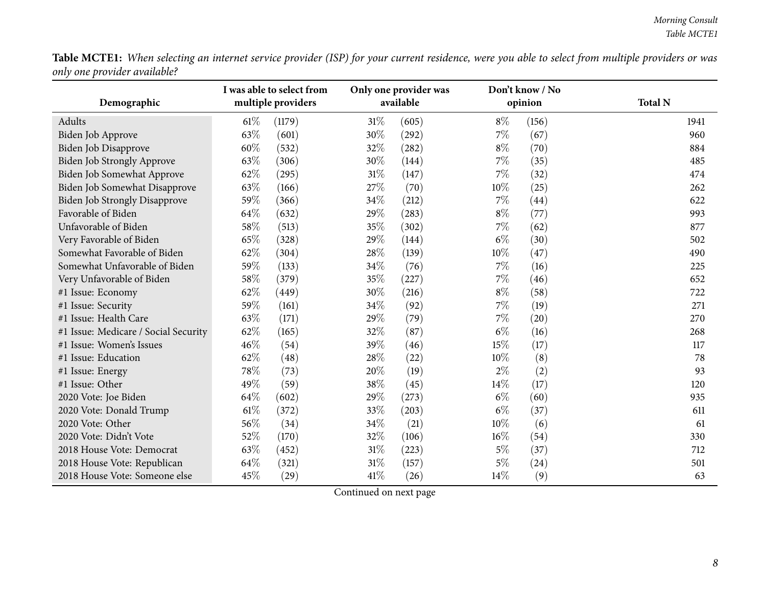Table MCTE1: When selecting an internet service provider (ISP) for your current residence, were you able to select from multiple providers or was *only one provider available?*

|                                      | I was able to select from |                    |        | Only one provider was |        | Don't know / No |                |
|--------------------------------------|---------------------------|--------------------|--------|-----------------------|--------|-----------------|----------------|
| Demographic                          |                           | multiple providers |        | available             |        | opinion         | <b>Total N</b> |
| Adults                               | 61%                       | (1179)             | $31\%$ | (605)                 | $8\%$  | (156)           | 1941           |
| Biden Job Approve                    | 63%                       | (601)              | 30%    | (292)                 | 7%     | (67)            | 960            |
| Biden Job Disapprove                 | 60%                       | (532)              | 32%    | (282)                 | $8\%$  | (70)            | 884            |
| Biden Job Strongly Approve           | 63%                       | (306)              | 30%    | (144)                 | 7%     | (35)            | 485            |
| Biden Job Somewhat Approve           | 62%                       | (295)              | 31%    | (147)                 | 7%     | (32)            | 474            |
| <b>Biden Job Somewhat Disapprove</b> | 63%                       | (166)              | 27%    | (70)                  | $10\%$ | (25)            | 262            |
| <b>Biden Job Strongly Disapprove</b> | 59%                       | (366)              | 34%    | (212)                 | 7%     | (44)            | 622            |
| Favorable of Biden                   | 64%                       | (632)              | 29%    | (283)                 | $8\%$  | (77)            | 993            |
| Unfavorable of Biden                 | 58%                       | (513)              | 35%    | (302)                 | 7%     | (62)            | 877            |
| Very Favorable of Biden              | 65\%                      | (328)              | 29%    | (144)                 | $6\%$  | (30)            | 502            |
| Somewhat Favorable of Biden          | 62%                       | (304)              | 28%    | (139)                 | 10%    | (47)            | 490            |
| Somewhat Unfavorable of Biden        | 59%                       | (133)              | 34%    | (76)                  | 7%     | (16)            | 225            |
| Very Unfavorable of Biden            | 58%                       | (379)              | 35%    | (227)                 | 7%     | (46)            | 652            |
| #1 Issue: Economy                    | 62%                       | (449)              | 30%    | (216)                 | $8\%$  | (58)            | 722            |
| #1 Issue: Security                   | 59%                       | (161)              | 34%    | (92)                  | $7\%$  | (19)            | 271            |
| #1 Issue: Health Care                | 63%                       | (171)              | 29%    | (79)                  | 7%     | (20)            | 270            |
| #1 Issue: Medicare / Social Security | 62%                       | (165)              | 32%    | (87)                  | $6\%$  | (16)            | 268            |
| #1 Issue: Women's Issues             | 46%                       | (54)               | 39%    | (46)                  | 15%    | (17)            | 117            |
| #1 Issue: Education                  | 62%                       | (48)               | 28%    | (22)                  | 10%    | (8)             | 78             |
| #1 Issue: Energy                     | 78%                       | (73)               | 20%    | (19)                  | $2\%$  | (2)             | 93             |
| #1 Issue: Other                      | 49%                       | (59)               | 38%    | (45)                  | 14%    | (17)            | 120            |
| 2020 Vote: Joe Biden                 | 64%                       | (602)              | 29%    | (273)                 | $6\%$  | (60)            | 935            |
| 2020 Vote: Donald Trump              | $61\%$                    | (372)              | 33%    | (203)                 | $6\%$  | (37)            | 611            |
| 2020 Vote: Other                     | 56%                       | (34)               | 34%    | (21)                  | 10%    | (6)             | 61             |
| 2020 Vote: Didn't Vote               | 52%                       | (170)              | 32%    | (106)                 | 16%    | (54)            | 330            |
| 2018 House Vote: Democrat            | 63%                       | (452)              | $31\%$ | (223)                 | $5\%$  | (37)            | 712            |
| 2018 House Vote: Republican          | 64%                       | (321)              | 31%    | (157)                 | $5\%$  | (24)            | 501            |
| 2018 House Vote: Someone else        | 45%                       | (29)               | 41\%   | (26)                  | 14%    | (9)             | 63             |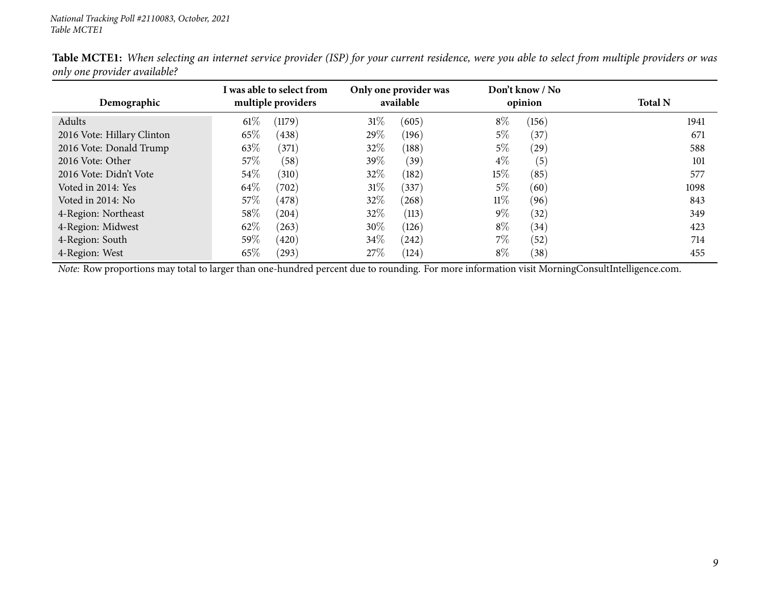| Demographic                | I was able to select from<br>multiple providers |        | Only one provider was<br>available |        | Don't know / No<br>opinion | <b>Total N</b> |
|----------------------------|-------------------------------------------------|--------|------------------------------------|--------|----------------------------|----------------|
| Adults                     | $61\%$<br>(1179)                                | $31\%$ | (605)                              | $8\%$  | (156)                      | 1941           |
| 2016 Vote: Hillary Clinton | 65\%<br>(438)                                   | $29\%$ | (196)                              | 5%     | (37)                       | 671            |
| 2016 Vote: Donald Trump    | 63\%<br>(371)                                   | 32\%   | (188)                              | $5\%$  | (29)                       | 588            |
| 2016 Vote: Other           | 57\%<br>(58)                                    | 39\%   | (39)                               | $4\%$  | (5)                        | 101            |
| 2016 Vote: Didn't Vote     | $54\%$<br>(310)                                 | 32%    | (182)                              | $15\%$ | (85)                       | 577            |
| Voted in 2014: Yes         | 64\%<br>(702)                                   | 31%    | (337)                              | $5\%$  | (60)                       | 1098           |
| Voted in 2014: No          | 57\%<br>(478)                                   | 32%    | (268)                              | $11\%$ | (96)                       | 843            |
| 4-Region: Northeast        | $58\%$<br>(204)                                 | 32%    | (113)                              | $9\%$  | (32)                       | 349            |
| 4-Region: Midwest          | 62\%<br>(263)                                   | $30\%$ | (126)                              | $8\%$  | (34)                       | 423            |
| 4-Region: South            | 59 $\%$<br>(420)                                | $34\%$ | (242)                              | $7\%$  | (52)                       | 714            |
| 4-Region: West             | 65\%<br>(293)                                   | 27%    | (124)                              | $8\%$  | (38)                       | 455            |

Table MCTE1: When selecting an internet service provider (ISP) for your current residence, were you able to select from multiple providers or was *only one provider available?*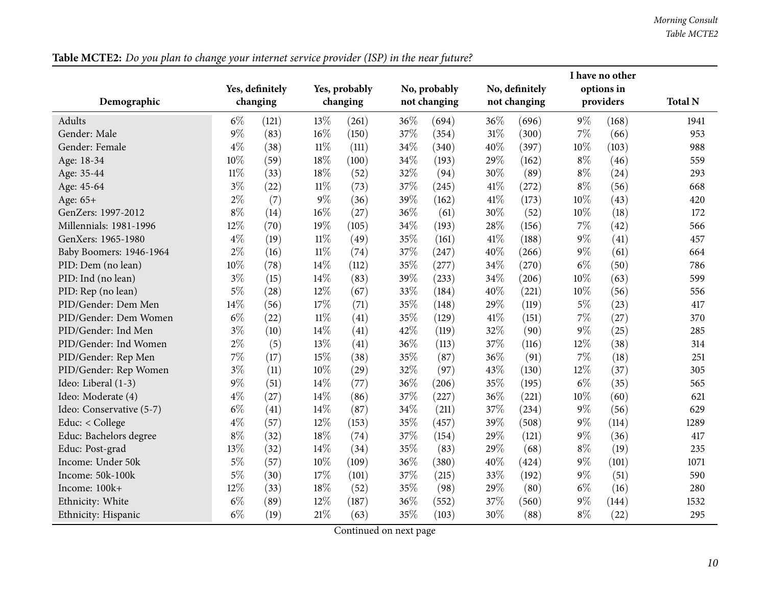*Morning Consult Table MCTE2*

<span id="page-9-0"></span>

|                          |          |                 |        |               |     |              |      |                |        | I have no other |                |
|--------------------------|----------|-----------------|--------|---------------|-----|--------------|------|----------------|--------|-----------------|----------------|
|                          |          | Yes, definitely |        | Yes, probably |     | No, probably |      | No, definitely |        | options in      |                |
| Demographic              | changing |                 |        | changing      |     | not changing |      | not changing   |        | providers       | <b>Total N</b> |
| Adults                   | $6\%$    | (121)           | 13%    | (261)         | 36% | (694)        | 36%  | (696)          | $9\%$  | (168)           | 1941           |
| Gender: Male             | $9\%$    | (83)            | 16%    | (150)         | 37% | (354)        | 31%  | (300)          | 7%     | (66)            | 953            |
| Gender: Female           | $4\%$    | (38)            | $11\%$ | (111)         | 34% | (340)        | 40%  | (397)          | 10%    | (103)           | 988            |
| Age: 18-34               | 10%      | (59)            | 18%    | (100)         | 34% | (193)        | 29%  | (162)          | $8\%$  | (46)            | 559            |
| Age: 35-44               | $11\%$   | (33)            | 18%    | (52)          | 32% | (94)         | 30%  | (89)           | $8\%$  | (24)            | 293            |
| Age: 45-64               | $3\%$    | (22)            | $11\%$ | (73)          | 37% | (245)        | 41\% | (272)          | $8\%$  | (56)            | 668            |
| Age: 65+                 | $2\%$    | (7)             | $9\%$  | (36)          | 39% | (162)        | 41%  | (173)          | $10\%$ | (43)            | 420            |
| GenZers: 1997-2012       | $8\%$    | (14)            | 16%    | (27)          | 36% | (61)         | 30%  | (52)           | $10\%$ | (18)            | 172            |
| Millennials: 1981-1996   | 12%      | (70)            | 19%    | (105)         | 34% | (193)        | 28%  | (156)          | $7\%$  | (42)            | 566            |
| GenXers: 1965-1980       | $4\%$    | (19)            | $11\%$ | (49)          | 35% | (161)        | 41%  | (188)          | $9\%$  | (41)            | 457            |
| Baby Boomers: 1946-1964  | $2\%$    | (16)            | $11\%$ | (74)          | 37% | (247)        | 40%  | (266)          | $9\%$  | (61)            | 664            |
| PID: Dem (no lean)       | $10\%$   | (78)            | 14%    | (112)         | 35% | (277)        | 34%  | (270)          | $6\%$  | (50)            | 786            |
| PID: Ind (no lean)       | $3\%$    | (15)            | 14%    | (83)          | 39% | (233)        | 34%  | (206)          | 10%    | (63)            | 599            |
| PID: Rep (no lean)       | $5\%$    | (28)            | 12%    | (67)          | 33% | (184)        | 40%  | (221)          | 10%    | (56)            | 556            |
| PID/Gender: Dem Men      | 14%      | (56)            | 17%    | (71)          | 35% | (148)        | 29%  | (119)          | $5\%$  | (23)            | 417            |
| PID/Gender: Dem Women    | $6\%$    | (22)            | $11\%$ | (41)          | 35% | (129)        | 41\% | (151)          | $7\%$  | (27)            | 370            |
| PID/Gender: Ind Men      | $3\%$    | (10)            | 14%    | (41)          | 42% | (119)        | 32%  | (90)           | $9\%$  | (25)            | 285            |
| PID/Gender: Ind Women    | $2\%$    | (5)             | 13%    | (41)          | 36% | (113)        | 37%  | (116)          | 12%    | (38)            | 314            |
| PID/Gender: Rep Men      | $7\%$    | (17)            | 15%    | (38)          | 35% | (87)         | 36%  | (91)           | 7%     | (18)            | 251            |
| PID/Gender: Rep Women    | $3\%$    | (11)            | 10%    | (29)          | 32% | (97)         | 43%  | (130)          | 12%    | (37)            | 305            |
| Ideo: Liberal (1-3)      | $9\%$    | (51)            | 14%    | (77)          | 36% | (206)        | 35%  | (195)          | $6\%$  | (35)            | 565            |
| Ideo: Moderate (4)       | $4\%$    | (27)            | 14%    | (86)          | 37% | (227)        | 36%  | (221)          | 10%    | (60)            | 621            |
| Ideo: Conservative (5-7) | $6\%$    | (41)            | 14%    | (87)          | 34% | (211)        | 37%  | (234)          | $9\%$  | (56)            | 629            |
| Educ: < College          | $4\%$    | (57)            | 12%    | (153)         | 35% | (457)        | 39%  | (508)          | $9\%$  | (114)           | 1289           |
| Educ: Bachelors degree   | $8\%$    | (32)            | 18%    | (74)          | 37% | (154)        | 29%  | (121)          | $9\%$  | (36)            | 417            |
| Educ: Post-grad          | 13%      | (32)            | 14%    | (34)          | 35% | (83)         | 29%  | (68)           | $8\%$  | (19)            | 235            |
| Income: Under 50k        | $5\%$    | (57)            | 10%    | (109)         | 36% | (380)        | 40%  | (424)          | $9\%$  | (101)           | 1071           |
| Income: 50k-100k         | $5\%$    | (30)            | 17%    | (101)         | 37% | (215)        | 33%  | (192)          | $9\%$  | (51)            | 590            |
| Income: 100k+            | 12%      | (33)            | 18%    | (52)          | 35% | (98)         | 29%  | (80)           | $6\%$  | (16)            | 280            |
| Ethnicity: White         | $6\%$    | (89)            | 12%    | (187)         | 36% | (552)        | 37%  | (560)          | $9\%$  | (144)           | 1532           |
| Ethnicity: Hispanic      | $6\%$    | (19)            | $21\%$ | (63)          | 35% | (103)        | 30%  | (88)           | $8\%$  | (22)            | 295            |

Table MCTE2: Do you plan to change your internet service provider (ISP) in the near future?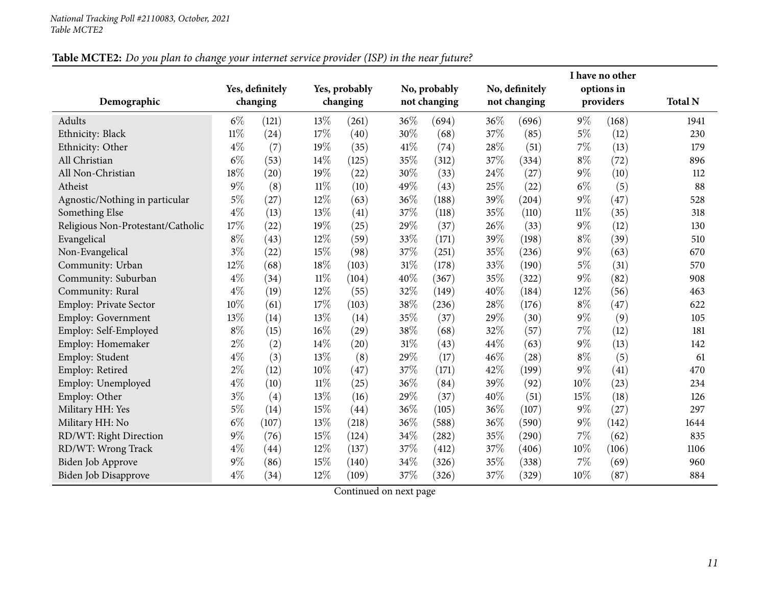### Table MCTE2: Do you plan to change your internet service provider (ISP) in the near future?

| Demographic                       |        | Yes, definitely<br>changing |        | Yes, probably<br>changing |     | No, probably<br>not changing |      | No, definitely<br>not changing |        | I have no other<br>options in<br>providers | <b>Total N</b> |
|-----------------------------------|--------|-----------------------------|--------|---------------------------|-----|------------------------------|------|--------------------------------|--------|--------------------------------------------|----------------|
| Adults                            | $6\%$  | (121)                       | 13%    | (261)                     | 36% | (694)                        | 36%  | (696)                          | $9\%$  | (168)                                      | 1941           |
| Ethnicity: Black                  | $11\%$ | (24)                        | 17%    | (40)                      | 30% | (68)                         | 37%  | (85)                           | $5\%$  | (12)                                       | 230            |
| Ethnicity: Other                  | $4\%$  | (7)                         | 19%    | (35)                      | 41% | (74)                         | 28%  | (51)                           | $7\%$  | (13)                                       | 179            |
| All Christian                     | $6\%$  | (53)                        | 14\%   | (125)                     | 35% | (312)                        | 37%  | (334)                          | $8\%$  | (72)                                       | 896            |
| All Non-Christian                 | 18%    | (20)                        | 19%    | (22)                      | 30% | (33)                         | 24\% | (27)                           | $9\%$  | (10)                                       | 112            |
| Atheist                           | $9\%$  | (8)                         | $11\%$ | (10)                      | 49% | (43)                         | 25%  | (22)                           | $6\%$  | (5)                                        | 88             |
| Agnostic/Nothing in particular    | $5\%$  | (27)                        | 12%    | (63)                      | 36% | (188)                        | 39%  | (204)                          | $9\%$  | (47)                                       | 528            |
| Something Else                    | $4\%$  | (13)                        | 13%    | (41)                      | 37% | (118)                        | 35%  | (110)                          | $11\%$ | (35)                                       | 318            |
| Religious Non-Protestant/Catholic | 17%    | (22)                        | 19%    | (25)                      | 29% | (37)                         | 26%  | (33)                           | $9\%$  | (12)                                       | 130            |
| Evangelical                       | $8\%$  | (43)                        | 12%    | (59)                      | 33% | (171)                        | 39%  | (198)                          | $8\%$  | (39)                                       | 510            |
| Non-Evangelical                   | $3\%$  | (22)                        | 15%    | (98)                      | 37% | (251)                        | 35%  | (236)                          | $9\%$  | (63)                                       | 670            |
| Community: Urban                  | 12%    | (68)                        | 18%    | (103)                     | 31% | (178)                        | 33%  | (190)                          | $5\%$  | (31)                                       | 570            |
| Community: Suburban               | $4\%$  | (34)                        | $11\%$ | (104)                     | 40% | (367)                        | 35%  | (322)                          | $9\%$  | (82)                                       | 908            |
| Community: Rural                  | $4\%$  | (19)                        | 12%    | (55)                      | 32% | (149)                        | 40%  | (184)                          | 12%    | (56)                                       | 463            |
| <b>Employ: Private Sector</b>     | 10%    | (61)                        | $17\%$ | (103)                     | 38% | (236)                        | 28%  | (176)                          | $8\%$  | (47)                                       | 622            |
| Employ: Government                | 13%    | (14)                        | 13%    | (14)                      | 35% | (37)                         | 29%  | (30)                           | $9\%$  | (9)                                        | 105            |
| Employ: Self-Employed             | $8\%$  | (15)                        | 16%    | (29)                      | 38% | (68)                         | 32%  | (57)                           | 7%     | (12)                                       | 181            |
| Employ: Homemaker                 | $2\%$  | (2)                         | 14\%   | (20)                      | 31% | (43)                         | 44%  | (63)                           | $9\%$  | (13)                                       | 142            |
| Employ: Student                   | $4\%$  | (3)                         | 13%    | (8)                       | 29% | (17)                         | 46%  | (28)                           | $8\%$  | (5)                                        | 61             |
| Employ: Retired                   | $2\%$  | (12)                        | $10\%$ | (47)                      | 37% | (171)                        | 42%  | (199)                          | $9\%$  | (41)                                       | 470            |
| Employ: Unemployed                | $4\%$  | (10)                        | $11\%$ | (25)                      | 36% | (84)                         | 39%  | (92)                           | $10\%$ | (23)                                       | 234            |
| Employ: Other                     | $3\%$  | (4)                         | 13%    | (16)                      | 29% | (37)                         | 40%  | (51)                           | 15%    | (18)                                       | 126            |
| Military HH: Yes                  | $5\%$  | (14)                        | 15%    | (44)                      | 36% | (105)                        | 36%  | (107)                          | $9\%$  | (27)                                       | 297            |
| Military HH: No                   | $6\%$  | (107)                       | 13%    | (218)                     | 36% | (588)                        | 36%  | (590)                          | $9\%$  | (142)                                      | 1644           |
| RD/WT: Right Direction            | $9\%$  | (76)                        | 15%    | (124)                     | 34% | (282)                        | 35%  | (290)                          | $7\%$  | (62)                                       | 835            |
| RD/WT: Wrong Track                | $4\%$  | (44)                        | 12%    | (137)                     | 37% | (412)                        | 37%  | (406)                          | 10%    | (106)                                      | 1106           |
| Biden Job Approve                 | $9\%$  | (86)                        | 15%    | (140)                     | 34% | (326)                        | 35%  | (338)                          | 7%     | (69)                                       | 960            |
| Biden Job Disapprove              | $4\%$  | (34)                        | 12%    | (109)                     | 37% | (326)                        | 37%  | (329)                          | 10%    | (87)                                       | 884            |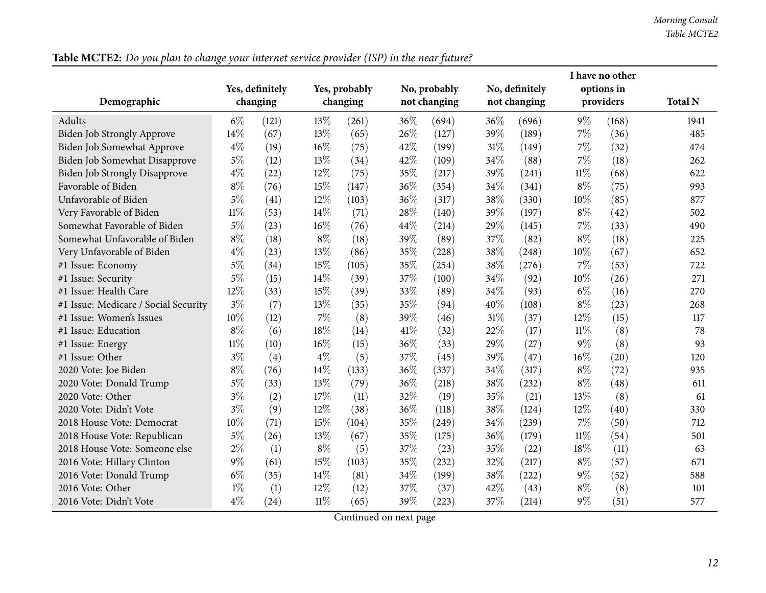|                                      |                             |       |        |               |              |              |              |                |           | I have no other |                |
|--------------------------------------|-----------------------------|-------|--------|---------------|--------------|--------------|--------------|----------------|-----------|-----------------|----------------|
|                                      | Yes, definitely<br>changing |       |        | Yes, probably | No, probably |              |              | No, definitely |           | options in      |                |
| Demographic                          |                             |       |        | changing      |              | not changing | not changing |                | providers |                 | <b>Total N</b> |
| <b>Adults</b>                        | $6\%$                       | (121) | 13%    | (261)         | 36%          | (694)        | 36%          | (696)          | $9\%$     | (168)           | 1941           |
| Biden Job Strongly Approve           | 14%                         | (67)  | 13%    | (65)          | 26%          | (127)        | 39%          | (189)          | 7%        | (36)            | 485            |
| Biden Job Somewhat Approve           | $4\%$                       | (19)  | 16%    | (75)          | 42%          | (199)        | 31%          | (149)          | 7%        | (32)            | 474            |
| <b>Biden Job Somewhat Disapprove</b> | $5\%$                       | (12)  | 13%    | (34)          | 42%          | (109)        | 34%          | (88)           | 7%        | (18)            | 262            |
| <b>Biden Job Strongly Disapprove</b> | $4\%$                       | (22)  | 12%    | (75)          | 35%          | (217)        | 39%          | (241)          | $11\%$    | (68)            | 622            |
| Favorable of Biden                   | $8\%$                       | (76)  | 15%    | (147)         | 36%          | (354)        | 34%          | (341)          | $8\%$     | (75)            | 993            |
| Unfavorable of Biden                 | 5%                          | (41)  | 12%    | (103)         | 36%          | (317)        | 38%          | (330)          | 10%       | (85)            | 877            |
| Very Favorable of Biden              | $11\%$                      | (53)  | 14%    | (71)          | 28%          | (140)        | 39%          | (197)          | $8\%$     | (42)            | 502            |
| Somewhat Favorable of Biden          | $5\%$                       | (23)  | 16%    | (76)          | 44%          | (214)        | 29%          | (145)          | 7%        | (33)            | 490            |
| Somewhat Unfavorable of Biden        | $8\%$                       | (18)  | $8\%$  | (18)          | 39%          | (89)         | 37%          | (82)           | $8\%$     | (18)            | 225            |
| Very Unfavorable of Biden            | $4\%$                       | (23)  | 13%    | (86)          | 35%          | (228)        | 38%          | (248)          | 10%       | (67)            | 652            |
| #1 Issue: Economy                    | $5\%$                       | (34)  | 15%    | (105)         | 35%          | (254)        | 38%          | (276)          | 7%        | (53)            | 722            |
| #1 Issue: Security                   | 5%                          | (15)  | 14%    | (39)          | 37%          | (100)        | 34%          | (92)           | 10%       | (26)            | 271            |
| #1 Issue: Health Care                | 12%                         | (33)  | 15%    | (39)          | 33%          | (89)         | 34%          | (93)           | $6\%$     | (16)            | 270            |
| #1 Issue: Medicare / Social Security | $3\%$                       | (7)   | 13%    | (35)          | 35%          | (94)         | 40%          | (108)          | $8\%$     | (23)            | 268            |
| #1 Issue: Women's Issues             | 10%                         | (12)  | 7%     | (8)           | 39%          | (46)         | 31%          | (37)           | 12%       | (15)            | 117            |
| #1 Issue: Education                  | $8\%$                       | (6)   | 18%    | (14)          | 41\%         | (32)         | 22%          | (17)           | $11\%$    | (8)             | 78             |
| #1 Issue: Energy                     | $11\%$                      | (10)  | 16%    | (15)          | 36%          | (33)         | 29%          | (27)           | $9\%$     | (8)             | 93             |
| #1 Issue: Other                      | $3\%$                       | (4)   | $4\%$  | (5)           | 37%          | (45)         | 39%          | (47)           | 16%       | (20)            | 120            |
| 2020 Vote: Joe Biden                 | $8\%$                       | (76)  | 14%    | (133)         | 36%          | (337)        | 34%          | (317)          | $8\%$     | (72)            | 935            |
| 2020 Vote: Donald Trump              | $5\%$                       | (33)  | 13%    | (79)          | 36%          | (218)        | 38%          | (232)          | $8\%$     | (48)            | 611            |
| 2020 Vote: Other                     | $3\%$                       | (2)   | 17%    | (11)          | 32%          | (19)         | 35%          | (21)           | 13%       | (8)             | 61             |
| 2020 Vote: Didn't Vote               | $3\%$                       | (9)   | 12%    | (38)          | 36%          | (118)        | 38%          | (124)          | 12%       | (40)            | 330            |
| 2018 House Vote: Democrat            | 10%                         | (71)  | 15%    | (104)         | 35%          | (249)        | 34%          | (239)          | 7%        | (50)            | 712            |
| 2018 House Vote: Republican          | $5\%$                       | (26)  | 13%    | (67)          | 35%          | (175)        | 36%          | (179)          | $11\%$    | (54)            | 501            |
| 2018 House Vote: Someone else        | $2\%$                       | (1)   | $8\%$  | (5)           | 37%          | (23)         | 35%          | (22)           | 18%       | (11)            | 63             |
| 2016 Vote: Hillary Clinton           | $9\%$                       | (61)  | 15%    | (103)         | 35%          | (232)        | 32%          | (217)          | $8\%$     | (57)            | 671            |
| 2016 Vote: Donald Trump              | $6\%$                       | (35)  | 14%    | (81)          | 34%          | (199)        | 38%          | (222)          | $9\%$     | (52)            | 588            |
| 2016 Vote: Other                     | $1\%$                       | (1)   | 12%    | (12)          | 37%          | (37)         | 42%          | (43)           | $8\%$     | (8)             | 101            |
| 2016 Vote: Didn't Vote               | $4\%$                       | (24)  | $11\%$ | (65)          | 39%          | (223)        | 37%          | (214)          | $9\%$     | (51)            | 577            |

Table MCTE2: Do you plan to change your internet service provider (ISP) in the near future?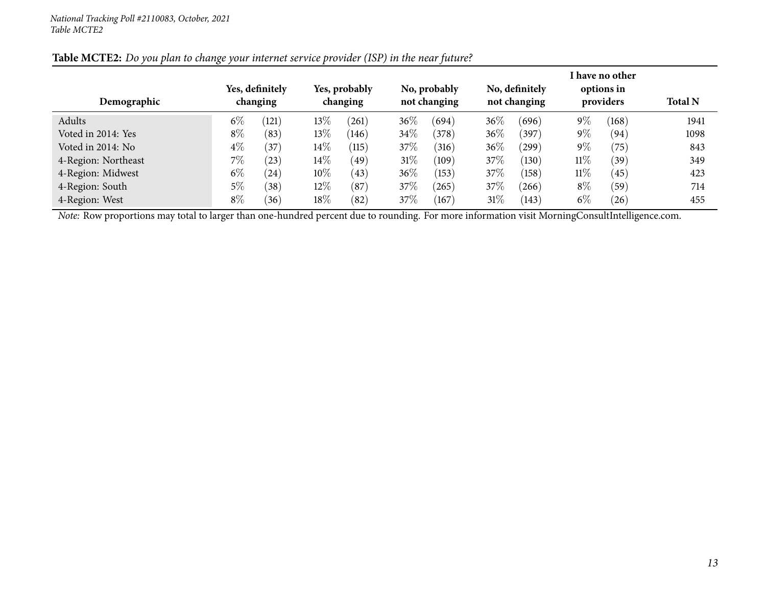| Demographic         |       | Yes, definitely<br>changing |        | Yes, probably<br>changing |        | No, probably<br>not changing |        | No, definitely<br>not changing |        | I have no other<br>options in<br>providers | <b>Total N</b> |
|---------------------|-------|-----------------------------|--------|---------------------------|--------|------------------------------|--------|--------------------------------|--------|--------------------------------------------|----------------|
| Adults              | $6\%$ | $\overline{121}$            | $13\%$ | (261)                     | 36\%   | (694)                        | $36\%$ | (696)                          | $9\%$  | (168)                                      | 1941           |
| Voted in 2014: Yes  | $8\%$ | (83)                        | $13\%$ | (146)                     | 34\%   | (378)                        | 36%    | (397)                          | $9\%$  | (94)                                       | 1098           |
| Voted in 2014: No   | $4\%$ | (37)                        | $14\%$ | (115)                     | 37\%   | (316)                        | $36\%$ | (299)                          | $9\%$  | (75)                                       | 843            |
| 4-Region: Northeast | 7%    | (23)                        | $14\%$ | (49)                      | $31\%$ | (109)                        | 37\%   | (130)                          | $11\%$ | (39)                                       | 349            |
| 4-Region: Midwest   | $6\%$ | (24)                        | 10%    | (43)                      | $36\%$ | (153)                        | 37\%   | (158)                          | $11\%$ | (45)                                       | 423            |
| 4-Region: South     | $5\%$ | (38)                        | $12\%$ | (87)                      | 37\%   | (265)                        | 37\%   | (266)                          | $8\%$  | (59)                                       | 714            |
| 4-Region: West      | $8\%$ | (36)                        | $18\%$ | (82)                      | 37\%   | (167)                        | $31\%$ | (143)                          | $6\%$  | (26)                                       | 455            |

#### Table MCTE2: Do you plan to change your internet service provider (ISP) in the near future?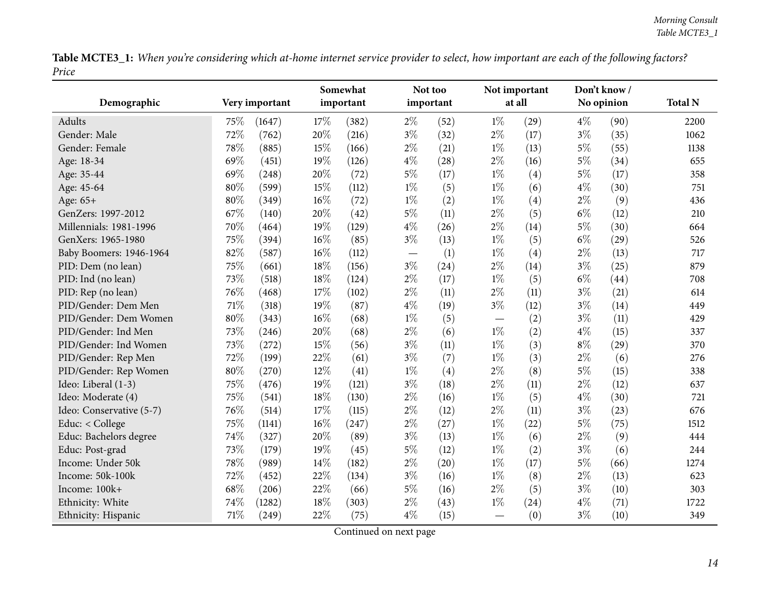Table MCTE3\_1: When you're considering which at-home internet service provider to select, how important are each of the following factors? *Price*

<span id="page-13-0"></span>

| Demographic              |      | Very important | Somewhat<br>important |       |       | Not too<br>important |       | Not important<br>at all | Don't know /<br>No opinion |      | <b>Total N</b> |
|--------------------------|------|----------------|-----------------------|-------|-------|----------------------|-------|-------------------------|----------------------------|------|----------------|
|                          |      |                |                       |       |       |                      |       |                         |                            |      |                |
| Adults                   | 75\% | (1647)         | 17%                   | (382) | $2\%$ | (52)                 | $1\%$ | (29)                    | $4\%$                      | (90) | 2200           |
| Gender: Male             | 72%  | (762)          | 20%                   | (216) | $3\%$ | (32)                 | $2\%$ | (17)                    | $3\%$                      | (35) | 1062           |
| Gender: Female           | 78%  | (885)          | 15%                   | (166) | $2\%$ | (21)                 | $1\%$ | (13)                    | $5\%$                      | (55) | 1138           |
| Age: 18-34               | 69%  | (451)          | 19%                   | (126) | $4\%$ | (28)                 | $2\%$ | (16)                    | $5\%$                      | (34) | 655            |
| Age: 35-44               | 69%  | (248)          | 20%                   | (72)  | $5\%$ | (17)                 | $1\%$ | (4)                     | $5\%$                      | (17) | 358            |
| Age: 45-64               | 80%  | (599)          | 15%                   | (112) | $1\%$ | (5)                  | $1\%$ | (6)                     | $4\%$                      | (30) | 751            |
| Age: 65+                 | 80%  | (349)          | $16\%$                | (72)  | $1\%$ | (2)                  | $1\%$ | (4)                     | $2\%$                      | (9)  | 436            |
| GenZers: 1997-2012       | 67%  | (140)          | 20%                   | (42)  | $5\%$ | (11)                 | $2\%$ | (5)                     | $6\%$                      | (12) | 210            |
| Millennials: 1981-1996   | 70%  | (464)          | 19%                   | (129) | $4\%$ | (26)                 | 2%    | (14)                    | $5\%$                      | (30) | 664            |
| GenXers: 1965-1980       | 75%  | (394)          | 16%                   | (85)  | $3\%$ | (13)                 | $1\%$ | (5)                     | $6\%$                      | (29) | 526            |
| Baby Boomers: 1946-1964  | 82%  | (587)          | 16%                   | (112) |       | (1)                  | $1\%$ | (4)                     | $2\%$                      | (13) | 717            |
| PID: Dem (no lean)       | 75%  | (661)          | 18%                   | (156) | $3\%$ | (24)                 | $2\%$ | (14)                    | $3\%$                      | (25) | 879            |
| PID: Ind (no lean)       | 73%  | (518)          | 18%                   | (124) | $2\%$ | (17)                 | $1\%$ | (5)                     | $6\%$                      | (44) | 708            |
| PID: Rep (no lean)       | 76%  | (468)          | $17\%$                | (102) | $2\%$ | (11)                 | $2\%$ | (11)                    | $3\%$                      | (21) | 614            |
| PID/Gender: Dem Men      | 71%  | (318)          | 19%                   | (87)  | $4\%$ | (19)                 | $3\%$ | (12)                    | $3\%$                      | (14) | 449            |
| PID/Gender: Dem Women    | 80%  | (343)          | 16%                   | (68)  | $1\%$ | (5)                  |       | (2)                     | $3\%$                      | (11) | 429            |
| PID/Gender: Ind Men      | 73%  | (246)          | 20%                   | (68)  | $2\%$ | (6)                  | $1\%$ | (2)                     | $4\%$                      | (15) | 337            |
| PID/Gender: Ind Women    | 73%  | (272)          | $15\%$                | (56)  | $3\%$ | (11)                 | $1\%$ | (3)                     | $8\%$                      | (29) | 370            |
| PID/Gender: Rep Men      | 72%  | (199)          | 22%                   | (61)  | $3\%$ | (7)                  | $1\%$ | (3)                     | $2\%$                      | (6)  | 276            |
| PID/Gender: Rep Women    | 80%  | (270)          | 12%                   | (41)  | $1\%$ | (4)                  | $2\%$ | (8)                     | $5\%$                      | (15) | 338            |
| Ideo: Liberal (1-3)      | 75%  | (476)          | 19%                   | (121) | $3\%$ | (18)                 | $2\%$ | (11)                    | $2\%$                      | (12) | 637            |
| Ideo: Moderate (4)       | 75%  | (541)          | 18%                   | (130) | $2\%$ | (16)                 | $1\%$ | (5)                     | $4\%$                      | (30) | 721            |
| Ideo: Conservative (5-7) | 76%  | (514)          | $17\%$                | (115) | $2\%$ | (12)                 | $2\%$ | (11)                    | $3\%$                      | (23) | 676            |
| Educ: < College          | 75%  | (1141)         | 16%                   | (247) | $2\%$ | (27)                 | $1\%$ | (22)                    | $5\%$                      | (75) | 1512           |
| Educ: Bachelors degree   | 74%  | (327)          | 20%                   | (89)  | $3\%$ | (13)                 | $1\%$ | (6)                     | $2\%$                      | (9)  | 444            |
| Educ: Post-grad          | 73%  | (179)          | 19%                   | (45)  | $5\%$ | (12)                 | $1\%$ | (2)                     | $3\%$                      | (6)  | 244            |
| Income: Under 50k        | 78%  | (989)          | 14%                   | (182) | $2\%$ | (20)                 | $1\%$ | (17)                    | $5\%$                      | (66) | 1274           |
| Income: 50k-100k         | 72%  | (452)          | 22%                   | (134) | $3\%$ | (16)                 | $1\%$ | (8)                     | $2\%$                      | (13) | 623            |
| Income: 100k+            | 68%  | (206)          | 22%                   | (66)  | $5\%$ | (16)                 | $2\%$ | (5)                     | $3\%$                      | (10) | 303            |
| Ethnicity: White         | 74%  | (1282)         | 18%                   | (303) | $2\%$ | (43)                 | $1\%$ | (24)                    | $4\%$                      | (71) | 1722           |
| Ethnicity: Hispanic      | 71%  | (249)          | 22%                   | (75)  | $4\%$ | (15)                 |       | (0)                     | $3\%$                      | (10) | 349            |
|                          |      |                |                       |       |       |                      |       |                         |                            |      |                |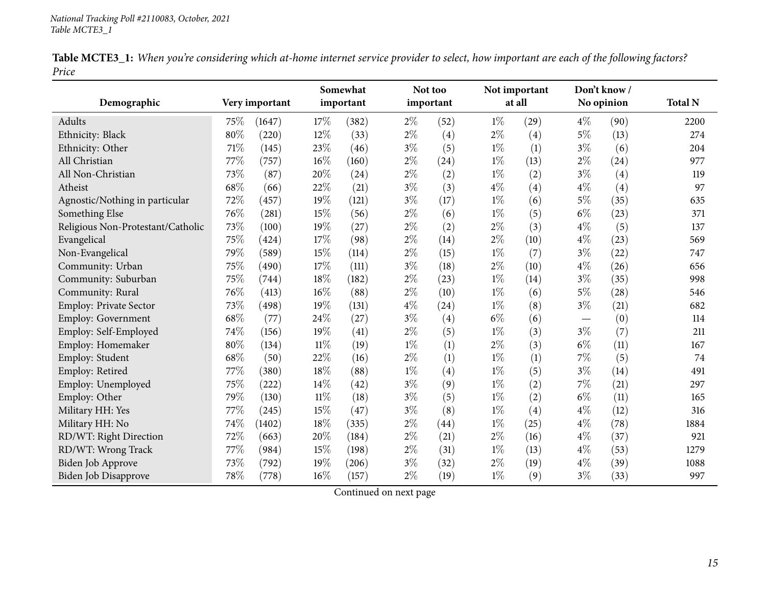| Table MCTE3_1: When you're considering which at-home internet service provider to select, how important are each of the following factors? |  |  |  |  |  |  |
|--------------------------------------------------------------------------------------------------------------------------------------------|--|--|--|--|--|--|
| Price                                                                                                                                      |  |  |  |  |  |  |

|                                   |      |                |        | Somewhat  |       | Not too   |       | Not important | Don't know/ |            |                |
|-----------------------------------|------|----------------|--------|-----------|-------|-----------|-------|---------------|-------------|------------|----------------|
| Demographic                       |      | Very important |        | important |       | important |       | at all        |             | No opinion | <b>Total N</b> |
| Adults                            | 75\% | (1647)         | 17%    | (382)     | $2\%$ | (52)      | $1\%$ | (29)          | $4\%$       | (90)       | 2200           |
| Ethnicity: Black                  | 80%  | (220)          | 12%    | (33)      | $2\%$ | (4)       | $2\%$ | (4)           | $5\%$       | (13)       | 274            |
| Ethnicity: Other                  | 71%  | (145)          | 23%    | (46)      | $3\%$ | (5)       | $1\%$ | (1)           | $3\%$       | (6)        | 204            |
| All Christian                     | 77%  | (757)          | 16%    | (160)     | $2\%$ | (24)      | $1\%$ | (13)          | $2\%$       | (24)       | 977            |
| All Non-Christian                 | 73%  | (87)           | 20%    | (24)      | $2\%$ | (2)       | $1\%$ | (2)           | $3\%$       | (4)        | 119            |
| Atheist                           | 68%  | (66)           | 22%    | (21)      | $3\%$ | (3)       | $4\%$ | (4)           | $4\%$       | (4)        | 97             |
| Agnostic/Nothing in particular    | 72%  | (457)          | 19%    | (121)     | $3\%$ | (17)      | $1\%$ | (6)           | $5\%$       | (35)       | 635            |
| Something Else                    | 76%  | (281)          | 15%    | (56)      | $2\%$ | (6)       | $1\%$ | (5)           | $6\%$       | (23)       | 371            |
| Religious Non-Protestant/Catholic | 73%  | (100)          | 19%    | (27)      | $2\%$ | (2)       | $2\%$ | (3)           | $4\%$       | (5)        | 137            |
| Evangelical                       | 75%  | (424)          | 17%    | (98)      | $2\%$ | (14)      | $2\%$ | (10)          | $4\%$       | (23)       | 569            |
| Non-Evangelical                   | 79%  | (589)          | 15%    | (114)     | $2\%$ | (15)      | $1\%$ | (7)           | $3\%$       | (22)       | 747            |
| Community: Urban                  | 75%  | (490)          | 17%    | (111)     | $3\%$ | (18)      | $2\%$ | (10)          | $4\%$       | (26)       | 656            |
| Community: Suburban               | 75%  | (744)          | 18%    | (182)     | $2\%$ | (23)      | $1\%$ | (14)          | $3\%$       | (35)       | 998            |
| Community: Rural                  | 76%  | (413)          | 16%    | (88)      | $2\%$ | (10)      | $1\%$ | (6)           | $5\%$       | (28)       | 546            |
| Employ: Private Sector            | 73%  | (498)          | 19%    | (131)     | $4\%$ | (24)      | $1\%$ | (8)           | $3\%$       | (21)       | 682            |
| Employ: Government                | 68%  | (77)           | 24\%   | (27)      | $3\%$ | (4)       | $6\%$ | (6)           |             | (0)        | 114            |
| Employ: Self-Employed             | 74%  | (156)          | 19%    | (41)      | $2\%$ | (5)       | $1\%$ | (3)           | $3\%$       | (7)        | 211            |
| Employ: Homemaker                 | 80%  | (134)          | $11\%$ | (19)      | $1\%$ | (1)       | 2%    | (3)           | $6\%$       | (11)       | 167            |
| Employ: Student                   | 68%  | (50)           | 22%    | (16)      | $2\%$ | (1)       | $1\%$ | (1)           | $7\%$       | (5)        | 74             |
| Employ: Retired                   | 77%  | (380)          | 18%    | (88)      | $1\%$ | (4)       | $1\%$ | (5)           | $3\%$       | (14)       | 491            |
| Employ: Unemployed                | 75%  | (222)          | 14%    | (42)      | $3\%$ | (9)       | $1\%$ | (2)           | $7\%$       | (21)       | 297            |
| Employ: Other                     | 79%  | (130)          | $11\%$ | (18)      | $3\%$ | (5)       | $1\%$ | (2)           | $6\%$       | (11)       | 165            |
| Military HH: Yes                  | 77%  | (245)          | 15%    | (47)      | $3\%$ | (8)       | $1\%$ | (4)           | $4\%$       | (12)       | 316            |
| Military HH: No                   | 74%  | (1402)         | 18%    | (335)     | $2\%$ | (44)      | $1\%$ | (25)          | $4\%$       | (78)       | 1884           |
| RD/WT: Right Direction            | 72%  | (663)          | 20%    | (184)     | $2\%$ | (21)      | $2\%$ | (16)          | $4\%$       | (37)       | 921            |
| RD/WT: Wrong Track                | 77\% | (984)          | 15%    | (198)     | $2\%$ | (31)      | $1\%$ | (13)          | $4\%$       | (53)       | 1279           |
| <b>Biden Job Approve</b>          | 73%  | (792)          | 19%    | (206)     | $3\%$ | (32)      | $2\%$ | (19)          | $4\%$       | (39)       | 1088           |
| Biden Job Disapprove              | 78%  | (778)          | $16\%$ | (157)     | $2\%$ | (19)      | $1\%$ | (9)           | $3\%$       | (33)       | 997            |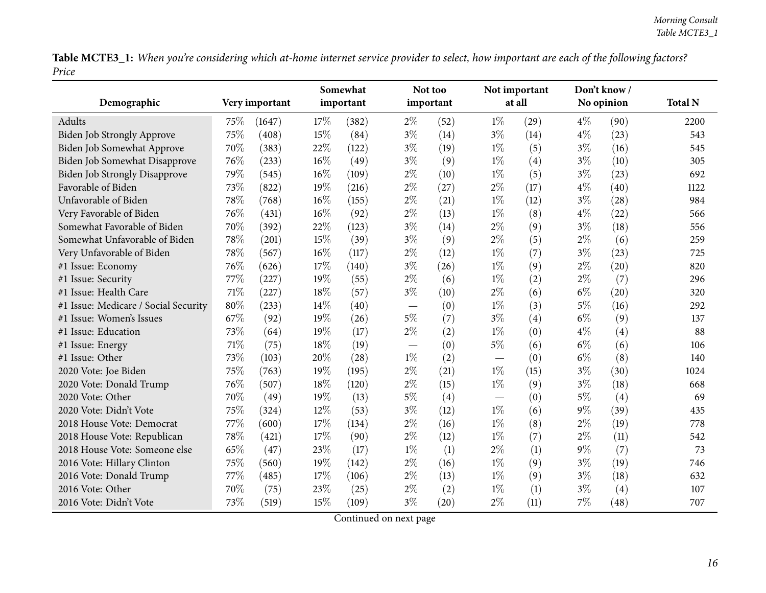Table MCTE3\_1: When you're considering which at-home internet service provider to select, how important are each of the following factors? *Price*

|                                      |      |                | Somewhat |           |                          | Not too<br>important |       | Not important<br>at all |       | Don't know / |                |
|--------------------------------------|------|----------------|----------|-----------|--------------------------|----------------------|-------|-------------------------|-------|--------------|----------------|
| Demographic                          |      | Very important |          | important |                          |                      |       |                         |       | No opinion   | <b>Total N</b> |
| Adults                               | 75\% | (1647)         | 17%      | (382)     | $2\%$                    | (52)                 | $1\%$ | (29)                    | $4\%$ | (90)         | 2200           |
| Biden Job Strongly Approve           | 75%  | (408)          | 15%      | (84)      | $3\%$                    | (14)                 | $3\%$ | (14)                    | $4\%$ | (23)         | 543            |
| Biden Job Somewhat Approve           | 70%  | (383)          | 22%      | (122)     | $3\%$                    | (19)                 | $1\%$ | (5)                     | $3\%$ | (16)         | 545            |
| Biden Job Somewhat Disapprove        | 76%  | (233)          | 16%      | (49)      | $3\%$                    | (9)                  | $1\%$ | (4)                     | $3\%$ | (10)         | 305            |
| Biden Job Strongly Disapprove        | 79%  | (545)          | 16%      | (109)     | $2\%$                    | (10)                 | $1\%$ | (5)                     | $3\%$ | (23)         | 692            |
| Favorable of Biden                   | 73%  | (822)          | 19%      | (216)     | $2\%$                    | (27)                 | $2\%$ | (17)                    | $4\%$ | (40)         | 1122           |
| Unfavorable of Biden                 | 78%  | (768)          | 16%      | (155)     | $2\%$                    | (21)                 | $1\%$ | (12)                    | $3\%$ | (28)         | 984            |
| Very Favorable of Biden              | 76%  | (431)          | 16%      | (92)      | $2\%$                    | (13)                 | $1\%$ | (8)                     | $4\%$ | (22)         | 566            |
| Somewhat Favorable of Biden          | 70%  | (392)          | 22%      | (123)     | $3\%$                    | (14)                 | $2\%$ | (9)                     | $3\%$ | (18)         | 556            |
| Somewhat Unfavorable of Biden        | 78%  | (201)          | 15%      | (39)      | $3\%$                    | (9)                  | $2\%$ | (5)                     | $2\%$ | (6)          | 259            |
| Very Unfavorable of Biden            | 78%  | (567)          | $16\%$   | (117)     | $2\%$                    | (12)                 | $1\%$ | (7)                     | $3\%$ | (23)         | 725            |
| #1 Issue: Economy                    | 76%  | (626)          | 17%      | (140)     | $3\%$                    | (26)                 | $1\%$ | (9)                     | $2\%$ | (20)         | 820            |
| #1 Issue: Security                   | 77%  | (227)          | 19%      | (55)      | $2\%$                    | (6)                  | $1\%$ | (2)                     | $2\%$ | (7)          | 296            |
| #1 Issue: Health Care                | 71%  | (227)          | 18%      | (57)      | $3\%$                    | (10)                 | $2\%$ | (6)                     | $6\%$ | (20)         | 320            |
| #1 Issue: Medicare / Social Security | 80%  | (233)          | 14\%     | (40)      | $\overline{\phantom{m}}$ | (0)                  | $1\%$ | (3)                     | $5\%$ | (16)         | 292            |
| #1 Issue: Women's Issues             | 67%  | (92)           | 19%      | (26)      | $5\%$                    | (7)                  | $3\%$ | (4)                     | $6\%$ | (9)          | 137            |
| #1 Issue: Education                  | 73%  | (64)           | 19%      | (17)      | $2\%$                    | (2)                  | $1\%$ | (0)                     | $4\%$ | (4)          | 88             |
| #1 Issue: Energy                     | 71%  | (75)           | 18%      | (19)      |                          | (0)                  | $5\%$ | (6)                     | $6\%$ | (6)          | 106            |
| #1 Issue: Other                      | 73%  | (103)          | 20%      | (28)      | $1\%$                    | (2)                  |       | (0)                     | $6\%$ | (8)          | 140            |
| 2020 Vote: Joe Biden                 | 75%  | (763)          | 19%      | (195)     | $2\%$                    | (21)                 | $1\%$ | (15)                    | $3\%$ | (30)         | 1024           |
| 2020 Vote: Donald Trump              | 76%  | (507)          | 18%      | (120)     | $2\%$                    | (15)                 | $1\%$ | (9)                     | $3\%$ | (18)         | 668            |
| 2020 Vote: Other                     | 70%  | (49)           | 19%      | (13)      | $5\%$                    | (4)                  |       | (0)                     | $5\%$ | (4)          | 69             |
| 2020 Vote: Didn't Vote               | 75%  | (324)          | 12%      | (53)      | $3\%$                    | (12)                 | $1\%$ | (6)                     | $9\%$ | (39)         | 435            |
| 2018 House Vote: Democrat            | 77%  | (600)          | 17%      | (134)     | $2\%$                    | (16)                 | $1\%$ | (8)                     | $2\%$ | (19)         | 778            |
| 2018 House Vote: Republican          | 78%  | (421)          | 17%      | (90)      | $2\%$                    | (12)                 | $1\%$ | (7)                     | $2\%$ | (11)         | 542            |
| 2018 House Vote: Someone else        | 65%  | (47)           | 23%      | (17)      | $1\%$                    | (1)                  | $2\%$ | (1)                     | $9\%$ | (7)          | 73             |
| 2016 Vote: Hillary Clinton           | 75%  | (560)          | 19%      | (142)     | $2\%$                    | (16)                 | $1\%$ | (9)                     | $3\%$ | (19)         | 746            |
| 2016 Vote: Donald Trump              | 77%  | (485)          | 17%      | (106)     | $2\%$                    | (13)                 | $1\%$ | (9)                     | $3\%$ | (18)         | 632            |
| 2016 Vote: Other                     | 70%  | (75)           | 23%      | (25)      | $2\%$                    | (2)                  | $1\%$ | (1)                     | $3\%$ | (4)          | 107            |
| 2016 Vote: Didn't Vote               | 73%  | (519)          | 15%      | (109)     | $3\%$                    | (20)                 | $2\%$ | (11)                    | 7%    | (48)         | 707            |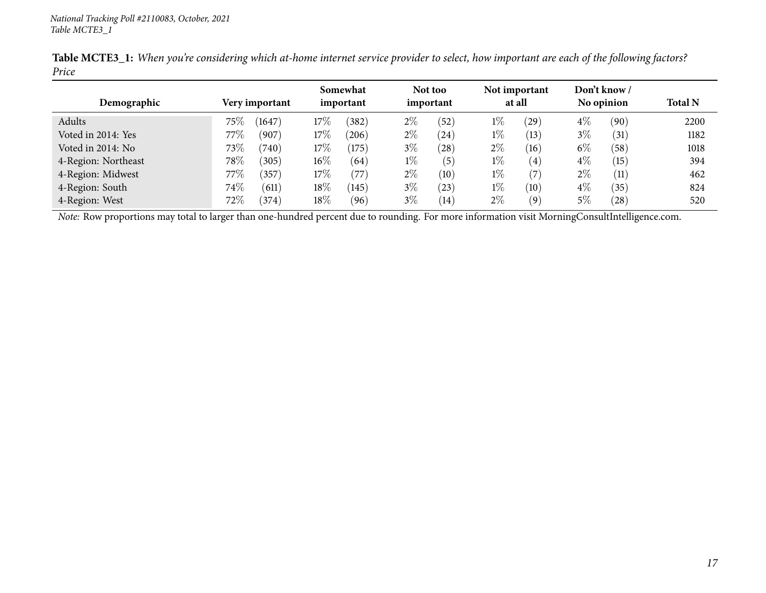| Demographic         | Very important   | Somewhat<br>important | Not too<br>important | Not important<br>at all   | Don't know/<br>No opinion | <b>Total N</b> |
|---------------------|------------------|-----------------------|----------------------|---------------------------|---------------------------|----------------|
|                     |                  |                       |                      |                           |                           |                |
| Adults              | $75\%$<br>(1647) | $17\%$<br>(382)       | $2\%$<br>(52)        | $1\%$<br>(29)             | $4\%$<br>(90)             | 2200           |
| Voted in 2014: Yes  | 77 $\%$<br>(907) | $17\%$<br>$^{(206)}$  | $2\%$<br>(24)        | $1\%$<br>(13)             | $3\%$<br>(31)             | 1182           |
| Voted in 2014: No   | 73\%<br>(740)    | $17\%$<br>(175)       | $3\%$<br>(28)        | $2\%$<br>(16)             | $6\%$<br>(58)             | 1018           |
| 4-Region: Northeast | $78\%$<br>(305)  | $16\%$<br>(64)        | $1\%$<br>(5)         | $1\%$<br>$\left(4\right)$ | $4\%$<br>(15)             | 394            |
| 4-Region: Midwest   | 77 $\%$<br>357   | $17\%$<br>(77)        | $2\%$<br>(10)        | $1\%$<br>(7)              | $2\%$<br>(11)             | 462            |
| 4-Region: South     | $74\%$<br>(611)  | $18\%$<br>145)        | $3\%$<br>(23)        | $1\%$<br>(10)             | $4\%$<br>(35)             | 824            |
| 4-Region: West      | $72\%$<br>(374)  | $18\%$<br>(96)        | $3\%$<br>(14)        | $2\%$<br>(9)              | $5\%$<br>$^{'}28)$        | 520            |

Table MCTE3\_1: When you're considering which at-home internet service provider to select, how important are each of the following factors? *Price*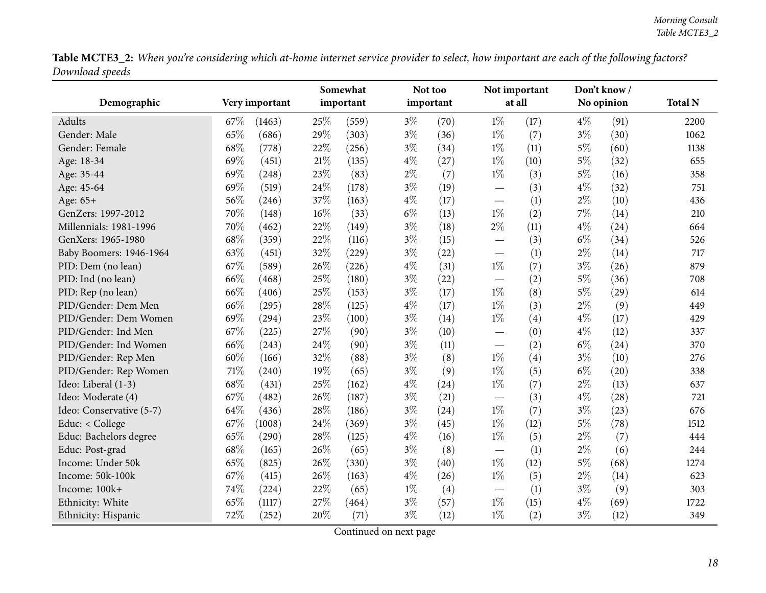Table MCTE3\_2: When you're considering which at-home internet service provider to select, how important are each of the following factors? *Download speeds*

<span id="page-17-0"></span>

|                          |                | Somewhat     | Not too       | Not important                   | Don't know/   |                |
|--------------------------|----------------|--------------|---------------|---------------------------------|---------------|----------------|
| Demographic              | Very important | important    | important     | at all                          | No opinion    | <b>Total N</b> |
| Adults                   | 67\%<br>(1463) | 25%<br>(559) | $3\%$<br>(70) | $1\%$<br>(17)                   | $4\%$<br>(91) | 2200           |
| Gender: Male             | 65%<br>(686)   | 29%<br>(303) | $3\%$<br>(36) | $1\%$<br>(7)                    | $3\%$<br>(30) | 1062           |
| Gender: Female           | 68%<br>(778)   | 22%<br>(256) | $3\%$<br>(34) | $1\%$<br>(11)                   | $5\%$<br>(60) | 1138           |
| Age: 18-34               | 69%<br>(451)   | 21%<br>(135) | $4\%$<br>(27) | $1\%$<br>(10)                   | $5\%$<br>(32) | 655            |
| Age: 35-44               | 69%<br>(248)   | 23%<br>(83)  | $2\%$<br>(7)  | $1\%$<br>(3)                    | $5\%$<br>(16) | 358            |
| Age: 45-64               | 69%<br>(519)   | 24%<br>(178) | $3\%$<br>(19) | (3)                             | $4\%$<br>(32) | 751            |
| Age: 65+                 | 56%<br>(246)   | 37%<br>(163) | $4\%$<br>(17) | (1)                             | $2\%$<br>(10) | 436            |
| GenZers: 1997-2012       | 70%<br>(148)   | 16%<br>(33)  | $6\%$<br>(13) | $1\%$<br>(2)                    | 7%<br>(14)    | 210            |
| Millennials: 1981-1996   | 70%<br>(462)   | 22%<br>(149) | $3\%$<br>(18) | $2\%$<br>(11)                   | $4\%$<br>(24) | 664            |
| GenXers: 1965-1980       | 68%<br>(359)   | 22%<br>(116) | $3\%$<br>(15) | (3)                             | $6\%$<br>(34) | 526            |
| Baby Boomers: 1946-1964  | 63%<br>(451)   | 32%<br>(229) | $3\%$<br>(22) | (1)<br>$\overline{\phantom{0}}$ | $2\%$<br>(14) | 717            |
| PID: Dem (no lean)       | 67%<br>(589)   | 26%<br>(226) | $4\%$<br>(31) | $1\%$<br>(7)                    | $3\%$<br>(26) | 879            |
| PID: Ind (no lean)       | 66%<br>(468)   | 25%<br>(180) | $3\%$<br>(22) | (2)                             | $5\%$<br>(36) | 708            |
| PID: Rep (no lean)       | 66%<br>(406)   | 25%<br>(153) | $3\%$<br>(17) | $1\%$<br>(8)                    | $5\%$<br>(29) | 614            |
| PID/Gender: Dem Men      | 66%<br>(295)   | 28%<br>(125) | $4\%$<br>(17) | $1\%$<br>(3)                    | $2\%$<br>(9)  | 449            |
| PID/Gender: Dem Women    | 69%<br>(294)   | 23%<br>(100) | $3\%$<br>(14) | $1\%$<br>(4)                    | $4\%$<br>(17) | 429            |
| PID/Gender: Ind Men      | 67%<br>(225)   | 27%<br>(90)  | $3\%$<br>(10) | (0)                             | $4\%$<br>(12) | 337            |
| PID/Gender: Ind Women    | 66%<br>(243)   | 24%<br>(90)  | $3\%$<br>(11) | (2)                             | $6\%$<br>(24) | 370            |
| PID/Gender: Rep Men      | 60%<br>(166)   | 32%<br>(88)  | $3\%$<br>(8)  | $1\%$<br>(4)                    | $3\%$<br>(10) | 276            |
| PID/Gender: Rep Women    | 71%<br>(240)   | 19%<br>(65)  | $3\%$<br>(9)  | $1\%$<br>(5)                    | $6\%$<br>(20) | 338            |
| Ideo: Liberal (1-3)      | 68%<br>(431)   | 25%<br>(162) | $4\%$<br>(24) | $1\%$<br>(7)                    | $2\%$<br>(13) | 637            |
| Ideo: Moderate (4)       | 67%<br>(482)   | 26%<br>(187) | $3\%$<br>(21) | (3)                             | $4\%$<br>(28) | 721            |
| Ideo: Conservative (5-7) | 64%<br>(436)   | 28%<br>(186) | $3\%$<br>(24) | $1\%$<br>(7)                    | $3\%$<br>(23) | 676            |
| Educ: < College          | 67%<br>(1008)  | 24%<br>(369) | $3\%$<br>(45) | $1\%$<br>(12)                   | $5\%$<br>(78) | 1512           |
| Educ: Bachelors degree   | 65%<br>(290)   | 28%<br>(125) | $4\%$<br>(16) | $1\%$<br>(5)                    | $2\%$<br>(7)  | 444            |
| Educ: Post-grad          | 68%<br>(165)   | 26%<br>(65)  | $3\%$<br>(8)  | (1)                             | $2\%$<br>(6)  | 244            |
| Income: Under 50k        | 65%<br>(825)   | 26%<br>(330) | $3\%$<br>(40) | $1\%$<br>(12)                   | $5\%$<br>(68) | 1274           |
| Income: 50k-100k         | 67%<br>(415)   | 26%<br>(163) | $4\%$<br>(26) | $1\%$<br>(5)                    | $2\%$<br>(14) | 623            |
| Income: 100k+            | 74%<br>(224)   | 22%<br>(65)  | $1\%$<br>(4)  | (1)                             | 3%<br>(9)     | 303            |
| Ethnicity: White         | 65%<br>(1117)  | 27%<br>(464) | $3\%$<br>(57) | $1\%$<br>(15)                   | $4\%$<br>(69) | 1722           |
| Ethnicity: Hispanic      | 72%<br>(252)   | 20%<br>(71)  | $3\%$<br>(12) | $1\%$<br>(2)                    | $3\%$<br>(12) | 349            |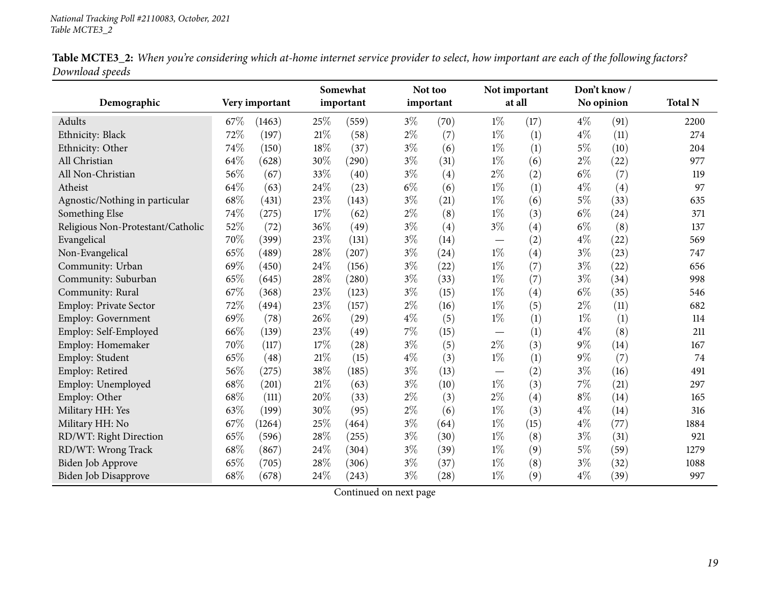| Table MCTE3_2: When you're considering which at-home internet service provider to select, how important are each of the following factors? |  |  |
|--------------------------------------------------------------------------------------------------------------------------------------------|--|--|
| Download speeds                                                                                                                            |  |  |

|                                   |        |                |        | Somewhat  |       | Not too   |                                 | Not important |       | Don't know/ |                |
|-----------------------------------|--------|----------------|--------|-----------|-------|-----------|---------------------------------|---------------|-------|-------------|----------------|
| Demographic                       |        | Very important |        | important |       | important |                                 | at all        |       | No opinion  | <b>Total N</b> |
| Adults                            | 67\%   | (1463)         | 25%    | (559)     | $3\%$ | (70)      | $1\%$                           | (17)          | $4\%$ | (91)        | 2200           |
| Ethnicity: Black                  | 72%    | (197)          | 21%    | (58)      | $2\%$ | (7)       | $1\%$                           | (1)           | $4\%$ | (11)        | 274            |
| Ethnicity: Other                  | 74%    | (150)          | 18%    | (37)      | $3\%$ | (6)       | $1\%$                           | (1)           | $5\%$ | (10)        | 204            |
| All Christian                     | 64%    | (628)          | 30%    | (290)     | $3\%$ | (31)      | $1\%$                           | (6)           | $2\%$ | (22)        | 977            |
| All Non-Christian                 | 56%    | (67)           | 33%    | (40)      | $3\%$ | (4)       | $2\%$                           | (2)           | $6\%$ | (7)         | 119            |
| Atheist                           | 64%    | (63)           | 24%    | (23)      | $6\%$ | (6)       | $1\%$                           | (1)           | $4\%$ | (4)         | 97             |
| Agnostic/Nothing in particular    | $68\%$ | (431)          | 23\%   | (143)     | $3\%$ | (21)      | $1\%$                           | (6)           | $5\%$ | (33)        | 635            |
| Something Else                    | 74%    | (275)          | 17%    | (62)      | $2\%$ | (8)       | $1\%$                           | (3)           | $6\%$ | (24)        | 371            |
| Religious Non-Protestant/Catholic | 52%    | (72)           | 36%    | (49)      | $3\%$ | (4)       | $3\%$                           | (4)           | $6\%$ | (8)         | 137            |
| Evangelical                       | 70%    | (399)          | 23%    | (131)     | $3\%$ | (14)      | $\hspace{0.1mm}-\hspace{0.1mm}$ | (2)           | $4\%$ | (22)        | 569            |
| Non-Evangelical                   | 65%    | (489)          | 28%    | (207)     | $3\%$ | (24)      | $1\%$                           | (4)           | $3\%$ | (23)        | 747            |
| Community: Urban                  | 69%    | (450)          | 24\%   | (156)     | $3\%$ | (22)      | $1\%$                           | (7)           | $3\%$ | (22)        | 656            |
| Community: Suburban               | 65%    | (645)          | $28\%$ | (280)     | $3\%$ | (33)      | $1\%$                           | (7)           | $3\%$ | (34)        | 998            |
| Community: Rural                  | 67%    | (368)          | 23%    | (123)     | $3\%$ | (15)      | $1\%$                           | (4)           | $6\%$ | (35)        | 546            |
| Employ: Private Sector            | 72%    | (494)          | 23%    | (157)     | $2\%$ | (16)      | $1\%$                           | (5)           | $2\%$ | (11)        | 682            |
| Employ: Government                | 69%    | (78)           | 26%    | (29)      | $4\%$ | (5)       | $1\%$                           | (1)           | $1\%$ | (1)         | 114            |
| Employ: Self-Employed             | 66%    | (139)          | 23%    | (49)      | 7%    | (15)      | $\hspace{0.1mm}-\hspace{0.1mm}$ | (1)           | $4\%$ | (8)         | 211            |
| Employ: Homemaker                 | 70%    | (117)          | 17%    | (28)      | $3\%$ | (5)       | $2\%$                           | (3)           | $9\%$ | (14)        | 167            |
| Employ: Student                   | 65%    | (48)           | $21\%$ | (15)      | $4\%$ | (3)       | $1\%$                           | (1)           | $9\%$ | (7)         | 74             |
| Employ: Retired                   | 56%    | (275)          | 38%    | (185)     | $3\%$ | (13)      |                                 | (2)           | $3\%$ | (16)        | 491            |
| Employ: Unemployed                | 68%    | (201)          | $21\%$ | (63)      | $3\%$ | (10)      | $1\%$                           | (3)           | $7\%$ | (21)        | 297            |
| Employ: Other                     | 68%    | (111)          | 20%    | (33)      | $2\%$ | (3)       | $2\%$                           | (4)           | $8\%$ | (14)        | 165            |
| Military HH: Yes                  | 63%    | (199)          | 30%    | (95)      | $2\%$ | (6)       | $1\%$                           | (3)           | $4\%$ | (14)        | 316            |
| Military HH: No                   | 67%    | (1264)         | 25%    | (464)     | $3\%$ | (64)      | $1\%$                           | (15)          | $4\%$ | (77)        | 1884           |
| RD/WT: Right Direction            | 65%    | (596)          | 28%    | (255)     | $3\%$ | (30)      | $1\%$                           | (8)           | $3\%$ | (31)        | 921            |
| RD/WT: Wrong Track                | 68%    | (867)          | 24%    | (304)     | $3\%$ | (39)      | $1\%$                           | (9)           | $5\%$ | (59)        | 1279           |
| Biden Job Approve                 | 65%    | (705)          | 28%    | (306)     | $3\%$ | (37)      | $1\%$                           | (8)           | $3\%$ | (32)        | 1088           |
| Biden Job Disapprove              | 68%    | (678)          | 24%    | (243)     | $3\%$ | (28)      | $1\%$                           | (9)           | $4\%$ | (39)        | 997            |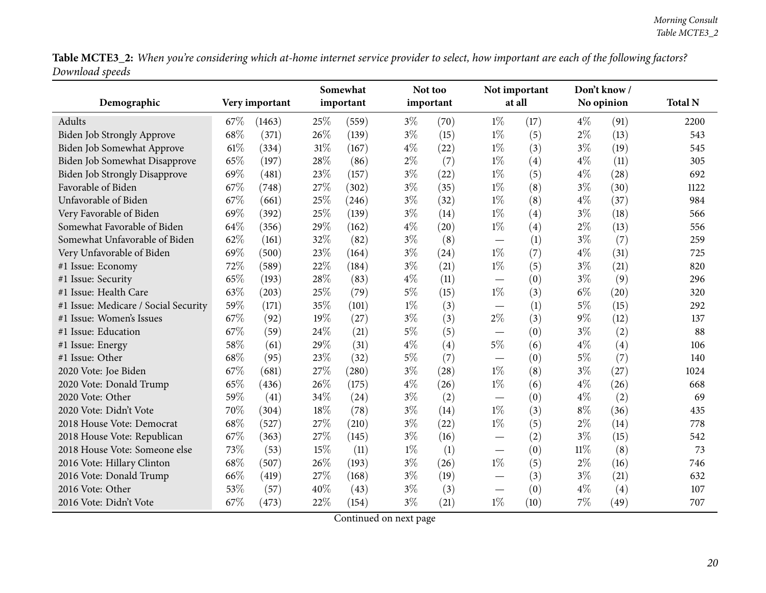Table MCTE3\_2: When you're considering which at-home internet service provider to select, how important are each of the following factors? *Download speeds*

|                                      |      |                | Somewhat |           |       | Not too   |                                  | Not important<br>at all |        | Don't know / |                |
|--------------------------------------|------|----------------|----------|-----------|-------|-----------|----------------------------------|-------------------------|--------|--------------|----------------|
| Demographic                          |      | Very important |          | important |       | important |                                  |                         |        | No opinion   | <b>Total N</b> |
| Adults                               | 67\% | (1463)         | 25%      | (559)     | $3\%$ | (70)      | $1\%$                            | (17)                    | $4\%$  | (91)         | 2200           |
| Biden Job Strongly Approve           | 68%  | (371)          | 26%      | (139)     | $3\%$ | (15)      | $1\%$                            | (5)                     | $2\%$  | (13)         | 543            |
| Biden Job Somewhat Approve           | 61\% | (334)          | 31%      | (167)     | $4\%$ | (22)      | $1\%$                            | (3)                     | $3\%$  | (19)         | 545            |
| Biden Job Somewhat Disapprove        | 65%  | (197)          | 28%      | (86)      | $2\%$ | (7)       | $1\%$                            | (4)                     | $4\%$  | (11)         | 305            |
| Biden Job Strongly Disapprove        | 69%  | (481)          | 23%      | (157)     | $3\%$ | (22)      | $1\%$                            | (5)                     | $4\%$  | (28)         | 692            |
| Favorable of Biden                   | 67%  | (748)          | 27%      | (302)     | $3\%$ | (35)      | $1\%$                            | (8)                     | $3\%$  | (30)         | 1122           |
| Unfavorable of Biden                 | 67%  | (661)          | 25%      | (246)     | $3\%$ | (32)      | $1\%$                            | (8)                     | $4\%$  | (37)         | 984            |
| Very Favorable of Biden              | 69%  | (392)          | 25%      | (139)     | $3\%$ | (14)      | $1\%$                            | (4)                     | $3\%$  | (18)         | 566            |
| Somewhat Favorable of Biden          | 64%  | (356)          | 29%      | (162)     | $4\%$ | (20)      | $1\%$                            | (4)                     | $2\%$  | (13)         | 556            |
| Somewhat Unfavorable of Biden        | 62%  | (161)          | 32%      | (82)      | $3\%$ | (8)       | $\overbrace{\phantom{12322111}}$ | (1)                     | $3\%$  | (7)          | 259            |
| Very Unfavorable of Biden            | 69%  | (500)          | 23%      | (164)     | $3\%$ | (24)      | $1\%$                            | (7)                     | $4\%$  | (31)         | 725            |
| #1 Issue: Economy                    | 72%  | (589)          | 22%      | (184)     | $3\%$ | (21)      | $1\%$                            | (5)                     | $3\%$  | (21)         | 820            |
| #1 Issue: Security                   | 65%  | (193)          | 28%      | (83)      | $4\%$ | (11)      |                                  | (0)                     | $3\%$  | (9)          | 296            |
| #1 Issue: Health Care                | 63%  | (203)          | 25%      | (79)      | 5%    | (15)      | $1\%$                            | (3)                     | $6\%$  | (20)         | 320            |
| #1 Issue: Medicare / Social Security | 59%  | (171)          | 35%      | (101)     | $1\%$ | (3)       |                                  | (1)                     | $5\%$  | (15)         | 292            |
| #1 Issue: Women's Issues             | 67%  | (92)           | 19%      | (27)      | $3\%$ | (3)       | $2\%$                            | (3)                     | $9\%$  | (12)         | 137            |
| #1 Issue: Education                  | 67%  | (59)           | 24%      | (21)      | $5\%$ | (5)       |                                  | (0)                     | $3\%$  | (2)          | 88             |
| #1 Issue: Energy                     | 58%  | (61)           | 29%      | (31)      | $4\%$ | (4)       | $5\%$                            | (6)                     | $4\%$  | (4)          | 106            |
| #1 Issue: Other                      | 68%  | (95)           | 23%      | (32)      | $5\%$ | (7)       |                                  | (0)                     | $5\%$  | (7)          | 140            |
| 2020 Vote: Joe Biden                 | 67%  | (681)          | 27%      | (280)     | $3\%$ | (28)      | $1\%$                            | (8)                     | $3\%$  | (27)         | 1024           |
| 2020 Vote: Donald Trump              | 65%  | (436)          | 26%      | (175)     | $4\%$ | (26)      | $1\%$                            | (6)                     | $4\%$  | (26)         | 668            |
| 2020 Vote: Other                     | 59%  | (41)           | 34%      | (24)      | $3\%$ | (2)       |                                  | (0)                     | $4\%$  | (2)          | 69             |
| 2020 Vote: Didn't Vote               | 70%  | (304)          | 18%      | (78)      | $3\%$ | (14)      | $1\%$                            | (3)                     | $8\%$  | (36)         | 435            |
| 2018 House Vote: Democrat            | 68\% | (527)          | 27%      | (210)     | $3\%$ | (22)      | $1\%$                            | (5)                     | $2\%$  | (14)         | 778            |
| 2018 House Vote: Republican          | 67%  | (363)          | 27%      | (145)     | $3\%$ | (16)      |                                  | (2)                     | $3\%$  | (15)         | 542            |
| 2018 House Vote: Someone else        | 73%  | (53)           | 15%      | (11)      | $1\%$ | (1)       |                                  | (0)                     | $11\%$ | (8)          | 73             |
| 2016 Vote: Hillary Clinton           | 68%  | (507)          | 26%      | (193)     | $3\%$ | (26)      | $1\%$                            | (5)                     | $2\%$  | (16)         | 746            |
| 2016 Vote: Donald Trump              | 66%  | (419)          | 27%      | (168)     | $3\%$ | (19)      |                                  | (3)                     | $3\%$  | (21)         | 632            |
| 2016 Vote: Other                     | 53%  | (57)           | 40%      | (43)      | $3\%$ | (3)       |                                  | (0)                     | $4\%$  | (4)          | 107            |
| 2016 Vote: Didn't Vote               | 67%  | (473)          | 22%      | (154)     | $3\%$ | (21)      | $1\%$                            | (10)                    | 7%     | (49)         | 707            |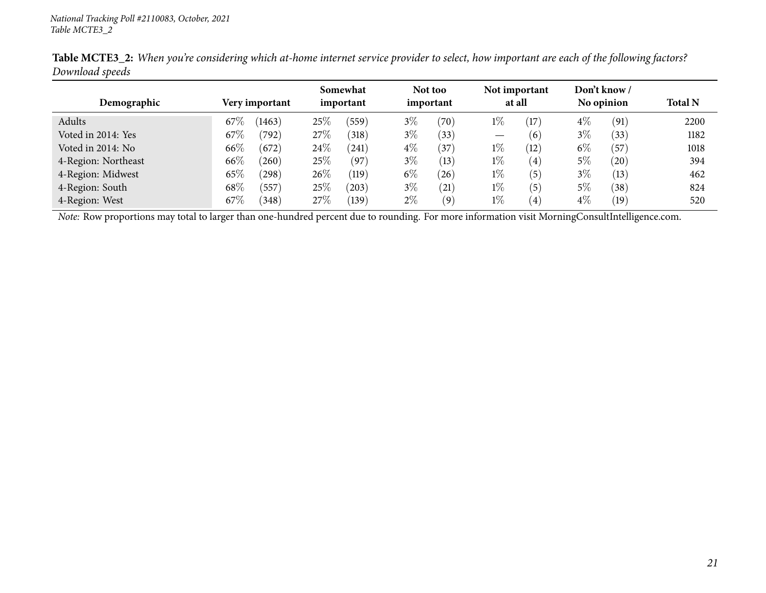| Demographic         |        | Very important |      | Somewhat<br>important |       | Not too<br>important | Not important<br>at all |      | Don't know /<br>No opinion |      | <b>Total N</b> |
|---------------------|--------|----------------|------|-----------------------|-------|----------------------|-------------------------|------|----------------------------|------|----------------|
| Adults              | $67\%$ | (1463)         | 25\% | (559)                 | $3\%$ | (70)                 | $1\%$                   | (17) | $4\%$                      | (91) | 2200           |
| Voted in 2014: Yes  | 67\%   | (792)          | 27%  | (318)                 | $3\%$ | (33)                 |                         | (6)  | $3\%$                      | (33) | 1182           |
| Voted in 2014: No   | $66\%$ | (672)          | 24\% | (241)                 | $4\%$ | $^{'}37$             | $1\%$                   | (12) | $6\%$                      | (57) | 1018           |
| 4-Region: Northeast | $66\%$ | (260)          | 25%  | (97)                  | $3\%$ | (13)                 | $1\%$                   | (4)  | 5%                         | (20) | 394            |
| 4-Region: Midwest   | 65%    | (298)          | 26\% | (119)                 | $6\%$ | (26)                 | $1\%$                   | (5)  | $3\%$                      | (13) | 462            |
| 4-Region: South     | $68\%$ | (557)          | 25%  | (203)                 | $3\%$ | (21)                 | $1\%$                   | (5)  | 5%                         | (38) | 824            |
| 4-Region: West      | 67\%   | (348)          | 27\% | (139)                 | $2\%$ | (9)                  | $1\%$                   | (4)  | $4\%$                      | (19) | 520            |

Table MCTE3\_2: When you're considering which at-home internet service provider to select, how important are each of the following factors? *Download speeds*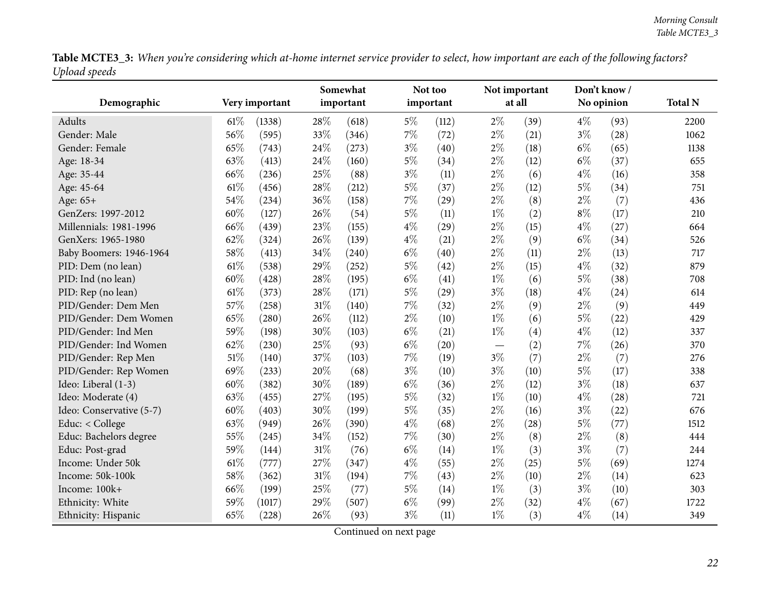Table MCTE3\_3: When you're considering which at-home internet service provider to select, how important are each of the following factors? *Upload speeds*

<span id="page-21-0"></span>

|                          |      |                | Somewhat |           |       | Not too   | Not important            |        | Don't know/ |            |                |
|--------------------------|------|----------------|----------|-----------|-------|-----------|--------------------------|--------|-------------|------------|----------------|
| Demographic              |      | Very important |          | important |       | important |                          | at all |             | No opinion | <b>Total N</b> |
| Adults                   | 61\% | (1338)         | 28%      | (618)     | $5\%$ | (112)     | $2\%$                    | (39)   | $4\%$       | (93)       | 2200           |
| Gender: Male             | 56%  | (595)          | 33%      | (346)     | $7\%$ | (72)      | $2\%$                    | (21)   | $3\%$       | (28)       | 1062           |
| Gender: Female           | 65%  | (743)          | 24%      | (273)     | $3\%$ | (40)      | $2\%$                    | (18)   | $6\%$       | (65)       | 1138           |
| Age: 18-34               | 63%  | (413)          | 24%      | (160)     | $5\%$ | (34)      | $2\%$                    | (12)   | $6\%$       | (37)       | 655            |
| Age: 35-44               | 66%  | (236)          | 25%      | (88)      | $3\%$ | (11)      | $2\%$                    | (6)    | $4\%$       | (16)       | 358            |
| Age: 45-64               | 61%  | (456)          | 28%      | (212)     | $5\%$ | (37)      | $2\%$                    | (12)   | $5\%$       | (34)       | 751            |
| Age: $65+$               | 54%  | (234)          | 36%      | (158)     | $7\%$ | (29)      | $2\%$                    | (8)    | $2\%$       | (7)        | 436            |
| GenZers: 1997-2012       | 60%  | (127)          | 26%      | (54)      | $5\%$ | (11)      | $1\%$                    | (2)    | $8\%$       | (17)       | 210            |
| Millennials: 1981-1996   | 66%  | (439)          | 23%      | (155)     | $4\%$ | (29)      | $2\%$                    | (15)   | $4\%$       | (27)       | 664            |
| GenXers: 1965-1980       | 62%  | (324)          | 26%      | (139)     | $4\%$ | (21)      | $2\%$                    | (9)    | $6\%$       | (34)       | 526            |
| Baby Boomers: 1946-1964  | 58%  | (413)          | 34%      | (240)     | $6\%$ | (40)      | $2\%$                    | (11)   | $2\%$       | (13)       | 717            |
| PID: Dem (no lean)       | 61\% | (538)          | 29%      | (252)     | $5\%$ | (42)      | $2\%$                    | (15)   | $4\%$       | (32)       | 879            |
| PID: Ind (no lean)       | 60%  | (428)          | 28%      | (195)     | $6\%$ | (41)      | $1\%$                    | (6)    | $5\%$       | (38)       | 708            |
| PID: Rep (no lean)       | 61%  | (373)          | 28%      | (171)     | $5\%$ | (29)      | $3\%$                    | (18)   | $4\%$       | (24)       | 614            |
| PID/Gender: Dem Men      | 57%  | (258)          | 31%      | (140)     | 7%    | (32)      | $2\%$                    | (9)    | $2\%$       | (9)        | 449            |
| PID/Gender: Dem Women    | 65%  | (280)          | 26%      | (112)     | $2\%$ | (10)      | $1\%$                    | (6)    | $5\%$       | (22)       | 429            |
| PID/Gender: Ind Men      | 59%  | (198)          | 30%      | (103)     | $6\%$ | (21)      | $1\%$                    | (4)    | $4\%$       | (12)       | 337            |
| PID/Gender: Ind Women    | 62%  | (230)          | 25%      | (93)      | $6\%$ | (20)      | $\overline{\phantom{0}}$ | (2)    | 7%          | (26)       | 370            |
| PID/Gender: Rep Men      | 51%  | (140)          | 37%      | (103)     | 7%    | (19)      | $3\%$                    | (7)    | $2\%$       | (7)        | 276            |
| PID/Gender: Rep Women    | 69%  | (233)          | 20%      | (68)      | $3\%$ | (10)      | $3\%$                    | (10)   | $5\%$       | (17)       | 338            |
| Ideo: Liberal (1-3)      | 60%  | (382)          | 30%      | (189)     | $6\%$ | (36)      | $2\%$                    | (12)   | $3\%$       | (18)       | 637            |
| Ideo: Moderate (4)       | 63%  | (455)          | 27%      | (195)     | $5\%$ | (32)      | $1\%$                    | (10)   | $4\%$       | (28)       | 721            |
| Ideo: Conservative (5-7) | 60%  | (403)          | 30%      | (199)     | $5\%$ | (35)      | $2\%$                    | (16)   | $3\%$       | (22)       | 676            |
| Educ: < College          | 63%  | (949)          | 26%      | (390)     | $4\%$ | (68)      | $2\%$                    | (28)   | $5\%$       | (77)       | 1512           |
| Educ: Bachelors degree   | 55%  | (245)          | 34%      | (152)     | $7\%$ | (30)      | $2\%$                    | (8)    | $2\%$       | (8)        | 444            |
| Educ: Post-grad          | 59%  | (144)          | $31\%$   | (76)      | $6\%$ | (14)      | $1\%$                    | (3)    | $3\%$       | (7)        | 244            |
| Income: Under 50k        | 61%  | (777)          | 27%      | (347)     | $4\%$ | (55)      | $2\%$                    | (25)   | $5\%$       | (69)       | 1274           |
| Income: 50k-100k         | 58%  | (362)          | $31\%$   | (194)     | 7%    | (43)      | $2\%$                    | (10)   | $2\%$       | (14)       | 623            |
| Income: 100k+            | 66%  | (199)          | 25%      | (77)      | $5\%$ | (14)      | $1\%$                    | (3)    | $3\%$       | (10)       | 303            |
| Ethnicity: White         | 59%  | (1017)         | 29%      | (507)     | $6\%$ | (99)      | $2\%$                    | (32)   | $4\%$       | (67)       | 1722           |
| Ethnicity: Hispanic      | 65%  | (228)          | 26%      | (93)      | $3\%$ | (11)      | $1\%$                    | (3)    | $4\%$       | (14)       | 349            |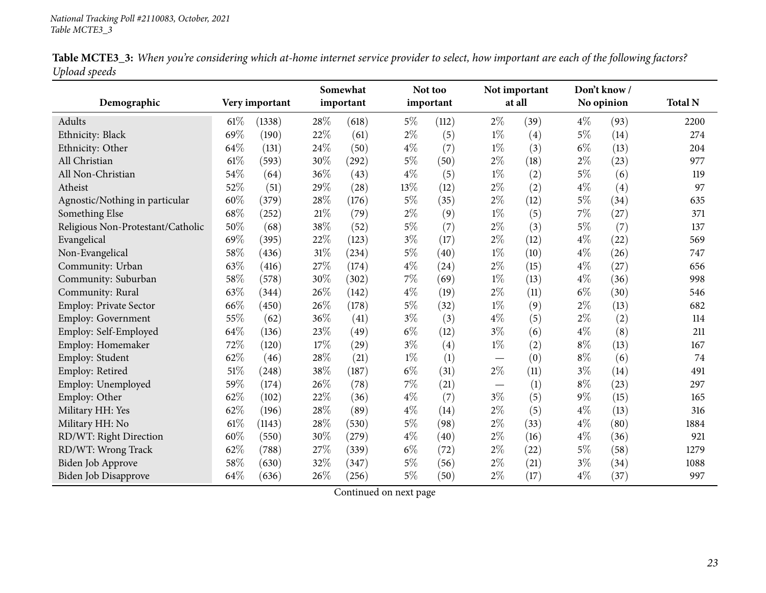| Table MCTE3_3: When you're considering which at-home internet service provider to select, how important are each of the following factors? |  |  |
|--------------------------------------------------------------------------------------------------------------------------------------------|--|--|
| Upload speeds                                                                                                                              |  |  |

|                                   |        |                | Somewhat |           | Not too |           | Not important |        | Don't know/ |      |                |
|-----------------------------------|--------|----------------|----------|-----------|---------|-----------|---------------|--------|-------------|------|----------------|
| Demographic                       |        | Very important |          | important |         | important |               | at all | No opinion  |      | <b>Total N</b> |
| Adults                            | $61\%$ | (1338)         | 28\%     | (618)     | $5\%$   | (112)     | $2\%$         | (39)   | $4\%$       | (93) | 2200           |
| Ethnicity: Black                  | 69%    | (190)          | 22%      | (61)      | $2\%$   | (5)       | $1\%$         | (4)    | $5\%$       | (14) | 274            |
| Ethnicity: Other                  | 64\%   | (131)          | 24\%     | (50)      | $4\%$   | (7)       | $1\%$         | (3)    | $6\%$       | (13) | 204            |
| All Christian                     | 61%    | (593)          | 30%      | (292)     | $5\%$   | (50)      | $2\%$         | (18)   | $2\%$       | (23) | 977            |
| All Non-Christian                 | 54%    | (64)           | 36%      | (43)      | $4\%$   | (5)       | $1\%$         | (2)    | $5\%$       | (6)  | 119            |
| Atheist                           | 52%    | (51)           | 29%      | (28)      | 13%     | (12)      | $2\%$         | (2)    | $4\%$       | (4)  | 97             |
| Agnostic/Nothing in particular    | 60%    | (379)          | 28%      | (176)     | $5\%$   | (35)      | $2\%$         | (12)   | $5\%$       | (34) | 635            |
| Something Else                    | 68%    | (252)          | $21\%$   | (79)      | $2\%$   | (9)       | $1\%$         | (5)    | $7\%$       | (27) | 371            |
| Religious Non-Protestant/Catholic | 50%    | (68)           | 38%      | (52)      | $5\%$   | (7)       | $2\%$         | (3)    | $5\%$       | (7)  | 137            |
| Evangelical                       | 69%    | (395)          | 22%      | (123)     | $3\%$   | (17)      | $2\%$         | (12)   | $4\%$       | (22) | 569            |
| Non-Evangelical                   | 58%    | (436)          | $31\%$   | (234)     | $5\%$   | (40)      | $1\%$         | (10)   | $4\%$       | (26) | 747            |
| Community: Urban                  | 63%    | (416)          | $27\%$   | (174)     | $4\%$   | (24)      | $2\%$         | (15)   | $4\%$       | (27) | 656            |
| Community: Suburban               | 58%    | (578)          | $30\%$   | (302)     | $7\%$   | (69)      | $1\%$         | (13)   | $4\%$       | (36) | 998            |
| Community: Rural                  | 63%    | (344)          | 26\%     | (142)     | $4\%$   | (19)      | $2\%$         | (11)   | $6\%$       | (30) | 546            |
| Employ: Private Sector            | 66%    | (450)          | 26%      | (178)     | $5\%$   | (32)      | $1\%$         | (9)    | $2\%$       | (13) | 682            |
| Employ: Government                | 55%    | (62)           | 36%      | (41)      | $3\%$   | (3)       | $4\%$         | (5)    | $2\%$       | (2)  | 114            |
| Employ: Self-Employed             | 64%    | (136)          | 23%      | (49)      | $6\%$   | (12)      | $3\%$         | (6)    | $4\%$       | (8)  | 211            |
| Employ: Homemaker                 | 72%    | (120)          | 17%      | (29)      | $3\%$   | (4)       | $1\%$         | (2)    | $8\%$       | (13) | 167            |
| Employ: Student                   | 62%    | (46)           | 28\%     | (21)      | $1\%$   | (1)       |               | (0)    | $8\%$       | (6)  | 74             |
| Employ: Retired                   | 51\%   | (248)          | $38\%$   | (187)     | $6\%$   | (31)      | $2\%$         | (11)   | $3\%$       | (14) | 491            |
| Employ: Unemployed                | 59%    | (174)          | 26%      | (78)      | $7\%$   | (21)      |               | (1)    | $8\%$       | (23) | 297            |
| Employ: Other                     | 62%    | (102)          | 22%      | (36)      | $4\%$   | (7)       | $3\%$         | (5)    | $9\%$       | (15) | 165            |
| Military HH: Yes                  | 62%    | (196)          | 28%      | (89)      | $4\%$   | (14)      | $2\%$         | (5)    | $4\%$       | (13) | 316            |
| Military HH: No                   | $61\%$ | (1143)         | 28%      | (530)     | $5\%$   | (98)      | $2\%$         | (33)   | $4\%$       | (80) | 1884           |
| RD/WT: Right Direction            | $60\%$ | (550)          | 30%      | (279)     | $4\%$   | (40)      | $2\%$         | (16)   | $4\%$       | (36) | 921            |
| RD/WT: Wrong Track                | 62%    | (788)          | 27%      | (339)     | $6\%$   | (72)      | $2\%$         | (22)   | $5\%$       | (58) | 1279           |
| Biden Job Approve                 | 58%    | (630)          | 32%      | (347)     | $5\%$   | (56)      | $2\%$         | (21)   | $3\%$       | (34) | 1088           |
| <b>Biden Job Disapprove</b>       | 64%    | (636)          | 26%      | (256)     | $5\%$   | (50)      | $2\%$         | (17)   | $4\%$       | (37) | 997            |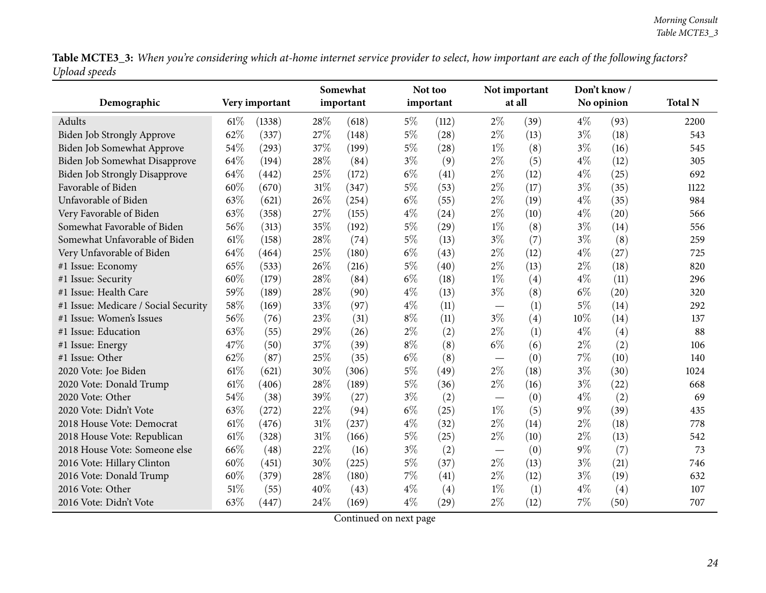Table MCTE3\_3: When you're considering which at-home internet service provider to select, how important are each of the following factors? *Upload speeds*

|                                      |        |                |        | Somewhat  |       | Not too   |       | Not important |       | Don't know / |                |
|--------------------------------------|--------|----------------|--------|-----------|-------|-----------|-------|---------------|-------|--------------|----------------|
| Demographic                          |        | Very important |        | important |       | important |       | at all        |       | No opinion   | <b>Total N</b> |
| Adults                               | $61\%$ | (1338)         | 28%    | (618)     | $5\%$ | (112)     | $2\%$ | (39)          | $4\%$ | (93)         | 2200           |
| Biden Job Strongly Approve           | 62%    | (337)          | 27%    | (148)     | $5\%$ | (28)      | $2\%$ | (13)          | $3\%$ | (18)         | 543            |
| Biden Job Somewhat Approve           | 54%    | (293)          | 37%    | (199)     | $5\%$ | (28)      | $1\%$ | (8)           | $3\%$ | (16)         | 545            |
| Biden Job Somewhat Disapprove        | 64%    | (194)          | 28%    | (84)      | $3\%$ | (9)       | 2%    | (5)           | $4\%$ | (12)         | 305            |
| Biden Job Strongly Disapprove        | 64%    | (442)          | 25%    | (172)     | $6\%$ | (41)      | 2%    | (12)          | $4\%$ | (25)         | 692            |
| Favorable of Biden                   | 60%    | (670)          | $31\%$ | (347)     | $5\%$ | (53)      | $2\%$ | (17)          | $3\%$ | (35)         | 1122           |
| Unfavorable of Biden                 | 63%    | (621)          | 26%    | (254)     | $6\%$ | (55)      | $2\%$ | (19)          | $4\%$ | (35)         | 984            |
| Very Favorable of Biden              | 63%    | (358)          | 27%    | (155)     | $4\%$ | (24)      | $2\%$ | (10)          | $4\%$ | (20)         | 566            |
| Somewhat Favorable of Biden          | 56%    | (313)          | 35%    | (192)     | 5%    | (29)      | $1\%$ | (8)           | $3\%$ | (14)         | 556            |
| Somewhat Unfavorable of Biden        | 61%    | (158)          | 28%    | (74)      | 5%    | (13)      | $3\%$ | (7)           | $3\%$ | (8)          | 259            |
| Very Unfavorable of Biden            | 64%    | (464)          | 25%    | (180)     | $6\%$ | (43)      | $2\%$ | (12)          | $4\%$ | (27)         | 725            |
| #1 Issue: Economy                    | 65%    | (533)          | 26%    | (216)     | $5\%$ | (40)      | $2\%$ | (13)          | $2\%$ | (18)         | 820            |
| #1 Issue: Security                   | 60%    | (179)          | 28%    | (84)      | $6\%$ | (18)      | $1\%$ | (4)           | $4\%$ | (11)         | 296            |
| #1 Issue: Health Care                | 59%    | (189)          | 28%    | (90)      | $4\%$ | (13)      | $3\%$ | (8)           | $6\%$ | (20)         | 320            |
| #1 Issue: Medicare / Social Security | 58%    | (169)          | 33%    | (97)      | $4\%$ | (11)      |       | (1)           | $5\%$ | (14)         | 292            |
| #1 Issue: Women's Issues             | 56%    | (76)           | 23%    | (31)      | $8\%$ | (11)      | $3\%$ | (4)           | 10%   | (14)         | 137            |
| #1 Issue: Education                  | 63%    | (55)           | 29%    | (26)      | $2\%$ | (2)       | 2%    | (1)           | $4\%$ | (4)          | 88             |
| #1 Issue: Energy                     | 47%    | (50)           | 37%    | (39)      | $8\%$ | (8)       | $6\%$ | (6)           | $2\%$ | (2)          | 106            |
| #1 Issue: Other                      | 62%    | (87)           | 25%    | (35)      | $6\%$ | (8)       |       | (0)           | $7\%$ | (10)         | 140            |
| 2020 Vote: Joe Biden                 | 61%    | (621)          | 30%    | (306)     | $5\%$ | (49)      | $2\%$ | (18)          | $3\%$ | (30)         | 1024           |
| 2020 Vote: Donald Trump              | 61%    | (406)          | 28%    | (189)     | $5\%$ | (36)      | $2\%$ | (16)          | $3\%$ | (22)         | 668            |
| 2020 Vote: Other                     | 54%    | (38)           | 39%    | (27)      | $3\%$ | (2)       |       | (0)           | $4\%$ | (2)          | 69             |
| 2020 Vote: Didn't Vote               | 63%    | (272)          | 22%    | (94)      | $6\%$ | (25)      | $1\%$ | (5)           | $9\%$ | (39)         | 435            |
| 2018 House Vote: Democrat            | 61\%   | (476)          | $31\%$ | (237)     | $4\%$ | (32)      | $2\%$ | (14)          | $2\%$ | (18)         | 778            |
| 2018 House Vote: Republican          | 61\%   | (328)          | $31\%$ | (166)     | 5%    | (25)      | $2\%$ | (10)          | $2\%$ | (13)         | 542            |
| 2018 House Vote: Someone else        | 66%    | (48)           | 22%    | (16)      | $3\%$ | (2)       |       | (0)           | $9\%$ | (7)          | 73             |
| 2016 Vote: Hillary Clinton           | 60%    | (451)          | 30%    | (225)     | $5\%$ | (37)      | $2\%$ | (13)          | $3\%$ | (21)         | 746            |
| 2016 Vote: Donald Trump              | 60%    | (379)          | 28%    | (180)     | 7%    | (41)      | $2\%$ | (12)          | $3\%$ | (19)         | 632            |
| 2016 Vote: Other                     | 51\%   | (55)           | 40%    | (43)      | $4\%$ | (4)       | $1\%$ | (1)           | $4\%$ | (4)          | 107            |
| 2016 Vote: Didn't Vote               | 63%    | (447)          | 24%    | (169)     | $4\%$ | (29)      | $2\%$ | (12)          | 7%    | (50)         | 707            |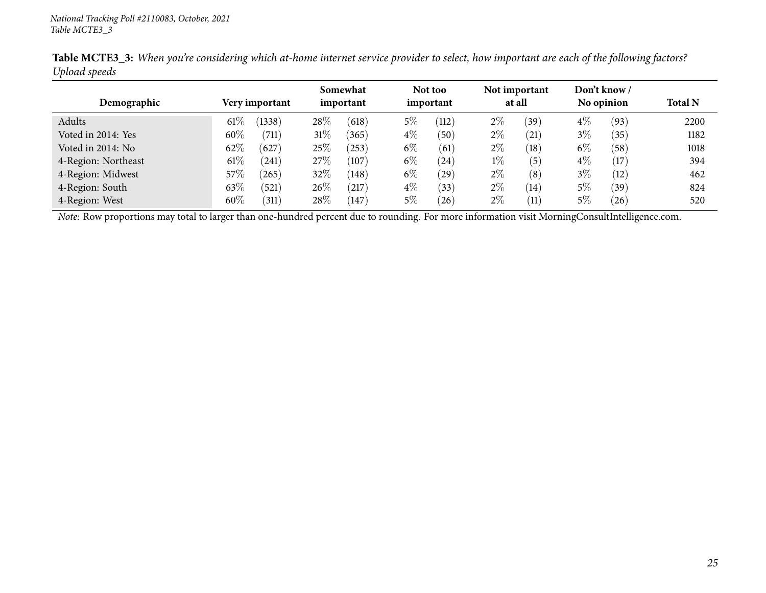|                     |        |                    | Somewhat<br>important |                |           | Not too | Not important |      |            | Don't know / |                |
|---------------------|--------|--------------------|-----------------------|----------------|-----------|---------|---------------|------|------------|--------------|----------------|
| Demographic         |        | Very important     |                       |                | important |         | at all        |      | No opinion |              | <b>Total N</b> |
| Adults              | $61\%$ | (1338)             | $28\%$                | (618)          | $5\%$     | (112)   | $2\%$         | (39) | $4\%$      | (93)         | 2200           |
| Voted in 2014: Yes  | 60%    | (711)              | $31\%$                | (365)          | $4\%$     | (50)    | $2\%$         | (21) | $3\%$      | (35)         | 1182           |
| Voted in 2014: No   | 62%    | (627)              | $25\%$                | (253)          | $6\%$     | (61)    | $2\%$         | (18) | $6\%$      | (58)         | 1018           |
| 4-Region: Northeast | $61\%$ | (241)              | 27\%                  | (107)          | $6\%$     | (24)    | $1\%$         | (5)  | $4\%$      | (17)         | 394            |
| 4-Region: Midwest   | 57%    | (265)              | 32\%                  | (148)          | $6\%$     | (29)    | $2\%$         | (8)  | $3\%$      | (12)         | 462            |
| 4-Region: South     | 63%    | (521)              | 26\%                  | $^{\prime}217$ | $4\%$     | (33)    | $2\%$         | (14) | 5%         | (39)         | 824            |
| 4-Region: West      | $60\%$ | $\left(311\right)$ | $28\%$                | 147            | $5\%$     | 26      | $2\%$         | (11) | 5%         | (26)         | 520            |

Table MCTE3\_3: When you're considering which at-home internet service provider to select, how important are each of the following factors? *Upload speeds*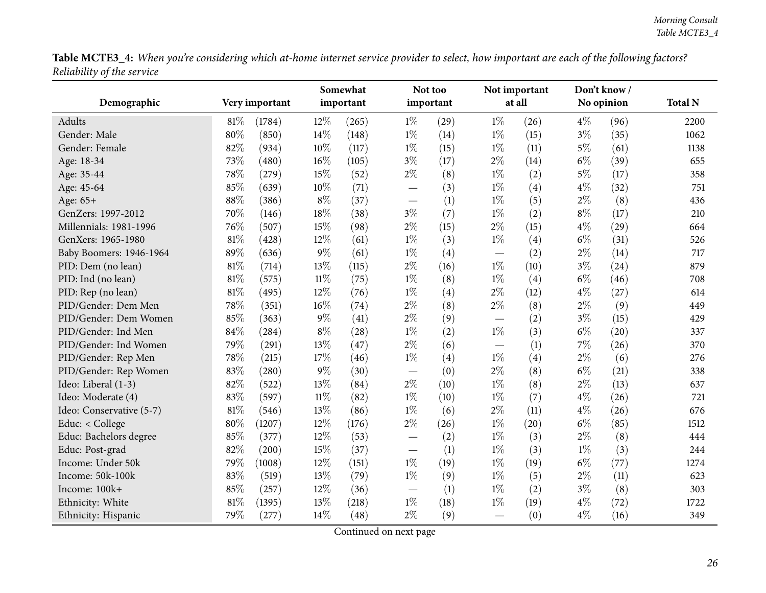Table MCTE3\_4: When you're considering which at-home internet service provider to select, how important are each of the following factors? *Reliability of the service*

<span id="page-25-0"></span>

|                          |        |                |        | Somewhat  |                          | Not too   |                               | Not important | Don't know/ |      |                |
|--------------------------|--------|----------------|--------|-----------|--------------------------|-----------|-------------------------------|---------------|-------------|------|----------------|
| Demographic              |        | Very important |        | important |                          | important |                               | at all        | No opinion  |      | <b>Total N</b> |
| Adults                   | 81\%   | (1784)         | $12\%$ | (265)     | $1\%$                    | (29)      | $1\%$                         | (26)          | $4\%$       | (96) | 2200           |
| Gender: Male             | 80%    | (850)          | 14\%   | (148)     | $1\%$                    | (14)      | $1\%$                         | (15)          | $3\%$       | (35) | 1062           |
| Gender: Female           | 82%    | (934)          | 10%    | (117)     | $1\%$                    | (15)      | $1\%$                         | (11)          | $5\%$       | (61) | 1138           |
| Age: 18-34               | 73\%   | (480)          | 16%    | (105)     | $3\%$                    | (17)      | $2\%$                         | (14)          | $6\%$       | (39) | 655            |
| Age: 35-44               | 78%    | (279)          | 15%    | (52)      | $2\%$                    | (8)       | $1\%$                         | (2)           | 5%          | (17) | 358            |
| Age: 45-64               | 85%    | (639)          | 10%    | (71)      | $\overline{\phantom{0}}$ | (3)       | $1\%$                         | (4)           | $4\%$       | (32) | 751            |
| Age: 65+                 | 88%    | (386)          | $8\%$  | (37)      |                          | (1)       | $1\%$                         | (5)           | 2%          | (8)  | 436            |
| GenZers: 1997-2012       | 70%    | (146)          | $18\%$ | (38)      | $3\%$                    | (7)       | $1\%$                         | (2)           | $8\%$       | (17) | 210            |
| Millennials: 1981-1996   | 76%    | (507)          | 15%    | (98)      | $2\%$                    | (15)      | $2\%$                         | (15)          | $4\%$       | (29) | 664            |
| GenXers: 1965-1980       | 81%    | (428)          | 12%    | (61)      | $1\%$                    | (3)       | $1\%$                         | (4)           | $6\%$       | (31) | 526            |
| Baby Boomers: 1946-1964  | 89%    | (636)          | $9\%$  | (61)      | $1\%$                    | (4)       |                               | (2)           | $2\%$       | (14) | 717            |
| PID: Dem (no lean)       | 81%    | (714)          | 13%    | (115)     | $2\%$                    | (16)      | $1\%$                         | (10)          | $3\%$       | (24) | 879            |
| PID: Ind (no lean)       | 81%    | (575)          | $11\%$ | (75)      | $1\%$                    | (8)       | $1\%$                         | (4)           | $6\%$       | (46) | 708            |
| PID: Rep (no lean)       | 81%    | (495)          | 12%    | (76)      | $1\%$                    | (4)       | $2\%$                         | (12)          | $4\%$       | (27) | 614            |
| PID/Gender: Dem Men      | 78%    | (351)          | 16%    | (74)      | $2\%$                    | (8)       | $2\%$                         | (8)           | $2\%$       | (9)  | 449            |
| PID/Gender: Dem Women    | 85%    | (363)          | $9\%$  | (41)      | $2\%$                    | (9)       | $\overbrace{\phantom{13333}}$ | (2)           | $3\%$       | (15) | 429            |
| PID/Gender: Ind Men      | 84%    | (284)          | $8\%$  | (28)      | $1\%$                    | (2)       | $1\%$                         | (3)           | $6\%$       | (20) | 337            |
| PID/Gender: Ind Women    | 79%    | (291)          | 13%    | (47)      | $2\%$                    | (6)       | $\overline{\phantom{m}}$      | (1)           | 7%          | (26) | 370            |
| PID/Gender: Rep Men      | 78%    | (215)          | 17%    | (46)      | $1\%$                    | (4)       | $1\%$                         | (4)           | 2%          | (6)  | 276            |
| PID/Gender: Rep Women    | 83%    | (280)          | $9\%$  | (30)      | $\overline{\phantom{0}}$ | (0)       | $2\%$                         | (8)           | $6\%$       | (21) | 338            |
| Ideo: Liberal (1-3)      | 82%    | (522)          | 13%    | (84)      | $2\%$                    | (10)      | $1\%$                         | (8)           | $2\%$       | (13) | 637            |
| Ideo: Moderate (4)       | 83%    | (597)          | $11\%$ | (82)      | $1\%$                    | (10)      | $1\%$                         | (7)           | $4\%$       | (26) | 721            |
| Ideo: Conservative (5-7) | 81%    | (546)          | 13%    | (86)      | $1\%$                    | (6)       | $2\%$                         | (11)          | $4\%$       | (26) | 676            |
| Educ: < College          | 80%    | (1207)         | 12%    | (176)     | $2\%$                    | (26)      | $1\%$                         | (20)          | $6\%$       | (85) | 1512           |
| Educ: Bachelors degree   | 85%    | (377)          | 12%    | (53)      | $\overline{\phantom{0}}$ | (2)       | $1\%$                         | (3)           | $2\%$       | (8)  | 444            |
| Educ: Post-grad          | 82%    | (200)          | 15%    | (37)      | $\overline{\phantom{0}}$ | (1)       | $1\%$                         | (3)           | $1\%$       | (3)  | 244            |
| Income: Under 50k        | 79%    | (1008)         | 12%    | (151)     | $1\%$                    | (19)      | $1\%$                         | (19)          | $6\%$       | (77) | 1274           |
| Income: 50k-100k         | 83%    | (519)          | 13%    | (79)      | $1\%$                    | (9)       | $1\%$                         | (5)           | $2\%$       | (11) | 623            |
| Income: 100k+            | 85%    | (257)          | 12%    | (36)      |                          | (1)       | $1\%$                         | (2)           | $3\%$       | (8)  | 303            |
| Ethnicity: White         | $81\%$ | (1395)         | 13%    | (218)     | $1\%$                    | (18)      | $1\%$                         | (19)          | $4\%$       | (72) | 1722           |
| Ethnicity: Hispanic      | 79%    | (277)          | 14%    | (48)      | $2\%$                    | (9)       | $\overline{\phantom{0}}$      | (0)           | $4\%$       | (16) | 349            |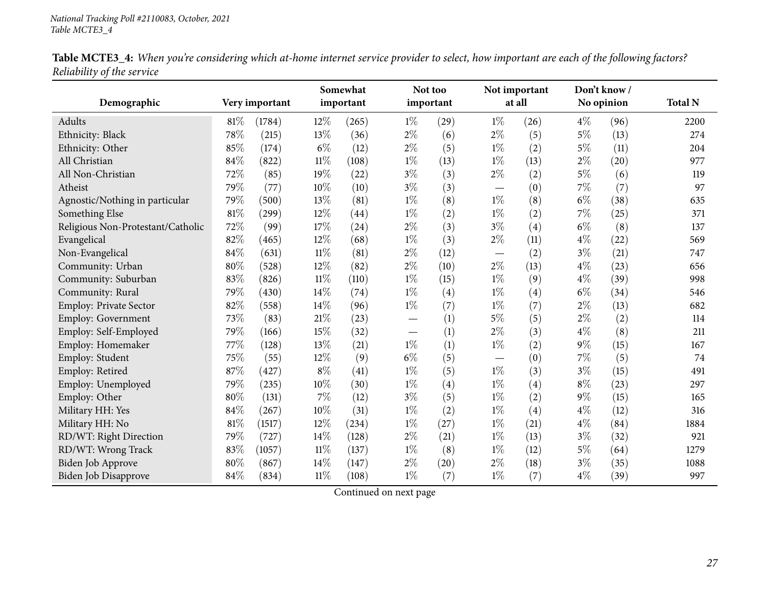|                                   |        |                |        | Somewhat  |                                 | Not too   |                                 | Not important |       | Don't know / |                |
|-----------------------------------|--------|----------------|--------|-----------|---------------------------------|-----------|---------------------------------|---------------|-------|--------------|----------------|
| Demographic                       |        | Very important |        | important |                                 | important |                                 | at all        |       | No opinion   | <b>Total N</b> |
| Adults                            | $81\%$ | (1784)         | 12%    | (265)     | $1\%$                           | (29)      | $1\%$                           | (26)          | $4\%$ | (96)         | 2200           |
| Ethnicity: Black                  | 78%    | (215)          | 13%    | (36)      | $2\%$                           | (6)       | $2\%$                           | (5)           | $5\%$ | (13)         | 274            |
| Ethnicity: Other                  | 85%    | (174)          | $6\%$  | (12)      | $2\%$                           | (5)       | $1\%$                           | (2)           | $5\%$ | (11)         | 204            |
| All Christian                     | 84%    | (822)          | $11\%$ | (108)     | $1\%$                           | (13)      | $1\%$                           | (13)          | $2\%$ | (20)         | 977            |
| All Non-Christian                 | 72%    | (85)           | 19%    | (22)      | $3\%$                           | (3)       | $2\%$                           | (2)           | $5\%$ | (6)          | 119            |
| Atheist                           | 79%    | (77)           | $10\%$ | (10)      | $3\%$                           | (3)       | $\hspace{0.1mm}-\hspace{0.1mm}$ | (0)           | $7\%$ | (7)          | 97             |
| Agnostic/Nothing in particular    | 79%    | (500)          | 13%    | (81)      | $1\%$                           | (8)       | $1\%$                           | (8)           | $6\%$ | (38)         | 635            |
| Something Else                    | 81%    | (299)          | 12%    | (44)      | $1\%$                           | (2)       | $1\%$                           | (2)           | $7\%$ | (25)         | 371            |
| Religious Non-Protestant/Catholic | 72%    | (99)           | 17%    | (24)      | $2\%$                           | (3)       | $3\%$                           | (4)           | $6\%$ | (8)          | 137            |
| Evangelical                       | 82%    | (465)          | 12%    | (68)      | $1\%$                           | (3)       | $2\%$                           | (11)          | $4\%$ | (22)         | 569            |
| Non-Evangelical                   | 84%    | (631)          | $11\%$ | (81)      | $2\%$                           | (12)      |                                 | (2)           | $3\%$ | (21)         | 747            |
| Community: Urban                  | 80%    | (528)          | 12%    | (82)      | $2\%$                           | (10)      | $2\%$                           | (13)          | $4\%$ | (23)         | 656            |
| Community: Suburban               | 83%    | (826)          | $11\%$ | (110)     | $1\%$                           | (15)      | $1\%$                           | (9)           | $4\%$ | (39)         | 998            |
| Community: Rural                  | 79%    | (430)          | 14%    | (74)      | $1\%$                           | (4)       | $1\%$                           | (4)           | $6\%$ | (34)         | 546            |
| Employ: Private Sector            | 82%    | (558)          | 14%    | (96)      | $1\%$                           | (7)       | $1\%$                           | (7)           | $2\%$ | (13)         | 682            |
| Employ: Government                | 73%    | (83)           | $21\%$ | (23)      | $\hspace{0.1mm}-\hspace{0.1mm}$ | (1)       | $5\%$                           | (5)           | $2\%$ | (2)          | 114            |
| Employ: Self-Employed             | 79%    | (166)          | 15%    | (32)      |                                 | (1)       | $2\%$                           | (3)           | $4\%$ | (8)          | 211            |
| Employ: Homemaker                 | 77%    | (128)          | 13%    | (21)      | $1\%$                           | (1)       | $1\%$                           | (2)           | $9\%$ | (15)         | 167            |
| Employ: Student                   | 75%    | (55)           | 12%    | (9)       | $6\%$                           | (5)       |                                 | (0)           | 7%    | (5)          | 74             |
| Employ: Retired                   | 87%    | (427)          | $8\%$  | (41)      | $1\%$                           | (5)       | $1\%$                           | (3)           | $3\%$ | (15)         | 491            |
| Employ: Unemployed                | 79%    | (235)          | 10%    | (30)      | $1\%$                           | (4)       | $1\%$                           | (4)           | $8\%$ | (23)         | 297            |
| Employ: Other                     | 80%    | (131)          | 7%     | (12)      | $3\%$                           | (5)       | $1\%$                           | (2)           | $9\%$ | (15)         | 165            |
| Military HH: Yes                  | 84%    | (267)          | 10%    | (31)      | $1\%$                           | (2)       | $1\%$                           | (4)           | $4\%$ | (12)         | 316            |
| Military HH: No                   | 81%    | (1517)         | 12%    | (234)     | $1\%$                           | (27)      | $1\%$                           | (21)          | $4\%$ | (84)         | 1884           |
| RD/WT: Right Direction            | 79%    | (727)          | 14%    | (128)     | $2\%$                           | (21)      | $1\%$                           | (13)          | $3\%$ | (32)         | 921            |
| RD/WT: Wrong Track                | 83%    | (1057)         | $11\%$ | (137)     | $1\%$                           | (8)       | $1\%$                           | (12)          | $5\%$ | (64)         | 1279           |
| Biden Job Approve                 | 80%    | (867)          | 14%    | (147)     | $2\%$                           | (20)      | $2\%$                           | (18)          | $3\%$ | (35)         | 1088           |
| <b>Biden Job Disapprove</b>       | 84%    | (834)          | $11\%$ | (108)     | $1\%$                           | (7)       | $1\%$                           | (7)           | $4\%$ | (39)         | 997            |

Table MCTE3\_4: When you're considering which at-home internet service provider to select, how important are each of the following factors? *Reliability of the service*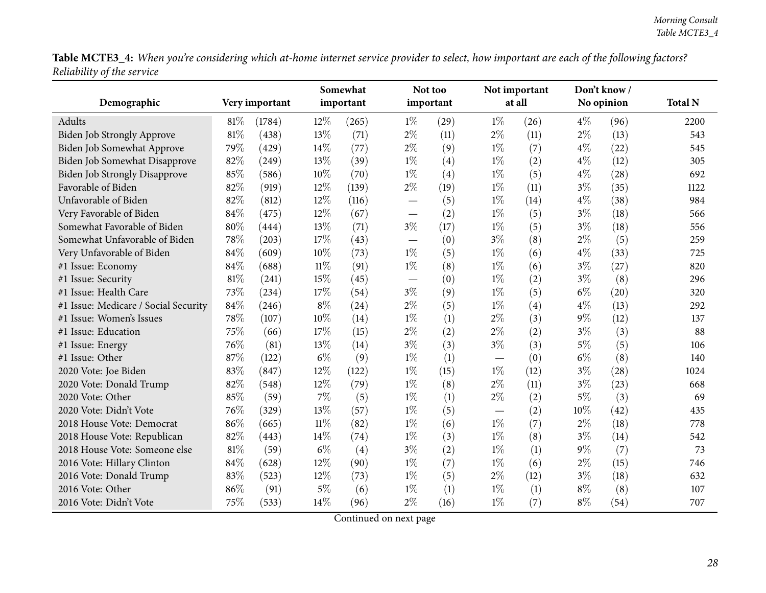Table MCTE3\_4: When you're considering which at-home internet service provider to select, how important are each of the following factors? *Reliability of the service*

|                                      |     |                |        | Somewhat  |                          | Not too   |                                  | Not important |       | Don't know/ |                |
|--------------------------------------|-----|----------------|--------|-----------|--------------------------|-----------|----------------------------------|---------------|-------|-------------|----------------|
| Demographic                          |     | Very important |        | important |                          | important |                                  | at all        |       | No opinion  | <b>Total N</b> |
| Adults                               | 81% | (1784)         | $12\%$ | (265)     | $1\%$                    | (29)      | $1\%$                            | (26)          | $4\%$ | (96)        | 2200           |
| Biden Job Strongly Approve           | 81% | (438)          | 13%    | (71)      | $2\%$                    | (11)      | $2\%$                            | (11)          | $2\%$ | (13)        | 543            |
| Biden Job Somewhat Approve           | 79% | (429)          | 14\%   | (77)      | $2\%$                    | (9)       | $1\%$                            | (7)           | $4\%$ | (22)        | 545            |
| <b>Biden Job Somewhat Disapprove</b> | 82% | (249)          | 13%    | (39)      | $1\%$                    | (4)       | $1\%$                            | (2)           | $4\%$ | (12)        | 305            |
| <b>Biden Job Strongly Disapprove</b> | 85% | (586)          | $10\%$ | (70)      | $1\%$                    | (4)       | $1\%$                            | (5)           | $4\%$ | (28)        | 692            |
| Favorable of Biden                   | 82% | (919)          | 12%    | (139)     | $2\%$                    | (19)      | $1\%$                            | (11)          | $3\%$ | (35)        | 1122           |
| Unfavorable of Biden                 | 82% | (812)          | 12%    | (116)     | $\overline{\phantom{0}}$ | (5)       | $1\%$                            | (14)          | $4\%$ | (38)        | 984            |
| Very Favorable of Biden              | 84% | (475)          | 12%    | (67)      |                          | (2)       | $1\%$                            | (5)           | $3\%$ | (18)        | 566            |
| Somewhat Favorable of Biden          | 80% | (444)          | 13%    | (71)      | $3\%$                    | (17)      | $1\%$                            | (5)           | $3\%$ | (18)        | 556            |
| Somewhat Unfavorable of Biden        | 78% | (203)          | 17%    | (43)      |                          | (0)       | $3\%$                            | (8)           | $2\%$ | (5)         | 259            |
| Very Unfavorable of Biden            | 84% | (609)          | 10%    | (73)      | $1\%$                    | (5)       | $1\%$                            | (6)           | $4\%$ | (33)        | 725            |
| #1 Issue: Economy                    | 84% | (688)          | $11\%$ | (91)      | $1\%$                    | (8)       | $1\%$                            | (6)           | $3\%$ | (27)        | 820            |
| #1 Issue: Security                   | 81% | (241)          | 15%    | (45)      |                          | (0)       | $1\%$                            | (2)           | $3\%$ | (8)         | 296            |
| #1 Issue: Health Care                | 73% | (234)          | 17%    | (54)      | $3\%$                    | (9)       | $1\%$                            | (5)           | $6\%$ | (20)        | 320            |
| #1 Issue: Medicare / Social Security | 84% | (246)          | $8\%$  | (24)      | $2\%$                    | (5)       | $1\%$                            | (4)           | $4\%$ | (13)        | 292            |
| #1 Issue: Women's Issues             | 78% | (107)          | 10%    | (14)      | $1\%$                    | (1)       | $2\%$                            | (3)           | $9\%$ | (12)        | 137            |
| #1 Issue: Education                  | 75% | (66)           | 17%    | (15)      | $2\%$                    | (2)       | $2\%$                            | (2)           | $3\%$ | (3)         | 88             |
| #1 Issue: Energy                     | 76% | (81)           | 13%    | (14)      | $3\%$                    | (3)       | $3\%$                            | (3)           | $5\%$ | (5)         | 106            |
| #1 Issue: Other                      | 87% | (122)          | $6\%$  | (9)       | $1\%$                    | (1)       | $\overbrace{\phantom{12322111}}$ | (0)           | $6\%$ | (8)         | 140            |
| 2020 Vote: Joe Biden                 | 83% | (847)          | 12%    | (122)     | $1\%$                    | (15)      | $1\%$                            | (12)          | $3\%$ | (28)        | 1024           |
| 2020 Vote: Donald Trump              | 82% | (548)          | 12%    | (79)      | $1\%$                    | (8)       | $2\%$                            | (11)          | $3\%$ | (23)        | 668            |
| 2020 Vote: Other                     | 85% | (59)           | $7\%$  | (5)       | $1\%$                    | (1)       | $2\%$                            | (2)           | 5%    | (3)         | 69             |
| 2020 Vote: Didn't Vote               | 76% | (329)          | 13%    | (57)      | $1\%$                    | (5)       |                                  | (2)           | 10%   | (42)        | 435            |
| 2018 House Vote: Democrat            | 86% | (665)          | $11\%$ | (82)      | $1\%$                    | (6)       | $1\%$                            | (7)           | $2\%$ | (18)        | 778            |
| 2018 House Vote: Republican          | 82% | (443)          | 14%    | (74)      | $1\%$                    | (3)       | $1\%$                            | (8)           | $3\%$ | (14)        | 542            |
| 2018 House Vote: Someone else        | 81% | (59)           | $6\%$  | (4)       | $3\%$                    | (2)       | $1\%$                            | (1)           | $9\%$ | (7)         | 73             |
| 2016 Vote: Hillary Clinton           | 84% | (628)          | 12%    | (90)      | $1\%$                    | (7)       | $1\%$                            | (6)           | $2\%$ | (15)        | 746            |
| 2016 Vote: Donald Trump              | 83% | (523)          | 12%    | (73)      | $1\%$                    | (5)       | $2\%$                            | (12)          | $3\%$ | (18)        | 632            |
| 2016 Vote: Other                     | 86% | (91)           | $5\%$  | (6)       | $1\%$                    | (1)       | $1\%$                            | (1)           | $8\%$ | (8)         | 107            |
| 2016 Vote: Didn't Vote               | 75% | (533)          | 14%    | (96)      | $2\%$                    | (16)      | $1\%$                            | (7)           | $8\%$ | (54)        | 707            |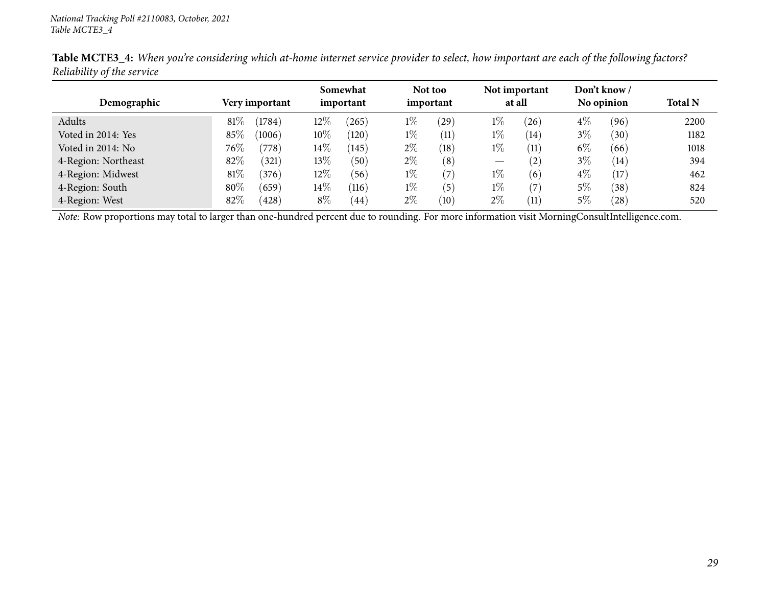|                     |        |                | Somewhat |           |           | Not too           |                                 | Not important     |            | Don't know /   |                |
|---------------------|--------|----------------|----------|-----------|-----------|-------------------|---------------------------------|-------------------|------------|----------------|----------------|
| Demographic         |        | Very important |          | important | important |                   | at all                          |                   | No opinion |                | <b>Total N</b> |
| Adults              | 81%    | (1784)         | $12\%$   | 265       | $1\%$     | 29)               | $1\%$                           | $^{'}26$          | $4\%$      | (96)           | 2200           |
| Voted in 2014: Yes  | 85%    | (1006)         | $10\%$   | (120)     | $1\%$     | (11)              | $1\%$                           | (14)              | $3\%$      | (30)           | 1182           |
| Voted in 2014: No   | $76\%$ | (778)          | $14\%$   | (145)     | $2\%$     | (18)              | $1\%$                           | (11)              | $6\%$      | (66)           | 1018           |
| 4-Region: Northeast | 82%    | (321)          | $13\%$   | (50)      | $2\%$     | (8)               | $\hspace{0.1mm}-\hspace{0.1mm}$ | $\left( 2\right)$ | $3\%$      | (14)           | 394            |
| 4-Region: Midwest   | 81%    | (376)          | $12\%$   | (56)      | $1\%$     | $\left( 7\right)$ | $1\%$                           | (6)               | $4\%$      | (17)           | 462            |
| 4-Region: South     | 80%    | (659)          | $14\%$   | (116)     | $1\%$     | (5)               | $1\%$                           | (7)               | 5%         | $^{\prime}38)$ | 824            |
| 4-Region: West      | 82%    | (428)          | $8\%$    | (44)      | $2\%$     | (10)              | $2\%$                           | (11)              | 5%         | (28)           | 520            |

Table MCTE3\_4: When you're considering which at-home internet service provider to select, how important are each of the following factors? *Reliability of the service*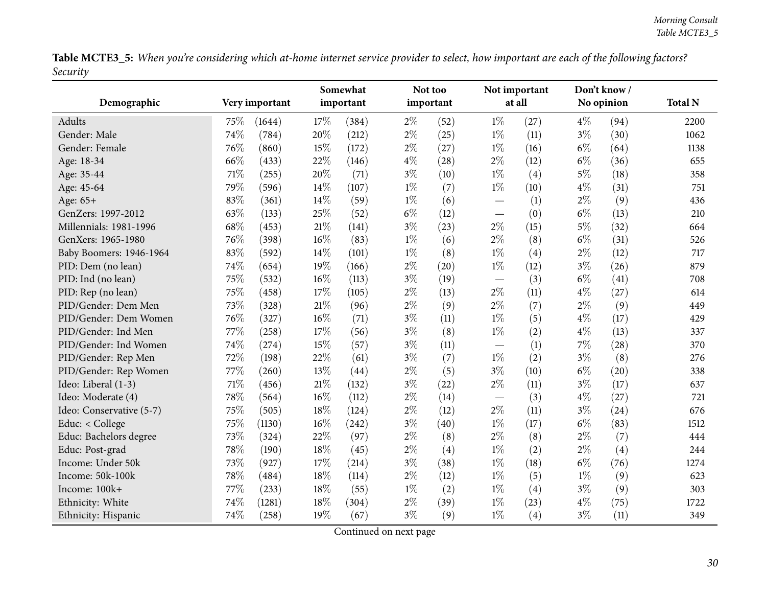Table MCTE3\_5: When you're considering which at-home internet service provider to select, how important are each of the following factors? *Security*

<span id="page-29-0"></span>

| Demographic              | Very important |        |        | Somewhat<br>important |       | Not too<br>important |                                   | Not important<br>at all |       | Don't know/<br>No opinion | <b>Total N</b> |
|--------------------------|----------------|--------|--------|-----------------------|-------|----------------------|-----------------------------------|-------------------------|-------|---------------------------|----------------|
|                          |                |        |        |                       |       |                      |                                   |                         |       |                           |                |
| Adults                   | 75%            | (1644) | 17%    | (384)                 | $2\%$ | (52)                 | $1\%$                             | (27)                    | $4\%$ | (94)                      | 2200           |
| Gender: Male             | 74%            | (784)  | 20%    | (212)                 | $2\%$ | (25)                 | $1\%$                             | (11)                    | $3\%$ | (30)                      | 1062           |
| Gender: Female           | 76%            | (860)  | 15%    | (172)                 | $2\%$ | (27)                 | $1\%$                             | (16)                    | $6\%$ | (64)                      | 1138           |
| Age: 18-34               | 66%            | (433)  | 22%    | (146)                 | $4\%$ | (28)                 | $2\%$                             | (12)                    | $6\%$ | (36)                      | 655            |
| Age: 35-44               | 71%            | (255)  | 20%    | (71)                  | $3\%$ | (10)                 | $1\%$                             | (4)                     | $5\%$ | (18)                      | 358            |
| Age: 45-64               | 79%            | (596)  | 14%    | (107)                 | $1\%$ | (7)                  | $1\%$                             | (10)                    | $4\%$ | (31)                      | 751            |
| Age: 65+                 | 83%            | (361)  | 14%    | (59)                  | $1\%$ | (6)                  |                                   | (1)                     | $2\%$ | (9)                       | 436            |
| GenZers: 1997-2012       | 63%            | (133)  | 25%    | (52)                  | $6\%$ | (12)                 | $\overbrace{\phantom{12322111}}$  | (0)                     | $6\%$ | (13)                      | 210            |
| Millennials: 1981-1996   | 68%            | (453)  | $21\%$ | (141)                 | $3\%$ | (23)                 | $2\%$                             | (15)                    | $5\%$ | (32)                      | 664            |
| GenXers: 1965-1980       | 76%            | (398)  | 16%    | (83)                  | $1\%$ | (6)                  | $2\%$                             | (8)                     | $6\%$ | (31)                      | 526            |
| Baby Boomers: 1946-1964  | 83%            | (592)  | 14%    | (101)                 | $1\%$ | (8)                  | $1\%$                             | (4)                     | $2\%$ | (12)                      | 717            |
| PID: Dem (no lean)       | $74\%$         | (654)  | 19%    | (166)                 | $2\%$ | (20)                 | $1\%$                             | (12)                    | $3\%$ | (26)                      | 879            |
| PID: Ind (no lean)       | 75%            | (532)  | $16\%$ | (113)                 | $3\%$ | (19)                 | $\overbrace{\phantom{123221111}}$ | (3)                     | $6\%$ | (41)                      | 708            |
| PID: Rep (no lean)       | 75%            | (458)  | 17%    | (105)                 | $2\%$ | (13)                 | $2\%$                             | (11)                    | $4\%$ | (27)                      | 614            |
| PID/Gender: Dem Men      | 73%            | (328)  | 21%    | (96)                  | $2\%$ | (9)                  | $2\%$                             | (7)                     | $2\%$ | (9)                       | 449            |
| PID/Gender: Dem Women    | 76%            | (327)  | $16\%$ | (71)                  | $3\%$ | (11)                 | $1\%$                             | (5)                     | $4\%$ | (17)                      | 429            |
| PID/Gender: Ind Men      | 77%            | (258)  | 17%    | (56)                  | $3\%$ | (8)                  | $1\%$                             | (2)                     | $4\%$ | (13)                      | 337            |
| PID/Gender: Ind Women    | 74%            | (274)  | 15%    | (57)                  | $3\%$ | (11)                 |                                   | (1)                     | 7%    | (28)                      | 370            |
| PID/Gender: Rep Men      | 72%            | (198)  | 22%    | (61)                  | $3\%$ | (7)                  | $1\%$                             | (2)                     | $3\%$ | (8)                       | 276            |
| PID/Gender: Rep Women    | 77\%           | (260)  | 13%    | (44)                  | $2\%$ | (5)                  | $3\%$                             | (10)                    | $6\%$ | (20)                      | 338            |
| Ideo: Liberal (1-3)      | $71\%$         | (456)  | $21\%$ | (132)                 | $3\%$ | (22)                 | $2\%$                             | (11)                    | $3\%$ | (17)                      | 637            |
| Ideo: Moderate (4)       | 78%            | (564)  | 16%    | (112)                 | $2\%$ | (14)                 | $\overbrace{\phantom{12322111}}$  | (3)                     | $4\%$ | (27)                      | 721            |
| Ideo: Conservative (5-7) | 75%            | (505)  | 18%    | (124)                 | $2\%$ | (12)                 | $2\%$                             | (11)                    | $3\%$ | (24)                      | 676            |
| Educ: < College          | 75%            | (1130) | 16%    | (242)                 | $3\%$ | (40)                 | $1\%$                             | (17)                    | $6\%$ | (83)                      | 1512           |
| Educ: Bachelors degree   | 73%            | (324)  | 22%    | (97)                  | $2\%$ | (8)                  | $2\%$                             | (8)                     | $2\%$ | (7)                       | 444            |
| Educ: Post-grad          | 78%            | (190)  | 18%    | (45)                  | $2\%$ | (4)                  | $1\%$                             | (2)                     | $2\%$ | (4)                       | 244            |
| Income: Under 50k        | 73%            | (927)  | 17%    | (214)                 | $3\%$ | (38)                 | $1\%$                             | (18)                    | $6\%$ | (76)                      | 1274           |
| Income: 50k-100k         | 78%            | (484)  | 18%    | (114)                 | $2\%$ | (12)                 | $1\%$                             | (5)                     | $1\%$ | (9)                       | 623            |
| Income: 100k+            | 77\%           | (233)  | 18%    | (55)                  | $1\%$ | (2)                  | $1\%$                             | (4)                     | $3\%$ | (9)                       | 303            |
| Ethnicity: White         | 74%            | (1281) | 18%    | (304)                 | $2\%$ | (39)                 | $1\%$                             | (23)                    | $4\%$ | (75)                      | 1722           |
| Ethnicity: Hispanic      | 74%            | (258)  | 19%    | (67)                  | $3\%$ | (9)                  | $1\%$                             | (4)                     | $3\%$ | (11)                      | 349            |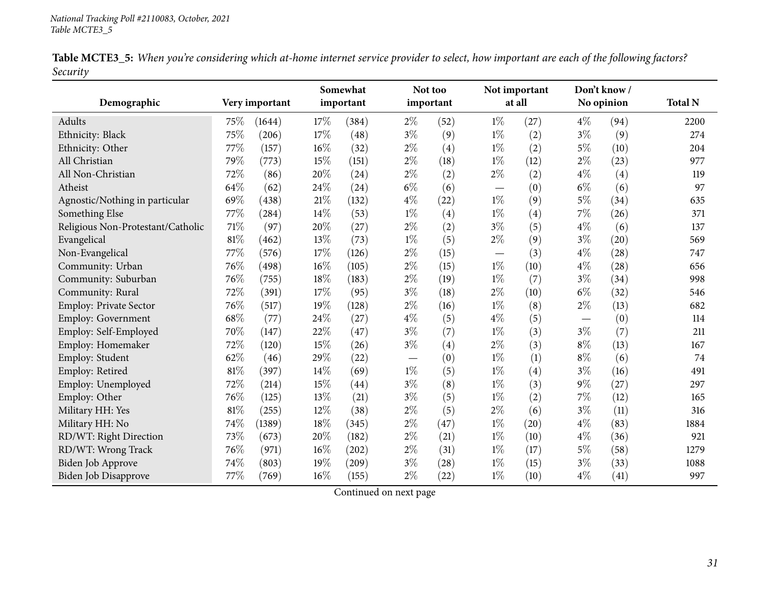|          |  |  | Table MCTE3_5: When you're considering which at-home internet service provider to select, how important are each of the following factors? |
|----------|--|--|--------------------------------------------------------------------------------------------------------------------------------------------|
| Security |  |  |                                                                                                                                            |

|                                   |      |                |        | Somewhat  |       | Not too   |       | Not important |                               | Don't know/ |                |
|-----------------------------------|------|----------------|--------|-----------|-------|-----------|-------|---------------|-------------------------------|-------------|----------------|
| Demographic                       |      | Very important |        | important |       | important |       | at all        |                               | No opinion  | <b>Total N</b> |
| Adults                            | 75\% | (1644)         | 17%    | (384)     | $2\%$ | (52)      | $1\%$ | (27)          | $4\%$                         | (94)        | 2200           |
| Ethnicity: Black                  | 75%  | (206)          | 17%    | (48)      | $3\%$ | (9)       | $1\%$ | (2)           | $3\%$                         | (9)         | 274            |
| Ethnicity: Other                  | 77%  | (157)          | 16%    | (32)      | $2\%$ | (4)       | $1\%$ | (2)           | $5\%$                         | (10)        | 204            |
| All Christian                     | 79%  | (773)          | 15%    | (151)     | $2\%$ | (18)      | $1\%$ | (12)          | $2\%$                         | (23)        | 977            |
| All Non-Christian                 | 72%  | (86)           | $20\%$ | (24)      | $2\%$ | (2)       | $2\%$ | (2)           | $4\%$                         | (4)         | 119            |
| Atheist                           | 64%  | (62)           | 24%    | (24)      | $6\%$ | (6)       |       | (0)           | $6\%$                         | (6)         | 97             |
| Agnostic/Nothing in particular    | 69%  | (438)          | $21\%$ | (132)     | $4\%$ | (22)      | $1\%$ | (9)           | $5\%$                         | (34)        | 635            |
| Something Else                    | 77%  | (284)          | $14\%$ | (53)      | $1\%$ | (4)       | $1\%$ | (4)           | 7%                            | (26)        | 371            |
| Religious Non-Protestant/Catholic | 71%  | (97)           | 20%    | (27)      | $2\%$ | (2)       | $3\%$ | (5)           | $4\%$                         | (6)         | 137            |
| Evangelical                       | 81%  | (462)          | 13%    | (73)      | $1\%$ | (5)       | $2\%$ | (9)           | $3\%$                         | (20)        | 569            |
| Non-Evangelical                   | 77%  | (576)          | $17\%$ | (126)     | $2\%$ | (15)      |       | (3)           | $4\%$                         | (28)        | 747            |
| Community: Urban                  | 76%  | (498)          | $16\%$ | (105)     | $2\%$ | (15)      | $1\%$ | (10)          | $4\%$                         | (28)        | 656            |
| Community: Suburban               | 76%  | (755)          | 18%    | (183)     | $2\%$ | (19)      | $1\%$ | (7)           | $3\%$                         | (34)        | 998            |
| Community: Rural                  | 72%  | (391)          | 17%    | (95)      | $3\%$ | (18)      | $2\%$ | (10)          | $6\%$                         | (32)        | 546            |
| Employ: Private Sector            | 76%  | (517)          | 19%    | (128)     | $2\%$ | (16)      | $1\%$ | (8)           | $2\%$                         | (13)        | 682            |
| Employ: Government                | 68%  | (77)           | 24%    | (27)      | $4\%$ | (5)       | $4\%$ | (5)           | $\overbrace{\phantom{13333}}$ | (0)         | 114            |
| Employ: Self-Employed             | 70%  | (147)          | 22%    | (47)      | $3\%$ | (7)       | $1\%$ | (3)           | $3\%$                         | (7)         | 211            |
| Employ: Homemaker                 | 72%  | (120)          | 15%    | (26)      | $3\%$ | (4)       | $2\%$ | (3)           | $8\%$                         | (13)        | 167            |
| Employ: Student                   | 62%  | (46)           | 29%    | (22)      | —     | (0)       | $1\%$ | (1)           | $8\%$                         | (6)         | 74             |
| Employ: Retired                   | 81%  | (397)          | 14%    | (69)      | $1\%$ | (5)       | $1\%$ | (4)           | $3\%$                         | (16)        | 491            |
| Employ: Unemployed                | 72%  | (214)          | 15%    | (44)      | $3\%$ | (8)       | $1\%$ | (3)           | 9%                            | (27)        | 297            |
| Employ: Other                     | 76%  | (125)          | 13%    | (21)      | $3\%$ | (5)       | $1\%$ | (2)           | 7%                            | (12)        | 165            |
| Military HH: Yes                  | 81%  | (255)          | 12%    | (38)      | $2\%$ | (5)       | $2\%$ | (6)           | $3\%$                         | (11)        | 316            |
| Military HH: No                   | 74%  | (1389)         | $18\%$ | (345)     | $2\%$ | (47)      | $1\%$ | (20)          | $4\%$                         | (83)        | 1884           |
| RD/WT: Right Direction            | 73%  | (673)          | $20\%$ | (182)     | $2\%$ | (21)      | $1\%$ | (10)          | $4\%$                         | (36)        | 921            |
| RD/WT: Wrong Track                | 76%  | (971)          | $16\%$ | (202)     | $2\%$ | (31)      | $1\%$ | (17)          | $5\%$                         | (58)        | 1279           |
| Biden Job Approve                 | 74%  | (803)          | 19%    | (209)     | $3\%$ | (28)      | $1\%$ | (15)          | $3\%$                         | (33)        | 1088           |
| Biden Job Disapprove              | 77%  | (769)          | $16\%$ | (155)     | $2\%$ | (22)      | $1\%$ | (10)          | $4\%$                         | (41)        | 997            |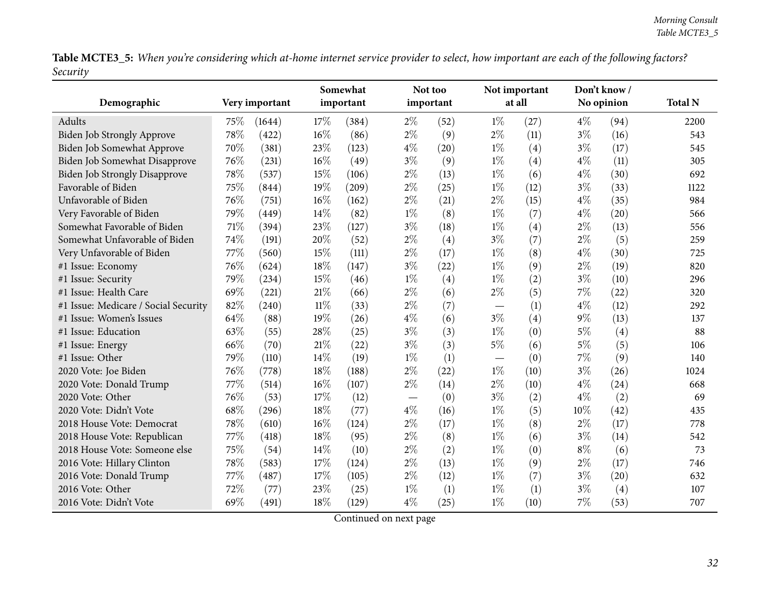Table MCTE3\_5: When you're considering which at-home internet service provider to select, how important are each of the following factors? *Security*

|                                      |      |                | Somewhat<br>important |       |       | Not too   | Not important<br>at all |      | Don't know / |            |                |
|--------------------------------------|------|----------------|-----------------------|-------|-------|-----------|-------------------------|------|--------------|------------|----------------|
| Demographic                          |      | Very important |                       |       |       | important |                         |      |              | No opinion | <b>Total N</b> |
| Adults                               | 75\% | (1644)         | 17%                   | (384) | $2\%$ | (52)      | $1\%$                   | (27) | $4\%$        | (94)       | 2200           |
| Biden Job Strongly Approve           | 78%  | (422)          | 16%                   | (86)  | $2\%$ | (9)       | $2\%$                   | (11) | $3\%$        | (16)       | 543            |
| Biden Job Somewhat Approve           | 70%  | (381)          | 23%                   | (123) | $4\%$ | (20)      | $1\%$                   | (4)  | $3\%$        | (17)       | 545            |
| Biden Job Somewhat Disapprove        | 76%  | (231)          | 16%                   | (49)  | $3\%$ | (9)       | $1\%$                   | (4)  | $4\%$        | (11)       | 305            |
| Biden Job Strongly Disapprove        | 78%  | (537)          | 15%                   | (106) | $2\%$ | (13)      | $1\%$                   | (6)  | $4\%$        | (30)       | 692            |
| Favorable of Biden                   | 75%  | (844)          | 19%                   | (209) | $2\%$ | (25)      | $1\%$                   | (12) | $3\%$        | (33)       | 1122           |
| Unfavorable of Biden                 | 76%  | (751)          | $16\%$                | (162) | $2\%$ | (21)      | $2\%$                   | (15) | $4\%$        | (35)       | 984            |
| Very Favorable of Biden              | 79%  | (449)          | 14\%                  | (82)  | $1\%$ | (8)       | $1\%$                   | (7)  | $4\%$        | (20)       | 566            |
| Somewhat Favorable of Biden          | 71%  | (394)          | 23%                   | (127) | $3\%$ | (18)      | $1\%$                   | (4)  | $2\%$        | (13)       | 556            |
| Somewhat Unfavorable of Biden        | 74%  | (191)          | 20%                   | (52)  | $2\%$ | (4)       | $3\%$                   | (7)  | $2\%$        | (5)        | 259            |
| Very Unfavorable of Biden            | 77%  | (560)          | 15%                   | (111) | $2\%$ | (17)      | $1\%$                   | (8)  | $4\%$        | (30)       | 725            |
| #1 Issue: Economy                    | 76%  | (624)          | 18%                   | (147) | $3\%$ | (22)      | $1\%$                   | (9)  | $2\%$        | (19)       | 820            |
| #1 Issue: Security                   | 79%  | (234)          | 15%                   | (46)  | $1\%$ | (4)       | $1\%$                   | (2)  | $3\%$        | (10)       | 296            |
| #1 Issue: Health Care                | 69%  | (221)          | $21\%$                | (66)  | $2\%$ | (6)       | $2\%$                   | (5)  | 7%           | (22)       | 320            |
| #1 Issue: Medicare / Social Security | 82%  | (240)          | $11\%$                | (33)  | $2\%$ | (7)       |                         | (1)  | $4\%$        | (12)       | 292            |
| #1 Issue: Women's Issues             | 64%  | (88)           | 19%                   | (26)  | $4\%$ | (6)       | $3\%$                   | (4)  | $9\%$        | (13)       | 137            |
| #1 Issue: Education                  | 63%  | (55)           | 28\%                  | (25)  | $3\%$ | (3)       | $1\%$                   | (0)  | $5\%$        | (4)        | 88             |
| #1 Issue: Energy                     | 66%  | (70)           | $21\%$                | (22)  | $3\%$ | (3)       | $5\%$                   | (6)  | $5\%$        | (5)        | 106            |
| #1 Issue: Other                      | 79%  | (110)          | 14%                   | (19)  | $1\%$ | (1)       |                         | (0)  | $7\%$        | (9)        | 140            |
| 2020 Vote: Joe Biden                 | 76%  | (778)          | 18%                   | (188) | $2\%$ | (22)      | $1\%$                   | (10) | $3\%$        | (26)       | 1024           |
| 2020 Vote: Donald Trump              | 77%  | (514)          | 16%                   | (107) | $2\%$ | (14)      | 2%                      | (10) | $4\%$        | (24)       | 668            |
| 2020 Vote: Other                     | 76%  | (53)           | 17%                   | (12)  |       | (0)       | $3\%$                   | (2)  | $4\%$        | (2)        | 69             |
| 2020 Vote: Didn't Vote               | 68\% | (296)          | 18%                   | (77)  | $4\%$ | (16)      | $1\%$                   | (5)  | 10%          | (42)       | 435            |
| 2018 House Vote: Democrat            | 78%  | (610)          | $16\%$                | (124) | $2\%$ | (17)      | $1\%$                   | (8)  | $2\%$        | (17)       | 778            |
| 2018 House Vote: Republican          | 77%  | (418)          | 18%                   | (95)  | $2\%$ | (8)       | $1\%$                   | (6)  | $3\%$        | (14)       | 542            |
| 2018 House Vote: Someone else        | 75%  | (54)           | $14\%$                | (10)  | $2\%$ | (2)       | $1\%$                   | (0)  | $8\%$        | (6)        | 73             |
| 2016 Vote: Hillary Clinton           | 78%  | (583)          | 17%                   | (124) | $2\%$ | (13)      | $1\%$                   | (9)  | $2\%$        | (17)       | 746            |
| 2016 Vote: Donald Trump              | 77%  | (487)          | 17%                   | (105) | $2\%$ | (12)      | $1\%$                   | (7)  | $3\%$        | (20)       | 632            |
| 2016 Vote: Other                     | 72%  | (77)           | 23%                   | (25)  | $1\%$ | (1)       | $1\%$                   | (1)  | $3\%$        | (4)        | 107            |
| 2016 Vote: Didn't Vote               | 69%  | (491)          | 18%                   | (129) | $4\%$ | (25)      | $1\%$                   | (10) | 7%           | (53)       | 707            |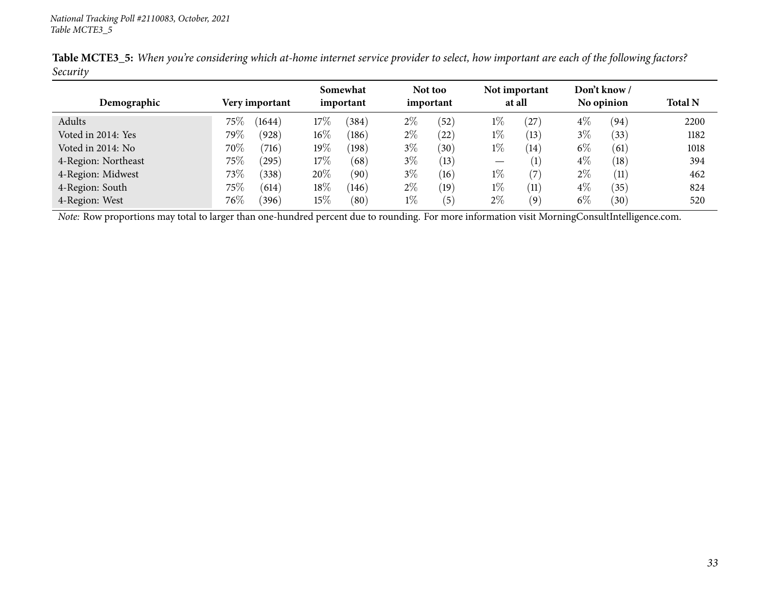| Demographic         | Very important       | Somewhat<br>important       | Not too<br>important    | Not important<br>at all | Don't know /<br>No opinion | <b>Total N</b> |
|---------------------|----------------------|-----------------------------|-------------------------|-------------------------|----------------------------|----------------|
| Adults              | $75\%$<br>(1644)     | 17%<br>(384)                | $2\%$<br>(52)           | $1\%$<br>$^{'}27)$      | $4\%$<br>(94)              | 2200           |
| Voted in 2014: Yes  | 79 $\%$<br>(928)     | $16\%$<br>(186)             | $2\%$<br>(22)           | $1\%$<br>(13)           | $3\%$<br>(33)              | 1182           |
| Voted in 2014: No   | 70%<br>(716)         | $19\%$<br>(198)             | $3\%$<br>$^{\prime}30)$ | $1\%$<br>(14)           | $6\%$<br>(61)              | 1018           |
| 4-Region: Northeast | $75\%$<br>$^{'}295)$ | 17%<br>(68)                 | $3\%$<br>(13)           | $\left(1\right)$        | $4\%$<br>(18)              | 394            |
| 4-Region: Midwest   | 73\%<br>(338)        | 20%<br>(90)                 | $3\%$<br>(16)           | $1\%$<br>(7)            | $2\%$<br>(11)              | 462            |
| 4-Region: South     | $75\%$<br>(614)      | $18\%$<br>(146)             | $2\%$<br>(19)           | $1\%$<br>(11)           | $4\%$<br>(35)              | 824            |
| 4-Region: West      | $76\%$<br>(396)      | $15\%$<br>$\left(80\right)$ | $1\%$<br>(5)            | $2\%$<br>(9)            | $6\%$<br>(30)              | 520            |

Table MCTE3\_5: When you're considering which at-home internet service provider to select, how important are each of the following factors? *Security*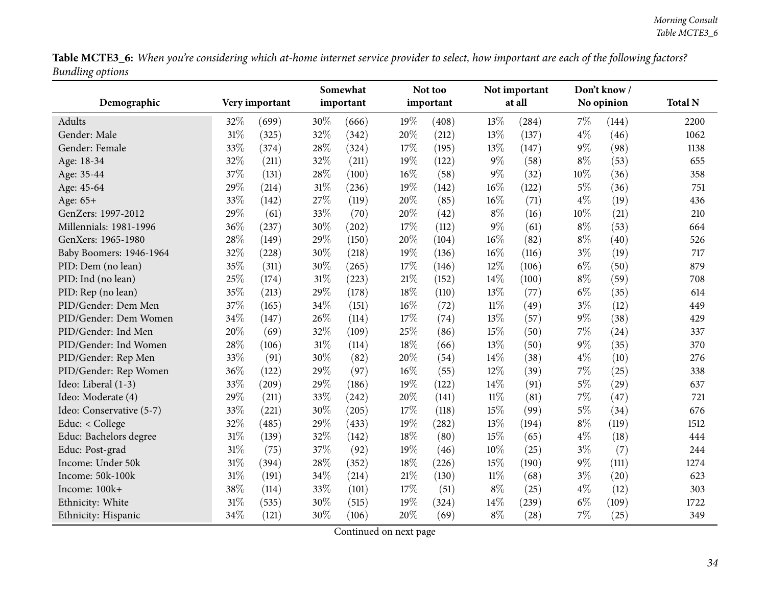Table MCTE3\_6: When you're considering which at-home internet service provider to select, how important are each of the following factors? *Bundling options*

<span id="page-33-0"></span>

|                          |        |                | Somewhat<br>Not too |           |        | Not important |        |        | Don't know/ |            |                |
|--------------------------|--------|----------------|---------------------|-----------|--------|---------------|--------|--------|-------------|------------|----------------|
| Demographic              |        | Very important |                     | important |        | important     |        | at all |             | No opinion | <b>Total N</b> |
| Adults                   | 32%    | (699)          | 30%                 | (666)     | 19%    | (408)         | 13%    | (284)  | $7\%$       | (144)      | 2200           |
| Gender: Male             | 31%    | (325)          | 32%                 | (342)     | 20%    | (212)         | 13%    | (137)  | $4\%$       | (46)       | 1062           |
| Gender: Female           | 33%    | (374)          | 28%                 | (324)     | 17%    | (195)         | 13%    | (147)  | $9\%$       | (98)       | 1138           |
| Age: 18-34               | 32%    | (211)          | 32%                 | (211)     | 19%    | (122)         | $9\%$  | (58)   | $8\%$       | (53)       | 655            |
| Age: 35-44               | 37%    | (131)          | 28%                 | (100)     | 16%    | (58)          | $9\%$  | (32)   | 10%         | (36)       | 358            |
| Age: 45-64               | 29%    | (214)          | $31\%$              | (236)     | 19%    | (142)         | 16%    | (122)  | $5\%$       | (36)       | 751            |
| Age: 65+                 | 33%    | (142)          | 27%                 | (119)     | 20%    | (85)          | 16%    | (71)   | $4\%$       | (19)       | 436            |
| GenZers: 1997-2012       | $29\%$ | (61)           | 33%                 | (70)      | 20%    | (42)          | $8\%$  | (16)   | 10%         | (21)       | 210            |
| Millennials: 1981-1996   | 36%    | (237)          | 30%                 | (202)     | 17%    | (112)         | 9%     | (61)   | $8\%$       | (53)       | 664            |
| GenXers: 1965-1980       | 28%    | (149)          | 29%                 | (150)     | 20%    | (104)         | 16%    | (82)   | $8\%$       | (40)       | 526            |
| Baby Boomers: 1946-1964  | 32%    | (228)          | 30%                 | (218)     | 19%    | (136)         | 16%    | (116)  | $3\%$       | (19)       | 717            |
| PID: Dem (no lean)       | 35%    | (311)          | 30%                 | (265)     | 17%    | (146)         | 12%    | (106)  | $6\%$       | (50)       | 879            |
| PID: Ind (no lean)       | 25%    | (174)          | 31%                 | (223)     | $21\%$ | (152)         | 14%    | (100)  | $8\%$       | (59)       | 708            |
| PID: Rep (no lean)       | 35%    | (213)          | 29%                 | (178)     | 18%    | (110)         | 13%    | (77)   | $6\%$       | (35)       | 614            |
| PID/Gender: Dem Men      | 37%    | (165)          | 34%                 | (151)     | 16%    | (72)          | $11\%$ | (49)   | $3\%$       | (12)       | 449            |
| PID/Gender: Dem Women    | 34%    | (147)          | 26%                 | (114)     | 17%    | (74)          | 13%    | (57)   | $9\%$       | (38)       | 429            |
| PID/Gender: Ind Men      | 20%    | (69)           | 32%                 | (109)     | 25%    | (86)          | 15%    | (50)   | 7%          | (24)       | 337            |
| PID/Gender: Ind Women    | 28%    | (106)          | 31%                 | (114)     | 18%    | (66)          | 13%    | (50)   | $9\%$       | (35)       | 370            |
| PID/Gender: Rep Men      | 33%    | (91)           | 30%                 | (82)      | 20%    | (54)          | 14%    | (38)   | $4\%$       | (10)       | 276            |
| PID/Gender: Rep Women    | 36%    | (122)          | 29%                 | (97)      | 16%    | (55)          | 12%    | (39)   | 7%          | (25)       | 338            |
| Ideo: Liberal (1-3)      | 33%    | (209)          | 29%                 | (186)     | 19%    | (122)         | 14%    | (91)   | $5\%$       | (29)       | 637            |
| Ideo: Moderate (4)       | 29%    | (211)          | 33%                 | (242)     | 20%    | (141)         | $11\%$ | (81)   | 7%          | (47)       | 721            |
| Ideo: Conservative (5-7) | 33%    | (221)          | 30%                 | (205)     | 17%    | (118)         | 15%    | (99)   | $5\%$       | (34)       | 676            |
| Educ: < College          | 32%    | (485)          | 29%                 | (433)     | 19%    | (282)         | 13%    | (194)  | $8\%$       | (119)      | 1512           |
| Educ: Bachelors degree   | 31%    | (139)          | 32%                 | (142)     | 18%    | (80)          | 15%    | (65)   | $4\%$       | (18)       | 444            |
| Educ: Post-grad          | $31\%$ | (75)           | 37%                 | (92)      | 19%    | (46)          | 10%    | (25)   | $3\%$       | (7)        | 244            |
| Income: Under 50k        | 31%    | (394)          | 28%                 | (352)     | 18%    | (226)         | 15%    | (190)  | $9\%$       | (111)      | 1274           |
| Income: 50k-100k         | 31%    | (191)          | 34%                 | (214)     | $21\%$ | (130)         | $11\%$ | (68)   | $3\%$       | (20)       | 623            |
| Income: 100k+            | 38%    | (114)          | 33%                 | (101)     | 17%    | (51)          | $8\%$  | (25)   | $4\%$       | (12)       | 303            |
| Ethnicity: White         | 31%    | (535)          | 30%                 | (515)     | 19%    | (324)         | 14%    | (239)  | $6\%$       | (109)      | 1722           |
| Ethnicity: Hispanic      | 34%    | (121)          | 30%                 | (106)     | 20%    | (69)          | $8\%$  | (28)   | 7%          | (25)       | 349            |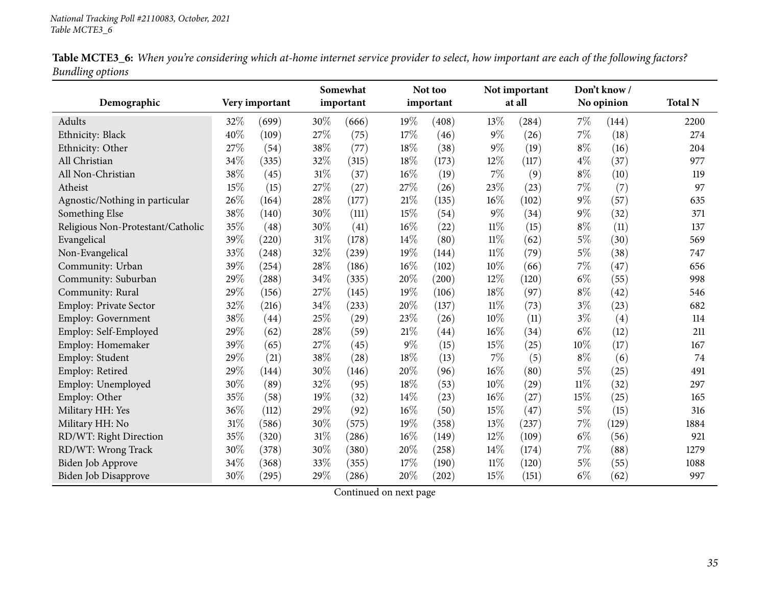| Table MCTE3_6: When you're considering which at-home internet service provider to select, how important are each of the following factors? |  |  |
|--------------------------------------------------------------------------------------------------------------------------------------------|--|--|
| <b>Bundling options</b>                                                                                                                    |  |  |

|                                   |        |                | Somewhat |           | Not too |           |        | Not important |        | Don't know/ |                |
|-----------------------------------|--------|----------------|----------|-----------|---------|-----------|--------|---------------|--------|-------------|----------------|
| Demographic                       |        | Very important |          | important |         | important |        | at all        |        | No opinion  | <b>Total N</b> |
| Adults                            | 32%    | (699)          | 30%      | (666)     | 19%     | (408)     | 13\%   | (284)         | $7\%$  | (144)       | 2200           |
| Ethnicity: Black                  | 40%    | (109)          | 27%      | (75)      | 17%     | (46)      | $9\%$  | (26)          | 7%     | (18)        | 274            |
| Ethnicity: Other                  | 27%    | (54)           | 38%      | (77)      | 18%     | (38)      | $9\%$  | (19)          | $8\%$  | (16)        | 204            |
| All Christian                     | 34%    | (335)          | 32%      | (315)     | 18%     | (173)     | 12%    | (117)         | $4\%$  | (37)        | 977            |
| All Non-Christian                 | 38%    | (45)           | 31%      | (37)      | $16\%$  | (19)      | 7%     | (9)           | $8\%$  | (10)        | 119            |
| Atheist                           | 15%    | (15)           | 27%      | (27)      | 27%     | (26)      | 23%    | (23)          | $7\%$  | (7)         | 97             |
| Agnostic/Nothing in particular    | $26\%$ | (164)          | $28\%$   | (177)     | 21%     | (135)     | 16%    | (102)         | $9\%$  | (57)        | 635            |
| Something Else                    | 38%    | (140)          | 30%      | (111)     | 15%     | (54)      | 9%     | (34)          | $9\%$  | (32)        | 371            |
| Religious Non-Protestant/Catholic | 35%    | (48)           | 30%      | (41)      | 16%     | (22)      | $11\%$ | (15)          | $8\%$  | (11)        | 137            |
| Evangelical                       | 39%    | (220)          | $31\%$   | (178)     | 14%     | (80)      | $11\%$ | (62)          | $5\%$  | (30)        | 569            |
| Non-Evangelical                   | 33%    | (248)          | 32%      | (239)     | 19%     | (144)     | $11\%$ | (79)          | $5\%$  | (38)        | 747            |
| Community: Urban                  | 39%    | (254)          | 28\%     | (186)     | 16%     | (102)     | 10%    | (66)          | $7\%$  | (47)        | 656            |
| Community: Suburban               | 29%    | (288)          | $34\%$   | (335)     | 20%     | (200)     | $12\%$ | (120)         | $6\%$  | (55)        | 998            |
| Community: Rural                  | 29%    | (156)          | 27%      | (145)     | 19%     | (106)     | 18%    | (97)          | $8\%$  | (42)        | 546            |
| Employ: Private Sector            | 32%    | (216)          | 34%      | (233)     | 20%     | (137)     | $11\%$ | (73)          | $3\%$  | (23)        | 682            |
| Employ: Government                | 38%    | (44)           | 25%      | (29)      | 23%     | (26)      | 10%    | (11)          | $3\%$  | (4)         | 114            |
| Employ: Self-Employed             | 29%    | (62)           | 28%      | (59)      | 21%     | (44)      | 16%    | (34)          | $6\%$  | (12)        | 211            |
| Employ: Homemaker                 | 39%    | (65)           | 27%      | (45)      | 9%      | (15)      | 15%    | (25)          | 10%    | (17)        | 167            |
| Employ: Student                   | 29%    | (21)           | 38%      | (28)      | 18%     | (13)      | 7%     | (5)           | $8\%$  | (6)         | 74             |
| Employ: Retired                   | 29%    | (144)          | 30%      | (146)     | 20%     | (96)      | 16%    | (80)          | $5\%$  | (25)        | 491            |
| Employ: Unemployed                | 30%    | (89)           | 32\%     | (95)      | 18%     | (53)      | 10%    | (29)          | $11\%$ | (32)        | 297            |
| Employ: Other                     | 35%    | (58)           | 19%      | (32)      | 14%     | (23)      | 16%    | (27)          | 15%    | (25)        | 165            |
| Military HH: Yes                  | 36%    | (112)          | 29%      | (92)      | $16\%$  | (50)      | 15%    | (47)          | $5\%$  | (15)        | 316            |
| Military HH: No                   | 31%    | (586)          | 30%      | (575)     | 19%     | (358)     | 13%    | (237)         | $7\%$  | (129)       | 1884           |
| RD/WT: Right Direction            | 35%    | (320)          | $31\%$   | (286)     | 16%     | (149)     | 12%    | (109)         | $6\%$  | (56)        | 921            |
| RD/WT: Wrong Track                | 30%    | (378)          | 30%      | (380)     | 20%     | (258)     | 14%    | (174)         | $7\%$  | (88)        | 1279           |
| <b>Biden Job Approve</b>          | 34%    | (368)          | 33%      | (355)     | 17%     | (190)     | $11\%$ | (120)         | $5\%$  | (55)        | 1088           |
| Biden Job Disapprove              | 30%    | (295)          | 29%      | (286)     | 20%     | (202)     | 15%    | (151)         | $6\%$  | (62)        | 997            |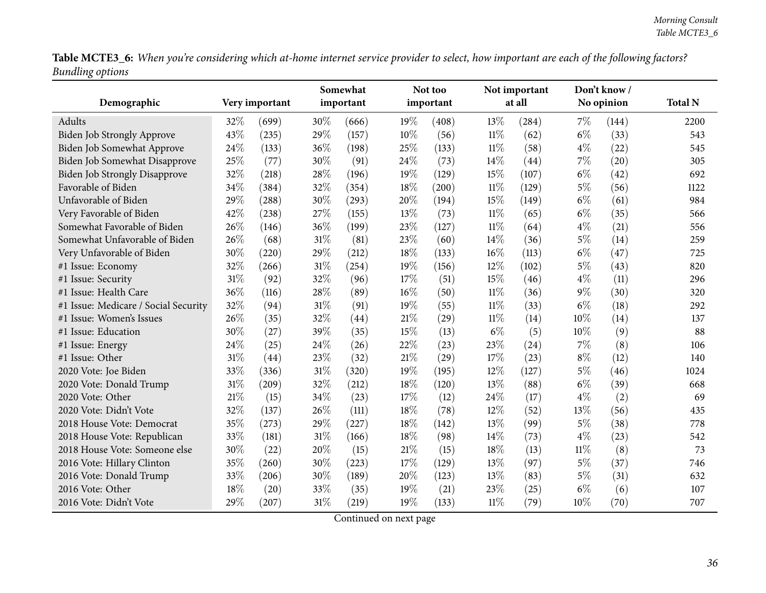Table MCTE3\_6: When you're considering which at-home internet service provider to select, how important are each of the following factors? *Bundling options*

| ပေ                                   |     |                | Somewhat |           |     | Not too   |        | Not important |        | Don't know / |                |
|--------------------------------------|-----|----------------|----------|-----------|-----|-----------|--------|---------------|--------|--------------|----------------|
| Demographic                          |     | Very important |          | important |     | important |        | at all        |        | No opinion   | <b>Total N</b> |
| Adults                               | 32% | (699)          | 30%      | (666)     | 19% | (408)     | 13%    | (284)         | $7\%$  | (144)        | 2200           |
| Biden Job Strongly Approve           | 43% | (235)          | 29%      | (157)     | 10% | (56)      | $11\%$ | (62)          | $6\%$  | (33)         | 543            |
| Biden Job Somewhat Approve           | 24% | (133)          | 36%      | (198)     | 25% | (133)     | $11\%$ | (58)          | $4\%$  | (22)         | 545            |
| Biden Job Somewhat Disapprove        | 25% | (77)           | 30%      | (91)      | 24% | (73)      | 14%    | (44)          | 7%     | (20)         | 305            |
| <b>Biden Job Strongly Disapprove</b> | 32% | (218)          | 28%      | (196)     | 19% | (129)     | 15%    | (107)         | $6\%$  | (42)         | 692            |
| Favorable of Biden                   | 34% | (384)          | 32%      | (354)     | 18% | (200)     | $11\%$ | (129)         | $5\%$  | (56)         | 1122           |
| Unfavorable of Biden                 | 29% | (288)          | 30%      | (293)     | 20% | (194)     | 15%    | (149)         | $6\%$  | (61)         | 984            |
| Very Favorable of Biden              | 42% | (238)          | 27%      | (155)     | 13% | (73)      | 11%    | (65)          | $6\%$  | (35)         | 566            |
| Somewhat Favorable of Biden          | 26% | (146)          | 36%      | (199)     | 23% | (127)     | $11\%$ | (64)          | $4\%$  | (21)         | 556            |
| Somewhat Unfavorable of Biden        | 26% | (68)           | 31%      | (81)      | 23% | (60)      | 14%    | (36)          | $5\%$  | (14)         | 259            |
| Very Unfavorable of Biden            | 30% | (220)          | 29%      | (212)     | 18% | (133)     | 16%    | (113)         | $6\%$  | (47)         | 725            |
| #1 Issue: Economy                    | 32% | (266)          | 31%      | (254)     | 19% | (156)     | 12%    | (102)         | $5\%$  | (43)         | 820            |
| #1 Issue: Security                   | 31% | (92)           | 32%      | (96)      | 17% | (51)      | 15%    | (46)          | $4\%$  | (11)         | 296            |
| #1 Issue: Health Care                | 36% | (116)          | 28%      | (89)      | 16% | (50)      | $11\%$ | (36)          | $9\%$  | (30)         | 320            |
| #1 Issue: Medicare / Social Security | 32% | (94)           | $31\%$   | (91)      | 19% | (55)      | $11\%$ | (33)          | $6\%$  | (18)         | 292            |
| #1 Issue: Women's Issues             | 26% | (35)           | 32%      | (44)      | 21% | (29)      | 11%    | (14)          | 10%    | (14)         | 137            |
| #1 Issue: Education                  | 30% | (27)           | 39%      | (35)      | 15% | (13)      | $6\%$  | (5)           | $10\%$ | (9)          | 88             |
| #1 Issue: Energy                     | 24% | (25)           | 24%      | (26)      | 22% | (23)      | 23%    | (24)          | 7%     | (8)          | 106            |
| #1 Issue: Other                      | 31% | (44)           | 23%      | (32)      | 21% | (29)      | 17%    | (23)          | $8\%$  | (12)         | 140            |
| 2020 Vote: Joe Biden                 | 33% | (336)          | 31%      | (320)     | 19% | (195)     | 12%    | (127)         | $5\%$  | (46)         | 1024           |
| 2020 Vote: Donald Trump              | 31% | (209)          | 32%      | (212)     | 18% | (120)     | 13%    | (88)          | $6\%$  | (39)         | 668            |
| 2020 Vote: Other                     | 21% | (15)           | 34%      | (23)      | 17% | (12)      | 24%    | (17)          | $4\%$  | (2)          | 69             |
| 2020 Vote: Didn't Vote               | 32% | (137)          | 26%      | (111)     | 18% | (78)      | 12%    | (52)          | 13%    | (56)         | 435            |
| 2018 House Vote: Democrat            | 35% | (273)          | 29%      | (227)     | 18% | (142)     | 13\%   | (99)          | $5\%$  | (38)         | 778            |
| 2018 House Vote: Republican          | 33% | (181)          | $31\%$   | (166)     | 18% | (98)      | 14%    | (73)          | $4\%$  | (23)         | 542            |
| 2018 House Vote: Someone else        | 30% | (22)           | 20%      | (15)      | 21% | (15)      | 18%    | (13)          | $11\%$ | (8)          | 73             |
| 2016 Vote: Hillary Clinton           | 35% | (260)          | 30%      | (223)     | 17% | (129)     | 13%    | (97)          | $5\%$  | (37)         | 746            |
| 2016 Vote: Donald Trump              | 33% | (206)          | 30%      | (189)     | 20% | (123)     | 13%    | (83)          | $5\%$  | (31)         | 632            |
| 2016 Vote: Other                     | 18% | (20)           | 33%      | (35)      | 19% | (21)      | 23%    | (25)          | $6\%$  | (6)          | 107            |
| 2016 Vote: Didn't Vote               | 29% | (207)          | 31%      | (219)     | 19% | (133)     | $11\%$ | (79)          | 10%    | (70)         | 707            |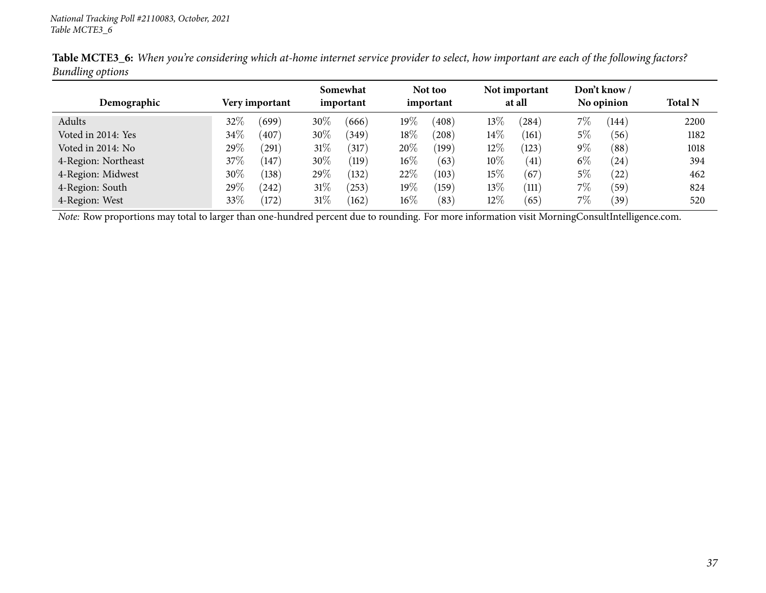| Demographic         |        | Very important | Somewhat<br>important |       |        | Not too<br>important |        | Not important<br>at all |       | Don't know /<br>No opinion | <b>Total N</b> |
|---------------------|--------|----------------|-----------------------|-------|--------|----------------------|--------|-------------------------|-------|----------------------------|----------------|
|                     |        |                |                       |       |        |                      |        |                         |       |                            |                |
| Adults              | $32\%$ | (699)          | 30%                   | (666) | $19\%$ | (408)                | 13%    | (284)                   | $7\%$ | (144)                      | 2200           |
| Voted in 2014: Yes  | 34\%   | (407)          | 30\%                  | (349) | $18\%$ | (208)                | $14\%$ | (161)                   | 5%    | (56)                       | 1182           |
| Voted in 2014: No   | 29%    | (291)          | $31\%$                | (317) | 20%    | (199)                | 12\%   | (123)                   | $9\%$ | (88)                       | 1018           |
| 4-Region: Northeast | $37\%$ | (147)          | 30%                   | (119) | $16\%$ | (63)                 | 10%    | (41)                    | $6\%$ | (24)                       | 394            |
| 4-Region: Midwest   | 30%    | (138)          | $29\%$                | (132) | 22%    | (103)                | 15%    | (67)                    | 5%    | $^{'}22)$                  | 462            |
| 4-Region: South     | $29\%$ | (242)          | $31\%$                | (253) | $19\%$ | (159)                | 13\%   | (111)                   | $7\%$ | (59)                       | 824            |
| 4-Region: West      | 33\%   | $^{'}172)$     | $31\%$                | (162) | $16\%$ | (83)                 | 12\%   | (65)                    | $7\%$ | (39)                       | 520            |

Table MCTE3\_6: When you're considering which at-home internet service provider to select, how important are each of the following factors? *Bundling options*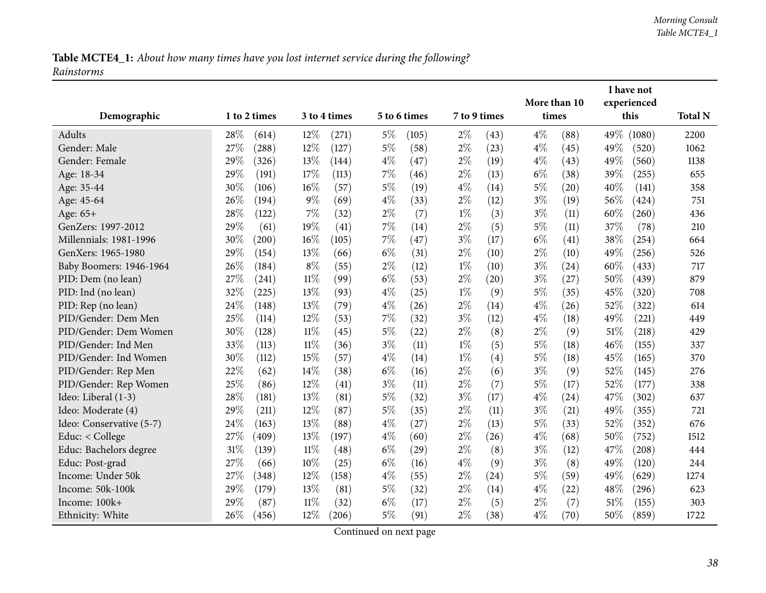Table MCTE4\_1: About how many times have you lost internet service during the following? *Rainstorms*

|                          |              |       |        |              |       |              |              |      |              |                    |      | I have not  |                |
|--------------------------|--------------|-------|--------|--------------|-------|--------------|--------------|------|--------------|--------------------|------|-------------|----------------|
|                          |              |       |        |              |       |              |              |      | More than 10 |                    |      | experienced |                |
| Demographic              | 1 to 2 times |       |        | 3 to 4 times |       | 5 to 6 times | 7 to 9 times |      | times        |                    |      | this        | <b>Total N</b> |
| Adults                   | 28%          | (614) | 12%    | (271)        | $5\%$ | (105)        | $2\%$        | (43) | $4\%$        | (88)               | 49%  | (1080)      | 2200           |
| Gender: Male             | 27%          | (288) | 12%    | (127)        | $5\%$ | (58)         | $2\%$        | (23) | $4\%$        | (45)               | 49%  | (520)       | 1062           |
| Gender: Female           | 29%          | (326) | 13\%   | (144)        | $4\%$ | (47)         | $2\%$        | (19) | $4\%$        | (43)               | 49%  | (560)       | 1138           |
| Age: 18-34               | 29%          | (191) | 17%    | (113)        | $7\%$ | (46)         | $2\%$        | (13) | $6\%$        | (38)               | 39%  | (255)       | 655            |
| Age: 35-44               | 30%          | (106) | 16%    | (57)         | $5\%$ | (19)         | $4\%$        | (14) | $5\%$        | (20)               | 40%  | (141)       | 358            |
| Age: 45-64               | 26%          | (194) | $9\%$  | (69)         | $4\%$ | (33)         | $2\%$        | (12) | $3\%$        | (19)               | 56%  | (424)       | 751            |
| Age: 65+                 | 28%          | (122) | 7%     | (32)         | $2\%$ | (7)          | $1\%$        | (3)  | $3\%$        | (11)               | 60%  | (260)       | 436            |
| GenZers: 1997-2012       | 29%          | (61)  | 19%    | (41)         | $7\%$ | (14)         | $2\%$        | (5)  | $5\%$        | (11)               | 37%  | (78)        | 210            |
| Millennials: 1981-1996   | 30%          | (200) | 16%    | (105)        | 7%    | (47)         | $3\%$        | (17) | $6\%$        | $\left( 41\right)$ | 38%  | (254)       | 664            |
| GenXers: 1965-1980       | 29%          | (154) | 13%    | (66)         | $6\%$ | (31)         | $2\%$        | (10) | $2\%$        | (10)               | 49%  | (256)       | 526            |
| Baby Boomers: 1946-1964  | 26%          | (184) | $8\%$  | (55)         | $2\%$ | (12)         | $1\%$        | (10) | $3\%$        | (24)               | 60%  | (433)       | 717            |
| PID: Dem (no lean)       | 27%          | (241) | $11\%$ | (99)         | $6\%$ | (53)         | $2\%$        | (20) | $3\%$        | (27)               | 50%  | (439)       | 879            |
| PID: Ind (no lean)       | 32%          | (225) | 13%    | (93)         | $4\%$ | (25)         | $1\%$        | (9)  | 5%           | (35)               | 45%  | (320)       | 708            |
| PID: Rep (no lean)       | 24%          | (148) | 13\%   | (79)         | $4\%$ | (26)         | $2\%$        | (14) | $4\%$        | (26)               | 52%  | (322)       | 614            |
| PID/Gender: Dem Men      | 25%          | (114) | 12%    | (53)         | 7%    | (32)         | $3\%$        | (12) | $4\%$        | (18)               | 49%  | (221)       | 449            |
| PID/Gender: Dem Women    | 30%          | (128) | $11\%$ | (45)         | $5\%$ | (22)         | $2\%$        | (8)  | $2\%$        | (9)                | 51\% | (218)       | 429            |
| PID/Gender: Ind Men      | 33%          | (113) | $11\%$ | (36)         | $3\%$ | (11)         | $1\%$        | (5)  | $5\%$        | (18)               | 46%  | (155)       | 337            |
| PID/Gender: Ind Women    | 30%          | (112) | 15%    | (57)         | $4\%$ | (14)         | $1\%$        | (4)  | $5\%$        | (18)               | 45%  | (165)       | 370            |
| PID/Gender: Rep Men      | 22%          | (62)  | 14%    | (38)         | $6\%$ | (16)         | $2\%$        | (6)  | $3\%$        | (9)                | 52%  | (145)       | 276            |
| PID/Gender: Rep Women    | 25%          | (86)  | 12%    | (41)         | $3\%$ | (11)         | $2\%$        | (7)  | $5\%$        | (17)               | 52%  | (177)       | 338            |
| Ideo: Liberal (1-3)      | 28%          | (181) | 13\%   | (81)         | $5\%$ | (32)         | $3\%$        | (17) | $4\%$        | (24)               | 47%  | (302)       | 637            |
| Ideo: Moderate (4)       | 29%          | (211) | 12%    | (87)         | $5\%$ | (35)         | $2\%$        | (11) | $3\%$        | (21)               | 49%  | (355)       | 721            |
| Ideo: Conservative (5-7) | 24%          | (163) | 13%    | (88)         | $4\%$ | (27)         | $2\%$        | (13) | $5\%$        | (33)               | 52%  | (352)       | 676            |
| Educ: < College          | 27%          | (409) | 13\%   | (197)        | $4\%$ | (60)         | $2\%$        | (26) | $4\%$        | (68)               | 50%  | (752)       | 1512           |
| Educ: Bachelors degree   | 31%          | (139) | $11\%$ | (48)         | $6\%$ | (29)         | $2\%$        | (8)  | $3\%$        | (12)               | 47%  | (208)       | 444            |
| Educ: Post-grad          | 27%          | (66)  | 10%    | (25)         | $6\%$ | (16)         | $4\%$        | (9)  | $3\%$        | (8)                | 49%  | (120)       | 244            |
| Income: Under 50k        | 27%          | (348) | 12%    | (158)        | $4\%$ | (55)         | $2\%$        | (24) | $5\%$        | (59)               | 49%  | (629)       | 1274           |
| Income: 50k-100k         | 29%          | (179) | 13%    | (81)         | $5\%$ | (32)         | $2\%$        | (14) | $4\%$        | (22)               | 48%  | (296)       | 623            |
| Income: 100k+            | 29%          | (87)  | 11%    | (32)         | $6\%$ | (17)         | $2\%$        | (5)  | $2\%$        | (7)                | 51%  | (155)       | 303            |
| Ethnicity: White         | 26%          | (456) | 12%    | (206)        | $5\%$ | (91)         | $2\%$        | (38) | $4\%$        | (70)               | 50%  | (859)       | 1722           |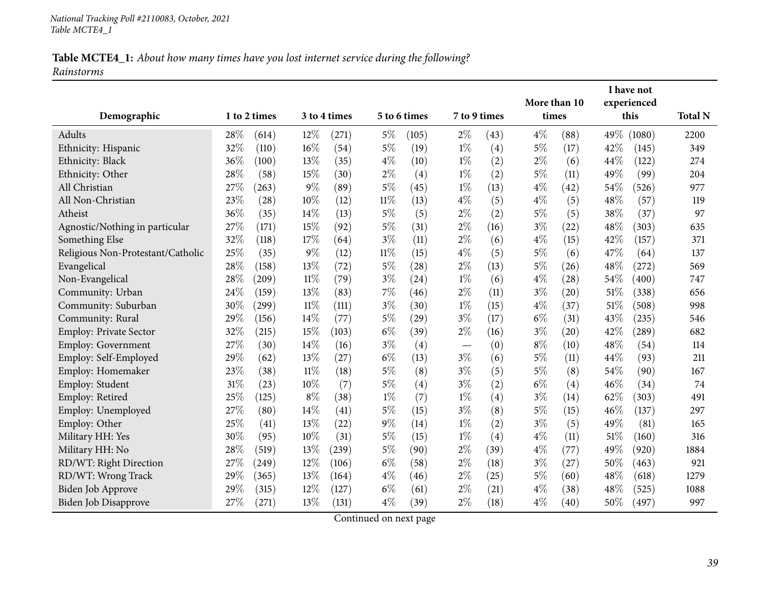|                                   |     |              |        |              |        |              |                          |              | More than 10 |                    |        | I have not<br>experienced |                |
|-----------------------------------|-----|--------------|--------|--------------|--------|--------------|--------------------------|--------------|--------------|--------------------|--------|---------------------------|----------------|
| Demographic                       |     | 1 to 2 times |        | 3 to 4 times |        | 5 to 6 times |                          | 7 to 9 times | times        |                    |        | this                      | <b>Total N</b> |
| Adults                            | 28% | (614)        | 12%    | (271)        | 5%     | (105)        | $2\%$                    | (43)         | $4\%$        | (88)               | 49%    | (1080)                    | 2200           |
| Ethnicity: Hispanic               | 32% | (110)        | 16%    | (54)         | $5\%$  | (19)         | $1\%$                    | (4)          | $5\%$        | (17)               | 42%    | (145)                     | 349            |
| Ethnicity: Black                  | 36% | (100)        | 13\%   | (35)         | $4\%$  | (10)         | $1\%$                    | (2)          | $2\%$        | (6)                | 44%    | (122)                     | 274            |
| Ethnicity: Other                  | 28% | (58)         | 15%    | (30)         | $2\%$  | (4)          | $1\%$                    | (2)          | 5%           | (11)               | 49%    | (99)                      | 204            |
| All Christian                     | 27% | (263)        | $9\%$  | (89)         | $5\%$  | (45)         | $1\%$                    | (13)         | $4\%$        | $\left( 42\right)$ | 54\%   | (526)                     | 977            |
| All Non-Christian                 | 23% | (28)         | 10%    | (12)         | $11\%$ | (13)         | $4\%$                    | (5)          | $4\%$        | (5)                | 48%    | (57)                      | 119            |
| Atheist                           | 36% | (35)         | 14%    | (13)         | $5\%$  | (5)          | $2\%$                    | (2)          | $5\%$        | (5)                | 38%    | (37)                      | 97             |
| Agnostic/Nothing in particular    | 27% | (171)        | 15%    | (92)         | $5\%$  | (31)         | $2\%$                    | (16)         | $3\%$        | $^{(22)}$          | 48%    | (303)                     | 635            |
| Something Else                    | 32% | (118)        | 17%    | (64)         | $3\%$  | (11)         | $2\%$                    | (6)          | $4\%$        | (15)               | 42%    | (157)                     | 371            |
| Religious Non-Protestant/Catholic | 25% | (35)         | $9\%$  | (12)         | $11\%$ | (15)         | $4\%$                    | (5)          | $5\%$        | (6)                | 47%    | (64)                      | 137            |
| Evangelical                       | 28% | (158)        | 13%    | (72)         | $5\%$  | (28)         | $2\%$                    | (13)         | $5\%$        | (26)               | 48%    | (272)                     | 569            |
| Non-Evangelical                   | 28% | (209)        | $11\%$ | (79)         | $3\%$  | (24)         | $1\%$                    | (6)          | $4\%$        | (28)               | 54%    | (400)                     | 747            |
| Community: Urban                  | 24% | (159)        | 13%    | (83)         | $7\%$  | (46)         | $2\%$                    | (11)         | $3\%$        | (20)               | 51%    | (338)                     | 656            |
| Community: Suburban               | 30% | (299)        | 11%    | (111)        | $3\%$  | (30)         | $1\%$                    | (15)         | $4\%$        | (37)               | 51%    | (508)                     | 998            |
| Community: Rural                  | 29% | (156)        | 14%    | (77)         | $5\%$  | (29)         | $3\%$                    | (17)         | $6\%$        | (31)               | 43%    | (235)                     | 546            |
| Employ: Private Sector            | 32% | (215)        | 15%    | (103)        | $6\%$  | (39)         | $2\%$                    | (16)         | $3\%$        | (20)               | 42%    | (289)                     | 682            |
| Employ: Government                | 27% | (30)         | 14%    | (16)         | $3\%$  | (4)          | $\overline{\phantom{0}}$ | (0)          | $8\%$        | (10)               | 48%    | (54)                      | 114            |
| Employ: Self-Employed             | 29% | (62)         | 13%    | (27)         | $6\%$  | (13)         | $3\%$                    | (6)          | 5%           | (11)               | 44\%   | (93)                      | 211            |
| Employ: Homemaker                 | 23% | (38)         | $11\%$ | (18)         | $5\%$  | (8)          | $3\%$                    | (5)          | $5\%$        | (8)                | 54%    | (90)                      | 167            |
| Employ: Student                   | 31% | (23)         | 10%    | (7)          | $5\%$  | (4)          | $3\%$                    | (2)          | $6\%$        | (4)                | 46%    | (34)                      | 74             |
| Employ: Retired                   | 25% | (125)        | $8\%$  | (38)         | $1\%$  | (7)          | $1\%$                    | (4)          | $3\%$        | (14)               | 62%    | (303)                     | 491            |
| Employ: Unemployed                | 27% | (80)         | 14%    | (41)         | $5\%$  | (15)         | $3\%$                    | (8)          | 5%           | (15)               | 46%    | (137)                     | 297            |
| Employ: Other                     | 25% | (41)         | 13%    | (22)         | $9\%$  | (14)         | $1\%$                    | (2)          | $3\%$        | (5)                | 49%    | (81)                      | 165            |
| Military HH: Yes                  | 30% | (95)         | 10%    | (31)         | $5\%$  | (15)         | $1\%$                    | (4)          | $4\%$        | (11)               | 51%    | (160)                     | 316            |
| Military HH: No                   | 28% | (519)        | 13%    | (239)        | $5\%$  | (90)         | $2\%$                    | (39)         | $4\%$        | (77)               | 49%    | (920)                     | 1884           |
| RD/WT: Right Direction            | 27% | (249)        | 12%    | (106)        | $6\%$  | (58)         | $2\%$                    | (18)         | $3\%$        | (27)               | 50%    | (463)                     | 921            |
| RD/WT: Wrong Track                | 29% | (365)        | 13%    | (164)        | $4\%$  | (46)         | $2\%$                    | (25)         | 5%           | (60)               | 48%    | (618)                     | 1279           |
| Biden Job Approve                 | 29% | (315)        | 12%    | (127)        | $6\%$  | (61)         | $2\%$                    | (21)         | $4\%$        | (38)               | 48%    | (525)                     | 1088           |
| <b>Biden Job Disapprove</b>       | 27% | (271)        | 13%    | (131)        | $4\%$  | (39)         | $2\%$                    | (18)         | $4\%$        | (40)               | $50\%$ | (497)                     | 997            |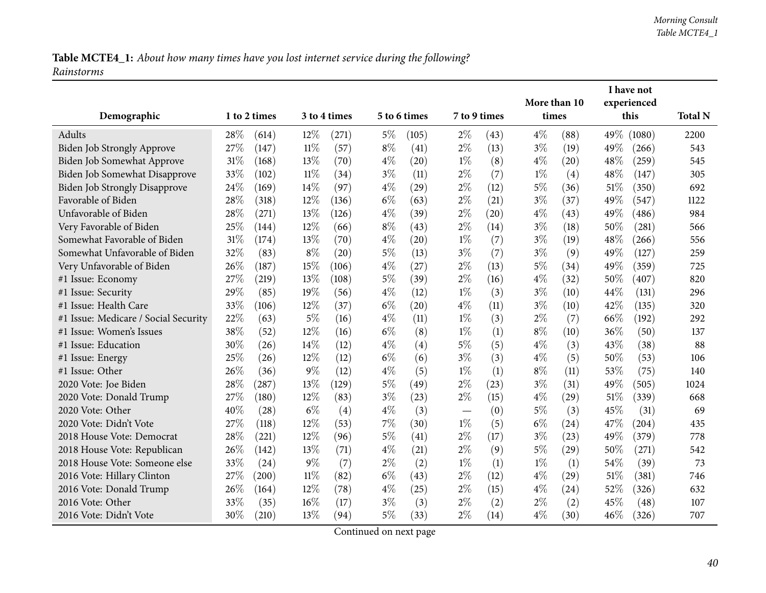|                                      |      |                     |        |              |       |              |              |      |       |              | I have not |             |                |
|--------------------------------------|------|---------------------|--------|--------------|-------|--------------|--------------|------|-------|--------------|------------|-------------|----------------|
|                                      |      |                     |        |              |       |              |              |      |       | More than 10 |            | experienced |                |
| Demographic                          |      | 1 to 2 times        |        | 3 to 4 times |       | 5 to 6 times | 7 to 9 times |      | times |              |            | this        | <b>Total N</b> |
| Adults                               | 28%  | (614)               | 12%    | (271)        | $5\%$ | (105)        | $2\%$        | (43) | $4\%$ | (88)         | 49\%       | (1080)      | 2200           |
| Biden Job Strongly Approve           | 27%  | (147)               | 11%    | (57)         | $8\%$ | (41)         | $2\%$        | (13) | $3\%$ | (19)         | 49%        | (266)       | 543            |
| Biden Job Somewhat Approve           | 31%  | (168)               | 13%    | (70)         | $4\%$ | (20)         | $1\%$        | (8)  | $4\%$ | (20)         | 48%        | (259)       | 545            |
| Biden Job Somewhat Disapprove        | 33%  | (102)               | $11\%$ | (34)         | $3\%$ | (11)         | $2\%$        | (7)  | $1\%$ | (4)          | 48%        | (147)       | 305            |
| <b>Biden Job Strongly Disapprove</b> | 24\% | (169)               | 14%    | (97)         | $4\%$ | (29)         | $2\%$        | (12) | $5\%$ | (36)         | 51\%       | (350)       | 692            |
| Favorable of Biden                   | 28%  | (318)               | 12%    | (136)        | $6\%$ | (63)         | $2\%$        | (21) | $3\%$ | (37)         | 49%        | (547)       | 1122           |
| Unfavorable of Biden                 | 28%  | (271)               | 13\%   | (126)        | $4\%$ | (39)         | $2\%$        | (20) | $4\%$ | (43)         | 49%        | (486)       | 984            |
| Very Favorable of Biden              | 25%  | (144)               | 12%    | (66)         | $8\%$ | (43)         | $2\%$        | (14) | $3\%$ | (18)         | 50%        | (281)       | 566            |
| Somewhat Favorable of Biden          | 31%  | (174)               | 13\%   | (70)         | $4\%$ | (20)         | $1\%$        | (7)  | $3\%$ | (19)         | 48%        | (266)       | 556            |
| Somewhat Unfavorable of Biden        | 32%  | (83)                | $8\%$  | (20)         | $5\%$ | (13)         | $3\%$        | (7)  | $3\%$ | (9)          | 49%        | (127)       | 259            |
| Very Unfavorable of Biden            | 26%  | (187)               | 15%    | (106)        | $4\%$ | (27)         | $2\%$        | (13) | $5\%$ | (34)         | 49%        | (359)       | 725            |
| #1 Issue: Economy                    | 27%  | (219)               | 13\%   | (108)        | $5\%$ | (39)         | $2\%$        | (16) | $4\%$ | (32)         | 50%        | (407)       | 820            |
| #1 Issue: Security                   | 29%  | (85)                | 19%    | (56)         | $4\%$ | (12)         | $1\%$        | (3)  | $3\%$ | (10)         | 44%        | (131)       | 296            |
| #1 Issue: Health Care                | 33%  | (106)               | 12%    | (37)         | $6\%$ | (20)         | $4\%$        | (11) | $3\%$ | (10)         | 42%        | (135)       | 320            |
| #1 Issue: Medicare / Social Security | 22%  | (63)                | $5\%$  | (16)         | $4\%$ | (11)         | $1\%$        | (3)  | $2\%$ | (7)          | 66%        | (192)       | 292            |
| #1 Issue: Women's Issues             | 38%  | (52)                | 12%    | (16)         | $6\%$ | (8)          | $1\%$        | (1)  | $8\%$ | (10)         | 36%        | (50)        | 137            |
| #1 Issue: Education                  | 30%  | (26)                | 14%    | (12)         | $4\%$ | (4)          | $5\%$        | (5)  | $4\%$ | (3)          | 43%        | (38)        | 88             |
| #1 Issue: Energy                     | 25%  | (26)                | 12%    | (12)         | $6\%$ | (6)          | $3\%$        | (3)  | $4\%$ | (5)          | 50%        | (53)        | 106            |
| #1 Issue: Other                      | 26%  | (36)                | $9\%$  | (12)         | $4\%$ | (5)          | $1\%$        | (1)  | $8\%$ | (11)         | 53%        | (75)        | 140            |
| 2020 Vote: Joe Biden                 | 28%  | (287)               | 13\%   | (129)        | $5\%$ | (49)         | $2\%$        | (23) | $3\%$ | (31)         | 49%        | (505)       | 1024           |
| 2020 Vote: Donald Trump              | 27%  | (180)               | $12\%$ | (83)         | $3\%$ | (23)         | $2\%$        | (15) | $4\%$ | (29)         | 51\%       | (339)       | 668            |
| 2020 Vote: Other                     | 40%  | (28)                | $6\%$  | (4)          | $4\%$ | (3)          |              | (0)  | $5\%$ | (3)          | 45%        | (31)        | 69             |
| 2020 Vote: Didn't Vote               | 27%  | (118)               | 12%    | (53)         | 7%    | (30)         | $1\%$        | (5)  | $6\%$ | (24)         | 47%        | (204)       | 435            |
| 2018 House Vote: Democrat            | 28%  | (221)               | 12%    | (96)         | $5\%$ | (41)         | $2\%$        | (17) | $3\%$ | (23)         | 49%        | (379)       | 778            |
| 2018 House Vote: Republican          | 26%  | (142)               | 13\%   | (71)         | $4\%$ | (21)         | $2\%$        | (9)  | $5\%$ | (29)         | 50%        | (271)       | 542            |
| 2018 House Vote: Someone else        | 33%  | (24)                | $9\%$  | (7)          | $2\%$ | (2)          | $1\%$        | (1)  | $1\%$ | (1)          | 54%        | (39)        | 73             |
| 2016 Vote: Hillary Clinton           | 27%  | $\left( 200\right)$ | $11\%$ | (82)         | $6\%$ | (43)         | $2\%$        | (12) | $4\%$ | (29)         | $51\%$     | (381)       | 746            |
| 2016 Vote: Donald Trump              | 26%  | (164)               | 12%    | (78)         | $4\%$ | (25)         | $2\%$        | (15) | $4\%$ | (24)         | 52%        | (326)       | 632            |
| 2016 Vote: Other                     | 33%  | (35)                | $16\%$ | (17)         | $3\%$ | (3)          | $2\%$        | (2)  | $2\%$ | (2)          | 45%        | (48)        | 107            |
| 2016 Vote: Didn't Vote               | 30%  | (210)               | 13\%   | (94)         | $5\%$ | (33)         | $2\%$        | (14) | $4\%$ | (30)         | 46\%       | (326)       | 707            |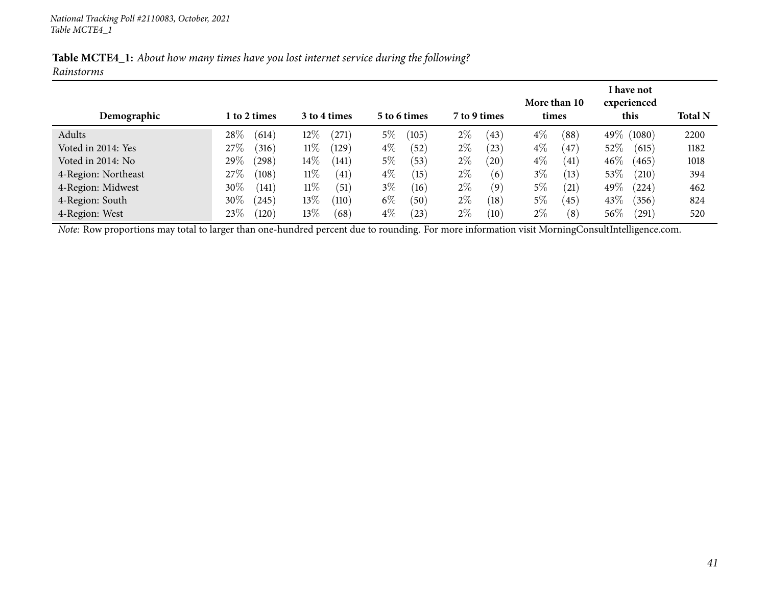| Table MCTE4_1: About how many times have you lost internet service during the following? |  |  |  |  |  |
|------------------------------------------------------------------------------------------|--|--|--|--|--|
| Rainstorms                                                                               |  |  |  |  |  |

| Demographic         | 1 to 2 times         | 3 to 4 times        | 5 to 6 times  | 7 to 9 times  | More than 10<br>times      | I have not<br>experienced<br>this | <b>Total N</b> |
|---------------------|----------------------|---------------------|---------------|---------------|----------------------------|-----------------------------------|----------------|
| Adults              | 28\%<br>(614)        | $12\%$<br>$^{'}271$ | $5\%$<br>105  | $2\%$<br>(43) | $4\%$<br>$^{(88)}$         | 49\% (1080)                       | 2200           |
| Voted in 2014: Yes  | 27\%<br>(316)        | $11\%$<br>(129)     | $4\%$<br>52   | $2\%$<br>(23) | $4\%$<br>$\left(47\right)$ | 52%<br>(615)                      | 1182           |
| Voted in 2014: No   | 29%<br>(298)         | $14\%$<br>(141)     | $5\%$<br>(53) | $2\%$<br>(20) | $4\%$<br>(41)              | $46\%$<br>(465)                   | 1018           |
| 4-Region: Northeast | 27\%<br>(108)        | $11\%$<br>(41)      | $4\%$<br>(15) | $2\%$<br>(6)  | $3\%$<br>(13)              | 53%<br>(210)                      | 394            |
| 4-Region: Midwest   | 30%<br>(141)         | 11%<br>(51)         | $3\%$<br>(16) | $2\%$<br>(9)  | 5%<br>(21)                 | 49\%<br>(224)                     | 462            |
| 4-Region: South     | $30\%$<br>$^{'}245)$ | $13\%$<br>(110)     | $6\%$<br>(50) | $2\%$<br>(18) | 5%<br>(45)                 | 43\%<br>(356)                     | 824            |
| 4-Region: West      | 23%<br>(120)         | $13\%$<br>(68)      | $4\%$<br>23   | $2\%$<br>(10) | $2\%$<br>(8)               | $56\%$<br>(291)                   | 520            |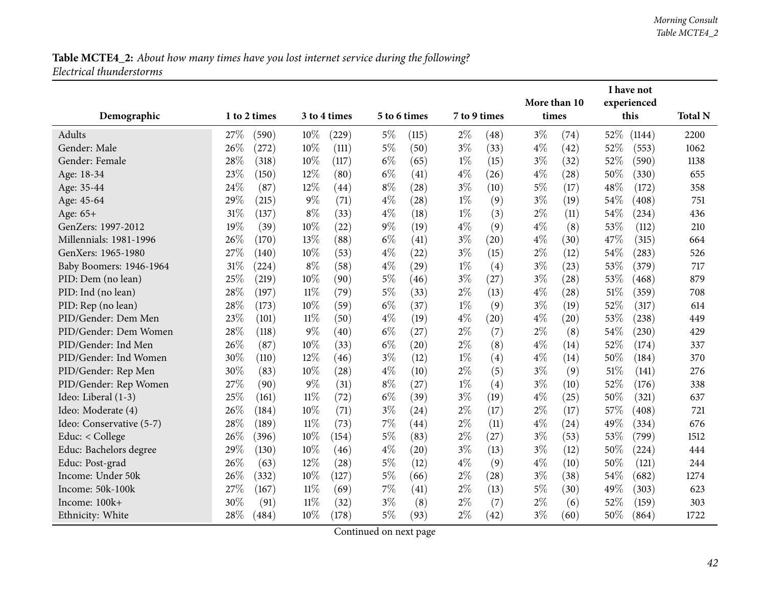|                          |      |              |        |              |       |              |       |              |              |                    |        | I have not  |                |
|--------------------------|------|--------------|--------|--------------|-------|--------------|-------|--------------|--------------|--------------------|--------|-------------|----------------|
|                          |      |              |        |              |       |              |       |              | More than 10 |                    |        | experienced |                |
| Demographic              |      | 1 to 2 times |        | 3 to 4 times |       | 5 to 6 times |       | 7 to 9 times | times        |                    |        | this        | <b>Total N</b> |
| <b>Adults</b>            | 27\% | (590)        | 10%    | $^{'}229)$   | $5\%$ | (115)        | $2\%$ | (48)         | $3\%$        | (74)               | 52%    | (1144)      | 2200           |
| Gender: Male             | 26%  | (272)        | 10%    | (111)        | $5\%$ | (50)         | $3\%$ | (33)         | $4\%$        | (42)               | 52%    | (553)       | 1062           |
| Gender: Female           | 28%  | (318)        | 10%    | (117)        | $6\%$ | (65)         | $1\%$ | (15)         | $3\%$        | (32)               | 52%    | (590)       | 1138           |
| Age: 18-34               | 23%  | (150)        | 12%    | (80)         | $6\%$ | (41)         | $4\%$ | (26)         | $4\%$        | $\left( 28\right)$ | 50%    | (330)       | 655            |
| Age: 35-44               | 24%  | (87)         | 12%    | (44)         | $8\%$ | (28)         | $3\%$ | (10)         | $5\%$        | (17)               | 48%    | (172)       | 358            |
| Age: 45-64               | 29%  | (215)        | $9\%$  | (71)         | $4\%$ | (28)         | $1\%$ | (9)          | $3\%$        | (19)               | 54%    | (408)       | 751            |
| Age: 65+                 | 31%  | (137)        | $8\%$  | (33)         | $4\%$ | (18)         | $1\%$ | (3)          | $2\%$        | (11)               | 54%    | (234)       | 436            |
| GenZers: 1997-2012       | 19%  | (39)         | 10%    | (22)         | $9\%$ | (19)         | $4\%$ | (9)          | $4\%$        | (8)                | 53%    | (112)       | 210            |
| Millennials: 1981-1996   | 26%  | (170)        | 13%    | (88)         | $6\%$ | (41)         | $3\%$ | (20)         | $4\%$        | (30)               | 47%    | (315)       | 664            |
| GenXers: 1965-1980       | 27%  | (140)        | 10%    | (53)         | $4\%$ | (22)         | $3\%$ | (15)         | $2\%$        | (12)               | 54%    | (283)       | 526            |
| Baby Boomers: 1946-1964  | 31%  | (224)        | $8\%$  | (58)         | $4\%$ | (29)         | $1\%$ | (4)          | $3\%$        | (23)               | 53%    | (379)       | 717            |
| PID: Dem (no lean)       | 25%  | (219)        | 10%    | (90)         | $5\%$ | (46)         | $3\%$ | (27)         | $3\%$        | $\left( 28\right)$ | 53%    | (468)       | 879            |
| PID: Ind (no lean)       | 28%  | (197)        | $11\%$ | (79)         | $5\%$ | (33)         | $2\%$ | (13)         | $4\%$        | (28)               | 51\%   | (359)       | 708            |
| PID: Rep (no lean)       | 28%  | (173)        | 10%    | (59)         | $6\%$ | (37)         | $1\%$ | (9)          | $3\%$        | (19)               | 52%    | (317)       | 614            |
| PID/Gender: Dem Men      | 23%  | (101)        | 11%    | (50)         | $4\%$ | (19)         | $4\%$ | (20)         | $4\%$        | (20)               | 53%    | (238)       | 449            |
| PID/Gender: Dem Women    | 28%  | (118)        | $9\%$  | (40)         | $6\%$ | (27)         | $2\%$ | (7)          | $2\%$        | (8)                | 54%    | (230)       | 429            |
| PID/Gender: Ind Men      | 26%  | (87)         | 10%    | (33)         | $6\%$ | (20)         | $2\%$ | (8)          | $4\%$        | (14)               | 52%    | (174)       | 337            |
| PID/Gender: Ind Women    | 30%  | (110)        | 12%    | (46)         | $3\%$ | (12)         | $1\%$ | (4)          | $4\%$        | (14)               | 50%    | (184)       | 370            |
| PID/Gender: Rep Men      | 30%  | (83)         | 10%    | (28)         | $4\%$ | (10)         | $2\%$ | (5)          | $3\%$        | (9)                | 51%    | (141)       | 276            |
| PID/Gender: Rep Women    | 27%  | (90)         | $9\%$  | (31)         | $8\%$ | (27)         | $1\%$ | (4)          | $3\%$        | (10)               | 52%    | (176)       | 338            |
| Ideo: Liberal (1-3)      | 25%  | (161)        | $11\%$ | (72)         | $6\%$ | (39)         | $3\%$ | (19)         | $4\%$        | (25)               | 50%    | (321)       | 637            |
| Ideo: Moderate (4)       | 26%  | (184)        | 10%    | (71)         | $3\%$ | (24)         | $2\%$ | (17)         | $2\%$        | (17)               | 57%    | (408)       | 721            |
| Ideo: Conservative (5-7) | 28%  | (189)        | $11\%$ | (73)         | 7%    | (44)         | $2\%$ | (11)         | $4\%$        | (24)               | 49%    | (334)       | 676            |
| Educ: < College          | 26%  | (396)        | 10%    | (154)        | $5\%$ | (83)         | $2\%$ | (27)         | $3\%$        | (53)               | 53%    | (799)       | 1512           |
| Educ: Bachelors degree   | 29%  | (130)        | 10%    | (46)         | $4\%$ | (20)         | $3\%$ | (13)         | $3\%$        | (12)               | 50%    | (224)       | 444            |
| Educ: Post-grad          | 26%  | (63)         | 12%    | (28)         | $5\%$ | (12)         | $4\%$ | (9)          | $4\%$        | (10)               | 50%    | (121)       | 244            |
| Income: Under 50k        | 26%  | (332)        | 10%    | (127)        | $5\%$ | (66)         | $2\%$ | (28)         | $3\%$        | (38)               | 54%    | (682)       | 1274           |
| Income: 50k-100k         | 27%  | (167)        | 11%    | (69)         | 7%    | (41)         | $2\%$ | (13)         | $5\%$        | (30)               | 49%    | (303)       | 623            |
| Income: 100k+            | 30%  | (91)         | $11\%$ | (32)         | $3\%$ | (8)          | $2\%$ | (7)          | $2\%$        | (6)                | 52%    | (159)       | 303            |
| Ethnicity: White         | 28%  | (484)        | 10%    | (178)        | $5\%$ | (93)         | $2\%$ | (42)         | $3\%$        | (60)               | $50\%$ | (864)       | 1722           |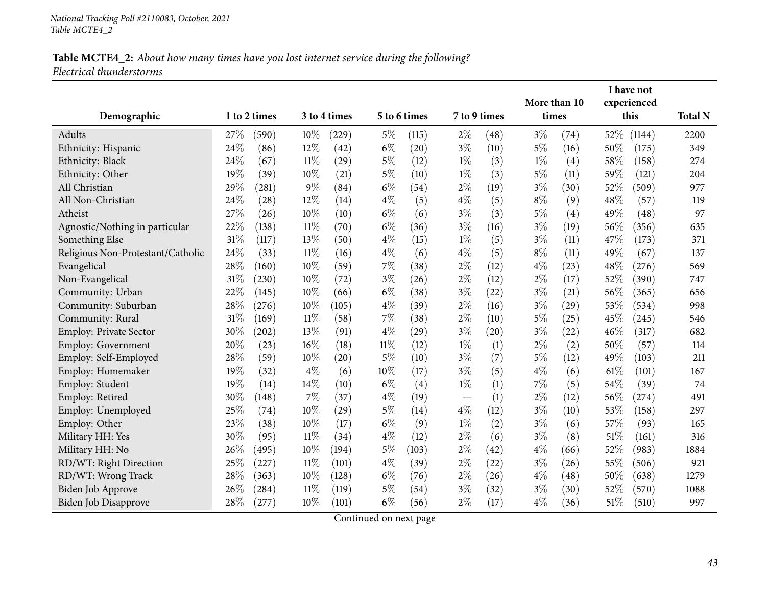|                                   |     |                     |        |              |        |              |       |              | More than 10 |      |        | I have not<br>experienced |                |
|-----------------------------------|-----|---------------------|--------|--------------|--------|--------------|-------|--------------|--------------|------|--------|---------------------------|----------------|
| Demographic                       |     | 1 to 2 times        |        | 3 to 4 times |        | 5 to 6 times |       | 7 to 9 times | times        |      |        | this                      | <b>Total N</b> |
| Adults                            | 27% | (590)               | 10%    | (229)        | $5\%$  | (115)        | $2\%$ | (48)         | $3\%$        | (74) | 52%    | (1144)                    | 2200           |
| Ethnicity: Hispanic               | 24% | (86)                | $12\%$ | (42)         | $6\%$  | (20)         | $3\%$ | (10)         | $5\%$        | (16) | 50\%   | (175)                     | 349            |
| Ethnicity: Black                  | 24% | (67)                | $11\%$ | (29)         | $5\%$  | (12)         | $1\%$ | (3)          | $1\%$        | (4)  | 58%    | (158)                     | 274            |
| Ethnicity: Other                  | 19% | (39)                | 10%    | (21)         | $5\%$  | (10)         | $1\%$ | (3)          | $5\%$        | (11) | 59%    | (121)                     | 204            |
| All Christian                     | 29% | (281)               | $9\%$  | (84)         | $6\%$  | (54)         | $2\%$ | (19)         | $3\%$        | (30) | 52%    | (509)                     | 977            |
| All Non-Christian                 | 24% | (28)                | 12%    | (14)         | $4\%$  | (5)          | $4\%$ | (5)          | $8\%$        | (9)  | 48%    | (57)                      | 119            |
| Atheist                           | 27% | (26)                | 10%    | (10)         | $6\%$  | (6)          | $3\%$ | (3)          | $5\%$        | (4)  | 49%    | (48)                      | 97             |
| Agnostic/Nothing in particular    | 22% | (138)               | $11\%$ | (70)         | $6\%$  | (36)         | $3\%$ | (16)         | $3\%$        | (19) | 56%    | (356)                     | 635            |
| Something Else                    | 31% | (117)               | 13%    | (50)         | $4\%$  | (15)         | $1\%$ | (5)          | $3\%$        | (11) | 47%    | (173)                     | 371            |
| Religious Non-Protestant/Catholic | 24% | (33)                | $11\%$ | (16)         | $4\%$  | (6)          | $4\%$ | (5)          | $8\%$        | (11) | 49%    | (67)                      | 137            |
| Evangelical                       | 28% | (160)               | 10%    | (59)         | 7%     | (38)         | $2\%$ | (12)         | $4\%$        | (23) | 48%    | (276)                     | 569            |
| Non-Evangelical                   | 31% | (230)               | 10%    | (72)         | $3\%$  | (26)         | $2\%$ | (12)         | $2\%$        | (17) | 52%    | (390)                     | 747            |
| Community: Urban                  | 22% | (145)               | 10%    | (66)         | $6\%$  | (38)         | $3\%$ | (22)         | $3\%$        | (21) | 56%    | (365)                     | 656            |
| Community: Suburban               | 28% | (276)               | 10%    | (105)        | $4\%$  | (39)         | $2\%$ | (16)         | $3\%$        | (29) | 53%    | (534)                     | 998            |
| Community: Rural                  | 31% | (169)               | $11\%$ | (58)         | 7%     | (38)         | $2\%$ | (10)         | $5\%$        | (25) | 45%    | (245)                     | 546            |
| Employ: Private Sector            | 30% | $\left( 202\right)$ | 13%    | (91)         | $4\%$  | (29)         | $3\%$ | (20)         | $3\%$        | (22) | 46%    | (317)                     | 682            |
| Employ: Government                | 20% | (23)                | 16%    | (18)         | $11\%$ | (12)         | $1\%$ | (1)          | $2\%$        | (2)  | 50%    | (57)                      | 114            |
| Employ: Self-Employed             | 28% | (59)                | 10%    | (20)         | $5\%$  | (10)         | $3\%$ | (7)          | $5\%$        | (12) | 49%    | (103)                     | 211            |
| Employ: Homemaker                 | 19% | (32)                | $4\%$  | (6)          | 10%    | (17)         | $3\%$ | (5)          | $4\%$        | (6)  | $61\%$ | (101)                     | 167            |
| Employ: Student                   | 19% | (14)                | 14\%   | (10)         | $6\%$  | (4)          | $1\%$ | (1)          | 7%           | (5)  | 54%    | (39)                      | 74             |
| Employ: Retired                   | 30% | (148)               | $7\%$  | (37)         | $4\%$  | (19)         |       | (1)          | $2\%$        | (12) | 56%    | (274)                     | 491            |
| Employ: Unemployed                | 25% | (74)                | 10%    | (29)         | $5\%$  | (14)         | $4\%$ | (12)         | $3\%$        | (10) | 53%    | (158)                     | 297            |
| Employ: Other                     | 23% | (38)                | 10%    | (17)         | $6\%$  | (9)          | $1\%$ | (2)          | $3\%$        | (6)  | 57%    | (93)                      | 165            |
| Military HH: Yes                  | 30% | (95)                | 11%    | (34)         | $4\%$  | (12)         | $2\%$ | (6)          | $3\%$        | (8)  | 51\%   | (161)                     | 316            |
| Military HH: No                   | 26% | (495)               | $10\%$ | (194)        | $5\%$  | (103)        | $2\%$ | (42)         | $4\%$        | (66) | 52%    | (983)                     | 1884           |
| RD/WT: Right Direction            | 25% | (227)               | $11\%$ | (101)        | $4\%$  | (39)         | $2\%$ | (22)         | $3\%$        | (26) | 55%    | (506)                     | 921            |
| RD/WT: Wrong Track                | 28% | (363)               | 10%    | (128)        | $6\%$  | (76)         | $2\%$ | (26)         | $4\%$        | (48) | 50%    | (638)                     | 1279           |
| Biden Job Approve                 | 26% | (284)               | 11%    | (119)        | $5\%$  | (54)         | $3\%$ | (32)         | $3\%$        | (30) | 52%    | (570)                     | 1088           |
| Biden Job Disapprove              | 28% | (277)               | 10%    | (101)        | $6\%$  | (56)         | $2\%$ | (17)         | $4\%$        | (36) | 51\%   | (510)                     | 997            |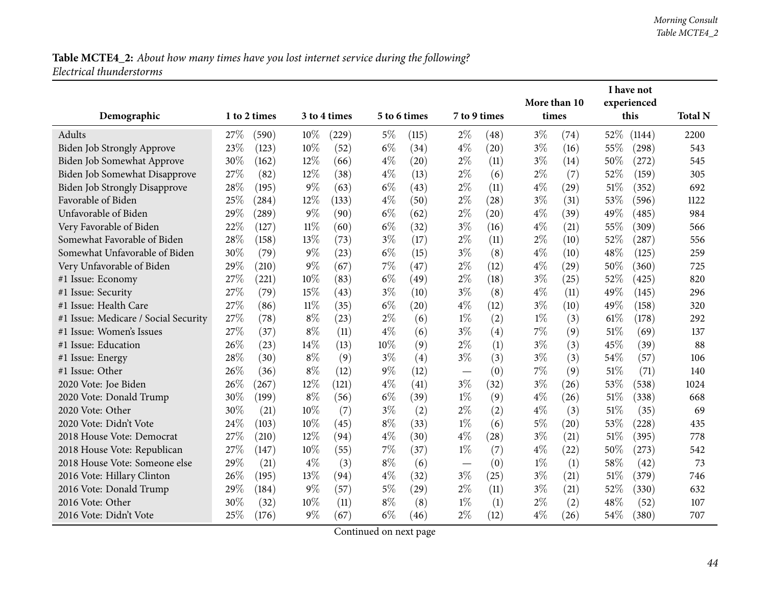|                                      |     |              |        |              |       |              |                          |      |              |      |        | I have not  |                |
|--------------------------------------|-----|--------------|--------|--------------|-------|--------------|--------------------------|------|--------------|------|--------|-------------|----------------|
|                                      |     |              |        |              |       |              |                          |      | More than 10 |      |        | experienced |                |
| Demographic                          |     | 1 to 2 times |        | 3 to 4 times |       | 5 to 6 times | 7 to 9 times             |      | times        |      |        | this        | <b>Total N</b> |
| Adults                               | 27% | (590)        | 10%    | (229)        | $5\%$ | (115)        | $2\%$                    | (48) | $3\%$        | (74) | 52%    | (1144)      | 2200           |
| Biden Job Strongly Approve           | 23% | (123)        | 10%    | (52)         | $6\%$ | (34)         | $4\%$                    | (20) | $3\%$        | (16) | 55%    | (298)       | 543            |
| Biden Job Somewhat Approve           | 30% | (162)        | $12\%$ | (66)         | $4\%$ | (20)         | $2\%$                    | (11) | $3\%$        | (14) | 50%    | (272)       | 545            |
| Biden Job Somewhat Disapprove        | 27% | (82)         | 12%    | (38)         | $4\%$ | (13)         | $2\%$                    | (6)  | $2\%$        | (7)  | 52%    | (159)       | 305            |
| <b>Biden Job Strongly Disapprove</b> | 28% | (195)        | $9\%$  | (63)         | $6\%$ | (43)         | $2\%$                    | (11) | $4\%$        | (29) | 51\%   | (352)       | 692            |
| Favorable of Biden                   | 25% | (284)        | 12%    | (133)        | $4\%$ | (50)         | $2\%$                    | (28) | $3\%$        | (31) | 53%    | (596)       | 1122           |
| Unfavorable of Biden                 | 29% | (289)        | $9\%$  | (90)         | $6\%$ | (62)         | $2\%$                    | (20) | $4\%$        | (39) | 49%    | (485)       | 984            |
| Very Favorable of Biden              | 22% | (127)        | $11\%$ | (60)         | $6\%$ | (32)         | $3\%$                    | (16) | $4\%$        | (21) | 55%    | (309)       | 566            |
| Somewhat Favorable of Biden          | 28% | (158)        | 13%    | (73)         | $3\%$ | (17)         | $2\%$                    | (11) | $2\%$        | (10) | 52%    | (287)       | 556            |
| Somewhat Unfavorable of Biden        | 30% | (79)         | $9\%$  | (23)         | $6\%$ | (15)         | $3\%$                    | (8)  | $4\%$        | (10) | 48%    | (125)       | 259            |
| Very Unfavorable of Biden            | 29% | (210)        | $9\%$  | (67)         | 7%    | (47)         | $2\%$                    | (12) | $4\%$        | (29) | 50%    | (360)       | 725            |
| #1 Issue: Economy                    | 27% | (221)        | 10%    | (83)         | $6\%$ | (49)         | $2\%$                    | (18) | $3\%$        | (25) | 52%    | (425)       | 820            |
| #1 Issue: Security                   | 27% | (79)         | 15%    | (43)         | $3\%$ | (10)         | $3\%$                    | (8)  | $4\%$        | (11) | 49%    | (145)       | 296            |
| #1 Issue: Health Care                | 27% | (86)         | 11%    | (35)         | $6\%$ | (20)         | $4\%$                    | (12) | $3\%$        | (10) | 49%    | (158)       | 320            |
| #1 Issue: Medicare / Social Security | 27% | (78)         | $8\%$  | (23)         | $2\%$ | (6)          | $1\%$                    | (2)  | $1\%$        | (3)  | $61\%$ | (178)       | 292            |
| #1 Issue: Women's Issues             | 27% | (37)         | $8\%$  | (11)         | $4\%$ | (6)          | $3\%$                    | (4)  | $7\%$        | (9)  | 51%    | (69)        | 137            |
| #1 Issue: Education                  | 26% | (23)         | 14%    | (13)         | 10%   | (9)          | $2\%$                    | (1)  | $3\%$        | (3)  | 45%    | (39)        | 88             |
| #1 Issue: Energy                     | 28% | (30)         | $8\%$  | (9)          | $3\%$ | (4)          | $3\%$                    | (3)  | $3\%$        | (3)  | 54%    | (57)        | 106            |
| #1 Issue: Other                      | 26% | (36)         | $8\%$  | (12)         | $9\%$ | (12)         | $\overline{\phantom{0}}$ | (0)  | 7%           | (9)  | 51\%   | (71)        | 140            |
| 2020 Vote: Joe Biden                 | 26% | (267)        | 12%    | (121)        | $4\%$ | (41)         | $3\%$                    | (32) | $3\%$        | (26) | 53%    | (538)       | 1024           |
| 2020 Vote: Donald Trump              | 30% | (199)        | $8\%$  | (56)         | $6\%$ | (39)         | $1\%$                    | (9)  | $4\%$        | (26) | 51\%   | (338)       | 668            |
| 2020 Vote: Other                     | 30% | (21)         | 10%    | (7)          | $3\%$ | (2)          | $2\%$                    | (2)  | $4\%$        | (3)  | 51%    | (35)        | 69             |
| 2020 Vote: Didn't Vote               | 24% | (103)        | 10%    | (45)         | $8\%$ | (33)         | $1\%$                    | (6)  | $5\%$        | (20) | 53%    | (228)       | 435            |
| 2018 House Vote: Democrat            | 27% | (210)        | $12\%$ | (94)         | $4\%$ | (30)         | $4\%$                    | (28) | $3\%$        | (21) | 51\%   | (395)       | 778            |
| 2018 House Vote: Republican          | 27% | (147)        | 10%    | (55)         | $7\%$ | (37)         | $1\%$                    | (7)  | $4\%$        | (22) | 50%    | (273)       | 542            |
| 2018 House Vote: Someone else        | 29% | (21)         | $4\%$  | (3)          | $8\%$ | (6)          |                          | (0)  | $1\%$        | (1)  | 58%    | (42)        | 73             |
| 2016 Vote: Hillary Clinton           | 26% | (195)        | 13%    | (94)         | $4\%$ | (32)         | $3\%$                    | (25) | $3\%$        | (21) | 51\%   | (379)       | 746            |
| 2016 Vote: Donald Trump              | 29% | (184)        | $9\%$  | (57)         | $5\%$ | (29)         | $2\%$                    | (11) | $3\%$        | (21) | 52%    | (330)       | 632            |
| 2016 Vote: Other                     | 30% | (32)         | 10%    | (11)         | $8\%$ | (8)          | $1\%$                    | (1)  | $2\%$        | (2)  | 48%    | (52)        | 107            |
| 2016 Vote: Didn't Vote               | 25% | (176)        | $9\%$  | (67)         | $6\%$ | (46)         | $2\%$                    | (12) | $4\%$        | (26) | 54%    | (380)       | 707            |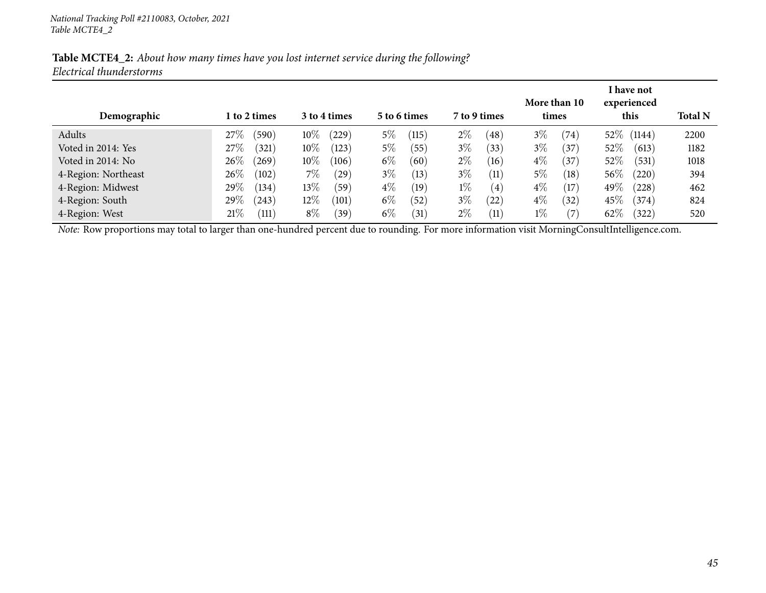| Demographic         | l to 2 times                 | 3 to 4 times    | 5 to 6 times      | 7 to 9 times               | More than 10<br>times      | I have not<br>experienced<br>this | <b>Total N</b> |
|---------------------|------------------------------|-----------------|-------------------|----------------------------|----------------------------|-----------------------------------|----------------|
| Adults              | 27\%<br>(590)                | $10\%$<br>229   | $5\%$<br>115      | $2\%$<br>$^{'}48$          | $3\%$<br>(74)              | 52\% (1144)                       | 2200           |
| Voted in 2014: Yes  | 27\%<br>(321)                | $10\%$<br>(123) | $5\%$<br>(55)     | $3\%$<br>(33)              | $3\%$<br>(37               | $52\%$<br>(613)                   | 1182           |
| Voted in 2014: No   | 26%<br>(269)                 | $10\%$<br>(106) | $6\%$<br>(60      | $2\%$<br>(16)              | $4\%$<br>$\left(37\right)$ | $52\%$<br>(531)                   | 1018           |
| 4-Region: Northeast | 26%<br>(102)                 | 7%<br>(29)      | $3\%$<br>(13)     | $3\%$<br>(11)              | $5\%$<br>(18)              | $56\%$<br>(220)                   | 394            |
| 4-Region: Midwest   | 29%<br>(134)                 | $13\%$<br>(59)  | $4\%$<br>(19)     | $1\%$<br>$\left( 4\right)$ | $4\%$<br>(17)              | 49\%<br>(228)                     | 462            |
| 4-Region: South     | 29\%<br>(243)                | $12\%$<br>(101) | $6\%$<br>$^{'}52$ | $3\%$<br>(22)              | $4\%$<br>(32)              | $45\%$<br>(374)                   | 824            |
| 4-Region: West      | $21\%$<br>$\left(111\right)$ | $8\%$<br>(39)   | $6\%$<br>31       | $2\%$<br>(11)              | $1\%$<br>(7                | $62\%$<br>322)                    | 520            |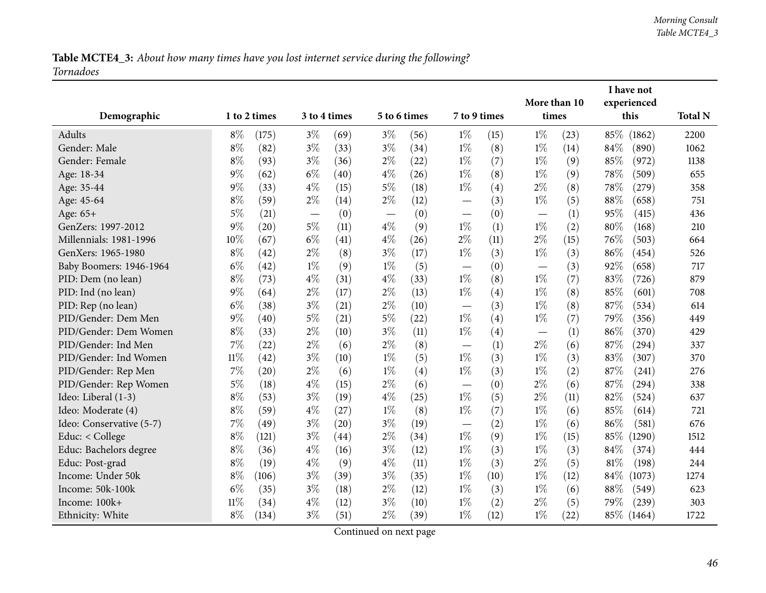## Table MCTE4\_3: About how many times have you lost internet service during the following? *Tornadoes*

| Demographic              |        | 1 to 2 times |                                   | 3 to 4 times |       | 5 to 6 times | 7 to 9 times                      |      | More than 10<br>times             |      |      | I have not<br>experienced<br>this | <b>Total N</b> |
|--------------------------|--------|--------------|-----------------------------------|--------------|-------|--------------|-----------------------------------|------|-----------------------------------|------|------|-----------------------------------|----------------|
| Adults                   | $8\%$  | (175)        | $3\%$                             | (69)         | $3\%$ | (56)         | $1\%$                             | (15) | $1\%$                             | (23) | 85\% | (1862)                            | 2200           |
| Gender: Male             | $8\%$  | (82)         | $3\%$                             | (33)         | $3\%$ | (34)         | $1\%$                             | (8)  | $1\%$                             | (14) | 84%  | (890)                             | 1062           |
| Gender: Female           | $8\%$  | (93)         | $3\%$                             | (36)         | $2\%$ | (22)         | $1\%$                             | (7)  | $1\%$                             | (9)  | 85%  | (972)                             | 1138           |
| Age: 18-34               | $9\%$  | (62)         | $6\%$                             | (40)         | $4\%$ | (26)         | $1\%$                             | (8)  | $1\%$                             | (9)  | 78%  | (509)                             | 655            |
| Age: 35-44               | $9\%$  | (33)         | $4\%$                             | (15)         | $5\%$ | (18)         | $1\%$                             | (4)  | $2\%$                             | (8)  | 78%  | (279)                             | 358            |
| Age: 45-64               | $8\%$  | (59)         | $2\%$                             | (14)         | $2\%$ | (12)         |                                   | (3)  | $1\%$                             | (5)  | 88%  | (658)                             | 751            |
| Age: 65+                 | $5\%$  | (21)         | $\overbrace{\phantom{123221111}}$ | (0)          |       | (0)          |                                   | (0)  |                                   | (1)  | 95%  | (415)                             | 436            |
| GenZers: 1997-2012       | $9\%$  | (20)         | $5\%$                             | (11)         | $4\%$ | (9)          | $1\%$                             | (1)  | $1\%$                             | (2)  | 80%  | (168)                             | 210            |
| Millennials: 1981-1996   | 10%    | (67)         | $6\%$                             | (41)         | $4\%$ | (26)         | $2\%$                             | (11) | $2\%$                             | (15) | 76%  | (503)                             | 664            |
| GenXers: 1965-1980       | $8\%$  | (42)         | $2\%$                             | (8)          | $3\%$ | (17)         | $1\%$                             | (3)  | $1\%$                             | (3)  | 86%  | (454)                             | 526            |
| Baby Boomers: 1946-1964  | $6\%$  | (42)         | $1\%$                             | (9)          | $1\%$ | (5)          | $\overbrace{\phantom{12322111}}$  | (0)  | $\overbrace{\phantom{123221111}}$ | (3)  | 92%  | (658)                             | 717            |
| PID: Dem (no lean)       | $8\%$  | (73)         | $4\%$                             | (31)         | $4\%$ | (33)         | $1\%$                             | (8)  | $1\%$                             | (7)  | 83%  | (726)                             | 879            |
| PID: Ind (no lean)       | $9\%$  | (64)         | $2\%$                             | (17)         | $2\%$ | (13)         | $1\%$                             | (4)  | $1\%$                             | (8)  | 85%  | (601)                             | 708            |
| PID: Rep (no lean)       | $6\%$  | (38)         | $3\%$                             | (21)         | $2\%$ | (10)         |                                   | (3)  | $1\%$                             | (8)  | 87%  | (534)                             | 614            |
| PID/Gender: Dem Men      | $9\%$  | (40)         | $5\%$                             | (21)         | $5\%$ | (22)         | $1\%$                             | (4)  | $1\%$                             | (7)  | 79%  | (356)                             | 449            |
| PID/Gender: Dem Women    | $8\%$  | (33)         | $2\%$                             | (10)         | $3\%$ | (11)         | $1\%$                             | (4)  | $\overbrace{\phantom{123221111}}$ | (1)  | 86%  | (370)                             | 429            |
| PID/Gender: Ind Men      | $7\%$  | (22)         | $2\%$                             | (6)          | $2\%$ | (8)          | $\overbrace{\phantom{123221111}}$ | (1)  | $2\%$                             | (6)  | 87%  | (294)                             | 337            |
| PID/Gender: Ind Women    | $11\%$ | (42)         | $3\%$                             | (10)         | $1\%$ | (5)          | $1\%$                             | (3)  | $1\%$                             | (3)  | 83%  | (307)                             | 370            |
| PID/Gender: Rep Men      | $7\%$  | (20)         | $2\%$                             | (6)          | $1\%$ | (4)          | $1\%$                             | (3)  | $1\%$                             | (2)  | 87%  | (241)                             | 276            |
| PID/Gender: Rep Women    | $5\%$  | (18)         | $4\%$                             | (15)         | $2\%$ | (6)          | $\overbrace{\phantom{12322111}}$  | (0)  | $2\%$                             | (6)  | 87%  | (294)                             | 338            |
| Ideo: Liberal (1-3)      | $8\%$  | (53)         | $3\%$                             | (19)         | $4\%$ | (25)         | $1\%$                             | (5)  | $2\%$                             | (11) | 82%  | (524)                             | 637            |
| Ideo: Moderate (4)       | $8\%$  | (59)         | $4\%$                             | (27)         | $1\%$ | (8)          | $1\%$                             | (7)  | $1\%$                             | (6)  | 85%  | (614)                             | 721            |
| Ideo: Conservative (5-7) | $7\%$  | (49)         | $3\%$                             | (20)         | $3\%$ | (19)         |                                   | (2)  | $1\%$                             | (6)  | 86%  | (581)                             | 676            |
| Educ: < College          | $8\%$  | (121)        | $3\%$                             | (44)         | $2\%$ | (34)         | $1\%$                             | (9)  | $1\%$                             | (15) | 85%  | (1290)                            | 1512           |
| Educ: Bachelors degree   | $8\%$  | (36)         | $4\%$                             | (16)         | $3\%$ | (12)         | $1\%$                             | (3)  | $1\%$                             | (3)  | 84%  | (374)                             | 444            |
| Educ: Post-grad          | $8\%$  | (19)         | $4\%$                             | (9)          | $4\%$ | (11)         | $1\%$                             | (3)  | $2\%$                             | (5)  | 81%  | (198)                             | 244            |
| Income: Under 50k        | $8\%$  | (106)        | $3\%$                             | (39)         | $3\%$ | (35)         | $1\%$                             | (10) | $1\%$                             | (12) | 84\% | (1073)                            | 1274           |
| Income: 50k-100k         | $6\%$  | (35)         | $3\%$                             | (18)         | $2\%$ | (12)         | $1\%$                             | (3)  | $1\%$                             | (6)  | 88%  | (549)                             | 623            |
| Income: 100k+            | $11\%$ | (34)         | $4\%$                             | (12)         | $3\%$ | (10)         | $1\%$                             | (2)  | $2\%$                             | (5)  | 79%  | (239)                             | 303            |
| Ethnicity: White         | $8\%$  | (134)        | $3\%$                             | (51)         | $2\%$ | (39)         | $1\%$                             | (12) | $1\%$                             | (22) |      | 85\% (1464)                       | 1722           |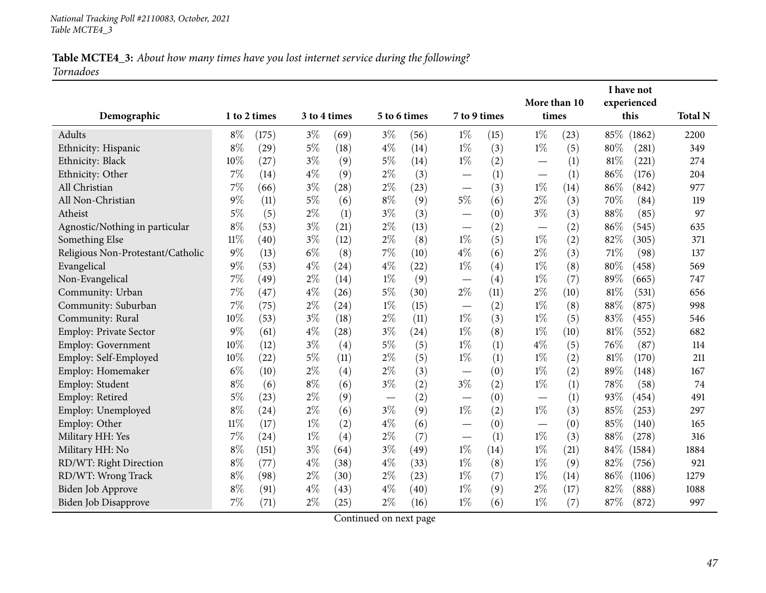### Table MCTE4\_3: About how many times have you lost internet service during the following? *Tornadoes*

|                                   |              |       |              |      |       |                    |                          |      | More than 10                      |      |        | I have not<br>experienced |                |
|-----------------------------------|--------------|-------|--------------|------|-------|--------------------|--------------------------|------|-----------------------------------|------|--------|---------------------------|----------------|
| Demographic                       | 1 to 2 times |       | 3 to 4 times |      |       | 5 to 6 times       | 7 to 9 times             |      | times                             |      |        | this                      | <b>Total N</b> |
| Adults                            | $8\%$        | (175) | $3\%$        | (69) | $3\%$ | (56)               | $1\%$                    | (15) | $1\%$                             | (23) | $85\%$ | (1862)                    | 2200           |
| Ethnicity: Hispanic               | $8\%$        | (29)  | $5\%$        | (18) | $4\%$ | (14)               | $1\%$                    | (3)  | $1\%$                             | (5)  | $80\%$ | (281)                     | 349            |
| Ethnicity: Black                  | 10%          | (27)  | $3\%$        | (9)  | $5\%$ | (14)               | $1\%$                    | (2)  |                                   | (1)  | $81\%$ | (221)                     | 274            |
| Ethnicity: Other                  | 7%           | (14)  | $4\%$        | (9)  | $2\%$ | (3)                |                          | (1)  |                                   | (1)  | 86%    | (176)                     | 204            |
| All Christian                     | 7%           | (66)  | $3\%$        | (28) | $2\%$ | (23)               | $\overline{\phantom{m}}$ | (3)  | $1\%$                             | (14) | 86%    | (842)                     | 977            |
| All Non-Christian                 | $9\%$        | (11)  | $5\%$        | (6)  | $8\%$ | (9)                | $5\%$                    | (6)  | $2\%$                             | (3)  | 70%    | (84)                      | 119            |
| Atheist                           | $5\%$        | (5)   | $2\%$        | (1)  | $3\%$ | (3)                | $\overline{\phantom{0}}$ | (0)  | $3\%$                             | (3)  | 88%    | (85)                      | 97             |
| Agnostic/Nothing in particular    | $8\%$        | (53)  | $3\%$        | (21) | $2\%$ | (13)               |                          | (2)  | $\overbrace{\phantom{123221111}}$ | (2)  | 86%    | (545)                     | 635            |
| Something Else                    | 11%          | (40)  | $3\%$        | (12) | $2\%$ | (8)                | $1\%$                    | (5)  | $1\%$                             | (2)  | 82%    | (305)                     | 371            |
| Religious Non-Protestant/Catholic | $9\%$        | (13)  | $6\%$        | (8)  | 7%    | (10)               | $4\%$                    | (6)  | $2\%$                             | (3)  | 71%    | (98)                      | 137            |
| Evangelical                       | 9%           | (53)  | $4\%$        | (24) | $4\%$ | (22)               | $1\%$                    | (4)  | $1\%$                             | (8)  | 80%    | (458)                     | 569            |
| Non-Evangelical                   | $7\%$        | (49)  | $2\%$        | (14) | $1\%$ | (9)                |                          | (4)  | $1\%$                             | (7)  | 89%    | (665)                     | 747            |
| Community: Urban                  | 7%           | (47)  | $4\%$        | (26) | $5\%$ | (30)               | $2\%$                    | (11) | $2\%$                             | (10) | $81\%$ | (531)                     | 656            |
| Community: Suburban               | 7%           | (75)  | $2\%$        | (24) | $1\%$ | (15)               | $\overline{\phantom{0}}$ | (2)  | $1\%$                             | (8)  | 88%    | (875)                     | 998            |
| Community: Rural                  | 10%          | (53)  | $3\%$        | (18) | $2\%$ | (11)               | $1\%$                    | (3)  | $1\%$                             | (5)  | 83%    | (455)                     | 546            |
| Employ: Private Sector            | $9\%$        | (61)  | $4\%$        | (28) | $3\%$ | $\left( 24\right)$ | $1\%$                    | (8)  | $1\%$                             | (10) | 81%    | (552)                     | 682            |
| Employ: Government                | 10%          | (12)  | $3\%$        | (4)  | $5\%$ | (5)                | $1\%$                    | (1)  | $4\%$                             | (5)  | 76%    | (87)                      | 114            |
| Employ: Self-Employed             | 10%          | (22)  | $5\%$        | (11) | $2\%$ | (5)                | $1\%$                    | (1)  | $1\%$                             | (2)  | 81%    | (170)                     | 211            |
| Employ: Homemaker                 | $6\%$        | (10)  | $2\%$        | (4)  | $2\%$ | (3)                |                          | (0)  | $1\%$                             | (2)  | 89%    | (148)                     | 167            |
| Employ: Student                   | $8\%$        | (6)   | $8\%$        | (6)  | $3\%$ | (2)                | $3\%$                    | (2)  | $1\%$                             | (1)  | 78%    | (58)                      | 74             |
| Employ: Retired                   | $5\%$        | (23)  | $2\%$        | (9)  |       | (2)                | $\overline{\phantom{0}}$ | (0)  |                                   | (1)  | 93%    | (454)                     | 491            |
| Employ: Unemployed                | $8\%$        | (24)  | $2\%$        | (6)  | $3\%$ | (9)                | $1\%$                    | (2)  | $1\%$                             | (3)  | 85%    | (253)                     | 297            |
| Employ: Other                     | $11\%$       | (17)  | $1\%$        | (2)  | $4\%$ | (6)                |                          | (0)  |                                   | (0)  | 85%    | (140)                     | 165            |
| Military HH: Yes                  | 7%           | (24)  | $1\%$        | (4)  | $2\%$ | (7)                | $\overline{\phantom{0}}$ | (1)  | $1\%$                             | (3)  | 88%    | (278)                     | 316            |
| Military HH: No                   | $8\%$        | (151) | $3\%$        | (64) | $3\%$ | (49)               | $1\%$                    | (14) | $1\%$                             | (21) | 84\%   | (1584)                    | 1884           |
| RD/WT: Right Direction            | $8\%$        | (77)  | $4\%$        | (38) | $4\%$ | (33)               | $1\%$                    | (8)  | $1\%$                             | (9)  | 82%    | (756)                     | 921            |
| RD/WT: Wrong Track                | $8\%$        | (98)  | $2\%$        | (30) | $2\%$ | (23)               | $1\%$                    | (7)  | $1\%$                             | (14) | 86%    | (1106)                    | 1279           |
| Biden Job Approve                 | $8\%$        | (91)  | $4\%$        | (43) | $4\%$ | (40)               | $1\%$                    | (9)  | $2\%$                             | (17) | 82%    | (888)                     | 1088           |
| Biden Job Disapprove              | 7%           | (71)  | $2\%$        | (25) | $2\%$ | (16)               | $1\%$                    | (6)  | $1\%$                             | (7)  | 87%    | (872)                     | 997            |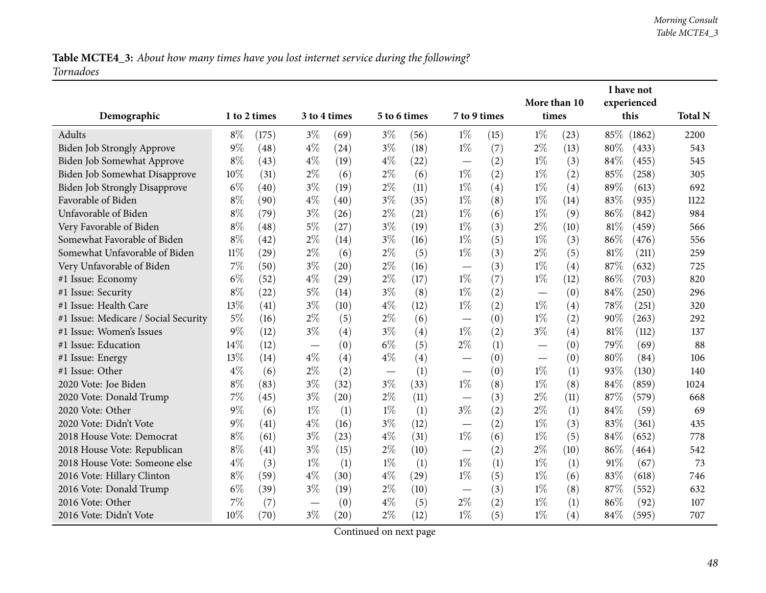Table MCTE4\_3: About how many times have you lost internet service during the following? *Tornadoes*

|                                      |        |              |       |              |              |      |                          |      |                       |      |        | I have not          |                |
|--------------------------------------|--------|--------------|-------|--------------|--------------|------|--------------------------|------|-----------------------|------|--------|---------------------|----------------|
| Demographic                          |        | 1 to 2 times |       | 3 to 4 times | 5 to 6 times |      | 7 to 9 times             |      | More than 10<br>times |      |        | experienced<br>this | <b>Total N</b> |
|                                      |        |              |       |              |              |      |                          |      |                       |      |        |                     |                |
| Adults                               | $8\%$  | (175)        | $3\%$ | (69)         | $3\%$        | (56) | $1\%$                    | (15) | $1\%$                 | (23) |        | 85% (1862)          | 2200           |
| Biden Job Strongly Approve           | $9\%$  | (48)         | $4\%$ | (24)         | $3\%$        | (18) | $1\%$                    | (7)  | $2\%$                 | (13) | 80%    | (433)               | 543            |
| Biden Job Somewhat Approve           | $8\%$  | (43)         | $4\%$ | (19)         | $4\%$        | (22) |                          | (2)  | $1\%$                 | (3)  | 84%    | (455)               | 545            |
| Biden Job Somewhat Disapprove        | 10%    | (31)         | $2\%$ | (6)          | $2\%$        | (6)  | $1\%$                    | (2)  | $1\%$                 | (2)  | 85%    | (258)               | 305            |
| <b>Biden Job Strongly Disapprove</b> | $6\%$  | (40)         | $3\%$ | (19)         | $2\%$        | (11) | $1\%$                    | (4)  | $1\%$                 | (4)  | 89%    | (613)               | 692            |
| Favorable of Biden                   | $8\%$  | (90)         | $4\%$ | (40)         | $3\%$        | (35) | $1\%$                    | (8)  | $1\%$                 | (14) | 83%    | (935)               | 1122           |
| Unfavorable of Biden                 | $8\%$  | (79)         | $3\%$ | (26)         | $2\%$        | (21) | $1\%$                    | (6)  | $1\%$                 | (9)  | 86%    | (842)               | 984            |
| Very Favorable of Biden              | $8\%$  | (48)         | $5\%$ | (27)         | $3\%$        | (19) | $1\%$                    | (3)  | $2\%$                 | (10) | $81\%$ | (459)               | 566            |
| Somewhat Favorable of Biden          | $8\%$  | (42)         | $2\%$ | (14)         | $3\%$        | (16) | $1\%$                    | (5)  | $1\%$                 | (3)  | 86%    | (476)               | 556            |
| Somewhat Unfavorable of Biden        | $11\%$ | (29)         | $2\%$ | (6)          | $2\%$        | (5)  | $1\%$                    | (3)  | $2\%$                 | (5)  | 81%    | (211)               | 259            |
| Very Unfavorable of Biden            | 7%     | (50)         | $3\%$ | (20)         | $2\%$        | (16) | $\overline{\phantom{0}}$ | (3)  | $1\%$                 | (4)  | 87%    | (632)               | 725            |
| #1 Issue: Economy                    | $6\%$  | (52)         | $4\%$ | (29)         | $2\%$        | (17) | $1\%$                    | (7)  | $1\%$                 | (12) | 86%    | (703)               | 820            |
| #1 Issue: Security                   | $8\%$  | (22)         | $5\%$ | (14)         | $3\%$        | (8)  | $1\%$                    | (2)  |                       | (0)  | 84\%   | (250)               | 296            |
| #1 Issue: Health Care                | 13%    | (41)         | $3\%$ | (10)         | $4\%$        | (12) | $1\%$                    | (2)  | $1\%$                 | (4)  | 78%    | (251)               | 320            |
| #1 Issue: Medicare / Social Security | $5\%$  | (16)         | $2\%$ | (5)          | $2\%$        | (6)  |                          | (0)  | $1\%$                 | (2)  | 90%    | (263)               | 292            |
| #1 Issue: Women's Issues             | 9%     | (12)         | $3\%$ | (4)          | $3\%$        | (4)  | $1\%$                    | (2)  | $3\%$                 | (4)  | 81%    | (112)               | 137            |
| #1 Issue: Education                  | 14%    | (12)         |       | (0)          | $6\%$        | (5)  | $2\%$                    | (1)  |                       | (0)  | 79%    | (69)                | 88             |
| #1 Issue: Energy                     | 13%    | (14)         | $4\%$ | (4)          | $4\%$        | (4)  | $\overline{\phantom{0}}$ | (0)  |                       | (0)  | 80%    | (84)                | 106            |
| #1 Issue: Other                      | $4\%$  | (6)          | $2\%$ | (2)          |              | (1)  | $\overline{\phantom{0}}$ | (0)  | $1\%$                 | (1)  | 93%    | (130)               | 140            |
| 2020 Vote: Joe Biden                 | $8\%$  | (83)         | $3\%$ | (32)         | $3\%$        | (33) | $1\%$                    | (8)  | $1\%$                 | (8)  | 84%    | (859)               | 1024           |
| 2020 Vote: Donald Trump              | 7%     | (45)         | $3\%$ | (20)         | $2\%$        | (11) |                          | (3)  | $2\%$                 | (11) | 87%    | (579)               | 668            |
| 2020 Vote: Other                     | $9\%$  | (6)          | $1\%$ | (1)          | $1\%$        | (1)  | $3\%$                    | (2)  | $2\%$                 | (1)  | 84%    | (59)                | 69             |
| 2020 Vote: Didn't Vote               | $9\%$  | (41)         | $4\%$ | (16)         | $3\%$        | (12) | $\overline{\phantom{0}}$ | (2)  | $1\%$                 | (3)  | 83%    | (361)               | 435            |
| 2018 House Vote: Democrat            | $8\%$  | (61)         | $3\%$ | (23)         | $4\%$        | (31) | $1\%$                    | (6)  | $1\%$                 | (5)  | 84%    | (652)               | 778            |
| 2018 House Vote: Republican          | $8\%$  | (41)         | $3\%$ | (15)         | $2\%$        | (10) |                          | (2)  | $2\%$                 | (10) | 86%    | (464)               | 542            |
| 2018 House Vote: Someone else        | $4\%$  | (3)          | $1\%$ | (1)          | $1\%$        | (1)  | $1\%$                    | (1)  | $1\%$                 | (1)  | 91%    | (67)                | 73             |
| 2016 Vote: Hillary Clinton           | $8\%$  | (59)         | $4\%$ | (30)         | $4\%$        | (29) | $1\%$                    | (5)  | $1\%$                 | (6)  | 83%    | (618)               | 746            |
| 2016 Vote: Donald Trump              | $6\%$  | (39)         | $3\%$ | (19)         | $2\%$        | (10) |                          | (3)  | $1\%$                 | (8)  | 87%    | (552)               | 632            |
| 2016 Vote: Other                     | 7%     | (7)          |       | (0)          | $4\%$        | (5)  | $2\%$                    | (2)  | $1\%$                 | (1)  | 86%    | (92)                | 107            |
| 2016 Vote: Didn't Vote               | 10%    | (70)         | $3\%$ | (20)         | $2\%$        | (12) | $1\%$                    | (5)  | $1\%$                 | (4)  | 84\%   | (595)               | 707            |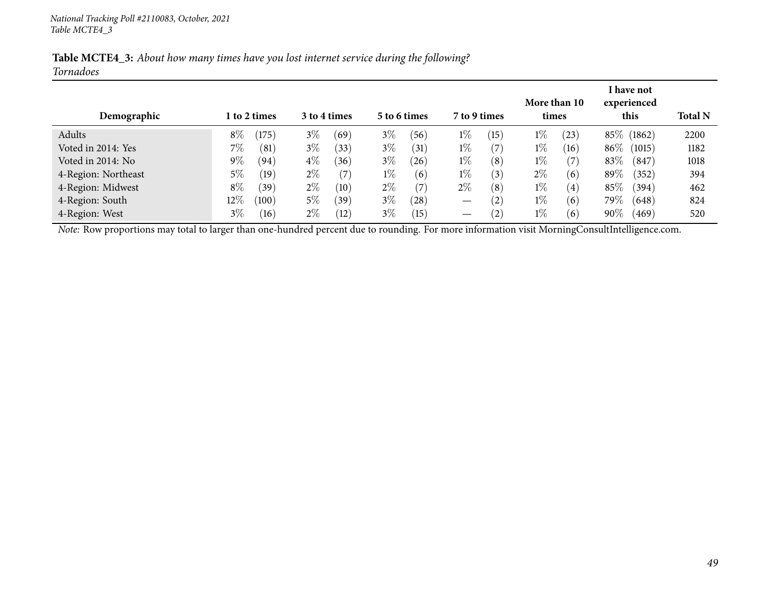| Table MCTE4_3: About how many times have you lost internet service during the following? |  |  |  |  |  |  |
|------------------------------------------------------------------------------------------|--|--|--|--|--|--|
| Tornadoes                                                                                |  |  |  |  |  |  |

| Demographic                                                                                                                                    |        | l to 2 times |       | 3 to 4 times      |       | 5 to 6 times      | 7 to 9 times                    |      | More than 10<br>times |                   |         | I have not<br>experienced<br>this | <b>Total N</b> |
|------------------------------------------------------------------------------------------------------------------------------------------------|--------|--------------|-------|-------------------|-------|-------------------|---------------------------------|------|-----------------------|-------------------|---------|-----------------------------------|----------------|
| Adults                                                                                                                                         | $8\%$  | (175)        | $3\%$ | (69)              | $3\%$ | (56)              | $1\%$                           | (15) | $1\%$                 | (23)              |         | 85\% (1862)                       | 2200           |
| Voted in 2014: Yes                                                                                                                             | $7\%$  | (81)         | $3\%$ | (33)              | $3\%$ | (31)              | $1\%$                           | (7)  | $1\%$                 | (16)              | $86\%$  | (1015)                            | 1182           |
| Voted in 2014: No                                                                                                                              | $9\%$  | (94)         | $4\%$ | (36)              | $3\%$ | (26)              | $1\%$                           | (8)  | $1\%$                 | (7                | 83\%    | (847)                             | 1018           |
| 4-Region: Northeast                                                                                                                            | 5%     | (19)         | $2\%$ | $\left( 7\right)$ | $1\%$ | (6)               | $1\%$                           | (3)  | $2\%$                 | (6)               | 89\%    | (352)                             | 394            |
| 4-Region: Midwest                                                                                                                              | $8\%$  | (39)         | $2\%$ | (10)              | $2\%$ | $\left( 7\right)$ | $2\%$                           | (8)  | $1\%$                 | $\left( 4\right)$ | 85\%    | (394)                             | 462            |
| 4-Region: South                                                                                                                                | $12\%$ | (100)        | $5\%$ | (39`              | $3\%$ | (28)              | $\hspace{0.1mm}-\hspace{0.1mm}$ | (2)  | $1\%$                 | (6)               | 79 $\%$ | (648)                             | 824            |
| 4-Region: West                                                                                                                                 | $3\%$  | (16)         | $2\%$ | (12)              | $3\%$ | (15)              |                                 | (2)  | $1\%$                 | (6)               | $90\%$  | (469)                             | 520            |
| Note: Row proportions may total to larger than one-hundred percent due to rounding. For more information visit MorningConsultIntelligence.com. |        |              |       |                   |       |                   |                                 |      |                       |                   |         |                                   |                |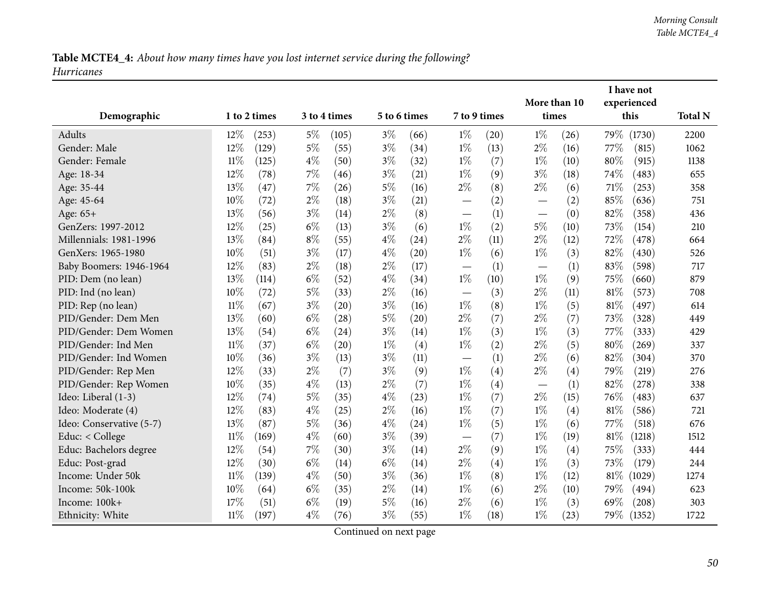Table MCTE4\_4: About how many times have you lost internet service during the following? *Hurricanes*

|                          |        |              |       |              |              |      |                                   |      | More than 10 |      |        | I have not<br>experienced |                |
|--------------------------|--------|--------------|-------|--------------|--------------|------|-----------------------------------|------|--------------|------|--------|---------------------------|----------------|
| Demographic              |        | 1 to 2 times |       | 3 to 4 times | 5 to 6 times |      | 7 to 9 times                      |      | times        |      |        | this                      | <b>Total N</b> |
| Adults                   | 12%    | (253)        | $5\%$ | (105)        | $3\%$        | (66) | $1\%$                             | (20) | $1\%$        | (26) | 79%    | (1730)                    | 2200           |
| Gender: Male             | 12%    | (129)        | $5\%$ | (55)         | $3\%$        | (34) | $1\%$                             | (13) | $2\%$        | (16) | 77%    | (815)                     | 1062           |
| Gender: Female           | $11\%$ | (125)        | $4\%$ | (50)         | $3\%$        | (32) | $1\%$                             | (7)  | $1\%$        | (10) | 80%    | (915)                     | 1138           |
| Age: 18-34               | 12%    | (78)         | $7\%$ | (46)         | $3\%$        | (21) | $1\%$                             | (9)  | $3\%$        | (18) | 74\%   | (483)                     | 655            |
| Age: 35-44               | 13%    | (47)         | 7%    | (26)         | $5\%$        | (16) | $2\%$                             | (8)  | $2\%$        | (6)  | 71\%   | (253)                     | 358            |
| Age: 45-64               | 10%    | (72)         | $2\%$ | (18)         | $3\%$        | (21) |                                   | (2)  |              | (2)  | 85%    | (636)                     | 751            |
| Age: $65+$               | 13%    | (56)         | $3\%$ | (14)         | $2\%$        | (8)  |                                   | (1)  |              | (0)  | 82%    | (358)                     | 436            |
| GenZers: 1997-2012       | 12%    | (25)         | $6\%$ | (13)         | $3\%$        | (6)  | $1\%$                             | (2)  | $5\%$        | (10) | 73%    | (154)                     | 210            |
| Millennials: 1981-1996   | 13%    | (84)         | $8\%$ | (55)         | $4\%$        | (24) | $2\%$                             | (11) | $2\%$        | (12) | 72%    | (478)                     | 664            |
| GenXers: 1965-1980       | 10%    | (51)         | $3\%$ | (17)         | $4\%$        | (20) | $1\%$                             | (6)  | $1\%$        | (3)  | 82%    | (430)                     | 526            |
| Baby Boomers: 1946-1964  | 12%    | (83)         | $2\%$ | (18)         | $2\%$        | (17) | $\overbrace{\phantom{12322111}}$  | (1)  |              | (1)  | 83%    | (598)                     | 717            |
| PID: Dem (no lean)       | 13%    | (114)        | $6\%$ | (52)         | $4\%$        | (34) | $1\%$                             | (10) | $1\%$        | (9)  | 75%    | (660)                     | 879            |
| PID: Ind (no lean)       | 10%    | (72)         | $5\%$ | (33)         | $2\%$        | (16) | $\overbrace{\phantom{12322111}}$  | (3)  | $2\%$        | (11) | 81\%   | (573)                     | 708            |
| PID: Rep (no lean)       | $11\%$ | (67)         | $3\%$ | (20)         | $3\%$        | (16) | $1\%$                             | (8)  | $1\%$        | (5)  | $81\%$ | (497)                     | 614            |
| PID/Gender: Dem Men      | 13%    | (60)         | $6\%$ | (28)         | $5\%$        | (20) | $2\%$                             | (7)  | $2\%$        | (7)  | 73%    | (328)                     | 449            |
| PID/Gender: Dem Women    | 13%    | (54)         | $6\%$ | (24)         | $3\%$        | (14) | $1\%$                             | (3)  | $1\%$        | (3)  | 77%    | (333)                     | 429            |
| PID/Gender: Ind Men      | $11\%$ | (37)         | $6\%$ | (20)         | $1\%$        | (4)  | $1\%$                             | (2)  | $2\%$        | (5)  | 80%    | (269)                     | 337            |
| PID/Gender: Ind Women    | 10%    | (36)         | $3\%$ | (13)         | $3\%$        | (11) | $\overline{\phantom{0}}$          | (1)  | $2\%$        | (6)  | 82%    | (304)                     | 370            |
| PID/Gender: Rep Men      | 12%    | (33)         | $2\%$ | (7)          | $3\%$        | (9)  | $1\%$                             | (4)  | $2\%$        | (4)  | 79%    | (219)                     | 276            |
| PID/Gender: Rep Women    | 10%    | (35)         | $4\%$ | (13)         | $2\%$        | (7)  | $1\%$                             | (4)  |              | (1)  | 82%    | (278)                     | 338            |
| Ideo: Liberal (1-3)      | 12%    | (74)         | $5\%$ | (35)         | $4\%$        | (23) | $1\%$                             | (7)  | $2\%$        | (15) | 76%    | (483)                     | 637            |
| Ideo: Moderate (4)       | 12%    | (83)         | $4\%$ | (25)         | $2\%$        | (16) | $1\%$                             | (7)  | $1\%$        | (4)  | 81\%   | (586)                     | 721            |
| Ideo: Conservative (5-7) | 13%    | (87)         | $5\%$ | (36)         | $4\%$        | (24) | $1\%$                             | (5)  | $1\%$        | (6)  | 77%    | (518)                     | 676            |
| Educ: < College          | $11\%$ | (169)        | $4\%$ | (60)         | $3\%$        | (39) | $\overbrace{\phantom{123221111}}$ | (7)  | $1\%$        | (19) | 81%    | (1218)                    | 1512           |
| Educ: Bachelors degree   | 12%    | (54)         | $7\%$ | (30)         | $3\%$        | (14) | $2\%$                             | (9)  | $1\%$        | (4)  | 75%    | (333)                     | 444            |
| Educ: Post-grad          | 12%    | (30)         | $6\%$ | (14)         | $6\%$        | (14) | $2\%$                             | (4)  | $1\%$        | (3)  | 73%    | (179)                     | 244            |
| Income: Under 50k        | $11\%$ | (139)        | $4\%$ | (50)         | $3\%$        | (36) | $1\%$                             | (8)  | $1\%$        | (12) | $81\%$ | (1029)                    | 1274           |
| Income: 50k-100k         | 10%    | (64)         | $6\%$ | (35)         | $2\%$        | (14) | $1\%$                             | (6)  | $2\%$        | (10) | 79%    | (494)                     | 623            |
| Income: 100k+            | 17%    | (51)         | $6\%$ | (19)         | $5\%$        | (16) | $2\%$                             | (6)  | $1\%$        | (3)  | 69%    | (208)                     | 303            |
| Ethnicity: White         | $11\%$ | (197)        | $4\%$ | (76)         | $3\%$        | (55) | $1\%$                             | (18) | $1\%$        | (23) | 79%    | (1352)                    | 1722           |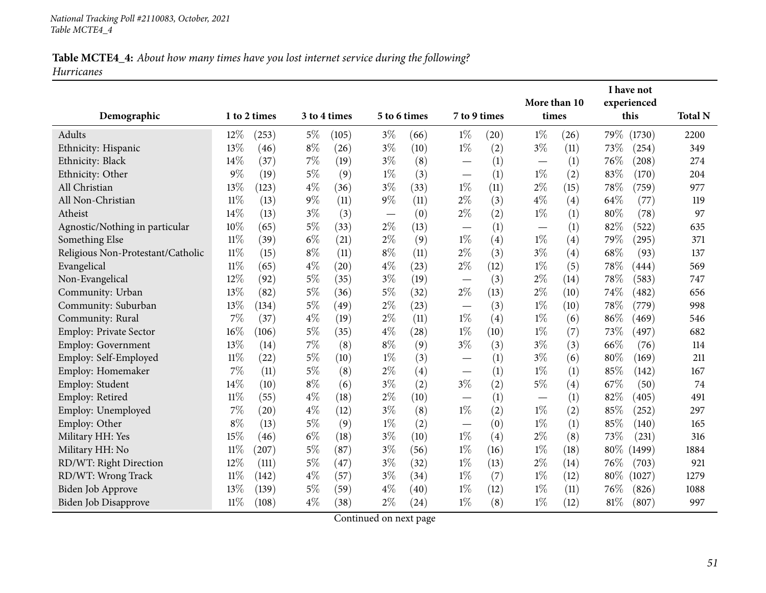### Table MCTE4\_4: About how many times have you lost internet service during the following? *Hurricanes*

|                                   |        |              |       |              |       |                    |                                   |      | More than 10 |      |        | I have not<br>experienced |                |
|-----------------------------------|--------|--------------|-------|--------------|-------|--------------------|-----------------------------------|------|--------------|------|--------|---------------------------|----------------|
| Demographic                       |        | 1 to 2 times |       | 3 to 4 times |       | 5 to 6 times       | 7 to 9 times                      |      | times        |      |        | this                      | <b>Total N</b> |
| <b>Adults</b>                     | $12\%$ | (253)        | $5\%$ | (105)        | $3\%$ | (66)               | $1\%$                             | (20) | $1\%$        | (26) | 79%    | (1730)                    | 2200           |
| Ethnicity: Hispanic               | 13%    | (46)         | $8\%$ | (26)         | $3\%$ | (10)               | $1\%$                             | (2)  | $3\%$        | (11) | 73%    | (254)                     | 349            |
| Ethnicity: Black                  | 14%    | (37)         | 7%    | (19)         | $3\%$ | (8)                |                                   | (1)  |              | (1)  | 76%    | (208)                     | 274            |
| Ethnicity: Other                  | 9%     | (19)         | $5\%$ | (9)          | $1\%$ | (3)                |                                   | (1)  | $1\%$        | (2)  | 83%    | (170)                     | 204            |
| All Christian                     | 13%    | (123)        | $4\%$ | (36)         | $3\%$ | (33)               | $1\%$                             | (11) | $2\%$        | (15) | 78%    | (759)                     | 977            |
| All Non-Christian                 | $11\%$ | (13)         | 9%    | (11)         | $9\%$ | (11)               | $2\%$                             | (3)  | $4\%$        | (4)  | 64%    | (77)                      | 119            |
| Atheist                           | 14%    | (13)         | $3\%$ | (3)          |       | (0)                | $2\%$                             | (2)  | $1\%$        | (1)  | 80%    | (78)                      | 97             |
| Agnostic/Nothing in particular    | 10%    | (65)         | 5%    | (33)         | $2\%$ | (13)               |                                   | (1)  |              | (1)  | 82%    | (522)                     | 635            |
| Something Else                    | 11%    | (39)         | $6\%$ | (21)         | $2\%$ | (9)                | $1\%$                             | (4)  | $1\%$        | (4)  | 79\%   | (295)                     | 371            |
| Religious Non-Protestant/Catholic | $11\%$ | (15)         | $8\%$ | (11)         | $8\%$ | (11)               | $2\%$                             | (3)  | $3\%$        | (4)  | 68%    | (93)                      | 137            |
| Evangelical                       | $11\%$ | (65)         | $4\%$ | (20)         | $4\%$ | (23)               | $2\%$                             | (12) | $1\%$        | (5)  | 78%    | (444)                     | 569            |
| Non-Evangelical                   | 12%    | (92)         | 5%    | (35)         | $3\%$ | (19)               |                                   | (3)  | $2\%$        | (14) | 78%    | (583)                     | 747            |
| Community: Urban                  | 13%    | (82)         | $5\%$ | (36)         | $5\%$ | (32)               | $2\%$                             | (13) | $2\%$        | (10) | 74\%   | (482)                     | 656            |
| Community: Suburban               | 13%    | (134)        | $5\%$ | (49)         | $2\%$ | (23)               |                                   | (3)  | $1\%$        | (10) | 78%    | (779)                     | 998            |
| Community: Rural                  | 7%     | (37)         | $4\%$ | (19)         | $2\%$ | (11)               | $1\%$                             | (4)  | $1\%$        | (6)  | 86%    | (469)                     | 546            |
| <b>Employ: Private Sector</b>     | 16%    | (106)        | 5%    | (35)         | $4\%$ | $\left( 28\right)$ | $1\%$                             | (10) | $1\%$        | (7)  | 73\%   | (497)                     | 682            |
| Employ: Government                | 13%    | (14)         | 7%    | (8)          | $8\%$ | (9)                | $3\%$                             | (3)  | $3\%$        | (3)  | 66\%   | (76)                      | 114            |
| Employ: Self-Employed             | $11\%$ | (22)         | $5\%$ | (10)         | $1\%$ | (3)                |                                   | (1)  | $3\%$        | (6)  | 80%    | (169)                     | 211            |
| Employ: Homemaker                 | 7%     | (11)         | $5\%$ | (8)          | $2\%$ | (4)                | $\overline{\phantom{0}}$          | (1)  | $1\%$        | (1)  | 85%    | (142)                     | 167            |
| Employ: Student                   | 14%    | (10)         | $8\%$ | (6)          | $3\%$ | (2)                | $3\%$                             | (2)  | $5\%$        | (4)  | 67\%   | (50)                      | 74             |
| Employ: Retired                   | $11\%$ | (55)         | $4\%$ | (18)         | $2\%$ | (10)               | $\overline{\phantom{0}}$          | (1)  |              | (1)  | 82%    | (405)                     | 491            |
| Employ: Unemployed                | 7%     | (20)         | $4\%$ | (12)         | $3\%$ | (8)                | $1\%$                             | (2)  | $1\%$        | (2)  | 85%    | (252)                     | 297            |
| Employ: Other                     | $8\%$  | (13)         | $5\%$ | (9)          | $1\%$ | (2)                | $\overbrace{\phantom{123221111}}$ | (0)  | $1\%$        | (1)  | 85%    | (140)                     | 165            |
| Military HH: Yes                  | 15%    | (46)         | $6\%$ | (18)         | $3\%$ | (10)               | $1\%$                             | (4)  | $2\%$        | (8)  | 73%    | (231)                     | 316            |
| Military HH: No                   | $11\%$ | (207)        | $5\%$ | (87)         | $3\%$ | (56)               | $1\%$                             | (16) | $1\%$        | (18) | 80\%   | (1499)                    | 1884           |
| RD/WT: Right Direction            | 12%    | (111)        | $5\%$ | (47)         | $3\%$ | (32)               | $1\%$                             | (13) | $2\%$        | (14) | 76%    | (703)                     | 921            |
| RD/WT: Wrong Track                | $11\%$ | (142)        | $4\%$ | (57)         | $3\%$ | (34)               | $1\%$                             | (7)  | $1\%$        | (12) | $80\%$ | (1027)                    | 1279           |
| Biden Job Approve                 | 13%    | (139)        | $5\%$ | (59)         | $4\%$ | (40)               | $1\%$                             | (12) | $1\%$        | (11) | 76\%   | (826)                     | 1088           |
| Biden Job Disapprove              | 11%    | (108)        | $4\%$ | (38)         | $2\%$ | (24)               | $1\%$                             | (8)  | $1\%$        | (12) | $81\%$ | (807)                     | 997            |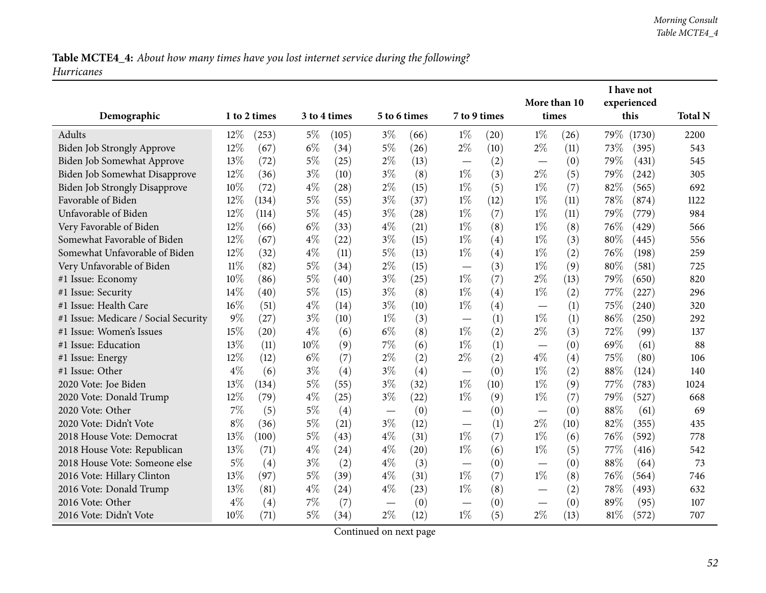Table MCTE4\_4: About how many times have you lost internet service during the following? *Hurricanes*

|                                      |        |              |       |              |                                  |              |                          |      | More than 10 |      |        | I have not<br>experienced |                |
|--------------------------------------|--------|--------------|-------|--------------|----------------------------------|--------------|--------------------------|------|--------------|------|--------|---------------------------|----------------|
| Demographic                          |        | 1 to 2 times |       | 3 to 4 times |                                  | 5 to 6 times | 7 to 9 times             |      | times        |      |        | this                      | <b>Total N</b> |
| Adults                               | 12%    | (253)        | $5\%$ | (105)        | $3\%$                            | (66)         | $1\%$                    | (20) | $1\%$        | (26) |        | 79% (1730)                | 2200           |
| Biden Job Strongly Approve           | 12%    | (67)         | $6\%$ | (34)         | $5\%$                            | (26)         | $2\%$                    | (10) | $2\%$        | (11) | 73%    | (395)                     | 543            |
| Biden Job Somewhat Approve           | 13%    | (72)         | $5\%$ | (25)         | $2\%$                            | (13)         |                          | (2)  |              | (0)  | 79%    | (431)                     | 545            |
| Biden Job Somewhat Disapprove        | 12%    | (36)         | $3\%$ | (10)         | $3\%$                            | (8)          | $1\%$                    | (3)  | $2\%$        | (5)  | 79%    | (242)                     | 305            |
| <b>Biden Job Strongly Disapprove</b> | 10%    | (72)         | $4\%$ | (28)         | $2\%$                            | (15)         | $1\%$                    | (5)  | $1\%$        | (7)  | 82%    | (565)                     | 692            |
| Favorable of Biden                   | $12\%$ | (134)        | $5\%$ | (55)         | $3\%$                            | (37)         | $1\%$                    | (12) | $1\%$        | (11) | 78%    | (874)                     | 1122           |
| Unfavorable of Biden                 | 12%    | (114)        | $5\%$ | (45)         | $3\%$                            | (28)         | $1\%$                    | (7)  | $1\%$        | (11) | 79%    | (779)                     | 984            |
| Very Favorable of Biden              | 12%    | (66)         | $6\%$ | (33)         | $4\%$                            | (21)         | $1\%$                    | (8)  | $1\%$        | (8)  | 76\%   | (429)                     | 566            |
| Somewhat Favorable of Biden          | 12%    | (67)         | $4\%$ | (22)         | $3\%$                            | (15)         | $1\%$                    | (4)  | $1\%$        | (3)  | 80%    | (445)                     | 556            |
| Somewhat Unfavorable of Biden        | 12%    | (32)         | $4\%$ | (11)         | $5\%$                            | (13)         | $1\%$                    | (4)  | $1\%$        | (2)  | 76%    | (198)                     | 259            |
| Very Unfavorable of Biden            | 11%    | (82)         | $5\%$ | (34)         | $2\%$                            | (15)         | $\overline{\phantom{0}}$ | (3)  | $1\%$        | (9)  | 80%    | (581)                     | 725            |
| #1 Issue: Economy                    | 10%    | (86)         | $5\%$ | (40)         | $3\%$                            | (25)         | $1\%$                    | (7)  | $2\%$        | (13) | 79%    | (650)                     | 820            |
| #1 Issue: Security                   | 14%    | (40)         | $5\%$ | (15)         | $3\%$                            | (8)          | $1\%$                    | (4)  | $1\%$        | (2)  | 77\%   | (227)                     | 296            |
| #1 Issue: Health Care                | 16%    | (51)         | $4\%$ | (14)         | $3\%$                            | (10)         | $1\%$                    | (4)  |              | (1)  | 75%    | (240)                     | 320            |
| #1 Issue: Medicare / Social Security | $9\%$  | (27)         | $3\%$ | (10)         | $1\%$                            | (3)          |                          | (1)  | $1\%$        | (1)  | 86%    | (250)                     | 292            |
| #1 Issue: Women's Issues             | 15%    | (20)         | $4\%$ | (6)          | $6\%$                            | (8)          | $1\%$                    | (2)  | $2\%$        | (3)  | 72%    | (99)                      | 137            |
| #1 Issue: Education                  | 13%    | (11)         | 10%   | (9)          | 7%                               | (6)          | $1\%$                    | (1)  |              | (0)  | 69%    | (61)                      | 88             |
| #1 Issue: Energy                     | 12%    | (12)         | $6\%$ | (7)          | $2\%$                            | (2)          | $2\%$                    | (2)  | $4\%$        | (4)  | 75%    | (80)                      | 106            |
| #1 Issue: Other                      | $4\%$  | (6)          | $3\%$ | (4)          | $3\%$                            | (4)          |                          | (0)  | $1\%$        | (2)  | 88%    | (124)                     | 140            |
| 2020 Vote: Joe Biden                 | 13%    | (134)        | $5\%$ | (55)         | $3\%$                            | (32)         | $1\%$                    | (10) | $1\%$        | (9)  | 77%    | (783)                     | 1024           |
| 2020 Vote: Donald Trump              | 12%    | (79)         | $4\%$ | (25)         | $3\%$                            | (22)         | $1\%$                    | (9)  | $1\%$        | (7)  | 79%    | (527)                     | 668            |
| 2020 Vote: Other                     | 7%     | (5)          | $5\%$ | (4)          | $\overbrace{\phantom{12322111}}$ | (0)          | $\overline{\phantom{0}}$ | (0)  |              | (0)  | 88%    | (61)                      | 69             |
| 2020 Vote: Didn't Vote               | $8\%$  | (36)         | $5\%$ | (21)         | $3\%$                            | (12)         | $\overline{\phantom{0}}$ | (1)  | $2\%$        | (10) | 82%    | (355)                     | 435            |
| 2018 House Vote: Democrat            | 13%    | (100)        | $5\%$ | (43)         | $4\%$                            | (31)         | $1\%$                    | (7)  | $1\%$        | (6)  | 76%    | (592)                     | 778            |
| 2018 House Vote: Republican          | 13%    | (71)         | $4\%$ | (24)         | $4\%$                            | (20)         | $1\%$                    | (6)  | $1\%$        | (5)  | 77%    | (416)                     | 542            |
| 2018 House Vote: Someone else        | $5\%$  | (4)          | $3\%$ | (2)          | $4\%$                            | (3)          |                          | (0)  |              | (0)  | 88%    | (64)                      | 73             |
| 2016 Vote: Hillary Clinton           | 13%    | (97)         | $5\%$ | (39)         | $4\%$                            | (31)         | $1\%$                    | (7)  | $1\%$        | (8)  | 76%    | (564)                     | 746            |
| 2016 Vote: Donald Trump              | 13%    | (81)         | $4\%$ | (24)         | $4\%$                            | (23)         | $1\%$                    | (8)  |              | (2)  | 78%    | (493)                     | 632            |
| 2016 Vote: Other                     | $4\%$  | (4)          | $7\%$ | (7)          |                                  | (0)          |                          | (0)  |              | (0)  | 89%    | (95)                      | 107            |
| 2016 Vote: Didn't Vote               | 10%    | (71)         | $5\%$ | (34)         | $2\%$                            | (12)         | $1\%$                    | (5)  | $2\%$        | (13) | $81\%$ | (572)                     | 707            |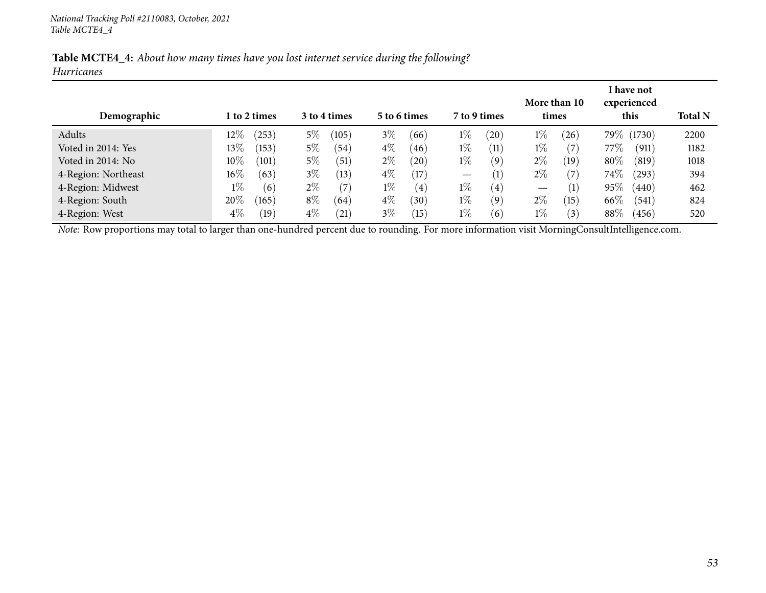| Table MCTE4_4: About how many times have you lost internet service during the following? |  |  |  |  |  |  |  |
|------------------------------------------------------------------------------------------|--|--|--|--|--|--|--|
| <b>Hurricanes</b>                                                                        |  |  |  |  |  |  |  |

| Demographic         |        | l to 2 times |       | 3 to 4 times  |       | 5 to 6 times      |                          | 7 to 9 times      | times             | More than 10     |        | I have not<br>experienced<br>this | <b>Total N</b> |
|---------------------|--------|--------------|-------|---------------|-------|-------------------|--------------------------|-------------------|-------------------|------------------|--------|-----------------------------------|----------------|
| Adults              | $12\%$ | (253)        | $5\%$ | (105)         | $3\%$ | (66)              | $1\%$                    | (20)              | $1\%$             | (26)             |        | 79\% (1730)                       | 2200           |
| Voted in 2014: Yes  | $13\%$ | (153)        | $5\%$ | (54)          | $4\%$ | (46)              | $1\%$                    | (11)              | $1\%$             | (7               | 77%    | (911)                             | 1182           |
| Voted in 2014: No   | $10\%$ | (101)        | $5\%$ | (51)          | $2\%$ | $^{'}20$          | $1\%$                    | (9)               | $2\%$             | (19`             | 80\%   | (819)                             | 1018           |
| 4-Region: Northeast | $16\%$ | (63)         | $3\%$ | (13)          | $4\%$ | $\left(17\right)$ | $\overline{\phantom{m}}$ | $\left( 1\right)$ | $2\%$             | (7               | $74\%$ | (293)                             | 394            |
| 4-Region: Midwest   | $1\%$  | (6)          | $2\%$ |               | $1\%$ | $\left( 4\right)$ | $1\%$                    | (4)               | $\hspace{0.05cm}$ | (1)              | 95%    | (440)                             | 462            |
| 4-Region: South     | 20%    | (165)        | $8\%$ | (64)          | $4\%$ | (30)              | $1\%$                    | (9)               | $2\%$             | (15)             | 66\%   | (541)                             | 824            |
| 4-Region: West      | $4\%$  | (19)         | $4\%$ | $^{\prime}21$ | $3\%$ | 15                | $1\%$                    | (6)               | $1\%$             | $\left(3\right)$ | $88\%$ | (456)                             | 520            |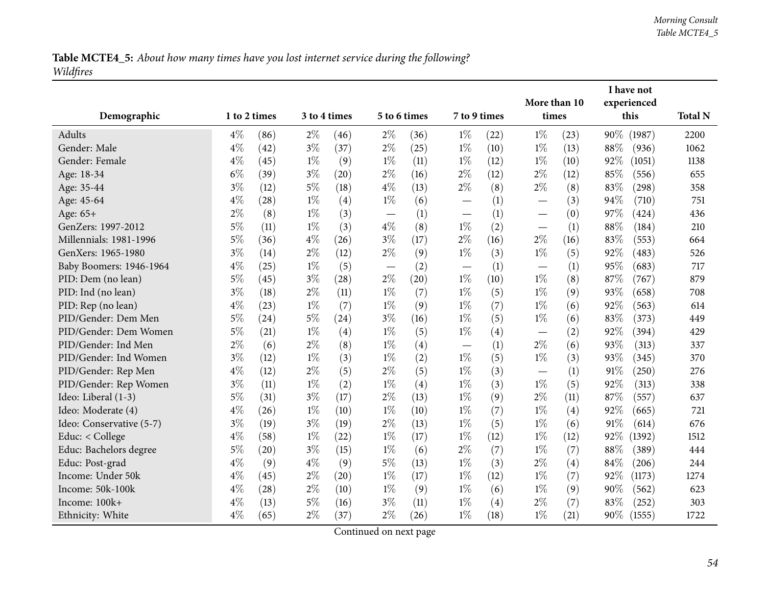| Table MCTE4_5: About how many times have you lost internet service during the following? |  |  |  |  |
|------------------------------------------------------------------------------------------|--|--|--|--|
| Wildfires                                                                                |  |  |  |  |

|                          |              |      |       |                    |                          |      |                                   |      | More than 10             |      |     | I have not          |                |
|--------------------------|--------------|------|-------|--------------------|--------------------------|------|-----------------------------------|------|--------------------------|------|-----|---------------------|----------------|
| Demographic              | 1 to 2 times |      |       | 3 to 4 times       | 5 to 6 times             |      | 7 to 9 times                      |      | times                    |      |     | experienced<br>this | <b>Total N</b> |
| Adults                   | $4\%$        | (86) | $2\%$ | (46)               | $2\%$                    | (36) | $1\%$                             | (22) | $1\%$                    | (23) | 90% | (1987)              | 2200           |
| Gender: Male             | $4\%$        | (42) | $3\%$ | (37)               | $2\%$                    | (25) | $1\%$                             | (10) | $1\%$                    | (13) | 88% | (936)               | 1062           |
| Gender: Female           | $4\%$        | (45) | $1\%$ | (9)                | $1\%$                    | (11) | $1\%$                             | (12) | $1\%$                    | (10) | 92% | (1051)              | 1138           |
| Age: 18-34               | $6\%$        | (39) | $3\%$ | (20)               | $2\%$                    | (16) | $2\%$                             | (12) | $2\%$                    | (12) | 85% | (556)               | 655            |
| Age: 35-44               | $3\%$        | (12) | $5\%$ | (18)               | $4\%$                    | (13) | $2\%$                             | (8)  | $2\%$                    | (8)  | 83% | (298)               | 358            |
| Age: 45-64               | 4%           | (28) | $1\%$ | (4)                | $1\%$                    | (6)  |                                   | (1)  | $\overline{\phantom{0}}$ | (3)  | 94% | (710)               | 751            |
| Age: 65+                 | $2\%$        | (8)  | $1\%$ | (3)                |                          | (1)  | $\overbrace{\phantom{123221111}}$ | (1)  |                          | (0)  | 97% | (424)               | 436            |
| GenZers: 1997-2012       | $5\%$        | (11) | $1\%$ | (3)                | $4\%$                    | (8)  | $1\%$                             | (2)  |                          | (1)  | 88% | (184)               | 210            |
| Millennials: 1981-1996   | $5\%$        | (36) | $4\%$ | (26)               | $3\%$                    | (17) | $2\%$                             | (16) | $2\%$                    | (16) | 83% | (553)               | 664            |
| GenXers: 1965-1980       | $3\%$        | (14) | $2\%$ | (12)               | $2\%$                    | (9)  | $1\%$                             | (3)  | $1\%$                    | (5)  | 92% | (483)               | 526            |
| Baby Boomers: 1946-1964  | $4\%$        | (25) | $1\%$ | (5)                | $\overline{\phantom{m}}$ | (2)  |                                   | (1)  | —                        | (1)  | 95% | (683)               | 717            |
| PID: Dem (no lean)       | $5\%$        | (45) | $3\%$ | (28)               | $2\%$                    | (20) | $1\%$                             | (10) | $1\%$                    | (8)  | 87% | (767)               | 879            |
| PID: Ind (no lean)       | $3\%$        | (18) | $2\%$ | (11)               | $1\%$                    | (7)  | $1\%$                             | (5)  | $1\%$                    | (9)  | 93% | (658)               | 708            |
| PID: Rep (no lean)       | $4\%$        | (23) | $1\%$ | (7)                | $1\%$                    | (9)  | $1\%$                             | (7)  | $1\%$                    | (6)  | 92% | (563)               | 614            |
| PID/Gender: Dem Men      | $5\%$        | (24) | $5\%$ | (24)               | $3\%$                    | (16) | $1\%$                             | (5)  | $1\%$                    | (6)  | 83% | (373)               | 449            |
| PID/Gender: Dem Women    | $5\%$        | (21) | $1\%$ | (4)                | $1\%$                    | (5)  | $1\%$                             | (4)  |                          | (2)  | 92% | (394)               | 429            |
| PID/Gender: Ind Men      | $2\%$        | (6)  | $2\%$ | (8)                | $1\%$                    | (4)  | $\overline{\phantom{0}}$          | (1)  | $2\%$                    | (6)  | 93% | (313)               | 337            |
| PID/Gender: Ind Women    | $3\%$        | (12) | $1\%$ | (3)                | $1\%$                    | (2)  | $1\%$                             | (5)  | $1\%$                    | (3)  | 93% | (345)               | 370            |
| PID/Gender: Rep Men      | $4\%$        | (12) | $2\%$ | (5)                | $2\%$                    | (5)  | $1\%$                             | (3)  |                          | (1)  | 91% | (250)               | 276            |
| PID/Gender: Rep Women    | $3\%$        | (11) | $1\%$ | (2)                | $1\%$                    | (4)  | $1\%$                             | (3)  | $1\%$                    | (5)  | 92% | (313)               | 338            |
| Ideo: Liberal (1-3)      | $5\%$        | (31) | $3\%$ | (17)               | $2\%$                    | (13) | $1\%$                             | (9)  | $2\%$                    | (11) | 87% | (557)               | 637            |
| Ideo: Moderate (4)       | $4\%$        | (26) | $1\%$ | (10)               | $1\%$                    | (10) | $1\%$                             | (7)  | $1\%$                    | (4)  | 92% | (665)               | 721            |
| Ideo: Conservative (5-7) | $3\%$        | (19) | $3\%$ | (19)               | $2\%$                    | (13) | $1\%$                             | (5)  | $1\%$                    | (6)  | 91% | (614)               | 676            |
| Educ: < College          | 4%           | (58) | $1\%$ | (22)               | $1\%$                    | (17) | $1\%$                             | (12) | $1\%$                    | (12) | 92% | (1392)              | 1512           |
| Educ: Bachelors degree   | $5\%$        | (20) | $3\%$ | (15)               | $1\%$                    | (6)  | $2\%$                             | (7)  | $1\%$                    | (7)  | 88% | (389)               | 444            |
| Educ: Post-grad          | $4\%$        | (9)  | $4\%$ | (9)                | $5\%$                    | (13) | $1\%$                             | (3)  | $2\%$                    | (4)  | 84% | (206)               | 244            |
| Income: Under 50k        | $4\%$        | (45) | $2\%$ | $\left( 20\right)$ | $1\%$                    | (17) | $1\%$                             | (12) | $1\%$                    | (7)  | 92% | (1173)              | 1274           |
| Income: 50k-100k         | $4\%$        | (28) | $2\%$ | (10)               | $1\%$                    | (9)  | $1\%$                             | (6)  | $1\%$                    | (9)  | 90% | (562)               | 623            |
| Income: 100k+            | 4%           | (13) | $5\%$ | (16)               | $3\%$                    | (11) | $1\%$                             | (4)  | $2\%$                    | (7)  | 83% | (252)               | 303            |
| Ethnicity: White         | $4\%$        | (65) | $2\%$ | (37)               | $2\%$                    | (26) | $1\%$                             | (18) | $1\%$                    | (21) | 90% | (1555)              | 1722           |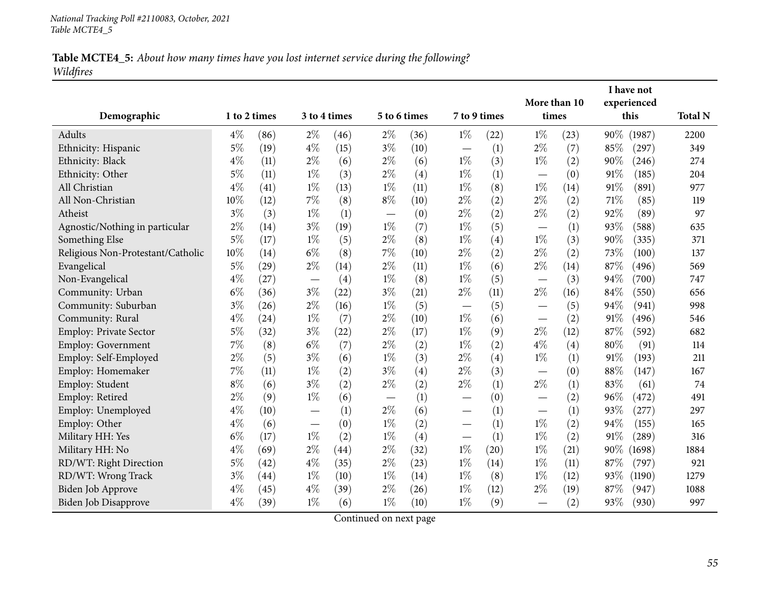| Table MCTE4_5: About how many times have you lost internet service during the following? |  |  |  |  |  |
|------------------------------------------------------------------------------------------|--|--|--|--|--|
| Wildfires                                                                                |  |  |  |  |  |

| Demographic                       | 1 to 2 times |      |                          | 3 to 4 times | 5 to 6 times                    |      | 7 to 9 times             |      | More than 10<br>times    |      |      | I have not<br>experienced<br>this | <b>Total N</b> |
|-----------------------------------|--------------|------|--------------------------|--------------|---------------------------------|------|--------------------------|------|--------------------------|------|------|-----------------------------------|----------------|
| Adults                            | $4\%$        | (86) | $2\%$                    | (46)         | $2\%$                           | (36) | $1\%$                    | (22) | $1\%$                    | (23) | 90%  | (1987)                            | 2200           |
| Ethnicity: Hispanic               | $5\%$        | (19) | $4\%$                    | (15)         | $3\%$                           | (10) |                          | (1)  | $2\%$                    | (7)  | 85%  | (297)                             | 349            |
| Ethnicity: Black                  | $4\%$        | (11) | $2\%$                    | (6)          | $2\%$                           | (6)  | $1\%$                    | (3)  | $1\%$                    | (2)  | 90%  | (246)                             | 274            |
| Ethnicity: Other                  | $5\%$        | (11) | $1\%$                    | (3)          | $2\%$                           | (4)  | $1\%$                    | (1)  | —                        | (0)  | 91%  | (185)                             | 204            |
| All Christian                     | $4\%$        | (41) | $1\%$                    | (13)         | $1\%$                           | (11) | $1\%$                    | (8)  | $1\%$                    | (14) | 91%  | (891)                             | 977            |
| All Non-Christian                 | 10%          | (12) | $7\%$                    | (8)          | $8\%$                           | (10) | $2\%$                    | (2)  | $2\%$                    | (2)  | 71\% | (85)                              | 119            |
| Atheist                           | $3\%$        | (3)  | $1\%$                    | (1)          | $\overline{\phantom{0}}$        | (0)  | $2\%$                    | (2)  | $2\%$                    | (2)  | 92%  | (89)                              | 97             |
| Agnostic/Nothing in particular    | $2\%$        | (14) | $3\%$                    | (19)         | $1\%$                           | (7)  | $1\%$                    | (5)  |                          | (1)  | 93%  | (588)                             | 635            |
| Something Else                    | $5\%$        | (17) | $1\%$                    | (5)          | $2\%$                           | (8)  | $1\%$                    | (4)  | $1\%$                    | (3)  | 90%  | (335)                             | 371            |
| Religious Non-Protestant/Catholic | 10%          | (14) | $6\%$                    | (8)          | 7%                              | (10) | $2\%$                    | (2)  | $2\%$                    | (2)  | 73%  | (100)                             | 137            |
| Evangelical                       | $5\%$        | (29) | $2\%$                    | (14)         | $2\%$                           | (11) | $1\%$                    | (6)  | $2\%$                    | (14) | 87%  | (496)                             | 569            |
| Non-Evangelical                   | $4\%$        | (27) |                          | (4)          | $1\%$                           | (8)  | $1\%$                    | (5)  |                          | (3)  | 94%  | (700)                             | 747            |
| Community: Urban                  | $6\%$        | (36) | $3\%$                    | (22)         | $3\%$                           | (21) | $2\%$                    | (11) | $2\%$                    | (16) | 84%  | (550)                             | 656            |
| Community: Suburban               | $3\%$        | (26) | $2\%$                    | (16)         | $1\%$                           | (5)  |                          | (5)  | $\overline{\phantom{0}}$ | (5)  | 94%  | (941)                             | 998            |
| Community: Rural                  | $4\%$        | (24) | $1\%$                    | (7)          | $2\%$                           | (10) | $1\%$                    | (6)  | $\overline{\phantom{0}}$ | (2)  | 91%  | (496)                             | 546            |
| Employ: Private Sector            | $5\%$        | (32) | $3\%$                    | (22)         | $2\%$                           | (17) | $1\%$                    | (9)  | $2\%$                    | (12) | 87%  | (592)                             | 682            |
| Employ: Government                | 7%           | (8)  | $6\%$                    | (7)          | $2\%$                           | (2)  | $1\%$                    | (2)  | $4\%$                    | (4)  | 80%  | (91)                              | 114            |
| Employ: Self-Employed             | $2\%$        | (5)  | $3\%$                    | (6)          | $1\%$                           | (3)  | $2\%$                    | (4)  | $1\%$                    | (1)  | 91%  | (193)                             | 211            |
| Employ: Homemaker                 | 7%           | (11) | $1\%$                    | (2)          | $3\%$                           | (4)  | $2\%$                    | (3)  |                          | (0)  | 88%  | (147)                             | 167            |
| Employ: Student                   | $8\%$        | (6)  | $3\%$                    | (2)          | $2\%$                           | (2)  | $2\%$                    | (1)  | $2\%$                    | (1)  | 83%  | (61)                              | 74             |
| Employ: Retired                   | $2\%$        | (9)  | $1\%$                    | (6)          | $\hspace{0.1mm}-\hspace{0.1mm}$ | (1)  |                          | (0)  |                          | (2)  | 96%  | (472)                             | 491            |
| Employ: Unemployed                | $4\%$        | (10) |                          | (1)          | $2\%$                           | (6)  | $\overline{\phantom{0}}$ | (1)  |                          | (1)  | 93%  | (277)                             | 297            |
| Employ: Other                     | $4\%$        | (6)  | $\overline{\phantom{m}}$ | (0)          | $1\%$                           | (2)  |                          | (1)  | $1\%$                    | (2)  | 94%  | (155)                             | 165            |
| Military HH: Yes                  | $6\%$        | (17) | $1\%$                    | (2)          | $1\%$                           | (4)  |                          | (1)  | $1\%$                    | (2)  | 91%  | (289)                             | 316            |
| Military HH: No                   | $4\%$        | (69) | $2\%$                    | (44)         | $2\%$                           | (32) | $1\%$                    | (20) | $1\%$                    | (21) | 90%  | (1698)                            | 1884           |
| RD/WT: Right Direction            | $5\%$        | (42) | $4\%$                    | (35)         | $2\%$                           | (23) | $1\%$                    | (14) | $1\%$                    | (11) | 87%  | (797)                             | 921            |
| RD/WT: Wrong Track                | $3\%$        | (44) | $1\%$                    | (10)         | $1\%$                           | (14) | $1\%$                    | (8)  | $1\%$                    | (12) | 93%  | (1190)                            | 1279           |
| Biden Job Approve                 | $4\%$        | (45) | $4\%$                    | (39)         | $2\%$                           | (26) | $1\%$                    | (12) | $2\%$                    | (19) | 87\% | (947)                             | 1088           |
| Biden Job Disapprove              | $4\%$        | (39) | $1\%$                    | (6)          | $1\%$                           | (10) | $1\%$                    | (9)  |                          | (2)  | 93%  | (930)                             | 997            |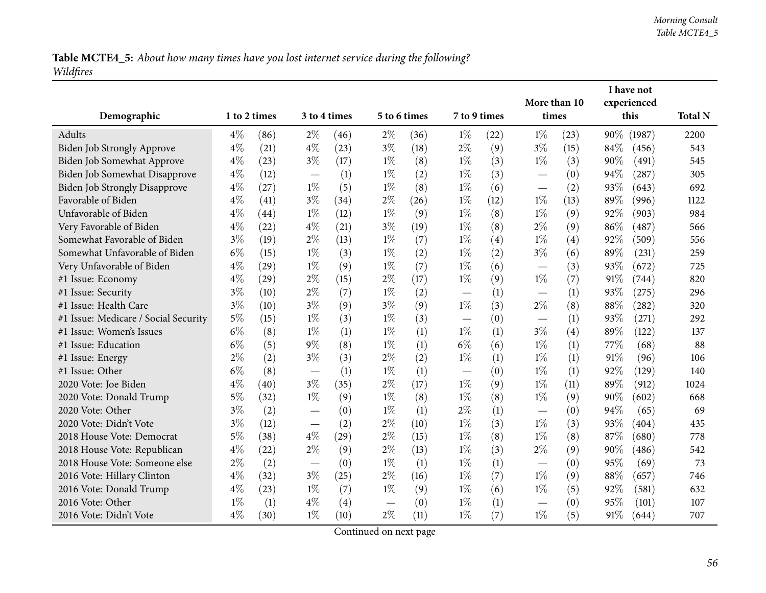|           |  |  | Table MCTE4_5: About how many times have you lost internet service during the following? |
|-----------|--|--|------------------------------------------------------------------------------------------|
| Wildfires |  |  |                                                                                          |

|                                      |              |      |       |                    |              |      |                          |      |                          |      |      | I have not  |                |
|--------------------------------------|--------------|------|-------|--------------------|--------------|------|--------------------------|------|--------------------------|------|------|-------------|----------------|
|                                      |              |      |       |                    |              |      |                          |      | More than 10             |      |      | experienced |                |
| Demographic                          | 1 to 2 times |      |       | 3 to 4 times       | 5 to 6 times |      | 7 to 9 times             |      | times                    |      |      | this        | <b>Total N</b> |
| Adults                               | $4\%$        | (86) | $2\%$ | (46)               | $2\%$        | (36) | $1\%$                    | (22) | $1\%$                    | (23) | 90%  | (1987)      | 2200           |
| Biden Job Strongly Approve           | $4\%$        | (21) | $4\%$ | (23)               | $3\%$        | (18) | $2\%$                    | (9)  | $3\%$                    | (15) | 84%  | (456)       | 543            |
| Biden Job Somewhat Approve           | $4\%$        | (23) | $3\%$ | (17)               | $1\%$        | (8)  | $1\%$                    | (3)  | $1\%$                    | (3)  | 90%  | (491)       | 545            |
| Biden Job Somewhat Disapprove        | $4\%$        | (12) |       | (1)                | $1\%$        | (2)  | $1\%$                    | (3)  |                          | (0)  | 94%  | (287)       | 305            |
| <b>Biden Job Strongly Disapprove</b> | $4\%$        | (27) | $1\%$ | (5)                | $1\%$        | (8)  | $1\%$                    | (6)  |                          | (2)  | 93%  | (643)       | 692            |
| Favorable of Biden                   | $4\%$        | (41) | $3\%$ | (34)               | $2\%$        | (26) | $1\%$                    | (12) | $1\%$                    | (13) | 89%  | (996)       | 1122           |
| Unfavorable of Biden                 | $4\%$        | (44) | $1\%$ | (12)               | $1\%$        | (9)  | $1\%$                    | (8)  | $1\%$                    | (9)  | 92%  | (903)       | 984            |
| Very Favorable of Biden              | $4\%$        | (22) | $4\%$ | (21)               | $3\%$        | (19) | $1\%$                    | (8)  | $2\%$                    | (9)  | 86%  | (487)       | 566            |
| Somewhat Favorable of Biden          | $3\%$        | (19) | $2\%$ | (13)               | $1\%$        | (7)  | $1\%$                    | (4)  | $1\%$                    | (4)  | 92%  | (509)       | 556            |
| Somewhat Unfavorable of Biden        | $6\%$        | (15) | $1\%$ | (3)                | $1\%$        | (2)  | $1\%$                    | (2)  | $3\%$                    | (6)  | 89%  | (231)       | 259            |
| Very Unfavorable of Biden            | $4\%$        | (29) | $1\%$ | (9)                | $1\%$        | (7)  | $1\%$                    | (6)  | $\overline{\phantom{0}}$ | (3)  | 93%  | (672)       | 725            |
| #1 Issue: Economy                    | $4\%$        | (29) | $2\%$ | (15)               | $2\%$        | (17) | $1\%$                    | (9)  | $1\%$                    | (7)  | 91%  | (744)       | 820            |
| #1 Issue: Security                   | $3\%$        | (10) | $2\%$ | (7)                | $1\%$        | (2)  | $\overline{\phantom{m}}$ | (1)  |                          | (1)  | 93%  | (275)       | 296            |
| #1 Issue: Health Care                | $3\%$        | (10) | $3\%$ | (9)                | $3\%$        | (9)  | $1\%$                    | (3)  | $2\%$                    | (8)  | 88%  | (282)       | 320            |
| #1 Issue: Medicare / Social Security | $5\%$        | (15) | $1\%$ | (3)                | $1\%$        | (3)  |                          | (0)  | $\overline{\phantom{0}}$ | (1)  | 93%  | (271)       | 292            |
| #1 Issue: Women's Issues             | $6\%$        | (8)  | $1\%$ | (1)                | $1\%$        | (1)  | $1\%$                    | (1)  | $3\%$                    | (4)  | 89%  | (122)       | 137            |
| #1 Issue: Education                  | $6\%$        | (5)  | $9\%$ | (8)                | $1\%$        | (1)  | $6\%$                    | (6)  | $1\%$                    | (1)  | 77\% | (68)        | 88             |
| #1 Issue: Energy                     | $2\%$        | (2)  | $3\%$ | (3)                | $2\%$        | (2)  | $1\%$                    | (1)  | $1\%$                    | (1)  | 91%  | (96)        | 106            |
| #1 Issue: Other                      | $6\%$        | (8)  |       | (1)                | $1\%$        | (1)  |                          | (0)  | $1\%$                    | (1)  | 92%  | (129)       | 140            |
| 2020 Vote: Joe Biden                 | $4\%$        | (40) | $3\%$ | (35)               | $2\%$        | (17) | $1\%$                    | (9)  | $1\%$                    | (11) | 89%  | (912)       | 1024           |
| 2020 Vote: Donald Trump              | $5\%$        | (32) | $1\%$ | (9)                | $1\%$        | (8)  | $1\%$                    | (8)  | $1\%$                    | (9)  | 90%  | (602)       | 668            |
| 2020 Vote: Other                     | $3\%$        | (2)  |       | (0)                | $1\%$        | (1)  | $2\%$                    | (1)  |                          | (0)  | 94%  | (65)        | 69             |
| 2020 Vote: Didn't Vote               | $3\%$        | (12) |       | (2)                | $2\%$        | (10) | $1\%$                    | (3)  | $1\%$                    | (3)  | 93%  | (404)       | 435            |
| 2018 House Vote: Democrat            | $5\%$        | (38) | $4\%$ | $\left( 29\right)$ | $2\%$        | (15) | $1\%$                    | (8)  | $1\%$                    | (8)  | 87%  | (680)       | 778            |
| 2018 House Vote: Republican          | $4\%$        | (22) | $2\%$ | (9)                | $2\%$        | (13) | $1\%$                    | (3)  | $2\%$                    | (9)  | 90%  | (486)       | 542            |
| 2018 House Vote: Someone else        | $2\%$        | (2)  |       | (0)                | $1\%$        | (1)  | $1\%$                    | (1)  |                          | (0)  | 95%  | (69)        | 73             |
| 2016 Vote: Hillary Clinton           | $4\%$        | (32) | $3\%$ | (25)               | $2\%$        | (16) | $1\%$                    | (7)  | $1\%$                    | (9)  | 88%  | (657)       | 746            |
| 2016 Vote: Donald Trump              | $4\%$        | (23) | $1\%$ | (7)                | $1\%$        | (9)  | $1\%$                    | (6)  | $1\%$                    | (5)  | 92%  | (581)       | 632            |
| 2016 Vote: Other                     | $1\%$        | (1)  | $4\%$ | (4)                |              | (0)  | $1\%$                    | (1)  |                          | (0)  | 95%  | (101)       | 107            |
| 2016 Vote: Didn't Vote               | $4\%$        | (30) | $1\%$ | (10)               | $2\%$        | (11) | $1\%$                    | (7)  | $1\%$                    | (5)  | 91%  | (644)       | 707            |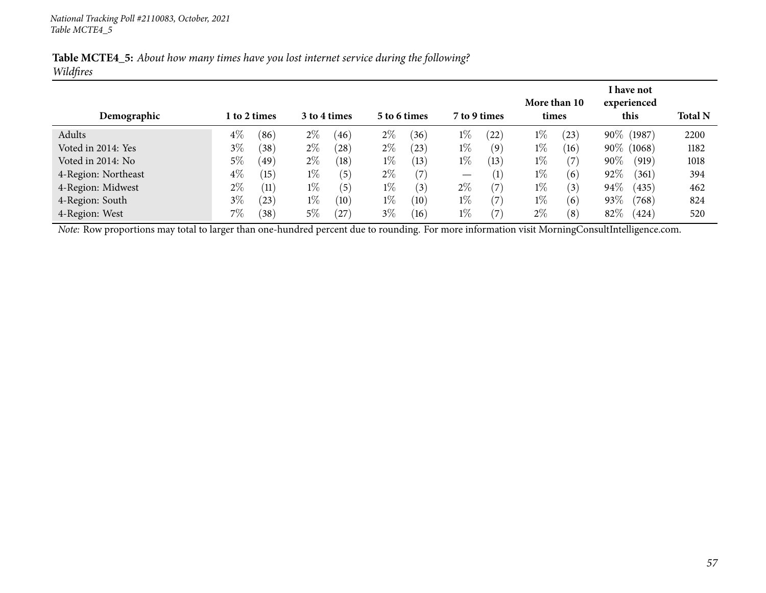| Table MCTE4_5: About how many times have you lost internet service during the following? |  |  |  |  |  |  |  |
|------------------------------------------------------------------------------------------|--|--|--|--|--|--|--|
| Wildfires                                                                                |  |  |  |  |  |  |  |

| Demographic         |       | 1 to 2 times      |       | 3 to 4 times |       | 5 to 6 times | 7 to 9 times                    |                   | times | More than 10 |        | I have not<br>experienced<br>this | <b>Total N</b> |
|---------------------|-------|-------------------|-------|--------------|-------|--------------|---------------------------------|-------------------|-------|--------------|--------|-----------------------------------|----------------|
| Adults              | $4\%$ | (86)              | $2\%$ | (46)         | $2\%$ | (36)         | $1\%$                           | (22)              | $1\%$ | (23)         |        | 90\% (1987)                       | 2200           |
| Voted in 2014: Yes  | $3\%$ | (38)              | $2\%$ | (28)         | $2\%$ | (23)         | $1\%$                           | (9)               | $1\%$ | (16)         |        | 90\% (1068)                       | 1182           |
| Voted in 2014: No   | 5%    | (49)              | $2\%$ | (18)         | $1\%$ | (13)         | $1\%$                           | (13)              | $1\%$ | $^{\prime}7$ | $90\%$ | (919)                             | 1018           |
| 4-Region: Northeast | $4\%$ | (15)              | $1\%$ | (5)          | $2\%$ | (7)          | $\hspace{0.1mm}-\hspace{0.1mm}$ | (1)               | $1\%$ | (6)          | 92%    | (361)                             | 394            |
| 4-Region: Midwest   | $2\%$ | $\left(11\right)$ | $1\%$ | (5)          | $1\%$ | (3)          | $2\%$                           | (7)               | $1\%$ | (3)          | 94%    | (435)                             | 462            |
| 4-Region: South     | $3\%$ | $^{(23)}$         | $1\%$ | (10)         | $1\%$ | (10)         | $1\%$                           | (7)               | $1\%$ | (6)          | 93%    | (768)                             | 824            |
| 4-Region: West      | 7%    | (38)              | $5\%$ | (27)         | $3\%$ | (16)         | $1\%$                           | $\left( 7\right)$ | $2\%$ | (8)          | 82%    | (424)                             | 520            |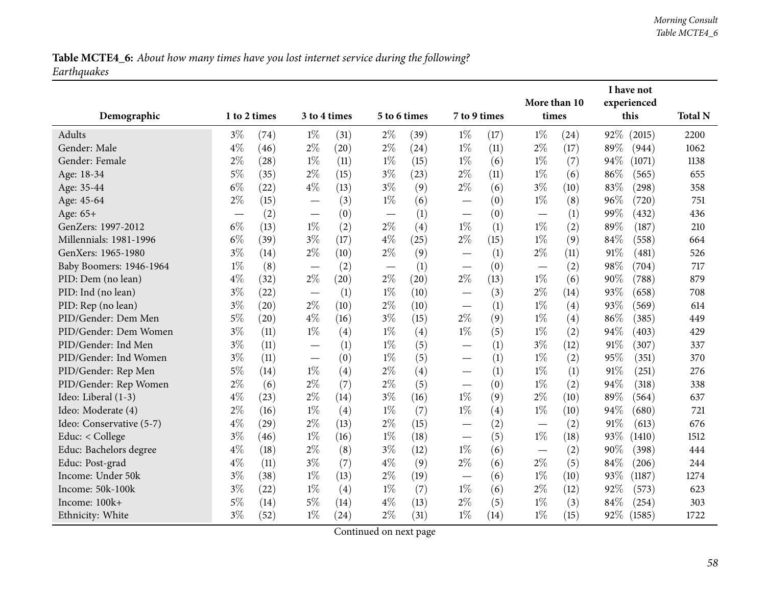# Table MCTE4\_6: About how many times have you lost internet service during the following? *Earthquakes*

|                          |              |      |                                  |              |              |      |                                   |      | More than 10             |      |        | I have not<br>experienced |                |
|--------------------------|--------------|------|----------------------------------|--------------|--------------|------|-----------------------------------|------|--------------------------|------|--------|---------------------------|----------------|
| Demographic              | 1 to 2 times |      |                                  | 3 to 4 times | 5 to 6 times |      | 7 to 9 times                      |      | times                    |      |        | this                      | <b>Total N</b> |
| Adults                   | $3\%$        | (74) | $1\%$                            | (31)         | $2\%$        | (39) | $1\%$                             | (17) | $1\%$                    | (24) | 92%    | (2015)                    | 2200           |
| Gender: Male             | $4\%$        | (46) | $2\%$                            | (20)         | $2\%$        | (24) | $1\%$                             | (11) | $2\%$                    | (17) | 89%    | (944)                     | 1062           |
| Gender: Female           | $2\%$        | (28) | $1\%$                            | (11)         | $1\%$        | (15) | $1\%$                             | (6)  | $1\%$                    | (7)  | 94%    | (1071)                    | 1138           |
| Age: 18-34               | $5\%$        | (35) | $2\%$                            | (15)         | $3\%$        | (23) | $2\%$                             | (11) | $1\%$                    | (6)  | 86%    | (565)                     | 655            |
| Age: 35-44               | $6\%$        | (22) | $4\%$                            | (13)         | $3\%$        | (9)  | $2\%$                             | (6)  | $3\%$                    | (10) | 83%    | (298)                     | 358            |
| Age: 45-64               | $2\%$        | (15) | $\overline{\phantom{0}}$         | (3)          | $1\%$        | (6)  | —                                 | (0)  | $1\%$                    | (8)  | 96%    | (720)                     | 751            |
| Age: 65+                 |              | (2)  |                                  | (0)          |              | (1)  |                                   | (0)  |                          | (1)  | 99%    | (432)                     | 436            |
| GenZers: 1997-2012       | $6\%$        | (13) | $1\%$                            | (2)          | $2\%$        | (4)  | $1\%$                             | (1)  | $1\%$                    | (2)  | 89%    | (187)                     | 210            |
| Millennials: 1981-1996   | $6\%$        | (39) | $3\%$                            | (17)         | $4\%$        | (25) | $2\%$                             | (15) | $1\%$                    | (9)  | 84%    | (558)                     | 664            |
| GenXers: 1965-1980       | $3\%$        | (14) | $2\%$                            | (10)         | $2\%$        | (9)  | $\overline{\phantom{0}}$          | (1)  | $2\%$                    | (11) | 91%    | (481)                     | 526            |
| Baby Boomers: 1946-1964  | $1\%$        | (8)  |                                  | (2)          |              | (1)  | $\overbrace{\phantom{123221111}}$ | (0)  |                          | (2)  | 98%    | (704)                     | 717            |
| PID: Dem (no lean)       | $4\%$        | (32) | $2\%$                            | (20)         | $2\%$        | (20) | $2\%$                             | (13) | $1\%$                    | (6)  | 90%    | (788)                     | 879            |
| PID: Ind (no lean)       | $3\%$        | (22) | $\overline{\phantom{m}}$         | (1)          | $1\%$        | (10) | $\overbrace{\phantom{123221111}}$ | (3)  | $2\%$                    | (14) | 93%    | (658)                     | 708            |
| PID: Rep (no lean)       | $3\%$        | (20) | $2\%$                            | (10)         | $2\%$        | (10) | —                                 | (1)  | $1\%$                    | (4)  | 93%    | (569)                     | 614            |
| PID/Gender: Dem Men      | $5\%$        | (20) | $4\%$                            | (16)         | $3\%$        | (15) | $2\%$                             | (9)  | $1\%$                    | (4)  | 86%    | (385)                     | 449            |
| PID/Gender: Dem Women    | $3\%$        | (11) | $1\%$                            | (4)          | $1\%$        | (4)  | $1\%$                             | (5)  | $1\%$                    | (2)  | 94%    | (403)                     | 429            |
| PID/Gender: Ind Men      | $3\%$        | (11) |                                  | (1)          | $1\%$        | (5)  | $\overbrace{\phantom{123221111}}$ | (1)  | $3\%$                    | (12) | 91%    | (307)                     | 337            |
| PID/Gender: Ind Women    | $3\%$        | (11) | $\overbrace{\phantom{12322111}}$ | (0)          | $1\%$        | (5)  | $\overbrace{\phantom{123221111}}$ | (1)  | $1\%$                    | (2)  | 95%    | (351)                     | 370            |
| PID/Gender: Rep Men      | $5\%$        | (14) | $1\%$                            | (4)          | $2\%$        | (4)  |                                   | (1)  | $1\%$                    | (1)  | $91\%$ | (251)                     | 276            |
| PID/Gender: Rep Women    | $2\%$        | (6)  | $2\%$                            | (7)          | $2\%$        | (5)  |                                   | (0)  | $1\%$                    | (2)  | 94%    | (318)                     | 338            |
| Ideo: Liberal (1-3)      | $4\%$        | (23) | $2\%$                            | (14)         | $3\%$        | (16) | $1\%$                             | (9)  | $2\%$                    | (10) | 89%    | (564)                     | 637            |
| Ideo: Moderate (4)       | $2\%$        | (16) | $1\%$                            | (4)          | $1\%$        | (7)  | $1\%$                             | (4)  | $1\%$                    | (10) | 94%    | (680)                     | 721            |
| Ideo: Conservative (5-7) | $4\%$        | (29) | $2\%$                            | (13)         | $2\%$        | (15) | $\overline{\phantom{0}}$          | (2)  | $\overline{\phantom{0}}$ | (2)  | 91%    | (613)                     | 676            |
| Educ: < College          | $3\%$        | (46) | $1\%$                            | (16)         | $1\%$        | (18) |                                   | (5)  | $1\%$                    | (18) | 93%    | (1410)                    | 1512           |
| Educ: Bachelors degree   | $4\%$        | (18) | $2\%$                            | (8)          | $3\%$        | (12) | $1\%$                             | (6)  |                          | (2)  | 90%    | (398)                     | 444            |
| Educ: Post-grad          | $4\%$        | (11) | $3\%$                            | (7)          | $4\%$        | (9)  | $2\%$                             | (6)  | $2\%$                    | (5)  | 84%    | (206)                     | 244            |
| Income: Under 50k        | $3\%$        | (38) | $1\%$                            | (13)         | $2\%$        | (19) | $\overbrace{\phantom{123221111}}$ | (6)  | $1\%$                    | (10) | 93%    | (1187)                    | 1274           |
| Income: 50k-100k         | $3\%$        | (22) | $1\%$                            | (4)          | $1\%$        | (7)  | $1\%$                             | (6)  | $2\%$                    | (12) | 92%    | (573)                     | 623            |
| Income: 100k+            | $5\%$        | (14) | $5\%$                            | (14)         | $4\%$        | (13) | $2\%$                             | (5)  | $1\%$                    | (3)  | 84%    | (254)                     | 303            |
| Ethnicity: White         | $3\%$        | (52) | $1\%$                            | (24)         | $2\%$        | (31) | $1\%$                             | (14) | $1\%$                    | (15) | 92%    | (1585)                    | 1722           |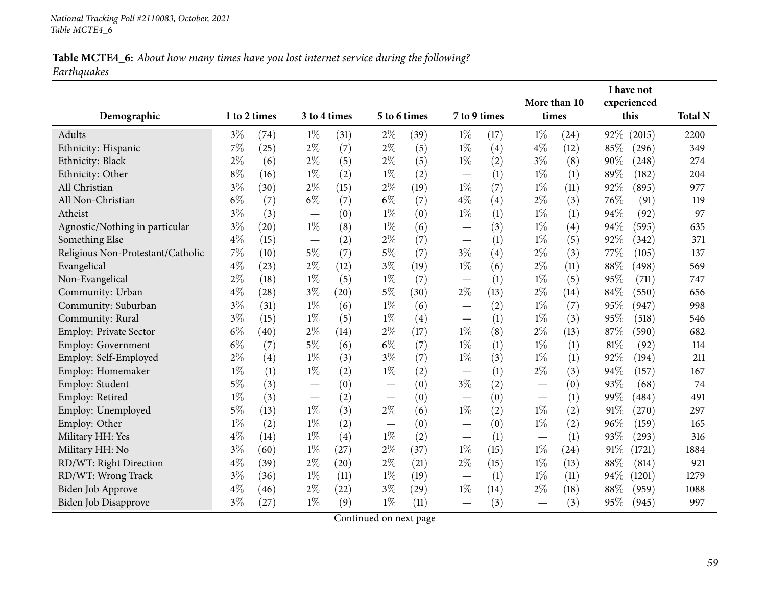### Table MCTE4\_6: About how many times have you lost internet service during the following? *Earthquakes*

| Demographic                       | 1 to 2 times |                    |                          | 3 to 4 times |                                  | 5 to 6 times | 7 to 9 times                    |      | More than 10<br>times    |      |      | I have not<br>experienced<br>this | <b>Total N</b> |
|-----------------------------------|--------------|--------------------|--------------------------|--------------|----------------------------------|--------------|---------------------------------|------|--------------------------|------|------|-----------------------------------|----------------|
|                                   |              |                    |                          |              |                                  |              |                                 |      |                          |      |      |                                   |                |
| Adults                            | $3\%$        | (74)               | $1\%$                    | (31)         | $2\%$                            | (39)         | $1\%$                           | (17) | $1\%$                    | (24) | 92%  | (2015)                            | 2200           |
| Ethnicity: Hispanic               | $7\%$        | (25)               | $2\%$                    | (7)          | $2\%$                            | (5)          | $1\%$                           | (4)  | $4\%$                    | (12) | 85\% | (296)                             | 349            |
| Ethnicity: Black                  | $2\%$        | (6)                | $2\%$                    | (5)          | $2\%$                            | (5)          | $1\%$                           | (2)  | $3\%$                    | (8)  | 90%  | (248)                             | 274            |
| Ethnicity: Other                  | $8\%$        | (16)               | $1\%$                    | (2)          | $1\%$                            | (2)          | $\hspace{0.1mm}-\hspace{0.1mm}$ | (1)  | $1\%$                    | (1)  | 89%  | (182)                             | 204            |
| All Christian                     | $3\%$        | (30)               | $2\%$                    | (15)         | $2\%$                            | (19)         | $1\%$                           | (7)  | $1\%$                    | (11) | 92%  | (895)                             | 977            |
| All Non-Christian                 | $6\%$        | (7)                | $6\%$                    | (7)          | $6\%$                            | (7)          | $4\%$                           | (4)  | $2\%$                    | (3)  | 76%  | (91)                              | 119            |
| Atheist                           | $3\%$        | (3)                |                          | (0)          | $1\%$                            | (0)          | $1\%$                           | (1)  | $1\%$                    | (1)  | 94%  | (92)                              | 97             |
| Agnostic/Nothing in particular    | $3\%$        | (20)               | $1\%$                    | (8)          | $1\%$                            | (6)          |                                 | (3)  | $1\%$                    | (4)  | 94%  | (595)                             | 635            |
| Something Else                    | $4\%$        | (15)               |                          | (2)          | $2\%$                            | (7)          |                                 | (1)  | $1\%$                    | (5)  | 92%  | (342)                             | 371            |
| Religious Non-Protestant/Catholic | $7\%$        | (10)               | $5\%$                    | (7)          | $5\%$                            | (7)          | $3\%$                           | (4)  | $2\%$                    | (3)  | 77\% | (105)                             | 137            |
| Evangelical                       | $4\%$        | (23)               | $2\%$                    | (12)         | $3\%$                            | (19)         | $1\%$                           | (6)  | $2\%$                    | (11) | 88%  | (498)                             | 569            |
| Non-Evangelical                   | $2\%$        | (18)               | $1\%$                    | (5)          | $1\%$                            | (7)          |                                 | (1)  | $1\%$                    | (5)  | 95%  | (711)                             | 747            |
| Community: Urban                  | $4\%$        | $\left( 28\right)$ | $3\%$                    | (20)         | $5\%$                            | (30)         | $2\%$                           | (13) | $2\%$                    | (14) | 84%  | (550)                             | 656            |
| Community: Suburban               | $3\%$        | (31)               | $1\%$                    | (6)          | $1\%$                            | (6)          |                                 | (2)  | $1\%$                    | (7)  | 95%  | (947)                             | 998            |
| Community: Rural                  | $3\%$        | (15)               | $1\%$                    | (5)          | $1\%$                            | (4)          |                                 | (1)  | $1\%$                    | (3)  | 95%  | (518)                             | 546            |
| Employ: Private Sector            | $6\%$        | (40)               | $2\%$                    | (14)         | $2\%$                            | (17)         | $1\%$                           | (8)  | $2\%$                    | (13) | 87%  | (590)                             | 682            |
| Employ: Government                | $6\%$        | (7)                | $5\%$                    | (6)          | $6\%$                            | (7)          | $1\%$                           | (1)  | $1\%$                    | (1)  | 81%  | (92)                              | 114            |
| Employ: Self-Employed             | $2\%$        | (4)                | $1\%$                    | (3)          | $3\%$                            | (7)          | $1\%$                           | (3)  | $1\%$                    | (1)  | 92%  | (194)                             | 211            |
| Employ: Homemaker                 | $1\%$        | (1)                | $1\%$                    | (2)          | $1\%$                            | (2)          |                                 | (1)  | $2\%$                    | (3)  | 94%  | (157)                             | 167            |
| Employ: Student                   | $5\%$        | (3)                |                          | (0)          | $\overbrace{\phantom{12322111}}$ | (0)          | $3\%$                           | (2)  | $\overline{\phantom{0}}$ | (0)  | 93%  | (68)                              | 74             |
| Employ: Retired                   | $1\%$        | (3)                | $\overline{\phantom{m}}$ | (2)          | $\hspace{0.1mm}-\hspace{0.1mm}$  | (0)          |                                 | (0)  | —                        | (1)  | 99%  | (484)                             | 491            |
| Employ: Unemployed                | $5\%$        | (13)               | $1\%$                    | (3)          | $2\%$                            | (6)          | $1\%$                           | (2)  | $1\%$                    | (2)  | 91%  | (270)                             | 297            |
| Employ: Other                     | $1\%$        | (2)                | $1\%$                    | (2)          |                                  | (0)          |                                 | (0)  | $1\%$                    | (2)  | 96%  | (159)                             | 165            |
| Military HH: Yes                  | $4\%$        | (14)               | $1\%$                    | (4)          | $1\%$                            | (2)          |                                 | (1)  |                          | (1)  | 93%  | (293)                             | 316            |
| Military HH: No                   | $3\%$        | (60)               | $1\%$                    | (27)         | $2\%$                            | (37)         | $1\%$                           | (15) | $1\%$                    | (24) | 91%  | (1721)                            | 1884           |
| RD/WT: Right Direction            | $4\%$        | (39)               | $2\%$                    | (20)         | $2\%$                            | (21)         | $2\%$                           | (15) | $1\%$                    | (13) | 88%  | (814)                             | 921            |
| RD/WT: Wrong Track                | $3\%$        | (36)               | $1\%$                    | (11)         | $1\%$                            | (19)         |                                 | (1)  | $1\%$                    | (11) | 94%  | (1201)                            | 1279           |
| Biden Job Approve                 | $4\%$        | (46)               | $2\%$                    | (22)         | $3\%$                            | (29)         | $1\%$                           | (14) | $2\%$                    | (18) | 88%  | (959)                             | 1088           |
| Biden Job Disapprove              | $3\%$        | (27)               | $1\%$                    | (9)          | $1\%$                            | (11)         |                                 | (3)  |                          | (3)  | 95%  | (945)                             | 997            |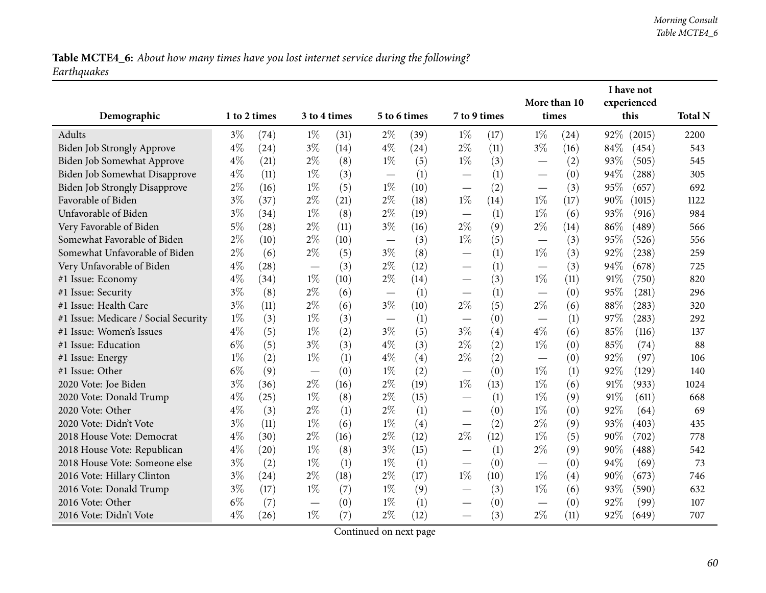# Table MCTE4\_6: About how many times have you lost internet service during the following? *Earthquakes*

|                                      |              |      |                          |              |       |              |                          |      | More than 10                      |      |        | I have not<br>experienced |                |
|--------------------------------------|--------------|------|--------------------------|--------------|-------|--------------|--------------------------|------|-----------------------------------|------|--------|---------------------------|----------------|
| Demographic                          | 1 to 2 times |      |                          | 3 to 4 times |       | 5 to 6 times | 7 to 9 times             |      | times                             |      |        | this                      | <b>Total N</b> |
| <b>Adults</b>                        | $3\%$        | (74) | $1\%$                    | (31)         | $2\%$ | (39)         | $1\%$                    | (17) | $1\%$                             | (24) | 92%    | (2015)                    | 2200           |
| Biden Job Strongly Approve           | $4\%$        | (24) | $3\%$                    | (14)         | $4\%$ | (24)         | $2\%$                    | (11) | $3\%$                             | (16) | 84%    | (454)                     | 543            |
| <b>Biden Job Somewhat Approve</b>    | $4\%$        | (21) | $2\%$                    | (8)          | $1\%$ | (5)          | $1\%$                    | (3)  |                                   | (2)  | 93%    | (505)                     | 545            |
| Biden Job Somewhat Disapprove        | $4\%$        | (11) | $1\%$                    | (3)          |       | (1)          |                          | (1)  | $\hspace{0.1mm}-\hspace{0.1mm}$   | (0)  | 94%    | (288)                     | 305            |
| <b>Biden Job Strongly Disapprove</b> | $2\%$        | (16) | $1\%$                    | (5)          | $1\%$ | (10)         |                          | (2)  | $\overbrace{\phantom{123221111}}$ | (3)  | 95%    | (657)                     | 692            |
| Favorable of Biden                   | $3\%$        | (37) | $2\%$                    | (21)         | $2\%$ | (18)         | $1\%$                    | (14) | $1\%$                             | (17) | 90%    | (1015)                    | 1122           |
| Unfavorable of Biden                 | $3\%$        | (34) | $1\%$                    | (8)          | $2\%$ | (19)         |                          | (1)  | $1\%$                             | (6)  | 93%    | (916)                     | 984            |
| Very Favorable of Biden              | $5\%$        | (28) | $2\%$                    | (11)         | $3\%$ | (16)         | $2\%$                    | (9)  | $2\%$                             | (14) | 86%    | (489)                     | 566            |
| Somewhat Favorable of Biden          | 2%           | (10) | $2\%$                    | (10)         |       | (3)          | $1\%$                    | (5)  |                                   | (3)  | 95%    | (526)                     | 556            |
| Somewhat Unfavorable of Biden        | $2\%$        | (6)  | $2\%$                    | (5)          | $3\%$ | (8)          | $\overline{\phantom{0}}$ | (1)  | $1\%$                             | (3)  | 92%    | (238)                     | 259            |
| Very Unfavorable of Biden            | $4\%$        | (28) |                          | (3)          | $2\%$ | (12)         |                          | (1)  |                                   | (3)  | 94%    | (678)                     | 725            |
| #1 Issue: Economy                    | $4\%$        | (34) | $1\%$                    | (10)         | $2\%$ | (14)         | $\overline{\phantom{0}}$ | (3)  | $1\%$                             | (11) | 91%    | (750)                     | 820            |
| #1 Issue: Security                   | $3\%$        | (8)  | $2\%$                    | (6)          |       | (1)          | $\overline{\phantom{0}}$ | (1)  |                                   | (0)  | 95%    | (281)                     | 296            |
| #1 Issue: Health Care                | $3\%$        | (11) | $2\%$                    | (6)          | $3\%$ | (10)         | $2\%$                    | (5)  | $2\%$                             | (6)  | 88%    | (283)                     | 320            |
| #1 Issue: Medicare / Social Security | $1\%$        | (3)  | $1\%$                    | (3)          |       | (1)          | $\overline{\phantom{0}}$ | (0)  |                                   | (1)  | 97%    | (283)                     | 292            |
| #1 Issue: Women's Issues             | $4\%$        | (5)  | $1\%$                    | (2)          | $3\%$ | (5)          | $3\%$                    | (4)  | $4\%$                             | (6)  | 85%    | (116)                     | 137            |
| #1 Issue: Education                  | $6\%$        | (5)  | $3\%$                    | (3)          | $4\%$ | (3)          | $2\%$                    | (2)  | $1\%$                             | (0)  | 85%    | (74)                      | 88             |
| #1 Issue: Energy                     | $1\%$        | (2)  | $1\%$                    | (1)          | $4\%$ | (4)          | $2\%$                    | (2)  |                                   | (0)  | 92%    | (97)                      | 106            |
| #1 Issue: Other                      | $6\%$        | (9)  | $\overline{\phantom{m}}$ | (0)          | $1\%$ | (2)          |                          | (0)  | $1\%$                             | (1)  | 92%    | (129)                     | 140            |
| 2020 Vote: Joe Biden                 | $3\%$        | (36) | $2\%$                    | (16)         | $2\%$ | (19)         | $1\%$                    | (13) | $1\%$                             | (6)  | 91%    | (933)                     | 1024           |
| 2020 Vote: Donald Trump              | $4\%$        | (25) | $1\%$                    | (8)          | $2\%$ | (15)         | —                        | (1)  | $1\%$                             | (9)  | 91%    | (611)                     | 668            |
| 2020 Vote: Other                     | $4\%$        | (3)  | $2\%$                    | (1)          | $2\%$ | (1)          | $\overline{\phantom{0}}$ | (0)  | $1\%$                             | (0)  | 92%    | (64)                      | 69             |
| 2020 Vote: Didn't Vote               | $3\%$        | (11) | $1\%$                    | (6)          | $1\%$ | (4)          | $\overline{\phantom{0}}$ | (2)  | $2\%$                             | (9)  | 93%    | (403)                     | 435            |
| 2018 House Vote: Democrat            | $4\%$        | (30) | $2\%$                    | (16)         | $2\%$ | (12)         | $2\%$                    | (12) | $1\%$                             | (5)  | $90\%$ | (702)                     | 778            |
| 2018 House Vote: Republican          | $4\%$        | (20) | $1\%$                    | (8)          | $3\%$ | (15)         |                          | (1)  | $2\%$                             | (9)  | 90%    | (488)                     | 542            |
| 2018 House Vote: Someone else        | $3\%$        | (2)  | $1\%$                    | (1)          | $1\%$ | (1)          | $\overline{\phantom{0}}$ | (0)  | $\hspace{0.1mm}-\hspace{0.1mm}$   | (0)  | 94%    | (69)                      | 73             |
| 2016 Vote: Hillary Clinton           | $3\%$        | (24) | $2\%$                    | (18)         | $2\%$ | (17)         | $1\%$                    | (10) | $1\%$                             | (4)  | 90%    | (673)                     | 746            |
| 2016 Vote: Donald Trump              | $3\%$        | (17) | $1\%$                    | (7)          | $1\%$ | (9)          |                          | (3)  | $1\%$                             | (6)  | 93%    | (590)                     | 632            |
| 2016 Vote: Other                     | $6\%$        | (7)  |                          | (0)          | $1\%$ | (1)          | —                        | (0)  | $\hspace{0.1mm}-\hspace{0.1mm}$   | (0)  | 92%    | (99)                      | 107            |
| 2016 Vote: Didn't Vote               | $4\%$        | (26) | $1\%$                    | (7)          | $2\%$ | (12)         | $\overline{\phantom{0}}$ | (3)  | $2\%$                             | (11) | 92%    | (649)                     | 707            |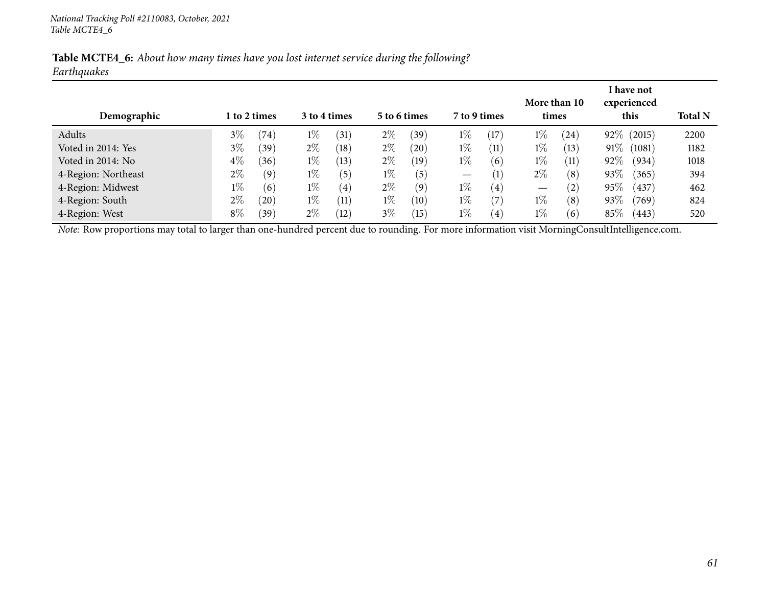| Table MCTE4_6: About how many times have you lost internet service during the following? |  |  |  |  |  |
|------------------------------------------------------------------------------------------|--|--|--|--|--|
| Earthquakes                                                                              |  |  |  |  |  |

| Demographic         |       | 1 to 2 times   |       | 3 to 4 times      |       | 5 to 6 times          | 7 to 9 times                    |                   |       | More than 10<br>times |        | I have not<br>experienced<br>this | <b>Total N</b> |
|---------------------|-------|----------------|-------|-------------------|-------|-----------------------|---------------------------------|-------------------|-------|-----------------------|--------|-----------------------------------|----------------|
| Adults              | $3\%$ | $^{\prime}74)$ | $1\%$ | (31)              | $2\%$ | (39)                  | $1\%$                           | (17)              | $1\%$ | $\left(24\right)$     |        | 92% (2015)                        | 2200           |
| Voted in 2014: Yes  | $3\%$ | (39)           | $2\%$ | (18)              | $2\%$ | $^{\prime}20^{\cdot}$ | $1\%$                           | (11)              | $1\%$ | (13)                  | $91\%$ | (1081)                            | 1182           |
| Voted in 2014: No   | $4\%$ | (36)           | $1\%$ | (13)              | $2\%$ | (19)                  | $1\%$                           | (6)               | $1\%$ | (11)                  | 92%    | (934)                             | 1018           |
| 4-Region: Northeast | $2\%$ | (9)            | $1\%$ | (5)               | $1\%$ | (5)                   | $\hspace{0.1mm}-\hspace{0.1mm}$ | $\left(1\right)$  | $2\%$ | (8)                   | 93%    | (365)                             | 394            |
| 4-Region: Midwest   | $1\%$ | (6)            | $1\%$ | $\left( 4\right)$ | $2\%$ | (9)                   | $1\%$                           | $\left( 4\right)$ | —     | $\left( 2\right)$     | 95%    | (437)                             | 462            |
| 4-Region: South     | $2\%$ | (20)           | $1\%$ | (11)              | $1\%$ | (10)                  | $1\%$                           | (7)               | $1\%$ | (8)                   | 93\%   | (769)                             | 824            |
| 4-Region: West      | $8\%$ | (39)           | $2\%$ | (12)              | $3\%$ | (15)                  | $1\%$                           | $\left( 4\right)$ | $1\%$ | (6)                   | 85\%   | (443)                             | 520            |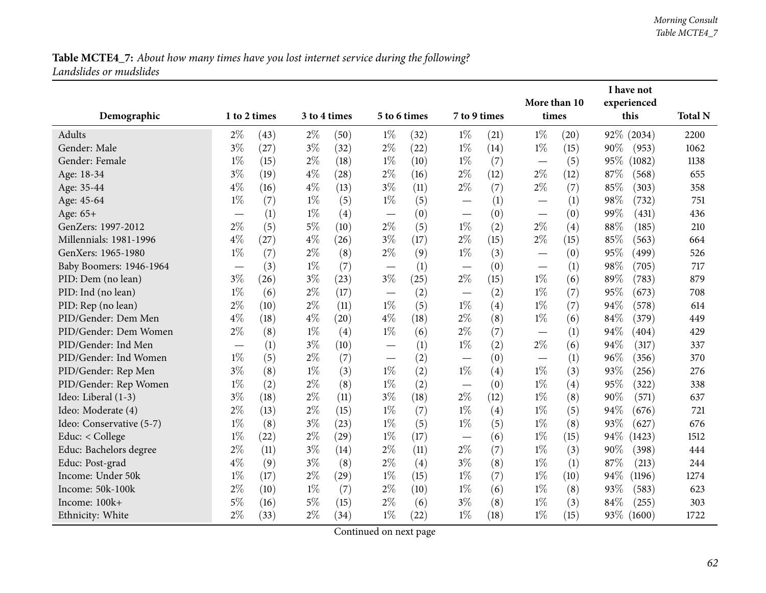|                          |              |      |       |              |                                   |              |                               |      | More than 10 |      |        | I have not<br>experienced |                |
|--------------------------|--------------|------|-------|--------------|-----------------------------------|--------------|-------------------------------|------|--------------|------|--------|---------------------------|----------------|
| Demographic              | 1 to 2 times |      |       | 3 to 4 times |                                   | 5 to 6 times | 7 to 9 times                  |      | times        |      |        | this                      | <b>Total N</b> |
| Adults                   | $2\%$        | (43) | $2\%$ | (50)         | $1\%$                             | (32)         | $1\%$                         | (21) | $1\%$        | (20) |        | 92% (2034)                | 2200           |
| Gender: Male             | $3\%$        | (27) | $3\%$ | (32)         | $2\%$                             | (22)         | $1\%$                         | (14) | $1\%$        | (15) | 90%    | (953)                     | 1062           |
| Gender: Female           | $1\%$        | (15) | $2\%$ | (18)         | $1\%$                             | (10)         | $1\%$                         | (7)  |              | (5)  | 95%    | (1082)                    | 1138           |
| Age: 18-34               | $3\%$        | (19) | $4\%$ | (28)         | $2\%$                             | (16)         | $2\%$                         | (12) | $2\%$        | (12) | $87\%$ | (568)                     | 655            |
| Age: 35-44               | $4\%$        | (16) | $4\%$ | (13)         | $3\%$                             | (11)         | $2\%$                         | (7)  | $2\%$        | (7)  | 85%    | (303)                     | 358            |
| Age: 45-64               | $1\%$        | (7)  | $1\%$ | (5)          | $1\%$                             | (5)          |                               | (1)  |              | (1)  | 98%    | (732)                     | 751            |
| Age: 65+                 |              | (1)  | $1\%$ | (4)          | $\overbrace{\phantom{123221111}}$ | (0)          |                               | (0)  |              | (0)  | 99%    | (431)                     | 436            |
| GenZers: 1997-2012       | $2\%$        | (5)  | $5\%$ | (10)         | $2\%$                             | (5)          | $1\%$                         | (2)  | $2\%$        | (4)  | 88%    | (185)                     | 210            |
| Millennials: 1981-1996   | $4\%$        | (27) | $4\%$ | (26)         | $3\%$                             | (17)         | $2\%$                         | (15) | $2\%$        | (15) | 85%    | (563)                     | 664            |
| GenXers: 1965-1980       | $1\%$        | (7)  | $2\%$ | (8)          | $2\%$                             | (9)          | $1\%$                         | (3)  |              | (0)  | 95%    | (499)                     | 526            |
| Baby Boomers: 1946-1964  |              | (3)  | $1\%$ | (7)          |                                   | (1)          | $\overbrace{\phantom{13333}}$ | (0)  |              | (1)  | 98%    | (705)                     | 717            |
| PID: Dem (no lean)       | $3\%$        | (26) | $3\%$ | (23)         | $3\%$                             | (25)         | $2\%$                         | (15) | $1\%$        | (6)  | 89%    | (783)                     | 879            |
| PID: Ind (no lean)       | $1\%$        | (6)  | $2\%$ | (17)         |                                   | (2)          |                               | (2)  | $1\%$        | (7)  | 95%    | (673)                     | 708            |
| PID: Rep (no lean)       | $2\%$        | (10) | $2\%$ | (11)         | $1\%$                             | (5)          | $1\%$                         | (4)  | $1\%$        | (7)  | 94%    | (578)                     | 614            |
| PID/Gender: Dem Men      | $4\%$        | (18) | $4\%$ | (20)         | $4\%$                             | (18)         | $2\%$                         | (8)  | $1\%$        | (6)  | 84%    | (379)                     | 449            |
| PID/Gender: Dem Women    | $2\%$        | (8)  | $1\%$ | (4)          | $1\%$                             | (6)          | $2\%$                         | (7)  |              | (1)  | 94%    | (404)                     | 429            |
| PID/Gender: Ind Men      |              | (1)  | $3\%$ | (10)         |                                   | (1)          | $1\%$                         | (2)  | $2\%$        | (6)  | 94%    | (317)                     | 337            |
| PID/Gender: Ind Women    | $1\%$        | (5)  | $2\%$ | (7)          |                                   | (2)          |                               | (0)  |              | (1)  | 96%    | (356)                     | 370            |
| PID/Gender: Rep Men      | $3\%$        | (8)  | $1\%$ | (3)          | $1\%$                             | (2)          | $1\%$                         | (4)  | $1\%$        | (3)  | 93%    | (256)                     | 276            |
| PID/Gender: Rep Women    | $1\%$        | (2)  | $2\%$ | (8)          | $1\%$                             | (2)          | $\overbrace{\phantom{12333}}$ | (0)  | $1\%$        | (4)  | 95%    | (322)                     | 338            |
| Ideo: Liberal (1-3)      | $3\%$        | (18) | $2\%$ | (11)         | $3\%$                             | (18)         | $2\%$                         | (12) | $1\%$        | (8)  | 90%    | (571)                     | 637            |
| Ideo: Moderate (4)       | $2\%$        | (13) | $2\%$ | (15)         | $1\%$                             | (7)          | $1\%$                         | (4)  | $1\%$        | (5)  | 94%    | (676)                     | 721            |
| Ideo: Conservative (5-7) | $1\%$        | (8)  | $3\%$ | (23)         | $1\%$                             | (5)          | $1\%$                         | (5)  | $1\%$        | (8)  | 93%    | (627)                     | 676            |
| Educ: < College          | $1\%$        | (22) | $2\%$ | (29)         | $1\%$                             | (17)         | $\overbrace{\phantom{12333}}$ | (6)  | $1\%$        | (15) | 94%    | (1423)                    | 1512           |
| Educ: Bachelors degree   | $2\%$        | (11) | $3\%$ | (14)         | $2\%$                             | (11)         | $2\%$                         | (7)  | $1\%$        | (3)  | 90%    | (398)                     | 444            |
| Educ: Post-grad          | $4\%$        | (9)  | $3\%$ | (8)          | $2\%$                             | (4)          | $3\%$                         | (8)  | $1\%$        | (1)  | 87%    | (213)                     | 244            |
| Income: Under 50k        | $1\%$        | (17) | $2\%$ | (29)         | $1\%$                             | (15)         | $1\%$                         | (7)  | $1\%$        | (10) | 94%    | (1196)                    | 1274           |
| Income: 50k-100k         | $2\%$        | (10) | $1\%$ | (7)          | $2\%$                             | (10)         | $1\%$                         | (6)  | $1\%$        | (8)  | 93%    | (583)                     | 623            |
| Income: 100k+            | $5\%$        | (16) | $5\%$ | (15)         | $2\%$                             | (6)          | $3\%$                         | (8)  | $1\%$        | (3)  | 84%    | (255)                     | 303            |
| Ethnicity: White         | $2\%$        | (33) | $2\%$ | (34)         | $1\%$                             | (22)         | $1\%$                         | (18) | $1\%$        | (15) |        | 93\% (1600)               | 1722           |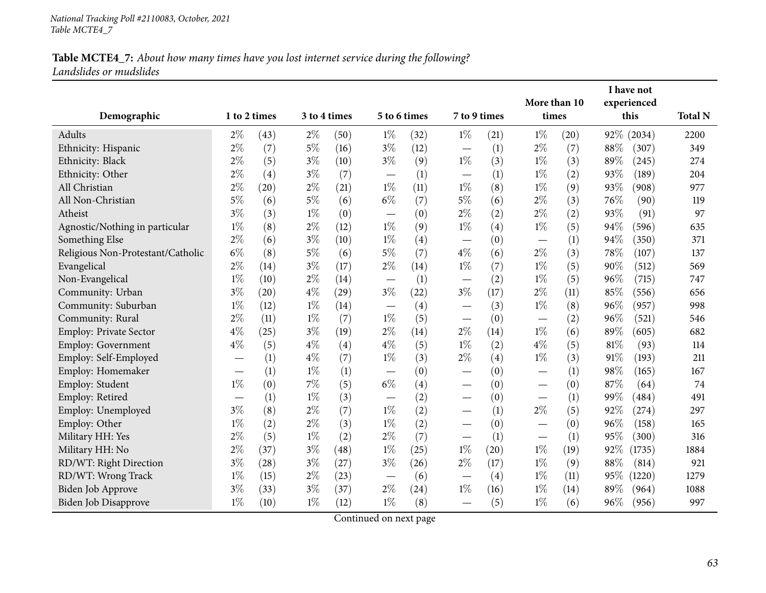| Demographic                       | 1 to 2 times |                    |       | 3 to 4 times       |                          | 5 to 6 times | 7 to 9 times                  |      | More than 10<br>times             |      |                    | I have not<br>experienced | <b>Total N</b> |
|-----------------------------------|--------------|--------------------|-------|--------------------|--------------------------|--------------|-------------------------------|------|-----------------------------------|------|--------------------|---------------------------|----------------|
|                                   |              |                    |       |                    |                          |              |                               |      |                                   |      | this<br>92% (2034) |                           |                |
| Adults                            | $2\%$        | (43)               | $2\%$ | (50)               | $1\%$                    | (32)         | $1\%$                         | (21) | $1\%$                             | (20) |                    |                           | 2200           |
| Ethnicity: Hispanic               | $2\%$        | (7)                | $5\%$ | (16)               | $3\%$                    | (12)         |                               | (1)  | $2\%$                             | (7)  | 88%                | (307)                     | 349            |
| Ethnicity: Black                  | $2\%$        | (5)                | $3\%$ | (10)               | $3\%$                    | (9)          | $1\%$                         | (3)  | $1\%$                             | (3)  | 89%                | (245)                     | 274            |
| Ethnicity: Other                  | $2\%$        | (4)                | $3\%$ | (7)                |                          | (1)          | $\overbrace{\phantom{13333}}$ | (1)  | $1\%$                             | (2)  | 93%                | (189)                     | 204            |
| All Christian                     | $2\%$        | (20)               | $2\%$ | (21)               | $1\%$                    | (11)         | $1\%$                         | (8)  | $1\%$                             | (9)  | 93%                | (908)                     | 977            |
| All Non-Christian                 | $5\%$        | (6)                | $5\%$ | (6)                | $6\%$                    | (7)          | $5\%$                         | (6)  | 2%                                | (3)  | 76%                | (90)                      | 119            |
| Atheist                           | $3\%$        | (3)                | $1\%$ | (0)                | $\overline{\phantom{0}}$ | (0)          | $2\%$                         | (2)  | $2\%$                             | (2)  | 93%                | (91)                      | 97             |
| Agnostic/Nothing in particular    | $1\%$        | (8)                | $2\%$ | (12)               | $1\%$                    | (9)          | $1\%$                         | (4)  | $1\%$                             | (5)  | 94%                | (596)                     | 635            |
| Something Else                    | $2\%$        | (6)                | $3\%$ | (10)               | $1\%$                    | (4)          |                               | (0)  |                                   | (1)  | 94%                | (350)                     | 371            |
| Religious Non-Protestant/Catholic | $6\%$        | (8)                | $5\%$ | (6)                | $5\%$                    | (7)          | $4\%$                         | (6)  | $2\%$                             | (3)  | 78%                | (107)                     | 137            |
| Evangelical                       | $2\%$        | (14)               | $3\%$ | (17)               | $2\%$                    | (14)         | $1\%$                         | (7)  | $1\%$                             | (5)  | 90%                | (512)                     | 569            |
| Non-Evangelical                   | $1\%$        | (10)               | $2\%$ | (14)               |                          | (1)          |                               | (2)  | $1\%$                             | (5)  | 96%                | (715)                     | 747            |
| Community: Urban                  | $3\%$        | $\left( 20\right)$ | $4\%$ | $\left( 29\right)$ | $3\%$                    | (22)         | $3\%$                         | (17) | $2\%$                             | (11) | 85%                | (556)                     | 656            |
| Community: Suburban               | $1\%$        | (12)               | $1\%$ | (14)               |                          | (4)          |                               | (3)  | $1\%$                             | (8)  | 96%                | (957)                     | 998            |
| Community: Rural                  | 2%           | (11)               | $1\%$ | (7)                | $1\%$                    | (5)          |                               | (0)  |                                   | (2)  | 96%                | (521)                     | 546            |
| <b>Employ: Private Sector</b>     | $4\%$        | (25)               | $3\%$ | (19)               | $2\%$                    | (14)         | $2\%$                         | (14) | $1\%$                             | (6)  | 89%                | (605)                     | 682            |
| Employ: Government                | $4\%$        | (5)                | $4\%$ | (4)                | $4\%$                    | (5)          | $1\%$                         | (2)  | $4\%$                             | (5)  | 81%                | (93)                      | 114            |
| Employ: Self-Employed             |              | (1)                | $4\%$ | (7)                | $1\%$                    | (3)          | $2\%$                         | (4)  | $1\%$                             | (3)  | 91%                | (193)                     | 211            |
| Employ: Homemaker                 |              | (1)                | $1\%$ | (1)                | —                        | (0)          | $\overline{\phantom{0}}$      | (0)  |                                   | (1)  | 98%                | (165)                     | 167            |
| Employ: Student                   | $1\%$        | (0)                | $7\%$ | (5)                | $6\%$                    | (4)          | $\overline{\phantom{0}}$      | (0)  |                                   | (0)  | 87%                | (64)                      | 74             |
| Employ: Retired                   |              | (1)                | $1\%$ | (3)                |                          | (2)          | $\overline{\phantom{0}}$      | (0)  |                                   | (1)  | 99%                | (484)                     | 491            |
| Employ: Unemployed                | $3\%$        | (8)                | $2\%$ | (7)                | $1\%$                    | (2)          | $\overline{\phantom{0}}$      | (1)  | $2\%$                             | (5)  | 92%                | (274)                     | 297            |
| Employ: Other                     | $1\%$        | (2)                | $2\%$ | (3)                | $1\%$                    | (2)          |                               | (0)  |                                   | (0)  | 96%                | (158)                     | 165            |
| Military HH: Yes                  | $2\%$        | (5)                | $1\%$ | (2)                | $2\%$                    | (7)          |                               | (1)  | $\overbrace{\phantom{123221111}}$ | (1)  | 95%                | (300)                     | 316            |
| Military HH: No                   | $2\%$        | (37)               | $3\%$ | (48)               | $1\%$                    | (25)         | $1\%$                         | (20) | $1\%$                             | (19) | 92%                | (1735)                    | 1884           |
| RD/WT: Right Direction            | $3\%$        | (28)               | $3\%$ | (27)               | $3\%$                    | (26)         | $2\%$                         | (17) | $1\%$                             | (9)  | 88%                | (814)                     | 921            |
| RD/WT: Wrong Track                | $1\%$        | (15)               | $2\%$ | (23)               |                          | (6)          |                               | (4)  | $1\%$                             | (11) | 95%                | (1220)                    | 1279           |
| Biden Job Approve                 | $3\%$        | (33)               | $3\%$ | (37)               | $2\%$                    | (24)         | $1\%$                         | (16) | $1\%$                             | (14) | 89\%               | (964)                     | 1088           |
| Biden Job Disapprove              | $1\%$        | (10)               | $1\%$ | (12)               | $1\%$                    | (8)          |                               | (5)  | $1\%$                             | (6)  | 96%                | (956)                     | 997            |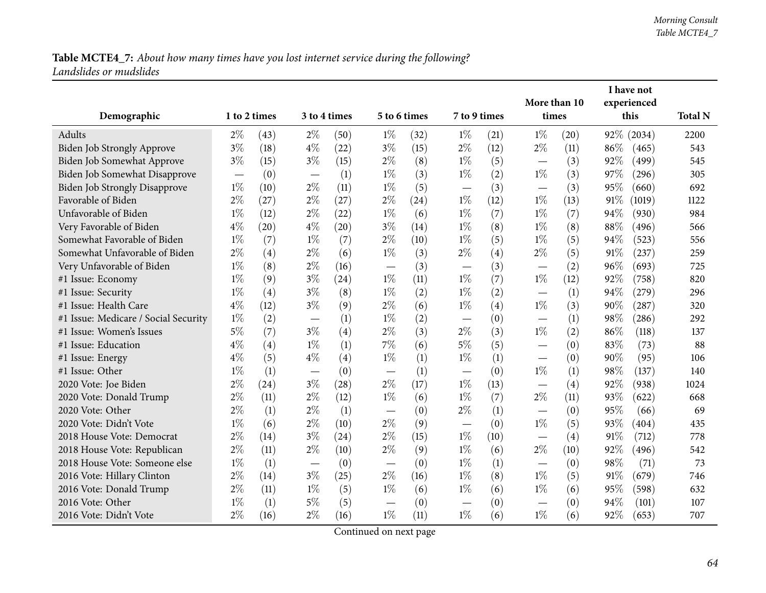|                                      |              |      |                                   |      |                          |              |                          | I have not<br>More than 10 |                               |      |        |             |                |
|--------------------------------------|--------------|------|-----------------------------------|------|--------------------------|--------------|--------------------------|----------------------------|-------------------------------|------|--------|-------------|----------------|
|                                      |              |      |                                   |      |                          |              |                          |                            |                               |      |        | experienced |                |
| Demographic                          | 1 to 2 times |      | 3 to 4 times                      |      |                          | 5 to 6 times | 7 to 9 times             |                            | times                         |      |        | this        | <b>Total N</b> |
| Adults                               | $2\%$        | (43) | $2\%$                             | (50) | $1\%$                    | (32)         | $1\%$                    | (21)                       | $1\%$                         | (20) |        | 92% (2034)  | 2200           |
| <b>Biden Job Strongly Approve</b>    | $3\%$        | (18) | $4\%$                             | (22) | $3\%$                    | (15)         | $2\%$                    | (12)                       | $2\%$                         | (11) | 86%    | (465)       | 543            |
| Biden Job Somewhat Approve           | $3\%$        | (15) | $3\%$                             | (15) | $2\%$                    | (8)          | $1\%$                    | (5)                        |                               | (3)  | 92%    | (499)       | 545            |
| Biden Job Somewhat Disapprove        |              | (0)  | $\overbrace{\phantom{123221111}}$ | (1)  | $1\%$                    | (3)          | $1\%$                    | (2)                        | $1\%$                         | (3)  | 97%    | (296)       | 305            |
| <b>Biden Job Strongly Disapprove</b> | $1\%$        | (10) | $2\%$                             | (11) | $1\%$                    | (5)          |                          | (3)                        |                               | (3)  | 95%    | (660)       | 692            |
| Favorable of Biden                   | $2\%$        | (27) | $2\%$                             | (27) | $2\%$                    | (24)         | $1\%$                    | (12)                       | $1\%$                         | (13) | 91%    | (1019)      | 1122           |
| Unfavorable of Biden                 | $1\%$        | (12) | $2\%$                             | (22) | $1\%$                    | (6)          | $1\%$                    | (7)                        | $1\%$                         | (7)  | 94%    | (930)       | 984            |
| Very Favorable of Biden              | $4\%$        | (20) | $4\%$                             | (20) | $3\%$                    | (14)         | $1\%$                    | (8)                        | $1\%$                         | (8)  | 88%    | (496)       | 566            |
| Somewhat Favorable of Biden          | $1\%$        | (7)  | $1\%$                             | (7)  | $2\%$                    | (10)         | $1\%$                    | (5)                        | $1\%$                         | (5)  | 94%    | (523)       | 556            |
| Somewhat Unfavorable of Biden        | $2\%$        | (4)  | $2\%$                             | (6)  | $1\%$                    | (3)          | $2\%$                    | (4)                        | $2\%$                         | (5)  | 91%    | (237)       | 259            |
| Very Unfavorable of Biden            | $1\%$        | (8)  | $2\%$                             | (16) |                          | (3)          | $\overline{\phantom{0}}$ | (3)                        |                               | (2)  | 96%    | (693)       | 725            |
| #1 Issue: Economy                    | $1\%$        | (9)  | $3\%$                             | (24) | $1\%$                    | (11)         | $1\%$                    | (7)                        | $1\%$                         | (12) | $92\%$ | (758)       | 820            |
| #1 Issue: Security                   | $1\%$        | (4)  | $3\%$                             | (8)  | $1\%$                    | (2)          | $1\%$                    | (2)                        |                               | (1)  | 94%    | (279)       | 296            |
| #1 Issue: Health Care                | $4\%$        | (12) | $3\%$                             | (9)  | $2\%$                    | (6)          | $1\%$                    | (4)                        | $1\%$                         | (3)  | 90%    | (287)       | 320            |
| #1 Issue: Medicare / Social Security | $1\%$        | (2)  |                                   | (1)  | $1\%$                    | (2)          | —                        | (0)                        |                               | (1)  | 98%    | (286)       | 292            |
| #1 Issue: Women's Issues             | $5\%$        | (7)  | $3\%$                             | (4)  | $2\%$                    | (3)          | $2\%$                    | (3)                        | $1\%$                         | (2)  | 86%    | (118)       | 137            |
| #1 Issue: Education                  | $4\%$        | (4)  | $1\%$                             | (1)  | 7%                       | (6)          | $5\%$                    | (5)                        |                               | (0)  | 83%    | (73)        | 88             |
| #1 Issue: Energy                     | $4\%$        | (5)  | $4\%$                             | (4)  | $1\%$                    | (1)          | $1\%$                    | (1)                        | $\overbrace{\phantom{aaaaa}}$ | (0)  | 90%    | (95)        | 106            |
| #1 Issue: Other                      | $1\%$        | (1)  |                                   | (0)  | $\overline{\phantom{0}}$ | (1)          | $\overline{\phantom{0}}$ | (0)                        | $1\%$                         | (1)  | 98%    | (137)       | 140            |
| 2020 Vote: Joe Biden                 | $2\%$        | (24) | $3\%$                             | (28) | $2\%$                    | (17)         | $1\%$                    | (13)                       |                               | (4)  | 92%    | (938)       | 1024           |
| 2020 Vote: Donald Trump              | $2\%$        | (11) | $2\%$                             | (12) | $1\%$                    | (6)          | $1\%$                    | (7)                        | $2\%$                         | (11) | 93%    | (622)       | 668            |
| 2020 Vote: Other                     | $2\%$        | (1)  | $2\%$                             | (1)  | $\overline{\phantom{m}}$ | (0)          | $2\%$                    | (1)                        |                               | (0)  | 95%    | (66)        | 69             |
| 2020 Vote: Didn't Vote               | $1\%$        | (6)  | $2\%$                             | (10) | $2\%$                    | (9)          |                          | (0)                        | $1\%$                         | (5)  | 93%    | (404)       | 435            |
| 2018 House Vote: Democrat            | $2\%$        | (14) | $3\%$                             | (24) | $2\%$                    | (15)         | $1\%$                    | (10)                       |                               | (4)  | $91\%$ | (712)       | 778            |
| 2018 House Vote: Republican          | $2\%$        | (11) | $2\%$                             | (10) | $2\%$                    | (9)          | $1\%$                    | (6)                        | $2\%$                         | (10) | 92%    | (496)       | 542            |
| 2018 House Vote: Someone else        | $1\%$        | (1)  | $\overline{\phantom{m}}$          | (0)  | $\overline{\phantom{m}}$ | (0)          | $1\%$                    | (1)                        |                               | (0)  | 98%    | (71)        | 73             |
| 2016 Vote: Hillary Clinton           | $2\%$        | (14) | $3\%$                             | (25) | $2\%$                    | (16)         | $1\%$                    | (8)                        | $1\%$                         | (5)  | 91%    | (679)       | 746            |
| 2016 Vote: Donald Trump              | $2\%$        | (11) | $1\%$                             | (5)  | $1\%$                    | (6)          | $1\%$                    | (6)                        | $1\%$                         | (6)  | 95%    | (598)       | 632            |
| 2016 Vote: Other                     | $1\%$        | (1)  | $5\%$                             | (5)  |                          | (0)          | $\overline{\phantom{0}}$ | (0)                        |                               | (0)  | 94%    | (101)       | 107            |
| 2016 Vote: Didn't Vote               | $2\%$        | (16) | $2\%$                             | (16) | $1\%$                    | (11)         | $1\%$                    | (6)                        | $1\%$                         | (6)  | 92%    | (653)       | 707            |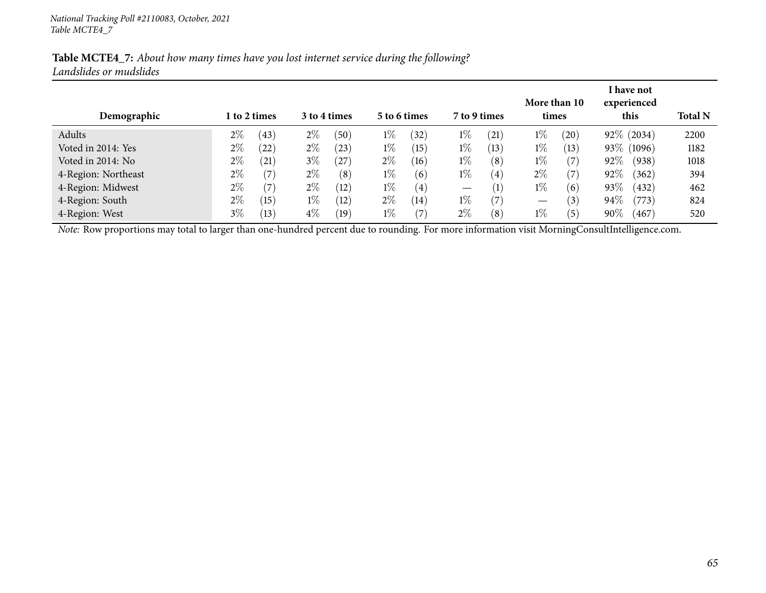| Demographic         |       | l to 2 times |       | 3 to 4 times |       | 5 to 6 times      | 7 to 9 times                    |                   | times | More than 10 | I have not<br>experienced<br>this | <b>Total N</b> |
|---------------------|-------|--------------|-------|--------------|-------|-------------------|---------------------------------|-------------------|-------|--------------|-----------------------------------|----------------|
| Adults              | 2%    | (43)         | $2\%$ | (50)         | $1\%$ | $^{(32)}$         | $1\%$                           | (21)              | $1\%$ | (20)         | $92\%$ (2034)                     | 2200           |
| Voted in 2014: Yes  | 2%    | (22)         | $2\%$ | (23)         | $1\%$ | (15)              | $1\%$                           | (13)              | $1\%$ | (13)         | 93\% (1096)                       | 1182           |
| Voted in 2014: No   | 2%    | (21)         | $3\%$ | $^{(27)}$    | $2\%$ | (16)              | $1\%$                           | (8)               | $1\%$ | (7           | $92\%$<br>(938)                   | 1018           |
| 4-Region: Northeast | 2%    | (7)          | $2\%$ | (8)          | $1\%$ | (6)               | $1\%$                           | $\left( 4\right)$ | $2\%$ | (7           | 92\%<br>(362)                     | 394            |
| 4-Region: Midwest   | 2%    | (7)          | $2\%$ | (12)         | $1\%$ | $\left( 4\right)$ | $\hspace{0.1mm}-\hspace{0.1mm}$ | $\left( 1\right)$ | $1\%$ | (6)          | 93\%<br>(432)                     | 462            |
| 4-Region: South     | 2%    | (15)         | $1\%$ | (12)         | $2\%$ | (14)              | $1\%$                           | (7)               | —     | (3)          | 94\%<br>(773)                     | 824            |
| 4-Region: West      | $3\%$ | $^{'}13)$    | $4\%$ | (19)         | $1\%$ | $\left( 7\right)$ | $2\%$                           | (8)               | $1\%$ | (5)          | $90\%$<br>(467)                   | 520            |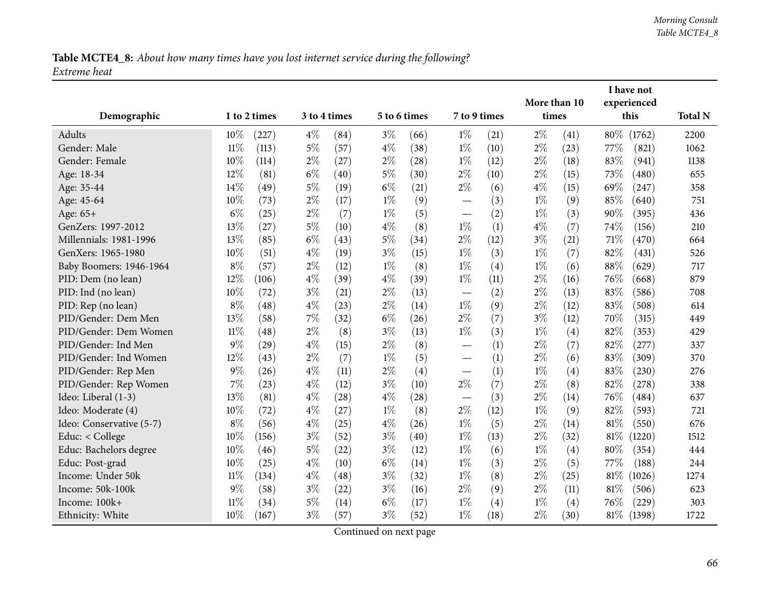## Table MCTE4\_8: About how many times have you lost internet service during the following? *Extreme heat*

|                          |        |              |       |              |       |              |                          |      |              | I have not |        |             |                |
|--------------------------|--------|--------------|-------|--------------|-------|--------------|--------------------------|------|--------------|------------|--------|-------------|----------------|
|                          |        |              |       |              |       |              |                          |      | More than 10 |            |        | experienced |                |
| Demographic              |        | 1 to 2 times |       | 3 to 4 times |       | 5 to 6 times | 7 to 9 times             |      | times        |            |        | this        | <b>Total N</b> |
| Adults                   | 10%    | (227)        | $4\%$ | (84)         | $3\%$ | (66)         | $1\%$                    | (21) | $2\%$        | (41)       | $80\%$ | (1762)      | 2200           |
| Gender: Male             | $11\%$ | (113)        | $5\%$ | (57)         | $4\%$ | (38)         | $1\%$                    | (10) | $2\%$        | (23)       | 77\%   | (821)       | 1062           |
| Gender: Female           | 10%    | (114)        | $2\%$ | (27)         | $2\%$ | (28)         | $1\%$                    | (12) | $2\%$        | (18)       | 83%    | (941)       | 1138           |
| Age: 18-34               | 12%    | (81)         | $6\%$ | (40)         | $5\%$ | (30)         | $2\%$                    | (10) | $2\%$        | (15)       | 73%    | (480)       | 655            |
| Age: 35-44               | 14%    | (49)         | 5%    | (19)         | $6\%$ | (21)         | $2\%$                    | (6)  | $4\%$        | (15)       | 69%    | (247)       | 358            |
| Age: 45-64               | 10%    | (73)         | $2\%$ | (17)         | $1\%$ | (9)          |                          | (3)  | $1\%$        | (9)        | 85%    | (640)       | 751            |
| Age: 65+                 | $6\%$  | (25)         | $2\%$ | (7)          | $1\%$ | (5)          |                          | (2)  | $1\%$        | (3)        | 90%    | (395)       | 436            |
| GenZers: 1997-2012       | 13%    | (27)         | $5\%$ | (10)         | $4\%$ | (8)          | $1\%$                    | (1)  | $4\%$        | (7)        | 74%    | (156)       | 210            |
| Millennials: 1981-1996   | 13%    | (85)         | $6\%$ | (43)         | $5\%$ | (34)         | $2\%$                    | (12) | $3\%$        | (21)       | 71\%   | (470)       | 664            |
| GenXers: 1965-1980       | 10%    | (51)         | $4\%$ | (19)         | $3\%$ | (15)         | $1\%$                    | (3)  | $1\%$        | (7)        | 82%    | (431)       | 526            |
| Baby Boomers: 1946-1964  | $8\%$  | (57)         | $2\%$ | (12)         | $1\%$ | (8)          | $1\%$                    | (4)  | $1\%$        | (6)        | 88%    | (629)       | 717            |
| PID: Dem (no lean)       | 12%    | (106)        | $4\%$ | (39)         | $4\%$ | (39)         | $1\%$                    | (11) | $2\%$        | (16)       | 76%    | (668)       | 879            |
| PID: Ind (no lean)       | 10%    | (72)         | $3\%$ | (21)         | $2\%$ | (13)         |                          | (2)  | $2\%$        | (13)       | 83%    | (586)       | 708            |
| PID: Rep (no lean)       | $8\%$  | (48)         | $4\%$ | (23)         | $2\%$ | (14)         | $1\%$                    | (9)  | $2\%$        | (12)       | 83%    | (508)       | 614            |
| PID/Gender: Dem Men      | 13%    | (58)         | 7%    | (32)         | $6\%$ | (26)         | $2\%$                    | (7)  | $3\%$        | (12)       | 70%    | (315)       | 449            |
| PID/Gender: Dem Women    | $11\%$ | (48)         | $2\%$ | (8)          | $3\%$ | (13)         | $1\%$                    | (3)  | $1\%$        | (4)        | 82%    | (353)       | 429            |
| PID/Gender: Ind Men      | 9%     | (29)         | $4\%$ | (15)         | $2\%$ | (8)          |                          | (1)  | $2\%$        | (7)        | 82%    | (277)       | 337            |
| PID/Gender: Ind Women    | 12%    | (43)         | $2\%$ | (7)          | $1\%$ | (5)          | $\overline{\phantom{0}}$ | (1)  | $2\%$        | (6)        | 83%    | (309)       | 370            |
| PID/Gender: Rep Men      | 9%     | (26)         | $4\%$ | (11)         | $2\%$ | (4)          | $\overline{\phantom{0}}$ | (1)  | $1\%$        | (4)        | 83%    | (230)       | 276            |
| PID/Gender: Rep Women    | 7%     | (23)         | $4\%$ | (12)         | $3\%$ | (10)         | $2\%$                    | (7)  | $2\%$        | (8)        | 82%    | (278)       | 338            |
| Ideo: Liberal (1-3)      | 13%    | (81)         | $4\%$ | (28)         | $4\%$ | (28)         |                          | (3)  | $2\%$        | (14)       | 76%    | (484)       | 637            |
| Ideo: Moderate (4)       | 10%    | (72)         | $4\%$ | (27)         | $1\%$ | (8)          | $2\%$                    | (12) | $1\%$        | (9)        | 82%    | (593)       | 721            |
| Ideo: Conservative (5-7) | $8\%$  | (56)         | $4\%$ | (25)         | $4\%$ | (26)         | $1\%$                    | (5)  | $2\%$        | (14)       | $81\%$ | (550)       | 676            |
| Educ: < College          | 10%    | (156)        | $3\%$ | (52)         | $3\%$ | (40)         | $1\%$                    | (13) | $2\%$        | (32)       | 81\%   | (1220)      | 1512           |
| Educ: Bachelors degree   | 10%    | (46)         | $5\%$ | (22)         | $3\%$ | (12)         | $1\%$                    | (6)  | $1\%$        | (4)        | 80%    | (354)       | 444            |
| Educ: Post-grad          | 10%    | (25)         | $4\%$ | (10)         | $6\%$ | (14)         | $1\%$                    | (3)  | $2\%$        | (5)        | 77%    | (188)       | 244            |
| Income: Under 50k        | $11\%$ | (134)        | $4\%$ | (48)         | $3\%$ | (32)         | $1\%$                    | (8)  | $2\%$        | (25)       | $81\%$ | (1026)      | 1274           |
| Income: 50k-100k         | 9%     | (58)         | $3\%$ | (22)         | $3\%$ | (16)         | $2\%$                    | (9)  | $2\%$        | (11)       | 81\%   | (506)       | 623            |
| Income: 100k+            | $11\%$ | (34)         | $5\%$ | (14)         | $6\%$ | (17)         | $1\%$                    | (4)  | $1\%$        | (4)        | 76\%   | (229)       | 303            |
| Ethnicity: White         | 10%    | (167)        | $3\%$ | (57)         | $3\%$ | (52)         | $1\%$                    | (18) | $2\%$        | (30)       | $81\%$ | (1398)      | 1722           |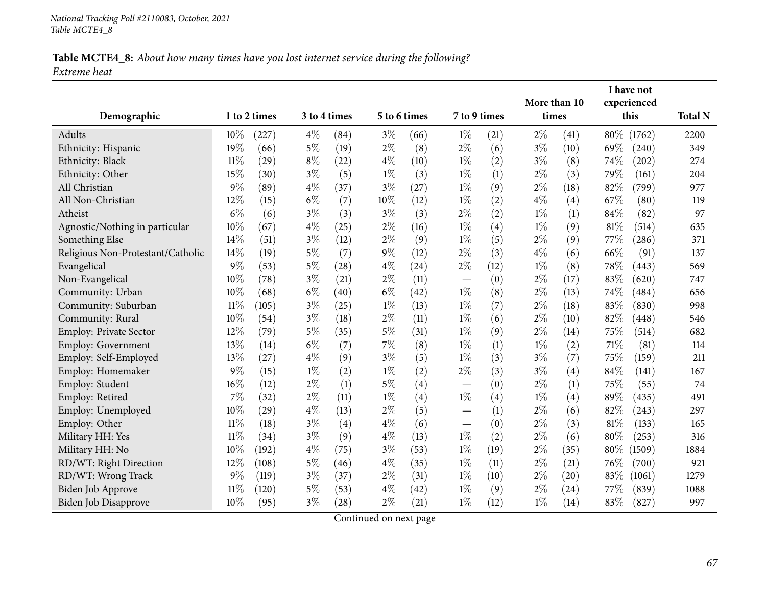### Table MCTE4\_8: About how many times have you lost internet service during the following? *Extreme heat*

|                                   |        |              |              |      |       |              |                                   |      | More than 10 |                    |        | I have not<br>experienced |                |
|-----------------------------------|--------|--------------|--------------|------|-------|--------------|-----------------------------------|------|--------------|--------------------|--------|---------------------------|----------------|
| Demographic                       |        | 1 to 2 times | 3 to 4 times |      |       | 5 to 6 times | 7 to 9 times                      |      | times        |                    |        | this                      | <b>Total N</b> |
| Adults                            | $10\%$ | (227)        | $4\%$        | (84) | $3\%$ | (66)         | $1\%$                             | (21) | $2\%$        | $\left( 41\right)$ | $80\%$ | (1762)                    | 2200           |
| Ethnicity: Hispanic               | 19%    | (66)         | $5\%$        | (19) | $2\%$ | (8)          | $2\%$                             | (6)  | $3\%$        | (10)               | 69%    | (240)                     | 349            |
| Ethnicity: Black                  | $11\%$ | (29)         | $8\%$        | (22) | $4\%$ | (10)         | $1\%$                             | (2)  | $3\%$        | (8)                | 74%    | (202)                     | 274            |
| Ethnicity: Other                  | 15%    | (30)         | $3\%$        | (5)  | $1\%$ | (3)          | $1\%$                             | (1)  | $2\%$        | (3)                | 79%    | (161)                     | 204            |
| All Christian                     | 9%     | (89)         | $4\%$        | (37) | $3\%$ | (27)         | $1\%$                             | (9)  | $2\%$        | $\left(18\right)$  | 82%    | (799)                     | 977            |
| All Non-Christian                 | 12%    | (15)         | $6\%$        | (7)  | 10%   | (12)         | $1\%$                             | (2)  | $4\%$        | (4)                | 67%    | (80)                      | 119            |
| Atheist                           | $6\%$  | (6)          | $3\%$        | (3)  | $3\%$ | (3)          | $2\%$                             | (2)  | $1\%$        | (1)                | 84%    | (82)                      | 97             |
| Agnostic/Nothing in particular    | 10%    | (67)         | $4\%$        | (25) | $2\%$ | (16)         | $1\%$                             | (4)  | $1\%$        | (9)                | $81\%$ | (514)                     | 635            |
| Something Else                    | 14%    | (51)         | $3\%$        | (12) | $2\%$ | (9)          | $1\%$                             | (5)  | $2\%$        | (9)                | 77\%   | (286)                     | 371            |
| Religious Non-Protestant/Catholic | 14%    | (19)         | $5\%$        | (7)  | $9\%$ | (12)         | $2\%$                             | (3)  | $4\%$        | (6)                | 66%    | (91)                      | 137            |
| Evangelical                       | 9%     | (53)         | $5\%$        | (28) | $4\%$ | (24)         | $2\%$                             | (12) | $1\%$        | (8)                | 78%    | (443)                     | 569            |
| Non-Evangelical                   | 10%    | (78)         | $3\%$        | (21) | $2\%$ | (11)         |                                   | (0)  | $2\%$        | (17)               | 83%    | (620)                     | 747            |
| Community: Urban                  | 10%    | (68)         | $6\%$        | (40) | $6\%$ | (42)         | $1\%$                             | (8)  | $2\%$        | (13)               | 74%    | (484)                     | 656            |
| Community: Suburban               | $11\%$ | (105)        | $3\%$        | (25) | $1\%$ | (13)         | $1\%$                             | (7)  | $2\%$        | (18)               | 83%    | (830)                     | 998            |
| Community: Rural                  | 10%    | (54)         | $3\%$        | (18) | $2\%$ | (11)         | $1\%$                             | (6)  | $2\%$        | (10)               | 82%    | (448)                     | 546            |
| Employ: Private Sector            | 12%    | (79)         | $5\%$        | (35) | $5\%$ | (31)         | $1\%$                             | (9)  | $2\%$        | (14)               | 75%    | (514)                     | 682            |
| <b>Employ: Government</b>         | 13%    | (14)         | $6\%$        | (7)  | 7%    | (8)          | $1\%$                             | (1)  | $1\%$        | (2)                | 71%    | (81)                      | 114            |
| Employ: Self-Employed             | 13%    | (27)         | $4\%$        | (9)  | $3\%$ | (5)          | $1\%$                             | (3)  | $3\%$        | (7)                | 75%    | (159)                     | 211            |
| Employ: Homemaker                 | 9%     | (15)         | $1\%$        | (2)  | $1\%$ | (2)          | $2\%$                             | (3)  | $3\%$        | (4)                | 84%    | (141)                     | 167            |
| Employ: Student                   | 16%    | (12)         | $2\%$        | (1)  | $5\%$ | (4)          |                                   | (0)  | $2\%$        | (1)                | 75%    | (55)                      | 74             |
| Employ: Retired                   | 7%     | (32)         | $2\%$        | (11) | $1\%$ | (4)          | $1\%$                             | (4)  | $1\%$        | (4)                | 89%    | (435)                     | 491            |
| Employ: Unemployed                | 10%    | (29)         | $4\%$        | (13) | $2\%$ | (5)          |                                   | (1)  | $2\%$        | (6)                | 82%    | (243)                     | 297            |
| Employ: Other                     | $11\%$ | (18)         | $3\%$        | (4)  | $4\%$ | (6)          | $\overbrace{\phantom{123221111}}$ | (0)  | $2\%$        | (3)                | 81%    | (133)                     | 165            |
| Military HH: Yes                  | $11\%$ | (34)         | $3\%$        | (9)  | $4\%$ | (13)         | $1\%$                             | (2)  | $2\%$        | (6)                | 80%    | (253)                     | 316            |
| Military HH: No                   | 10%    | (192)        | $4\%$        | (75) | $3\%$ | (53)         | $1\%$                             | (19) | $2\%$        | (35)               | 80%    | (1509)                    | 1884           |
| RD/WT: Right Direction            | 12%    | (108)        | $5\%$        | (46) | $4\%$ | (35)         | $1\%$                             | (11) | $2\%$        | (21)               | 76%    | (700)                     | 921            |
| RD/WT: Wrong Track                | 9%     | (119)        | $3\%$        | (37) | $2\%$ | (31)         | $1\%$                             | (10) | $2\%$        | (20)               | 83%    | (1061)                    | 1279           |
| Biden Job Approve                 | $11\%$ | (120)        | $5\%$        | (53) | $4\%$ | (42)         | $1\%$                             | (9)  | $2\%$        | (24)               | 77\%   | (839)                     | 1088           |
| Biden Job Disapprove              | 10%    | (95)         | $3\%$        | (28) | $2\%$ | (21)         | $1\%$                             | (12) | $1\%$        | (14)               | 83%    | (827)                     | 997            |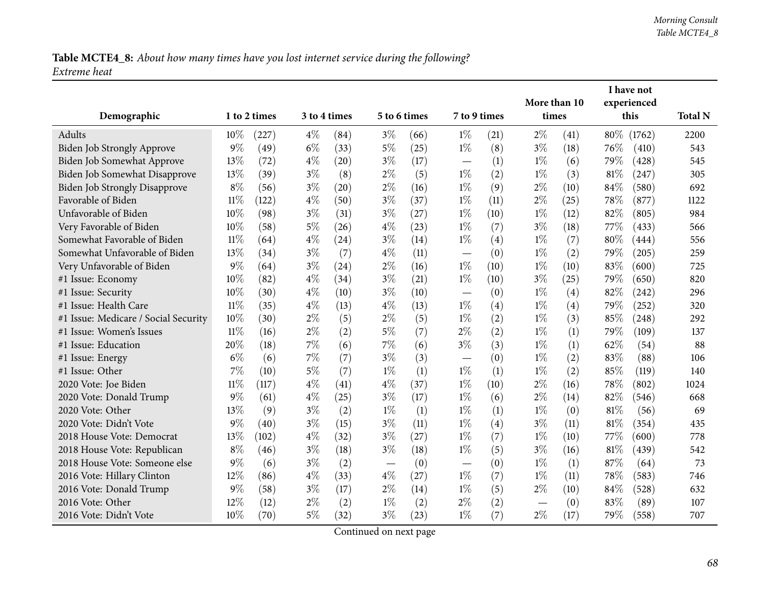## Table MCTE4\_8: About how many times have you lost internet service during the following? *Extreme heat*

|                                      |        |              |       |              |              |      |                                  |      | More than 10 |      |        | I have not<br>experienced |                |
|--------------------------------------|--------|--------------|-------|--------------|--------------|------|----------------------------------|------|--------------|------|--------|---------------------------|----------------|
| Demographic                          |        | 1 to 2 times |       | 3 to 4 times | 5 to 6 times |      | 7 to 9 times                     |      | times        |      |        | this                      | <b>Total N</b> |
| Adults                               | 10%    | (227)        | $4\%$ | (84)         | $3\%$        | (66) | $1\%$                            | (21) | $2\%$        | (41) |        | 80\% (1762)               | 2200           |
| Biden Job Strongly Approve           | 9%     | (49)         | $6\%$ | (33)         | $5\%$        | (25) | $1\%$                            | (8)  | $3\%$        | (18) | 76%    | (410)                     | 543            |
| Biden Job Somewhat Approve           | 13%    | (72)         | $4\%$ | (20)         | $3\%$        | (17) |                                  | (1)  | $1\%$        | (6)  | 79%    | (428)                     | 545            |
| Biden Job Somewhat Disapprove        | 13%    | (39)         | $3\%$ | (8)          | $2\%$        | (5)  | $1\%$                            | (2)  | $1\%$        | (3)  | $81\%$ | (247)                     | 305            |
| <b>Biden Job Strongly Disapprove</b> | $8\%$  | (56)         | $3\%$ | (20)         | $2\%$        | (16) | $1\%$                            | (9)  | $2\%$        | (10) | 84\%   | (580)                     | 692            |
| Favorable of Biden                   | $11\%$ | (122)        | $4\%$ | (50)         | $3\%$        | (37) | $1\%$                            | (11) | $2\%$        | (25) | 78%    | (877)                     | 1122           |
| Unfavorable of Biden                 | 10%    | (98)         | $3\%$ | (31)         | $3\%$        | (27) | $1\%$                            | (10) | $1\%$        | (12) | 82%    | (805)                     | 984            |
| Very Favorable of Biden              | 10%    | (58)         | $5\%$ | (26)         | $4\%$        | (23) | $1\%$                            | (7)  | $3\%$        | (18) | 77%    | (433)                     | 566            |
| Somewhat Favorable of Biden          | $11\%$ | (64)         | $4\%$ | (24)         | $3\%$        | (14) | $1\%$                            | (4)  | $1\%$        | (7)  | 80%    | (444)                     | 556            |
| Somewhat Unfavorable of Biden        | 13%    | (34)         | $3\%$ | (7)          | $4\%$        | (11) | $\overline{\phantom{0}}$         | (0)  | $1\%$        | (2)  | 79%    | (205)                     | 259            |
| Very Unfavorable of Biden            | $9\%$  | (64)         | $3\%$ | (24)         | $2\%$        | (16) | $1\%$                            | (10) | $1\%$        | (10) | 83%    | (600)                     | 725            |
| #1 Issue: Economy                    | 10%    | (82)         | $4\%$ | (34)         | $3\%$        | (21) | $1\%$                            | (10) | $3\%$        | (25) | 79%    | (650)                     | 820            |
| #1 Issue: Security                   | 10%    | (30)         | $4\%$ | (10)         | $3\%$        | (10) | $\overbrace{\phantom{12322111}}$ | (0)  | $1\%$        | (4)  | 82%    | (242)                     | 296            |
| #1 Issue: Health Care                | $11\%$ | (35)         | $4\%$ | (13)         | $4\%$        | (13) | $1\%$                            | (4)  | $1\%$        | (4)  | 79%    | (252)                     | 320            |
| #1 Issue: Medicare / Social Security | 10%    | (30)         | $2\%$ | (5)          | $2\%$        | (5)  | $1\%$                            | (2)  | $1\%$        | (3)  | 85%    | (248)                     | 292            |
| #1 Issue: Women's Issues             | $11\%$ | (16)         | $2\%$ | (2)          | $5\%$        | (7)  | $2\%$                            | (2)  | $1\%$        | (1)  | 79%    | (109)                     | 137            |
| #1 Issue: Education                  | 20%    | (18)         | 7%    | (6)          | $7\%$        | (6)  | $3\%$                            | (3)  | $1\%$        | (1)  | 62%    | (54)                      | 88             |
| #1 Issue: Energy                     | $6\%$  | (6)          | 7%    | (7)          | $3\%$        | (3)  | $\overline{\phantom{0}}$         | (0)  | $1\%$        | (2)  | 83%    | (88)                      | 106            |
| #1 Issue: Other                      | 7%     | (10)         | 5%    | (7)          | $1\%$        | (1)  | $1\%$                            | (1)  | $1\%$        | (2)  | 85%    | (119)                     | 140            |
| 2020 Vote: Joe Biden                 | $11\%$ | (117)        | $4\%$ | (41)         | $4\%$        | (37) | $1\%$                            | (10) | $2\%$        | (16) | 78%    | (802)                     | 1024           |
| 2020 Vote: Donald Trump              | 9%     | (61)         | $4\%$ | (25)         | $3\%$        | (17) | $1\%$                            | (6)  | $2\%$        | (14) | 82%    | (546)                     | 668            |
| 2020 Vote: Other                     | 13%    | (9)          | $3\%$ | (2)          | $1\%$        | (1)  | $1\%$                            | (1)  | $1\%$        | (0)  | 81\%   | (56)                      | 69             |
| 2020 Vote: Didn't Vote               | $9\%$  | (40)         | $3\%$ | (15)         | $3\%$        | (11) | $1\%$                            | (4)  | $3\%$        | (11) | 81%    | (354)                     | 435            |
| 2018 House Vote: Democrat            | 13%    | (102)        | $4\%$ | (32)         | $3\%$        | (27) | $1\%$                            | (7)  | $1\%$        | (10) | 77%    | (600)                     | 778            |
| 2018 House Vote: Republican          | $8\%$  | (46)         | $3\%$ | (18)         | $3\%$        | (18) | $1\%$                            | (5)  | $3\%$        | (16) | $81\%$ | (439)                     | 542            |
| 2018 House Vote: Someone else        | $9\%$  | (6)          | $3\%$ | (2)          |              | (0)  |                                  | (0)  | $1\%$        | (1)  | 87%    | (64)                      | 73             |
| 2016 Vote: Hillary Clinton           | 12%    | (86)         | $4\%$ | (33)         | $4\%$        | (27) | $1\%$                            | (7)  | $1\%$        | (11) | 78%    | (583)                     | 746            |
| 2016 Vote: Donald Trump              | $9\%$  | (58)         | $3\%$ | (17)         | $2\%$        | (14) | $1\%$                            | (5)  | $2\%$        | (10) | 84\%   | (528)                     | 632            |
| 2016 Vote: Other                     | 12%    | (12)         | $2\%$ | (2)          | $1\%$        | (2)  | $2\%$                            | (2)  |              | (0)  | 83%    | (89)                      | 107            |
| 2016 Vote: Didn't Vote               | 10%    | (70)         | $5\%$ | (32)         | $3\%$        | (23) | $1\%$                            | (7)  | $2\%$        | (17) | 79%    | (558)                     | 707            |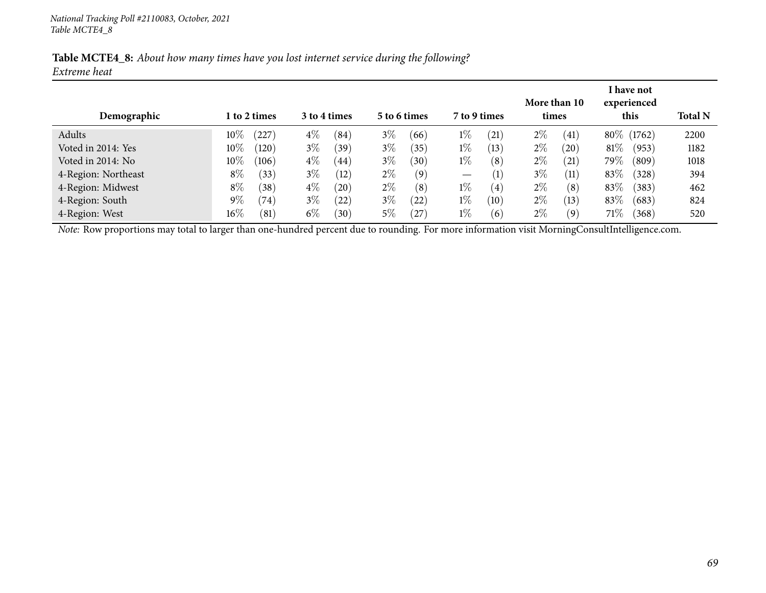| Table MCTE4_8: About how many times have you lost internet service during the following? |  |  |  |  |
|------------------------------------------------------------------------------------------|--|--|--|--|
| Extreme heat                                                                             |  |  |  |  |

| Demographic         |        | 1 to 2 times |       | 3 to 4 times |       | 5 to 6 times  | 7 to 9 times                    |                   |       | More than 10<br>times |        | I have not<br>experienced<br>this | <b>Total N</b> |
|---------------------|--------|--------------|-------|--------------|-------|---------------|---------------------------------|-------------------|-------|-----------------------|--------|-----------------------------------|----------------|
| Adults              | $10\%$ | 227          | $4\%$ | (84)         | $3\%$ | (66)          | $1\%$                           | (21)              | $2\%$ | (41)                  |        | 80\% (1762)                       | 2200           |
| Voted in 2014: Yes  | $10\%$ | (120)        | $3\%$ | (39          | $3\%$ | $^{\prime}35$ | $1\%$                           | (13)              | $2\%$ | (20)                  | $81\%$ | (953)                             | 1182           |
| Voted in 2014: No   | $10\%$ | (106)        | $4\%$ | (44)         | $3\%$ | (30)          | $1\%$                           | (8)               | $2\%$ | (21)                  | 79%    | (809)                             | 1018           |
| 4-Region: Northeast | $8\%$  | (33)         | $3\%$ | (12)         | $2\%$ | (9)           | $\hspace{0.1mm}-\hspace{0.1mm}$ | $\left( 1\right)$ | $3\%$ | (11)                  | 83%    | (328)                             | 394            |
| 4-Region: Midwest   | $8\%$  | (38)         | $4\%$ | (20)         | $2\%$ | (8)           | $1\%$                           | $\left( 4\right)$ | $2\%$ | (8)                   | 83%    | (383)                             | 462            |
| 4-Region: South     | $9\%$  | (74)         | $3\%$ | (22)         | $3\%$ | (22)          | $1\%$                           | (10)              | $2\%$ | (13)                  | 83%    | (683)                             | 824            |
| 4-Region: West      | $16\%$ | (81)         | $6\%$ | (30)         | $5\%$ | 27            | $1\%$                           | (6)               | $2\%$ | (9)                   | 71%    | (368)                             | 520            |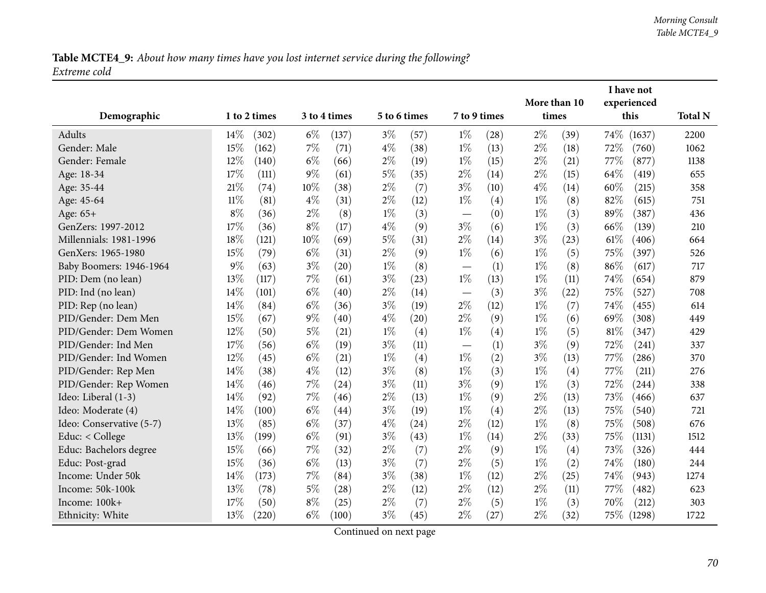Table MCTE4\_9: About how many times have you lost internet service during the following? *Extreme cold*

|                          |        |                                              |       |       |       |              |                          |             | I have not |      |        |        |                |
|--------------------------|--------|----------------------------------------------|-------|-------|-------|--------------|--------------------------|-------------|------------|------|--------|--------|----------------|
|                          |        | 1 to 2 times<br>3 to 4 times<br>5 to 6 times |       |       |       | More than 10 |                          | experienced |            |      |        |        |                |
| Demographic              |        |                                              |       |       |       |              | 7 to 9 times             |             | times      |      |        | this   | <b>Total N</b> |
| Adults                   | 14%    | (302)                                        | $6\%$ | (137) | $3\%$ | (57)         | $1\%$                    | (28)        | $2\%$      | (39) | 74%    | (1637) | 2200           |
| Gender: Male             | 15%    | (162)                                        | $7\%$ | (71)  | $4\%$ | (38)         | $1\%$                    | (13)        | $2\%$      | (18) | 72%    | (760)  | 1062           |
| Gender: Female           | 12%    | (140)                                        | $6\%$ | (66)  | $2\%$ | (19)         | $1\%$                    | (15)        | $2\%$      | (21) | 77\%   | (877)  | 1138           |
| Age: 18-34               | 17\%   | (111)                                        | $9\%$ | (61)  | $5\%$ | (35)         | $2\%$                    | (14)        | $2\%$      | (15) | 64%    | (419)  | 655            |
| Age: 35-44               | 21\%   | (74)                                         | 10%   | (38)  | $2\%$ | (7)          | $3\%$                    | (10)        | $4\%$      | (14) | 60%    | (215)  | 358            |
| Age: 45-64               | $11\%$ | (81)                                         | $4\%$ | (31)  | $2\%$ | (12)         | $1\%$                    | (4)         | $1\%$      | (8)  | 82%    | (615)  | 751            |
| Age: 65+                 | $8\%$  | (36)                                         | $2\%$ | (8)   | $1\%$ | (3)          |                          | (0)         | $1\%$      | (3)  | 89%    | (387)  | 436            |
| GenZers: 1997-2012       | 17%    | (36)                                         | $8\%$ | (17)  | $4\%$ | (9)          | $3\%$                    | (6)         | $1\%$      | (3)  | 66%    | (139)  | 210            |
| Millennials: 1981-1996   | 18%    | (121)                                        | 10%   | (69)  | $5\%$ | (31)         | $2\%$                    | (14)        | $3\%$      | (23) | 61%    | (406)  | 664            |
| GenXers: 1965-1980       | 15%    | (79)                                         | $6\%$ | (31)  | $2\%$ | (9)          | $1\%$                    | (6)         | $1\%$      | (5)  | 75%    | (397)  | 526            |
| Baby Boomers: 1946-1964  | 9%     | (63)                                         | $3\%$ | (20)  | $1\%$ | (8)          |                          | (1)         | $1\%$      | (8)  | 86%    | (617)  | 717            |
| PID: Dem (no lean)       | 13%    | (117)                                        | 7%    | (61)  | $3\%$ | (23)         | $1\%$                    | (13)        | $1\%$      | (11) | 74%    | (654)  | 879            |
| PID: Ind (no lean)       | 14%    | (101)                                        | $6\%$ | (40)  | $2\%$ | (14)         | $\overline{\phantom{m}}$ | (3)         | $3\%$      | (22) | 75%    | (527)  | 708            |
| PID: Rep (no lean)       | 14%    | (84)                                         | $6\%$ | (36)  | $3\%$ | (19)         | $2\%$                    | (12)        | $1\%$      | (7)  | 74%    | (455)  | 614            |
| PID/Gender: Dem Men      | 15%    | (67)                                         | $9\%$ | (40)  | $4\%$ | (20)         | $2\%$                    | (9)         | $1\%$      | (6)  | 69%    | (308)  | 449            |
| PID/Gender: Dem Women    | 12%    | (50)                                         | $5\%$ | (21)  | $1\%$ | (4)          | $1\%$                    | (4)         | $1\%$      | (5)  | 81%    | (347)  | 429            |
| PID/Gender: Ind Men      | 17%    | (56)                                         | $6\%$ | (19)  | $3\%$ | (11)         | $\overline{\phantom{m}}$ | (1)         | $3\%$      | (9)  | 72%    | (241)  | 337            |
| PID/Gender: Ind Women    | 12%    | (45)                                         | $6\%$ | (21)  | $1\%$ | (4)          | $1\%$                    | (2)         | $3\%$      | (13) | 77\%   | (286)  | 370            |
| PID/Gender: Rep Men      | 14%    | (38)                                         | $4\%$ | (12)  | $3\%$ | (8)          | $1\%$                    | (3)         | $1\%$      | (4)  | 77%    | (211)  | 276            |
| PID/Gender: Rep Women    | 14%    | (46)                                         | 7%    | (24)  | $3\%$ | (11)         | $3\%$                    | (9)         | $1\%$      | (3)  | 72%    | (244)  | 338            |
| Ideo: Liberal (1-3)      | 14%    | (92)                                         | $7\%$ | (46)  | $2\%$ | (13)         | $1\%$                    | (9)         | $2\%$      | (13) | 73%    | (466)  | 637            |
| Ideo: Moderate (4)       | 14%    | (100)                                        | $6\%$ | (44)  | $3\%$ | (19)         | $1\%$                    | (4)         | $2\%$      | (13) | 75%    | (540)  | 721            |
| Ideo: Conservative (5-7) | 13%    | (85)                                         | $6\%$ | (37)  | $4\%$ | (24)         | $2\%$                    | (12)        | $1\%$      | (8)  | 75%    | (508)  | 676            |
| Educ: $<$ College        | 13%    | (199)                                        | $6\%$ | (91)  | $3\%$ | (43)         | $1\%$                    | (14)        | $2\%$      | (33) | 75%    | (1131) | 1512           |
| Educ: Bachelors degree   | 15%    | (66)                                         | 7%    | (32)  | $2\%$ | (7)          | $2\%$                    | (9)         | $1\%$      | (4)  | 73%    | (326)  | 444            |
| Educ: Post-grad          | 15%    | (36)                                         | $6\%$ | (13)  | $3\%$ | (7)          | $2\%$                    | (5)         | $1\%$      | (2)  | 74%    | (180)  | 244            |
| Income: Under 50k        | 14%    | (173)                                        | 7%    | (84)  | $3\%$ | (38)         | $1\%$                    | (12)        | $2\%$      | (25) | 74%    | (943)  | 1274           |
| Income: 50k-100k         | 13%    | (78)                                         | $5\%$ | (28)  | $2\%$ | (12)         | $2\%$                    | (12)        | $2\%$      | (11) | 77%    | (482)  | 623            |
| Income: 100k+            | 17\%   | (50)                                         | $8\%$ | (25)  | $2\%$ | (7)          | $2\%$                    | (5)         | $1\%$      | (3)  | 70%    | (212)  | 303            |
| Ethnicity: White         | 13%    | (220)                                        | $6\%$ | (100) | $3\%$ | (45)         | $2\%$                    | (27)        | $2\%$      | (32) | $75\%$ | (1298) | 1722           |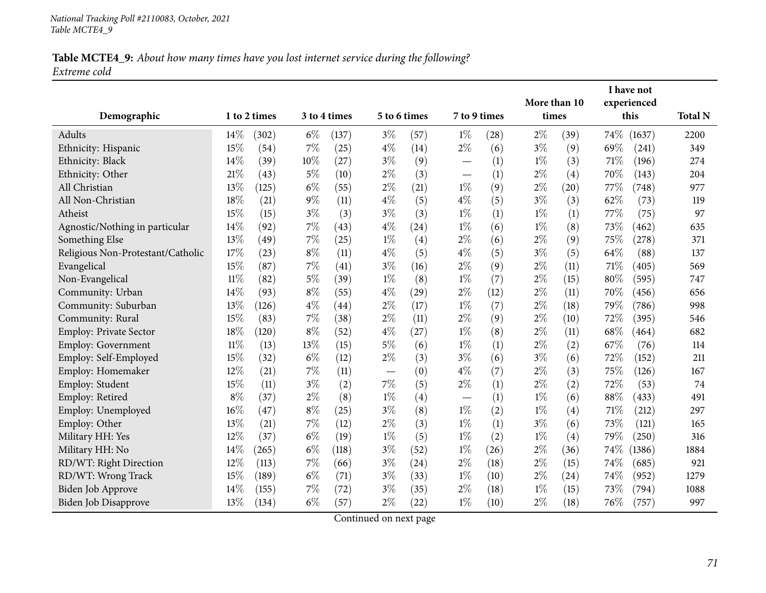### Table MCTE4\_9: About how many times have you lost internet service during the following? *Extreme cold*

| Demographic                       |        | 1 to 2 times |       | 3 to 4 times |                          | 5 to 6 times       | 7 to 9 times             |      | times | More than 10 |      | I have not<br>experienced<br>this | <b>Total N</b> |
|-----------------------------------|--------|--------------|-------|--------------|--------------------------|--------------------|--------------------------|------|-------|--------------|------|-----------------------------------|----------------|
| Adults                            | 14\%   | (302)        | $6\%$ | (137)        | $3\%$                    | (57)               | $1\%$                    | (28) | $2\%$ | (39)         | 74%  | (1637)                            | 2200           |
| Ethnicity: Hispanic               | 15%    | (54)         | $7\%$ | (25)         | $4\%$                    | (14)               | $2\%$                    | (6)  | $3\%$ | (9)          | 69\% | (241)                             | 349            |
| Ethnicity: Black                  | 14%    | (39)         | 10%   | (27)         | $3\%$                    | (9)                |                          | (1)  | $1\%$ | (3)          | 71\% | (196)                             | 274            |
| Ethnicity: Other                  | 21%    | (43)         | 5%    | (10)         | $2\%$                    | (3)                | $\overline{\phantom{0}}$ | (1)  | $2\%$ | (4)          | 70%  | (143)                             | 204            |
| All Christian                     | 13%    | (125)        | $6\%$ | (55)         | $2\%$                    | (21)               | $1\%$                    | (9)  | $2\%$ | (20)         | 77%  | (748)                             | 977            |
| All Non-Christian                 | 18%    | (21)         | $9\%$ | (11)         | $4\%$                    | (5)                | $4\%$                    | (5)  | $3\%$ | (3)          | 62%  | (73)                              | 119            |
| Atheist                           | 15%    | (15)         | $3\%$ | (3)          | $3\%$                    | (3)                | $1\%$                    | (1)  | $1\%$ | (1)          | 77%  | (75)                              | 97             |
| Agnostic/Nothing in particular    | 14%    | (92)         | 7%    | (43)         | $4\%$                    | (24)               | $1\%$                    | (6)  | $1\%$ | (8)          | 73%  | (462)                             | 635            |
| Something Else                    | 13%    | (49)         | $7\%$ | (25)         | $1\%$                    | (4)                | $2\%$                    | (6)  | $2\%$ | (9)          | 75%  | (278)                             | 371            |
| Religious Non-Protestant/Catholic | 17%    | (23)         | $8\%$ | (11)         | $4\%$                    | (5)                | $4\%$                    | (5)  | $3\%$ | (5)          | 64%  | (88)                              | 137            |
| Evangelical                       | 15%    | (87)         | 7%    | (41)         | $3\%$                    | (16)               | $2\%$                    | (9)  | $2\%$ | (11)         | 71\% | (405)                             | 569            |
| Non-Evangelical                   | $11\%$ | (82)         | $5\%$ | (39)         | $1\%$                    | (8)                | $1\%$                    | (7)  | $2\%$ | (15)         | 80%  | (595)                             | 747            |
| Community: Urban                  | 14%    | (93)         | $8\%$ | (55)         | $4\%$                    | $\left( 29\right)$ | $2\%$                    | (12) | $2\%$ | (11)         | 70%  | (456)                             | 656            |
| Community: Suburban               | 13%    | (126)        | $4\%$ | (44)         | $2\%$                    | (17)               | $1\%$                    | (7)  | $2\%$ | (18)         | 79%  | (786)                             | 998            |
| Community: Rural                  | 15%    | (83)         | $7\%$ | (38)         | $2\%$                    | (11)               | $2\%$                    | (9)  | $2\%$ | (10)         | 72%  | (395)                             | 546            |
| Employ: Private Sector            | 18%    | (120)        | $8\%$ | (52)         | $4\%$                    | (27)               | $1\%$                    | (8)  | $2\%$ | (11)         | 68%  | (464)                             | 682            |
| Employ: Government                | 11%    | (13)         | 13%   | (15)         | $5\%$                    | (6)                | $1\%$                    | (1)  | $2\%$ | (2)          | 67\% | (76)                              | 114            |
| Employ: Self-Employed             | 15%    | (32)         | $6\%$ | (12)         | $2\%$                    | (3)                | $3\%$                    | (6)  | $3\%$ | (6)          | 72%  | (152)                             | 211            |
| Employ: Homemaker                 | 12%    | (21)         | $7\%$ | (11)         | $\overline{\phantom{m}}$ | (0)                | $4\%$                    | (7)  | $2\%$ | (3)          | 75%  | (126)                             | 167            |
| Employ: Student                   | 15%    | (11)         | $3\%$ | (2)          | 7%                       | (5)                | $2\%$                    | (1)  | $2\%$ | (2)          | 72%  | (53)                              | 74             |
| Employ: Retired                   | $8\%$  | (37)         | $2\%$ | (8)          | $1\%$                    | (4)                | $\overline{\phantom{0}}$ | (1)  | $1\%$ | (6)          | 88%  | (433)                             | 491            |
| Employ: Unemployed                | 16%    | (47)         | $8\%$ | (25)         | $3\%$                    | (8)                | $1\%$                    | (2)  | $1\%$ | (4)          | 71\% | (212)                             | 297            |
| Employ: Other                     | 13\%   | (21)         | $7\%$ | (12)         | $2\%$                    | (3)                | $1\%$                    | (1)  | $3\%$ | (6)          | 73%  | (121)                             | 165            |
| Military HH: Yes                  | 12%    | (37)         | $6\%$ | (19)         | $1\%$                    | (5)                | $1\%$                    | (2)  | $1\%$ | (4)          | 79%  | (250)                             | 316            |
| Military HH: No                   | 14%    | (265)        | $6\%$ | (118)        | $3\%$                    | (52)               | $1\%$                    | (26) | $2\%$ | (36)         | 74\% | (1386)                            | 1884           |
| RD/WT: Right Direction            | 12%    | (113)        | 7%    | (66)         | $3\%$                    | (24)               | $2\%$                    | (18) | $2\%$ | (15)         | 74%  | (685)                             | 921            |
| RD/WT: Wrong Track                | 15%    | (189)        | $6\%$ | (71)         | $3\%$                    | (33)               | $1\%$                    | (10) | $2\%$ | (24)         | 74%  | (952)                             | 1279           |
| Biden Job Approve                 | 14%    | (155)        | 7%    | (72)         | $3\%$                    | (35)               | $2\%$                    | (18) | $1\%$ | (15)         | 73%  | (794)                             | 1088           |
| Biden Job Disapprove              | 13%    | (134)        | $6\%$ | (57)         | $2\%$                    | (22)               | $1\%$                    | (10) | $2\%$ | (18)         | 76\% | (757)                             | 997            |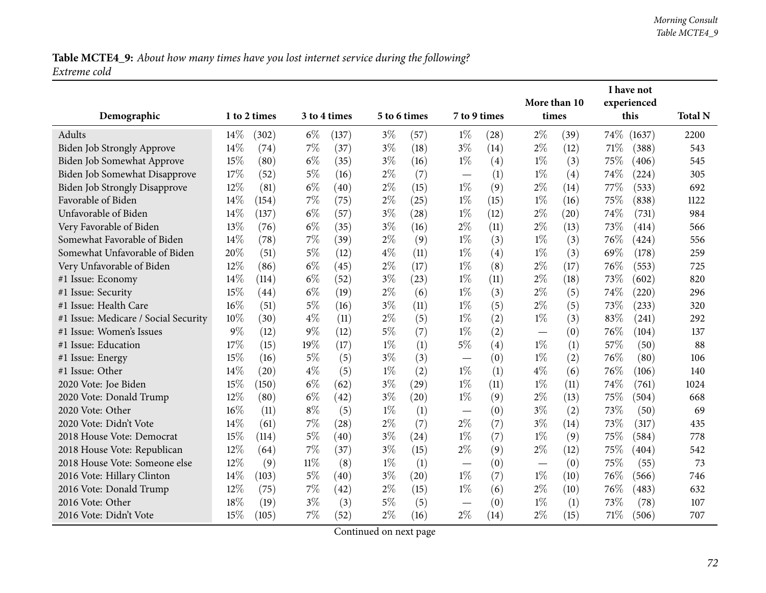# Table MCTE4\_9: About how many times have you lost internet service during the following? *Extreme cold*

|                                      |       |              |        |              |              |                    |                               |      |              |      |                     | I have not |                |
|--------------------------------------|-------|--------------|--------|--------------|--------------|--------------------|-------------------------------|------|--------------|------|---------------------|------------|----------------|
|                                      |       |              |        |              | 5 to 6 times |                    | 7 to 9 times                  |      | More than 10 |      | experienced<br>this |            |                |
| Demographic                          |       | 1 to 2 times |        | 3 to 4 times |              |                    |                               |      | times        |      |                     |            | <b>Total N</b> |
| Adults                               | 14%   | (302)        | $6\%$  | (137)        | $3\%$        | (57)               | $1\%$                         | (28) | $2\%$        | (39) | 74\%                | (1637)     | 2200           |
| Biden Job Strongly Approve           | 14%   | (74)         | $7\%$  | (37)         | $3\%$        | (18)               | $3\%$                         | (14) | $2\%$        | (12) | 71%                 | (388)      | 543            |
| Biden Job Somewhat Approve           | 15%   | (80)         | $6\%$  | (35)         | $3\%$        | (16)               | $1\%$                         | (4)  | $1\%$        | (3)  | 75%                 | (406)      | 545            |
| Biden Job Somewhat Disapprove        | 17%   | (52)         | $5\%$  | (16)         | $2\%$        | (7)                |                               | (1)  | $1\%$        | (4)  | 74\%                | (224)      | 305            |
| <b>Biden Job Strongly Disapprove</b> | 12%   | (81)         | $6\%$  | (40)         | $2\%$        | (15)               | $1\%$                         | (9)  | $2\%$        | (14) | 77\%                | (533)      | 692            |
| Favorable of Biden                   | 14\%  | (154)        | 7%     | (75)         | $2\%$        | (25)               | $1\%$                         | (15) | $1\%$        | (16) | 75%                 | (838)      | 1122           |
| Unfavorable of Biden                 | 14%   | (137)        | $6\%$  | (57)         | $3\%$        | (28)               | $1\%$                         | (12) | $2\%$        | (20) | 74%                 | (731)      | 984            |
| Very Favorable of Biden              | 13%   | (76)         | $6\%$  | (35)         | $3\%$        | (16)               | $2\%$                         | (11) | $2\%$        | (13) | 73%                 | (414)      | 566            |
| Somewhat Favorable of Biden          | 14%   | (78)         | $7\%$  | (39)         | $2\%$        | (9)                | $1\%$                         | (3)  | $1\%$        | (3)  | 76\%                | (424)      | 556            |
| Somewhat Unfavorable of Biden        | 20%   | (51)         | $5\%$  | (12)         | $4\%$        | (11)               | $1\%$                         | (4)  | $1\%$        | (3)  | 69%                 | (178)      | 259            |
| Very Unfavorable of Biden            | 12%   | (86)         | $6\%$  | (45)         | $2\%$        | (17)               | $1\%$                         | (8)  | $2\%$        | (17) | 76%                 | (553)      | 725            |
| #1 Issue: Economy                    | 14%   | (114)        | $6\%$  | (52)         | $3\%$        | (23)               | $1\%$                         | (11) | $2\%$        | (18) | 73%                 | (602)      | 820            |
| #1 Issue: Security                   | 15%   | (44)         | $6\%$  | (19)         | $2\%$        | (6)                | $1\%$                         | (3)  | $2\%$        | (5)  | 74\%                | (220)      | 296            |
| #1 Issue: Health Care                | 16%   | (51)         | $5\%$  | (16)         | $3\%$        | (11)               | $1\%$                         | (5)  | $2\%$        | (5)  | 73%                 | (233)      | 320            |
| #1 Issue: Medicare / Social Security | 10%   | (30)         | $4\%$  | (11)         | $2\%$        | (5)                | $1\%$                         | (2)  | $1\%$        | (3)  | 83%                 | (241)      | 292            |
| #1 Issue: Women's Issues             | $9\%$ | (12)         | $9\%$  | (12)         | $5\%$        | (7)                | $1\%$                         | (2)  |              | (0)  | 76\%                | (104)      | 137            |
| #1 Issue: Education                  | 17%   | (15)         | 19%    | (17)         | $1\%$        | (1)                | $5\%$                         | (4)  | $1\%$        | (1)  | 57%                 | (50)       | 88             |
| #1 Issue: Energy                     | 15%   | (16)         | $5\%$  | (5)          | $3\%$        | (3)                |                               | (0)  | $1\%$        | (2)  | 76%                 | (80)       | 106            |
| #1 Issue: Other                      | 14%   | (20)         | $4\%$  | (5)          | $1\%$        | (2)                | $1\%$                         | (1)  | $4\%$        | (6)  | 76%                 | (106)      | 140            |
| 2020 Vote: Joe Biden                 | 15%   | (150)        | $6\%$  | (62)         | $3\%$        | (29)               | $1\%$                         | (11) | $1\%$        | (11) | 74%                 | (761)      | 1024           |
| 2020 Vote: Donald Trump              | 12%   | (80)         | $6\%$  | (42)         | $3\%$        | $\left( 20\right)$ | $1\%$                         | (9)  | $2\%$        | (13) | 75%                 | (504)      | 668            |
| 2020 Vote: Other                     | 16%   | (11)         | $8\%$  | (5)          | $1\%$        | (1)                |                               | (0)  | $3\%$        | (2)  | 73%                 | (50)       | 69             |
| 2020 Vote: Didn't Vote               | 14%   | (61)         | 7%     | (28)         | $2\%$        | (7)                | $2\%$                         | (7)  | $3\%$        | (14) | 73%                 | (317)      | 435            |
| 2018 House Vote: Democrat            | 15%   | (114)        | $5\%$  | (40)         | $3\%$        | (24)               | $1\%$                         | (7)  | $1\%$        | (9)  | 75%                 | (584)      | 778            |
| 2018 House Vote: Republican          | 12%   | (64)         | $7\%$  | (37)         | $3\%$        | (15)               | $2\%$                         | (9)  | $2\%$        | (12) | 75%                 | (404)      | 542            |
| 2018 House Vote: Someone else        | 12%   | (9)          | $11\%$ | (8)          | $1\%$        | (1)                | $\overbrace{\phantom{12333}}$ | (0)  |              | (0)  | 75%                 | (55)       | 73             |
| 2016 Vote: Hillary Clinton           | 14%   | (103)        | $5\%$  | (40)         | $3\%$        | (20)               | $1\%$                         | (7)  | $1\%$        | (10) | 76\%                | (566)      | 746            |
| 2016 Vote: Donald Trump              | 12%   | (75)         | $7\%$  | (42)         | $2\%$        | (15)               | $1\%$                         | (6)  | $2\%$        | (10) | 76\%                | (483)      | 632            |
| 2016 Vote: Other                     | 18%   | (19)         | $3\%$  | (3)          | $5\%$        | (5)                | $\overbrace{\phantom{13333}}$ | (0)  | $1\%$        | (1)  | 73%                 | (78)       | 107            |
| 2016 Vote: Didn't Vote               | 15%   | (105)        | $7\%$  | (52)         | $2\%$        | (16)               | $2\%$                         | (14) | $2\%$        | (15) | $71\%$              | (506)      | 707            |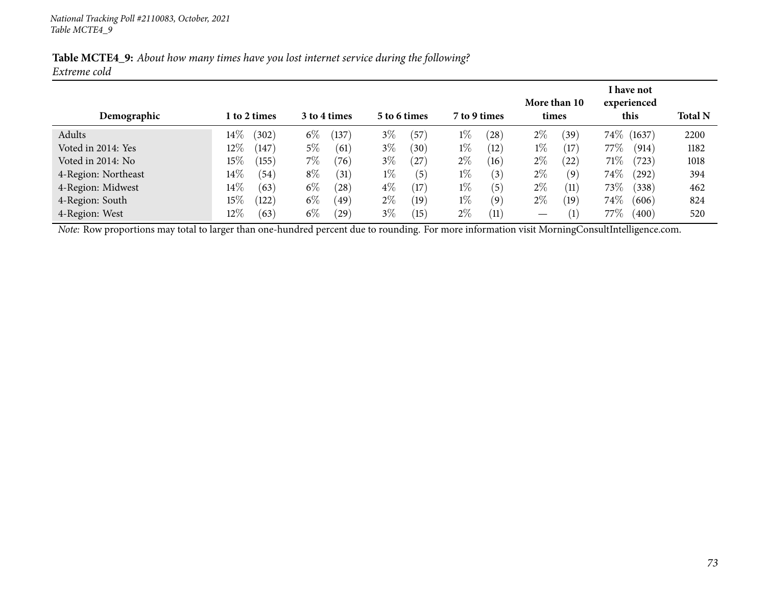|              |  | Table MCTE4_9: About how many times have you lost internet service during the following? |
|--------------|--|------------------------------------------------------------------------------------------|
| Extreme cold |  |                                                                                          |

| Demographic                                                                                                                                    |        | l to 2 times |       | More than 10<br>3 to 4 times<br>7 to 9 times<br>5 to 6 times<br>times |       |                   |       |      |       |                    |         | I have not<br>experienced<br>this | <b>Total N</b> |
|------------------------------------------------------------------------------------------------------------------------------------------------|--------|--------------|-------|-----------------------------------------------------------------------|-------|-------------------|-------|------|-------|--------------------|---------|-----------------------------------|----------------|
| Adults                                                                                                                                         | $14\%$ | (302)        | $6\%$ | (137)                                                                 | $3\%$ | (57               | $1\%$ | (28) | $2\%$ | (39`               |         | 74\% (1637)                       | 2200           |
| Voted in 2014: Yes                                                                                                                             | $12\%$ | (147)        | $5\%$ | (61)                                                                  | $3\%$ | (30)              | $1\%$ | (12) | $1\%$ | (17)               | 77%     | (914)                             | 1182           |
| Voted in 2014: No                                                                                                                              | $15\%$ | (155)        | 7%    | (76)                                                                  | $3\%$ | (27)              | $2\%$ | (16) | $2\%$ | (22)               | 71%     | (723)                             | 1018           |
| 4-Region: Northeast                                                                                                                            | $14\%$ | (54)         | $8\%$ | (31)                                                                  | $1\%$ | (5)               | $1\%$ | (3)  | $2\%$ | (9)                | $74\%$  | $^{(292)}$                        | 394            |
| 4-Region: Midwest                                                                                                                              | $14\%$ | (63)         | $6\%$ | (28)                                                                  | $4\%$ | $\left(17\right)$ | $1\%$ | (5)  | $2\%$ | (11)               | $73\%$  | (338)                             | 462            |
| 4-Region: South                                                                                                                                | $15\%$ | (122)        | $6\%$ | (49)                                                                  | $2\%$ | (19)              | $1\%$ | (9)  | $2\%$ | (19)               | $74\%$  | (606)                             | 824            |
| 4-Region: West                                                                                                                                 | $12\%$ | (63)         | $6\%$ | $^{'}29$                                                              | $3\%$ | 15                | $2\%$ | (11) |       | $\left( 1 \right)$ | 77 $\%$ | (400)                             | 520            |
| Note: Row proportions may total to larger than one-hundred percent due to rounding. For more information visit MorningConsultIntelligence.com. |        |              |       |                                                                       |       |                   |       |      |       |                    |         |                                   |                |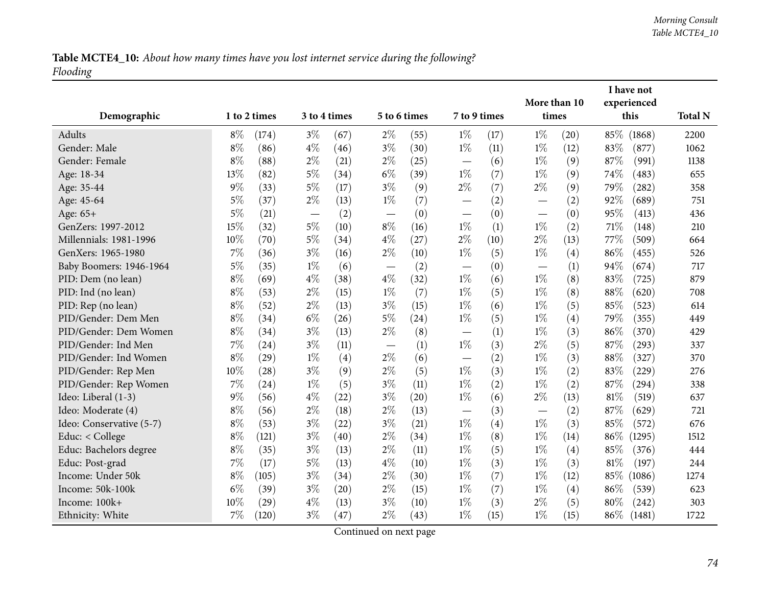Table MCTE4\_10: About how many times have you lost internet service during the following? *Flooding*

|                          |       |              |       |              |                          |                    |                          |      | I have not               |      |      |             |                |
|--------------------------|-------|--------------|-------|--------------|--------------------------|--------------------|--------------------------|------|--------------------------|------|------|-------------|----------------|
|                          |       |              |       |              |                          |                    |                          |      | More than 10             |      |      | experienced |                |
| Demographic              |       | 1 to 2 times |       | 3 to 4 times |                          | 5 to 6 times       | 7 to 9 times             |      | times                    |      |      | this        | <b>Total N</b> |
| Adults                   | $8\%$ | (174)        | $3\%$ | (67)         | $2\%$                    | (55)               | $1\%$                    | (17) | $1\%$                    | (20) | 85%  | (1868)      | 2200           |
| Gender: Male             | $8\%$ | (86)         | $4\%$ | (46)         | $3\%$                    | (30)               | $1\%$                    | (11) | $1\%$                    | (12) | 83%  | (877)       | 1062           |
| Gender: Female           | $8\%$ | (88)         | $2\%$ | (21)         | $2\%$                    | (25)               |                          | (6)  | $1\%$                    | (9)  | 87%  | (991)       | 1138           |
| Age: 18-34               | 13%   | (82)         | $5\%$ | (34)         | $6\%$                    | (39)               | $1\%$                    | (7)  | $1\%$                    | (9)  | 74\% | (483)       | 655            |
| Age: 35-44               | 9%    | (33)         | $5\%$ | (17)         | $3\%$                    | (9)                | $2\%$                    | (7)  | $2\%$                    | (9)  | 79%  | (282)       | 358            |
| Age: 45-64               | $5\%$ | (37)         | $2\%$ | (13)         | $1\%$                    | (7)                | $\overline{\phantom{0}}$ | (2)  |                          | (2)  | 92%  | (689)       | 751            |
| Age: 65+                 | $5\%$ | (21)         |       | (2)          |                          | (0)                |                          | (0)  |                          | (0)  | 95%  | (413)       | 436            |
| GenZers: 1997-2012       | 15%   | (32)         | $5\%$ | (10)         | $8\%$                    | (16)               | $1\%$                    | (1)  | $1\%$                    | (2)  | 71\% | (148)       | 210            |
| Millennials: 1981-1996   | 10%   | (70)         | $5\%$ | (34)         | $4\%$                    | (27)               | $2\%$                    | (10) | $2\%$                    | (13) | 77%  | (509)       | 664            |
| GenXers: 1965-1980       | 7%    | (36)         | $3\%$ | (16)         | $2\%$                    | (10)               | $1\%$                    | (5)  | $1\%$                    | (4)  | 86%  | (455)       | 526            |
| Baby Boomers: 1946-1964  | $5\%$ | (35)         | $1\%$ | (6)          | $\overline{\phantom{m}}$ | (2)                |                          | (0)  |                          | (1)  | 94%  | (674)       | 717            |
| PID: Dem (no lean)       | $8\%$ | (69)         | $4\%$ | (38)         | $4\%$                    | (32)               | $1\%$                    | (6)  | $1\%$                    | (8)  | 83%  | (725)       | 879            |
| PID: Ind (no lean)       | $8\%$ | (53)         | $2\%$ | (15)         | $1\%$                    | (7)                | $1\%$                    | (5)  | $1\%$                    | (8)  | 88%  | (620)       | 708            |
| PID: Rep (no lean)       | $8\%$ | (52)         | $2\%$ | (13)         | $3\%$                    | (15)               | $1\%$                    | (6)  | $1\%$                    | (5)  | 85%  | (523)       | 614            |
| PID/Gender: Dem Men      | $8\%$ | (34)         | $6\%$ | (26)         | $5\%$                    | (24)               | $1\%$                    | (5)  | $1\%$                    | (4)  | 79%  | (355)       | 449            |
| PID/Gender: Dem Women    | $8\%$ | (34)         | $3\%$ | (13)         | $2\%$                    | (8)                |                          | (1)  | $1\%$                    | (3)  | 86%  | (370)       | 429            |
| PID/Gender: Ind Men      | 7%    | (24)         | $3\%$ | (11)         | $\overline{\phantom{m}}$ | (1)                | $1\%$                    | (3)  | $2\%$                    | (5)  | 87\% | (293)       | 337            |
| PID/Gender: Ind Women    | $8\%$ | (29)         | $1\%$ | (4)          | $2\%$                    | (6)                |                          | (2)  | $1\%$                    | (3)  | 88%  | (327)       | 370            |
| PID/Gender: Rep Men      | 10%   | (28)         | $3\%$ | (9)          | $2\%$                    | (5)                | $1\%$                    | (3)  | $1\%$                    | (2)  | 83%  | (229)       | 276            |
| PID/Gender: Rep Women    | 7%    | (24)         | $1\%$ | (5)          | $3\%$                    | (11)               | $1\%$                    | (2)  | $1\%$                    | (2)  | 87%  | (294)       | 338            |
| Ideo: Liberal (1-3)      | $9\%$ | (56)         | $4\%$ | (22)         | $3\%$                    | $\left( 20\right)$ | $1\%$                    | (6)  | $2\%$                    | (13) | 81\% | (519)       | 637            |
| Ideo: Moderate (4)       | $8\%$ | (56)         | $2\%$ | (18)         | $2\%$                    | (13)               |                          | (3)  | $\overline{\phantom{0}}$ | (2)  | 87%  | (629)       | 721            |
| Ideo: Conservative (5-7) | $8\%$ | (53)         | $3\%$ | (22)         | $3\%$                    | (21)               | $1\%$                    | (4)  | $1\%$                    | (3)  | 85%  | (572)       | 676            |
| Educ: < College          | $8\%$ | (121)        | $3\%$ | (40)         | $2\%$                    | (34)               | $1\%$                    | (8)  | $1\%$                    | (14) | 86%  | (1295)      | 1512           |
| Educ: Bachelors degree   | $8\%$ | (35)         | $3\%$ | (13)         | $2\%$                    | (11)               | $1\%$                    | (5)  | $1\%$                    | (4)  | 85\% | (376)       | 444            |
| Educ: Post-grad          | 7%    | (17)         | $5\%$ | (13)         | $4\%$                    | (10)               | $1\%$                    | (3)  | $1\%$                    | (3)  | 81\% | (197)       | 244            |
| Income: Under 50k        | $8\%$ | (105)        | $3\%$ | (34)         | $2\%$                    | (30)               | $1\%$                    | (7)  | $1\%$                    | (12) | 85%  | (1086)      | 1274           |
| Income: 50k-100k         | $6\%$ | (39)         | $3\%$ | (20)         | $2\%$                    | (15)               | $1\%$                    | (7)  | $1\%$                    | (4)  | 86%  | (539)       | 623            |
| Income: 100k+            | 10%   | (29)         | $4\%$ | (13)         | $3\%$                    | (10)               | $1\%$                    | (3)  | $2\%$                    | (5)  | 80\% | (242)       | 303            |
| Ethnicity: White         | 7%    | (120)        | $3\%$ | (47)         | $2\%$                    | (43)               | $1\%$                    | (15) | $1\%$                    | (15) | 86%  | (1481)      | 1722           |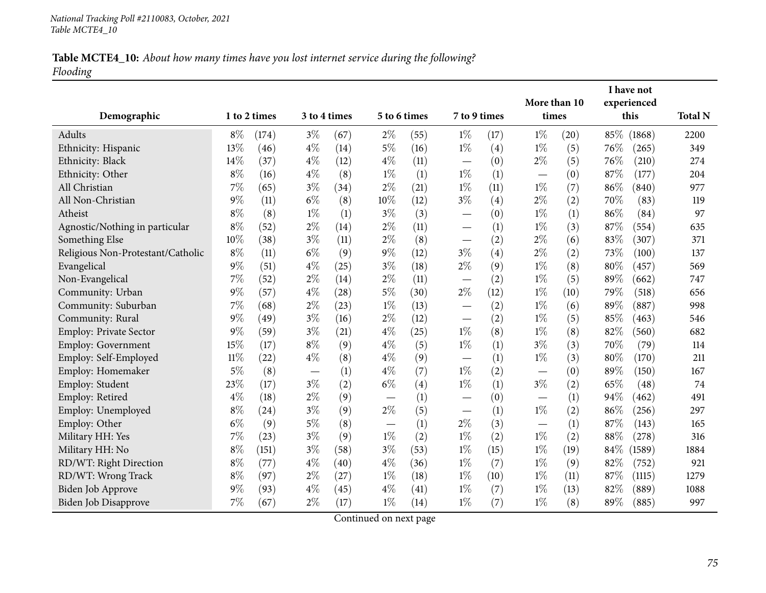## Table MCTE4\_10: About how many times have you lost internet service during the following? *Flooding*

| Demographic                       |        | 1 to 2 times | 3 to 4 times |      | 5 to 6 times |      | 7 to 9 times             |      | More than 10<br>times |      |        | I have not<br>experienced<br>this | <b>Total N</b> |
|-----------------------------------|--------|--------------|--------------|------|--------------|------|--------------------------|------|-----------------------|------|--------|-----------------------------------|----------------|
| Adults                            | $8\%$  | (174)        | $3\%$        | (67) | $2\%$        | (55) | $1\%$                    | (17) | $1\%$                 | (20) |        | 85\% (1868)                       | 2200           |
| Ethnicity: Hispanic               | 13%    | (46)         | $4\%$        | (14) | $5\%$        | (16) | $1\%$                    | (4)  | $1\%$                 | (5)  | 76\%   | (265)                             | 349            |
| Ethnicity: Black                  | 14%    | (37)         | $4\%$        | (12) | $4\%$        | (11) |                          | (0)  | $2\%$                 | (5)  | 76%    | (210)                             | 274            |
| Ethnicity: Other                  | $8\%$  | (16)         | $4\%$        | (8)  | $1\%$        | (1)  | $1\%$                    | (1)  | —                     | (0)  | 87%    | (177)                             | 204            |
| All Christian                     | $7\%$  | (65)         | $3\%$        | (34) | $2\%$        | (21) | $1\%$                    | (11) | $1\%$                 | (7)  | $86\%$ | (840)                             | 977            |
| All Non-Christian                 | 9%     | (11)         | $6\%$        | (8)  | 10%          | (12) | $3\%$                    | (4)  | $2\%$                 | (2)  | 70%    | (83)                              | 119            |
| Atheist                           | $8\%$  | (8)          | $1\%$        | (1)  | $3\%$        | (3)  |                          | (0)  | $1\%$                 | (1)  | 86%    | (84)                              | 97             |
| Agnostic/Nothing in particular    | $8\%$  | (52)         | $2\%$        | (14) | $2\%$        | (11) |                          | (1)  | $1\%$                 | (3)  | 87%    | (554)                             | 635            |
| Something Else                    | 10%    | (38)         | $3\%$        | (11) | $2\%$        | (8)  |                          | (2)  | $2\%$                 | (6)  | 83%    | (307)                             | 371            |
| Religious Non-Protestant/Catholic | $8\%$  | (11)         | $6\%$        | (9)  | $9\%$        | (12) | $3\%$                    | (4)  | $2\%$                 | (2)  | 73%    | (100)                             | 137            |
| Evangelical                       | $9\%$  | (51)         | $4\%$        | (25) | $3\%$        | (18) | $2\%$                    | (9)  | $1\%$                 | (8)  | 80%    | (457)                             | 569            |
| Non-Evangelical                   | 7%     | (52)         | $2\%$        | (14) | $2\%$        | (11) |                          | (2)  | $1\%$                 | (5)  | 89%    | (662)                             | 747            |
| Community: Urban                  | 9%     | (57)         | $4\%$        | (28) | $5\%$        | (30) | $2\%$                    | (12) | $1\%$                 | (10) | 79%    | (518)                             | 656            |
| Community: Suburban               | 7%     | (68)         | $2\%$        | (23) | $1\%$        | (13) |                          | (2)  | $1\%$                 | (6)  | 89%    | (887)                             | 998            |
| Community: Rural                  | 9%     | (49)         | $3\%$        | (16) | $2\%$        | (12) |                          | (2)  | $1\%$                 | (5)  | 85%    | (463)                             | 546            |
| Employ: Private Sector            | 9%     | (59)         | $3\%$        | (21) | $4\%$        | (25) | $1\%$                    | (8)  | $1\%$                 | (8)  | 82%    | (560)                             | 682            |
| Employ: Government                | 15%    | (17)         | $8\%$        | (9)  | $4\%$        | (5)  | $1\%$                    | (1)  | $3\%$                 | (3)  | 70%    | (79)                              | 114            |
| Employ: Self-Employed             | $11\%$ | (22)         | $4\%$        | (8)  | $4\%$        | (9)  |                          | (1)  | $1\%$                 | (3)  | 80%    | (170)                             | 211            |
| Employ: Homemaker                 | 5%     | (8)          |              | (1)  | $4\%$        | (7)  | $1\%$                    | (2)  |                       | (0)  | 89%    | (150)                             | 167            |
| Employ: Student                   | 23%    | (17)         | $3\%$        | (2)  | $6\%$        | (4)  | $1\%$                    | (1)  | $3\%$                 | (2)  | 65%    | (48)                              | 74             |
| Employ: Retired                   | $4\%$  | (18)         | $2\%$        | (9)  |              | (1)  | $\overline{\phantom{0}}$ | (0)  |                       | (1)  | 94%    | (462)                             | 491            |
| Employ: Unemployed                | $8\%$  | (24)         | $3\%$        | (9)  | $2\%$        | (5)  |                          | (1)  | $1\%$                 | (2)  | 86%    | (256)                             | 297            |
| Employ: Other                     | $6\%$  | (9)          | $5\%$        | (8)  |              | (1)  | $2\%$                    | (3)  |                       | (1)  | 87%    | (143)                             | 165            |
| Military HH: Yes                  | 7%     | (23)         | $3\%$        | (9)  | $1\%$        | (2)  | $1\%$                    | (2)  | $1\%$                 | (2)  | 88%    | (278)                             | 316            |
| Military HH: No                   | $8\%$  | (151)        | $3\%$        | (58) | $3\%$        | (53) | $1\%$                    | (15) | $1\%$                 | (19) | 84\%   | (1589)                            | 1884           |
| RD/WT: Right Direction            | $8\%$  | (77)         | $4\%$        | (40) | $4\%$        | (36) | $1\%$                    | (7)  | $1\%$                 | (9)  | 82%    | (752)                             | 921            |
| RD/WT: Wrong Track                | $8\%$  | (97)         | $2\%$        | (27) | $1\%$        | (18) | $1\%$                    | (10) | $1\%$                 | (11) | 87\%   | (1115)                            | 1279           |
| Biden Job Approve                 | 9%     | (93)         | $4\%$        | (45) | $4\%$        | (41) | $1\%$                    | (7)  | $1\%$                 | (13) | 82%    | (889)                             | 1088           |
| Biden Job Disapprove              | 7%     | (67)         | $2\%$        | (17) | $1\%$        | (14) | $1\%$                    | (7)  | $1\%$                 | (8)  | 89%    | (885)                             | 997            |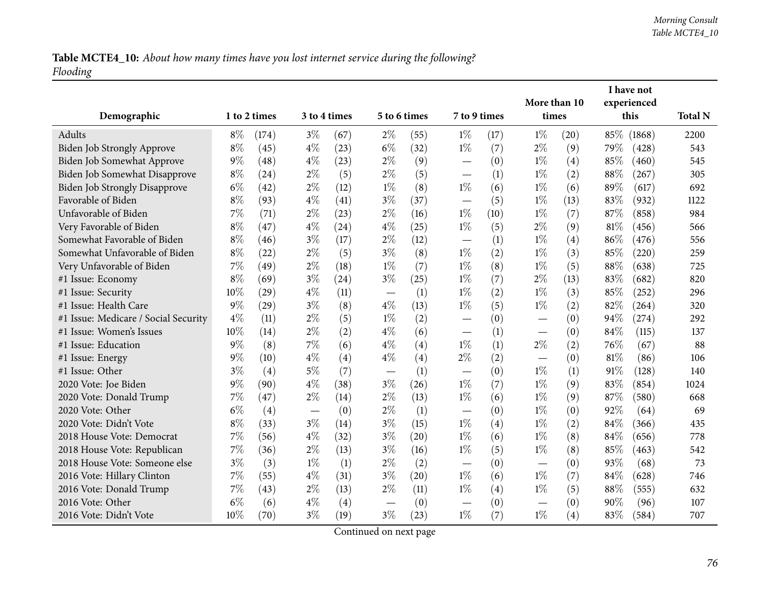Table MCTE4\_10: About how many times have you lost internet service during the following? *Flooding*

|                                      |       |              |                          |              |              |      |                                   |      |                          |      |        | I have not  |                |
|--------------------------------------|-------|--------------|--------------------------|--------------|--------------|------|-----------------------------------|------|--------------------------|------|--------|-------------|----------------|
|                                      |       |              |                          |              |              |      |                                   |      | More than 10             |      |        | experienced |                |
| Demographic                          |       | 1 to 2 times |                          | 3 to 4 times | 5 to 6 times |      | 7 to 9 times                      |      | times                    |      |        | this        | <b>Total N</b> |
| Adults                               | $8\%$ | (174)        | $3\%$                    | (67)         | $2\%$        | (55) | $1\%$                             | (17) | $1\%$                    | (20) | 85\%   | (1868)      | 2200           |
| Biden Job Strongly Approve           | $8\%$ | (45)         | $4\%$                    | (23)         | $6\%$        | (32) | $1\%$                             | (7)  | $2\%$                    | (9)  | 79%    | (428)       | 543            |
| Biden Job Somewhat Approve           | $9\%$ | (48)         | $4\%$                    | (23)         | $2\%$        | (9)  |                                   | (0)  | $1\%$                    | (4)  | 85%    | (460)       | 545            |
| Biden Job Somewhat Disapprove        | $8\%$ | (24)         | $2\%$                    | (5)          | $2\%$        | (5)  |                                   | (1)  | $1\%$                    | (2)  | 88%    | (267)       | 305            |
| <b>Biden Job Strongly Disapprove</b> | $6\%$ | (42)         | $2\%$                    | (12)         | $1\%$        | (8)  | $1\%$                             | (6)  | $1\%$                    | (6)  | 89%    | (617)       | 692            |
| Favorable of Biden                   | $8\%$ | (93)         | $4\%$                    | (41)         | $3\%$        | (37) | $\overline{\phantom{0}}$          | (5)  | $1\%$                    | (13) | 83%    | (932)       | 1122           |
| Unfavorable of Biden                 | 7%    | (71)         | $2\%$                    | (23)         | $2\%$        | (16) | $1\%$                             | (10) | $1\%$                    | (7)  | 87%    | (858)       | 984            |
| Very Favorable of Biden              | $8\%$ | (47)         | $4\%$                    | (24)         | $4\%$        | (25) | $1\%$                             | (5)  | $2\%$                    | (9)  | $81\%$ | (456)       | 566            |
| Somewhat Favorable of Biden          | $8\%$ | (46)         | $3\%$                    | (17)         | $2\%$        | (12) |                                   | (1)  | $1\%$                    | (4)  | 86%    | (476)       | 556            |
| Somewhat Unfavorable of Biden        | $8\%$ | (22)         | $2\%$                    | (5)          | $3\%$        | (8)  | $1\%$                             | (2)  | $1\%$                    | (3)  | 85%    | (220)       | 259            |
| Very Unfavorable of Biden            | 7%    | (49)         | $2\%$                    | (18)         | $1\%$        | (7)  | $1\%$                             | (8)  | $1\%$                    | (5)  | 88%    | (638)       | 725            |
| #1 Issue: Economy                    | $8\%$ | (69)         | $3\%$                    | (24)         | $3\%$        | (25) | $1\%$                             | (7)  | $2\%$                    | (13) | 83%    | (682)       | 820            |
| #1 Issue: Security                   | 10%   | (29)         | $4\%$                    | (11)         |              | (1)  | $1\%$                             | (2)  | $1\%$                    | (3)  | 85%    | (252)       | 296            |
| #1 Issue: Health Care                | 9%    | (29)         | $3\%$                    | (8)          | $4\%$        | (13) | $1\%$                             | (5)  | $1\%$                    | (2)  | 82%    | (264)       | 320            |
| #1 Issue: Medicare / Social Security | $4\%$ | (11)         | $2\%$                    | (5)          | $1\%$        | (2)  | $\overline{\phantom{0}}$          | (0)  | $\overline{\phantom{0}}$ | (0)  | 94%    | (274)       | 292            |
| #1 Issue: Women's Issues             | 10%   | (14)         | $2\%$                    | (2)          | $4\%$        | (6)  | $\overbrace{\phantom{12322111}}$  | (1)  |                          | (0)  | 84%    | (115)       | 137            |
| #1 Issue: Education                  | $9\%$ | (8)          | 7%                       | (6)          | $4\%$        | (4)  | $1\%$                             | (1)  | $2\%$                    | (2)  | 76%    | (67)        | 88             |
| #1 Issue: Energy                     | $9\%$ | (10)         | $4\%$                    | (4)          | $4\%$        | (4)  | $2\%$                             | (2)  | $\overline{\phantom{0}}$ | (0)  | 81%    | (86)        | 106            |
| #1 Issue: Other                      | $3\%$ | (4)          | $5\%$                    | (7)          |              | (1)  | $\overline{\phantom{0}}$          | (0)  | $1\%$                    | (1)  | 91%    | (128)       | 140            |
| 2020 Vote: Joe Biden                 | 9%    | (90)         | $4\%$                    | (38)         | $3\%$        | (26) | $1\%$                             | (7)  | $1\%$                    | (9)  | 83%    | (854)       | 1024           |
| 2020 Vote: Donald Trump              | 7%    | (47)         | $2\%$                    | (14)         | $2\%$        | (13) | $1\%$                             | (6)  | $1\%$                    | (9)  | 87%    | (580)       | 668            |
| 2020 Vote: Other                     | $6\%$ | (4)          | $\overline{\phantom{m}}$ | (0)          | $2\%$        | (1)  | $\overbrace{\phantom{123221111}}$ | (0)  | $1\%$                    | (0)  | 92%    | (64)        | 69             |
| 2020 Vote: Didn't Vote               | $8\%$ | (33)         | $3\%$                    | (14)         | $3\%$        | (15) | $1\%$                             | (4)  | $1\%$                    | (2)  | 84%    | (366)       | 435            |
| 2018 House Vote: Democrat            | 7%    | (56)         | $4\%$                    | (32)         | $3\%$        | (20) | $1\%$                             | (6)  | $1\%$                    | (8)  | 84%    | (656)       | 778            |
| 2018 House Vote: Republican          | 7%    | (36)         | $2\%$                    | (13)         | $3\%$        | (16) | $1\%$                             | (5)  | $1\%$                    | (8)  | 85%    | (463)       | 542            |
| 2018 House Vote: Someone else        | $3\%$ | (3)          | $1\%$                    | (1)          | $2\%$        | (2)  |                                   | (0)  |                          | (0)  | 93%    | (68)        | 73             |
| 2016 Vote: Hillary Clinton           | 7%    | (55)         | $4\%$                    | (31)         | $3\%$        | (20) | $1\%$                             | (6)  | $1\%$                    | (7)  | 84\%   | (628)       | 746            |
| 2016 Vote: Donald Trump              | 7%    | (43)         | $2\%$                    | (13)         | $2\%$        | (11) | $1\%$                             | (4)  | $1\%$                    | (5)  | 88%    | (555)       | 632            |
| 2016 Vote: Other                     | $6\%$ | (6)          | $4\%$                    | (4)          |              | (0)  | $\overline{\phantom{0}}$          | (0)  |                          | (0)  | 90%    | (96)        | 107            |
| 2016 Vote: Didn't Vote               | 10%   | (70)         | $3\%$                    | (19)         | $3\%$        | (23) | $1\%$                             | (7)  | $1\%$                    | (4)  | 83%    | (584)       | 707            |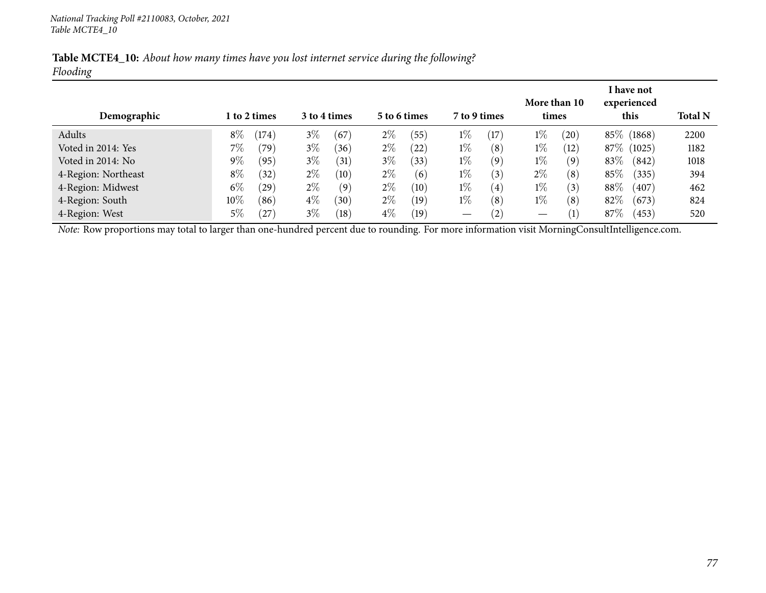| Table MCTE4_10: About how many times have you lost internet service during the following? |  |  |  |  |
|-------------------------------------------------------------------------------------------|--|--|--|--|
| Flooding                                                                                  |  |  |  |  |

| Demographic                                                                                                                                    | More than 10<br>l to 2 times<br>3 to 4 times<br>7 to 9 times<br>5 to 6 times<br>times |                |       | I have not<br>experienced<br>this | <b>Total N</b> |      |                   |      |       |                  |        |             |      |
|------------------------------------------------------------------------------------------------------------------------------------------------|---------------------------------------------------------------------------------------|----------------|-------|-----------------------------------|----------------|------|-------------------|------|-------|------------------|--------|-------------|------|
| Adults                                                                                                                                         | $8\%$                                                                                 | (174)          | $3\%$ | (67                               | $2\%$          | (55) | $1\%$             | (17) | $1\%$ | (20)             |        | 85\% (1868) | 2200 |
| Voted in 2014: Yes                                                                                                                             | $7\%$                                                                                 | $^{\prime}79)$ | $3\%$ | (36)                              | $2\%$          | (22) | $1\%$             | (8)  | $1\%$ | (12)             |        | 87\% (1025) | 1182 |
| Voted in 2014: No                                                                                                                              | $9\%$                                                                                 | (95)           | $3\%$ | (31)                              | $3\%$          | (33) | $1\%$             | (9)  | $1\%$ | (9)              | 83\%   | (842)       | 1018 |
| 4-Region: Northeast                                                                                                                            | $8\%$                                                                                 | (32)           | $2\%$ | (10)                              | $2\%$          | (6)  | $1\%$             | (3)  | $2\%$ | (8)              | $85\%$ | (335)       | 394  |
| 4-Region: Midwest                                                                                                                              | $6\%$                                                                                 | $^{'}29)$      | $2\%$ | (9)                               | $2\%$          | (10) | $1\%$             | (4)  | $1\%$ | (3)              | $88\%$ | (407)       | 462  |
| 4-Region: South                                                                                                                                | $10\%$                                                                                | (86)           | $4\%$ | (30)                              | $2\%$          | (19) | $1\%$             | (8)  | $1\%$ | (8)              | 82\%   | (673)       | 824  |
| 4-Region: West                                                                                                                                 | 5%                                                                                    | $^{'}27$       | $3\%$ | (18)                              | $4\%$          | (19) | $\hspace{0.05cm}$ | (2)  |       | $\left(1\right)$ | 87\%   | (453)       | 520  |
| Note: Row proportions may total to larger than one-hundred percent due to rounding. For more information visit MorningConsultIntelligence.com. |                                                                                       |                |       |                                   |                |      |                   |      |       |                  |        |             |      |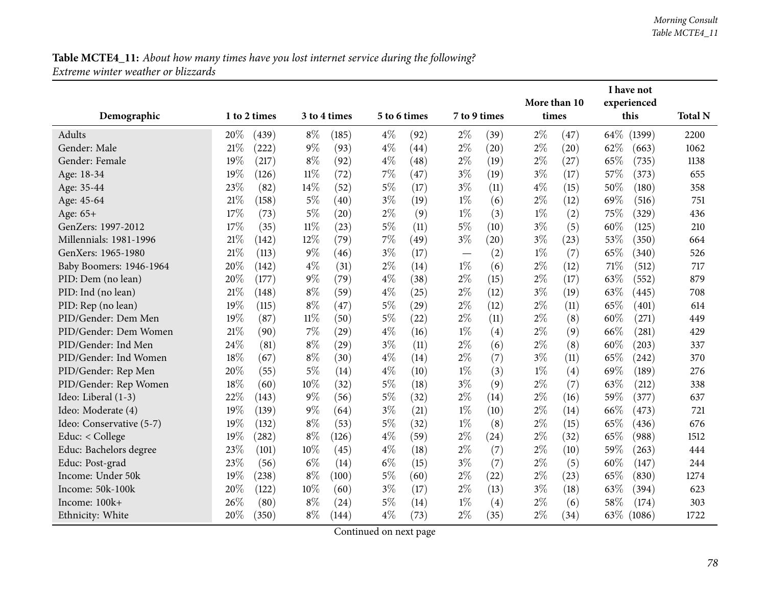|                          |        |              |        |                    |              |      |       |              |       |              |      | I have not  |                |
|--------------------------|--------|--------------|--------|--------------------|--------------|------|-------|--------------|-------|--------------|------|-------------|----------------|
|                          |        |              |        |                    |              |      |       |              |       | More than 10 |      | experienced |                |
| Demographic              |        | 1 to 2 times |        | 3 to 4 times       | 5 to 6 times |      |       | 7 to 9 times |       | times        |      | this        | <b>Total N</b> |
| <b>Adults</b>            | 20%    | (439)        | $8\%$  | (185)              | $4\%$        | (92) | $2\%$ | (39)         | $2\%$ | (47)         | 64\% | (1399)      | 2200           |
| Gender: Male             | 21%    | (222)        | $9\%$  | (93)               | $4\%$        | (44) | $2\%$ | (20)         | $2\%$ | (20)         | 62%  | (663)       | 1062           |
| Gender: Female           | 19%    | (217)        | $8\%$  | (92)               | $4\%$        | (48) | $2\%$ | (19)         | $2\%$ | (27)         | 65%  | (735)       | 1138           |
| Age: 18-34               | 19%    | (126)        | 11%    | (72)               | 7%           | (47) | $3\%$ | (19)         | $3\%$ | (17)         | 57\% | (373)       | 655            |
| Age: 35-44               | 23%    | (82)         | 14\%   | (52)               | $5\%$        | (17) | $3\%$ | (11)         | $4\%$ | (15)         | 50%  | (180)       | 358            |
| Age: 45-64               | 21%    | (158)        | $5\%$  | (40)               | $3\%$        | (19) | $1\%$ | (6)          | $2\%$ | (12)         | 69%  | (516)       | 751            |
| Age: 65+                 | 17%    | (73)         | $5\%$  | (20)               | 2%           | (9)  | $1\%$ | (3)          | $1\%$ | (2)          | 75%  | (329)       | 436            |
| GenZers: 1997-2012       | 17%    | (35)         | 11%    | (23)               | $5\%$        | (11) | $5\%$ | (10)         | $3\%$ | (5)          | 60%  | (125)       | 210            |
| Millennials: 1981-1996   | 21%    | (142)        | 12%    | (79)               | 7%           | (49) | $3\%$ | (20)         | $3\%$ | (23)         | 53%  | (350)       | 664            |
| GenXers: 1965-1980       | 21%    | (113)        | $9\%$  | (46)               | $3\%$        | (17) |       | (2)          | $1\%$ | (7)          | 65%  | (340)       | 526            |
| Baby Boomers: 1946-1964  | 20%    | (142)        | $4\%$  | (31)               | $2\%$        | (14) | $1\%$ | (6)          | $2\%$ | (12)         | 71%  | (512)       | 717            |
| PID: Dem (no lean)       | 20%    | (177)        | $9\%$  | (79)               | $4\%$        | (38) | $2\%$ | (15)         | $2\%$ | (17)         | 63%  | (552)       | 879            |
| PID: Ind (no lean)       | 21%    | (148)        | $8\%$  | (59)               | $4\%$        | (25) | $2\%$ | (12)         | $3\%$ | (19)         | 63%  | (445)       | 708            |
| PID: Rep (no lean)       | 19%    | (115)        | $8\%$  | (47)               | $5\%$        | (29) | $2\%$ | (12)         | $2\%$ | (11)         | 65%  | (401)       | 614            |
| PID/Gender: Dem Men      | 19%    | (87)         | $11\%$ | (50)               | $5\%$        | (22) | $2\%$ | (11)         | $2\%$ | (8)          | 60%  | (271)       | 449            |
| PID/Gender: Dem Women    | $21\%$ | (90)         | $7\%$  | (29)               | $4\%$        | (16) | $1\%$ | (4)          | $2\%$ | (9)          | 66%  | (281)       | 429            |
| PID/Gender: Ind Men      | 24%    | (81)         | $8\%$  | $\left( 29\right)$ | $3\%$        | (11) | $2\%$ | (6)          | $2\%$ | (8)          | 60%  | (203)       | 337            |
| PID/Gender: Ind Women    | 18%    | (67)         | $8\%$  | (30)               | $4\%$        | (14) | $2\%$ | (7)          | $3\%$ | (11)         | 65%  | (242)       | 370            |
| PID/Gender: Rep Men      | 20%    | (55)         | 5%     | (14)               | $4\%$        | (10) | $1\%$ | (3)          | $1\%$ | (4)          | 69%  | (189)       | 276            |
| PID/Gender: Rep Women    | 18%    | (60)         | 10%    | (32)               | $5\%$        | (18) | $3\%$ | (9)          | $2\%$ | (7)          | 63%  | (212)       | 338            |
| Ideo: Liberal (1-3)      | 22%    | (143)        | $9\%$  | (56)               | $5\%$        | (32) | $2\%$ | (14)         | $2\%$ | (16)         | 59%  | (377)       | 637            |
| Ideo: Moderate (4)       | 19%    | (139)        | $9\%$  | (64)               | $3\%$        | (21) | $1\%$ | (10)         | $2\%$ | (14)         | 66\% | (473)       | 721            |
| Ideo: Conservative (5-7) | 19%    | (132)        | $8\%$  | (53)               | $5\%$        | (32) | $1\%$ | (8)          | $2\%$ | (15)         | 65%  | (436)       | 676            |
| Educ: < College          | 19%    | (282)        | $8\%$  | (126)              | $4\%$        | (59) | $2\%$ | (24)         | $2\%$ | (32)         | 65%  | (988)       | 1512           |
| Educ: Bachelors degree   | 23%    | (101)        | 10%    | (45)               | $4\%$        | (18) | $2\%$ | (7)          | $2\%$ | (10)         | 59%  | (263)       | 444            |
| Educ: Post-grad          | 23%    | (56)         | $6\%$  | (14)               | $6\%$        | (15) | $3\%$ | (7)          | $2\%$ | (5)          | 60%  | (147)       | 244            |
| Income: Under 50k        | 19%    | (238)        | $8\%$  | (100)              | $5\%$        | (60) | $2\%$ | (22)         | $2\%$ | (23)         | 65\% | (830)       | 1274           |
| Income: 50k-100k         | 20%    | (122)        | 10%    | (60)               | $3\%$        | (17) | $2\%$ | (13)         | $3\%$ | (18)         | 63%  | (394)       | 623            |
| Income: 100k+            | 26%    | (80)         | $8\%$  | (24)               | $5\%$        | (14) | $1\%$ | (4)          | $2\%$ | (6)          | 58%  | (174)       | 303            |
| Ethnicity: White         | 20%    | (350)        | $8\%$  | (144)              | $4\%$        | (73) | $2\%$ | (35)         | $2\%$ | (34)         | 63\% | (1086)      | 1722           |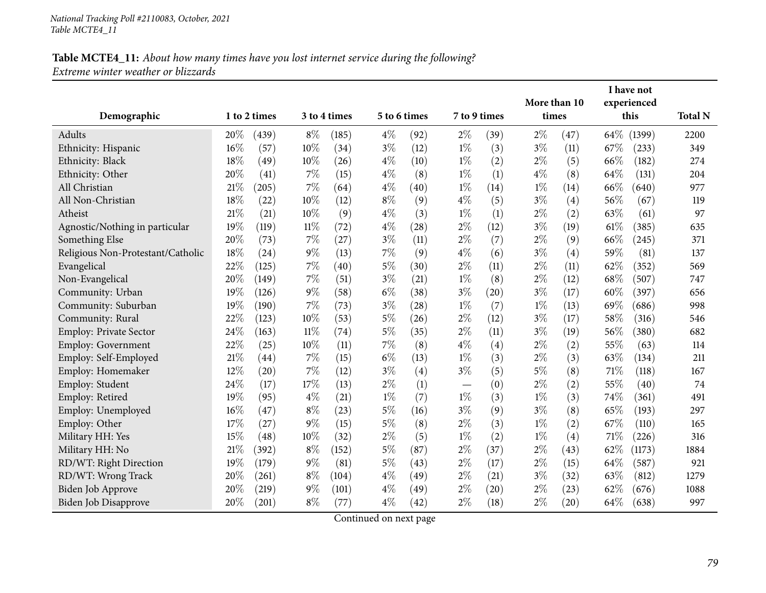|                                   |     |              |        |              |       |              |       |              |       | More than 10 |        | I have not<br>experienced |                |
|-----------------------------------|-----|--------------|--------|--------------|-------|--------------|-------|--------------|-------|--------------|--------|---------------------------|----------------|
| Demographic                       |     | 1 to 2 times |        | 3 to 4 times |       | 5 to 6 times |       | 7 to 9 times | times |              |        | this                      | <b>Total N</b> |
| Adults                            | 20% | (439)        | $8\%$  | (185)        | $4\%$ | (92)         | $2\%$ | (39)         | $2\%$ | (47)         | 64\%   | (1399)                    | 2200           |
| Ethnicity: Hispanic               | 16% | (57)         | 10%    | (34)         | $3\%$ | (12)         | $1\%$ | (3)          | $3\%$ | (11)         | 67%    | (233)                     | 349            |
| Ethnicity: Black                  | 18% | (49)         | 10%    | (26)         | $4\%$ | (10)         | $1\%$ | (2)          | $2\%$ | (5)          | 66\%   | (182)                     | 274            |
| Ethnicity: Other                  | 20% | (41)         | 7%     | (15)         | $4\%$ | (8)          | $1\%$ | (1)          | $4\%$ | (8)          | 64%    | (131)                     | 204            |
| All Christian                     | 21% | (205)        | 7%     | (64)         | $4\%$ | (40)         | $1\%$ | (14)         | $1\%$ | (14)         | 66%    | (640)                     | 977            |
| All Non-Christian                 | 18% | (22)         | 10%    | (12)         | $8\%$ | (9)          | $4\%$ | (5)          | $3\%$ | (4)          | 56%    | (67)                      | 119            |
| Atheist                           | 21% | (21)         | 10%    | (9)          | $4\%$ | (3)          | $1\%$ | (1)          | $2\%$ | (2)          | 63%    | (61)                      | 97             |
| Agnostic/Nothing in particular    | 19% | (119)        | 11%    | (72)         | $4\%$ | (28)         | $2\%$ | (12)         | $3\%$ | (19)         | $61\%$ | (385)                     | 635            |
| Something Else                    | 20% | (73)         | 7%     | (27)         | $3\%$ | (11)         | $2\%$ | (7)          | $2\%$ | (9)          | 66%    | (245)                     | 371            |
| Religious Non-Protestant/Catholic | 18% | (24)         | $9\%$  | (13)         | $7\%$ | (9)          | $4\%$ | (6)          | $3\%$ | (4)          | 59%    | (81)                      | 137            |
| Evangelical                       | 22% | (125)        | 7%     | (40)         | $5\%$ | (30)         | $2\%$ | (11)         | $2\%$ | (11)         | 62%    | (352)                     | 569            |
| Non-Evangelical                   | 20% | (149)        | $7\%$  | (51)         | $3\%$ | (21)         | $1\%$ | (8)          | $2\%$ | (12)         | 68%    | (507)                     | 747            |
| Community: Urban                  | 19% | (126)        | 9%     | (58)         | $6\%$ | (38)         | $3\%$ | (20)         | $3\%$ | (17)         | 60%    | (397)                     | 656            |
| Community: Suburban               | 19% | (190)        | 7%     | (73)         | $3\%$ | (28)         | $1\%$ | (7)          | $1\%$ | (13)         | 69%    | (686)                     | 998            |
| Community: Rural                  | 22% | (123)        | 10%    | (53)         | $5\%$ | (26)         | $2\%$ | (12)         | $3\%$ | (17)         | 58%    | (316)                     | 546            |
| <b>Employ: Private Sector</b>     | 24% | (163)        | $11\%$ | (74)         | $5\%$ | (35)         | $2\%$ | (11)         | $3\%$ | (19)         | 56%    | (380)                     | 682            |
| Employ: Government                | 22% | (25)         | $10\%$ | (11)         | 7%    | (8)          | $4\%$ | (4)          | $2\%$ | (2)          | 55%    | (63)                      | 114            |
| Employ: Self-Employed             | 21% | (44)         | 7%     | (15)         | $6\%$ | (13)         | $1\%$ | (3)          | $2\%$ | (3)          | 63%    | (134)                     | 211            |
| Employ: Homemaker                 | 12% | (20)         | 7%     | (12)         | $3\%$ | (4)          | $3\%$ | (5)          | $5\%$ | (8)          | 71%    | (118)                     | 167            |
| Employ: Student                   | 24% | (17)         | 17%    | (13)         | $2\%$ | (1)          |       | (0)          | $2\%$ | (2)          | 55%    | (40)                      | 74             |
| Employ: Retired                   | 19% | (95)         | $4\%$  | (21)         | $1\%$ | (7)          | $1\%$ | (3)          | $1\%$ | (3)          | 74%    | (361)                     | 491            |
| Employ: Unemployed                | 16% | (47)         | $8\%$  | (23)         | $5\%$ | (16)         | $3\%$ | (9)          | $3\%$ | (8)          | 65%    | (193)                     | 297            |
| Employ: Other                     | 17% | (27)         | $9\%$  | (15)         | $5\%$ | (8)          | $2\%$ | (3)          | $1\%$ | (2)          | 67\%   | (110)                     | 165            |
| Military HH: Yes                  | 15% | (48)         | 10%    | (32)         | $2\%$ | (5)          | $1\%$ | (2)          | $1\%$ | (4)          | 71\%   | (226)                     | 316            |
| Military HH: No                   | 21% | (392)        | $8\%$  | (152)        | $5\%$ | (87)         | $2\%$ | (37)         | $2\%$ | (43)         | 62\%   | (1173)                    | 1884           |
| RD/WT: Right Direction            | 19% | (179)        | $9\%$  | (81)         | $5\%$ | (43)         | $2\%$ | (17)         | $2\%$ | (15)         | 64\%   | (587)                     | 921            |
| RD/WT: Wrong Track                | 20% | (261)        | $8\%$  | (104)        | $4\%$ | (49)         | $2\%$ | (21)         | $3\%$ | (32)         | 63%    | (812)                     | 1279           |
| Biden Job Approve                 | 20% | (219)        | $9\%$  | (101)        | $4\%$ | (49)         | $2\%$ | (20)         | $2\%$ | (23)         | 62%    | (676)                     | 1088           |
| Biden Job Disapprove              | 20% | (201)        | $8\%$  | (77)         | $4\%$ | (42)         | $2\%$ | (18)         | $2\%$ | (20)         | 64\%   | (638)                     | 997            |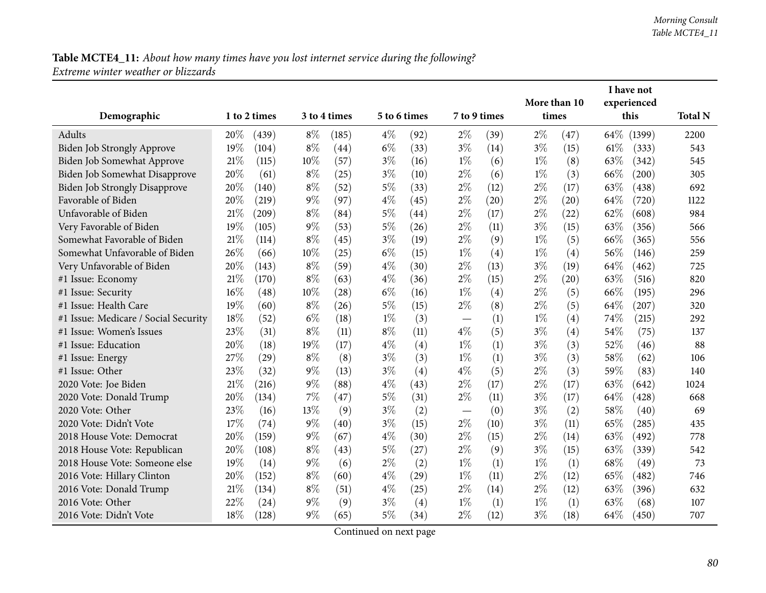|                                      |     |              |       |              |       |              |                          |              | I have not |                    |        |             |                |
|--------------------------------------|-----|--------------|-------|--------------|-------|--------------|--------------------------|--------------|------------|--------------------|--------|-------------|----------------|
|                                      |     |              |       |              |       |              |                          |              |            | More than 10       |        | experienced |                |
| Demographic                          |     | 1 to 2 times |       | 3 to 4 times |       | 5 to 6 times |                          | 7 to 9 times | times      |                    |        | this        | <b>Total N</b> |
| Adults                               | 20% | (439)        | $8\%$ | (185)        | $4\%$ | (92)         | $2\%$                    | (39)         | $2\%$      | (47)               | 64\%   | (1399)      | 2200           |
| Biden Job Strongly Approve           | 19% | (104)        | $8\%$ | (44)         | $6\%$ | (33)         | $3\%$                    | (14)         | $3\%$      | (15)               | $61\%$ | (333)       | 543            |
| Biden Job Somewhat Approve           | 21% | (115)        | 10%   | (57)         | $3\%$ | (16)         | $1\%$                    | (6)          | $1\%$      | (8)                | 63\%   | (342)       | 545            |
| Biden Job Somewhat Disapprove        | 20% | (61)         | $8\%$ | (25)         | $3\%$ | (10)         | $2\%$                    | (6)          | $1\%$      | (3)                | 66\%   | (200)       | 305            |
| <b>Biden Job Strongly Disapprove</b> | 20% | (140)        | $8\%$ | (52)         | $5\%$ | (33)         | $2\%$                    | (12)         | $2\%$      | (17)               | 63\%   | (438)       | 692            |
| Favorable of Biden                   | 20% | (219)        | $9\%$ | (97)         | $4\%$ | (45)         | $2\%$                    | (20)         | $2\%$      | (20)               | 64%    | (720)       | 1122           |
| Unfavorable of Biden                 | 21% | (209)        | $8\%$ | (84)         | $5\%$ | (44)         | $2\%$                    | (17)         | $2\%$      | (22)               | 62\%   | (608)       | 984            |
| Very Favorable of Biden              | 19% | (105)        | $9\%$ | (53)         | $5\%$ | (26)         | $2\%$                    | (11)         | $3\%$      | (15)               | 63\%   | (356)       | 566            |
| Somewhat Favorable of Biden          | 21% | (114)        | $8\%$ | (45)         | $3\%$ | (19)         | $2\%$                    | (9)          | $1\%$      | (5)                | 66%    | (365)       | 556            |
| Somewhat Unfavorable of Biden        | 26% | (66)         | 10%   | (25)         | $6\%$ | (15)         | $1\%$                    | (4)          | $1\%$      | (4)                | 56%    | (146)       | 259            |
| Very Unfavorable of Biden            | 20% | (143)        | $8\%$ | (59)         | $4\%$ | (30)         | $2\%$                    | (13)         | $3\%$      | (19)               | 64%    | (462)       | 725            |
| #1 Issue: Economy                    | 21% | (170)        | $8\%$ | (63)         | $4\%$ | (36)         | $2\%$                    | (15)         | $2\%$      | $\left( 20\right)$ | 63%    | (516)       | 820            |
| #1 Issue: Security                   | 16% | (48)         | 10%   | (28)         | $6\%$ | (16)         | $1\%$                    | (4)          | $2\%$      | (5)                | 66%    | (195)       | 296            |
| #1 Issue: Health Care                | 19% | (60)         | $8\%$ | (26)         | $5\%$ | (15)         | $2\%$                    | (8)          | $2\%$      | (5)                | 64%    | (207)       | 320            |
| #1 Issue: Medicare / Social Security | 18% | (52)         | $6\%$ | (18)         | $1\%$ | (3)          | $\overline{\phantom{0}}$ | (1)          | $1\%$      | (4)                | 74%    | (215)       | 292            |
| #1 Issue: Women's Issues             | 23% | (31)         | $8\%$ | (11)         | $8\%$ | (11)         | $4\%$                    | (5)          | $3\%$      | (4)                | 54%    | (75)        | 137            |
| #1 Issue: Education                  | 20% | (18)         | 19%   | (17)         | $4\%$ | (4)          | $1\%$                    | (1)          | $3\%$      | (3)                | 52%    | (46)        | 88             |
| #1 Issue: Energy                     | 27% | (29)         | $8\%$ | (8)          | $3\%$ | (3)          | $1\%$                    | (1)          | $3\%$      | (3)                | 58%    | (62)        | 106            |
| #1 Issue: Other                      | 23% | (32)         | $9\%$ | (13)         | $3\%$ | (4)          | $4\%$                    | (5)          | $2\%$      | (3)                | 59%    | (83)        | 140            |
| 2020 Vote: Joe Biden                 | 21% | (216)        | $9\%$ | (88)         | $4\%$ | (43)         | $2\%$                    | (17)         | $2\%$      | (17)               | 63%    | (642)       | 1024           |
| 2020 Vote: Donald Trump              | 20% | (134)        | 7%    | (47)         | $5\%$ | (31)         | $2\%$                    | (11)         | $3\%$      | (17)               | 64%    | (428)       | 668            |
| 2020 Vote: Other                     | 23% | (16)         | 13%   | (9)          | $3\%$ | (2)          |                          | (0)          | $3\%$      | (2)                | 58%    | (40)        | 69             |
| 2020 Vote: Didn't Vote               | 17% | (74)         | $9\%$ | (40)         | $3\%$ | (15)         | $2\%$                    | (10)         | $3\%$      | (11)               | 65\%   | (285)       | 435            |
| 2018 House Vote: Democrat            | 20% | (159)        | $9\%$ | (67)         | $4\%$ | (30)         | $2\%$                    | (15)         | $2\%$      | (14)               | 63\%   | (492)       | 778            |
| 2018 House Vote: Republican          | 20% | (108)        | $8\%$ | (43)         | $5\%$ | (27)         | $2\%$                    | (9)          | $3\%$      | (15)               | 63%    | (339)       | 542            |
| 2018 House Vote: Someone else        | 19% | (14)         | $9\%$ | (6)          | $2\%$ | (2)          | $1\%$                    | (1)          | $1\%$      | (1)                | 68\%   | (49)        | 73             |
| 2016 Vote: Hillary Clinton           | 20% | (152)        | $8\%$ | (60)         | $4\%$ | (29)         | $1\%$                    | (11)         | $2\%$      | (12)               | 65\%   | (482)       | 746            |
| 2016 Vote: Donald Trump              | 21% | (134)        | $8\%$ | (51)         | $4\%$ | (25)         | $2\%$                    | (14)         | $2\%$      | (12)               | 63\%   | (396)       | 632            |
| 2016 Vote: Other                     | 22% | (24)         | $9\%$ | (9)          | $3\%$ | (4)          | $1\%$                    | (1)          | $1\%$      | (1)                | 63%    | (68)        | 107            |
| 2016 Vote: Didn't Vote               | 18% | (128)        | $9\%$ | (65)         | $5\%$ | (34)         | $2\%$                    | (12)         | $3\%$      | (18)               | 64\%   | (450)       | 707            |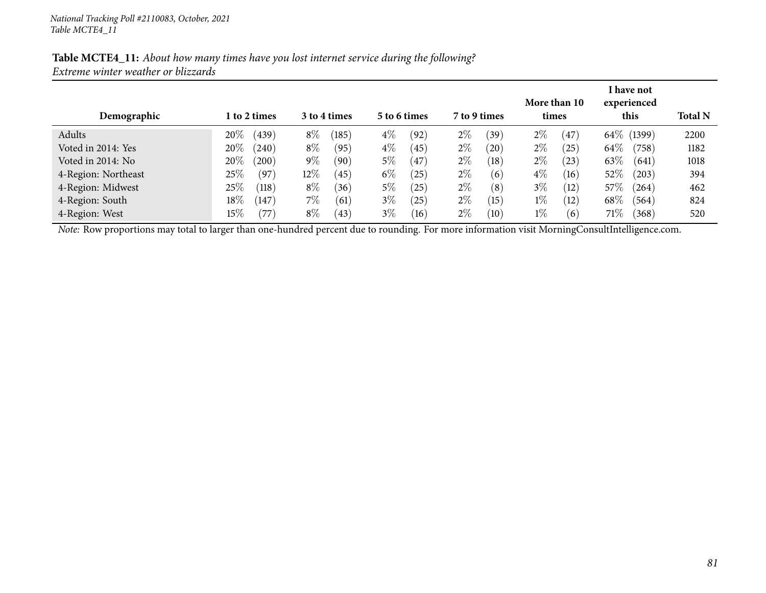| Demographic         | 1 to 2 times        | 3 to 4 times   | 5 to 6 times            | 7 to 9 times  | More than 10<br>times | I have not<br>experienced<br>this | <b>Total N</b> |
|---------------------|---------------------|----------------|-------------------------|---------------|-----------------------|-----------------------------------|----------------|
| Adults              | 20%<br>(439)        | $8\%$<br>(185) | $4\%$<br>(92)           | $2\%$<br>(39) | $2\%$<br>(47          | 64\% (1399)                       | 2200           |
| Voted in 2014: Yes  | $20\%$<br>(240)     | $8\%$<br>(95)  | $4\%$<br>(45)           | $2\%$<br>(20) | $2\%$<br>(25)         | $64\%$<br>(758)                   | 1182           |
| Voted in 2014: No   | 20%<br>(200)        | 9 $\%$<br>(90) | 5%<br>$\left(47\right)$ | $2\%$<br>(18) | $2\%$<br>(23)         | 63\%<br>(641)                     | 1018           |
| 4-Region: Northeast | 25%<br>(97)         | $12\%$<br>(45) | $6\%$<br>25             | $2\%$<br>(6)  | $4\%$<br>(16)         | $52\%$<br>(203)                   | 394            |
| 4-Region: Midwest   | $25\%$<br>(118)     | $8\%$<br>(36)  | 5%<br>25                | $2\%$<br>(8)  | $3\%$<br>(12)         | $57\%$<br>(264)                   | 462            |
| 4-Region: South     | $18\%$<br>(147)     | $7\%$<br>(61)  | $3\%$<br>$^{'}25$       | $2\%$<br>(15) | $1\%$<br>(12)         | $68\%$<br>(564)                   | 824            |
| 4-Region: West      | $15\%$<br>$^{'}77)$ | $8\%$<br>(43)  | $3\%$<br>(16)           | $2\%$<br>(10) | $1\%$<br>(6)          | 71%<br>(368)                      | 520            |

*Note:* Row proportions may total to larger than one-hundred percen<sup>t</sup> due to rounding. For more information visit [MorningConsultIntelligence.com](https://morningconsultintelligence.com).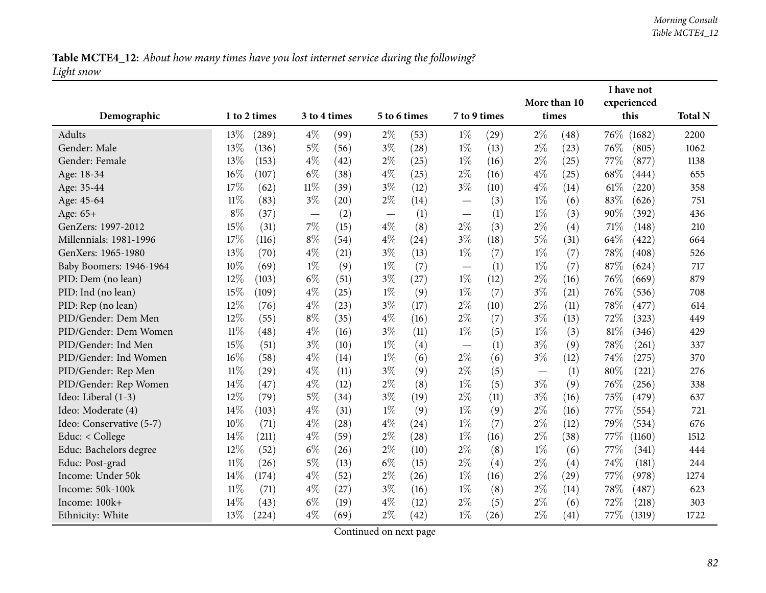# Table MCTE4\_12: About how many times have you lost internet service during the following? *Light snow*

| Demographic              |        | 1 to 2 times |                          | 3 to 4 times |       | 5 to 6 times |                                   | 7 to 9 times | More than 10<br>times |      |        | I have not<br>experienced<br>this | <b>Total N</b> |
|--------------------------|--------|--------------|--------------------------|--------------|-------|--------------|-----------------------------------|--------------|-----------------------|------|--------|-----------------------------------|----------------|
| Adults                   | 13%    | (289)        | $4\%$                    | (99)         | $2\%$ | (53)         | $1\%$                             | (29)         | $2\%$                 | (48) | 76\%   | (1682)                            | 2200           |
| Gender: Male             | 13%    | (136)        | $5\%$                    | (56)         | $3\%$ | (28)         | $1\%$                             | (13)         | $2\%$                 | (23) | 76%    | (805)                             | 1062           |
| Gender: Female           | 13%    | (153)        | $4\%$                    | (42)         | $2\%$ | (25)         | $1\%$                             | (16)         | $2\%$                 | (25) | $77\%$ | (877)                             | 1138           |
| Age: 18-34               | 16%    | (107)        | $6\%$                    | (38)         | $4\%$ | (25)         | $2\%$                             | (16)         | $4\%$                 | (25) | 68%    | (444)                             | 655            |
| Age: 35-44               | 17%    | (62)         | $11\%$                   | (39)         | $3\%$ | (12)         | $3\%$                             | (10)         | $4\%$                 | (14) | $61\%$ | (220)                             | 358            |
| Age: 45-64               | $11\%$ | (83)         | $3\%$                    | (20)         | $2\%$ | (14)         |                                   | (3)          | $1\%$                 | (6)  | 83%    | (626)                             | 751            |
| Age: 65+                 | $8\%$  | (37)         | $\overline{\phantom{m}}$ | (2)          |       | (1)          | $\overbrace{\phantom{123221111}}$ | (1)          | $1\%$                 | (3)  | 90%    | (392)                             | 436            |
| GenZers: 1997-2012       | 15%    | (31)         | 7%                       | (15)         | $4\%$ | (8)          | $2\%$                             | (3)          | $2\%$                 | (4)  | 71%    | (148)                             | 210            |
| Millennials: 1981-1996   | 17%    | (116)        | $8\%$                    | (54)         | $4\%$ | (24)         | $3\%$                             | (18)         | $5\%$                 | (31) | 64%    | (422)                             | 664            |
| GenXers: 1965-1980       | 13%    | (70)         | $4\%$                    | (21)         | $3\%$ | (13)         | $1\%$                             | (7)          | $1\%$                 | (7)  | 78%    | (408)                             | 526            |
| Baby Boomers: 1946-1964  | 10%    | (69)         | $1\%$                    | (9)          | $1\%$ | (7)          |                                   | (1)          | $1\%$                 | (7)  | 87%    | (624)                             | 717            |
| PID: Dem (no lean)       | 12%    | (103)        | $6\%$                    | (51)         | $3\%$ | (27)         | $1\%$                             | (12)         | $2\%$                 | (16) | 76\%   | (669)                             | 879            |
| PID: Ind (no lean)       | 15%    | (109)        | $4\%$                    | (25)         | $1\%$ | (9)          | $1\%$                             | (7)          | $3\%$                 | (21) | 76%    | (536)                             | 708            |
| PID: Rep (no lean)       | 12%    | (76)         | $4\%$                    | (23)         | $3\%$ | (17)         | $2\%$                             | (10)         | $2\%$                 | (11) | 78%    | (477)                             | 614            |
| PID/Gender: Dem Men      | 12%    | (55)         | $8\%$                    | (35)         | $4\%$ | (16)         | $2\%$                             | (7)          | $3\%$                 | (13) | 72%    | (323)                             | 449            |
| PID/Gender: Dem Women    | $11\%$ | (48)         | $4\%$                    | (16)         | $3\%$ | (11)         | $1\%$                             | (5)          | $1\%$                 | (3)  | $81\%$ | (346)                             | 429            |
| PID/Gender: Ind Men      | 15%    | (51)         | $3\%$                    | (10)         | $1\%$ | (4)          |                                   | (1)          | $3\%$                 | (9)  | 78%    | (261)                             | 337            |
| PID/Gender: Ind Women    | 16%    | (58)         | $4\%$                    | (14)         | $1\%$ | (6)          | $2\%$                             | (6)          | $3\%$                 | (12) | 74%    | (275)                             | 370            |
| PID/Gender: Rep Men      | $11\%$ | (29)         | $4\%$                    | (11)         | $3\%$ | (9)          | $2\%$                             | (5)          |                       | (1)  | 80%    | (221)                             | 276            |
| PID/Gender: Rep Women    | $14\%$ | (47)         | $4\%$                    | (12)         | $2\%$ | (8)          | $1\%$                             | (5)          | $3\%$                 | (9)  | 76%    | (256)                             | 338            |
| Ideo: Liberal (1-3)      | 12%    | (79)         | $5\%$                    | (34)         | $3\%$ | (19)         | $2\%$                             | (11)         | $3\%$                 | (16) | 75\%   | (479)                             | 637            |
| Ideo: Moderate (4)       | 14\%   | (103)        | $4\%$                    | (31)         | $1\%$ | (9)          | $1\%$                             | (9)          | $2\%$                 | (16) | 77%    | (554)                             | 721            |
| Ideo: Conservative (5-7) | 10%    | (71)         | $4\%$                    | (28)         | $4\%$ | (24)         | $1\%$                             | (7)          | $2\%$                 | (12) | 79%    | (534)                             | 676            |
| Educ: < College          | 14%    | (211)        | $4\%$                    | (59)         | $2\%$ | (28)         | $1\%$                             | (16)         | $2\%$                 | (38) | 77%    | (1160)                            | 1512           |
| Educ: Bachelors degree   | 12%    | (52)         | $6\%$                    | (26)         | $2\%$ | (10)         | $2\%$                             | (8)          | $1\%$                 | (6)  | 77%    | (341)                             | 444            |
| Educ: Post-grad          | $11\%$ | (26)         | $5\%$                    | (13)         | $6\%$ | (15)         | $2\%$                             | (4)          | $2\%$                 | (4)  | 74%    | (181)                             | 244            |
| Income: Under 50k        | 14%    | (174)        | $4\%$                    | (52)         | $2\%$ | (26)         | $1\%$                             | (16)         | $2\%$                 | (29) | 77%    | (978)                             | 1274           |
| Income: 50k-100k         | $11\%$ | (71)         | $4\%$                    | (27)         | $3\%$ | (16)         | $1\%$                             | (8)          | $2\%$                 | (14) | 78%    | (487)                             | 623            |
| Income: 100k+            | 14%    | (43)         | $6\%$                    | (19)         | $4\%$ | (12)         | $2\%$                             | (5)          | $2\%$                 | (6)  | 72%    | (218)                             | 303            |
| Ethnicity: White         | 13%    | (224)        | $4\%$                    | (69)         | $2\%$ | (42)         | $1\%$                             | (26)         | $2\%$                 | (41) | 77%    | (1319)                            | 1722           |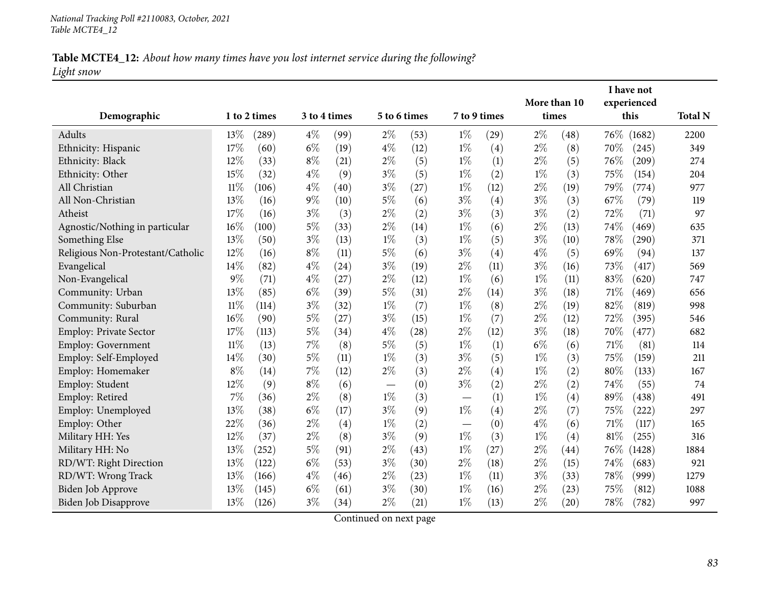# Table MCTE4\_12: About how many times have you lost internet service during the following? *Light snow*

|                                   |        |              |              |      |       |              |       |              | More than 10 |                    |      | I have not<br>experienced |                |
|-----------------------------------|--------|--------------|--------------|------|-------|--------------|-------|--------------|--------------|--------------------|------|---------------------------|----------------|
| Demographic                       |        | 1 to 2 times | 3 to 4 times |      |       | 5 to 6 times |       | 7 to 9 times | times        |                    |      | this                      | <b>Total N</b> |
| Adults                            | 13%    | (289)        | $4\%$        | (99) | $2\%$ | (53)         | $1\%$ | (29)         | $2\%$        | (48)               |      | 76\% (1682)               | 2200           |
| Ethnicity: Hispanic               | 17%    | (60)         | $6\%$        | (19) | $4\%$ | (12)         | $1\%$ | (4)          | $2\%$        | (8)                | 70%  | (245)                     | 349            |
| Ethnicity: Black                  | 12%    | (33)         | $8\%$        | (21) | $2\%$ | (5)          | $1\%$ | (1)          | $2\%$        | (5)                | 76\% | (209)                     | 274            |
| Ethnicity: Other                  | 15%    | (32)         | $4\%$        | (9)  | $3\%$ | (5)          | $1\%$ | (2)          | $1\%$        | (3)                | 75%  | (154)                     | 204            |
| All Christian                     | $11\%$ | (106)        | $4\%$        | (40) | $3\%$ | (27)         | $1\%$ | (12)         | $2\%$        | (19)               | 79%  | (774)                     | 977            |
| All Non-Christian                 | 13%    | (16)         | $9\%$        | (10) | $5\%$ | (6)          | $3\%$ | (4)          | $3\%$        | (3)                | 67%  | (79)                      | 119            |
| Atheist                           | 17%    | (16)         | $3\%$        | (3)  | $2\%$ | (2)          | $3\%$ | (3)          | $3\%$        | (2)                | 72%  | (71)                      | 97             |
| Agnostic/Nothing in particular    | 16%    | (100)        | $5\%$        | (33) | $2\%$ | (14)         | $1\%$ | (6)          | $2\%$        | (13)               | 74%  | (469)                     | 635            |
| Something Else                    | 13%    | (50)         | $3\%$        | (13) | $1\%$ | (3)          | $1\%$ | (5)          | $3\%$        | (10)               | 78\% | (290)                     | 371            |
| Religious Non-Protestant/Catholic | 12%    | (16)         | $8\%$        | (11) | $5\%$ | (6)          | $3\%$ | (4)          | $4\%$        | (5)                | 69%  | (94)                      | 137            |
| Evangelical                       | 14%    | (82)         | $4\%$        | (24) | $3\%$ | (19)         | $2\%$ | (11)         | $3\%$        | (16)               | 73%  | (417)                     | 569            |
| Non-Evangelical                   | $9\%$  | (71)         | $4\%$        | (27) | $2\%$ | (12)         | $1\%$ | (6)          | $1\%$        | (11)               | 83%  | (620)                     | 747            |
| Community: Urban                  | 13%    | (85)         | $6\%$        | (39) | $5\%$ | (31)         | $2\%$ | (14)         | $3\%$        | (18)               | 71\% | (469)                     | 656            |
| Community: Suburban               | $11\%$ | (114)        | $3\%$        | (32) | $1\%$ | (7)          | $1\%$ | (8)          | $2\%$        | (19)               | 82%  | (819)                     | 998            |
| Community: Rural                  | 16%    | (90)         | $5\%$        | (27) | $3\%$ | (15)         | $1\%$ | (7)          | $2\%$        | (12)               | 72%  | (395)                     | 546            |
| <b>Employ: Private Sector</b>     | 17%    | (113)        | $5\%$        | (34) | $4\%$ | (28)         | $2\%$ | (12)         | $3\%$        | (18)               | 70%  | (477)                     | 682            |
| Employ: Government                | $11\%$ | (13)         | 7%           | (8)  | $5\%$ | (5)          | $1\%$ | (1)          | $6\%$        | (6)                | 71%  | (81)                      | 114            |
| Employ: Self-Employed             | 14%    | (30)         | $5\%$        | (11) | $1\%$ | (3)          | $3\%$ | (5)          | $1\%$        | (3)                | 75%  | (159)                     | 211            |
| Employ: Homemaker                 | $8\%$  | (14)         | $7\%$        | (12) | $2\%$ | (3)          | $2\%$ | (4)          | $1\%$        | (2)                | 80%  | (133)                     | 167            |
| Employ: Student                   | 12%    | (9)          | $8\%$        | (6)  |       | (0)          | $3\%$ | (2)          | $2\%$        | (2)                | 74%  | (55)                      | 74             |
| Employ: Retired                   | 7%     | (36)         | $2\%$        | (8)  | $1\%$ | (3)          |       | (1)          | $1\%$        | (4)                | 89%  | (438)                     | 491            |
| Employ: Unemployed                | 13%    | (38)         | $6\%$        | (17) | $3\%$ | (9)          | $1\%$ | (4)          | 2%           | (7)                | 75%  | (222)                     | 297            |
| Employ: Other                     | 22%    | (36)         | $2\%$        | (4)  | $1\%$ | (2)          |       | (0)          | $4\%$        | (6)                | 71\% | (117)                     | 165            |
| Military HH: Yes                  | 12%    | (37)         | $2\%$        | (8)  | $3\%$ | (9)          | $1\%$ | (3)          | $1\%$        | (4)                | 81\% | (255)                     | 316            |
| Military HH: No                   | 13%    | (252)        | $5\%$        | (91) | $2\%$ | (43)         | $1\%$ | (27)         | $2\%$        | $\left( 44\right)$ | 76\% | (1428)                    | 1884           |
| RD/WT: Right Direction            | 13%    | (122)        | $6\%$        | (53) | $3\%$ | (30)         | $2\%$ | (18)         | $2\%$        | (15)               | 74%  | (683)                     | 921            |
| RD/WT: Wrong Track                | 13%    | (166)        | $4\%$        | (46) | $2\%$ | (23)         | $1\%$ | (11)         | $3\%$        | (33)               | 78\% | (999)                     | 1279           |
| Biden Job Approve                 | 13%    | (145)        | $6\%$        | (61) | $3\%$ | (30)         | $1\%$ | (16)         | $2\%$        | (23)               | 75%  | (812)                     | 1088           |
| <b>Biden Job Disapprove</b>       | 13%    | (126)        | $3\%$        | (34) | $2\%$ | (21)         | $1\%$ | (13)         | $2\%$        | (20)               | 78%  | (782)                     | 997            |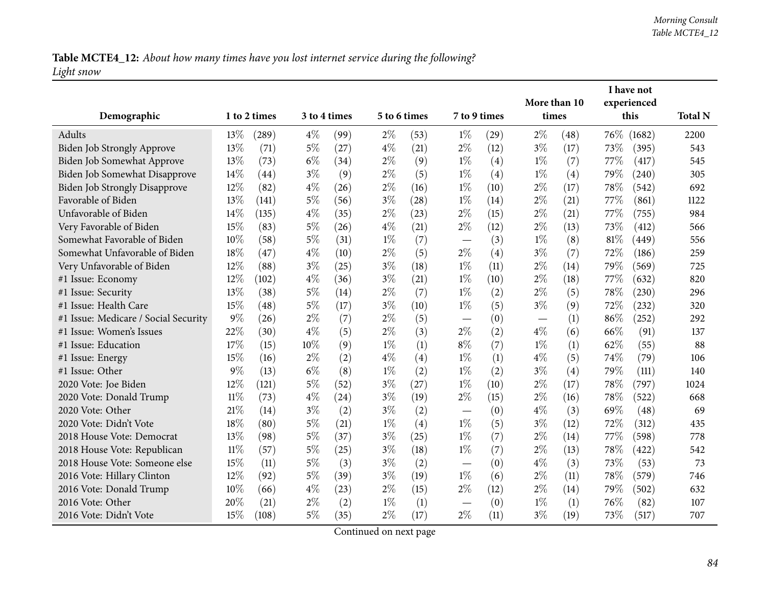Table MCTE4\_12: About how many times have you lost internet service during the following? *Light snow*

|                                      |        |              |              |      |              |      |                                   |      |              |      |      | I have not  |                |
|--------------------------------------|--------|--------------|--------------|------|--------------|------|-----------------------------------|------|--------------|------|------|-------------|----------------|
|                                      |        |              | 3 to 4 times |      |              |      |                                   |      | More than 10 |      |      | experienced |                |
| Demographic                          |        | 1 to 2 times |              |      | 5 to 6 times |      | 7 to 9 times                      |      | times        |      |      | this        | <b>Total N</b> |
| Adults                               | 13%    | (289)        | $4\%$        | (99) | $2\%$        | (53) | $1\%$                             | (29) | $2\%$        | (48) |      | 76\% (1682) | 2200           |
| Biden Job Strongly Approve           | 13%    | (71)         | $5\%$        | (27) | $4\%$        | (21) | $2\%$                             | (12) | $3\%$        | (17) | 73%  | (395)       | 543            |
| Biden Job Somewhat Approve           | 13%    | (73)         | $6\%$        | (34) | $2\%$        | (9)  | $1\%$                             | (4)  | $1\%$        | (7)  | 77%  | (417)       | 545            |
| Biden Job Somewhat Disapprove        | 14%    | (44)         | $3\%$        | (9)  | $2\%$        | (5)  | $1\%$                             | (4)  | $1\%$        | (4)  | 79%  | (240)       | 305            |
| <b>Biden Job Strongly Disapprove</b> | 12%    | (82)         | $4\%$        | (26) | $2\%$        | (16) | $1\%$                             | (10) | $2\%$        | (17) | 78%  | (542)       | 692            |
| Favorable of Biden                   | 13%    | (141)        | $5\%$        | (56) | $3\%$        | (28) | $1\%$                             | (14) | $2\%$        | (21) | 77%  | (861)       | 1122           |
| Unfavorable of Biden                 | 14%    | (135)        | $4\%$        | (35) | $2\%$        | (23) | $2\%$                             | (15) | $2\%$        | (21) | 77%  | (755)       | 984            |
| Very Favorable of Biden              | 15%    | (83)         | $5\%$        | (26) | $4\%$        | (21) | $2\%$                             | (12) | $2\%$        | (13) | 73%  | (412)       | 566            |
| Somewhat Favorable of Biden          | 10%    | (58)         | $5\%$        | (31) | $1\%$        | (7)  |                                   | (3)  | $1\%$        | (8)  | 81\% | (449)       | 556            |
| Somewhat Unfavorable of Biden        | 18%    | (47)         | $4\%$        | (10) | $2\%$        | (5)  | $2\%$                             | (4)  | $3\%$        | (7)  | 72%  | (186)       | 259            |
| Very Unfavorable of Biden            | 12%    | (88)         | $3\%$        | (25) | $3\%$        | (18) | $1\%$                             | (11) | $2\%$        | (14) | 79%  | (569)       | 725            |
| #1 Issue: Economy                    | 12%    | (102)        | $4\%$        | (36) | $3\%$        | (21) | $1\%$                             | (10) | $2\%$        | (18) | 77%  | (632)       | 820            |
| #1 Issue: Security                   | 13%    | (38)         | 5%           | (14) | $2\%$        | (7)  | $1\%$                             | (2)  | $2\%$        | (5)  | 78\% | (230)       | 296            |
| #1 Issue: Health Care                | 15%    | (48)         | $5\%$        | (17) | $3\%$        | (10) | $1\%$                             | (5)  | $3\%$        | (9)  | 72\% | (232)       | 320            |
| #1 Issue: Medicare / Social Security | 9%     | (26)         | $2\%$        | (7)  | $2\%$        | (5)  | $\overline{\phantom{0}}$          | (0)  |              | (1)  | 86%  | (252)       | 292            |
| #1 Issue: Women's Issues             | 22%    | (30)         | $4\%$        | (5)  | $2\%$        | (3)  | $2\%$                             | (2)  | $4\%$        | (6)  | 66%  | (91)        | 137            |
| #1 Issue: Education                  | 17%    | (15)         | 10%          | (9)  | $1\%$        | (1)  | $8\%$                             | (7)  | $1\%$        | (1)  | 62%  | (55)        | 88             |
| #1 Issue: Energy                     | 15%    | (16)         | $2\%$        | (2)  | $4\%$        | (4)  | $1\%$                             | (1)  | $4\%$        | (5)  | 74%  | (79)        | 106            |
| #1 Issue: Other                      | $9\%$  | (13)         | $6\%$        | (8)  | $1\%$        | (2)  | $1\%$                             | (2)  | $3\%$        | (4)  | 79%  | (111)       | 140            |
| 2020 Vote: Joe Biden                 | 12%    | (121)        | 5%           | (52) | $3\%$        | (27) | $1\%$                             | (10) | $2\%$        | (17) | 78%  | (797)       | 1024           |
| 2020 Vote: Donald Trump              | 11%    | (73)         | $4\%$        | (24) | $3\%$        | (19) | $2\%$                             | (15) | $2\%$        | (16) | 78%  | (522)       | 668            |
| 2020 Vote: Other                     | 21%    | (14)         | $3\%$        | (2)  | $3\%$        | (2)  |                                   | (0)  | $4\%$        | (3)  | 69%  | (48)        | 69             |
| 2020 Vote: Didn't Vote               | 18%    | (80)         | $5\%$        | (21) | $1\%$        | (4)  | $1\%$                             | (5)  | $3\%$        | (12) | 72%  | (312)       | 435            |
| 2018 House Vote: Democrat            | 13%    | (98)         | $5\%$        | (37) | $3\%$        | (25) | $1\%$                             | (7)  | $2\%$        | (14) | 77%  | (598)       | 778            |
| 2018 House Vote: Republican          | $11\%$ | (57)         | 5%           | (25) | $3\%$        | (18) | $1\%$                             | (7)  | $2\%$        | (13) | 78\% | (422)       | 542            |
| 2018 House Vote: Someone else        | 15%    | (11)         | $5\%$        | (3)  | $3\%$        | (2)  | $\overbrace{\phantom{123221111}}$ | (0)  | $4\%$        | (3)  | 73%  | (53)        | 73             |
| 2016 Vote: Hillary Clinton           | 12%    | (92)         | $5\%$        | (39) | $3\%$        | (19) | $1\%$                             | (6)  | $2\%$        | (11) | 78%  | (579)       | 746            |
| 2016 Vote: Donald Trump              | 10%    | (66)         | $4\%$        | (23) | $2\%$        | (15) | $2\%$                             | (12) | $2\%$        | (14) | 79%  | (502)       | 632            |
| 2016 Vote: Other                     | 20%    | (21)         | $2\%$        | (2)  | $1\%$        | (1)  |                                   | (0)  | $1\%$        | (1)  | 76%  | (82)        | 107            |
| 2016 Vote: Didn't Vote               | 15%    | (108)        | $5\%$        | (35) | $2\%$        | (17) | $2\%$                             | (11) | $3\%$        | (19) | 73%  | (517)       | 707            |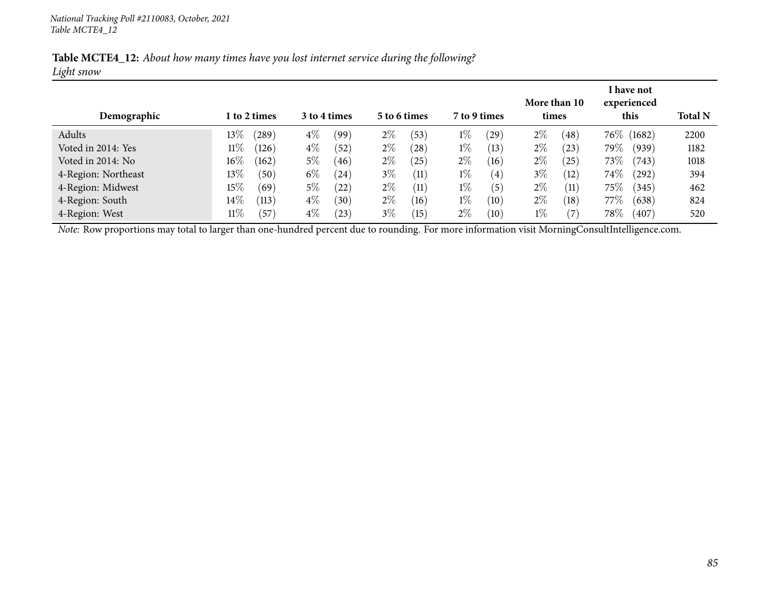|            |  |  | Table MCTE4_12: About how many times have you lost internet service during the following? |
|------------|--|--|-------------------------------------------------------------------------------------------|
| Light snow |  |  |                                                                                           |

| Demographic         |        | l to 2 times |       | 3 to 4 times |       | 5 to 6 times |       | 7 to 9 times | times | More than 10 |        | I have not<br>experienced<br>this | <b>Total N</b> |
|---------------------|--------|--------------|-------|--------------|-------|--------------|-------|--------------|-------|--------------|--------|-----------------------------------|----------------|
| Adults              | $13\%$ | (289)        | $4\%$ | (99`         | $2\%$ | (53)         | $1\%$ | (29)         | $2\%$ | (48)         |        | 76\% (1682)                       | 2200           |
| Voted in 2014: Yes  | $11\%$ | (126)        | $4\%$ | (52)         | $2\%$ | $^{'}28$     | $1\%$ | (13)         | $2\%$ | (23)         | 79%    | (939)                             | 1182           |
| Voted in 2014: No   | $16\%$ | (162)        | $5\%$ | (46)         | $2\%$ | $25^{\circ}$ | $2\%$ | (16)         | $2\%$ | (25)         | $73\%$ | (743)                             | 1018           |
| 4-Region: Northeast | $13\%$ | (50)         | $6\%$ | (24)         | $3\%$ | (11)         | $1\%$ | (4)          | $3\%$ | (12)         | $74\%$ | $^{(292)}$                        | 394            |
| 4-Region: Midwest   | $15\%$ | (69)         | $5\%$ | (22)         | $2\%$ | (11)         | $1\%$ | (5)          | $2\%$ | (11)         | $75\%$ | (345)                             | 462            |
| 4-Region: South     | $14\%$ | (113)        | $4\%$ | (30)         | $2\%$ | (16)         | $1\%$ | (10)         | $2\%$ | (18)         | 77%    | (638)                             | 824            |
| 4-Region: West      | $11\%$ | (57)         | $4\%$ | $^{(23)}$    | $3\%$ | 15           | $2\%$ | (10)         | $1\%$ | (7           | $78\%$ | (407)                             | 520            |

*Note:* Row proportions may total to larger than one-hundred percen<sup>t</sup> due to rounding. For more information visit [MorningConsultIntelligence.com](https://morningconsultintelligence.com).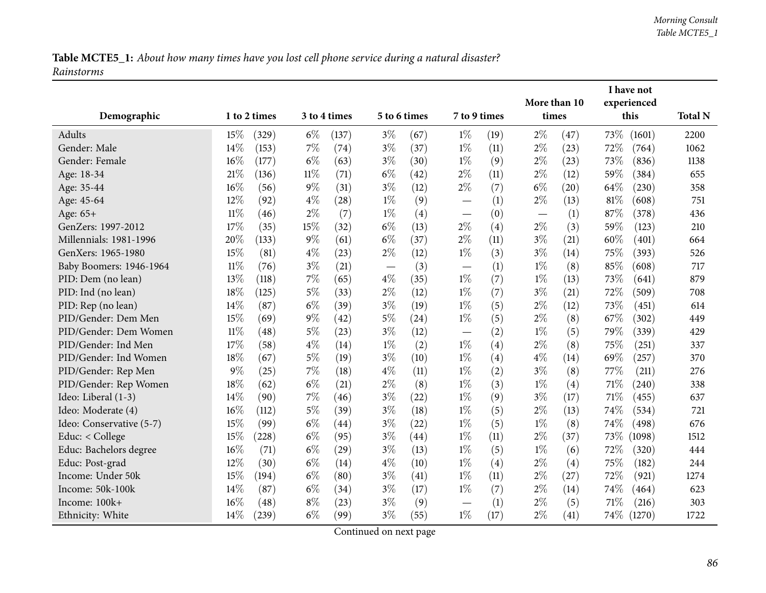|                          |        |              |        |                    |                          |                    |                               |              | I have not |      |             |             |                |
|--------------------------|--------|--------------|--------|--------------------|--------------------------|--------------------|-------------------------------|--------------|------------|------|-------------|-------------|----------------|
|                          |        |              |        |                    |                          |                    |                               | More than 10 |            |      | experienced |             |                |
| Demographic              |        | 1 to 2 times |        | 3 to 4 times       | 5 to 6 times             |                    | 7 to 9 times                  |              | times      |      |             | this        | <b>Total N</b> |
| Adults                   | 15%    | (329)        | $6\%$  | (137)              | $3\%$                    | (67)               | $1\%$                         | (19)         | $2\%$      | (47) | 73%         | (1601)      | 2200           |
| Gender: Male             | 14%    | (153)        | 7%     | (74)               | $3\%$                    | (37)               | $1\%$                         | (11)         | $2\%$      | (23) | 72%         | (764)       | 1062           |
| Gender: Female           | 16%    | (177)        | $6\%$  | (63)               | $3\%$                    | (30)               | $1\%$                         | (9)          | $2\%$      | (23) | 73%         | (836)       | 1138           |
| Age: 18-34               | 21%    | (136)        | $11\%$ | (71)               | $6\%$                    | $\left( 42\right)$ | $2\%$                         | (11)         | $2\%$      | (12) | 59%         | (384)       | 655            |
| Age: 35-44               | 16%    | (56)         | $9\%$  | (31)               | $3\%$                    | (12)               | $2\%$                         | (7)          | $6\%$      | (20) | 64\%        | (230)       | 358            |
| Age: 45-64               | 12%    | (92)         | $4\%$  | (28)               | $1\%$                    | (9)                | $\overline{\phantom{0}}$      | (1)          | $2\%$      | (13) | 81\%        | (608)       | 751            |
| Age: 65+                 | $11\%$ | (46)         | $2\%$  | (7)                | $1\%$                    | (4)                |                               | (0)          |            | (1)  | 87%         | (378)       | 436            |
| GenZers: 1997-2012       | 17%    | (35)         | 15%    | (32)               | $6\%$                    | (13)               | $2\%$                         | (4)          | $2\%$      | (3)  | 59%         | (123)       | 210            |
| Millennials: 1981-1996   | 20%    | (133)        | $9\%$  | (61)               | $6\%$                    | (37)               | $2\%$                         | (11)         | $3\%$      | (21) | 60%         | (401)       | 664            |
| GenXers: 1965-1980       | 15%    | (81)         | $4\%$  | (23)               | $2\%$                    | (12)               | $1\%$                         | (3)          | $3\%$      | (14) | 75\%        | (393)       | 526            |
| Baby Boomers: 1946-1964  | $11\%$ | (76)         | $3\%$  | (21)               | $\overline{\phantom{m}}$ | (3)                | $\overline{\phantom{0}}$      | (1)          | $1\%$      | (8)  | 85%         | (608)       | 717            |
| PID: Dem (no lean)       | 13%    | (118)        | $7\%$  | (65)               | $4\%$                    | (35)               | $1\%$                         | (7)          | $1\%$      | (13) | 73%         | (641)       | 879            |
| PID: Ind (no lean)       | 18%    | (125)        | $5\%$  | (33)               | $2\%$                    | (12)               | $1\%$                         | (7)          | $3\%$      | (21) | 72%         | (509)       | 708            |
| PID: Rep (no lean)       | 14%    | (87)         | $6\%$  | (39)               | $3\%$                    | (19)               | $1\%$                         | (5)          | $2\%$      | (12) | 73%         | (451)       | 614            |
| PID/Gender: Dem Men      | 15%    | (69)         | $9\%$  | (42)               | $5\%$                    | (24)               | $1\%$                         | (5)          | $2\%$      | (8)  | 67\%        | (302)       | 449            |
| PID/Gender: Dem Women    | $11\%$ | (48)         | $5\%$  | (23)               | $3\%$                    | (12)               | $\overline{\phantom{0}}$      | (2)          | $1\%$      | (5)  | 79%         | (339)       | 429            |
| PID/Gender: Ind Men      | 17%    | (58)         | $4\%$  | (14)               | $1\%$                    | (2)                | $1\%$                         | (4)          | $2\%$      | (8)  | 75%         | (251)       | 337            |
| PID/Gender: Ind Women    | 18%    | (67)         | $5\%$  | (19)               | $3\%$                    | (10)               | $1\%$                         | (4)          | $4\%$      | (14) | 69%         | (257)       | 370            |
| PID/Gender: Rep Men      | $9\%$  | (25)         | $7\%$  | (18)               | $4\%$                    | (11)               | $1\%$                         | (2)          | $3\%$      | (8)  | 77%         | (211)       | 276            |
| PID/Gender: Rep Women    | 18%    | (62)         | $6\%$  | (21)               | $2\%$                    | (8)                | $1\%$                         | (3)          | $1\%$      | (4)  | 71%         | (240)       | 338            |
| Ideo: Liberal (1-3)      | 14%    | (90)         | 7%     | (46)               | $3\%$                    | (22)               | $1\%$                         | (9)          | $3\%$      | (17) | 71\%        | (455)       | 637            |
| Ideo: Moderate (4)       | 16%    | (112)        | $5\%$  | (39)               | $3\%$                    | (18)               | $1\%$                         | (5)          | $2\%$      | (13) | 74%         | (534)       | 721            |
| Ideo: Conservative (5-7) | 15%    | (99)         | $6\%$  | (44)               | $3\%$                    | (22)               | $1\%$                         | (5)          | $1\%$      | (8)  | 74\%        | (498)       | 676            |
| Educ: < College          | 15%    | (228)        | $6\%$  | (95)               | $3\%$                    | (44)               | $1\%$                         | (11)         | $2\%$      | (37) | 73\%        | (1098)      | 1512           |
| Educ: Bachelors degree   | 16%    | (71)         | $6\%$  | $\left( 29\right)$ | $3\%$                    | (13)               | $1\%$                         | (5)          | $1\%$      | (6)  | 72%         | (320)       | 444            |
| Educ: Post-grad          | 12%    | (30)         | $6\%$  | (14)               | $4\%$                    | (10)               | $1\%$                         | (4)          | $2\%$      | (4)  | 75%         | (182)       | 244            |
| Income: Under 50k        | 15%    | (194)        | $6\%$  | (80)               | $3\%$                    | (41)               | $1\%$                         | (11)         | $2\%$      | (27) | 72%         | (921)       | 1274           |
| Income: 50k-100k         | 14%    | (87)         | $6\%$  | (34)               | $3\%$                    | (17)               | $1\%$                         | (7)          | $2\%$      | (14) | 74\%        | (464)       | 623            |
| Income: 100k+            | 16%    | (48)         | $8\%$  | (23)               | $3\%$                    | (9)                | $\overbrace{\phantom{13333}}$ | (1)          | $2\%$      | (5)  | 71\%        | (216)       | 303            |
| Ethnicity: White         | 14%    | (239)        | $6\%$  | (99)               | $3\%$                    | (55)               | $1\%$                         | (17)         | $2\%$      | (41) |             | 74\% (1270) | 1722           |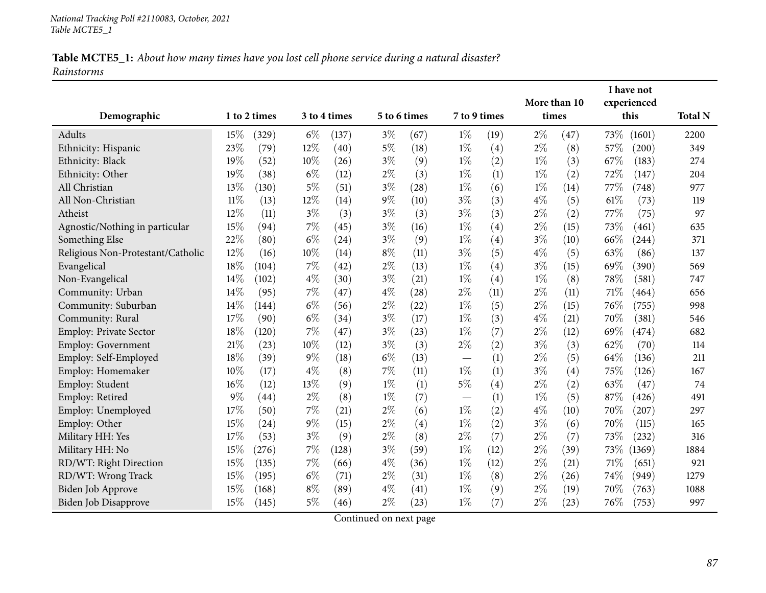| Demographic                       |        | 1 to 2 times |        | 3 to 4 times | 5 to 6 times |      | 7 to 9 times             |      | More than 10<br>times |      |      | I have not<br>experienced<br>this | <b>Total N</b> |
|-----------------------------------|--------|--------------|--------|--------------|--------------|------|--------------------------|------|-----------------------|------|------|-----------------------------------|----------------|
| Adults                            | 15%    | (329)        | $6\%$  | (137)        | $3\%$        | (67) | $1\%$                    | (19) | $2\%$                 | (47) | 73\% | (1601)                            | 2200           |
| Ethnicity: Hispanic               | 23%    | (79)         | $12\%$ | (40)         | $5\%$        | (18) | $1\%$                    | (4)  | $2\%$                 | (8)  | 57\% | (200)                             | 349            |
| Ethnicity: Black                  | 19%    | (52)         | 10%    | (26)         | $3\%$        | (9)  | $1\%$                    | (2)  | $1\%$                 | (3)  | 67%  | (183)                             | 274            |
| Ethnicity: Other                  | 19%    | (38)         | $6\%$  | (12)         | $2\%$        | (3)  | $1\%$                    | (1)  | $1\%$                 | (2)  | 72%  | (147)                             | 204            |
| All Christian                     | 13%    | (130)        | $5\%$  | (51)         | $3\%$        | (28) | $1\%$                    | (6)  | $1\%$                 | (14) | 77\% | (748)                             | 977            |
| All Non-Christian                 | $11\%$ | (13)         | 12%    | (14)         | $9\%$        | (10) | $3\%$                    | (3)  | $4\%$                 | (5)  | 61\% | (73)                              | 119            |
| Atheist                           | 12%    | (11)         | $3\%$  | (3)          | $3\%$        | (3)  | $3\%$                    | (3)  | $2\%$                 | (2)  | 77%  | (75)                              | 97             |
| Agnostic/Nothing in particular    | 15%    | (94)         | 7%     | (45)         | $3\%$        | (16) | $1\%$                    | (4)  | $2\%$                 | (15) | 73%  | (461)                             | 635            |
| Something Else                    | 22%    | (80)         | $6\%$  | (24)         | $3\%$        | (9)  | $1\%$                    | (4)  | $3\%$                 | (10) | 66\% | (244)                             | 371            |
| Religious Non-Protestant/Catholic | 12%    | (16)         | 10%    | (14)         | $8\%$        | (11) | $3\%$                    | (5)  | $4\%$                 | (5)  | 63%  | (86)                              | 137            |
| Evangelical                       | 18%    | (104)        | 7%     | (42)         | $2\%$        | (13) | $1\%$                    | (4)  | $3\%$                 | (15) | 69%  | (390)                             | 569            |
| Non-Evangelical                   | 14%    | (102)        | $4\%$  | (30)         | $3\%$        | (21) | $1\%$                    | (4)  | $1\%$                 | (8)  | 78%  | (581)                             | 747            |
| Community: Urban                  | 14%    | (95)         | 7%     | (47)         | $4\%$        | (28) | $2\%$                    | (11) | $2\%$                 | (11) | 71\% | (464)                             | 656            |
| Community: Suburban               | 14%    | (144)        | $6\%$  | (56)         | $2\%$        | (22) | $1\%$                    | (5)  | $2\%$                 | (15) | 76%  | (755)                             | 998            |
| Community: Rural                  | 17%    | (90)         | $6\%$  | (34)         | $3\%$        | (17) | $1\%$                    | (3)  | $4\%$                 | (21) | 70%  | (381)                             | 546            |
| Employ: Private Sector            | 18%    | (120)        | 7%     | (47)         | $3\%$        | (23) | $1\%$                    | (7)  | $2\%$                 | (12) | 69%  | (474)                             | 682            |
| Employ: Government                | 21%    | (23)         | 10%    | (12)         | $3\%$        | (3)  | $2\%$                    | (2)  | $3\%$                 | (3)  | 62%  | (70)                              | 114            |
| Employ: Self-Employed             | 18%    | (39)         | $9\%$  | (18)         | $6\%$        | (13) | $\overline{\phantom{0}}$ | (1)  | $2\%$                 | (5)  | 64%  | (136)                             | 211            |
| Employ: Homemaker                 | 10%    | (17)         | $4\%$  | (8)          | 7%           | (11) | $1\%$                    | (1)  | $3\%$                 | (4)  | 75%  | (126)                             | 167            |
| Employ: Student                   | 16%    | (12)         | 13%    | (9)          | $1\%$        | (1)  | $5\%$                    | (4)  | $2\%$                 | (2)  | 63%  | (47)                              | 74             |
| Employ: Retired                   | $9\%$  | (44)         | $2\%$  | (8)          | $1\%$        | (7)  | $\overline{\phantom{0}}$ | (1)  | $1\%$                 | (5)  | 87%  | (426)                             | 491            |
| Employ: Unemployed                | 17%    | (50)         | 7%     | (21)         | $2\%$        | (6)  | $1\%$                    | (2)  | $4\%$                 | (10) | 70%  | (207)                             | 297            |
| Employ: Other                     | 15%    | (24)         | $9\%$  | (15)         | $2\%$        | (4)  | $1\%$                    | (2)  | $3\%$                 | (6)  | 70%  | (115)                             | 165            |
| Military HH: Yes                  | 17%    | (53)         | $3\%$  | (9)          | $2\%$        | (8)  | $2\%$                    | (7)  | $2\%$                 | (7)  | 73%  | (232)                             | 316            |
| Military HH: No                   | 15%    | (276)        | 7%     | (128)        | $3\%$        | (59) | $1\%$                    | (12) | $2\%$                 | (39) | 73\% | (1369)                            | 1884           |
| RD/WT: Right Direction            | 15%    | (135)        | 7%     | (66)         | $4\%$        | (36) | $1\%$                    | (12) | $2\%$                 | (21) | 71%  | (651)                             | 921            |
| RD/WT: Wrong Track                | 15%    | (195)        | $6\%$  | (71)         | $2\%$        | (31) | $1\%$                    | (8)  | $2\%$                 | (26) | 74\% | (949)                             | 1279           |
| <b>Biden Job Approve</b>          | 15%    | (168)        | $8\%$  | (89)         | $4\%$        | (41) | $1\%$                    | (9)  | $2\%$                 | (19) | 70%  | (763)                             | 1088           |
| <b>Biden Job Disapprove</b>       | 15%    | (145)        | 5%     | (46)         | $2\%$        | (23) | $1\%$                    | (7)  | $2\%$                 | (23) | 76\% | (753)                             | 997            |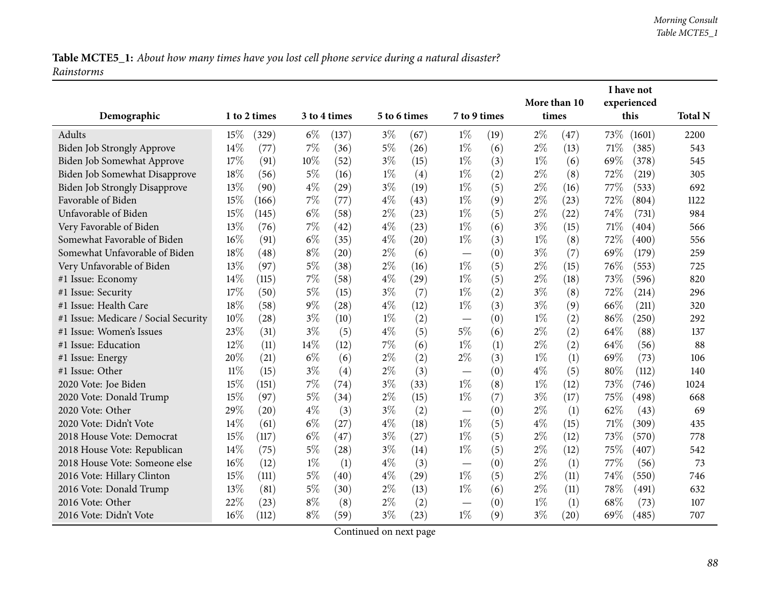|                                      |        |                    |       |              |              |      |                          |      |       |              |      | I have not  |                |
|--------------------------------------|--------|--------------------|-------|--------------|--------------|------|--------------------------|------|-------|--------------|------|-------------|----------------|
|                                      |        |                    |       |              | 5 to 6 times |      |                          |      |       | More than 10 |      | experienced |                |
| Demographic                          |        | 1 to 2 times       |       | 3 to 4 times |              |      | 7 to 9 times             |      | times |              |      | this        | <b>Total N</b> |
| Adults                               | 15%    | (329)              | $6\%$ | (137)        | $3\%$        | (67) | $1\%$                    | (19) | $2\%$ | (47)         | 73%  | (1601)      | 2200           |
| Biden Job Strongly Approve           | 14%    | (77)               | 7%    | (36)         | $5\%$        | (26) | $1\%$                    | (6)  | $2\%$ | (13)         | 71%  | (385)       | 543            |
| Biden Job Somewhat Approve           | 17%    | (91)               | 10%   | (52)         | $3\%$        | (15) | $1\%$                    | (3)  | $1\%$ | (6)          | 69%  | (378)       | 545            |
| Biden Job Somewhat Disapprove        | 18%    | (56)               | $5\%$ | (16)         | $1\%$        | (4)  | $1\%$                    | (2)  | $2\%$ | (8)          | 72%  | (219)       | 305            |
| <b>Biden Job Strongly Disapprove</b> | 13%    | (90)               | $4\%$ | (29)         | $3\%$        | (19) | $1\%$                    | (5)  | $2\%$ | (16)         | 77\% | (533)       | 692            |
| Favorable of Biden                   | 15%    | (166)              | 7%    | (77)         | $4\%$        | (43) | $1\%$                    | (9)  | $2\%$ | (23)         | 72%  | (804)       | 1122           |
| Unfavorable of Biden                 | 15%    | (145)              | $6\%$ | (58)         | $2\%$        | (23) | $1\%$                    | (5)  | $2\%$ | (22)         | 74%  | (731)       | 984            |
| Very Favorable of Biden              | 13%    | (76)               | $7\%$ | (42)         | $4\%$        | (23) | $1\%$                    | (6)  | $3\%$ | (15)         | 71%  | (404)       | 566            |
| Somewhat Favorable of Biden          | 16%    | (91)               | $6\%$ | (35)         | $4\%$        | (20) | $1\%$                    | (3)  | $1\%$ | (8)          | 72%  | (400)       | 556            |
| Somewhat Unfavorable of Biden        | 18%    | (48)               | $8\%$ | (20)         | $2\%$        | (6)  | $\overline{\phantom{0}}$ | (0)  | $3\%$ | (7)          | 69%  | (179)       | 259            |
| Very Unfavorable of Biden            | 13%    | (97)               | $5\%$ | (38)         | $2\%$        | (16) | $1\%$                    | (5)  | $2\%$ | (15)         | 76%  | (553)       | 725            |
| #1 Issue: Economy                    | 14%    | (115)              | $7\%$ | (58)         | $4\%$        | (29) | $1\%$                    | (5)  | $2\%$ | (18)         | 73%  | (596)       | 820            |
| #1 Issue: Security                   | 17%    | (50)               | $5\%$ | (15)         | $3\%$        | (7)  | $1\%$                    | (2)  | $3\%$ | (8)          | 72%  | (214)       | 296            |
| #1 Issue: Health Care                | 18%    | (58)               | 9%    | (28)         | $4\%$        | (12) | $1\%$                    | (3)  | $3\%$ | (9)          | 66%  | (211)       | 320            |
| #1 Issue: Medicare / Social Security | 10%    | $\left( 28\right)$ | $3\%$ | (10)         | $1\%$        | (2)  |                          | (0)  | $1\%$ | (2)          | 86%  | (250)       | 292            |
| #1 Issue: Women's Issues             | 23%    | (31)               | $3\%$ | (5)          | $4\%$        | (5)  | $5\%$                    | (6)  | $2\%$ | (2)          | 64%  | (88)        | 137            |
| #1 Issue: Education                  | 12%    | (11)               | 14%   | (12)         | 7%           | (6)  | $1\%$                    | (1)  | $2\%$ | (2)          | 64%  | (56)        | 88             |
| #1 Issue: Energy                     | 20%    | (21)               | $6\%$ | (6)          | $2\%$        | (2)  | $2\%$                    | (3)  | $1\%$ | (1)          | 69%  | (73)        | 106            |
| #1 Issue: Other                      | $11\%$ | (15)               | $3\%$ | (4)          | $2\%$        | (3)  | $\overline{\phantom{0}}$ | (0)  | $4\%$ | (5)          | 80%  | (112)       | 140            |
| 2020 Vote: Joe Biden                 | 15%    | (151)              | 7%    | (74)         | $3\%$        | (33) | $1\%$                    | (8)  | $1\%$ | (12)         | 73%  | (746)       | 1024           |
| 2020 Vote: Donald Trump              | 15%    | (97)               | 5%    | (34)         | $2\%$        | (15) | $1\%$                    | (7)  | $3\%$ | (17)         | 75%  | (498)       | 668            |
| 2020 Vote: Other                     | 29%    | (20)               | $4\%$ | (3)          | $3\%$        | (2)  |                          | (0)  | $2\%$ | (1)          | 62%  | (43)        | 69             |
| 2020 Vote: Didn't Vote               | 14%    | (61)               | $6\%$ | (27)         | $4\%$        | (18) | $1\%$                    | (5)  | $4\%$ | (15)         | 71%  | (309)       | 435            |
| 2018 House Vote: Democrat            | 15%    | (117)              | $6\%$ | (47)         | $3\%$        | (27) | $1\%$                    | (5)  | $2\%$ | (12)         | 73%  | (570)       | 778            |
| 2018 House Vote: Republican          | 14%    | (75)               | $5\%$ | (28)         | $3\%$        | (14) | $1\%$                    | (5)  | $2\%$ | (12)         | 75%  | (407)       | 542            |
| 2018 House Vote: Someone else        | 16%    | (12)               | $1\%$ | (1)          | $4\%$        | (3)  |                          | (0)  | $2\%$ | (1)          | 77%  | (56)        | 73             |
| 2016 Vote: Hillary Clinton           | 15%    | (111)              | $5\%$ | (40)         | $4\%$        | (29) | $1\%$                    | (5)  | $2\%$ | (11)         | 74%  | (550)       | 746            |
| 2016 Vote: Donald Trump              | 13%    | (81)               | $5\%$ | (30)         | $2\%$        | (13) | $1\%$                    | (6)  | $2\%$ | (11)         | 78%  | (491)       | 632            |
| 2016 Vote: Other                     | 22%    | (23)               | $8\%$ | (8)          | $2\%$        | (2)  |                          | (0)  | $1\%$ | (1)          | 68%  | (73)        | 107            |
| 2016 Vote: Didn't Vote               | 16%    | (112)              | $8\%$ | (59)         | $3\%$        | (23) | $1\%$                    | (9)  | $3\%$ | (20)         | 69%  | (485)       | 707            |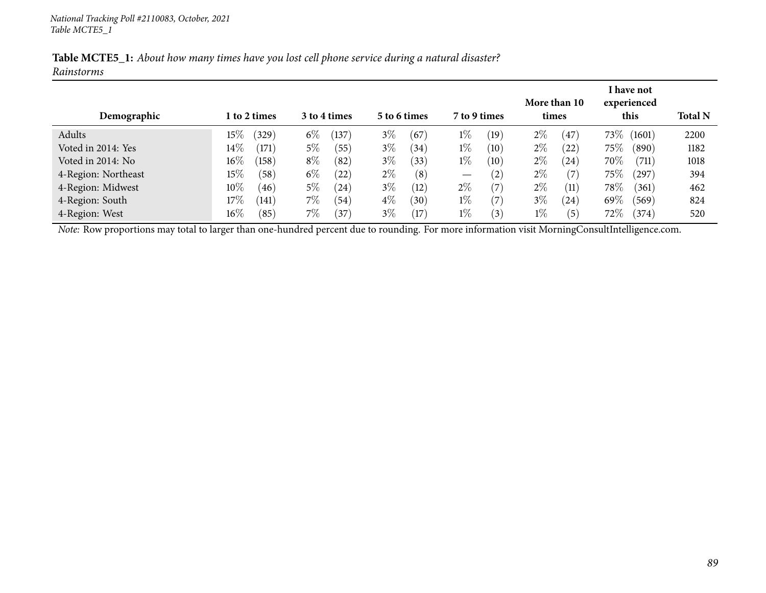|            | Table MCTE5_1: About how many times have you lost cell phone service during a natural disaster? |  |  |  |
|------------|-------------------------------------------------------------------------------------------------|--|--|--|
| Rainstorms |                                                                                                 |  |  |  |

| Demographic         | 1 to 2 times    | 3 to 4 times  | 5 to 6 times  | 7 to 9 times                           | More than 10<br>times   | I have not<br>experienced<br>this | <b>Total N</b> |
|---------------------|-----------------|---------------|---------------|----------------------------------------|-------------------------|-----------------------------------|----------------|
| Adults              | $15\%$<br>(329) | $6\%$<br>137  | $3\%$<br>(67) | $1\%$<br>(19)                          | $2\%$<br>$\frac{47}{ }$ | $73\%$<br>(1601)                  | 2200           |
| Voted in 2014: Yes  | $14\%$<br>(171) | $5\%$<br>(55) | $3\%$<br>(34) | $1\%$<br>(10)                          | $2\%$<br>(22)           | $75\%$<br>$\left(890\right)$      | 1182           |
| Voted in 2014: No   | $16\%$<br>(158) | $8\%$<br>(82) | $3\%$<br>(33) | $1\%$<br>(10)                          | $2\%$<br>(24)           | 70%<br>(711)                      | 1018           |
| 4-Region: Northeast | $15\%$<br>(58)  | $6\%$<br>(22) | $2\%$<br>(8)  | (2)<br>$\hspace{0.1mm}-\hspace{0.1mm}$ | $2\%$<br>(7             | $75\%$<br>(297)                   | 394            |
| 4-Region: Midwest   | $10\%$<br>(46)  | $5\%$<br>(24) | $3\%$<br>(12) | $2\%$<br>$\left( 7\right)$             | $2\%$<br>(11)           | 78\%<br>(361)                     | 462            |
| 4-Region: South     | $17\%$<br>(141) | $7\%$<br>(54) | $4\%$<br>(30) | $1\%$<br>(7)                           | $3\%$<br>(24)           | $69\%$<br>(569)                   | 824            |
| 4-Region: West      | $16\%$<br>(85)  | 7%<br>(37)    | $3\%$<br>(17) | $1\%$<br>$\left(3\right)$              | $1\%$<br>(5)            | $72\%$<br>(374)                   | 520            |

*Note:* Row proportions may total to larger than one-hundred percen<sup>t</sup> due to rounding. For more information visit [MorningConsultIntelligence.com](https://morningconsultintelligence.com).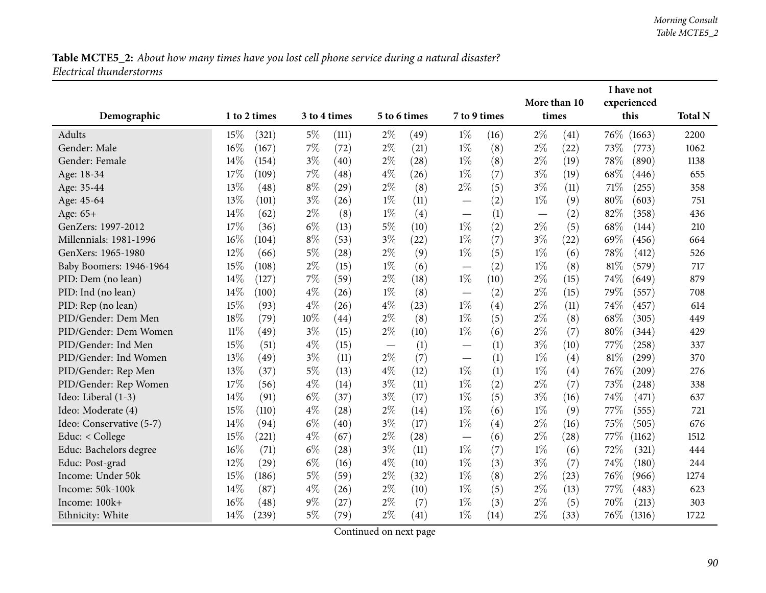|                          |        |              |              |       |                                   |              |                                   |      |       | More than 10      |      | I have not<br>experienced |                |
|--------------------------|--------|--------------|--------------|-------|-----------------------------------|--------------|-----------------------------------|------|-------|-------------------|------|---------------------------|----------------|
| Demographic              |        | 1 to 2 times | 3 to 4 times |       |                                   | 5 to 6 times | 7 to 9 times                      |      | times |                   |      | this                      | <b>Total N</b> |
| Adults                   | 15%    | (321)        | $5\%$        | (111) | $2\%$                             | (49)         | $1\%$                             | (16) | $2\%$ | (41)              | 76\% | (1663)                    | 2200           |
| Gender: Male             | 16%    | (167)        | 7%           | (72)  | $2\%$                             | (21)         | $1\%$                             | (8)  | $2\%$ | (22)              | 73%  | (773)                     | 1062           |
| Gender: Female           | 14\%   | (154)        | $3\%$        | (40)  | $2\%$                             | (28)         | $1\%$                             | (8)  | $2\%$ | (19)              | 78%  | (890)                     | 1138           |
| Age: 18-34               | 17%    | (109)        | 7%           | (48)  | $4\%$                             | (26)         | $1\%$                             | (7)  | $3\%$ | (19)              | 68\% | (446)                     | 655            |
| Age: 35-44               | 13%    | (48)         | $8\%$        | (29)  | $2\%$                             | (8)          | $2\%$                             | (5)  | $3\%$ | (11)              | 71%  | (255)                     | 358            |
| Age: 45-64               | 13%    | (101)        | $3\%$        | (26)  | $1\%$                             | (11)         |                                   | (2)  | $1\%$ | (9)               | 80%  | (603)                     | 751            |
| Age: 65+                 | 14%    | (62)         | $2\%$        | (8)   | $1\%$                             | (4)          |                                   | (1)  |       | (2)               | 82%  | (358)                     | 436            |
| GenZers: 1997-2012       | 17%    | (36)         | $6\%$        | (13)  | $5\%$                             | (10)         | $1\%$                             | (2)  | $2\%$ | (5)               | 68%  | (144)                     | 210            |
| Millennials: 1981-1996   | $16\%$ | (104)        | $8\%$        | (53)  | $3\%$                             | (22)         | $1\%$                             | (7)  | $3\%$ | (22)              | 69%  | (456)                     | 664            |
| GenXers: 1965-1980       | 12%    | (66)         | $5\%$        | (28)  | $2\%$                             | (9)          | $1\%$                             | (5)  | $1\%$ | (6)               | 78%  | (412)                     | 526            |
| Baby Boomers: 1946-1964  | 15%    | (108)        | $2\%$        | (15)  | $1\%$                             | (6)          | $\overbrace{\phantom{12322111}}$  | (2)  | $1\%$ | (8)               | 81%  | (579)                     | 717            |
| PID: Dem (no lean)       | 14%    | (127)        | $7\%$        | (59)  | $2\%$                             | (18)         | $1\%$                             | (10) | $2\%$ | (15)              | 74%  | (649)                     | 879            |
| PID: Ind (no lean)       | 14%    | (100)        | $4\%$        | (26)  | $1\%$                             | (8)          | $\overbrace{\phantom{123221111}}$ | (2)  | $2\%$ | (15)              | 79%  | (557)                     | 708            |
| PID: Rep (no lean)       | 15%    | (93)         | $4\%$        | (26)  | $4\%$                             | (23)         | $1\%$                             | (4)  | $2\%$ | (11)              | 74%  | (457)                     | 614            |
| PID/Gender: Dem Men      | 18%    | (79)         | 10%          | (44)  | $2\%$                             | (8)          | $1\%$                             | (5)  | $2\%$ | (8)               | 68%  | (305)                     | 449            |
| PID/Gender: Dem Women    | $11\%$ | (49)         | $3\%$        | (15)  | $2\%$                             | (10)         | $1\%$                             | (6)  | $2\%$ | (7)               | 80%  | (344)                     | 429            |
| PID/Gender: Ind Men      | 15%    | (51)         | $4\%$        | (15)  | $\overbrace{\phantom{123221111}}$ | (1)          |                                   | (1)  | $3\%$ | (10)              | 77\% | (258)                     | 337            |
| PID/Gender: Ind Women    | 13%    | (49)         | $3\%$        | (11)  | $2\%$                             | (7)          |                                   | (1)  | $1\%$ | $\left( 4\right)$ | 81%  | (299)                     | 370            |
| PID/Gender: Rep Men      | 13%    | (37)         | $5\%$        | (13)  | $4\%$                             | (12)         | $1\%$                             | (1)  | $1\%$ | (4)               | 76%  | (209)                     | 276            |
| PID/Gender: Rep Women    | 17%    | (56)         | $4\%$        | (14)  | $3\%$                             | (11)         | $1\%$                             | (2)  | $2\%$ | (7)               | 73%  | (248)                     | 338            |
| Ideo: Liberal (1-3)      | 14%    | (91)         | $6\%$        | (37)  | $3\%$                             | (17)         | $1\%$                             | (5)  | $3\%$ | (16)              | 74%  | (471)                     | 637            |
| Ideo: Moderate (4)       | 15%    | (110)        | $4\%$        | (28)  | $2\%$                             | (14)         | $1\%$                             | (6)  | $1\%$ | (9)               | 77\% | (555)                     | 721            |
| Ideo: Conservative (5-7) | 14%    | (94)         | $6\%$        | (40)  | $3\%$                             | (17)         | $1\%$                             | (4)  | $2\%$ | (16)              | 75%  | (505)                     | 676            |
| Educ: < College          | 15%    | (221)        | $4\%$        | (67)  | $2\%$                             | (28)         |                                   | (6)  | $2\%$ | (28)              | 77\% | (1162)                    | 1512           |
| Educ: Bachelors degree   | 16%    | (71)         | $6\%$        | (28)  | $3\%$                             | (11)         | $1\%$                             | (7)  | $1\%$ | (6)               | 72%  | (321)                     | 444            |
| Educ: Post-grad          | 12%    | (29)         | $6\%$        | (16)  | $4\%$                             | (10)         | $1\%$                             | (3)  | $3\%$ | (7)               | 74%  | (180)                     | 244            |
| Income: Under 50k        | 15%    | (186)        | $5\%$        | (59)  | $2\%$                             | (32)         | $1\%$                             | (8)  | $2\%$ | (23)              | 76%  | (966)                     | 1274           |
| Income: 50k-100k         | 14%    | (87)         | $4\%$        | (26)  | $2\%$                             | (10)         | $1\%$                             | (5)  | $2\%$ | (13)              | 77\% | (483)                     | 623            |
| Income: 100k+            | 16%    | (48)         | $9\%$        | (27)  | $2\%$                             | (7)          | $1\%$                             | (3)  | $2\%$ | (5)               | 70%  | (213)                     | 303            |
| Ethnicity: White         | 14%    | (239)        | $5\%$        | (79)  | $2\%$                             | (41)         | $1\%$                             | (14) | $2\%$ | (33)              | 76\% | (1316)                    | 1722           |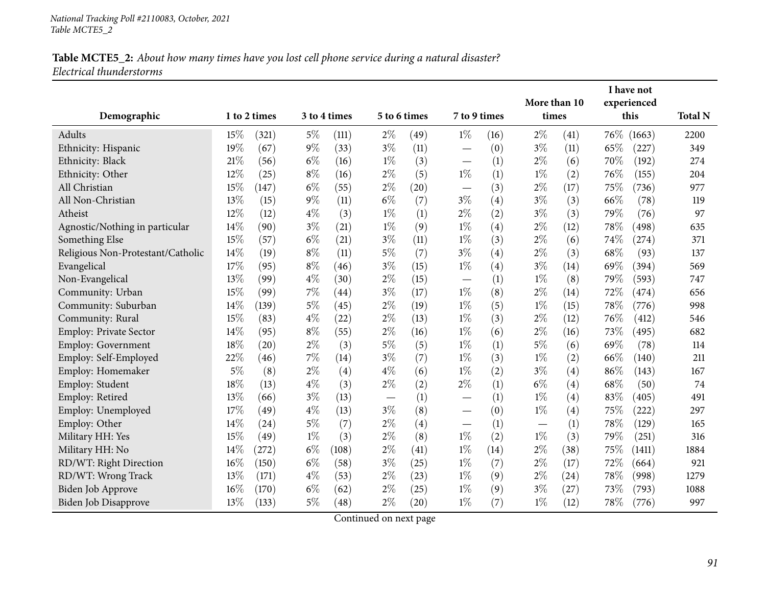|                                   |        |              |              |                    |              |      |                               |      | More than 10             |           |      | I have not          |                |
|-----------------------------------|--------|--------------|--------------|--------------------|--------------|------|-------------------------------|------|--------------------------|-----------|------|---------------------|----------------|
|                                   |        |              | 3 to 4 times |                    | 5 to 6 times |      | 7 to 9 times                  |      |                          |           |      | experienced<br>this |                |
| Demographic                       |        | 1 to 2 times |              |                    |              |      |                               |      |                          | times     |      |                     | <b>Total N</b> |
| Adults                            | 15%    | (321)        | 5%           | (111)              | $2\%$        | (49) | $1\%$                         | (16) | $2\%$                    | (41)      |      | 76\% (1663)         | 2200           |
| Ethnicity: Hispanic               | 19%    | (67)         | $9\%$        | (33)               | $3\%$        | (11) |                               | (0)  | $3\%$                    | (11)      | 65%  | (227)               | 349            |
| Ethnicity: Black                  | $21\%$ | (56)         | $6\%$        | (16)               | $1\%$        | (3)  |                               | (1)  | $2\%$                    | (6)       | 70%  | (192)               | 274            |
| Ethnicity: Other                  | 12%    | (25)         | $8\%$        | (16)               | $2\%$        | (5)  | $1\%$                         | (1)  | $1\%$                    | (2)       | 76%  | (155)               | 204            |
| All Christian                     | 15%    | (147)        | $6\%$        | (55)               | $2\%$        | (20) | $\overbrace{\phantom{12333}}$ | (3)  | $2\%$                    | (17)      | 75%  | (736)               | 977            |
| All Non-Christian                 | 13%    | (15)         | $9\%$        | (11)               | $6\%$        | (7)  | $3\%$                         | (4)  | $3\%$                    | (3)       | 66%  | (78)                | 119            |
| Atheist                           | 12%    | (12)         | $4\%$        | (3)                | $1\%$        | (1)  | $2\%$                         | (2)  | $3\%$                    | (3)       | 79%  | (76)                | 97             |
| Agnostic/Nothing in particular    | 14%    | (90)         | $3\%$        | (21)               | $1\%$        | (9)  | $1\%$                         | (4)  | $2\%$                    | (12)      | 78%  | (498)               | 635            |
| Something Else                    | 15%    | (57)         | $6\%$        | (21)               | $3\%$        | (11) | $1\%$                         | (3)  | $2\%$                    | (6)       | 74%  | (274)               | 371            |
| Religious Non-Protestant/Catholic | 14\%   | (19)         | $8\%$        | (11)               | $5\%$        | (7)  | $3\%$                         | (4)  | $2\%$                    | (3)       | 68\% | (93)                | 137            |
| Evangelical                       | 17%    | (95)         | $8\%$        | (46)               | $3\%$        | (15) | $1\%$                         | (4)  | $3\%$                    | (14)      | 69%  | (394)               | 569            |
| Non-Evangelical                   | 13%    | (99)         | $4\%$        | (30)               | $2\%$        | (15) |                               | (1)  | $1\%$                    | (8)       | 79%  | (593)               | 747            |
| Community: Urban                  | 15%    | (99)         | 7%           | $\left( 44\right)$ | $3\%$        | (17) | $1\%$                         | (8)  | $2\%$                    | (14)      | 72%  | (474)               | 656            |
| Community: Suburban               | 14%    | (139)        | $5\%$        | (45)               | $2\%$        | (19) | $1\%$                         | (5)  | $1\%$                    | (15)      | 78%  | (776)               | 998            |
| Community: Rural                  | 15%    | (83)         | $4\%$        | (22)               | $2\%$        | (13) | $1\%$                         | (3)  | $2\%$                    | (12)      | 76%  | (412)               | 546            |
| Employ: Private Sector            | 14%    | (95)         | $8\%$        | (55)               | $2\%$        | (16) | $1\%$                         | (6)  | $2\%$                    | (16)      | 73%  | (495)               | 682            |
| <b>Employ: Government</b>         | 18%    | (20)         | $2\%$        | (3)                | $5\%$        | (5)  | $1\%$                         | (1)  | $5\%$                    | (6)       | 69%  | (78)                | 114            |
| Employ: Self-Employed             | 22%    | (46)         | 7%           | (14)               | $3\%$        | (7)  | $1\%$                         | (3)  | $1\%$                    | (2)       | 66%  | (140)               | 211            |
| Employ: Homemaker                 | 5%     | (8)          | $2\%$        | (4)                | $4\%$        | (6)  | $1\%$                         | (2)  | $3\%$                    | (4)       | 86%  | (143)               | 167            |
| Employ: Student                   | 18%    | (13)         | $4\%$        | (3)                | $2\%$        | (2)  | $2\%$                         | (1)  | $6\%$                    | (4)       | 68%  | (50)                | 74             |
| Employ: Retired                   | 13%    | (66)         | $3\%$        | (13)               |              | (1)  | $\overline{\phantom{0}}$      | (1)  | $1\%$                    | (4)       | 83%  | (405)               | 491            |
| Employ: Unemployed                | 17%    | (49)         | $4\%$        | (13)               | $3\%$        | (8)  |                               | (0)  | $1\%$                    | (4)       | 75%  | (222)               | 297            |
| Employ: Other                     | 14%    | (24)         | $5\%$        | (7)                | $2\%$        | (4)  |                               | (1)  | $\overline{\phantom{0}}$ | (1)       | 78%  | (129)               | 165            |
| Military HH: Yes                  | 15%    | (49)         | $1\%$        | (3)                | $2\%$        | (8)  | $1\%$                         | (2)  | $1\%$                    | (3)       | 79%  | (251)               | 316            |
| Military HH: No                   | 14\%   | (272)        | $6\%$        | (108)              | $2\%$        | (41) | $1\%$                         | (14) | $2\%$                    | (38)      | 75%  | (1411)              | 1884           |
| RD/WT: Right Direction            | 16%    | (150)        | $6\%$        | (58)               | $3\%$        | (25) | $1\%$                         | (7)  | $2\%$                    | (17)      | 72%  | (664)               | 921            |
| RD/WT: Wrong Track                | 13%    | (171)        | $4\%$        | (53)               | $2\%$        | (23) | $1\%$                         | (9)  | $2\%$                    | $^{(24)}$ | 78%  | (998)               | 1279           |
| Biden Job Approve                 | 16%    | (170)        | $6\%$        | (62)               | $2\%$        | (25) | $1\%$                         | (9)  | $3\%$                    | (27)      | 73%  | (793)               | 1088           |
| Biden Job Disapprove              | 13%    | (133)        | $5\%$        | (48)               | $2\%$        | (20) | $1\%$                         | (7)  | $1\%$                    | (12)      | 78\% | (776)               | 997            |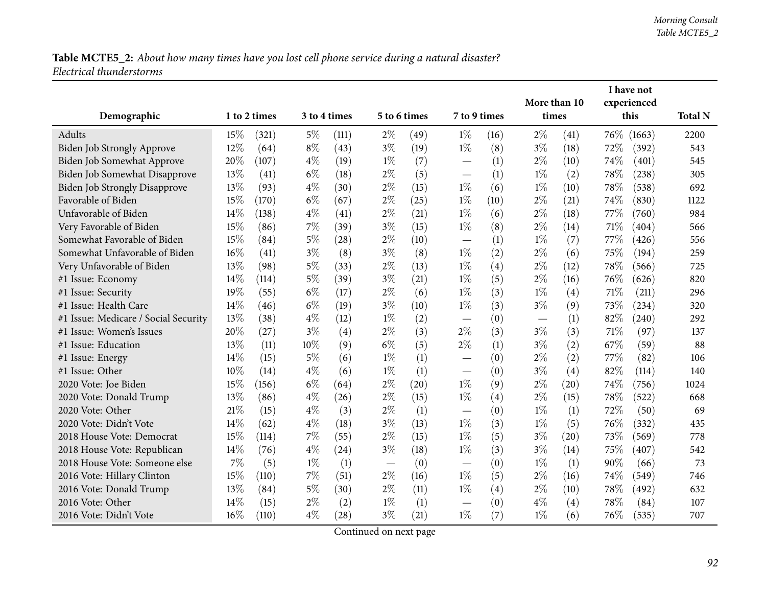|                                      |        |              |       |              |       |              |                                   |      | I have not                    |                  |        |             |                |
|--------------------------------------|--------|--------------|-------|--------------|-------|--------------|-----------------------------------|------|-------------------------------|------------------|--------|-------------|----------------|
|                                      |        |              |       |              |       |              |                                   |      | More than 10                  |                  |        | experienced |                |
| Demographic                          |        | 1 to 2 times |       | 3 to 4 times |       | 5 to 6 times | 7 to 9 times                      |      | times                         |                  |        | this        | <b>Total N</b> |
| Adults                               | 15%    | (321)        | $5\%$ | (111)        | $2\%$ | (49)         | $1\%$                             | (16) | $2\%$                         | (41)             | $76\%$ | (1663)      | 2200           |
| <b>Biden Job Strongly Approve</b>    | $12\%$ | (64)         | $8\%$ | (43)         | $3\%$ | (19)         | $1\%$                             | (8)  | $3\%$                         | (18)             | 72%    | (392)       | 543            |
| Biden Job Somewhat Approve           | 20%    | (107)        | $4\%$ | (19)         | $1\%$ | (7)          |                                   | (1)  | $2\%$                         | (10)             | 74\%   | (401)       | 545            |
| Biden Job Somewhat Disapprove        | 13%    | (41)         | $6\%$ | (18)         | $2\%$ | (5)          | $\overbrace{\phantom{123221111}}$ | (1)  | $1\%$                         | (2)              | 78\%   | (238)       | 305            |
| <b>Biden Job Strongly Disapprove</b> | 13%    | (93)         | $4\%$ | (30)         | $2\%$ | (15)         | $1\%$                             | (6)  | $1\%$                         | (10)             | 78\%   | (538)       | 692            |
| Favorable of Biden                   | 15%    | (170)        | $6\%$ | (67)         | $2\%$ | (25)         | $1\%$                             | (10) | $2\%$                         | (21)             | 74%    | (830)       | 1122           |
| Unfavorable of Biden                 | 14%    | (138)        | $4\%$ | (41)         | $2\%$ | (21)         | $1\%$                             | (6)  | $2\%$                         | (18)             | 77%    | (760)       | 984            |
| Very Favorable of Biden              | 15%    | (86)         | 7%    | (39)         | $3\%$ | (15)         | $1\%$                             | (8)  | $2\%$                         | (14)             | 71%    | (404)       | 566            |
| Somewhat Favorable of Biden          | 15%    | (84)         | $5\%$ | (28)         | $2\%$ | (10)         |                                   | (1)  | $1\%$                         | (7)              | 77\%   | (426)       | 556            |
| Somewhat Unfavorable of Biden        | 16%    | (41)         | $3\%$ | (8)          | $3\%$ | (8)          | $1\%$                             | (2)  | $2\%$                         | (6)              | 75%    | (194)       | 259            |
| Very Unfavorable of Biden            | 13%    | (98)         | 5%    | (33)         | $2\%$ | (13)         | $1\%$                             | (4)  | $2\%$                         | (12)             | 78%    | (566)       | 725            |
| #1 Issue: Economy                    | 14\%   | (114)        | 5%    | (39)         | $3\%$ | (21)         | $1\%$                             | (5)  | $2\%$                         | (16)             | 76\%   | (626)       | 820            |
| #1 Issue: Security                   | 19%    | (55)         | $6\%$ | (17)         | $2\%$ | (6)          | $1\%$                             | (3)  | $1\%$                         | (4)              | 71\%   | (211)       | 296            |
| #1 Issue: Health Care                | 14%    | (46)         | $6\%$ | (19)         | $3\%$ | (10)         | $1\%$                             | (3)  | $3\%$                         | (9)              | 73%    | (234)       | 320            |
| #1 Issue: Medicare / Social Security | 13%    | (38)         | $4\%$ | (12)         | $1\%$ | (2)          |                                   | (0)  | $\overbrace{\phantom{13333}}$ | (1)              | 82%    | (240)       | 292            |
| #1 Issue: Women's Issues             | 20%    | (27)         | $3\%$ | (4)          | $2\%$ | (3)          | $2\%$                             | (3)  | $3\%$                         | (3)              | 71%    | (97)        | 137            |
| #1 Issue: Education                  | 13%    | (11)         | 10%   | (9)          | $6\%$ | (5)          | $2\%$                             | (1)  | $3\%$                         | (2)              | 67%    | (59)        | 88             |
| #1 Issue: Energy                     | 14%    | (15)         | $5\%$ | (6)          | $1\%$ | (1)          |                                   | (0)  | $2\%$                         | (2)              | 77%    | (82)        | 106            |
| #1 Issue: Other                      | 10%    | (14)         | $4\%$ | (6)          | $1\%$ | (1)          | $\overline{\phantom{0}}$          | (0)  | $3\%$                         | (4)              | 82%    | (114)       | 140            |
| 2020 Vote: Joe Biden                 | 15%    | (156)        | $6\%$ | (64)         | $2\%$ | (20)         | $1\%$                             | (9)  | $2\%$                         | (20)             | 74%    | (756)       | 1024           |
| 2020 Vote: Donald Trump              | 13%    | (86)         | $4\%$ | (26)         | $2\%$ | (15)         | $1\%$                             | (4)  | $2\%$                         | (15)             | 78%    | (522)       | 668            |
| 2020 Vote: Other                     | 21%    | (15)         | $4\%$ | (3)          | $2\%$ | (1)          |                                   | (0)  | $1\%$                         | $\left(1\right)$ | 72%    | (50)        | 69             |
| 2020 Vote: Didn't Vote               | 14%    | (62)         | $4\%$ | (18)         | $3\%$ | (13)         | $1\%$                             | (3)  | $1\%$                         | (5)              | 76%    | (332)       | 435            |
| 2018 House Vote: Democrat            | 15%    | (114)        | 7%    | (55)         | $2\%$ | (15)         | $1\%$                             | (5)  | $3\%$                         | (20)             | 73%    | (569)       | 778            |
| 2018 House Vote: Republican          | 14%    | (76)         | $4\%$ | (24)         | $3\%$ | (18)         | $1\%$                             | (3)  | $3\%$                         | (14)             | 75%    | (407)       | 542            |
| 2018 House Vote: Someone else        | 7%     | (5)          | $1\%$ | (1)          |       | (0)          |                                   | (0)  | $1\%$                         | (1)              | 90%    | (66)        | 73             |
| 2016 Vote: Hillary Clinton           | 15%    | (110)        | 7%    | (51)         | $2\%$ | (16)         | $1\%$                             | (5)  | $2\%$                         | (16)             | 74\%   | (549)       | 746            |
| 2016 Vote: Donald Trump              | 13%    | (84)         | 5%    | (30)         | $2\%$ | (11)         | $1\%$                             | (4)  | $2\%$                         | (10)             | 78%    | (492)       | 632            |
| 2016 Vote: Other                     | 14%    | (15)         | $2\%$ | (2)          | $1\%$ | (1)          |                                   | (0)  | $4\%$                         | (4)              | 78%    | (84)        | 107            |
| 2016 Vote: Didn't Vote               | 16%    | (110)        | $4\%$ | (28)         | $3\%$ | (21)         | $1\%$                             | (7)  | $1\%$                         | (6)              | 76\%   | (535)       | 707            |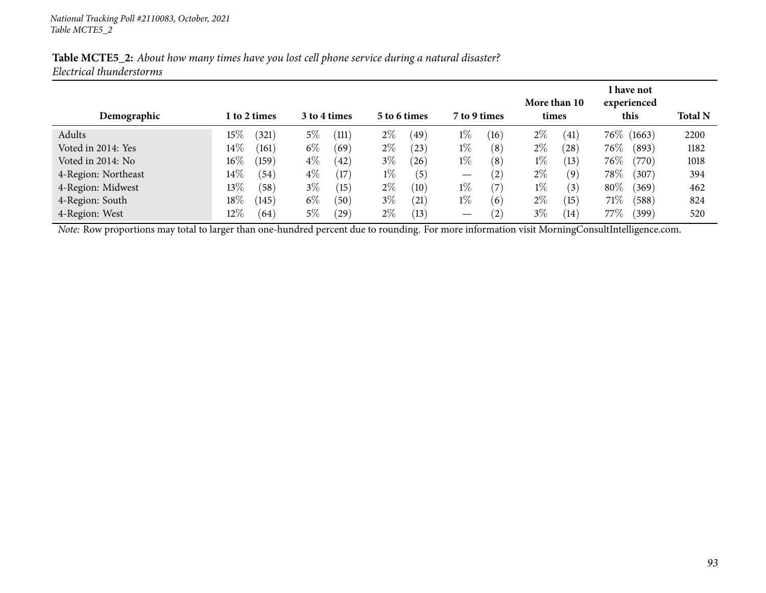| Demographic                                                                                                                                    |        | l to 2 times |       | 3 to 4 times |       | 5 to 6 times      | 7 to 9 times      |      | More than 10<br>times |      |        | I have not<br>experienced<br>this | <b>Total N</b> |
|------------------------------------------------------------------------------------------------------------------------------------------------|--------|--------------|-------|--------------|-------|-------------------|-------------------|------|-----------------------|------|--------|-----------------------------------|----------------|
| Adults                                                                                                                                         | $15\%$ | (321)        | $5\%$ | (111)        | $2\%$ | (49)              | $1\%$             | (16) | $2\%$                 | (41) |        | 76\% (1663)                       | 2200           |
| Voted in 2014: Yes                                                                                                                             | $14\%$ | (161)        | $6\%$ | (69)         | $2\%$ | $\left(23\right)$ | $1\%$             | (8)  | $2\%$                 | (28) | $76\%$ | (893)                             | 1182           |
| Voted in 2014: No                                                                                                                              | $16\%$ | (159)        | $4\%$ | $^{(42)}$    | $3\%$ | $^{'}26$          | $1\%$             | (8)  | $1\%$                 | (13) | $76\%$ | (770)                             | 1018           |
| 4-Region: Northeast                                                                                                                            | $14\%$ | (54)         | $4\%$ | (17)         | $1\%$ | (5)               | $\hspace{0.05cm}$ | (2)  | $2\%$                 | (9)  | $78\%$ | (307)                             | 394            |
| 4-Region: Midwest                                                                                                                              | $13\%$ | (58)         | $3\%$ | (15)         | $2\%$ | (10)              | $1\%$             | (7)  | $1\%$                 | (3)  | $80\%$ | (369)                             | 462            |
| 4-Region: South                                                                                                                                | $18\%$ | (145)        | $6\%$ | (50)         | $3\%$ | (21)              | $1\%$             | (6)  | $2\%$                 | (15) | 71%    | (588)                             | 824            |
| 4-Region: West                                                                                                                                 | $12\%$ | (64)         | $5\%$ | (29)         | $2\%$ | (13)              | $\hspace{0.05cm}$ | (2)  | $3\%$                 | (14) | 77%    | (399)                             | 520            |
| Note: Row proportions may total to larger than one-hundred percent due to rounding. For more information visit MorningConsultIntelligence.com. |        |              |       |              |       |                   |                   |      |                       |      |        |                                   |                |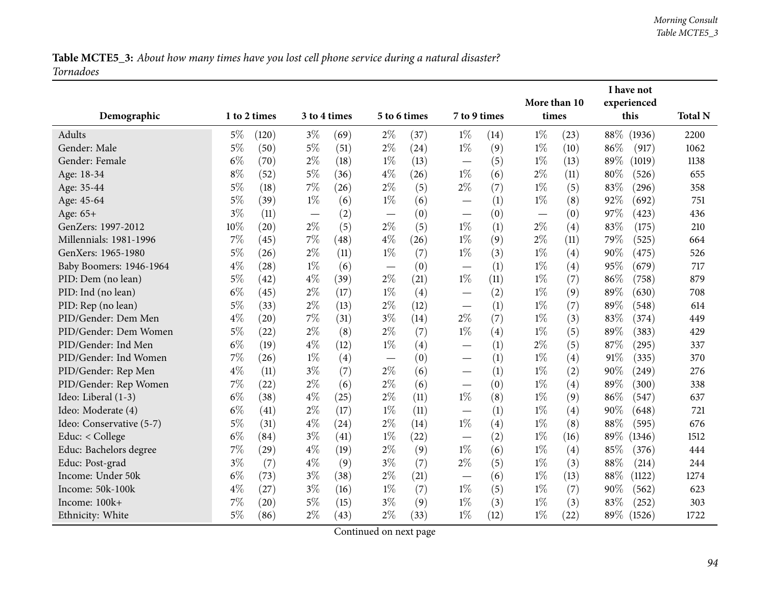Table MCTE5\_3: About how many times have you lost cell phone service during a natural disaster? *Tornadoes*

|                          |       |              |       |              |                               |      |                                   |      | More than 10 |      |        | I have not<br>experienced |                |
|--------------------------|-------|--------------|-------|--------------|-------------------------------|------|-----------------------------------|------|--------------|------|--------|---------------------------|----------------|
| Demographic              |       | 1 to 2 times |       | 3 to 4 times | 5 to 6 times                  |      | 7 to 9 times                      |      | times        |      |        | this                      | <b>Total N</b> |
| Adults                   | $5\%$ | (120)        | $3\%$ | (69)         | $2\%$                         | (37) | $1\%$                             | (14) | $1\%$        | (23) |        | 88\% (1936)               | 2200           |
| Gender: Male             | $5\%$ | (50)         | $5\%$ | (51)         | $2\%$                         | (24) | $1\%$                             | (9)  | $1\%$        | (10) | 86%    | (917)                     | 1062           |
| Gender: Female           | $6\%$ | (70)         | $2\%$ | (18)         | $1\%$                         | (13) | $\overline{\phantom{0}}$          | (5)  | $1\%$        | (13) | 89%    | (1019)                    | 1138           |
| Age: 18-34               | $8\%$ | (52)         | $5\%$ | (36)         | $4\%$                         | (26) | $1\%$                             | (6)  | $2\%$        | (11) | 80%    | (526)                     | 655            |
| Age: 35-44               | $5\%$ | (18)         | 7%    | (26)         | $2\%$                         | (5)  | $2\%$                             | (7)  | $1\%$        | (5)  | 83%    | (296)                     | 358            |
| Age: 45-64               | $5\%$ | (39)         | $1\%$ | (6)          | $1\%$                         | (6)  |                                   | (1)  | $1\%$        | (8)  | 92%    | (692)                     | 751            |
| Age: 65+                 | $3\%$ | (11)         |       | (2)          |                               | (0)  |                                   | (0)  | —            | (0)  | 97%    | (423)                     | 436            |
| GenZers: 1997-2012       | 10%   | (20)         | $2\%$ | (5)          | $2\%$                         | (5)  | $1\%$                             | (1)  | $2\%$        | (4)  | 83%    | (175)                     | 210            |
| Millennials: 1981-1996   | 7%    | (45)         | 7%    | (48)         | $4\%$                         | (26) | $1\%$                             | (9)  | $2\%$        | (11) | 79%    | (525)                     | 664            |
| GenXers: 1965-1980       | $5\%$ | (26)         | $2\%$ | (11)         | $1\%$                         | (7)  | $1\%$                             | (3)  | $1\%$        | (4)  | 90%    | (475)                     | 526            |
| Baby Boomers: 1946-1964  | $4\%$ | (28)         | $1\%$ | (6)          | $\overline{\phantom{m}}$      | (0)  | $\overbrace{\phantom{13333}}$     | (1)  | $1\%$        | (4)  | 95%    | (679)                     | 717            |
| PID: Dem (no lean)       | $5\%$ | (42)         | $4\%$ | (39)         | $2\%$                         | (21) | $1\%$                             | (11) | $1\%$        | (7)  | 86%    | (758)                     | 879            |
| PID: Ind (no lean)       | $6\%$ | (45)         | $2\%$ | (17)         | $1\%$                         | (4)  |                                   | (2)  | $1\%$        | (9)  | 89%    | (630)                     | 708            |
| PID: Rep (no lean)       | $5\%$ | (33)         | $2\%$ | (13)         | $2\%$                         | (12) | $\overline{\phantom{0}}$          | (1)  | $1\%$        | (7)  | 89%    | (548)                     | 614            |
| PID/Gender: Dem Men      | $4\%$ | (20)         | $7\%$ | (31)         | $3\%$                         | (14) | $2\%$                             | (7)  | $1\%$        | (3)  | 83%    | (374)                     | 449            |
| PID/Gender: Dem Women    | $5\%$ | (22)         | $2\%$ | (8)          | $2\%$                         | (7)  | $1\%$                             | (4)  | $1\%$        | (5)  | 89%    | (383)                     | 429            |
| PID/Gender: Ind Men      | $6\%$ | (19)         | $4\%$ | (12)         | $1\%$                         | (4)  | $\overbrace{\phantom{123221111}}$ | (1)  | $2\%$        | (5)  | 87%    | (295)                     | 337            |
| PID/Gender: Ind Women    | 7%    | (26)         | $1\%$ | (4)          | $\overbrace{\phantom{aaaaa}}$ | (0)  |                                   | (1)  | $1\%$        | (4)  | 91\%   | (335)                     | 370            |
| PID/Gender: Rep Men      | $4\%$ | (11)         | $3\%$ | (7)          | $2\%$                         | (6)  | $\overline{\phantom{0}}$          | (1)  | $1\%$        | (2)  | 90%    | (249)                     | 276            |
| PID/Gender: Rep Women    | 7%    | (22)         | $2\%$ | (6)          | $2\%$                         | (6)  |                                   | (0)  | $1\%$        | (4)  | 89%    | (300)                     | 338            |
| Ideo: Liberal (1-3)      | $6\%$ | (38)         | $4\%$ | (25)         | $2\%$                         | (11) | $1\%$                             | (8)  | $1\%$        | (9)  | 86%    | (547)                     | 637            |
| Ideo: Moderate (4)       | $6\%$ | (41)         | $2\%$ | (17)         | $1\%$                         | (11) |                                   | (1)  | $1\%$        | (4)  | 90%    | (648)                     | 721            |
| Ideo: Conservative (5-7) | $5\%$ | (31)         | $4\%$ | (24)         | $2\%$                         | (14) | $1\%$                             | (4)  | $1\%$        | (8)  | 88%    | (595)                     | 676            |
| Educ: < College          | $6\%$ | (84)         | $3\%$ | (41)         | $1\%$                         | (22) | $\overline{\phantom{0}}$          | (2)  | $1\%$        | (16) | 89\%   | (1346)                    | 1512           |
| Educ: Bachelors degree   | 7%    | (29)         | $4\%$ | (19)         | $2\%$                         | (9)  | $1\%$                             | (6)  | $1\%$        | (4)  | 85%    | (376)                     | 444            |
| Educ: Post-grad          | $3\%$ | (7)          | $4\%$ | (9)          | $3\%$                         | (7)  | $2\%$                             | (5)  | $1\%$        | (3)  | 88%    | (214)                     | 244            |
| Income: Under 50k        | $6\%$ | (73)         | $3\%$ | (38)         | $2\%$                         | (21) | $\overline{\phantom{0}}$          | (6)  | $1\%$        | (13) | 88\%   | (1122)                    | 1274           |
| Income: 50k-100k         | $4\%$ | (27)         | $3\%$ | (16)         | $1\%$                         | (7)  | $1\%$                             | (5)  | $1\%$        | (7)  | 90%    | (562)                     | 623            |
| Income: 100k+            | 7%    | (20)         | $5\%$ | (15)         | $3\%$                         | (9)  | $1\%$                             | (3)  | $1\%$        | (3)  | 83%    | (252)                     | 303            |
| Ethnicity: White         | $5\%$ | (86)         | $2\%$ | (43)         | $2\%$                         | (33) | $1\%$                             | (12) | $1\%$        | (22) | $89\%$ | (1526)                    | 1722           |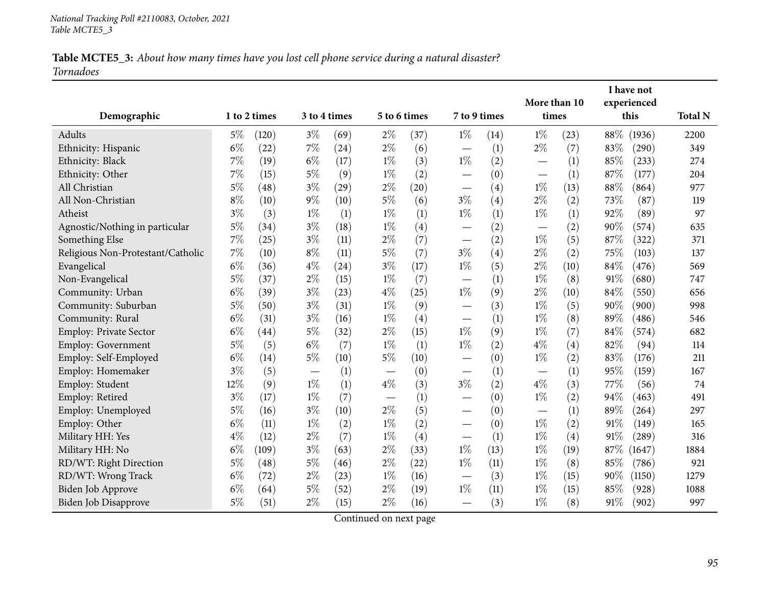# Table MCTE5\_3: About how many times have you lost cell phone service during a natural disaster? *Tornadoes*

|                                   |       |                    |       |              |       |              |                               |      | More than 10             |      |      | I have not<br>experienced |                |
|-----------------------------------|-------|--------------------|-------|--------------|-------|--------------|-------------------------------|------|--------------------------|------|------|---------------------------|----------------|
| Demographic                       |       | 1 to 2 times       |       | 3 to 4 times |       | 5 to 6 times | 7 to 9 times                  |      | times                    |      |      | this                      | <b>Total N</b> |
| <b>Adults</b>                     | $5\%$ | (120)              | $3\%$ | (69)         | $2\%$ | (37)         | $1\%$                         | (14) | $1\%$                    | (23) | 88\% | (1936)                    | 2200           |
| Ethnicity: Hispanic               | $6\%$ | (22)               | 7%    | (24)         | $2\%$ | (6)          |                               | (1)  | $2\%$                    | (7)  | 83%  | (290)                     | 349            |
| Ethnicity: Black                  | $7\%$ | (19)               | $6\%$ | (17)         | $1\%$ | (3)          | $1\%$                         | (2)  | $\overline{\phantom{0}}$ | (1)  | 85%  | (233)                     | 274            |
| Ethnicity: Other                  | $7\%$ | (15)               | $5\%$ | (9)          | $1\%$ | (2)          |                               | (0)  | —                        | (1)  | 87%  | (177)                     | 204            |
| All Christian                     | $5\%$ | (48)               | $3\%$ | (29)         | $2\%$ | (20)         |                               | (4)  | $1\%$                    | (13) | 88%  | (864)                     | 977            |
| All Non-Christian                 | $8\%$ | (10)               | $9\%$ | (10)         | $5\%$ | (6)          | $3\%$                         | (4)  | $2\%$                    | (2)  | 73%  | (87)                      | 119            |
| Atheist                           | $3\%$ | (3)                | $1\%$ | (1)          | $1\%$ | (1)          | $1\%$                         | (1)  | $1\%$                    | (1)  | 92%  | (89)                      | 97             |
| Agnostic/Nothing in particular    | $5\%$ | (34)               | $3\%$ | (18)         | $1\%$ | (4)          |                               | (2)  |                          | (2)  | 90%  | (574)                     | 635            |
| Something Else                    | 7%    | (25)               | $3\%$ | (11)         | $2\%$ | (7)          |                               | (2)  | $1\%$                    | (5)  | 87%  | (322)                     | 371            |
| Religious Non-Protestant/Catholic | 7%    | (10)               | $8\%$ | (11)         | $5\%$ | (7)          | $3\%$                         | (4)  | $2\%$                    | (2)  | 75%  | (103)                     | 137            |
| Evangelical                       | $6\%$ | (36)               | $4\%$ | (24)         | $3\%$ | (17)         | $1\%$                         | (5)  | $2\%$                    | (10) | 84%  | (476)                     | 569            |
| Non-Evangelical                   | $5\%$ | (37)               | $2\%$ | (15)         | $1\%$ | (7)          | $\overbrace{\phantom{12333}}$ | (1)  | $1\%$                    | (8)  | 91%  | (680)                     | 747            |
| Community: Urban                  | $6\%$ | (39)               | $3\%$ | (23)         | $4\%$ | (25)         | $1\%$                         | (9)  | $2\%$                    | (10) | 84%  | (550)                     | 656            |
| Community: Suburban               | $5\%$ | (50)               | $3\%$ | (31)         | $1\%$ | (9)          |                               | (3)  | $1\%$                    | (5)  | 90%  | (900)                     | 998            |
| Community: Rural                  | $6\%$ | (31)               | $3\%$ | (16)         | $1\%$ | (4)          |                               | (1)  | $1\%$                    | (8)  | 89%  | (486)                     | 546            |
| Employ: Private Sector            | $6\%$ | $\left( 44\right)$ | $5\%$ | (32)         | $2\%$ | (15)         | $1\%$                         | (9)  | $1\%$                    | (7)  | 84%  | (574)                     | 682            |
| Employ: Government                | $5\%$ | (5)                | $6\%$ | (7)          | $1\%$ | (1)          | $1\%$                         | (2)  | $4\%$                    | (4)  | 82%  | (94)                      | 114            |
| Employ: Self-Employed             | $6\%$ | (14)               | $5\%$ | (10)         | $5\%$ | (10)         |                               | (0)  | $1\%$                    | (2)  | 83%  | (176)                     | 211            |
| Employ: Homemaker                 | $3\%$ | (5)                |       | (1)          |       | (0)          | $\overline{\phantom{0}}$      | (1)  |                          | (1)  | 95%  | (159)                     | 167            |
| Employ: Student                   | 12%   | (9)                | $1\%$ | (1)          | $4\%$ | (3)          | $3\%$                         | (2)  | $4\%$                    | (3)  | 77%  | (56)                      | 74             |
| Employ: Retired                   | $3\%$ | (17)               | $1\%$ | (7)          |       | (1)          | $\overline{\phantom{0}}$      | (0)  | $1\%$                    | (2)  | 94%  | (463)                     | 491            |
| Employ: Unemployed                | $5\%$ | (16)               | $3\%$ | (10)         | 2%    | (5)          |                               | (0)  | $\overline{\phantom{0}}$ | (1)  | 89%  | (264)                     | 297            |
| Employ: Other                     | $6\%$ | (11)               | $1\%$ | (2)          | $1\%$ | (2)          |                               | (0)  | $1\%$                    | (2)  | 91%  | (149)                     | 165            |
| Military HH: Yes                  | $4\%$ | (12)               | $2\%$ | (7)          | $1\%$ | (4)          | $\overbrace{\phantom{12333}}$ | (1)  | $1\%$                    | (4)  | 91%  | (289)                     | 316            |
| Military HH: No                   | $6\%$ | (109)              | $3\%$ | (63)         | $2\%$ | (33)         | $1\%$                         | (13) | $1\%$                    | (19) | 87\% | (1647)                    | 1884           |
| RD/WT: Right Direction            | 5%    | (48)               | $5\%$ | (46)         | $2\%$ | (22)         | $1\%$                         | (11) | $1\%$                    | (8)  | 85%  | (786)                     | 921            |
| RD/WT: Wrong Track                | $6\%$ | (72)               | $2\%$ | (23)         | $1\%$ | (16)         |                               | (3)  | $1\%$                    | (15) | 90%  | (1150)                    | 1279           |
| Biden Job Approve                 | $6\%$ | (64)               | 5%    | (52)         | $2\%$ | (19)         | $1\%$                         | (11) | $1\%$                    | (15) | 85%  | (928)                     | 1088           |
| Biden Job Disapprove              | 5%    | (51)               | $2\%$ | (15)         | $2\%$ | (16)         |                               | (3)  | $1\%$                    | (8)  | 91\% | (902)                     | 997            |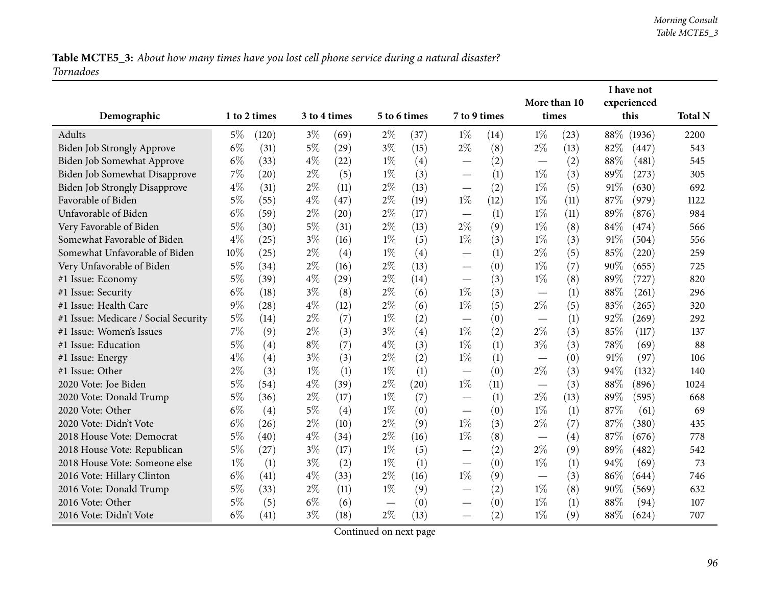Table MCTE5\_3: About how many times have you lost cell phone service during a natural disaster? *Tornadoes*

|                                      |       |              |       |              |                          |      |                                 |      | More than 10                      |      |        | I have not<br>experienced |                |
|--------------------------------------|-------|--------------|-------|--------------|--------------------------|------|---------------------------------|------|-----------------------------------|------|--------|---------------------------|----------------|
| Demographic                          |       | 1 to 2 times |       | 3 to 4 times | 5 to 6 times             |      | 7 to 9 times                    |      | times                             |      |        | this                      | <b>Total N</b> |
| Adults                               | $5\%$ | (120)        | $3\%$ | (69)         | $2\%$                    | (37) | $1\%$                           | (14) | $1\%$                             | (23) | $88\%$ | (1936)                    | 2200           |
| Biden Job Strongly Approve           | $6\%$ | (31)         | $5\%$ | (29)         | $3\%$                    | (15) | $2\%$                           | (8)  | $2\%$                             | (13) | 82%    | (447)                     | 543            |
| Biden Job Somewhat Approve           | $6\%$ | (33)         | $4\%$ | (22)         | $1\%$                    | (4)  |                                 | (2)  |                                   | (2)  | 88%    | (481)                     | 545            |
| Biden Job Somewhat Disapprove        | 7%    | (20)         | $2\%$ | (5)          | $1\%$                    | (3)  | $\overline{\phantom{0}}$        | (1)  | $1\%$                             | (3)  | 89%    | (273)                     | 305            |
| <b>Biden Job Strongly Disapprove</b> | $4\%$ | (31)         | $2\%$ | (11)         | $2\%$                    | (13) | $\overline{\phantom{m}}$        | (2)  | $1\%$                             | (5)  | $91\%$ | (630)                     | 692            |
| Favorable of Biden                   | $5\%$ | (55)         | $4\%$ | (47)         | $2\%$                    | (19) | $1\%$                           | (12) | $1\%$                             | (11) | 87%    | (979)                     | 1122           |
| Unfavorable of Biden                 | $6\%$ | (59)         | $2\%$ | (20)         | $2\%$                    | (17) |                                 | (1)  | $1\%$                             | (11) | 89%    | (876)                     | 984            |
| Very Favorable of Biden              | $5\%$ | (30)         | $5\%$ | (31)         | $2\%$                    | (13) | $2\%$                           | (9)  | $1\%$                             | (8)  | 84%    | (474)                     | 566            |
| Somewhat Favorable of Biden          | $4\%$ | (25)         | $3\%$ | (16)         | $1\%$                    | (5)  | $1\%$                           | (3)  | $1\%$                             | (3)  | 91%    | (504)                     | 556            |
| Somewhat Unfavorable of Biden        | 10%   | (25)         | $2\%$ | (4)          | $1\%$                    | (4)  |                                 | (1)  | $2\%$                             | (5)  | 85%    | (220)                     | 259            |
| Very Unfavorable of Biden            | $5\%$ | (34)         | $2\%$ | (16)         | $2\%$                    | (13) | $\overline{\phantom{0}}$        | (0)  | $1\%$                             | (7)  | 90%    | (655)                     | 725            |
| #1 Issue: Economy                    | $5\%$ | (39)         | 4%    | (29)         | $2\%$                    | (14) | $\overline{\phantom{0}}$        | (3)  | $1\%$                             | (8)  | 89%    | (727)                     | 820            |
| #1 Issue: Security                   | $6\%$ | (18)         | $3\%$ | (8)          | $2\%$                    | (6)  | $1\%$                           | (3)  |                                   | (1)  | 88%    | (261)                     | 296            |
| #1 Issue: Health Care                | $9\%$ | (28)         | $4\%$ | (12)         | $2\%$                    | (6)  | $1\%$                           | (5)  | $2\%$                             | (5)  | 83%    | (265)                     | 320            |
| #1 Issue: Medicare / Social Security | $5\%$ | (14)         | $2\%$ | (7)          | $1\%$                    | (2)  |                                 | (0)  |                                   | (1)  | 92%    | (269)                     | 292            |
| #1 Issue: Women's Issues             | 7%    | (9)          | $2\%$ | (3)          | $3\%$                    | (4)  | $1\%$                           | (2)  | $2\%$                             | (3)  | 85%    | (117)                     | 137            |
| #1 Issue: Education                  | $5\%$ | (4)          | $8\%$ | (7)          | $4\%$                    | (3)  | $1\%$                           | (1)  | $3\%$                             | (3)  | 78%    | (69)                      | 88             |
| #1 Issue: Energy                     | $4\%$ | (4)          | $3\%$ | (3)          | $2\%$                    | (2)  | $1\%$                           | (1)  |                                   | (0)  | 91%    | (97)                      | 106            |
| #1 Issue: Other                      | $2\%$ | (3)          | $1\%$ | (1)          | $1\%$                    | (1)  |                                 | (0)  | $2\%$                             | (3)  | 94%    | (132)                     | 140            |
| 2020 Vote: Joe Biden                 | $5\%$ | (54)         | $4\%$ | (39)         | $2\%$                    | (20) | $1\%$                           | (11) |                                   | (3)  | 88%    | (896)                     | 1024           |
| 2020 Vote: Donald Trump              | $5\%$ | (36)         | $2\%$ | (17)         | $1\%$                    | (7)  | $\overline{\phantom{0}}$        | (1)  | $2\%$                             | (13) | 89%    | (595)                     | 668            |
| 2020 Vote: Other                     | $6\%$ | (4)          | $5\%$ | (4)          | $1\%$                    | (0)  | $\overline{\phantom{0}}$        | (0)  | $1\%$                             | (1)  | 87%    | (61)                      | 69             |
| 2020 Vote: Didn't Vote               | $6\%$ | (26)         | $2\%$ | (10)         | $2\%$                    | (9)  | $1\%$                           | (3)  | $2\%$                             | (7)  | 87%    | (380)                     | 435            |
| 2018 House Vote: Democrat            | $5\%$ | (40)         | $4\%$ | (34)         | $2\%$                    | (16) | $1\%$                           | (8)  | $\overbrace{\phantom{123221111}}$ | (4)  | 87%    | (676)                     | 778            |
| 2018 House Vote: Republican          | $5\%$ | (27)         | $3\%$ | (17)         | $1\%$                    | (5)  |                                 | (2)  | $2\%$                             | (9)  | 89%    | (482)                     | 542            |
| 2018 House Vote: Someone else        | $1\%$ | (1)          | $3\%$ | (2)          | $1\%$                    | (1)  | $\overline{\phantom{0}}$        | (0)  | $1\%$                             | (1)  | 94%    | (69)                      | 73             |
| 2016 Vote: Hillary Clinton           | $6\%$ | (41)         | $4\%$ | (33)         | $2\%$                    | (16) | $1\%$                           | (9)  |                                   | (3)  | 86%    | (644)                     | 746            |
| 2016 Vote: Donald Trump              | $5\%$ | (33)         | $2\%$ | (11)         | $1\%$                    | (9)  |                                 | (2)  | $1\%$                             | (8)  | 90%    | (569)                     | 632            |
| 2016 Vote: Other                     | $5\%$ | (5)          | $6\%$ | (6)          | $\overline{\phantom{m}}$ | (0)  | $\hspace{0.1mm}-\hspace{0.1mm}$ | (0)  | $1\%$                             | (1)  | 88%    | (94)                      | 107            |
| 2016 Vote: Didn't Vote               | $6\%$ | (41)         | $3\%$ | (18)         | $2\%$                    | (13) | $\overline{\phantom{0}}$        | (2)  | $1\%$                             | (9)  | 88%    | (624)                     | 707            |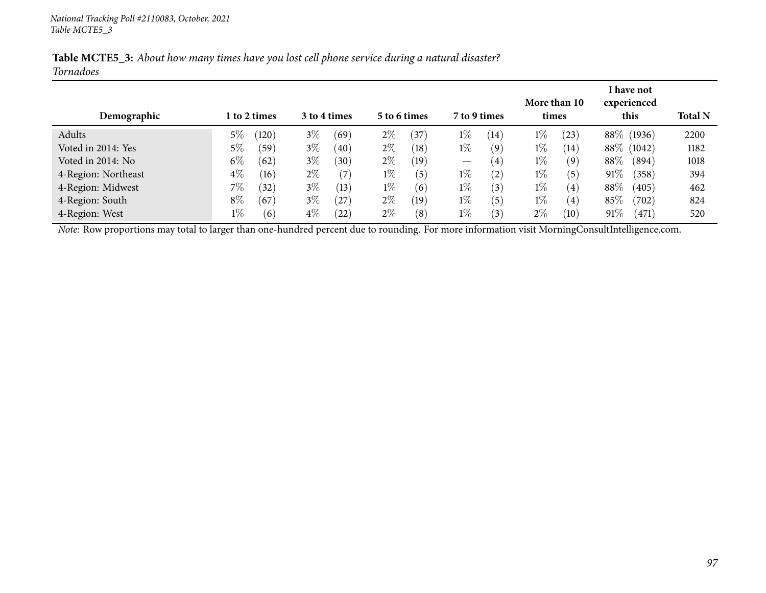| Table MCTE5_3: About how many times have you lost cell phone service during a natural disaster? |  |  |  |
|-------------------------------------------------------------------------------------------------|--|--|--|
| <b>Tornadoes</b>                                                                                |  |  |  |

|                     |       |              |       |              |       |              |                   |                   |       |                   |        | I have not  |                |
|---------------------|-------|--------------|-------|--------------|-------|--------------|-------------------|-------------------|-------|-------------------|--------|-------------|----------------|
|                     |       |              |       |              |       |              |                   |                   |       | More than 10      |        | experienced |                |
| Demographic         |       | 1 to 2 times |       | 3 to 4 times |       | 5 to 6 times | 7 to 9 times      |                   | times |                   |        | this        | <b>Total N</b> |
| Adults              | 5%    | (120)        | $3\%$ | (69)         | $2\%$ | $^{'}37$     | $1\%$             | $\left(14\right)$ | $1\%$ | (23)              |        | 88\% (1936) | 2200           |
| Voted in 2014: Yes  | 5%    | (59)         | $3\%$ | (40)         | $2\%$ | (18)         | $1\%$             | (9)               | $1\%$ | (14)              |        | 88\% (1042) | 1182           |
| Voted in 2014: No   | $6\%$ | (62)         | $3\%$ | (30)         | $2\%$ | (19)         | $\hspace{0.05cm}$ | (4)               | $1\%$ | (9)               | 88\%   | (894)       | 1018           |
| 4-Region: Northeast | $4\%$ | (16)         | $2\%$ | (7)          | $1\%$ | (5)          | $1\%$             | (2)               | $1\%$ | (5)               | 91\%   | (358)       | 394            |
| 4-Region: Midwest   | 7%    | (32)         | $3\%$ | (13)         | $1\%$ | (6)          | $1\%$             | (3)               | $1\%$ | (4)               | 88\%   | (405)       | 462            |
| 4-Region: South     | $8\%$ | (67)         | $3\%$ | (27)         | $2\%$ | (19)         | $1\%$             | (5)               | $1\%$ | (4)               | 85%    | (702)       | 824            |
| 4-Region: West      | $1\%$ | (6)          | $4\%$ | (22)         | $2\%$ | (8)          | $1\%$             | $\mathfrak{z})$   | $2\%$ | $\left(10\right)$ | $91\%$ | (471)       | 520            |

*Note:* Row proportions may total to larger than one-hundred percen<sup>t</sup> due to rounding. For more information visit [MorningConsultIntelligence.com](https://morningconsultintelligence.com).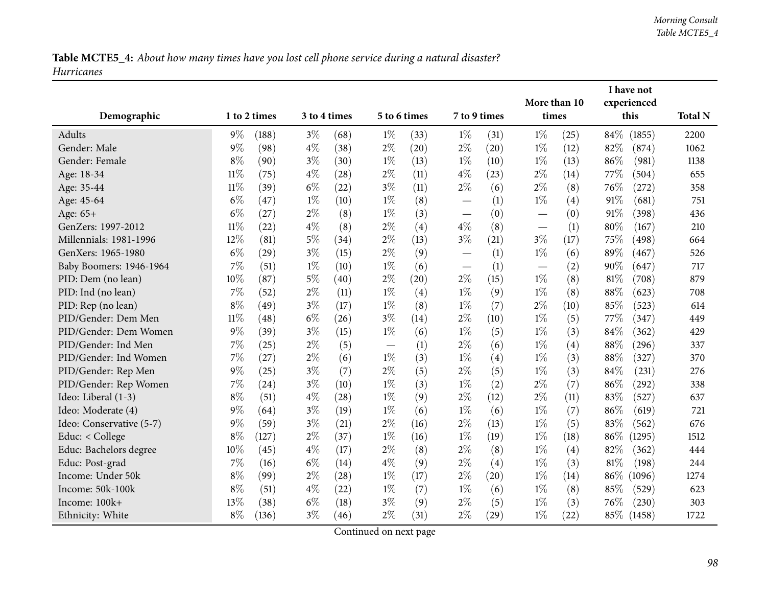|                          |        |              |       |              |                                 |      |                          |              |                                   |      |        | I have not          |                |
|--------------------------|--------|--------------|-------|--------------|---------------------------------|------|--------------------------|--------------|-----------------------------------|------|--------|---------------------|----------------|
| Demographic              |        | 1 to 2 times |       | 3 to 4 times | 5 to 6 times                    |      |                          | 7 to 9 times | More than 10<br>times             |      |        | experienced<br>this | <b>Total N</b> |
|                          |        |              |       |              |                                 |      |                          |              |                                   |      |        |                     |                |
| Adults<br>Gender: Male   | $9\%$  | (188)        | $3\%$ | (68)         | $1\%$                           | (33) | $1\%$                    | (31)         | $1\%$                             | (25) | 84\%   | (1855)              | 2200           |
|                          | $9\%$  | (98)         | $4\%$ | (38)         | $2\%$                           | (20) | $2\%$                    | (20)         | $1\%$                             | (12) | 82%    | (874)               | 1062           |
| Gender: Female           | $8\%$  | (90)         | $3\%$ | (30)         | $1\%$                           | (13) | $1\%$                    | (10)         | $1\%$                             | (13) | 86%    | (981)               | 1138           |
| Age: 18-34               | $11\%$ | (75)         | $4\%$ | (28)         | $2\%$                           | (11) | $4\%$                    | (23)         | $2\%$                             | (14) | 77\%   | (504)               | 655            |
| Age: 35-44               | $11\%$ | (39)         | $6\%$ | (22)         | $3\%$                           | (11) | $2\%$                    | (6)          | $2\%$                             | (8)  | 76%    | (272)               | 358            |
| Age: 45-64               | $6\%$  | (47)         | $1\%$ | (10)         | $1\%$                           | (8)  | $\overline{\phantom{0}}$ | (1)          | $1\%$                             | (4)  | 91%    | (681)               | 751            |
| Age: 65+                 | $6\%$  | (27)         | $2\%$ | (8)          | $1\%$                           | (3)  | $\overline{\phantom{0}}$ | (0)          |                                   | (0)  | 91%    | (398)               | 436            |
| GenZers: 1997-2012       | $11\%$ | (22)         | $4\%$ | (8)          | $2\%$                           | (4)  | $4\%$                    | (8)          | $\overbrace{\phantom{123221111}}$ | (1)  | $80\%$ | (167)               | 210            |
| Millennials: 1981-1996   | 12%    | (81)         | $5\%$ | (34)         | $2\%$                           | (13) | $3\%$                    | (21)         | $3\%$                             | (17) | 75%    | (498)               | 664            |
| GenXers: 1965-1980       | $6\%$  | (29)         | $3\%$ | (15)         | $2\%$                           | (9)  | $\overline{\phantom{0}}$ | (1)          | $1\%$                             | (6)  | 89%    | (467)               | 526            |
| Baby Boomers: 1946-1964  | 7%     | (51)         | $1\%$ | (10)         | $1\%$                           | (6)  | $\overline{\phantom{0}}$ | (1)          |                                   | (2)  | 90%    | (647)               | 717            |
| PID: Dem (no lean)       | 10%    | (87)         | $5\%$ | (40)         | $2\%$                           | (20) | $2\%$                    | (15)         | $1\%$                             | (8)  | $81\%$ | (708)               | 879            |
| PID: Ind (no lean)       | 7%     | (52)         | $2\%$ | (11)         | $1\%$                           | (4)  | $1\%$                    | (9)          | $1\%$                             | (8)  | 88%    | (623)               | 708            |
| PID: Rep (no lean)       | $8\%$  | (49)         | $3\%$ | (17)         | $1\%$                           | (8)  | $1\%$                    | (7)          | $2\%$                             | (10) | 85%    | (523)               | 614            |
| PID/Gender: Dem Men      | $11\%$ | (48)         | $6\%$ | (26)         | $3\%$                           | (14) | $2\%$                    | (10)         | $1\%$                             | (5)  | 77%    | (347)               | 449            |
| PID/Gender: Dem Women    | 9%     | (39)         | $3\%$ | (15)         | $1\%$                           | (6)  | $1\%$                    | (5)          | $1\%$                             | (3)  | 84%    | (362)               | 429            |
| PID/Gender: Ind Men      | 7%     | (25)         | $2\%$ | (5)          | $\hspace{0.1mm}-\hspace{0.1mm}$ | (1)  | $2\%$                    | (6)          | $1\%$                             | (4)  | 88%    | (296)               | 337            |
| PID/Gender: Ind Women    | 7%     | (27)         | $2\%$ | (6)          | $1\%$                           | (3)  | $1\%$                    | (4)          | $1\%$                             | (3)  | 88%    | (327)               | 370            |
| PID/Gender: Rep Men      | $9\%$  | (25)         | $3\%$ | (7)          | $2\%$                           | (5)  | $2\%$                    | (5)          | $1\%$                             | (3)  | 84%    | (231)               | 276            |
| PID/Gender: Rep Women    | 7%     | (24)         | $3\%$ | (10)         | $1\%$                           | (3)  | $1\%$                    | (2)          | $2\%$                             | (7)  | 86%    | (292)               | 338            |
| Ideo: Liberal (1-3)      | $8\%$  | (51)         | $4\%$ | (28)         | $1\%$                           | (9)  | $2\%$                    | (12)         | $2\%$                             | (11) | 83%    | (527)               | 637            |
| Ideo: Moderate (4)       | $9\%$  | (64)         | $3\%$ | (19)         | $1\%$                           | (6)  | $1\%$                    | (6)          | $1\%$                             | (7)  | 86%    | (619)               | 721            |
| Ideo: Conservative (5-7) | $9\%$  | (59)         | $3\%$ | (21)         | $2\%$                           | (16) | $2\%$                    | (13)         | $1\%$                             | (5)  | 83%    | (562)               | 676            |
| Educ: < College          | $8\%$  | (127)        | $2\%$ | (37)         | $1\%$                           | (16) | $1\%$                    | (19)         | $1\%$                             | (18) | 86%    | (1295)              | 1512           |
| Educ: Bachelors degree   | 10%    | (45)         | $4\%$ | (17)         | $2\%$                           | (8)  | $2\%$                    | (8)          | $1\%$                             | (4)  | 82%    | (362)               | 444            |
| Educ: Post-grad          | 7%     | (16)         | $6\%$ | (14)         | $4\%$                           | (9)  | $2\%$                    | (4)          | $1\%$                             | (3)  | 81\%   | (198)               | 244            |
| Income: Under 50k        | $8\%$  | (99)         | $2\%$ | (28)         | $1\%$                           | (17) | $2\%$                    | (20)         | $1\%$                             | (14) | $86\%$ | (1096)              | 1274           |
| Income: 50k-100k         | $8\%$  | (51)         | $4\%$ | (22)         | $1\%$                           | (7)  | $1\%$                    | (6)          | $1\%$                             | (8)  | 85%    | (529)               | 623            |
| Income: 100k+            | 13%    | (38)         | $6\%$ | (18)         | $3\%$                           | (9)  | $2\%$                    | (5)          | $1\%$                             | (3)  | 76\%   | (230)               | 303            |
| Ethnicity: White         | $8\%$  | (136)        | $3\%$ | (46)         | $2\%$                           | (31) | $2\%$                    | (29)         | $1\%$                             | (22) |        | 85\% (1458)         | 1722           |
|                          |        |              |       |              |                                 |      |                          |              |                                   |      |        |                     |                |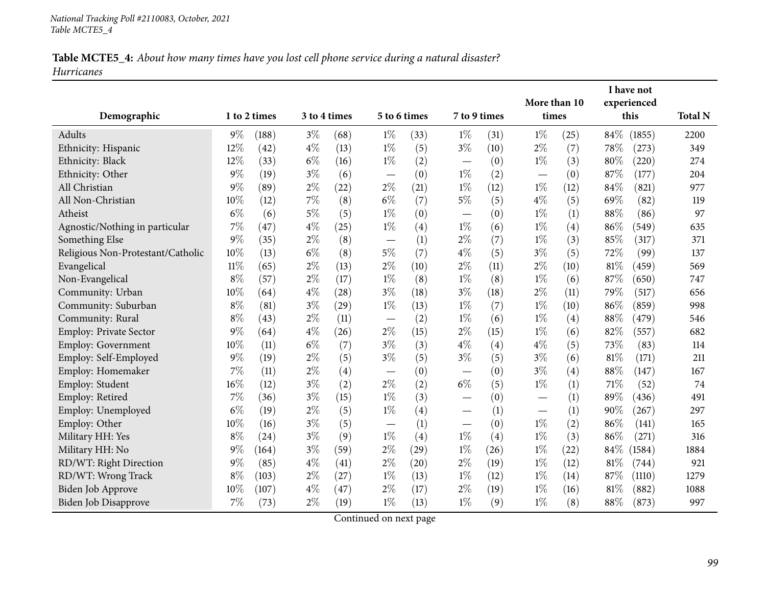|                                   |        |              |       |              |                                 |      |                               |      | More than 10 |      |        | I have not<br>experienced |                |
|-----------------------------------|--------|--------------|-------|--------------|---------------------------------|------|-------------------------------|------|--------------|------|--------|---------------------------|----------------|
| Demographic                       |        | 1 to 2 times |       | 3 to 4 times | 5 to 6 times                    |      | 7 to 9 times                  |      | times        |      |        | this                      | <b>Total N</b> |
| Adults                            | $9\%$  | (188)        | $3\%$ | (68)         | $1\%$                           | (33) | $1\%$                         | (31) | $1\%$        | (25) | $84\%$ | (1855)                    | 2200           |
| Ethnicity: Hispanic               | 12%    | (42)         | $4\%$ | (13)         | $1\%$                           | (5)  | $3\%$                         | (10) | $2\%$        | (7)  | 78\%   | (273)                     | 349            |
| Ethnicity: Black                  | 12%    | (33)         | $6\%$ | (16)         | $1\%$                           | (2)  |                               | (0)  | $1\%$        | (3)  | 80%    | (220)                     | 274            |
| Ethnicity: Other                  | 9%     | (19)         | $3\%$ | (6)          |                                 | (0)  | $1\%$                         | (2)  | —            | (0)  | 87%    | (177)                     | 204            |
| All Christian                     | 9%     | (89)         | $2\%$ | (22)         | $2\%$                           | (21) | $1\%$                         | (12) | $1\%$        | (12) | 84%    | (821)                     | 977            |
| All Non-Christian                 | 10%    | (12)         | 7%    | (8)          | $6\%$                           | (7)  | $5\%$                         | (5)  | $4\%$        | (5)  | 69%    | (82)                      | 119            |
| Atheist                           | $6\%$  | (6)          | $5\%$ | (5)          | $1\%$                           | (0)  |                               | (0)  | $1\%$        | (1)  | 88%    | (86)                      | 97             |
| Agnostic/Nothing in particular    | 7%     | (47)         | $4\%$ | (25)         | $1\%$                           | (4)  | $1\%$                         | (6)  | $1\%$        | (4)  | 86%    | (549)                     | 635            |
| Something Else                    | 9%     | (35)         | $2\%$ | (8)          | $\hspace{0.1mm}-\hspace{0.1mm}$ | (1)  | $2\%$                         | (7)  | $1\%$        | (3)  | 85%    | (317)                     | 371            |
| Religious Non-Protestant/Catholic | 10%    | (13)         | $6\%$ | (8)          | $5\%$                           | (7)  | $4\%$                         | (5)  | $3\%$        | (5)  | 72%    | (99)                      | 137            |
| Evangelical                       | $11\%$ | (65)         | $2\%$ | (13)         | $2\%$                           | (10) | $2\%$                         | (11) | $2\%$        | (10) | 81%    | (459)                     | 569            |
| Non-Evangelical                   | $8\%$  | (57)         | $2\%$ | (17)         | $1\%$                           | (8)  | $1\%$                         | (8)  | $1\%$        | (6)  | 87%    | (650)                     | 747            |
| Community: Urban                  | 10%    | (64)         | $4\%$ | (28)         | $3\%$                           | (18) | $3\%$                         | (18) | $2\%$        | (11) | 79%    | (517)                     | 656            |
| Community: Suburban               | $8\%$  | (81)         | $3\%$ | (29)         | $1\%$                           | (13) | $1\%$                         | (7)  | $1\%$        | (10) | 86%    | (859)                     | 998            |
| Community: Rural                  | $8\%$  | (43)         | $2\%$ | (11)         | $\overline{\phantom{0}}$        | (2)  | $1\%$                         | (6)  | $1\%$        | (4)  | 88%    | (479)                     | 546            |
| Employ: Private Sector            | 9%     | (64)         | $4\%$ | (26)         | $2\%$                           | (15) | $2\%$                         | (15) | $1\%$        | (6)  | 82%    | (557)                     | 682            |
| Employ: Government                | 10%    | (11)         | $6\%$ | (7)          | $3\%$                           | (3)  | $4\%$                         | (4)  | $4\%$        | (5)  | 73%    | (83)                      | 114            |
| Employ: Self-Employed             | 9%     | (19)         | $2\%$ | (5)          | $3\%$                           | (5)  | $3\%$                         | (5)  | $3\%$        | (6)  | 81\%   | (171)                     | 211            |
| Employ: Homemaker                 | 7%     | (11)         | $2\%$ | (4)          | $\hspace{0.1mm}-\hspace{0.1mm}$ | (0)  |                               | (0)  | $3\%$        | (4)  | 88%    | (147)                     | 167            |
| Employ: Student                   | 16%    | (12)         | $3\%$ | (2)          | $2\%$                           | (2)  | $6\%$                         | (5)  | $1\%$        | (1)  | 71\%   | (52)                      | 74             |
| Employ: Retired                   | 7%     | (36)         | $3\%$ | (15)         | $1\%$                           | (3)  | $\overbrace{\phantom{aaaaa}}$ | (0)  |              | (1)  | 89%    | (436)                     | 491            |
| Employ: Unemployed                | $6\%$  | (19)         | $2\%$ | (5)          | $1\%$                           | (4)  |                               | (1)  | —            | (1)  | 90%    | (267)                     | 297            |
| Employ: Other                     | 10%    | (16)         | $3\%$ | (5)          |                                 | (1)  | $\overbrace{\phantom{12333}}$ | (0)  | $1\%$        | (2)  | 86%    | (141)                     | 165            |
| Military HH: Yes                  | $8\%$  | (24)         | $3\%$ | (9)          | $1\%$                           | (4)  | $1\%$                         | (4)  | $1\%$        | (3)  | 86%    | (271)                     | 316            |
| Military HH: No                   | 9%     | (164)        | $3\%$ | (59)         | $2\%$                           | (29) | $1\%$                         | (26) | $1\%$        | (22) | 84\%   | (1584)                    | 1884           |
| RD/WT: Right Direction            | 9%     | (85)         | $4\%$ | (41)         | $2\%$                           | (20) | $2\%$                         | (19) | $1\%$        | (12) | 81%    | (744)                     | 921            |
| RD/WT: Wrong Track                | $8\%$  | (103)        | $2\%$ | (27)         | $1\%$                           | (13) | $1\%$                         | (12) | $1\%$        | (14) | 87\%   | (1110)                    | 1279           |
| Biden Job Approve                 | 10%    | (107)        | $4\%$ | (47)         | $2\%$                           | (17) | $2\%$                         | (19) | $1\%$        | (16) | 81%    | (882)                     | 1088           |
| Biden Job Disapprove              | 7%     | (73)         | $2\%$ | (19)         | $1\%$                           | (13) | $1\%$                         | (9)  | $1\%$        | (8)  | $88\%$ | (873)                     | 997            |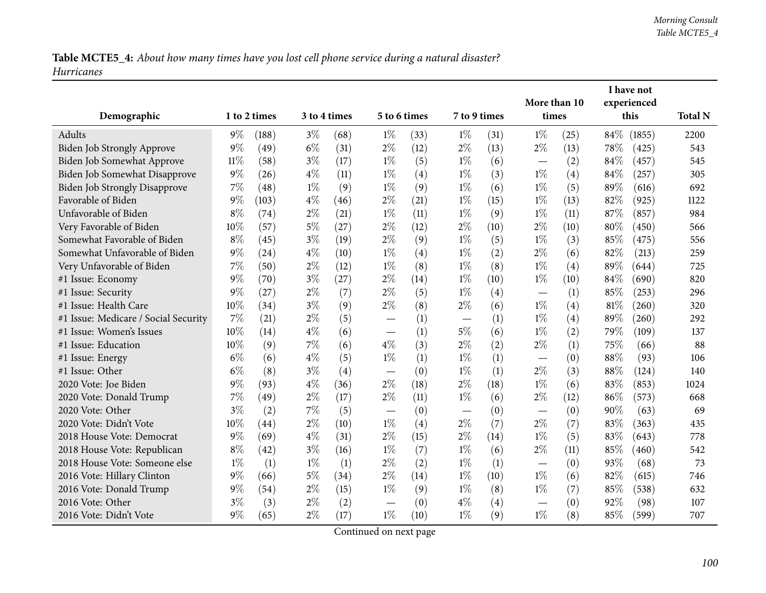|                                      |        |              |       |              |                               |      |              |      | I have not   |      |        |             |                |
|--------------------------------------|--------|--------------|-------|--------------|-------------------------------|------|--------------|------|--------------|------|--------|-------------|----------------|
|                                      |        |              |       |              |                               |      |              |      | More than 10 |      |        | experienced |                |
| Demographic                          |        | 1 to 2 times |       | 3 to 4 times | 5 to 6 times                  |      | 7 to 9 times |      | times        |      |        | this        | <b>Total N</b> |
| Adults                               | $9\%$  | (188)        | $3\%$ | (68)         | $1\%$                         | (33) | $1\%$        | (31) | $1\%$        | (25) | $84\%$ | (1855)      | 2200           |
| Biden Job Strongly Approve           | 9%     | (49)         | $6\%$ | (31)         | $2\%$                         | (12) | $2\%$        | (13) | $2\%$        | (13) | 78%    | (425)       | 543            |
| Biden Job Somewhat Approve           | $11\%$ | (58)         | $3\%$ | (17)         | $1\%$                         | (5)  | $1\%$        | (6)  |              | (2)  | 84%    | (457)       | 545            |
| Biden Job Somewhat Disapprove        | $9\%$  | (26)         | $4\%$ | (11)         | $1\%$                         | (4)  | $1\%$        | (3)  | $1\%$        | (4)  | 84%    | (257)       | 305            |
| <b>Biden Job Strongly Disapprove</b> | 7%     | (48)         | $1\%$ | (9)          | $1\%$                         | (9)  | $1\%$        | (6)  | $1\%$        | (5)  | 89%    | (616)       | 692            |
| Favorable of Biden                   | 9%     | (103)        | $4\%$ | (46)         | $2\%$                         | (21) | $1\%$        | (15) | $1\%$        | (13) | 82%    | (925)       | 1122           |
| Unfavorable of Biden                 | $8\%$  | (74)         | $2\%$ | (21)         | $1\%$                         | (11) | $1\%$        | (9)  | $1\%$        | (11) | 87%    | (857)       | 984            |
| Very Favorable of Biden              | 10%    | (57)         | $5\%$ | (27)         | $2\%$                         | (12) | $2\%$        | (10) | $2\%$        | (10) | 80%    | (450)       | 566            |
| Somewhat Favorable of Biden          | $8\%$  | (45)         | $3\%$ | (19)         | $2\%$                         | (9)  | $1\%$        | (5)  | $1\%$        | (3)  | 85%    | (475)       | 556            |
| Somewhat Unfavorable of Biden        | $9\%$  | (24)         | 4%    | (10)         | $1\%$                         | (4)  | $1\%$        | (2)  | $2\%$        | (6)  | 82%    | (213)       | 259            |
| Very Unfavorable of Biden            | 7%     | (50)         | $2\%$ | (12)         | $1\%$                         | (8)  | $1\%$        | (8)  | $1\%$        | (4)  | 89%    | (644)       | 725            |
| #1 Issue: Economy                    | $9\%$  | (70)         | $3\%$ | (27)         | $2\%$                         | (14) | $1\%$        | (10) | $1\%$        | (10) | 84%    | (690)       | 820            |
| #1 Issue: Security                   | 9%     | (27)         | $2\%$ | (7)          | $2\%$                         | (5)  | $1\%$        | (4)  |              | (1)  | 85%    | (253)       | 296            |
| #1 Issue: Health Care                | 10%    | (34)         | $3\%$ | (9)          | $2\%$                         | (8)  | $2\%$        | (6)  | $1\%$        | (4)  | $81\%$ | (260)       | 320            |
| #1 Issue: Medicare / Social Security | 7%     | (21)         | $2\%$ | (5)          |                               | (1)  |              | (1)  | $1\%$        | (4)  | 89%    | (260)       | 292            |
| #1 Issue: Women's Issues             | $10\%$ | (14)         | $4\%$ | (6)          |                               | (1)  | $5\%$        | (6)  | $1\%$        | (2)  | 79%    | (109)       | 137            |
| #1 Issue: Education                  | 10%    | (9)          | $7\%$ | (6)          | $4\%$                         | (3)  | $2\%$        | (2)  | $2\%$        | (1)  | 75%    | (66)        | 88             |
| #1 Issue: Energy                     | $6\%$  | (6)          | $4\%$ | (5)          | $1\%$                         | (1)  | $1\%$        | (1)  |              | (0)  | 88%    | (93)        | 106            |
| #1 Issue: Other                      | $6\%$  | (8)          | $3\%$ | (4)          | $\overbrace{\phantom{aaaaa}}$ | (0)  | $1\%$        | (1)  | $2\%$        | (3)  | 88%    | (124)       | 140            |
| 2020 Vote: Joe Biden                 | 9%     | (93)         | $4\%$ | (36)         | $2\%$                         | (18) | $2\%$        | (18) | $1\%$        | (6)  | 83%    | (853)       | 1024           |
| 2020 Vote: Donald Trump              | 7%     | (49)         | $2\%$ | (17)         | $2\%$                         | (11) | $1\%$        | (6)  | $2\%$        | (12) | 86%    | (573)       | 668            |
| 2020 Vote: Other                     | $3\%$  | (2)          | 7%    | (5)          |                               | (0)  |              | (0)  |              | (0)  | 90%    | (63)        | 69             |
| 2020 Vote: Didn't Vote               | 10%    | (44)         | $2\%$ | (10)         | $1\%$                         | (4)  | $2\%$        | (7)  | $2\%$        | (7)  | 83%    | (363)       | 435            |
| 2018 House Vote: Democrat            | $9\%$  | (69)         | $4\%$ | (31)         | $2\%$                         | (15) | $2\%$        | (14) | $1\%$        | (5)  | 83%    | (643)       | 778            |
| 2018 House Vote: Republican          | $8\%$  | (42)         | $3\%$ | (16)         | $1\%$                         | (7)  | $1\%$        | (6)  | $2\%$        | (11) | 85%    | (460)       | 542            |
| 2018 House Vote: Someone else        | $1\%$  | (1)          | $1\%$ | (1)          | $2\%$                         | (2)  | $1\%$        | (1)  |              | (0)  | 93%    | (68)        | 73             |
| 2016 Vote: Hillary Clinton           | $9\%$  | (66)         | $5\%$ | (34)         | $2\%$                         | (14) | $1\%$        | (10) | $1\%$        | (6)  | 82%    | (615)       | 746            |
| 2016 Vote: Donald Trump              | $9\%$  | (54)         | $2\%$ | (15)         | $1\%$                         | (9)  | $1\%$        | (8)  | $1\%$        | (7)  | 85%    | (538)       | 632            |
| 2016 Vote: Other                     | $3\%$  | (3)          | $2\%$ | (2)          | $\overbrace{\phantom{13333}}$ | (0)  | $4\%$        | (4)  |              | (0)  | 92%    | (98)        | 107            |
| 2016 Vote: Didn't Vote               | $9\%$  | (65)         | $2\%$ | (17)         | $1\%$                         | (10) | $1\%$        | (9)  | $1\%$        | (8)  | 85%    | (599)       | 707            |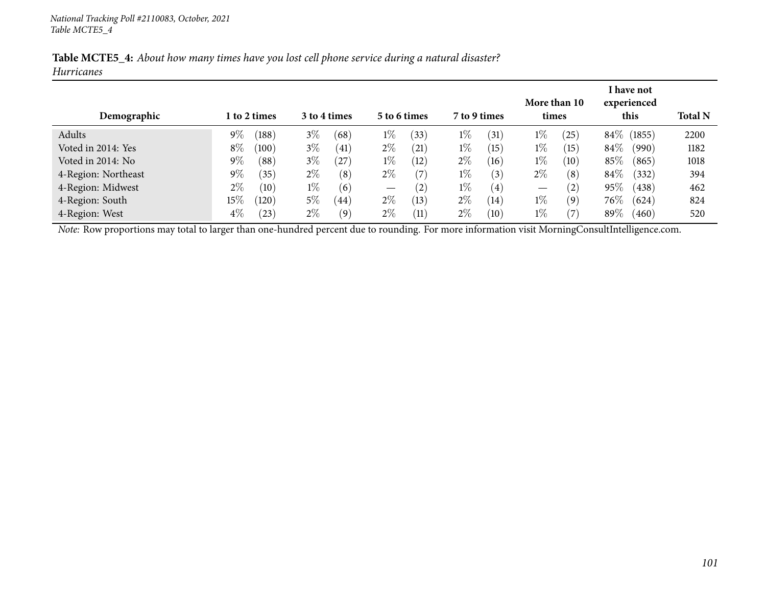|                   | Table MCTE5_4: About how many times have you lost cell phone service during a natural disaster? |  |  |
|-------------------|-------------------------------------------------------------------------------------------------|--|--|
| <b>Hurricanes</b> |                                                                                                 |  |  |

|                     |        |              |       |              |                   |                    |              |                   |       | More than 10      |        | I have not<br>experienced |                |
|---------------------|--------|--------------|-------|--------------|-------------------|--------------------|--------------|-------------------|-------|-------------------|--------|---------------------------|----------------|
| Demographic         |        | 1 to 2 times |       | 3 to 4 times |                   | 5 to 6 times       | 7 to 9 times |                   | times |                   |        | this                      | <b>Total N</b> |
| Adults              | $9\%$  | (188)        | $3\%$ | (68)         | $1\%$             | (33)               | $1\%$        | (31)              | $1\%$ | $\left(25\right)$ | $84\%$ | (1855)                    | 2200           |
| Voted in 2014: Yes  | $8\%$  | (100)        | $3\%$ | (41)         | $2\%$             | $\left( 21\right)$ | $1\%$        | (15)              | $1\%$ | (15)              | 84\%   | (990)                     | 1182           |
| Voted in 2014: No   | $9\%$  | (88)         | $3\%$ | (27)         | $1\%$             | (12)               | $2\%$        | (16)              | $1\%$ | (10)              | 85%    | (865)                     | 1018           |
| 4-Region: Northeast | $9\%$  | (35)         | $2\%$ | (8)          | $2\%$             | (7)                | $1\%$        | (3)               | $2\%$ | (8)               | $84\%$ | (332)                     | 394            |
| 4-Region: Midwest   | $2\%$  | (10)         | $1\%$ | (6)          | $\hspace{0.05cm}$ | (2)                | $1\%$        | $\left( 4\right)$ | —     | $\left( 2\right)$ | 95%    | (438)                     | 462            |
| 4-Region: South     | $15\%$ | (120)        | $5\%$ | (44)         | $2\%$             | (13)               | $2\%$        | (14)              | $1\%$ | (9)               | $76\%$ | (624)                     | 824            |
| 4-Region: West      | $4\%$  | $^{(23)}$    | $2\%$ | (9)          | $2\%$             | (11)               | $2\%$        | (10)              | $1\%$ | (7                | $89\%$ | (460)                     | 520            |

*Note:* Row proportions may total to larger than one-hundred percen<sup>t</sup> due to rounding. For more information visit [MorningConsultIntelligence.com](https://morningconsultintelligence.com).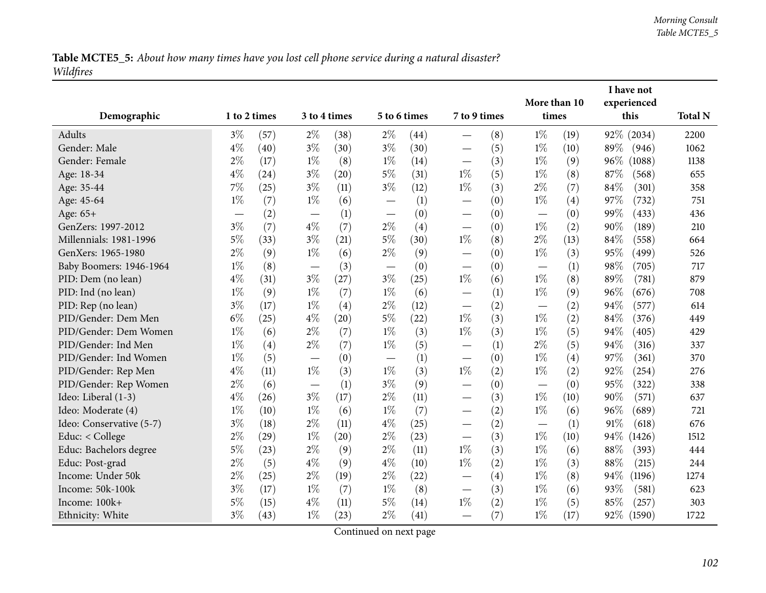Table MCTE5\_5: About how many times have you lost cell phone service during a natural disaster? *Wildfires*

|                          |              |      |       |              |                          |      |                                   |     | I have not<br>More than 10<br>experienced |      |        |            |                |
|--------------------------|--------------|------|-------|--------------|--------------------------|------|-----------------------------------|-----|-------------------------------------------|------|--------|------------|----------------|
| Demographic              | 1 to 2 times |      |       | 3 to 4 times | 5 to 6 times             |      | 7 to 9 times                      |     | times                                     |      |        | this       | <b>Total N</b> |
| <b>Adults</b>            | $3\%$        | (57) | $2\%$ | (38)         | $2\%$                    | (44) |                                   | (8) | $1\%$                                     | (19) |        | 92% (2034) | 2200           |
| Gender: Male             | $4\%$        | (40) | $3\%$ | (30)         | $3\%$                    | (30) | $\overline{\phantom{0}}$          | (5) | $1\%$                                     | (10) | 89%    | (946)      | 1062           |
| Gender: Female           | $2\%$        | (17) | $1\%$ | (8)          | $1\%$                    | (14) | $\overbrace{\phantom{123221111}}$ | (3) | $1\%$                                     | (9)  | 96%    | (1088)     | 1138           |
| Age: 18-34               | $4\%$        | (24) | $3\%$ | (20)         | $5\%$                    | (31) | $1\%$                             | (5) | $1\%$                                     | (8)  | $87\%$ | (568)      | 655            |
| Age: 35-44               | $7\%$        | (25) | $3\%$ | (11)         | $3\%$                    | (12) | $1\%$                             | (3) | $2\%$                                     | (7)  | 84%    | (301)      | 358            |
| Age: 45-64               | $1\%$        | (7)  | $1\%$ | (6)          | $\overline{\phantom{0}}$ | (1)  | $\overline{\phantom{0}}$          | (0) | $1\%$                                     | (4)  | 97%    | (732)      | 751            |
| Age: 65+                 |              | (2)  |       | (1)          |                          | (0)  | $\overline{\phantom{0}}$          | (0) | —                                         | (0)  | 99%    | (433)      | 436            |
| GenZers: 1997-2012       | $3\%$        | (7)  | $4\%$ | (7)          | $2\%$                    | (4)  |                                   | (0) | $1\%$                                     | (2)  | 90%    | (189)      | 210            |
| Millennials: 1981-1996   | $5\%$        | (33) | $3\%$ | (21)         | $5\%$                    | (30) | $1\%$                             | (8) | $2\%$                                     | (13) | 84%    | (558)      | 664            |
| GenXers: 1965-1980       | $2\%$        | (9)  | $1\%$ | (6)          | $2\%$                    | (9)  | $\overline{\phantom{0}}$          | (0) | $1\%$                                     | (3)  | 95%    | (499)      | 526            |
| Baby Boomers: 1946-1964  | $1\%$        | (8)  |       | (3)          |                          | (0)  | $\overline{\phantom{0}}$          | (0) | $\overline{\phantom{0}}$                  | (1)  | 98%    | (705)      | 717            |
| PID: Dem (no lean)       | $4\%$        | (31) | $3\%$ | (27)         | $3\%$                    | (25) | $1\%$                             | (6) | $1\%$                                     | (8)  | 89%    | (781)      | 879            |
| PID: Ind (no lean)       | $1\%$        | (9)  | $1\%$ | (7)          | $1\%$                    | (6)  |                                   | (1) | $1\%$                                     | (9)  | 96%    | (676)      | 708            |
| PID: Rep (no lean)       | $3\%$        | (17) | $1\%$ | (4)          | $2\%$                    | (12) |                                   | (2) |                                           | (2)  | 94%    | (577)      | 614            |
| PID/Gender: Dem Men      | $6\%$        | (25) | $4\%$ | (20)         | $5\%$                    | (22) | $1\%$                             | (3) | $1\%$                                     | (2)  | 84%    | (376)      | 449            |
| PID/Gender: Dem Women    | $1\%$        | (6)  | $2\%$ | (7)          | $1\%$                    | (3)  | $1\%$                             | (3) | $1\%$                                     | (5)  | 94%    | (405)      | 429            |
| PID/Gender: Ind Men      | $1\%$        | (4)  | $2\%$ | (7)          | $1\%$                    | (5)  | —                                 | (1) | $2\%$                                     | (5)  | 94%    | (316)      | 337            |
| PID/Gender: Ind Women    | $1\%$        | (5)  |       | (0)          |                          | (1)  |                                   | (0) | $1\%$                                     | (4)  | 97%    | (361)      | 370            |
| PID/Gender: Rep Men      | $4\%$        | (11) | $1\%$ | (3)          | $1\%$                    | (3)  | $1\%$                             | (2) | $1\%$                                     | (2)  | 92%    | (254)      | 276            |
| PID/Gender: Rep Women    | $2\%$        | (6)  |       | (1)          | $3\%$                    | (9)  |                                   | (0) |                                           | (0)  | 95%    | (322)      | 338            |
| Ideo: Liberal (1-3)      | $4\%$        | (26) | $3\%$ | (17)         | $2\%$                    | (11) |                                   | (3) | $1\%$                                     | (10) | 90%    | (571)      | 637            |
| Ideo: Moderate (4)       | $1\%$        | (10) | $1\%$ | (6)          | $1\%$                    | (7)  | $\overline{\phantom{0}}$          | (2) | $1\%$                                     | (6)  | 96%    | (689)      | 721            |
| Ideo: Conservative (5-7) | $3\%$        | (18) | $2\%$ | (11)         | $4\%$                    | (25) |                                   | (2) |                                           | (1)  | 91%    | (618)      | 676            |
| Educ: < College          | $2\%$        | (29) | $1\%$ | (20)         | $2\%$                    | (23) | $\overline{\phantom{0}}$          | (3) | $1\%$                                     | (10) | $94\%$ | (1426)     | 1512           |
| Educ: Bachelors degree   | $5\%$        | (23) | $2\%$ | (9)          | $2\%$                    | (11) | $1\%$                             | (3) | $1\%$                                     | (6)  | $88\%$ | (393)      | 444            |
| Educ: Post-grad          | $2\%$        | (5)  | $4\%$ | (9)          | $4\%$                    | (10) | $1\%$                             | (2) | $1\%$                                     | (3)  | 88%    | (215)      | 244            |
| Income: Under 50k        | $2\%$        | (25) | $2\%$ | (19)         | $2\%$                    | (22) |                                   | (4) | $1\%$                                     | (8)  | 94%    | (1196)     | 1274           |
| Income: 50k-100k         | $3\%$        | (17) | $1\%$ | (7)          | $1\%$                    | (8)  |                                   | (3) | $1\%$                                     | (6)  | 93%    | (581)      | 623            |
| Income: 100k+            | $5\%$        | (15) | $4\%$ | (11)         | $5\%$                    | (14) | $1\%$                             | (2) | $1\%$                                     | (5)  | 85%    | (257)      | 303            |
| Ethnicity: White         | $3\%$        | (43) | $1\%$ | (23)         | $2\%$                    | (41) |                                   | (7) | $1\%$                                     | (17) |        | 92% (1590) | 1722           |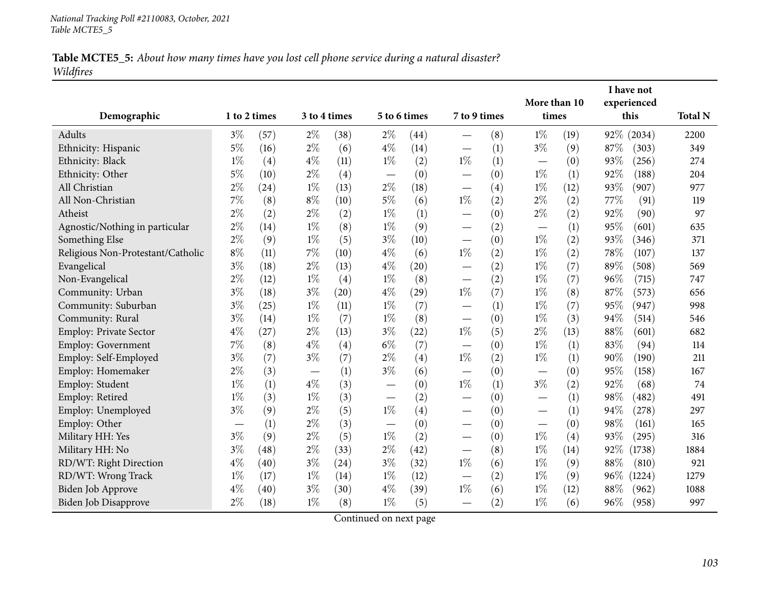## Table MCTE5\_5: About how many times have you lost cell phone service during a natural disaster? *Wildfires*

|                                   |              |                    |       |              |       |                    |                                 |              | More than 10                  |       | I have not<br>experienced |            |                |
|-----------------------------------|--------------|--------------------|-------|--------------|-------|--------------------|---------------------------------|--------------|-------------------------------|-------|---------------------------|------------|----------------|
| Demographic                       | 1 to 2 times |                    |       | 3 to 4 times |       | 5 to 6 times       |                                 | 7 to 9 times |                               | times |                           | this       | <b>Total N</b> |
| Adults                            | $3\%$        | (57)               | $2\%$ | (38)         | $2\%$ | (44)               |                                 | (8)          | $1\%$                         | (19)  |                           | 92% (2034) | 2200           |
| Ethnicity: Hispanic               | $5\%$        | (16)               | $2\%$ | (6)          | $4\%$ | (14)               |                                 | (1)          | $3\%$                         | (9)   | 87%                       | (303)      | 349            |
| Ethnicity: Black                  | $1\%$        | (4)                | $4\%$ | (11)         | $1\%$ | (2)                | $1\%$                           | (1)          |                               | (0)   | 93%                       | (256)      | 274            |
| Ethnicity: Other                  | $5\%$        | (10)               | $2\%$ | (4)          |       | (0)                |                                 | (0)          | $1\%$                         | (1)   | 92%                       | (188)      | 204            |
| All Christian                     | $2\%$        | $\left( 24\right)$ | $1\%$ | (13)         | $2\%$ | (18)               |                                 | (4)          | $1\%$                         | (12)  | 93%                       | (907)      | 977            |
| All Non-Christian                 | 7%           | (8)                | $8\%$ | (10)         | $5\%$ | (6)                | $1\%$                           | (2)          | $2\%$                         | (2)   | 77%                       | (91)       | 119            |
| Atheist                           | $2\%$        | (2)                | $2\%$ | (2)          | $1\%$ | (1)                | $\overline{\phantom{0}}$        | (0)          | $2\%$                         | (2)   | 92%                       | (90)       | 97             |
| Agnostic/Nothing in particular    | $2\%$        | (14)               | $1\%$ | (8)          | $1\%$ | (9)                |                                 | (2)          |                               | (1)   | 95%                       | (601)      | 635            |
| Something Else                    | $2\%$        | (9)                | $1\%$ | (5)          | $3\%$ | (10)               |                                 | (0)          | $1\%$                         | (2)   | 93%                       | (346)      | 371            |
| Religious Non-Protestant/Catholic | $8\%$        | (11)               | 7%    | (10)         | $4\%$ | (6)                | $1\%$                           | (2)          | $1\%$                         | (2)   | 78%                       | (107)      | 137            |
| Evangelical                       | $3\%$        | (18)               | $2\%$ | (13)         | $4\%$ | $\left( 20\right)$ | —                               | (2)          | $1\%$                         | (7)   | 89%                       | (508)      | 569            |
| Non-Evangelical                   | $2\%$        | (12)               | $1\%$ | (4)          | $1\%$ | (8)                |                                 | (2)          | $1\%$                         | (7)   | 96%                       | (715)      | 747            |
| Community: Urban                  | $3\%$        | (18)               | $3\%$ | (20)         | $4\%$ | (29)               | $1\%$                           | (7)          | $1\%$                         | (8)   | 87%                       | (573)      | 656            |
| Community: Suburban               | $3\%$        | (25)               | $1\%$ | (11)         | $1\%$ | (7)                |                                 | (1)          | $1\%$                         | (7)   | 95%                       | (947)      | 998            |
| Community: Rural                  | $3\%$        | (14)               | $1\%$ | (7)          | $1\%$ | (8)                | —                               | (0)          | $1\%$                         | (3)   | 94%                       | (514)      | 546            |
| <b>Employ: Private Sector</b>     | $4\%$        | (27)               | $2\%$ | (13)         | $3\%$ | (22)               | $1\%$                           | (5)          | $2\%$                         | (13)  | 88%                       | (601)      | 682            |
| Employ: Government                | 7%           | (8)                | $4\%$ | (4)          | $6\%$ | (7)                |                                 | (0)          | $1\%$                         | (1)   | 83%                       | (94)       | 114            |
| Employ: Self-Employed             | $3\%$        | (7)                | $3\%$ | (7)          | $2\%$ | (4)                | $1\%$                           | (2)          | $1\%$                         | (1)   | 90%                       | (190)      | 211            |
| Employ: Homemaker                 | $2\%$        | (3)                |       | (1)          | $3\%$ | (6)                | $\hspace{0.1mm}-\hspace{0.1mm}$ | (0)          | $\overbrace{\phantom{aaaaa}}$ | (0)   | 95%                       | (158)      | 167            |
| Employ: Student                   | $1\%$        | (1)                | $4\%$ | (3)          |       | (0)                | $1\%$                           | (1)          | $3\%$                         | (2)   | 92%                       | (68)       | 74             |
| Employ: Retired                   | $1\%$        | (3)                | $1\%$ | (3)          |       | (2)                | $\overline{\phantom{0}}$        | (0)          |                               | (1)   | 98%                       | (482)      | 491            |
| Employ: Unemployed                | $3\%$        | (9)                | $2\%$ | (5)          | $1\%$ | (4)                | $\overline{\phantom{0}}$        | (0)          |                               | (1)   | 94%                       | (278)      | 297            |
| Employ: Other                     |              | (1)                | $2\%$ | (3)          |       | (0)                |                                 | (0)          |                               | (0)   | 98%                       | (161)      | 165            |
| Military HH: Yes                  | $3\%$        | (9)                | $2\%$ | (5)          | $1\%$ | (2)                |                                 | (0)          | $1\%$                         | (4)   | 93%                       | (295)      | 316            |
| Military HH: No                   | $3\%$        | (48)               | $2\%$ | (33)         | $2\%$ | (42)               |                                 | (8)          | $1\%$                         | (14)  | 92%                       | (1738)     | 1884           |
| RD/WT: Right Direction            | $4\%$        | (40)               | $3\%$ | (24)         | $3\%$ | (32)               | $1\%$                           | (6)          | $1\%$                         | (9)   | 88%                       | (810)      | 921            |
| RD/WT: Wrong Track                | $1\%$        | (17)               | $1\%$ | (14)         | $1\%$ | (12)               |                                 | (2)          | $1\%$                         | (9)   | 96%                       | (1224)     | 1279           |
| Biden Job Approve                 | $4\%$        | (40)               | $3\%$ | (30)         | $4\%$ | (39)               | $1\%$                           | (6)          | $1\%$                         | (12)  | 88%                       | (962)      | 1088           |
| Biden Job Disapprove              | $2\%$        | (18)               | $1\%$ | (8)          | $1\%$ | (5)                |                                 | (2)          | $1\%$                         | (6)   | 96%                       | (958)      | 997            |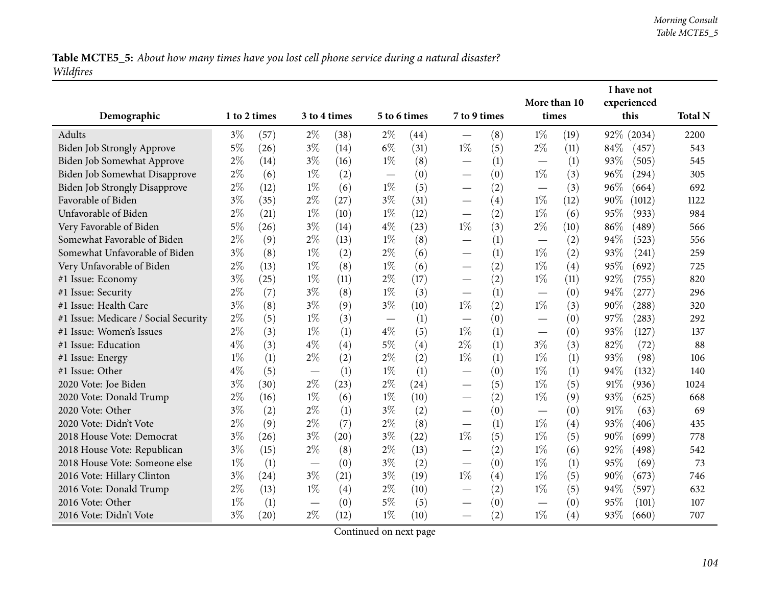Table MCTE5\_5: About how many times have you lost cell phone service during a natural disaster? *Wildfires*

|                                      |              |      |       |               |                |              |                                  |     |                                 |                   |            | I have not          |                |
|--------------------------------------|--------------|------|-------|---------------|----------------|--------------|----------------------------------|-----|---------------------------------|-------------------|------------|---------------------|----------------|
| Demographic                          | 1 to 2 times |      |       | 3 to 4 times  |                | 5 to 6 times | 7 to 9 times                     |     | More than 10<br>times           |                   |            | experienced<br>this | <b>Total N</b> |
| Adults                               | $3\%$        | (57) |       | $2\%$<br>(38) |                | (44)         |                                  | (8) | $1\%$                           | (19)              | 92% (2034) |                     | 2200           |
| <b>Biden Job Strongly Approve</b>    | $5\%$        | (26) | $3\%$ | (14)          | $2\%$<br>$6\%$ | (31)         | $1\%$                            | (5) | $2\%$                           | (11)              | $84\%$     | (457)               | 543            |
| Biden Job Somewhat Approve           | $2\%$        | (14) | $3\%$ | (16)          | $1\%$          | (8)          | $\overline{\phantom{0}}$         | (1) |                                 | (1)               | 93%        | (505)               | 545            |
| Biden Job Somewhat Disapprove        | $2\%$        | (6)  | $1\%$ | (2)           |                | (0)          |                                  | (0) | $1\%$                           | (3)               | 96%        | (294)               | 305            |
| <b>Biden Job Strongly Disapprove</b> | $2\%$        | (12) | $1\%$ | (6)           | $1\%$          | (5)          |                                  | (2) |                                 | (3)               | 96%        | (664)               | 692            |
| Favorable of Biden                   | $3\%$        | (35) | $2\%$ | (27)          | $3\%$          | (31)         | $\overline{\phantom{0}}$         | (4) | $1\%$                           | (12)              | 90%        | (1012)              | 1122           |
| Unfavorable of Biden                 | $2\%$        | (21) | $1\%$ | (10)          | $1\%$          | (12)         | $\hspace{0.1mm}-\hspace{0.1mm}$  | (2) | $1\%$                           | (6)               | 95%        | (933)               | 984            |
| Very Favorable of Biden              | $5\%$        | (26) | $3\%$ | (14)          | $4\%$          | (23)         | $1\%$                            | (3) | $2\%$                           | (10)              | 86%        | (489)               | 566            |
| Somewhat Favorable of Biden          | $2\%$        | (9)  | $2\%$ | (13)          | $1\%$          | (8)          |                                  | (1) |                                 | (2)               | 94%        | (523)               | 556            |
| Somewhat Unfavorable of Biden        | $3\%$        | (8)  | $1\%$ | (2)           | $2\%$          | (6)          | $\overline{\phantom{0}}$         | (1) | $1\%$                           | (2)               | 93%        | (241)               | 259            |
| Very Unfavorable of Biden            | $2\%$        | (13) | $1\%$ | (8)           | $1\%$          | (6)          | $\overline{\phantom{0}}$         | (2) | $1\%$                           | (4)               | 95%        | (692)               | 725            |
| #1 Issue: Economy                    | $3\%$        | (25) | $1\%$ | (11)          | $2\%$          | (17)         | $\overline{\phantom{0}}$         | (2) | $1\%$                           | (11)              | 92%        | (755)               | 820            |
| #1 Issue: Security                   | $2\%$        | (7)  | $3\%$ | (8)           | $1\%$          | (3)          |                                  | (1) |                                 | (0)               | 94%        | (277)               | 296            |
| #1 Issue: Health Care                | $3\%$        | (8)  | $3\%$ | (9)           | $3\%$          | (10)         | $1\%$                            | (2) | $1\%$                           | (3)               | 90%        | (288)               | 320            |
| #1 Issue: Medicare / Social Security | $2\%$        | (5)  | $1\%$ | (3)           |                | (1)          | $\overline{\phantom{0}}$         | (0) |                                 | (0)               | 97%        | (283)               | 292            |
| #1 Issue: Women's Issues             | $2\%$        | (3)  | $1\%$ | (1)           | $4\%$          | (5)          | $1\%$                            | (1) |                                 | (0)               | 93%        | (127)               | 137            |
| #1 Issue: Education                  | $4\%$        | (3)  | $4\%$ | (4)           | $5\%$          | (4)          | $2\%$                            | (1) | $3\%$                           | (3)               | 82%        | (72)                | 88             |
| #1 Issue: Energy                     | $1\%$        | (1)  | $2\%$ | (2)           | $2\%$          | (2)          | $1\%$                            | (1) | $1\%$                           | (1)               | 93%        | (98)                | 106            |
| #1 Issue: Other                      | $4\%$        | (5)  |       | (1)           | $1\%$          | (1)          |                                  | (0) | $1\%$                           | (1)               | 94%        | (132)               | 140            |
| 2020 Vote: Joe Biden                 | $3\%$        | (30) | $2\%$ | (23)          | $2\%$          | (24)         | $\overline{\phantom{0}}$         | (5) | $1\%$                           | (5)               | 91\%       | (936)               | 1024           |
| 2020 Vote: Donald Trump              | $2\%$        | (16) | $1\%$ | (6)           | $1\%$          | (10)         | $\overline{\phantom{0}}$         | (2) | $1\%$                           | (9)               | 93%        | (625)               | 668            |
| 2020 Vote: Other                     | $3\%$        | (2)  | $2\%$ | (1)           | $3\%$          | (2)          | $\overline{\phantom{0}}$         | (0) |                                 | (0)               | 91%        | (63)                | 69             |
| 2020 Vote: Didn't Vote               | $2\%$        | (9)  | $2\%$ | (7)           | $2\%$          | (8)          |                                  | (1) | $1\%$                           | $\left( 4\right)$ | 93%        | (406)               | 435            |
| 2018 House Vote: Democrat            | $3\%$        | (26) | $3\%$ | (20)          | $3\%$          | (22)         | $1\%$                            | (5) | $1\%$                           | (5)               | 90%        | (699)               | 778            |
| 2018 House Vote: Republican          | $3\%$        | (15) | $2\%$ | (8)           | $2\%$          | (13)         | $\overline{\phantom{0}}$         | (2) | $1\%$                           | (6)               | 92%        | (498)               | 542            |
| 2018 House Vote: Someone else        | $1\%$        | (1)  |       | (0)           | $3\%$          | (2)          | $\overline{\phantom{0}}$         | (0) | $1\%$                           | (1)               | 95%        | (69)                | 73             |
| 2016 Vote: Hillary Clinton           | $3\%$        | (24) | $3\%$ | (21)          | $3\%$          | (19)         | $1\%$                            | (4) | $1\%$                           | (5)               | 90%        | (673)               | 746            |
| 2016 Vote: Donald Trump              | $2\%$        | (13) | $1\%$ | (4)           | $2\%$          | (10)         |                                  | (2) | $1\%$                           | (5)               | 94%        | (597)               | 632            |
| 2016 Vote: Other                     | $1\%$        | (1)  |       | (0)           | $5\%$          | (5)          | $\overline{\phantom{0}}$         | (0) | $\hspace{0.1mm}-\hspace{0.1mm}$ | (0)               | 95%        | (101)               | 107            |
| 2016 Vote: Didn't Vote               | $3\%$        | (20) | $2\%$ | (12)          | $1\%$          | (10)         | $\overbrace{\phantom{12322111}}$ | (2) | $1\%$                           | (4)               | 93%        | (660)               | 707            |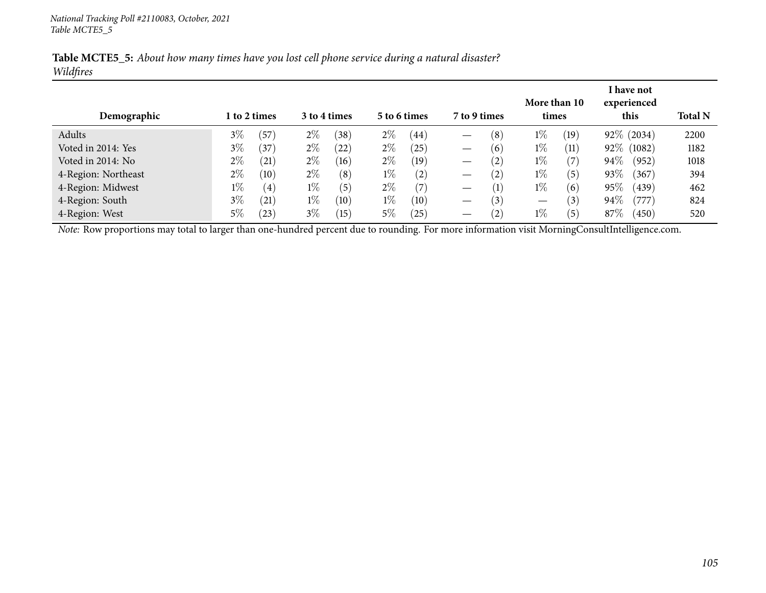| Table MCTE5_5: About how many times have you lost cell phone service during a natural disaster? |  |  |  |
|-------------------------------------------------------------------------------------------------|--|--|--|
| Wildfires                                                                                       |  |  |  |

|                                                                                                                                                       |       |                   |              |      |              |      |                                 |                  | More than 10 |                   |        | I have not<br>experienced |                |  |
|-------------------------------------------------------------------------------------------------------------------------------------------------------|-------|-------------------|--------------|------|--------------|------|---------------------------------|------------------|--------------|-------------------|--------|---------------------------|----------------|--|
| Demographic                                                                                                                                           |       | 1 to 2 times      | 3 to 4 times |      | 5 to 6 times |      | 7 to 9 times                    |                  | times        |                   | this   |                           | <b>Total N</b> |  |
| Adults                                                                                                                                                | $3\%$ | (57)              | $2\%$        | (38) | $2\%$        | (44) |                                 | (8)              | $1\%$        | (19)              |        | 92\% (2034)               | 2200           |  |
| Voted in 2014: Yes                                                                                                                                    | $3\%$ | (37)              | $2\%$        | (22) | $2\%$        | (25) | $\hspace{0.1mm}-\hspace{0.1mm}$ | (6)              | $1\%$        | (11)              | 92% (  | (1082)                    | 1182           |  |
| Voted in 2014: No                                                                                                                                     | $2\%$ | (21)              | $2\%$        | (16) | $2\%$        | (19) |                                 | (2)              | $1\%$        | $\left( 7\right)$ | $94\%$ | (952)                     | 1018           |  |
| 4-Region: Northeast                                                                                                                                   | $2\%$ | (10)              | $2\%$        | (8)  | $1\%$        | (2)  | $\hspace{0.05cm}$               | (2)              | $1\%$        | (5)               | 93%    | (367)                     | 394            |  |
| 4-Region: Midwest                                                                                                                                     | $1\%$ | $\left( 4\right)$ | $1\%$        | (5)  | $2\%$        | (7)  | $\hspace{0.1mm}-\hspace{0.1mm}$ | $\left(1\right)$ | $1\%$        | (6)               | 95%    | (439)                     | 462            |  |
| 4-Region: South                                                                                                                                       | $3\%$ | (21)              | $1\%$        | (10) | $1\%$        | (10) | $\hspace{0.05cm}$               | (3)              |              | $\left(3\right)$  | 94%    | (777)                     | 824            |  |
| 4-Region: West                                                                                                                                        | $5\%$ | $^{(23)}$         | $3\%$        | (15) | $5\%$        | (25) |                                 | (2)              | $1\%$        | (5)               | 87\%   | (450)                     | 520            |  |
| <i>Note:</i> Row proportions may total to larger than one-hundred percent due to rounding. For more information visit MorningConsultIntelligence.com. |       |                   |              |      |              |      |                                 |                  |              |                   |        |                           |                |  |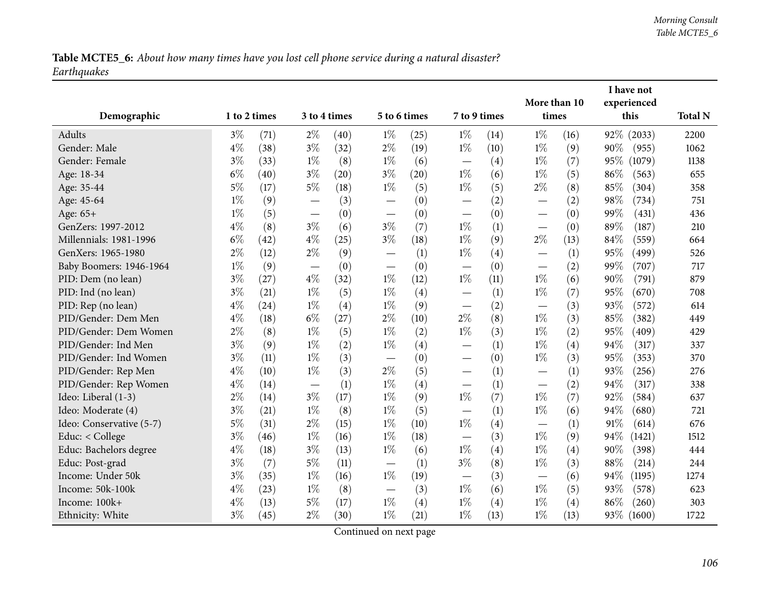Table MCTE5\_6: About how many times have you lost cell phone service during a natural disaster? *Earthquakes*

|                          |              |      |                          |              |                                   |              |                               |              | More than 10                      |       |        | I have not<br>experienced |                |
|--------------------------|--------------|------|--------------------------|--------------|-----------------------------------|--------------|-------------------------------|--------------|-----------------------------------|-------|--------|---------------------------|----------------|
| Demographic              | 1 to 2 times |      |                          | 3 to 4 times |                                   | 5 to 6 times |                               | 7 to 9 times |                                   | times |        | this                      | <b>Total N</b> |
| Adults                   | $3\%$        | (71) | $2\%$                    | (40)         | $1\%$                             | (25)         | $1\%$                         | (14)         | $1\%$                             | (16)  |        | 92% (2033)                | 2200           |
| Gender: Male             | $4\%$        | (38) | $3\%$                    | (32)         | $2\%$                             | (19)         | $1\%$                         | (10)         | $1\%$                             | (9)   | 90%    | (955)                     | 1062           |
| Gender: Female           | $3\%$        | (33) | $1\%$                    | (8)          | $1\%$                             | (6)          |                               | (4)          | $1\%$                             | (7)   | 95%    | (1079)                    | 1138           |
| Age: 18-34               | $6\%$        | (40) | $3\%$                    | (20)         | $3\%$                             | (20)         | $1\%$                         | (6)          | $1\%$                             | (5)   | 86%    | (563)                     | 655            |
| Age: 35-44               | $5\%$        | (17) | $5\%$                    | (18)         | $1\%$                             | (5)          | $1\%$                         | (5)          | $2\%$                             | (8)   | 85%    | (304)                     | 358            |
| Age: 45-64               | $1\%$        | (9)  |                          | (3)          |                                   | (0)          |                               | (2)          | $\overline{\phantom{0}}$          | (2)   | 98%    | (734)                     | 751            |
| Age: 65+                 | $1\%$        | (5)  |                          | (0)          |                                   | (0)          |                               | (0)          |                                   | (0)   | 99%    | (431)                     | 436            |
| GenZers: 1997-2012       | $4\%$        | (8)  | $3\%$                    | (6)          | $3\%$                             | (7)          | $1\%$                         | (1)          | $\overbrace{\phantom{123221111}}$ | (0)   | 89%    | (187)                     | 210            |
| Millennials: 1981-1996   | $6\%$        | (42) | $4\%$                    | (25)         | $3\%$                             | (18)         | $1\%$                         | (9)          | $2\%$                             | (13)  | 84%    | (559)                     | 664            |
| GenXers: 1965-1980       | $2\%$        | (12) | $2\%$                    | (9)          | $\overbrace{\phantom{12322111}}$  | (1)          | $1\%$                         | (4)          | $\overline{\phantom{0}}$          | (1)   | 95%    | (499)                     | 526            |
| Baby Boomers: 1946-1964  | $1\%$        | (9)  |                          | (0)          |                                   | (0)          |                               | (0)          | $\overline{\phantom{0}}$          | (2)   | 99%    | (707)                     | 717            |
| PID: Dem (no lean)       | $3\%$        | (27) | $4\%$                    | (32)         | $1\%$                             | (12)         | $1\%$                         | (11)         | $1\%$                             | (6)   | 90%    | (791)                     | 879            |
| PID: Ind (no lean)       | $3\%$        | (21) | $1\%$                    | (5)          | $1\%$                             | (4)          |                               | (1)          | $1\%$                             | (7)   | 95%    | (670)                     | 708            |
| PID: Rep (no lean)       | $4\%$        | (24) | $1\%$                    | (4)          | $1\%$                             | (9)          | $\overline{\phantom{0}}$      | (2)          |                                   | (3)   | 93%    | (572)                     | 614            |
| PID/Gender: Dem Men      | $4\%$        | (18) | $6\%$                    | (27)         | $2\%$                             | (10)         | $2\%$                         | (8)          | $1\%$                             | (3)   | 85%    | (382)                     | 449            |
| PID/Gender: Dem Women    | $2\%$        | (8)  | $1\%$                    | (5)          | $1\%$                             | (2)          | $1\%$                         | (3)          | $1\%$                             | (2)   | 95%    | (409)                     | 429            |
| PID/Gender: Ind Men      | $3\%$        | (9)  | $1\%$                    | (2)          | $1\%$                             | (4)          | $\overbrace{\phantom{12333}}$ | (1)          | $1\%$                             | (4)   | 94%    | (317)                     | 337            |
| PID/Gender: Ind Women    | $3\%$        | (11) | $1\%$                    | (3)          |                                   | (0)          | $\overline{\phantom{0}}$      | (0)          | $1\%$                             | (3)   | 95%    | (353)                     | 370            |
| PID/Gender: Rep Men      | $4\%$        | (10) | $1\%$                    | (3)          | $2\%$                             | (5)          |                               | (1)          | $\overline{\phantom{0}}$          | (1)   | 93%    | (256)                     | 276            |
| PID/Gender: Rep Women    | $4\%$        | (14) | $\overline{\phantom{m}}$ | (1)          | $1\%$                             | (4)          |                               | (1)          |                                   | (2)   | 94%    | (317)                     | 338            |
| Ideo: Liberal (1-3)      | $2\%$        | (14) | $3\%$                    | (17)         | $1\%$                             | (9)          | $1\%$                         | (7)          | $1\%$                             | (7)   | 92%    | (584)                     | 637            |
| Ideo: Moderate (4)       | $3\%$        | (21) | $1\%$                    | (8)          | $1\%$                             | (5)          |                               | (1)          | $1\%$                             | (6)   | 94%    | (680)                     | 721            |
| Ideo: Conservative (5-7) | $5\%$        | (31) | $2\%$                    | (15)         | $1\%$                             | (10)         | $1\%$                         | (4)          | —                                 | (1)   | $91\%$ | (614)                     | 676            |
| Educ: < College          | $3\%$        | (46) | $1\%$                    | (16)         | $1\%$                             | (18)         |                               | (3)          | $1\%$                             | (9)   | 94%    | (1421)                    | 1512           |
| Educ: Bachelors degree   | $4\%$        | (18) | $3\%$                    | (13)         | $1\%$                             | (6)          | $1\%$                         | (4)          | $1\%$                             | (4)   | 90%    | (398)                     | 444            |
| Educ: Post-grad          | $3\%$        | (7)  | $5\%$                    | (11)         | $\overbrace{\phantom{123221111}}$ | (1)          | $3\%$                         | (8)          | $1\%$                             | (3)   | 88%    | (214)                     | 244            |
| Income: Under 50k        | $3\%$        | (35) | $1\%$                    | (16)         | $1\%$                             | (19)         | $\overbrace{\phantom{12333}}$ | (3)          |                                   | (6)   | 94%    | (1195)                    | 1274           |
| Income: 50k-100k         | $4\%$        | (23) | $1\%$                    | (8)          |                                   | (3)          | $1\%$                         | (6)          | $1\%$                             | (5)   | 93%    | (578)                     | 623            |
| Income: 100k+            | $4\%$        | (13) | $5\%$                    | (17)         | $1\%$                             | (4)          | $1\%$                         | (4)          | $1\%$                             | (4)   | 86%    | (260)                     | 303            |
| Ethnicity: White         | $3\%$        | (45) | $2\%$                    | (30)         | $1\%$                             | (21)         | $1\%$                         | (13)         | $1\%$                             | (13)  |        | 93\% (1600)               | 1722           |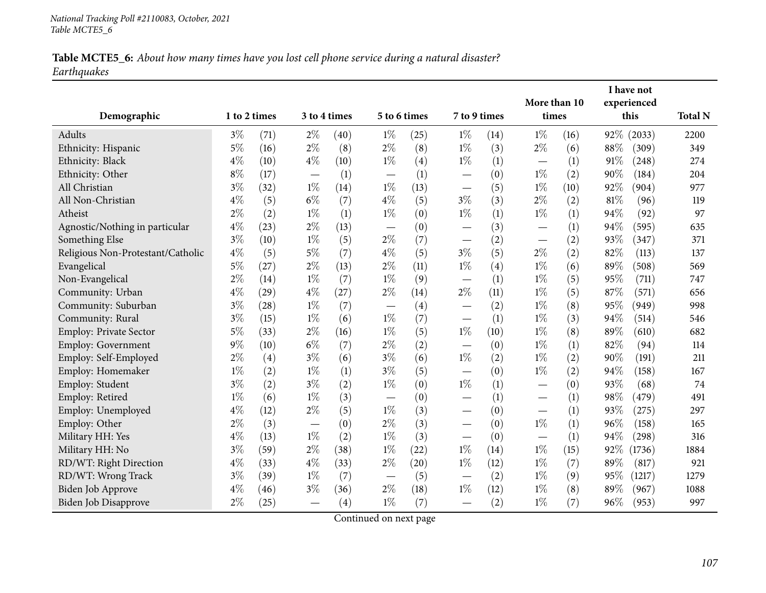# Table MCTE5\_6: About how many times have you lost cell phone service during a natural disaster? *Earthquakes*

| Demographic                       | 1 to 2 times |                    | 3 to 4 times             |      |                                 | 5 to 6 times |                          | 7 to 9 times |                | More than 10<br>times |      | I have not<br>experienced<br>this | <b>Total N</b> |
|-----------------------------------|--------------|--------------------|--------------------------|------|---------------------------------|--------------|--------------------------|--------------|----------------|-----------------------|------|-----------------------------------|----------------|
| Adults                            | $3\%$        | (71)               | $2\%$                    | (40) |                                 | (25)         | $1\%$                    | (14)         |                | (16)                  | 92\% | (2033)                            | 2200           |
| Ethnicity: Hispanic               | $5\%$        | (16)               | $2\%$                    | (8)  | $1\%$<br>$2\%$                  | (8)          | $1\%$                    | (3)          | $1\%$<br>$2\%$ | (6)                   | 88%  | (309)                             | 349            |
| Ethnicity: Black                  | $4\%$        | (10)               | $4\%$                    | (10) | $1\%$                           | (4)          | $1\%$                    | (1)          |                | (1)                   | 91%  | (248)                             | 274            |
| Ethnicity: Other                  | $8\%$        | (17)               | $\overline{\phantom{m}}$ | (1)  |                                 | (1)          |                          | (0)          | $1\%$          | (2)                   | 90%  | (184)                             | 204            |
| All Christian                     | $3\%$        | (32)               | $1\%$                    | (14) | $1\%$                           | (13)         |                          | (5)          | $1\%$          | (10)                  | 92%  | (904)                             | 977            |
| All Non-Christian                 | $4\%$        | (5)                | $6\%$                    | (7)  | $4\%$                           | (5)          | $3\%$                    | (3)          | $2\%$          | (2)                   | 81%  | (96)                              | 119            |
| Atheist                           | $2\%$        | (2)                | $1\%$                    | (1)  | $1\%$                           | (0)          | $1\%$                    | (1)          | $1\%$          | (1)                   | 94%  | (92)                              | 97             |
| Agnostic/Nothing in particular    | $4\%$        | (23)               | $2\%$                    | (13) |                                 | (0)          |                          | (3)          |                | (1)                   | 94%  | (595)                             | 635            |
| Something Else                    | $3\%$        | (10)               | $1\%$                    | (5)  | $2\%$                           | (7)          |                          | (2)          |                | (2)                   | 93%  | (347)                             | 371            |
| Religious Non-Protestant/Catholic | $4\%$        | (5)                | $5\%$                    | (7)  | $4\%$                           | (5)          | $3\%$                    | (5)          | $2\%$          | (2)                   | 82%  | (113)                             | 137            |
| Evangelical                       | $5\%$        | (27)               | $2\%$                    | (13) | $2\%$                           | (11)         | $1\%$                    | (4)          | $1\%$          | (6)                   | 89%  | (508)                             | 569            |
| Non-Evangelical                   | $2\%$        | (14)               | $1\%$                    | (7)  | $1\%$                           | (9)          |                          | (1)          | $1\%$          | (5)                   | 95%  | (711)                             | 747            |
| Community: Urban                  | $4\%$        | $\left( 29\right)$ | $4\%$                    | (27) | $2\%$                           | (14)         | $2\%$                    | (11)         | $1\%$          | (5)                   | 87%  | (571)                             | 656            |
| Community: Suburban               | $3\%$        | (28)               | $1\%$                    | (7)  |                                 | (4)          |                          | (2)          | $1\%$          | (8)                   | 95%  | (949)                             | 998            |
| Community: Rural                  | $3\%$        | (15)               | $1\%$                    | (6)  | $1\%$                           | (7)          | $\overline{\phantom{0}}$ | (1)          | $1\%$          | (3)                   | 94%  | (514)                             | 546            |
| <b>Employ: Private Sector</b>     | $5\%$        | (33)               | $2\%$                    | (16) | $1\%$                           | (5)          | $1\%$                    | (10)         | $1\%$          | (8)                   | 89%  | (610)                             | 682            |
| Employ: Government                | $9\%$        | (10)               | $6\%$                    | (7)  | $2\%$                           | (2)          |                          | (0)          | $1\%$          | (1)                   | 82%  | (94)                              | 114            |
| Employ: Self-Employed             | $2\%$        | (4)                | $3\%$                    | (6)  | $3\%$                           | (6)          | $1\%$                    | (2)          | $1\%$          | (2)                   | 90%  | (191)                             | 211            |
| Employ: Homemaker                 | $1\%$        | (2)                | $1\%$                    | (1)  | $3\%$                           | (5)          | $\overline{\phantom{0}}$ | (0)          | $1\%$          | (2)                   | 94%  | (158)                             | 167            |
| Employ: Student                   | $3\%$        | (2)                | $3\%$                    | (2)  | $1\%$                           | (0)          | $1\%$                    | (1)          |                | (0)                   | 93%  | (68)                              | 74             |
| Employ: Retired                   | $1\%$        | (6)                | $1\%$                    | (3)  |                                 | (0)          | $\overline{\phantom{0}}$ | (1)          |                | (1)                   | 98%  | (479)                             | 491            |
| Employ: Unemployed                | $4\%$        | (12)               | $2\%$                    | (5)  | $1\%$                           | (3)          |                          | (0)          |                | (1)                   | 93%  | (275)                             | 297            |
| Employ: Other                     | $2\%$        | (3)                |                          | (0)  | $2\%$                           | (3)          |                          | (0)          | $1\%$          | (1)                   | 96%  | (158)                             | 165            |
| Military HH: Yes                  | $4\%$        | (13)               | $1\%$                    | (2)  | $1\%$                           | (3)          |                          | (0)          |                | (1)                   | 94%  | (298)                             | 316            |
| Military HH: No                   | $3\%$        | (59)               | $2\%$                    | (38) | $1\%$                           | (22)         | $1\%$                    | (14)         | $1\%$          | (15)                  | 92%  | (1736)                            | 1884           |
| RD/WT: Right Direction            | $4\%$        | (33)               | $4\%$                    | (33) | $2\%$                           | (20)         | $1\%$                    | (12)         | $1\%$          | (7)                   | 89%  | (817)                             | 921            |
| RD/WT: Wrong Track                | $3\%$        | (39)               | $1\%$                    | (7)  | $\hspace{0.1mm}-\hspace{0.1mm}$ | (5)          |                          | (2)          | $1\%$          | (9)                   | 95%  | (1217)                            | 1279           |
| Biden Job Approve                 | $4\%$        | (46)               | $3\%$                    | (36) | $2\%$                           | (18)         | $1\%$                    | (12)         | $1\%$          | (8)                   | 89%  | (967)                             | 1088           |
| Biden Job Disapprove              | $2\%$        | (25)               |                          | (4)  | $1\%$                           | (7)          |                          | (2)          | $1\%$          | (7)                   | 96%  | (953)                             | 997            |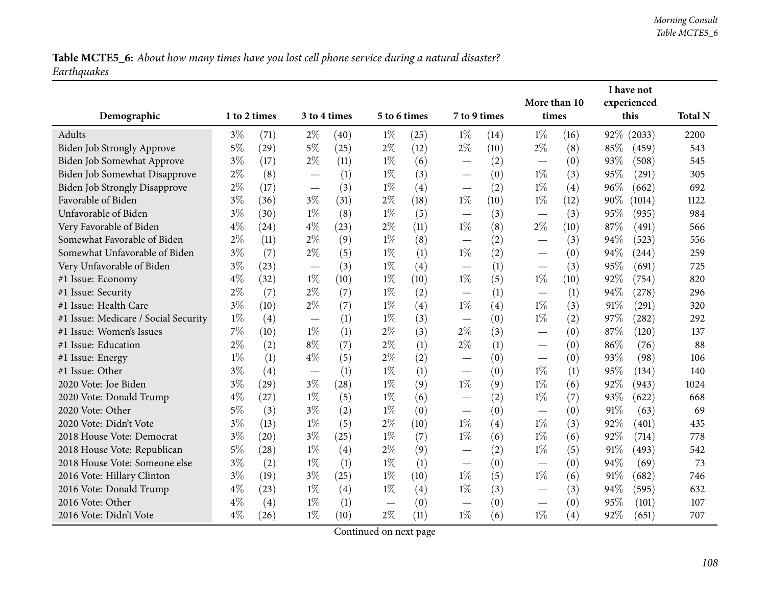Table MCTE5\_6: About how many times have you lost cell phone service during a natural disaster? *Earthquakes*

|                                      |              |      |                                  |              |                               |              |                                  |              |                                 |                       |     | I have not          |                |
|--------------------------------------|--------------|------|----------------------------------|--------------|-------------------------------|--------------|----------------------------------|--------------|---------------------------------|-----------------------|-----|---------------------|----------------|
| Demographic                          | 1 to 2 times |      |                                  | 3 to 4 times |                               | 5 to 6 times |                                  | 7 to 9 times |                                 | More than 10<br>times |     | experienced<br>this | <b>Total N</b> |
| Adults                               | $3\%$        | (71) | $2\%$                            | (40)         | $1\%$                         | (25)         | $1\%$                            | (14)         | $1\%$                           | (16)                  |     | 92% (2033)          | 2200           |
| Biden Job Strongly Approve           | $5\%$        | (29) | $5\%$                            | (25)         | $2\%$                         | (12)         | $2\%$                            | (10)         | $2\%$                           | (8)                   | 85% | (459)               | 543            |
| Biden Job Somewhat Approve           | $3\%$        | (17) | $2\%$                            | (11)         | $1\%$                         | (6)          | $\overline{\phantom{0}}$         | (2)          |                                 | (0)                   | 93% | (508)               | 545            |
| Biden Job Somewhat Disapprove        | $2\%$        | (8)  | $\overbrace{\phantom{12322111}}$ | (1)          | $1\%$                         | (3)          | $\qquad \qquad$                  | (0)          | $1\%$                           | (3)                   | 95% | (291)               | 305            |
| <b>Biden Job Strongly Disapprove</b> | $2\%$        | (17) |                                  | (3)          | $1\%$                         | (4)          |                                  | (2)          | $1\%$                           | (4)                   | 96% | (662)               | 692            |
| Favorable of Biden                   | $3\%$        | (36) | $3\%$                            | (31)         | $2\%$                         | (18)         | $1\%$                            | (10)         | $1\%$                           | (12)                  | 90% | (1014)              | 1122           |
| Unfavorable of Biden                 | $3\%$        | (30) | $1\%$                            | (8)          | $1\%$                         | (5)          |                                  | (3)          |                                 | (3)                   | 95% | (935)               | 984            |
| Very Favorable of Biden              | $4\%$        | (24) | $4\%$                            | (23)         | $2\%$                         | (11)         | $1\%$                            | (8)          | $2\%$                           | (10)                  | 87% | (491)               | 566            |
| Somewhat Favorable of Biden          | $2\%$        | (11) | $2\%$                            | (9)          | $1\%$                         | (8)          |                                  | (2)          | $\overline{\phantom{0}}$        | (3)                   | 94% | (523)               | 556            |
| Somewhat Unfavorable of Biden        | $3\%$        | (7)  | $2\%$                            | (5)          | $1\%$                         | (1)          | $1\%$                            | (2)          | $\overline{\phantom{0}}$        | (0)                   | 94% | (244)               | 259            |
| Very Unfavorable of Biden            | $3\%$        | (23) |                                  | (3)          | $1\%$                         | (4)          | $\overline{\phantom{0}}$         | (1)          |                                 | (3)                   | 95% | (691)               | 725            |
| #1 Issue: Economy                    | $4\%$        | (32) | $1\%$                            | (10)         | $1\%$                         | (10)         | $1\%$                            | (5)          | $1\%$                           | (10)                  | 92% | (754)               | 820            |
| #1 Issue: Security                   | $2\%$        | (7)  | $2\%$                            | (7)          | $1\%$                         | (2)          | $\overbrace{\phantom{12322111}}$ | (1)          |                                 | (1)                   | 94% | (278)               | 296            |
| #1 Issue: Health Care                | $3\%$        | (10) | $2\%$                            | (7)          | $1\%$                         | (4)          | $1\%$                            | (4)          | $1\%$                           | (3)                   | 91% | (291)               | 320            |
| #1 Issue: Medicare / Social Security | $1\%$        | (4)  |                                  | (1)          | $1\%$                         | (3)          | —                                | (0)          | $1\%$                           | (2)                   | 97% | (282)               | 292            |
| #1 Issue: Women's Issues             | 7%           | (10) | $1\%$                            | (1)          | $2\%$                         | (3)          | $2\%$                            | (3)          |                                 | (0)                   | 87% | (120)               | 137            |
| #1 Issue: Education                  | $2\%$        | (2)  | $8\%$                            | (7)          | $2\%$                         | (1)          | $2\%$                            | (1)          | $\hspace{0.1mm}-\hspace{0.1mm}$ | (0)                   | 86% | (76)                | 88             |
| #1 Issue: Energy                     | $1\%$        | (1)  | $4\%$                            | (5)          | $2\%$                         | (2)          |                                  | (0)          | $\overbrace{\phantom{aaaaa}}$   | (0)                   | 93% | (98)                | 106            |
| #1 Issue: Other                      | $3\%$        | (4)  |                                  | (1)          | $1\%$                         | (1)          | $\overline{\phantom{0}}$         | (0)          | $1\%$                           | (1)                   | 95% | (134)               | 140            |
| 2020 Vote: Joe Biden                 | $3\%$        | (29) | $3\%$                            | (28)         | $1\%$                         | (9)          | $1\%$                            | (9)          | $1\%$                           | (6)                   | 92% | (943)               | 1024           |
| 2020 Vote: Donald Trump              | $4\%$        | (27) | $1\%$                            | (5)          | $1\%$                         | (6)          |                                  | (2)          | $1\%$                           | (7)                   | 93% | (622)               | 668            |
| 2020 Vote: Other                     | 5%           | (3)  | $3\%$                            | (2)          | $1\%$                         | (0)          |                                  | (0)          |                                 | (0)                   | 91% | (63)                | 69             |
| 2020 Vote: Didn't Vote               | $3\%$        | (13) | $1\%$                            | (5)          | $2\%$                         | (10)         | $1\%$                            | (4)          | $1\%$                           | (3)                   | 92% | (401)               | 435            |
| 2018 House Vote: Democrat            | $3\%$        | (20) | $3\%$                            | (25)         | $1\%$                         | (7)          | $1\%$                            | (6)          | $1\%$                           | (6)                   | 92% | (714)               | 778            |
| 2018 House Vote: Republican          | $5\%$        | (28) | $1\%$                            | (4)          | $2\%$                         | (9)          |                                  | (2)          | $1\%$                           | (5)                   | 91% | (493)               | 542            |
| 2018 House Vote: Someone else        | $3\%$        | (2)  | $1\%$                            | (1)          | $1\%$                         | (1)          |                                  | (0)          |                                 | (0)                   | 94% | (69)                | 73             |
| 2016 Vote: Hillary Clinton           | $3\%$        | (19) | $3\%$                            | (25)         | $1\%$                         | (10)         | $1\%$                            | (5)          | $1\%$                           | (6)                   | 91% | (682)               | 746            |
| 2016 Vote: Donald Trump              | $4\%$        | (23) | $1\%$                            | (4)          | $1\%$                         | (4)          | $1\%$                            | (3)          |                                 | (3)                   | 94% | (595)               | 632            |
| 2016 Vote: Other                     | $4\%$        | (4)  | $1\%$                            | (1)          | $\overbrace{\phantom{13333}}$ | (0)          | $\overline{\phantom{0}}$         | (0)          |                                 | (0)                   | 95% | (101)               | 107            |
| 2016 Vote: Didn't Vote               | $4\%$        | (26) | $1\%$                            | (10)         | $2\%$                         | (11)         | $1\%$                            | (6)          | $1\%$                           | (4)                   | 92% | (651)               | 707            |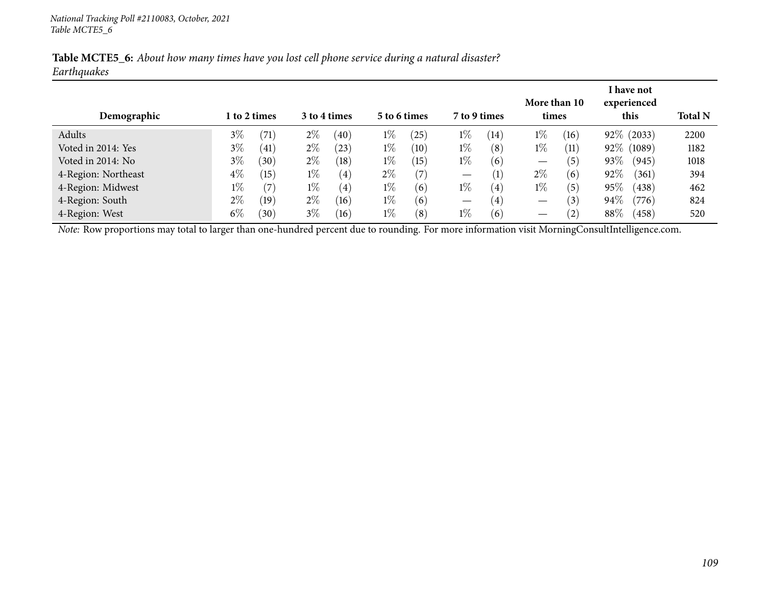| Table MCTE5_6: About how many times have you lost cell phone service during a natural disaster? |  |  |  |  |
|-------------------------------------------------------------------------------------------------|--|--|--|--|
| Earthquakes                                                                                     |  |  |  |  |

| Demographic                                                                                                                                    | 1 to 2 times |      |       | 3 to 4 times |       | 5 to 6 times | 7 to 9 times                    |                   | More than 10<br>times |                   |      | I have not<br>experienced<br>this | <b>Total N</b> |
|------------------------------------------------------------------------------------------------------------------------------------------------|--------------|------|-------|--------------|-------|--------------|---------------------------------|-------------------|-----------------------|-------------------|------|-----------------------------------|----------------|
| Adults                                                                                                                                         | $3\%$        | (71) | $2\%$ | (40)         | $1\%$ | (25)         | $1\%$                           | (14)              | $1\%$                 | (16)              |      | 92\% (2033)                       | 2200           |
| Voted in 2014: Yes                                                                                                                             | $3\%$        | (41) | $2\%$ | (23)         | $1\%$ | (10)         | $1\%$                           | (8)               | $1\%$                 | (11)              |      | 92% (1089)                        | 1182           |
| Voted in 2014: No                                                                                                                              | $3\%$        | (30) | $2\%$ | (18)         | $1\%$ | (15)         | $1\%$                           | (6)               | —                     | $\left(5\right)$  | 93%  | (945)                             | 1018           |
| 4-Region: Northeast                                                                                                                            | $4\%$        | (15) | $1\%$ | (4)          | $2\%$ | (7)          | $\hspace{0.1mm}-\hspace{0.1mm}$ | $\left(1\right)$  | $2\%$                 | (6)               | 92%  | (361)                             | 394            |
| 4-Region: Midwest                                                                                                                              | $1\%$        | (7)  | $1\%$ | (4)          | $1\%$ | (6)          | $1\%$                           | $\left( 4\right)$ | $1\%$                 | $\left(5\right)$  | 95%  | (438)                             | 462            |
| 4-Region: South                                                                                                                                | $2\%$        | (19) | $2\%$ | (16)         | $1\%$ | (6)          | $\hspace{0.1mm}-\hspace{0.1mm}$ | (4)               |                       | $\left(3\right)$  | 94%  | (776)                             | 824            |
| 4-Region: West                                                                                                                                 | $6\%$        | (30) | $3\%$ | (16)         | $1\%$ | (8)          | $1\%$                           | (6)               | —                     | $\left( 2\right)$ | 88\% | (458)                             | 520            |
| Note: Row proportions may total to larger than one-hundred percent due to rounding. For more information visit MorningConsultIntelligence.com. |              |      |       |              |       |              |                                 |                   |                       |                   |      |                                   |                |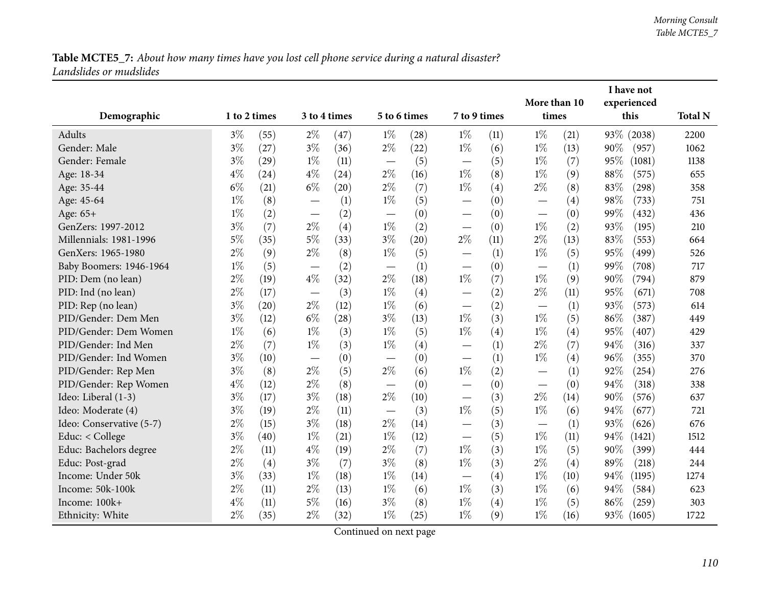|                          |              |      |                          |              |                                   |              |                                   |      | More than 10                  |      |        | I have not<br>experienced |                |
|--------------------------|--------------|------|--------------------------|--------------|-----------------------------------|--------------|-----------------------------------|------|-------------------------------|------|--------|---------------------------|----------------|
| Demographic              | 1 to 2 times |      |                          | 3 to 4 times |                                   | 5 to 6 times | 7 to 9 times                      |      | times                         |      |        | this                      | <b>Total N</b> |
| Adults                   | $3\%$        | (55) | $2\%$                    | (47)         | $1\%$                             | (28)         | $1\%$                             | (11) | $1\%$                         | (21) |        | 93% (2038)                | 2200           |
| Gender: Male             | $3\%$        | (27) | $3\%$                    | (36)         | $2\%$                             | (22)         | $1\%$                             | (6)  | $1\%$                         | (13) | 90%    | (957)                     | 1062           |
| Gender: Female           | $3\%$        | (29) | $1\%$                    | (11)         | $\overbrace{\phantom{123221111}}$ | (5)          | $\overline{\phantom{m}}$          | (5)  | $1\%$                         | (7)  | 95%    | (1081)                    | 1138           |
| Age: 18-34               | $4\%$        | (24) | $4\%$                    | (24)         | $2\%$                             | (16)         | $1\%$                             | (8)  | $1\%$                         | (9)  | 88%    | (575)                     | 655            |
| Age: 35-44               | $6\%$        | (21) | $6\%$                    | (20)         | $2\%$                             | (7)          | $1\%$                             | (4)  | $2\%$                         | (8)  | 83%    | (298)                     | 358            |
| Age: 45-64               | $1\%$        | (8)  | $\overline{\phantom{0}}$ | (1)          | $1\%$                             | (5)          | $\hspace{0.1mm}-\hspace{0.1mm}$   | (0)  |                               | (4)  | 98%    | (733)                     | 751            |
| Age: 65+                 | $1\%$        | (2)  | $\overline{\phantom{m}}$ | (2)          |                                   | (0)          |                                   | (0)  |                               | (0)  | 99%    | (432)                     | 436            |
| GenZers: 1997-2012       | $3\%$        | (7)  | $2\%$                    | (4)          | $1\%$                             | (2)          | $\overline{\phantom{0}}$          | (0)  | $1\%$                         | (2)  | 93%    | (195)                     | 210            |
| Millennials: 1981-1996   | $5\%$        | (35) | $5\%$                    | (33)         | $3\%$                             | (20)         | $2\%$                             | (11) | $2\%$                         | (13) | 83%    | (553)                     | 664            |
| GenXers: 1965-1980       | $2\%$        | (9)  | $2\%$                    | (8)          | $1\%$                             | (5)          |                                   | (1)  | $1\%$                         | (5)  | 95%    | (499)                     | 526            |
| Baby Boomers: 1946-1964  | $1\%$        | (5)  | $\overline{\phantom{m}}$ | (2)          |                                   | (1)          | $\overbrace{\phantom{12333}}$     | (0)  |                               | (1)  | 99%    | (708)                     | 717            |
| PID: Dem (no lean)       | $2\%$        | (19) | $4\%$                    | (32)         | $2\%$                             | (18)         | $1\%$                             | (7)  | $1\%$                         | (9)  | 90%    | (794)                     | 879            |
| PID: Ind (no lean)       | $2\%$        | (17) |                          | (3)          | $1\%$                             | (4)          |                                   | (2)  | $2\%$                         | (11) | 95%    | (671)                     | 708            |
| PID: Rep (no lean)       | $3\%$        | (20) | $2\%$                    | (12)         | $1\%$                             | (6)          | $\overbrace{\phantom{12333}}$     | (2)  |                               | (1)  | 93%    | (573)                     | 614            |
| PID/Gender: Dem Men      | $3\%$        | (12) | $6\%$                    | (28)         | $3\%$                             | (13)         | $1\%$                             | (3)  | $1\%$                         | (5)  | 86%    | (387)                     | 449            |
| PID/Gender: Dem Women    | $1\%$        | (6)  | $1\%$                    | (3)          | $1\%$                             | (5)          | $1\%$                             | (4)  | $1\%$                         | (4)  | 95%    | (407)                     | 429            |
| PID/Gender: Ind Men      | $2\%$        | (7)  | $1\%$                    | (3)          | $1\%$                             | (4)          |                                   | (1)  | $2\%$                         | (7)  | 94%    | (316)                     | 337            |
| PID/Gender: Ind Women    | $3\%$        | (10) |                          | (0)          |                                   | (0)          |                                   | (1)  | $1\%$                         | (4)  | 96%    | (355)                     | 370            |
| PID/Gender: Rep Men      | $3\%$        | (8)  | $2\%$                    | (5)          | $2\%$                             | (6)          | $1\%$                             | (2)  |                               | (1)  | 92%    | (254)                     | 276            |
| PID/Gender: Rep Women    | $4\%$        | (12) | $2\%$                    | (8)          | $\overbrace{\phantom{123221111}}$ | (0)          | $\overbrace{\phantom{123221111}}$ | (0)  | $\overbrace{\phantom{aaaaa}}$ | (0)  | 94%    | (318)                     | 338            |
| Ideo: Liberal (1-3)      | $3\%$        | (17) | $3\%$                    | (18)         | $2\%$                             | (10)         |                                   | (3)  | $2\%$                         | (14) | $90\%$ | (576)                     | 637            |
| Ideo: Moderate (4)       | $3\%$        | (19) | $2\%$                    | (11)         | $\overbrace{\phantom{aaaaa}}$     | (3)          | $1\%$                             | (5)  | $1\%$                         | (6)  | 94%    | (677)                     | 721            |
| Ideo: Conservative (5-7) | $2\%$        | (15) | $3\%$                    | (18)         | $2\%$                             | (14)         |                                   | (3)  |                               | (1)  | 93%    | (626)                     | 676            |
| Educ: < College          | $3\%$        | (40) | $1\%$                    | (21)         | $1\%$                             | (12)         |                                   | (5)  | $1\%$                         | (11) | 94%    | (1421)                    | 1512           |
| Educ: Bachelors degree   | $2\%$        | (11) | $4\%$                    | (19)         | $2\%$                             | (7)          | $1\%$                             | (3)  | $1\%$                         | (5)  | 90%    | (399)                     | 444            |
| Educ: Post-grad          | $2\%$        | (4)  | $3\%$                    | (7)          | $3\%$                             | (8)          | $1\%$                             | (3)  | $2\%$                         | (4)  | 89%    | (218)                     | 244            |
| Income: Under 50k        | $3\%$        | (33) | $1\%$                    | (18)         | $1\%$                             | (14)         |                                   | (4)  | $1\%$                         | (10) | 94%    | (1195)                    | 1274           |
| Income: 50k-100k         | $2\%$        | (11) | $2\%$                    | (13)         | $1\%$                             | (6)          | $1\%$                             | (3)  | $1\%$                         | (6)  | 94%    | (584)                     | 623            |
| Income: 100k+            | $4\%$        | (11) | $5\%$                    | (16)         | $3\%$                             | (8)          | $1\%$                             | (4)  | $1\%$                         | (5)  | 86%    | (259)                     | 303            |
| Ethnicity: White         | $2\%$        | (35) | $2\%$                    | (32)         | $1\%$                             | (25)         | $1\%$                             | (9)  | $1\%$                         | (16) | 93\%   | (1605)                    | 1722           |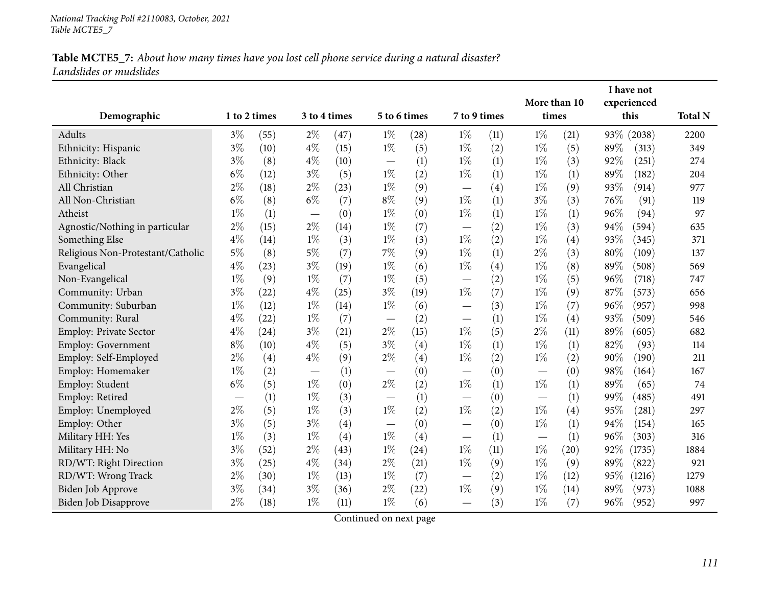|                                   |              |      |       |              |                          |              |                          |      |                               | More than 10 |      | I have not<br>experienced |                |
|-----------------------------------|--------------|------|-------|--------------|--------------------------|--------------|--------------------------|------|-------------------------------|--------------|------|---------------------------|----------------|
| Demographic                       | 1 to 2 times |      |       | 3 to 4 times |                          | 5 to 6 times | 7 to 9 times             |      | times                         |              |      | this                      | <b>Total N</b> |
| Adults                            | $3\%$        | (55) | $2\%$ | (47)         | $1\%$                    | (28)         | $1\%$                    | (11) | $1\%$                         | (21)         |      | 93\% (2038)               | 2200           |
| Ethnicity: Hispanic               | $3\%$        | (10) | $4\%$ | (15)         | $1\%$                    | (5)          | $1\%$                    | (2)  | $1\%$                         | (5)          | 89%  | (313)                     | 349            |
| Ethnicity: Black                  | $3\%$        | (8)  | $4\%$ | (10)         |                          | (1)          | $1\%$                    | (1)  | $1\%$                         | (3)          | 92%  | (251)                     | 274            |
| Ethnicity: Other                  | $6\%$        | (12) | $3\%$ | (5)          | $1\%$                    | (2)          | $1\%$                    | (1)  | $1\%$                         | (1)          | 89%  | (182)                     | 204            |
| All Christian                     | $2\%$        | (18) | $2\%$ | (23)         | $1\%$                    | (9)          |                          | (4)  | $1\%$                         | (9)          | 93%  | (914)                     | 977            |
| All Non-Christian                 | $6\%$        | (8)  | $6\%$ | (7)          | $8\%$                    | (9)          | $1\%$                    | (1)  | $3\%$                         | (3)          | 76%  | (91)                      | 119            |
| Atheist                           | $1\%$        | (1)  |       | (0)          | $1\%$                    | (0)          | $1\%$                    | (1)  | $1\%$                         | (1)          | 96%  | (94)                      | 97             |
| Agnostic/Nothing in particular    | $2\%$        | (15) | $2\%$ | (14)         | $1\%$                    | (7)          | $\overline{\phantom{0}}$ | (2)  | $1\%$                         | (3)          | 94%  | (594)                     | 635            |
| Something Else                    | $4\%$        | (14) | $1\%$ | (3)          | $1\%$                    | (3)          | $1\%$                    | (2)  | $1\%$                         | (4)          | 93%  | (345)                     | 371            |
| Religious Non-Protestant/Catholic | $5\%$        | (8)  | $5\%$ | (7)          | 7%                       | (9)          | $1\%$                    | (1)  | $2\%$                         | (3)          | 80%  | (109)                     | 137            |
| Evangelical                       | $4\%$        | (23) | $3\%$ | (19)         | $1\%$                    | (6)          | $1\%$                    | (4)  | $1\%$                         | (8)          | 89%  | (508)                     | 569            |
| Non-Evangelical                   | $1\%$        | (9)  | $1\%$ | (7)          | $1\%$                    | (5)          |                          | (2)  | $1\%$                         | (5)          | 96%  | (718)                     | 747            |
| Community: Urban                  | $3\%$        | (22) | $4\%$ | (25)         | $3\%$                    | (19)         | $1\%$                    | (7)  | $1\%$                         | (9)          | 87%  | (573)                     | 656            |
| Community: Suburban               | $1\%$        | (12) | $1\%$ | (14)         | $1\%$                    | (6)          |                          | (3)  | $1\%$                         | (7)          | 96%  | (957)                     | 998            |
| Community: Rural                  | $4\%$        | (22) | $1\%$ | (7)          | $\overline{\phantom{0}}$ | (2)          | $\overline{\phantom{0}}$ | (1)  | $1\%$                         | (4)          | 93%  | (509)                     | 546            |
| <b>Employ: Private Sector</b>     | $4\%$        | (24) | $3\%$ | (21)         | $2\%$                    | (15)         | $1\%$                    | (5)  | $2\%$                         | (11)         | 89%  | (605)                     | 682            |
| Employ: Government                | $8\%$        | (10) | $4\%$ | (5)          | $3\%$                    | (4)          | $1\%$                    | (1)  | $1\%$                         | (1)          | 82%  | (93)                      | 114            |
| Employ: Self-Employed             | $2\%$        | (4)  | $4\%$ | (9)          | $2\%$                    | (4)          | $1\%$                    | (2)  | $1\%$                         | (2)          | 90%  | (190)                     | 211            |
| Employ: Homemaker                 | $1\%$        | (2)  |       | (1)          |                          | (0)          | $\overline{\phantom{0}}$ | (0)  | $\overbrace{\phantom{13333}}$ | (0)          | 98%  | (164)                     | 167            |
| Employ: Student                   | $6\%$        | (5)  | $1\%$ | (0)          | $2\%$                    | (2)          | $1\%$                    | (1)  | $1\%$                         | (1)          | 89%  | (65)                      | 74             |
| Employ: Retired                   |              | (1)  | $1\%$ | (3)          |                          | (1)          |                          | (0)  |                               | (1)          | 99%  | (485)                     | 491            |
| Employ: Unemployed                | $2\%$        | (5)  | $1\%$ | (3)          | $1\%$                    | (2)          | $1\%$                    | (2)  | $1\%$                         | (4)          | 95%  | (281)                     | 297            |
| Employ: Other                     | $3\%$        | (5)  | $3\%$ | (4)          |                          | (0)          |                          | (0)  | $1\%$                         | (1)          | 94%  | (154)                     | 165            |
| Military HH: Yes                  | $1\%$        | (3)  | $1\%$ | (4)          | $1\%$                    | (4)          |                          | (1)  |                               | (1)          | 96%  | (303)                     | 316            |
| Military HH: No                   | $3\%$        | (52) | $2\%$ | (43)         | $1\%$                    | (24)         | $1\%$                    | (11) | $1\%$                         | (20)         | 92\% | (1735)                    | 1884           |
| RD/WT: Right Direction            | $3\%$        | (25) | $4\%$ | (34)         | $2\%$                    | (21)         | $1\%$                    | (9)  | $1\%$                         | (9)          | 89%  | (822)                     | 921            |
| RD/WT: Wrong Track                | $2\%$        | (30) | $1\%$ | (13)         | $1\%$                    | (7)          |                          | (2)  | $1\%$                         | (12)         | 95%  | (1216)                    | 1279           |
| Biden Job Approve                 | $3\%$        | (34) | $3\%$ | (36)         | $2\%$                    | (22)         | $1\%$                    | (9)  | $1\%$                         | (14)         | 89%  | (973)                     | 1088           |
| Biden Job Disapprove              | $2\%$        | (18) | $1\%$ | (11)         | $1\%$                    | (6)          |                          | (3)  | $1\%$                         | (7)          | 96%  | (952)                     | 997            |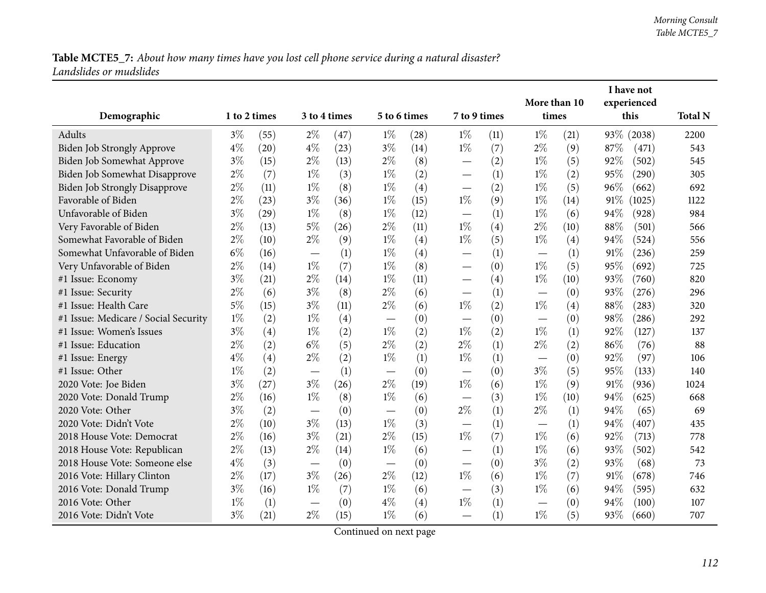|                                      |              |      |                                 |              |       |              |                                   |      |                       |      |        | I have not          |                |
|--------------------------------------|--------------|------|---------------------------------|--------------|-------|--------------|-----------------------------------|------|-----------------------|------|--------|---------------------|----------------|
|                                      | 1 to 2 times |      |                                 |              |       | 5 to 6 times | 7 to 9 times                      |      | More than 10<br>times |      |        | experienced<br>this | <b>Total N</b> |
| Demographic                          |              |      |                                 | 3 to 4 times |       |              |                                   |      |                       |      |        |                     |                |
| <b>Adults</b>                        | $3\%$        | (55) | $2\%$                           | (47)         | $1\%$ | (28)         | $1\%$                             | (11) | $1\%$                 | (21) |        | 93\% (2038)         | 2200           |
| Biden Job Strongly Approve           | $4\%$        | (20) | $4\%$                           | (23)         | $3\%$ | (14)         | $1\%$                             | (7)  | $2\%$                 | (9)  | 87%    | (471)               | 543            |
| Biden Job Somewhat Approve           | $3\%$        | (15) | $2\%$                           | (13)         | $2\%$ | (8)          |                                   | (2)  | $1\%$                 | (5)  | 92%    | (502)               | 545            |
| Biden Job Somewhat Disapprove        | $2\%$        | (7)  | $1\%$                           | (3)          | $1\%$ | (2)          | $\overline{\phantom{0}}$          | (1)  | $1\%$                 | (2)  | 95%    | (290)               | 305            |
| <b>Biden Job Strongly Disapprove</b> | $2\%$        | (11) | $1\%$                           | (8)          | $1\%$ | (4)          | $\overbrace{\phantom{123221111}}$ | (2)  | $1\%$                 | (5)  | 96%    | (662)               | 692            |
| Favorable of Biden                   | $2\%$        | (23) | $3\%$                           | (36)         | $1\%$ | (15)         | $1\%$                             | (9)  | $1\%$                 | (14) | 91\%   | (1025)              | 1122           |
| Unfavorable of Biden                 | $3\%$        | (29) | $1\%$                           | (8)          | $1\%$ | (12)         | $\overline{\phantom{0}}$          | (1)  | $1\%$                 | (6)  | 94%    | (928)               | 984            |
| Very Favorable of Biden              | $2\%$        | (13) | $5\%$                           | (26)         | $2\%$ | (11)         | $1\%$                             | (4)  | $2\%$                 | (10) | 88%    | (501)               | 566            |
| Somewhat Favorable of Biden          | $2\%$        | (10) | $2\%$                           | (9)          | $1\%$ | (4)          | $1\%$                             | (5)  | $1\%$                 | (4)  | 94%    | (524)               | 556            |
| Somewhat Unfavorable of Biden        | $6\%$        | (16) |                                 | (1)          | $1\%$ | (4)          | $\overline{\phantom{0}}$          | (1)  |                       | (1)  | $91\%$ | (236)               | 259            |
| Very Unfavorable of Biden            | $2\%$        | (14) | $1\%$                           | (7)          | $1\%$ | (8)          |                                   | (0)  | $1\%$                 | (5)  | 95%    | (692)               | 725            |
| #1 Issue: Economy                    | $3\%$        | (21) | $2\%$                           | (14)         | $1\%$ | (11)         | $\overline{\phantom{0}}$          | (4)  | $1\%$                 | (10) | 93%    | (760)               | 820            |
| #1 Issue: Security                   | 2%           | (6)  | $3\%$                           | (8)          | $2\%$ | (6)          | $\overline{\phantom{0}}$          | (1)  |                       | (0)  | 93%    | (276)               | 296            |
| #1 Issue: Health Care                | $5\%$        | (15) | $3\%$                           | (11)         | $2\%$ | (6)          | $1\%$                             | (2)  | $1\%$                 | (4)  | 88%    | (283)               | 320            |
| #1 Issue: Medicare / Social Security | $1\%$        | (2)  | $1\%$                           | (4)          |       | (0)          |                                   | (0)  |                       | (0)  | 98%    | (286)               | 292            |
| #1 Issue: Women's Issues             | $3\%$        | (4)  | $1\%$                           | (2)          | $1\%$ | (2)          | $1\%$                             | (2)  | $1\%$                 | (1)  | 92%    | (127)               | 137            |
| #1 Issue: Education                  | $2\%$        | (2)  | $6\%$                           | (5)          | $2\%$ | (2)          | $2\%$                             | (1)  | $2\%$                 | (2)  | 86%    | (76)                | 88             |
| #1 Issue: Energy                     | $4\%$        | (4)  | $2\%$                           | (2)          | $1\%$ | (1)          | $1\%$                             | (1)  |                       | (0)  | 92%    | (97)                | 106            |
| #1 Issue: Other                      | $1\%$        | (2)  |                                 | (1)          |       | (0)          |                                   | (0)  | $3\%$                 | (5)  | 95%    | (133)               | 140            |
| 2020 Vote: Joe Biden                 | $3\%$        | (27) | $3\%$                           | (26)         | $2\%$ | (19)         | $1\%$                             | (6)  | $1\%$                 | (9)  | 91\%   | (936)               | 1024           |
| 2020 Vote: Donald Trump              | $2\%$        | (16) | $1\%$                           | (8)          | $1\%$ | (6)          | $\overline{\phantom{0}}$          | (3)  | $1\%$                 | (10) | 94%    | (625)               | 668            |
| 2020 Vote: Other                     | $3\%$        | (2)  |                                 | (0)          |       | (0)          | $2\%$                             | (1)  | $2\%$                 | (1)  | 94%    | (65)                | 69             |
| 2020 Vote: Didn't Vote               | $2\%$        | (10) | $3\%$                           | (13)         | $1\%$ | (3)          |                                   | (1)  |                       | (1)  | 94%    | (407)               | 435            |
| 2018 House Vote: Democrat            | $2\%$        | (16) | $3\%$                           | (21)         | $2\%$ | (15)         | $1\%$                             | (7)  | $1\%$                 | (6)  | 92%    | (713)               | 778            |
| 2018 House Vote: Republican          | $2\%$        | (13) | $2\%$                           | (14)         | $1\%$ | (6)          | $\overline{\phantom{0}}$          | (1)  | $1\%$                 | (6)  | 93%    | (502)               | 542            |
| 2018 House Vote: Someone else        | $4\%$        | (3)  |                                 | (0)          |       | (0)          | $\overline{\phantom{0}}$          | (0)  | $3\%$                 | (2)  | 93%    | (68)                | 73             |
| 2016 Vote: Hillary Clinton           | $2\%$        | (17) | $3\%$                           | (26)         | $2\%$ | (12)         | $1\%$                             | (6)  | $1\%$                 | (7)  | 91%    | (678)               | 746            |
| 2016 Vote: Donald Trump              | $3\%$        | (16) | $1\%$                           | (7)          | $1\%$ | (6)          |                                   | (3)  | $1\%$                 | (6)  | 94%    | (595)               | 632            |
| 2016 Vote: Other                     | $1\%$        | (1)  | $\hspace{0.1mm}-\hspace{0.1mm}$ | (0)          | $4\%$ | (4)          | $1\%$                             | (1)  |                       | (0)  | 94%    | (100)               | 107            |
| 2016 Vote: Didn't Vote               | $3\%$        | (21) | $2\%$                           | (15)         | $1\%$ | (6)          | $\overline{\phantom{0}}$          | (1)  | $1\%$                 | (5)  | 93%    | (660)               | 707            |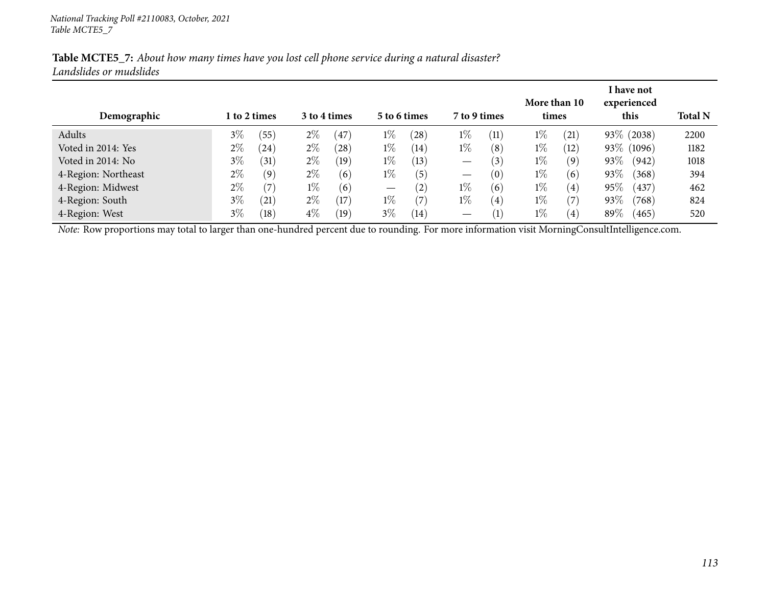| Demographic                                                                                                                                    |       | 1 to 2 times       |       | 3 to 4 times |                   | 5 to 6 times | 7 to 9 times      |                   | More than 10<br>times |                   |        | I have not<br>experienced<br>this | <b>Total N</b> |
|------------------------------------------------------------------------------------------------------------------------------------------------|-------|--------------------|-------|--------------|-------------------|--------------|-------------------|-------------------|-----------------------|-------------------|--------|-----------------------------------|----------------|
| Adults                                                                                                                                         | $3\%$ | (55)               | $2\%$ | (47)         | $1\%$             | (28)         | $1\%$             | (11)              | $1\%$                 | (21)              |        | 93\% (2038)                       | 2200           |
| Voted in 2014: Yes                                                                                                                             | $2\%$ | $\left( 24\right)$ | $2\%$ | (28)         | $1\%$             | (14)         | $1\%$             | (8)               | $1\%$                 | (12)              |        | 93\% (1096)                       | 1182           |
| Voted in 2014: No                                                                                                                              | $3\%$ | (31)               | $2\%$ | (19)         | $1\%$             | (13)         | $\hspace{0.05cm}$ | $\left(3\right)$  | $1\%$                 | (9)               | $93\%$ | (942)                             | 1018           |
| 4-Region: Northeast                                                                                                                            | $2\%$ | (9)                | $2\%$ | (6)          | $1\%$             | (5)          | $\hspace{0.05cm}$ | (0)               | $1\%$                 | (6)               | 93%    | (368)                             | 394            |
| 4-Region: Midwest                                                                                                                              | $2\%$ | (7)                | $1\%$ | (6)          | $\hspace{0.05cm}$ | (2)          | $1\%$             | (6)               | $1\%$                 | $\left( 4\right)$ | $95\%$ | (437)                             | 462            |
| 4-Region: South                                                                                                                                | $3\%$ | (21)               | $2\%$ | (17)         | $1\%$             | (7           | $1\%$             | $\left( 4\right)$ | $1\%$                 | (7)               | 93%    | (768)                             | 824            |
| 4-Region: West                                                                                                                                 | $3\%$ | (18)               | $4\%$ | (19)         | $3\%$             | (14)         | $\hspace{0.05cm}$ | $\left(1\right)$  | $1\%$                 | $\left(4\right)$  | $89\%$ | (465)                             | 520            |
| Note: Row proportions may total to larger than one-hundred percent due to rounding. For more information visit MorningConsultIntelligence.com. |       |                    |       |              |                   |              |                   |                   |                       |                   |        |                                   |                |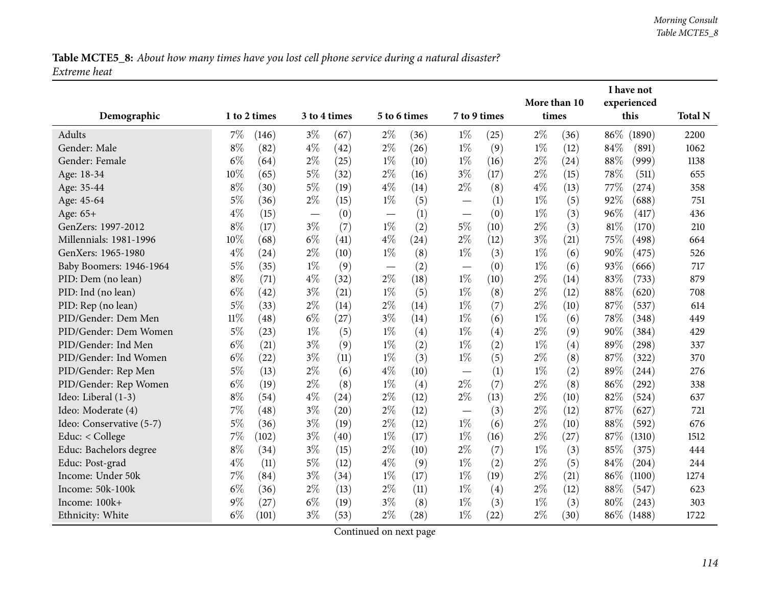Table MCTE5\_8: About how many times have you lost cell phone service during a natural disaster? *Extreme heat*

|                          |        |              |       |              |              |      | More than 10                      |              | I have not<br>experienced |       |      |             |                |
|--------------------------|--------|--------------|-------|--------------|--------------|------|-----------------------------------|--------------|---------------------------|-------|------|-------------|----------------|
| Demographic              |        | 1 to 2 times |       | 3 to 4 times | 5 to 6 times |      |                                   | 7 to 9 times |                           | times |      | this        | <b>Total N</b> |
| Adults                   | $7\%$  | (146)        | $3\%$ | (67)         | $2\%$        | (36) | $1\%$                             | (25)         | $2\%$                     | (36)  | 86\% | (1890)      | 2200           |
| Gender: Male             | $8\%$  | (82)         | $4\%$ | (42)         | $2\%$        | (26) | $1\%$                             | (9)          | $1\%$                     | (12)  | 84%  | (891)       | 1062           |
| Gender: Female           | $6\%$  | (64)         | $2\%$ | (25)         | $1\%$        | (10) | $1\%$                             | (16)         | $2\%$                     | (24)  | 88%  | (999)       | 1138           |
| Age: 18-34               | 10%    | (65)         | 5%    | (32)         | $2\%$        | (16) | $3\%$                             | (17)         | $2\%$                     | (15)  | 78%  | (511)       | 655            |
| Age: 35-44               | $8\%$  | (30)         | $5\%$ | (19)         | $4\%$        | (14) | $2\%$                             | (8)          | $4\%$                     | (13)  | 77\% | (274)       | 358            |
| Age: 45-64               | $5\%$  | (36)         | $2\%$ | (15)         | $1\%$        | (5)  |                                   | (1)          | $1\%$                     | (5)   | 92%  | (688)       | 751            |
| Age: 65+                 | $4\%$  | (15)         |       | (0)          |              | (1)  |                                   | (0)          | $1\%$                     | (3)   | 96%  | (417)       | 436            |
| GenZers: 1997-2012       | $8\%$  | (17)         | $3\%$ | (7)          | $1\%$        | (2)  | $5\%$                             | (10)         | $2\%$                     | (3)   | 81\% | (170)       | 210            |
| Millennials: 1981-1996   | 10%    | (68)         | $6\%$ | (41)         | $4\%$        | (24) | $2\%$                             | (12)         | $3\%$                     | (21)  | 75\% | (498)       | 664            |
| GenXers: 1965-1980       | $4\%$  | (24)         | $2\%$ | (10)         | $1\%$        | (8)  | $1\%$                             | (3)          | $1\%$                     | (6)   | 90%  | (475)       | 526            |
| Baby Boomers: 1946-1964  | $5\%$  | (35)         | $1\%$ | (9)          |              | (2)  | $\overbrace{\phantom{123221111}}$ | (0)          | $1\%$                     | (6)   | 93%  | (666)       | 717            |
| PID: Dem (no lean)       | $8\%$  | (71)         | $4\%$ | (32)         | $2\%$        | (18) | $1\%$                             | (10)         | $2\%$                     | (14)  | 83%  | (733)       | 879            |
| PID: Ind (no lean)       | $6\%$  | (42)         | $3\%$ | (21)         | $1\%$        | (5)  | $1\%$                             | (8)          | $2\%$                     | (12)  | 88%  | (620)       | 708            |
| PID: Rep (no lean)       | $5\%$  | (33)         | $2\%$ | (14)         | $2\%$        | (14) | $1\%$                             | (7)          | $2\%$                     | (10)  | 87%  | (537)       | 614            |
| PID/Gender: Dem Men      | $11\%$ | (48)         | $6\%$ | (27)         | $3\%$        | (14) | $1\%$                             | (6)          | $1\%$                     | (6)   | 78%  | (348)       | 449            |
| PID/Gender: Dem Women    | $5\%$  | (23)         | $1\%$ | (5)          | $1\%$        | (4)  | $1\%$                             | (4)          | $2\%$                     | (9)   | 90%  | (384)       | 429            |
| PID/Gender: Ind Men      | $6\%$  | (21)         | $3\%$ | (9)          | $1\%$        | (2)  | $1\%$                             | (2)          | $1\%$                     | (4)   | 89%  | (298)       | 337            |
| PID/Gender: Ind Women    | $6\%$  | (22)         | $3\%$ | (11)         | $1\%$        | (3)  | $1\%$                             | (5)          | $2\%$                     | (8)   | 87%  | (322)       | 370            |
| PID/Gender: Rep Men      | $5\%$  | (13)         | $2\%$ | (6)          | $4\%$        | (10) | $\overline{\phantom{0}}$          | (1)          | $1\%$                     | (2)   | 89%  | (244)       | 276            |
| PID/Gender: Rep Women    | $6\%$  | (19)         | $2\%$ | (8)          | $1\%$        | (4)  | $2\%$                             | (7)          | $2\%$                     | (8)   | 86%  | (292)       | 338            |
| Ideo: Liberal (1-3)      | $8\%$  | (54)         | $4\%$ | (24)         | $2\%$        | (12) | $2\%$                             | (13)         | $2\%$                     | (10)  | 82%  | (524)       | 637            |
| Ideo: Moderate (4)       | 7%     | (48)         | $3\%$ | (20)         | $2\%$        | (12) |                                   | (3)          | $2\%$                     | (12)  | 87%  | (627)       | 721            |
| Ideo: Conservative (5-7) | $5\%$  | (36)         | $3\%$ | (19)         | $2\%$        | (12) | $1\%$                             | (6)          | $2\%$                     | (10)  | 88%  | (592)       | 676            |
| Educ: < College          | 7%     | (102)        | $3\%$ | (40)         | $1\%$        | (17) | $1\%$                             | (16)         | $2\%$                     | (27)  | 87%  | (1310)      | 1512           |
| Educ: Bachelors degree   | $8\%$  | (34)         | $3\%$ | (15)         | $2\%$        | (10) | $2\%$                             | (7)          | $1\%$                     | (3)   | 85%  | (375)       | 444            |
| Educ: Post-grad          | $4\%$  | (11)         | $5\%$ | (12)         | $4\%$        | (9)  | $1\%$                             | (2)          | $2\%$                     | (5)   | 84\% | (204)       | 244            |
| Income: Under 50k        | 7%     | (84)         | $3\%$ | (34)         | $1\%$        | (17) | $1\%$                             | (19)         | $2\%$                     | (21)  | 86\% | (1100)      | 1274           |
| Income: 50k-100k         | $6\%$  | (36)         | $2\%$ | (13)         | $2\%$        | (11) | $1\%$                             | (4)          | $2\%$                     | (12)  | 88%  | (547)       | 623            |
| Income: 100k+            | $9\%$  | (27)         | $6\%$ | (19)         | $3\%$        | (8)  | $1\%$                             | (3)          | $1\%$                     | (3)   | 80%  | (243)       | 303            |
| Ethnicity: White         | $6\%$  | (101)        | $3\%$ | (53)         | $2\%$        | (28) | $1\%$                             | (22)         | $2\%$                     | (30)  |      | 86\% (1488) | 1722           |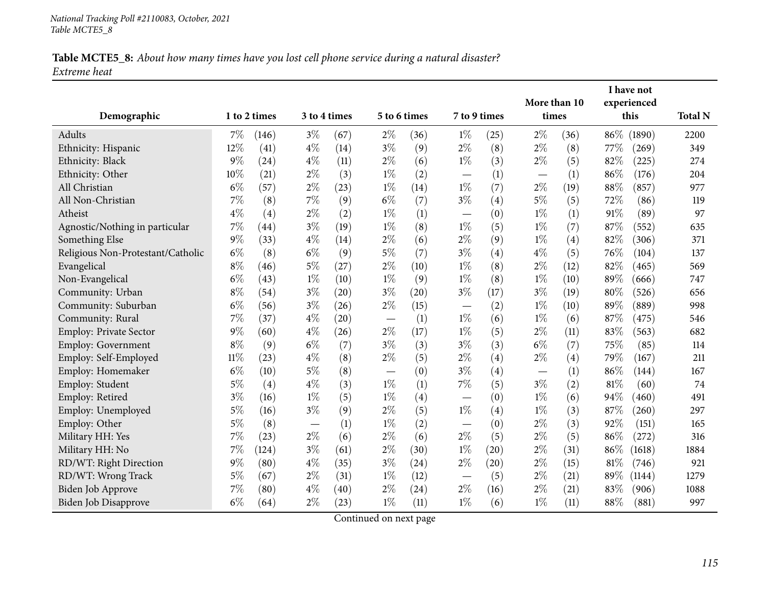#### Table MCTE5\_8: About how many times have you lost cell phone service during a natural disaster? *Extreme heat*

|                                   |        |              |       |              |                               |      |              |      | More than 10 |      |        | I have not<br>experienced |                |
|-----------------------------------|--------|--------------|-------|--------------|-------------------------------|------|--------------|------|--------------|------|--------|---------------------------|----------------|
| Demographic                       |        | 1 to 2 times |       | 3 to 4 times | 5 to 6 times                  |      | 7 to 9 times |      | times        |      |        | this                      | <b>Total N</b> |
| Adults                            | 7%     | (146)        | $3\%$ | (67)         | $2\%$                         | (36) | $1\%$        | (25) | $2\%$        | (36) | $86\%$ | (1890)                    | 2200           |
| Ethnicity: Hispanic               | 12%    | (41)         | $4\%$ | (14)         | $3\%$                         | (9)  | $2\%$        | (8)  | $2\%$        | (8)  | 77\%   | (269)                     | 349            |
| Ethnicity: Black                  | 9%     | (24)         | $4\%$ | (11)         | $2\%$                         | (6)  | $1\%$        | (3)  | $2\%$        | (5)  | 82%    | (225)                     | 274            |
| Ethnicity: Other                  | 10%    | (21)         | $2\%$ | (3)          | $1\%$                         | (2)  |              | (1)  |              | (1)  | 86%    | (176)                     | 204            |
| All Christian                     | $6\%$  | (57)         | $2\%$ | (23)         | $1\%$                         | (14) | $1\%$        | (7)  | $2\%$        | (19) | $88\%$ | (857)                     | 977            |
| All Non-Christian                 | 7%     | (8)          | 7%    | (9)          | $6\%$                         | (7)  | $3\%$        | (4)  | $5\%$        | (5)  | 72%    | (86)                      | 119            |
| Atheist                           | $4\%$  | (4)          | $2\%$ | (2)          | $1\%$                         | (1)  |              | (0)  | $1\%$        | (1)  | 91%    | (89)                      | 97             |
| Agnostic/Nothing in particular    | 7%     | (44)         | $3\%$ | (19)         | $1\%$                         | (8)  | $1\%$        | (5)  | $1\%$        | (7)  | 87%    | (552)                     | 635            |
| Something Else                    | $9\%$  | (33)         | $4\%$ | (14)         | $2\%$                         | (6)  | $2\%$        | (9)  | $1\%$        | (4)  | 82%    | (306)                     | 371            |
| Religious Non-Protestant/Catholic | $6\%$  | (8)          | $6\%$ | (9)          | $5\%$                         | (7)  | $3\%$        | (4)  | $4\%$        | (5)  | 76%    | (104)                     | 137            |
| Evangelical                       | $8\%$  | (46)         | $5\%$ | (27)         | $2\%$                         | (10) | $1\%$        | (8)  | $2\%$        | (12) | 82%    | (465)                     | 569            |
| Non-Evangelical                   | $6\%$  | (43)         | $1\%$ | (10)         | $1\%$                         | (9)  | $1\%$        | (8)  | $1\%$        | (10) | 89%    | (666)                     | 747            |
| Community: Urban                  | $8\%$  | (54)         | $3\%$ | (20)         | $3\%$                         | (20) | $3\%$        | (17) | $3\%$        | (19) | 80%    | (526)                     | 656            |
| Community: Suburban               | $6\%$  | (56)         | $3\%$ | (26)         | $2\%$                         | (15) |              | (2)  | $1\%$        | (10) | 89%    | (889)                     | 998            |
| Community: Rural                  | 7%     | (37)         | $4\%$ | (20)         | $\overbrace{\phantom{13333}}$ | (1)  | $1\%$        | (6)  | $1\%$        | (6)  | 87%    | (475)                     | 546            |
| <b>Employ: Private Sector</b>     | 9%     | (60)         | $4\%$ | (26)         | $2\%$                         | (17) | $1\%$        | (5)  | $2\%$        | (11) | 83%    | (563)                     | 682            |
| Employ: Government                | $8\%$  | (9)          | $6\%$ | (7)          | $3\%$                         | (3)  | $3\%$        | (3)  | $6\%$        | (7)  | 75%    | (85)                      | 114            |
| Employ: Self-Employed             | $11\%$ | (23)         | $4\%$ | (8)          | 2%                            | (5)  | $2\%$        | (4)  | $2\%$        | (4)  | 79%    | (167)                     | 211            |
| Employ: Homemaker                 | $6\%$  | (10)         | $5\%$ | (8)          |                               | (0)  | $3\%$        | (4)  | —            | (1)  | 86%    | (144)                     | 167            |
| Employ: Student                   | $5\%$  | (4)          | $4\%$ | (3)          | $1\%$                         | (1)  | 7%           | (5)  | $3\%$        | (2)  | 81\%   | (60)                      | 74             |
| Employ: Retired                   | $3\%$  | (16)         | $1\%$ | (5)          | $1\%$                         | (4)  |              | (0)  | $1\%$        | (6)  | 94%    | (460)                     | 491            |
| Employ: Unemployed                | 5%     | (16)         | $3\%$ | (9)          | $2\%$                         | (5)  | $1\%$        | (4)  | $1\%$        | (3)  | 87%    | (260)                     | 297            |
| Employ: Other                     | $5\%$  | (8)          |       | (1)          | $1\%$                         | (2)  |              | (0)  | $2\%$        | (3)  | 92%    | (151)                     | 165            |
| Military HH: Yes                  | $7\%$  | (23)         | $2\%$ | (6)          | $2\%$                         | (6)  | $2\%$        | (5)  | $2\%$        | (5)  | 86%    | (272)                     | 316            |
| Military HH: No                   | 7%     | (124)        | $3\%$ | (61)         | $2\%$                         | (30) | $1\%$        | (20) | $2\%$        | (31) | 86%    | (1618)                    | 1884           |
| RD/WT: Right Direction            | 9%     | (80)         | $4\%$ | (35)         | $3\%$                         | (24) | $2\%$        | (20) | $2\%$        | (15) | 81\%   | (746)                     | 921            |
| RD/WT: Wrong Track                | $5\%$  | (67)         | $2\%$ | (31)         | $1\%$                         | (12) |              | (5)  | $2\%$        | (21) | $89\%$ | (1144)                    | 1279           |
| Biden Job Approve                 | $7\%$  | (80)         | $4\%$ | (40)         | $2\%$                         | (24) | $2\%$        | (16) | $2\%$        | (21) | 83%    | (906)                     | 1088           |
| Biden Job Disapprove              | $6\%$  | (64)         | $2\%$ | (23)         | $1\%$                         | (11) | $1\%$        | (6)  | $1\%$        | (11) | $88\%$ | (881)                     | 997            |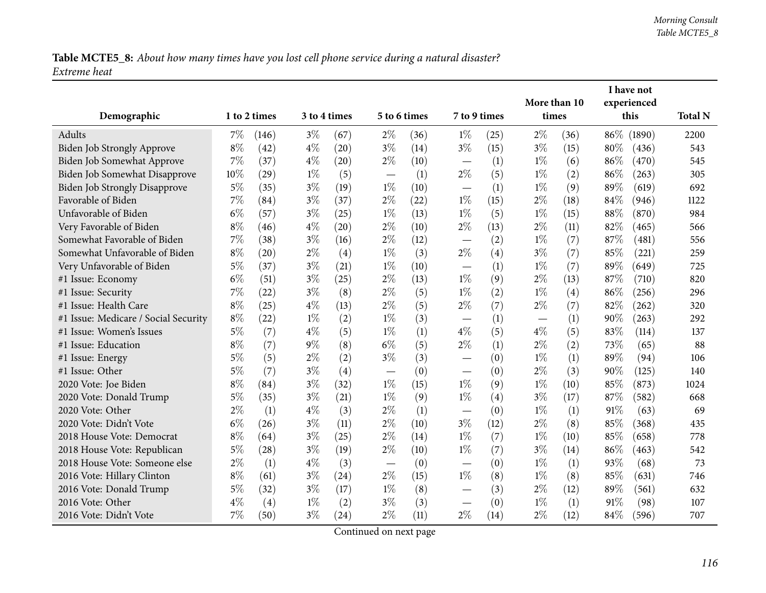Table MCTE5\_8: About how many times have you lost cell phone service during a natural disaster? *Extreme heat*

|                                      |       |              |       |              |                          |              |                                   |      |                       |      |        | I have not          |                |
|--------------------------------------|-------|--------------|-------|--------------|--------------------------|--------------|-----------------------------------|------|-----------------------|------|--------|---------------------|----------------|
|                                      |       | 1 to 2 times |       | 3 to 4 times |                          | 5 to 6 times | 7 to 9 times                      |      | More than 10<br>times |      |        | experienced<br>this | <b>Total N</b> |
| Demographic                          |       |              |       |              |                          |              |                                   |      |                       |      |        |                     |                |
| Adults                               | 7%    | (146)        | $3\%$ | (67)         | $2\%$                    | (36)         | $1\%$                             | (25) | $2\%$                 | (36) | $86\%$ | (1890)              | 2200           |
| Biden Job Strongly Approve           | $8\%$ | (42)         | $4\%$ | (20)         | $3\%$                    | (14)         | $3\%$                             | (15) | $3\%$                 | (15) | 80%    | (436)               | 543            |
| Biden Job Somewhat Approve           | 7%    | (37)         | $4\%$ | (20)         | $2\%$                    | (10)         | $\overbrace{\phantom{123221111}}$ | (1)  | $1\%$                 | (6)  | 86%    | (470)               | 545            |
| Biden Job Somewhat Disapprove        | 10%   | (29)         | $1\%$ | (5)          | $\overline{\phantom{0}}$ | (1)          | $2\%$                             | (5)  | $1\%$                 | (2)  | 86%    | (263)               | 305            |
| <b>Biden Job Strongly Disapprove</b> | $5\%$ | (35)         | $3\%$ | (19)         | $1\%$                    | (10)         |                                   | (1)  | $1\%$                 | (9)  | 89%    | (619)               | 692            |
| Favorable of Biden                   | $7\%$ | (84)         | $3\%$ | (37)         | $2\%$                    | (22)         | $1\%$                             | (15) | $2\%$                 | (18) | 84%    | (946)               | 1122           |
| Unfavorable of Biden                 | $6\%$ | (57)         | $3\%$ | (25)         | $1\%$                    | (13)         | $1\%$                             | (5)  | $1\%$                 | (15) | 88%    | (870)               | 984            |
| Very Favorable of Biden              | $8\%$ | (46)         | $4\%$ | (20)         | $2\%$                    | (10)         | $2\%$                             | (13) | $2\%$                 | (11) | 82%    | (465)               | 566            |
| Somewhat Favorable of Biden          | 7%    | (38)         | $3\%$ | (16)         | $2\%$                    | (12)         |                                   | (2)  | $1\%$                 | (7)  | 87%    | (481)               | 556            |
| Somewhat Unfavorable of Biden        | $8\%$ | (20)         | $2\%$ | (4)          | $1\%$                    | (3)          | $2\%$                             | (4)  | $3\%$                 | (7)  | 85%    | (221)               | 259            |
| Very Unfavorable of Biden            | $5\%$ | (37)         | $3\%$ | (21)         | $1\%$                    | (10)         | $\overbrace{\phantom{12333}}$     | (1)  | $1\%$                 | (7)  | 89%    | (649)               | 725            |
| #1 Issue: Economy                    | $6\%$ | (51)         | $3\%$ | (25)         | $2\%$                    | (13)         | $1\%$                             | (9)  | $2\%$                 | (13) | 87%    | (710)               | 820            |
| #1 Issue: Security                   | $7\%$ | (22)         | $3\%$ | (8)          | $2\%$                    | (5)          | $1\%$                             | (2)  | $1\%$                 | (4)  | 86%    | (256)               | 296            |
| #1 Issue: Health Care                | $8\%$ | (25)         | $4\%$ | (13)         | $2\%$                    | (5)          | $2\%$                             | (7)  | $2\%$                 | (7)  | 82%    | (262)               | 320            |
| #1 Issue: Medicare / Social Security | $8\%$ | (22)         | $1\%$ | (2)          | $1\%$                    | (3)          |                                   | (1)  |                       | (1)  | 90%    | (263)               | 292            |
| #1 Issue: Women's Issues             | $5\%$ | (7)          | $4\%$ | (5)          | $1\%$                    | (1)          | $4\%$                             | (5)  | $4\%$                 | (5)  | 83%    | (114)               | 137            |
| #1 Issue: Education                  | $8\%$ | (7)          | $9\%$ | (8)          | $6\%$                    | (5)          | $2\%$                             | (1)  | $2\%$                 | (2)  | 73%    | (65)                | 88             |
| #1 Issue: Energy                     | $5\%$ | (5)          | $2\%$ | (2)          | $3\%$                    | (3)          | $\overline{\phantom{0}}$          | (0)  | $1\%$                 | (1)  | 89%    | (94)                | 106            |
| #1 Issue: Other                      | $5\%$ | (7)          | $3\%$ | (4)          |                          | (0)          | $\overline{\phantom{0}}$          | (0)  | $2\%$                 | (3)  | 90%    | (125)               | 140            |
| 2020 Vote: Joe Biden                 | $8\%$ | (84)         | $3\%$ | (32)         | $1\%$                    | (15)         | $1\%$                             | (9)  | $1\%$                 | (10) | 85%    | (873)               | 1024           |
| 2020 Vote: Donald Trump              | $5\%$ | (35)         | $3\%$ | (21)         | $1\%$                    | (9)          | $1\%$                             | (4)  | $3\%$                 | (17) | 87%    | (582)               | 668            |
| 2020 Vote: Other                     | $2\%$ | (1)          | $4\%$ | (3)          | $2\%$                    | (1)          | $\overbrace{\phantom{12322111}}$  | (0)  | $1\%$                 | (1)  | 91%    | (63)                | 69             |
| 2020 Vote: Didn't Vote               | $6\%$ | (26)         | $3\%$ | (11)         | $2\%$                    | (10)         | $3\%$                             | (12) | $2\%$                 | (8)  | 85%    | (368)               | 435            |
| 2018 House Vote: Democrat            | $8\%$ | (64)         | $3\%$ | (25)         | $2\%$                    | (14)         | $1\%$                             | (7)  | $1\%$                 | (10) | 85%    | (658)               | 778            |
| 2018 House Vote: Republican          | $5\%$ | (28)         | $3\%$ | (19)         | $2\%$                    | (10)         | $1\%$                             | (7)  | $3\%$                 | (14) | 86%    | (463)               | 542            |
| 2018 House Vote: Someone else        | $2\%$ | (1)          | $4\%$ | (3)          | $\overline{\phantom{m}}$ | (0)          | $\overbrace{\phantom{123221111}}$ | (0)  | $1\%$                 | (1)  | 93%    | (68)                | 73             |
| 2016 Vote: Hillary Clinton           | $8\%$ | (61)         | $3\%$ | (24)         | $2\%$                    | (15)         | $1\%$                             | (8)  | $1\%$                 | (8)  | 85%    | (631)               | 746            |
| 2016 Vote: Donald Trump              | $5\%$ | (32)         | $3\%$ | (17)         | $1\%$                    | (8)          | $\overline{\phantom{0}}$          | (3)  | $2\%$                 | (12) | 89%    | (561)               | 632            |
| 2016 Vote: Other                     | $4\%$ | (4)          | $1\%$ | (2)          | $3\%$                    | (3)          | $\overbrace{\phantom{12333}}$     | (0)  | $1\%$                 | (1)  | 91%    | (98)                | 107            |
| 2016 Vote: Didn't Vote               | 7%    | (50)         | $3\%$ | (24)         | $2\%$                    | (11)         | $2\%$                             | (14) | $2\%$                 | (12) | 84\%   | (596)               | 707            |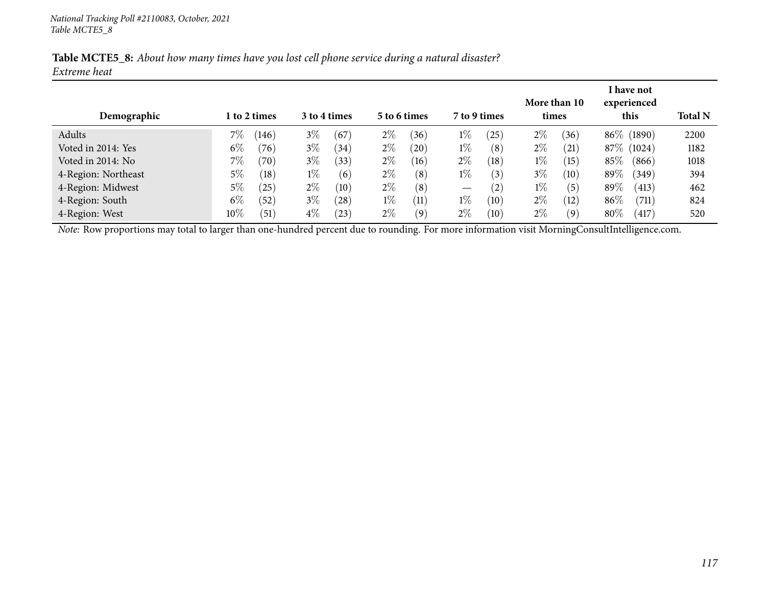|              |  | Table MCTE5_8: About how many times have you lost cell phone service during a natural disaster? |
|--------------|--|-------------------------------------------------------------------------------------------------|
| Extreme heat |  |                                                                                                 |

|                     |        |                |       |              |       |              |                   |                   |       |              |      | I have not  |                |
|---------------------|--------|----------------|-------|--------------|-------|--------------|-------------------|-------------------|-------|--------------|------|-------------|----------------|
|                     |        |                |       |              |       |              |                   |                   |       | More than 10 |      | experienced |                |
| Demographic         |        | 1 to 2 times   |       | 3 to 4 times |       | 5 to 6 times |                   | 7 to 9 times      | times |              |      | this        | <b>Total N</b> |
| Adults              | 7%     | (146)          | $3\%$ | (67)         | $2\%$ | (36)         | $1\%$             | (25)              | $2\%$ | (36)         |      | 86\% (1890) | 2200           |
| Voted in 2014: Yes  | $6\%$  | (76)           | $3\%$ | (34)         | $2\%$ | $^{'}20$     | $1\%$             | (8)               | $2\%$ | (21)         |      | 87\% (1024) | 1182           |
| Voted in 2014: No   | 7%     | $^{\prime}70)$ | $3\%$ | (33)         | $2\%$ | (16)         | $2\%$             | (18)              | $1\%$ | (15)         | 85%  | (866)       | 1018           |
| 4-Region: Northeast | $5\%$  | (18)           | $1\%$ | (6)          | $2\%$ | (8)          | $1\%$             | (3)               | $3\%$ | (10)         | 89\% | (349)       | 394            |
| 4-Region: Midwest   | 5%     | $^{'}25)$      | $2\%$ | (10)         | $2\%$ | (8)          | $\hspace{0.05cm}$ | (2)               | $1\%$ | (5)          | 89\% | (413)       | 462            |
| 4-Region: South     | $6\%$  | (52)           | $3\%$ | (28)         | $1\%$ | (11)         | $1\%$             | $\left(10\right)$ | $2\%$ | (12)         | 86\% | (711)       | 824            |
| 4-Region: West      | $10\%$ | (51)           | $4\%$ | (23)         | $2\%$ | (9)          | $2\%$             | $\left(10\right)$ | $2\%$ | (9)          | 80%  | (417)       | 520            |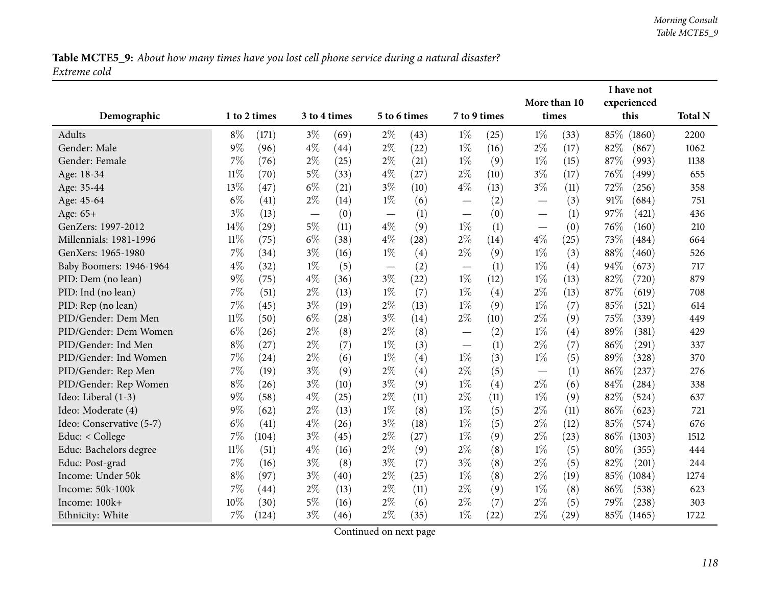Table MCTE5\_9: About how many times have you lost cell phone service during a natural disaster? *Extreme cold*

|                          |        |              |       |              |              | More than 10 |                          |      | I have not<br>experienced         |      |      |            |                |
|--------------------------|--------|--------------|-------|--------------|--------------|--------------|--------------------------|------|-----------------------------------|------|------|------------|----------------|
| Demographic              |        | 1 to 2 times |       | 3 to 4 times | 5 to 6 times |              | 7 to 9 times             |      | times                             |      |      | this       | <b>Total N</b> |
| Adults                   | $8\%$  | (171)        | $3\%$ | (69)         | $2\%$        | (43)         | $1\%$                    | (25) | $1\%$                             | (33) | 85%  | (1860)     | 2200           |
| Gender: Male             | $9\%$  | (96)         | $4\%$ | (44)         | $2\%$        | (22)         | $1\%$                    | (16) | $2\%$                             | (17) | 82%  | (867)      | 1062           |
| Gender: Female           | 7%     | (76)         | $2\%$ | (25)         | $2\%$        | (21)         | $1\%$                    | (9)  | $1\%$                             | (15) | 87%  | (993)      | 1138           |
| Age: 18-34               | $11\%$ | (70)         | 5%    | (33)         | $4\%$        | (27)         | $2\%$                    | (10) | $3\%$                             | (17) | 76\% | (499)      | 655            |
| Age: 35-44               | 13%    | (47)         | $6\%$ | (21)         | $3\%$        | (10)         | $4\%$                    | (13) | $3\%$                             | (11) | 72\% | (256)      | 358            |
| Age: 45-64               | $6\%$  | (41)         | $2\%$ | (14)         | $1\%$        | (6)          | $\overline{\phantom{0}}$ | (2)  |                                   | (3)  | 91%  | (684)      | 751            |
| Age: 65+                 | $3\%$  | (13)         |       | (0)          |              | (1)          |                          | (0)  |                                   | (1)  | 97%  | (421)      | 436            |
| GenZers: 1997-2012       | 14%    | (29)         | $5\%$ | (11)         | $4\%$        | (9)          | $1\%$                    | (1)  | $\overbrace{\phantom{123221111}}$ | (0)  | 76%  | (160)      | 210            |
| Millennials: 1981-1996   | $11\%$ | (75)         | $6\%$ | (38)         | $4\%$        | (28)         | $2\%$                    | (14) | $4\%$                             | (25) | 73%  | (484)      | 664            |
| GenXers: 1965-1980       | 7%     | (34)         | $3\%$ | (16)         | $1\%$        | (4)          | $2\%$                    | (9)  | $1\%$                             | (3)  | 88%  | (460)      | 526            |
| Baby Boomers: 1946-1964  | $4\%$  | (32)         | $1\%$ | (5)          |              | (2)          |                          | (1)  | $1\%$                             | (4)  | 94%  | (673)      | 717            |
| PID: Dem (no lean)       | $9\%$  | (75)         | $4\%$ | (36)         | $3\%$        | (22)         | $1\%$                    | (12) | $1\%$                             | (13) | 82%  | (720)      | 879            |
| PID: Ind (no lean)       | 7%     | (51)         | $2\%$ | (13)         | $1\%$        | (7)          | $1\%$                    | (4)  | $2\%$                             | (13) | 87%  | (619)      | 708            |
| PID: Rep (no lean)       | 7%     | (45)         | $3\%$ | (19)         | $2\%$        | (13)         | $1\%$                    | (9)  | $1\%$                             | (7)  | 85%  | (521)      | 614            |
| PID/Gender: Dem Men      | $11\%$ | (50)         | $6\%$ | (28)         | $3\%$        | (14)         | $2\%$                    | (10) | $2\%$                             | (9)  | 75%  | (339)      | 449            |
| PID/Gender: Dem Women    | $6\%$  | (26)         | $2\%$ | (8)          | $2\%$        | (8)          |                          | (2)  | $1\%$                             | (4)  | 89%  | (381)      | 429            |
| PID/Gender: Ind Men      | $8\%$  | (27)         | $2\%$ | (7)          | $1\%$        | (3)          |                          | (1)  | $2\%$                             | (7)  | 86%  | (291)      | 337            |
| PID/Gender: Ind Women    | 7%     | (24)         | $2\%$ | (6)          | $1\%$        | (4)          | $1\%$                    | (3)  | $1\%$                             | (5)  | 89%  | (328)      | 370            |
| PID/Gender: Rep Men      | 7%     | (19)         | $3\%$ | (9)          | $2\%$        | (4)          | $2\%$                    | (5)  | $\overline{\phantom{0}}$          | (1)  | 86%  | (237)      | 276            |
| PID/Gender: Rep Women    | $8\%$  | (26)         | $3\%$ | (10)         | $3\%$        | (9)          | $1\%$                    | (4)  | $2\%$                             | (6)  | 84%  | (284)      | 338            |
| Ideo: Liberal (1-3)      | $9\%$  | (58)         | $4\%$ | (25)         | $2\%$        | (11)         | $2\%$                    | (11) | $1\%$                             | (9)  | 82%  | (524)      | 637            |
| Ideo: Moderate (4)       | $9\%$  | (62)         | $2\%$ | (13)         | $1\%$        | (8)          | $1\%$                    | (5)  | $2\%$                             | (11) | 86%  | (623)      | 721            |
| Ideo: Conservative (5-7) | $6\%$  | (41)         | $4\%$ | (26)         | $3\%$        | (18)         | $1\%$                    | (5)  | $2\%$                             | (12) | 85%  | (574)      | 676            |
| Educ: < College          | 7%     | (104)        | $3\%$ | (45)         | $2\%$        | (27)         | $1\%$                    | (9)  | $2\%$                             | (23) | 86%  | (1303)     | 1512           |
| Educ: Bachelors degree   | $11\%$ | (51)         | $4\%$ | (16)         | $2\%$        | (9)          | $2\%$                    | (8)  | $1\%$                             | (5)  | 80%  | (355)      | 444            |
| Educ: Post-grad          | 7%     | (16)         | $3\%$ | (8)          | $3\%$        | (7)          | $3\%$                    | (8)  | $2\%$                             | (5)  | 82%  | (201)      | 244            |
| Income: Under 50k        | $8\%$  | (97)         | $3\%$ | (40)         | $2\%$        | (25)         | $1\%$                    | (8)  | $2\%$                             | (19) | 85\% | (1084)     | 1274           |
| Income: 50k-100k         | 7%     | (44)         | $2\%$ | (13)         | $2\%$        | (11)         | $2\%$                    | (9)  | $1\%$                             | (8)  | 86%  | (538)      | 623            |
| Income: 100k+            | 10%    | (30)         | 5%    | (16)         | $2\%$        | (6)          | $2\%$                    | (7)  | $2\%$                             | (5)  | 79%  | (238)      | 303            |
| Ethnicity: White         | 7%     | (124)        | $3\%$ | (46)         | $2\%$        | (35)         | $1\%$                    | (22) | $2\%$                             | (29) |      | 85% (1465) | 1722           |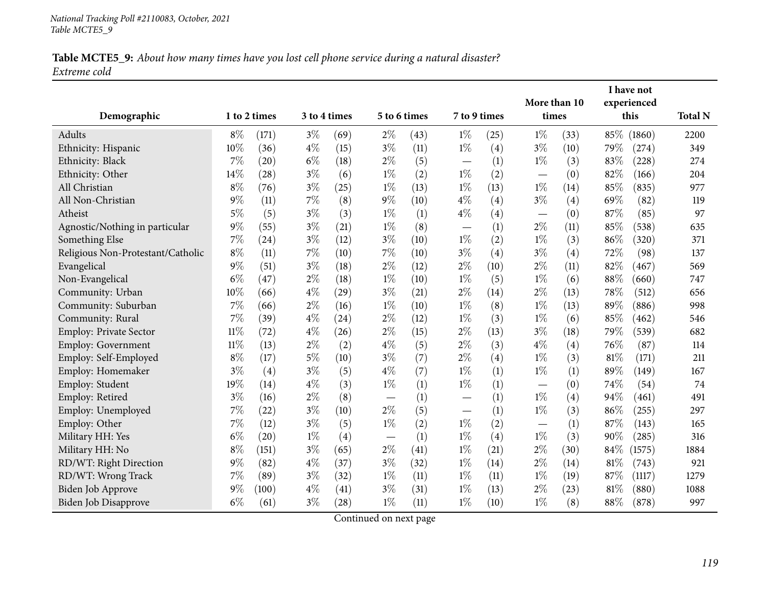#### Table MCTE5\_9: About how many times have you lost cell phone service during a natural disaster? *Extreme cold*

| Demographic                       |        | 1 to 2 times | 3 to 4 times |                    | 5 to 6 times |      | 7 to 9 times             |      | More than 10<br>times    |      |        | I have not<br>experienced<br>this | <b>Total N</b> |
|-----------------------------------|--------|--------------|--------------|--------------------|--------------|------|--------------------------|------|--------------------------|------|--------|-----------------------------------|----------------|
| Adults                            | $8\%$  | (171)        | $3\%$        | (69)               | $2\%$        | (43) | $1\%$                    | (25) | $1\%$                    | (33) | 85%    | (1860)                            | 2200           |
| Ethnicity: Hispanic               | 10%    | (36)         | $4\%$        | (15)               | $3\%$        | (11) | $1\%$                    | (4)  | $3\%$                    | (10) | 79\%   | (274)                             | 349            |
| Ethnicity: Black                  | 7%     | (20)         | $6\%$        | (18)               | $2\%$        | (5)  | $\overline{\phantom{0}}$ | (1)  | $1\%$                    | (3)  | 83%    | (228)                             | 274            |
| Ethnicity: Other                  | 14%    | (28)         | $3\%$        | (6)                | $1\%$        | (2)  | $1\%$                    | (2)  | $\overline{\phantom{0}}$ | (0)  | 82%    | (166)                             | 204            |
| All Christian                     | $8\%$  | (76)         | $3\%$        | (25)               | $1\%$        | (13) | $1\%$                    | (13) | $1\%$                    | (14) | 85%    | (835)                             | 977            |
| All Non-Christian                 | 9%     | (11)         | $7\%$        | (8)                | $9\%$        | (10) | $4\%$                    | (4)  | $3\%$                    | (4)  | 69%    | (82)                              | 119            |
| Atheist                           | 5%     | (5)          | $3\%$        | (3)                | $1\%$        | (1)  | $4\%$                    | (4)  | $\overline{\phantom{0}}$ | (0)  | 87%    | (85)                              | 97             |
| Agnostic/Nothing in particular    | $9\%$  | (55)         | $3\%$        | (21)               | $1\%$        | (8)  |                          | (1)  | $2\%$                    | (11) | 85%    | (538)                             | 635            |
| Something Else                    | $7\%$  | (24)         | $3\%$        | (12)               | $3\%$        | (10) | $1\%$                    | (2)  | $1\%$                    | (3)  | 86%    | (320)                             | 371            |
| Religious Non-Protestant/Catholic | $8\%$  | (11)         | $7\%$        | (10)               | 7%           | (10) | $3\%$                    | (4)  | $3\%$                    | (4)  | 72%    | (98)                              | 137            |
| Evangelical                       | $9\%$  | (51)         | $3\%$        | (18)               | $2\%$        | (12) | $2\%$                    | (10) | $2\%$                    | (11) | 82%    | (467)                             | 569            |
| Non-Evangelical                   | $6\%$  | (47)         | $2\%$        | (18)               | $1\%$        | (10) | $1\%$                    | (5)  | $1\%$                    | (6)  | $88\%$ | (660)                             | 747            |
| Community: Urban                  | 10%    | (66)         | $4\%$        | (29)               | $3\%$        | (21) | $2\%$                    | (14) | $2\%$                    | (13) | 78%    | (512)                             | 656            |
| Community: Suburban               | 7%     | (66)         | $2\%$        | (16)               | $1\%$        | (10) | $1\%$                    | (8)  | $1\%$                    | (13) | 89%    | (886)                             | 998            |
| Community: Rural                  | 7%     | (39)         | $4\%$        | (24)               | $2\%$        | (12) | $1\%$                    | (3)  | $1\%$                    | (6)  | 85%    | (462)                             | 546            |
| Employ: Private Sector            | $11\%$ | (72)         | $4\%$        | (26)               | $2\%$        | (15) | $2\%$                    | (13) | $3\%$                    | (18) | 79%    | (539)                             | 682            |
| Employ: Government                | $11\%$ | (13)         | $2\%$        | (2)                | $4\%$        | (5)  | $2\%$                    | (3)  | $4\%$                    | (4)  | 76%    | (87)                              | 114            |
| Employ: Self-Employed             | $8\%$  | (17)         | $5\%$        | (10)               | $3\%$        | (7)  | $2\%$                    | (4)  | $1\%$                    | (3)  | 81%    | (171)                             | 211            |
| Employ: Homemaker                 | $3\%$  | (4)          | $3\%$        | (5)                | $4\%$        | (7)  | $1\%$                    | (1)  | $1\%$                    | (1)  | 89%    | (149)                             | 167            |
| Employ: Student                   | 19%    | (14)         | $4\%$        | (3)                | $1\%$        | (1)  | $1\%$                    | (1)  | $\overline{\phantom{0}}$ | (0)  | 74%    | (54)                              | 74             |
| Employ: Retired                   | $3\%$  | (16)         | $2\%$        | (8)                |              | (1)  |                          | (1)  | $1\%$                    | (4)  | 94%    | (461)                             | 491            |
| Employ: Unemployed                | 7%     | (22)         | $3\%$        | (10)               | 2%           | (5)  |                          | (1)  | $1\%$                    | (3)  | 86%    | (255)                             | 297            |
| Employ: Other                     | $7\%$  | (12)         | $3\%$        | (5)                | $1\%$        | (2)  | $1\%$                    | (2)  |                          | (1)  | 87%    | (143)                             | 165            |
| Military HH: Yes                  | $6\%$  | (20)         | $1\%$        | (4)                |              | (1)  | $1\%$                    | (4)  | $1\%$                    | (3)  | 90%    | (285)                             | 316            |
| Military HH: No                   | $8\%$  | (151)        | $3\%$        | (65)               | $2\%$        | (41) | $1\%$                    | (21) | $2\%$                    | (30) | 84\%   | (1575)                            | 1884           |
| RD/WT: Right Direction            | 9%     | (82)         | $4\%$        | (37)               | $3\%$        | (32) | $1\%$                    | (14) | $2\%$                    | (14) | 81\%   | (743)                             | 921            |
| RD/WT: Wrong Track                | 7%     | (89)         | $3\%$        | (32)               | $1\%$        | (11) | $1\%$                    | (11) | $1\%$                    | (19) | 87\%   | (1117)                            | 1279           |
| Biden Job Approve                 | 9%     | (100)        | $4\%$        | (41)               | $3\%$        | (31) | $1\%$                    | (13) | $2\%$                    | (23) | 81%    | (880)                             | 1088           |
| Biden Job Disapprove              | $6\%$  | (61)         | $3\%$        | $\left( 28\right)$ | $1\%$        | (11) | $1\%$                    | (10) | $1\%$                    | (8)  | $88\%$ | (878)                             | 997            |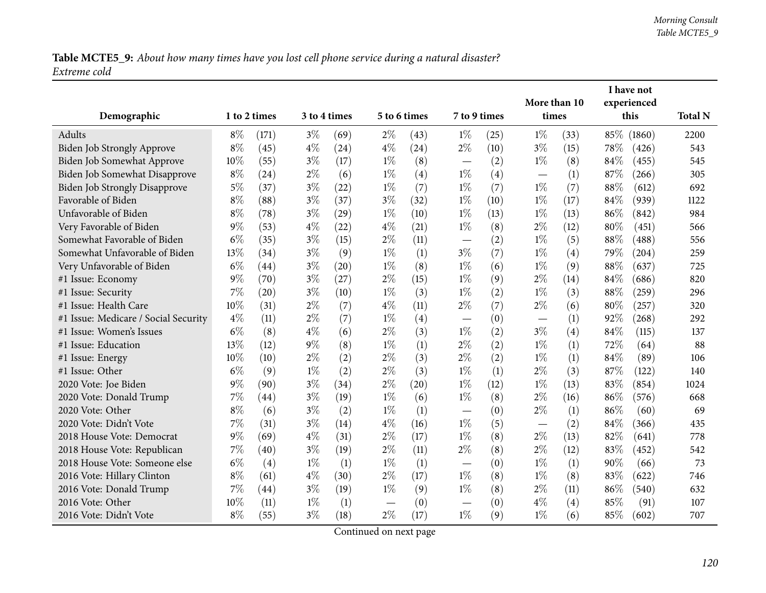Table MCTE5\_9: About how many times have you lost cell phone service during a natural disaster? *Extreme cold*

|                                      |       |              |       |              |                               |      |                                   |      | More than 10 |      |        | I have not<br>experienced |                |
|--------------------------------------|-------|--------------|-------|--------------|-------------------------------|------|-----------------------------------|------|--------------|------|--------|---------------------------|----------------|
| Demographic                          |       | 1 to 2 times |       | 3 to 4 times | 5 to 6 times                  |      | 7 to 9 times                      |      | times        |      |        | this                      | <b>Total N</b> |
| Adults                               | $8\%$ | (171)        | $3\%$ | (69)         | $2\%$                         | (43) | $1\%$                             | (25) | $1\%$        | (33) | 85%    | (1860)                    | 2200           |
| Biden Job Strongly Approve           | $8\%$ | (45)         | $4\%$ | (24)         | $4\%$                         | (24) | $2\%$                             | (10) | $3\%$        | (15) | 78%    | (426)                     | 543            |
| Biden Job Somewhat Approve           | 10%   | (55)         | $3\%$ | (17)         | $1\%$                         | (8)  |                                   | (2)  | $1\%$        | (8)  | 84%    | (455)                     | 545            |
| Biden Job Somewhat Disapprove        | $8\%$ | (24)         | $2\%$ | (6)          | $1\%$                         | (4)  | $1\%$                             | (4)  |              | (1)  | 87%    | (266)                     | 305            |
| <b>Biden Job Strongly Disapprove</b> | $5\%$ | (37)         | $3\%$ | (22)         | $1\%$                         | (7)  | $1\%$                             | (7)  | $1\%$        | (7)  | $88\%$ | (612)                     | 692            |
| Favorable of Biden                   | $8\%$ | (88)         | $3\%$ | (37)         | $3\%$                         | (32) | $1\%$                             | (10) | $1\%$        | (17) | 84\%   | (939)                     | 1122           |
| Unfavorable of Biden                 | $8\%$ | (78)         | $3\%$ | (29)         | $1\%$                         | (10) | $1\%$                             | (13) | $1\%$        | (13) | 86%    | (842)                     | 984            |
| Very Favorable of Biden              | $9\%$ | (53)         | $4\%$ | (22)         | $4\%$                         | (21) | $1\%$                             | (8)  | $2\%$        | (12) | 80%    | (451)                     | 566            |
| Somewhat Favorable of Biden          | $6\%$ | (35)         | $3\%$ | (15)         | $2\%$                         | (11) |                                   | (2)  | $1\%$        | (5)  | $88\%$ | (488)                     | 556            |
| Somewhat Unfavorable of Biden        | 13%   | (34)         | $3\%$ | (9)          | $1\%$                         | (1)  | $3\%$                             | (7)  | $1\%$        | (4)  | 79%    | (204)                     | 259            |
| Very Unfavorable of Biden            | $6\%$ | (44)         | $3\%$ | (20)         | $1\%$                         | (8)  | $1\%$                             | (6)  | $1\%$        | (9)  | 88%    | (637)                     | 725            |
| #1 Issue: Economy                    | $9\%$ | (70)         | $3\%$ | (27)         | $2\%$                         | (15) | $1\%$                             | (9)  | $2\%$        | (14) | 84%    | (686)                     | 820            |
| #1 Issue: Security                   | $7\%$ | (20)         | $3\%$ | (10)         | $1\%$                         | (3)  | $1\%$                             | (2)  | $1\%$        | (3)  | 88%    | (259)                     | 296            |
| #1 Issue: Health Care                | 10%   | (31)         | $2\%$ | (7)          | $4\%$                         | (11) | $2\%$                             | (7)  | $2\%$        | (6)  | 80%    | (257)                     | 320            |
| #1 Issue: Medicare / Social Security | $4\%$ | (11)         | $2\%$ | (7)          | $1\%$                         | (4)  |                                   | (0)  |              | (1)  | 92%    | (268)                     | 292            |
| #1 Issue: Women's Issues             | $6\%$ | (8)          | $4\%$ | (6)          | $2\%$                         | (3)  | $1\%$                             | (2)  | $3\%$        | (4)  | 84%    | (115)                     | 137            |
| #1 Issue: Education                  | 13%   | (12)         | $9\%$ | (8)          | $1\%$                         | (1)  | $2\%$                             | (2)  | $1\%$        | (1)  | 72%    | (64)                      | 88             |
| #1 Issue: Energy                     | 10%   | (10)         | $2\%$ | (2)          | $2\%$                         | (3)  | $2\%$                             | (2)  | $1\%$        | (1)  | 84%    | (89)                      | 106            |
| #1 Issue: Other                      | $6\%$ | (9)          | $1\%$ | (2)          | $2\%$                         | (3)  | $1\%$                             | (1)  | $2\%$        | (3)  | 87%    | (122)                     | 140            |
| 2020 Vote: Joe Biden                 | $9\%$ | (90)         | $3\%$ | (34)         | $2\%$                         | (20) | $1\%$                             | (12) | $1\%$        | (13) | 83%    | (854)                     | 1024           |
| 2020 Vote: Donald Trump              | $7\%$ | (44)         | $3\%$ | (19)         | $1\%$                         | (6)  | $1\%$                             | (8)  | $2\%$        | (16) | 86%    | (576)                     | 668            |
| 2020 Vote: Other                     | $8\%$ | (6)          | $3\%$ | (2)          | $1\%$                         | (1)  | $\overline{\phantom{0}}$          | (0)  | $2\%$        | (1)  | 86%    | (60)                      | 69             |
| 2020 Vote: Didn't Vote               | 7%    | (31)         | $3\%$ | (14)         | $4\%$                         | (16) | $1\%$                             | (5)  |              | (2)  | 84%    | (366)                     | 435            |
| 2018 House Vote: Democrat            | $9\%$ | (69)         | $4\%$ | (31)         | $2\%$                         | (17) | $1\%$                             | (8)  | $2\%$        | (13) | 82%    | (641)                     | 778            |
| 2018 House Vote: Republican          | $7\%$ | (40)         | $3\%$ | (19)         | $2\%$                         | (11) | $2\%$                             | (8)  | $2\%$        | (12) | 83%    | (452)                     | 542            |
| 2018 House Vote: Someone else        | $6\%$ | (4)          | $1\%$ | (1)          | $1\%$                         | (1)  | $\overbrace{\phantom{123221111}}$ | (0)  | $1\%$        | (1)  | 90%    | (66)                      | 73             |
| 2016 Vote: Hillary Clinton           | $8\%$ | (61)         | $4\%$ | (30)         | $2\%$                         | (17) | $1\%$                             | (8)  | $1\%$        | (8)  | 83%    | (622)                     | 746            |
| 2016 Vote: Donald Trump              | 7%    | (44)         | $3\%$ | (19)         | $1\%$                         | (9)  | $1\%$                             | (8)  | $2\%$        | (11) | 86%    | (540)                     | 632            |
| 2016 Vote: Other                     | 10%   | (11)         | $1\%$ | (1)          | $\overbrace{\phantom{13333}}$ | (0)  |                                   | (0)  | $4\%$        | (4)  | 85%    | (91)                      | 107            |
| 2016 Vote: Didn't Vote               | $8\%$ | (55)         | $3\%$ | (18)         | $2\%$                         | (17) | $1\%$                             | (9)  | $1\%$        | (6)  | 85%    | (602)                     | 707            |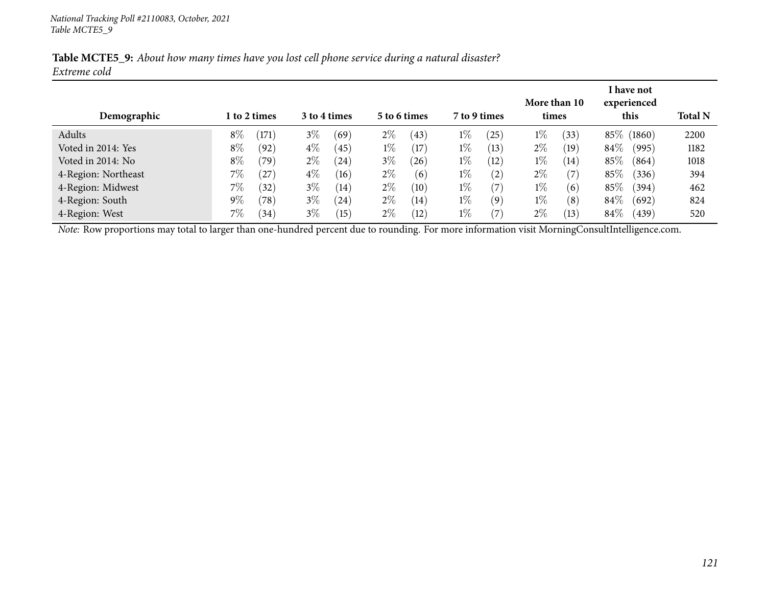|              |  | Table MCTE5_9: About how many times have you lost cell phone service during a natural disaster? |  |
|--------------|--|-------------------------------------------------------------------------------------------------|--|
| Extreme cold |  |                                                                                                 |  |

|                     |       |                |                              |      |       |      |              |                   |       | More than 10    |        | <b>I</b> have not<br>experienced |      |
|---------------------|-------|----------------|------------------------------|------|-------|------|--------------|-------------------|-------|-----------------|--------|----------------------------------|------|
| Demographic         |       | 1 to 2 times   | 3 to 4 times<br>5 to 6 times |      |       |      | 7 to 9 times | times             |       |                 | this   | <b>Total N</b>                   |      |
| Adults              | $8\%$ | (171)          | $3\%$                        | (69) | $2\%$ | (43) | $1\%$        | (25)              | $1\%$ | 33 <sup>°</sup> |        | 85\% (1860)                      | 2200 |
| Voted in 2014: Yes  | $8\%$ | (92)           | $4\%$                        | (45) | $1\%$ | (17) | $1\%$        | (13)              | $2\%$ | (19`            | $84\%$ | (995)                            | 1182 |
| Voted in 2014: No   | $8\%$ | (79)           | $2\%$                        | (24) | $3\%$ | (26) | $1\%$        | (12)              | $1\%$ | (14)            | 85%    | (864)                            | 1018 |
| 4-Region: Northeast | 7%    | (27)           | $4\%$                        | (16) | $2\%$ | (6)  | $1\%$        | (2)               | $2\%$ | (7              | 85%    | (336)                            | 394  |
| 4-Region: Midwest   | 7%    | (32)           | $3\%$                        | (14) | $2\%$ | (10) | $1\%$        | (7)               | $1\%$ | (6)             | 85%    | (394)                            | 462  |
| 4-Region: South     | $9\%$ | $^{\prime}78)$ | $3\%$                        | (24) | $2\%$ | (14) | $1\%$        | (9)               | $1\%$ | (8)             | $84\%$ | (692)                            | 824  |
| 4-Region: West      | $7\%$ | (34)           | $3\%$                        | (15) | $2\%$ | (12) | $1\%$        | $\left( 7\right)$ | $2\%$ | (13)            | $84\%$ | (439)                            | 520  |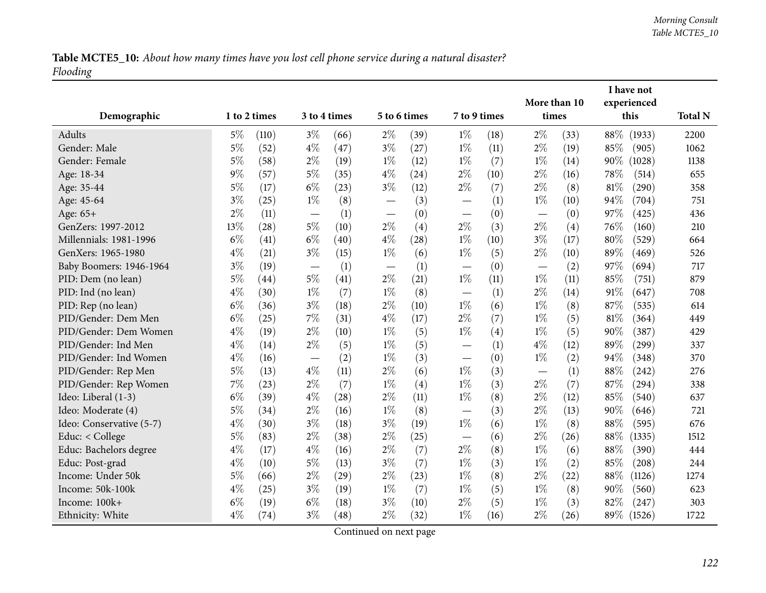Table MCTE5\_10: About how many times have you lost cell phone service during a natural disaster? *Flooding*

|                          |              |       |       |              |              |      |              |      | I have not   |      |        |             |                |
|--------------------------|--------------|-------|-------|--------------|--------------|------|--------------|------|--------------|------|--------|-------------|----------------|
|                          |              |       |       |              |              |      |              |      | More than 10 |      |        | experienced |                |
| Demographic              | 1 to 2 times |       |       | 3 to 4 times | 5 to 6 times |      | 7 to 9 times |      | times        |      |        | this        | <b>Total N</b> |
| Adults                   | $5\%$        | (110) | $3\%$ | (66)         | $2\%$        | (39) | $1\%$        | (18) | $2\%$        | (33) | $88\%$ | (1933)      | 2200           |
| Gender: Male             | $5\%$        | (52)  | $4\%$ | (47)         | $3\%$        | (27) | $1\%$        | (11) | $2\%$        | (19) | 85\%   | (905)       | 1062           |
| Gender: Female           | $5\%$        | (58)  | $2\%$ | (19)         | $1\%$        | (12) | $1\%$        | (7)  | $1\%$        | (14) | 90%    | (1028)      | 1138           |
| Age: 18-34               | $9\%$        | (57)  | $5\%$ | (35)         | $4\%$        | (24) | $2\%$        | (10) | $2\%$        | (16) | 78\%   | (514)       | 655            |
| Age: 35-44               | $5\%$        | (17)  | $6\%$ | (23)         | $3\%$        | (12) | $2\%$        | (7)  | $2\%$        | (8)  | 81\%   | (290)       | 358            |
| Age: 45-64               | $3\%$        | (25)  | $1\%$ | (8)          |              | (3)  |              | (1)  | $1\%$        | (10) | 94%    | (704)       | 751            |
| Age: 65+                 | $2\%$        | (11)  |       | (1)          |              | (0)  |              | (0)  |              | (0)  | 97%    | (425)       | 436            |
| GenZers: 1997-2012       | 13%          | (28)  | $5\%$ | (10)         | $2\%$        | (4)  | $2\%$        | (3)  | $2\%$        | (4)  | 76%    | (160)       | 210            |
| Millennials: 1981-1996   | $6\%$        | (41)  | $6\%$ | (40)         | $4\%$        | (28) | $1\%$        | (10) | $3\%$        | (17) | 80%    | (529)       | 664            |
| GenXers: 1965-1980       | $4\%$        | (21)  | $3\%$ | (15)         | $1\%$        | (6)  | $1\%$        | (5)  | $2\%$        | (10) | 89%    | (469)       | 526            |
| Baby Boomers: 1946-1964  | $3\%$        | (19)  |       | (1)          |              | (1)  |              | (0)  |              | (2)  | 97%    | (694)       | 717            |
| PID: Dem (no lean)       | $5\%$        | (44)  | $5\%$ | (41)         | $2\%$        | (21) | $1\%$        | (11) | $1\%$        | (11) | 85%    | (751)       | 879            |
| PID: Ind (no lean)       | $4\%$        | (30)  | $1\%$ | (7)          | $1\%$        | (8)  |              | (1)  | $2\%$        | (14) | 91%    | (647)       | 708            |
| PID: Rep (no lean)       | $6\%$        | (36)  | $3\%$ | (18)         | $2\%$        | (10) | $1\%$        | (6)  | $1\%$        | (8)  | 87%    | (535)       | 614            |
| PID/Gender: Dem Men      | $6\%$        | (25)  | $7\%$ | (31)         | $4\%$        | (17) | $2\%$        | (7)  | $1\%$        | (5)  | 81%    | (364)       | 449            |
| PID/Gender: Dem Women    | $4\%$        | (19)  | $2\%$ | (10)         | $1\%$        | (5)  | $1\%$        | (4)  | $1\%$        | (5)  | 90%    | (387)       | 429            |
| PID/Gender: Ind Men      | $4\%$        | (14)  | $2\%$ | (5)          | $1\%$        | (5)  |              | (1)  | $4\%$        | (12) | 89%    | (299)       | 337            |
| PID/Gender: Ind Women    | $4\%$        | (16)  |       | (2)          | $1\%$        | (3)  |              | (0)  | $1\%$        | (2)  | 94%    | (348)       | 370            |
| PID/Gender: Rep Men      | $5\%$        | (13)  | $4\%$ | (11)         | $2\%$        | (6)  | $1\%$        | (3)  |              | (1)  | 88%    | (242)       | 276            |
| PID/Gender: Rep Women    | 7%           | (23)  | $2\%$ | (7)          | $1\%$        | (4)  | $1\%$        | (3)  | $2\%$        | (7)  | 87%    | (294)       | 338            |
| Ideo: Liberal (1-3)      | $6\%$        | (39)  | $4\%$ | (28)         | $2\%$        | (11) | $1\%$        | (8)  | $2\%$        | (12) | 85%    | (540)       | 637            |
| Ideo: Moderate (4)       | $5\%$        | (34)  | $2\%$ | (16)         | $1\%$        | (8)  |              | (3)  | $2\%$        | (13) | 90%    | (646)       | 721            |
| Ideo: Conservative (5-7) | $4\%$        | (30)  | $3\%$ | (18)         | $3\%$        | (19) | $1\%$        | (6)  | $1\%$        | (8)  | 88%    | (595)       | 676            |
| Educ: < College          | $5\%$        | (83)  | $2\%$ | (38)         | $2\%$        | (25) |              | (6)  | $2\%$        | (26) | 88%    | (1335)      | 1512           |
| Educ: Bachelors degree   | $4\%$        | (17)  | $4\%$ | (16)         | $2\%$        | (7)  | $2\%$        | (8)  | $1\%$        | (6)  | 88%    | (390)       | 444            |
| Educ: Post-grad          | $4\%$        | (10)  | $5\%$ | (13)         | $3\%$        | (7)  | $1\%$        | (3)  | $1\%$        | (2)  | 85%    | (208)       | 244            |
| Income: Under 50k        | $5\%$        | (66)  | $2\%$ | (29)         | $2\%$        | (23) | $1\%$        | (8)  | $2\%$        | (22) | 88%    | (1126)      | 1274           |
| Income: 50k-100k         | $4\%$        | (25)  | $3\%$ | (19)         | $1\%$        | (7)  | $1\%$        | (5)  | $1\%$        | (8)  | 90%    | (560)       | 623            |
| Income: 100k+            | $6\%$        | (19)  | $6\%$ | (18)         | $3\%$        | (10) | $2\%$        | (5)  | $1\%$        | (3)  | 82%    | (247)       | 303            |
| Ethnicity: White         | $4\%$        | (74)  | $3\%$ | (48)         | $2\%$        | (32) | $1\%$        | (16) | $2\%$        | (26) | 89\%   | (1526)      | 1722           |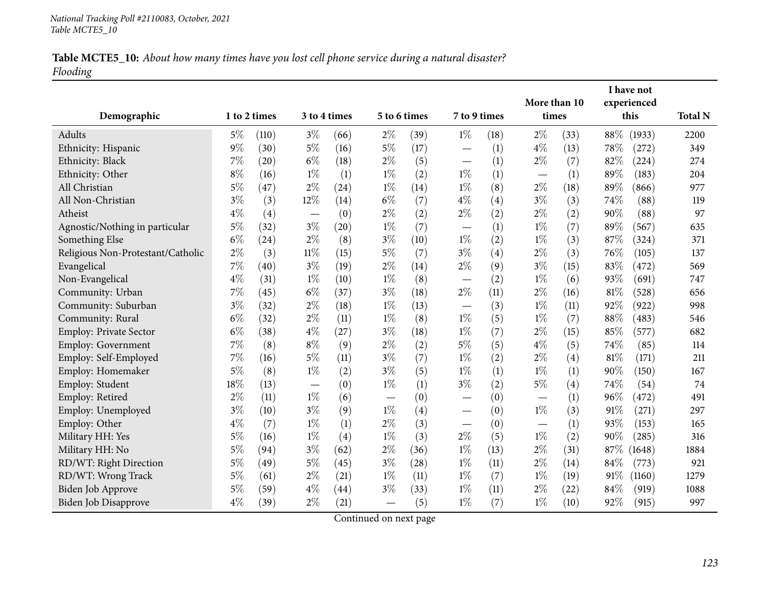### Table MCTE5\_10: About how many times have you lost cell phone service during a natural disaster? *Flooding*

| Demographic                       |       | 1 to 2 times |        | 3 to 4 times |       | 5 to 6 times | 7 to 9 times             |      | More than 10<br>times |                  |      | I have not<br>experienced<br>this | <b>Total N</b> |
|-----------------------------------|-------|--------------|--------|--------------|-------|--------------|--------------------------|------|-----------------------|------------------|------|-----------------------------------|----------------|
|                                   |       |              |        |              |       |              |                          |      |                       |                  |      |                                   |                |
| Adults                            | 5%    | (110)        | $3\%$  | (66)         | $2\%$ | (39)         | $1\%$                    | (18) | $2\%$                 | (33)             | 88\% | (1933)                            | 2200           |
| Ethnicity: Hispanic               | $9\%$ | (30)         | $5\%$  | (16)         | $5\%$ | (17)         |                          | (1)  | $4\%$                 | (13)             | 78\% | (272)                             | 349            |
| Ethnicity: Black                  | 7%    | (20)         | $6\%$  | (18)         | $2\%$ | (5)          | $\overline{\phantom{0}}$ | (1)  | $2\%$                 | (7)              | 82%  | (224)                             | 274            |
| Ethnicity: Other                  | $8\%$ | (16)         | $1\%$  | (1)          | $1\%$ | (2)          | $1\%$                    | (1)  |                       | (1)              | 89%  | (183)                             | 204            |
| All Christian                     | $5\%$ | (47)         | $2\%$  | (24)         | $1\%$ | (14)         | $1\%$                    | (8)  | $2\%$                 | (18)             | 89%  | (866)                             | 977            |
| All Non-Christian                 | $3\%$ | (3)          | 12%    | (14)         | $6\%$ | (7)          | $4\%$                    | (4)  | $3\%$                 | (3)              | 74%  | (88)                              | 119            |
| Atheist                           | $4\%$ | (4)          |        | (0)          | $2\%$ | (2)          | $2\%$                    | (2)  | $2\%$                 | (2)              | 90%  | (88)                              | 97             |
| Agnostic/Nothing in particular    | $5\%$ | (32)         | $3\%$  | (20)         | $1\%$ | (7)          |                          | (1)  | $1\%$                 | (7)              | 89%  | (567)                             | 635            |
| Something Else                    | $6\%$ | (24)         | $2\%$  | (8)          | $3\%$ | (10)         | $1\%$                    | (2)  | $1\%$                 | (3)              | 87%  | (324)                             | 371            |
| Religious Non-Protestant/Catholic | $2\%$ | (3)          | $11\%$ | (15)         | $5\%$ | (7)          | $3\%$                    | (4)  | $2\%$                 | (3)              | 76\% | (105)                             | 137            |
| Evangelical                       | 7%    | (40)         | $3\%$  | (19)         | $2\%$ | (14)         | $2\%$                    | (9)  | $3\%$                 | (15)             | 83%  | (472)                             | 569            |
| Non-Evangelical                   | $4\%$ | (31)         | $1\%$  | (10)         | $1\%$ | (8)          |                          | (2)  | $1\%$                 | (6)              | 93%  | (691)                             | 747            |
| Community: Urban                  | 7%    | (45)         | $6\%$  | (37)         | $3\%$ | (18)         | $2\%$                    | (11) | $2\%$                 | (16)             | 81%  | (528)                             | 656            |
| Community: Suburban               | $3\%$ | (32)         | $2\%$  | (18)         | $1\%$ | (13)         |                          | (3)  | $1\%$                 | (11)             | 92%  | (922)                             | 998            |
| Community: Rural                  | $6\%$ | (32)         | $2\%$  | (11)         | $1\%$ | (8)          | $1\%$                    | (5)  | $1\%$                 | (7)              | 88%  | (483)                             | 546            |
| Employ: Private Sector            | $6\%$ | (38)         | $4\%$  | (27)         | $3\%$ | (18)         | $1\%$                    | (7)  | $2\%$                 | (15)             | 85%  | (577)                             | 682            |
| Employ: Government                | 7%    | (8)          | $8\%$  | (9)          | $2\%$ | (2)          | $5\%$                    | (5)  | $4\%$                 | (5)              | 74%  | (85)                              | 114            |
| Employ: Self-Employed             | 7%    | (16)         | $5\%$  | (11)         | $3\%$ | (7)          | $1\%$                    | (2)  | $2\%$                 | (4)              | 81\% | (171)                             | 211            |
| Employ: Homemaker                 | $5\%$ | (8)          | $1\%$  | (2)          | $3\%$ | (5)          | $1\%$                    | (1)  | $1\%$                 | (1)              | 90%  | (150)                             | 167            |
| Employ: Student                   | 18%   | (13)         |        | (0)          | $1\%$ | (1)          | $3\%$                    | (2)  | $5\%$                 | (4)              | 74%  | (54)                              | 74             |
| Employ: Retired                   | $2\%$ | (11)         | $1\%$  | (6)          |       | (0)          | $\overline{\phantom{0}}$ | (0)  |                       | $\left(1\right)$ | 96%  | (472)                             | 491            |
| Employ: Unemployed                | $3\%$ | (10)         | $3\%$  | (9)          | $1\%$ | (4)          | $\overline{\phantom{0}}$ | (0)  | $1\%$                 | (3)              | 91%  | (271)                             | 297            |
| Employ: Other                     | $4\%$ | (7)          | $1\%$  | (1)          | $2\%$ | (3)          |                          | (0)  |                       | (1)              | 93%  | (153)                             | 165            |
| Military HH: Yes                  | $5\%$ | (16)         | $1\%$  | (4)          | $1\%$ | (3)          | $2\%$                    | (5)  | $1\%$                 | (2)              | 90%  | (285)                             | 316            |
| Military HH: No                   | $5\%$ | (94)         | $3\%$  | (62)         | $2\%$ | (36)         | $1\%$                    | (13) | $2\%$                 | (31)             | 87%  | (1648)                            | 1884           |
| RD/WT: Right Direction            | $5\%$ | (49)         | $5\%$  | (45)         | $3\%$ | (28)         | $1\%$                    | (11) | $2\%$                 | (14)             | 84%  | (773)                             | 921            |
| RD/WT: Wrong Track                | $5\%$ | (61)         | $2\%$  | (21)         | $1\%$ | (11)         | $1\%$                    | (7)  | $1\%$                 | (19)             | 91%  | (1160)                            | 1279           |
| Biden Job Approve                 | $5\%$ | (59)         | $4\%$  | (44)         | $3\%$ | (33)         | $1\%$                    | (11) | $2\%$                 | (22)             | 84%  | (919)                             | 1088           |
| Biden Job Disapprove              | $4\%$ | (39)         | $2\%$  | (21)         |       | (5)          | $1\%$                    | (7)  | $1\%$                 | (10)             | 92%  | (915)                             | 997            |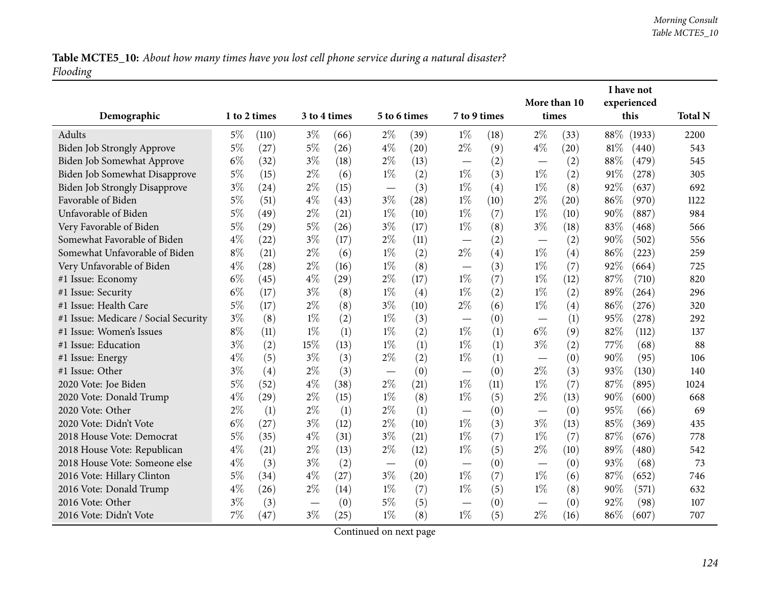Table MCTE5\_10: About how many times have you lost cell phone service during a natural disaster? *Flooding*

|                                      |       |                    |       |              |       |                    |                                   |      | I have not   |      |        |             |                |
|--------------------------------------|-------|--------------------|-------|--------------|-------|--------------------|-----------------------------------|------|--------------|------|--------|-------------|----------------|
|                                      |       |                    |       |              |       |                    |                                   |      | More than 10 |      |        | experienced |                |
| Demographic                          |       | 1 to 2 times       |       | 3 to 4 times |       | 5 to 6 times       | 7 to 9 times                      |      | times        |      |        | this        | <b>Total N</b> |
| Adults                               | $5\%$ | (110)              | $3\%$ | (66)         | $2\%$ | (39)               | $1\%$                             | (18) | $2\%$        | (33) | $88\%$ | (1933)      | 2200           |
| Biden Job Strongly Approve           | $5\%$ | (27)               | $5\%$ | (26)         | $4\%$ | (20)               | $2\%$                             | (9)  | $4\%$        | (20) | 81%    | (440)       | 543            |
| Biden Job Somewhat Approve           | $6\%$ | (32)               | $3\%$ | (18)         | $2\%$ | (13)               |                                   | (2)  |              | (2)  | 88%    | (479)       | 545            |
| Biden Job Somewhat Disapprove        | 5%    | (15)               | $2\%$ | (6)          | $1\%$ | (2)                | $1\%$                             | (3)  | $1\%$        | (2)  | 91%    | (278)       | 305            |
| <b>Biden Job Strongly Disapprove</b> | $3\%$ | (24)               | $2\%$ | (15)         |       | (3)                | $1\%$                             | (4)  | $1\%$        | (8)  | 92%    | (637)       | 692            |
| Favorable of Biden                   | $5\%$ | (51)               | $4\%$ | (43)         | $3\%$ | (28)               | $1\%$                             | (10) | $2\%$        | (20) | 86%    | (970)       | 1122           |
| Unfavorable of Biden                 | 5%    | (49)               | $2\%$ | (21)         | $1\%$ | (10)               | $1\%$                             | (7)  | $1\%$        | (10) | 90%    | (887)       | 984            |
| Very Favorable of Biden              | $5\%$ | $\left( 29\right)$ | $5\%$ | (26)         | $3\%$ | (17)               | $1\%$                             | (8)  | $3\%$        | (18) | 83%    | (468)       | 566            |
| Somewhat Favorable of Biden          | $4\%$ | (22)               | $3\%$ | (17)         | $2\%$ | (11)               |                                   | (2)  |              | (2)  | 90%    | (502)       | 556            |
| Somewhat Unfavorable of Biden        | $8\%$ | (21)               | $2\%$ | (6)          | $1\%$ | (2)                | $2\%$                             | (4)  | $1\%$        | (4)  | 86%    | (223)       | 259            |
| Very Unfavorable of Biden            | $4\%$ | (28)               | $2\%$ | (16)         | $1\%$ | (8)                | $\overline{\phantom{0}}$          | (3)  | $1\%$        | (7)  | $92\%$ | (664)       | 725            |
| #1 Issue: Economy                    | $6\%$ | (45)               | $4\%$ | (29)         | $2\%$ | (17)               | $1\%$                             | (7)  | $1\%$        | (12) | 87%    | (710)       | 820            |
| #1 Issue: Security                   | $6\%$ | (17)               | $3\%$ | (8)          | $1\%$ | (4)                | $1\%$                             | (2)  | $1\%$        | (2)  | 89%    | (264)       | 296            |
| #1 Issue: Health Care                | $5\%$ | (17)               | $2\%$ | (8)          | $3\%$ | (10)               | $2\%$                             | (6)  | $1\%$        | (4)  | 86%    | (276)       | 320            |
| #1 Issue: Medicare / Social Security | $3\%$ | (8)                | $1\%$ | (2)          | $1\%$ | (3)                |                                   | (0)  |              | (1)  | 95%    | (278)       | 292            |
| #1 Issue: Women's Issues             | $8\%$ | (11)               | $1\%$ | (1)          | $1\%$ | (2)                | $1\%$                             | (1)  | $6\%$        | (9)  | 82%    | (112)       | 137            |
| #1 Issue: Education                  | $3\%$ | (2)                | 15%   | (13)         | $1\%$ | (1)                | $1\%$                             | (1)  | $3\%$        | (2)  | 77%    | (68)        | 88             |
| #1 Issue: Energy                     | $4\%$ | (5)                | $3\%$ | (3)          | $2\%$ | (2)                | $1\%$                             | (1)  |              | (0)  | 90%    | (95)        | 106            |
| #1 Issue: Other                      | $3\%$ | (4)                | $2\%$ | (3)          |       | (0)                | $\overline{\phantom{0}}$          | (0)  | $2\%$        | (3)  | 93%    | (130)       | 140            |
| 2020 Vote: Joe Biden                 | $5\%$ | (52)               | $4\%$ | (38)         | $2\%$ | (21)               | $1\%$                             | (11) | $1\%$        | (7)  | 87%    | (895)       | 1024           |
| 2020 Vote: Donald Trump              | $4\%$ | $\left( 29\right)$ | $2\%$ | (15)         | $1\%$ | (8)                | $1\%$                             | (5)  | $2\%$        | (13) | 90%    | (600)       | 668            |
| 2020 Vote: Other                     | $2\%$ | (1)                | $2\%$ | (1)          | $2\%$ | (1)                |                                   | (0)  |              | (0)  | 95%    | (66)        | 69             |
| 2020 Vote: Didn't Vote               | $6\%$ | (27)               | $3\%$ | (12)         | $2\%$ | (10)               | $1\%$                             | (3)  | $3\%$        | (13) | 85%    | (369)       | 435            |
| 2018 House Vote: Democrat            | $5\%$ | (35)               | $4\%$ | (31)         | $3\%$ | (21)               | $1\%$                             | (7)  | $1\%$        | (7)  | 87%    | (676)       | 778            |
| 2018 House Vote: Republican          | $4\%$ | (21)               | $2\%$ | (13)         | $2\%$ | (12)               | $1\%$                             | (5)  | $2\%$        | (10) | 89%    | (480)       | 542            |
| 2018 House Vote: Someone else        | $4\%$ | (3)                | $3\%$ | (2)          |       | (0)                | $\overbrace{\phantom{123221111}}$ | (0)  |              | (0)  | 93%    | (68)        | 73             |
| 2016 Vote: Hillary Clinton           | $5\%$ | (34)               | $4\%$ | (27)         | $3\%$ | $\left( 20\right)$ | $1\%$                             | (7)  | $1\%$        | (6)  | 87%    | (652)       | 746            |
| 2016 Vote: Donald Trump              | $4\%$ | (26)               | $2\%$ | (14)         | $1\%$ | (7)                | $1\%$                             | (5)  | $1\%$        | (8)  | 90%    | (571)       | 632            |
| 2016 Vote: Other                     | $3\%$ | (3)                |       | (0)          | $5\%$ | (5)                |                                   | (0)  |              | (0)  | 92%    | (98)        | 107            |
| 2016 Vote: Didn't Vote               | 7%    | (47)               | $3\%$ | (25)         | $1\%$ | (8)                | $1\%$                             | (5)  | $2\%$        | (16) | 86%    | (607)       | 707            |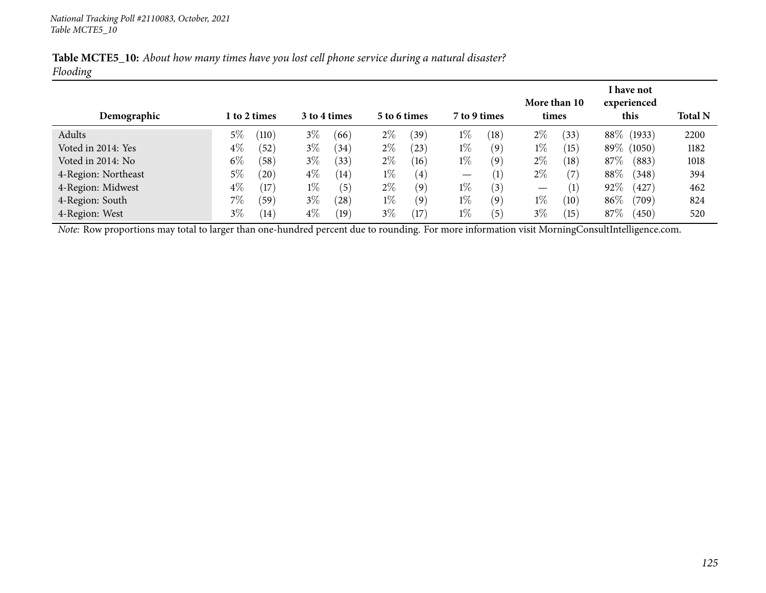| Table MCTE5_10: About how many times have you lost cell phone service during a natural disaster? |  |  |  |  |
|--------------------------------------------------------------------------------------------------|--|--|--|--|
| Flooding                                                                                         |  |  |  |  |

| Demographic         |       | 1 to 2 times |       | 3 to 4 times |       | 5 to 6 times | 7 to 9 times                    |                   | times | More than 10  |          | <b>I</b> have not<br>experienced<br>this | <b>Total N</b> |
|---------------------|-------|--------------|-------|--------------|-------|--------------|---------------------------------|-------------------|-------|---------------|----------|------------------------------------------|----------------|
| Adults              | $5\%$ | (110)        | $3\%$ | (66)         | $2\%$ | (39)         | $1\%$                           | (18)              | $2\%$ | $^{\prime}33$ |          | 88\% (1933)                              | 2200           |
| Voted in 2014: Yes  | $4\%$ | (52)         | $3\%$ | (34)         | $2\%$ | 23)          | $1\%$                           | (9)               | $1\%$ | (15)          | $89\%$ ( | (1050)                                   | 1182           |
| Voted in 2014: No   | $6\%$ | (58)         | $3\%$ | (33)         | $2\%$ | (16)         | $1\%$                           | (9)               | $2\%$ | (18)          | 87\%     | (883)                                    | 1018           |
| 4-Region: Northeast | $5\%$ | (20)         | $4\%$ | (14)         | $1\%$ | (4)          | $\hspace{0.1mm}-\hspace{0.1mm}$ | $\left( 1\right)$ | $2\%$ | (7            | 88%      | (348)                                    | 394            |
| 4-Region: Midwest   | $4\%$ | (17)         | $1\%$ | (5)          | $2\%$ | (9)          | $1\%$                           | (3)               |       | (1)           | 92%      | (427)                                    | 462            |
| 4-Region: South     | 7%    | (59)         | $3\%$ | (28)         | $1\%$ | (9)          | $1\%$                           | (9)               | $1\%$ | (10)          | 86\%     | $\left( 709\right)$                      | 824            |
| 4-Region: West      | $3\%$ | (14)         | $4\%$ | (19          | $3\%$ | (17)         | $1\%$                           | $\left(5\right)$  | $3\%$ | (15)          | 87\%     | (450)                                    | 520            |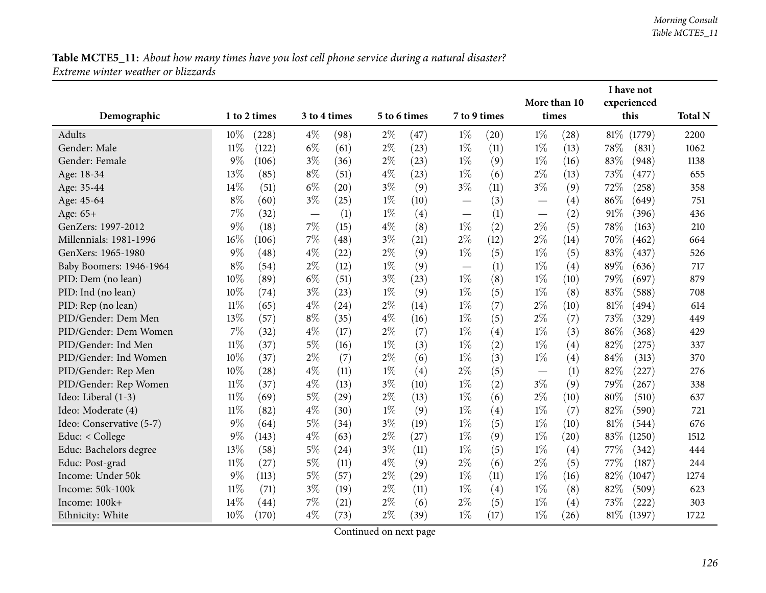|                          |        |              |       |              |       |              |              |      | More than 10                  |                  |        | I have not<br>experienced |                |
|--------------------------|--------|--------------|-------|--------------|-------|--------------|--------------|------|-------------------------------|------------------|--------|---------------------------|----------------|
| Demographic              |        | 1 to 2 times |       | 3 to 4 times |       | 5 to 6 times | 7 to 9 times |      | times                         |                  |        | this                      | <b>Total N</b> |
| Adults                   | 10%    | (228)        | $4\%$ | (98)         | $2\%$ | (47)         | $1\%$        | (20) | $1\%$                         | (28)             | $81\%$ | (1779)                    | 2200           |
| Gender: Male             | $11\%$ | (122)        | $6\%$ | (61)         | $2\%$ | (23)         | $1\%$        | (11) | $1\%$                         | (13)             | 78%    | (831)                     | 1062           |
| Gender: Female           | $9\%$  | (106)        | $3\%$ | (36)         | $2\%$ | (23)         | $1\%$        | (9)  | $1\%$                         | (16)             | 83%    | (948)                     | 1138           |
| Age: 18-34               | 13%    | (85)         | $8\%$ | (51)         | $4\%$ | (23)         | $1\%$        | (6)  | $2\%$                         | (13)             | 73%    | (477)                     | 655            |
| Age: 35-44               | 14%    | (51)         | $6\%$ | (20)         | $3\%$ | (9)          | $3\%$        | (11) | $3\%$                         | (9)              | 72%    | (258)                     | 358            |
| Age: 45-64               | $8\%$  | (60)         | $3\%$ | (25)         | $1\%$ | (10)         |              | (3)  |                               | (4)              | 86%    | (649)                     | 751            |
| Age: 65+                 | $7\%$  | (32)         |       | (1)          | $1\%$ | (4)          |              | (1)  |                               | (2)              | 91%    | (396)                     | 436            |
| GenZers: 1997-2012       | $9\%$  | (18)         | 7%    | (15)         | $4\%$ | (8)          | $1\%$        | (2)  | $2\%$                         | (5)              | 78%    | (163)                     | 210            |
| Millennials: 1981-1996   | $16\%$ | (106)        | 7%    | (48)         | $3\%$ | (21)         | $2\%$        | (12) | $2\%$                         | (14)             | 70%    | (462)                     | 664            |
| GenXers: 1965-1980       | $9\%$  | (48)         | $4\%$ | (22)         | $2\%$ | (9)          | $1\%$        | (5)  | $1\%$                         | (5)              | 83%    | (437)                     | 526            |
| Baby Boomers: 1946-1964  | $8\%$  | (54)         | $2\%$ | (12)         | $1\%$ | (9)          |              | (1)  | $1\%$                         | (4)              | 89%    | (636)                     | 717            |
| PID: Dem (no lean)       | 10%    | (89)         | $6\%$ | (51)         | $3\%$ | (23)         | $1\%$        | (8)  | $1\%$                         | (10)             | 79%    | (697)                     | 879            |
| PID: Ind (no lean)       | 10%    | (74)         | $3\%$ | (23)         | $1\%$ | (9)          | $1\%$        | (5)  | $1\%$                         | (8)              | 83%    | (588)                     | 708            |
| PID: Rep (no lean)       | $11\%$ | (65)         | $4\%$ | (24)         | $2\%$ | (14)         | $1\%$        | (7)  | $2\%$                         | (10)             | 81%    | (494)                     | 614            |
| PID/Gender: Dem Men      | 13%    | (57)         | $8\%$ | (35)         | $4\%$ | (16)         | $1\%$        | (5)  | $2\%$                         | (7)              | 73%    | (329)                     | 449            |
| PID/Gender: Dem Women    | 7%     | (32)         | $4\%$ | (17)         | $2\%$ | (7)          | $1\%$        | (4)  | $1\%$                         | (3)              | 86%    | (368)                     | 429            |
| PID/Gender: Ind Men      | $11\%$ | (37)         | $5\%$ | (16)         | $1\%$ | (3)          | $1\%$        | (2)  | $1\%$                         | $\left(4\right)$ | 82%    | (275)                     | 337            |
| PID/Gender: Ind Women    | 10%    | (37)         | $2\%$ | (7)          | $2\%$ | (6)          | $1\%$        | (3)  | $1\%$                         | (4)              | 84%    | (313)                     | 370            |
| PID/Gender: Rep Men      | 10%    | (28)         | $4\%$ | (11)         | $1\%$ | (4)          | $2\%$        | (5)  | $\overbrace{\phantom{13333}}$ | (1)              | 82%    | (227)                     | 276            |
| PID/Gender: Rep Women    | $11\%$ | (37)         | $4\%$ | (13)         | $3\%$ | (10)         | $1\%$        | (2)  | $3\%$                         | (9)              | 79%    | (267)                     | 338            |
| Ideo: Liberal (1-3)      | $11\%$ | (69)         | $5\%$ | (29)         | $2\%$ | (13)         | $1\%$        | (6)  | $2\%$                         | (10)             | $80\%$ | (510)                     | 637            |
| Ideo: Moderate (4)       | $11\%$ | (82)         | $4\%$ | (30)         | $1\%$ | (9)          | $1\%$        | (4)  | $1\%$                         | (7)              | 82%    | (590)                     | 721            |
| Ideo: Conservative (5-7) | $9\%$  | (64)         | $5\%$ | (34)         | $3\%$ | (19)         | $1\%$        | (5)  | $1\%$                         | (10)             | $81\%$ | (544)                     | 676            |
| Educ: < College          | 9%     | (143)        | $4\%$ | (63)         | $2\%$ | (27)         | $1\%$        | (9)  | $1\%$                         | (20)             | 83%    | (1250)                    | 1512           |
| Educ: Bachelors degree   | 13%    | (58)         | $5\%$ | (24)         | $3\%$ | (11)         | $1\%$        | (5)  | $1\%$                         | (4)              | 77%    | (342)                     | 444            |
| Educ: Post-grad          | $11\%$ | (27)         | $5\%$ | (11)         | $4\%$ | (9)          | $2\%$        | (6)  | $2\%$                         | (5)              | 77\%   | (187)                     | 244            |
| Income: Under 50k        | $9\%$  | (113)        | $5\%$ | (57)         | $2\%$ | (29)         | $1\%$        | (11) | $1\%$                         | (16)             | 82%    | (1047)                    | 1274           |
| Income: 50k-100k         | $11\%$ | (71)         | $3\%$ | (19)         | $2\%$ | (11)         | $1\%$        | (4)  | $1\%$                         | (8)              | 82%    | (509)                     | 623            |
| Income: 100k+            | 14%    | (44)         | $7\%$ | (21)         | $2\%$ | (6)          | $2\%$        | (5)  | $1\%$                         | (4)              | 73%    | (222)                     | 303            |
| Ethnicity: White         | 10%    | (170)        | $4\%$ | (73)         | $2\%$ | (39)         | $1\%$        | (17) | $1\%$                         | (26)             | $81\%$ | (1397)                    | 1722           |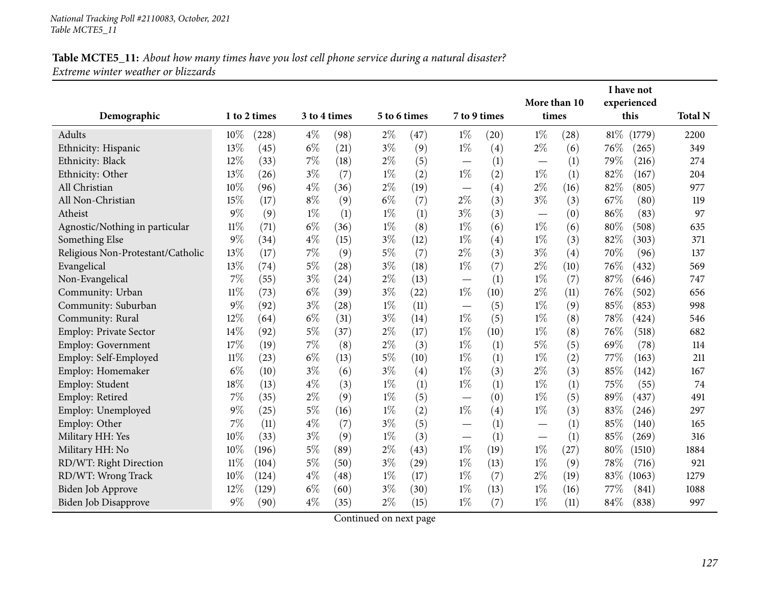| Demographic                       |        | 1 to 2 times |       | 3 to 4 times |       | 5 to 6 times | 7 to 9 times             |      | More than 10<br>times |      |        | I have not<br>experienced<br>this | <b>Total N</b> |
|-----------------------------------|--------|--------------|-------|--------------|-------|--------------|--------------------------|------|-----------------------|------|--------|-----------------------------------|----------------|
| Adults                            | 10%    | (228)        | $4\%$ | (98)         | $2\%$ | (47)         | $1\%$                    | (20) | $1\%$                 | (28) | $81\%$ | (1779)                            | 2200           |
| Ethnicity: Hispanic               | 13%    | (45)         | $6\%$ | (21)         | $3\%$ | (9)          | $1\%$                    | (4)  | $2\%$                 | (6)  | 76\%   | (265)                             | 349            |
| Ethnicity: Black                  | 12%    | (33)         | 7%    | (18)         | $2\%$ | (5)          |                          | (1)  |                       | (1)  | 79%    | (216)                             | 274            |
| Ethnicity: Other                  | 13%    | (26)         | $3\%$ | (7)          | $1\%$ | (2)          | $1\%$                    | (2)  | $1\%$                 | (1)  | 82%    | (167)                             | 204            |
| All Christian                     | 10%    | (96)         | $4\%$ | (36)         | $2\%$ | (19)         |                          | (4)  | $2\%$                 | (16) | 82%    | (805)                             | 977            |
| All Non-Christian                 | 15%    | (17)         | $8\%$ | (9)          | $6\%$ | (7)          | $2\%$                    | (3)  | $3\%$                 | (3)  | 67%    | (80)                              | 119            |
| Atheist                           | $9\%$  | (9)          | $1\%$ | (1)          | $1\%$ | (1)          | $3\%$                    | (3)  |                       | (0)  | 86%    | (83)                              | 97             |
| Agnostic/Nothing in particular    | $11\%$ | (71)         | $6\%$ | (36)         | $1\%$ | (8)          | $1\%$                    | (6)  | $1\%$                 | (6)  | $80\%$ | (508)                             | 635            |
| Something Else                    | 9%     | (34)         | $4\%$ | (15)         | $3\%$ | (12)         | $1\%$                    | (4)  | $1\%$                 | (3)  | 82%    | (303)                             | 371            |
| Religious Non-Protestant/Catholic | 13%    | (17)         | 7%    | (9)          | $5\%$ | (7)          | $2\%$                    | (3)  | $3\%$                 | (4)  | 70%    | (96)                              | 137            |
| Evangelical                       | 13%    | (74)         | $5\%$ | (28)         | $3\%$ | (18)         | $1\%$                    | (7)  | $2\%$                 | (10) | 76%    | (432)                             | 569            |
| Non-Evangelical                   | 7%     | (55)         | $3\%$ | (24)         | $2\%$ | (13)         |                          | (1)  | $1\%$                 | (7)  | 87%    | (646)                             | 747            |
| Community: Urban                  | 11%    | (73)         | $6\%$ | (39)         | $3\%$ | (22)         | $1\%$                    | (10) | $2\%$                 | (11) | 76\%   | (502)                             | 656            |
| Community: Suburban               | 9%     | (92)         | $3\%$ | (28)         | $1\%$ | (11)         |                          | (5)  | $1\%$                 | (9)  | 85%    | (853)                             | 998            |
| Community: Rural                  | 12%    | (64)         | $6\%$ | (31)         | $3\%$ | (14)         | $1\%$                    | (5)  | $1\%$                 | (8)  | 78%    | (424)                             | 546            |
| <b>Employ: Private Sector</b>     | 14%    | (92)         | $5\%$ | (37)         | $2\%$ | (17)         | $1\%$                    | (10) | $1\%$                 | (8)  | 76%    | (518)                             | 682            |
| Employ: Government                | 17%    | (19)         | $7\%$ | (8)          | $2\%$ | (3)          | $1\%$                    | (1)  | $5\%$                 | (5)  | 69%    | (78)                              | 114            |
| Employ: Self-Employed             | $11\%$ | (23)         | $6\%$ | (13)         | $5\%$ | (10)         | $1\%$                    | (1)  | $1\%$                 | (2)  | 77%    | (163)                             | 211            |
| Employ: Homemaker                 | $6\%$  | (10)         | $3\%$ | (6)          | $3\%$ | (4)          | $1\%$                    | (3)  | $2\%$                 | (3)  | 85%    | (142)                             | 167            |
| Employ: Student                   | 18%    | (13)         | $4\%$ | (3)          | $1\%$ | (1)          | $1\%$                    | (1)  | $1\%$                 | (1)  | 75%    | (55)                              | 74             |
| Employ: Retired                   | 7%     | (35)         | $2\%$ | (9)          | $1\%$ | (5)          | $\overline{\phantom{0}}$ | (0)  | $1\%$                 | (5)  | 89%    | (437)                             | 491            |
| Employ: Unemployed                | $9\%$  | (25)         | $5\%$ | (16)         | $1\%$ | (2)          | $1\%$                    | (4)  | $1\%$                 | (3)  | 83%    | (246)                             | 297            |
| Employ: Other                     | 7%     | (11)         | $4\%$ | (7)          | $3\%$ | (5)          |                          | (1)  |                       | (1)  | 85%    | (140)                             | 165            |
| Military HH: Yes                  | 10%    | (33)         | $3\%$ | (9)          | $1\%$ | (3)          |                          | (1)  |                       | (1)  | 85%    | (269)                             | 316            |
| Military HH: No                   | 10%    | (196)        | $5\%$ | (89)         | $2\%$ | (43)         | $1\%$                    | (19) | $1\%$                 | (27) | 80%    | (1510)                            | 1884           |
| RD/WT: Right Direction            | $11\%$ | (104)        | $5\%$ | (50)         | $3\%$ | (29)         | $1\%$                    | (13) | $1\%$                 | (9)  | 78%    | (716)                             | 921            |
| RD/WT: Wrong Track                | 10%    | (124)        | $4\%$ | (48)         | $1\%$ | (17)         | $1\%$                    | (7)  | $2\%$                 | (19) | 83%    | (1063)                            | 1279           |
| Biden Job Approve                 | 12%    | (129)        | $6\%$ | (60)         | $3\%$ | (30)         | $1\%$                    | (13) | $1\%$                 | (16) | 77\%   | (841)                             | 1088           |
| Biden Job Disapprove              | 9%     | (90)         | $4\%$ | (35)         | $2\%$ | (15)         | $1\%$                    | (7)  | $1\%$                 | (11) | 84\%   | (838)                             | 997            |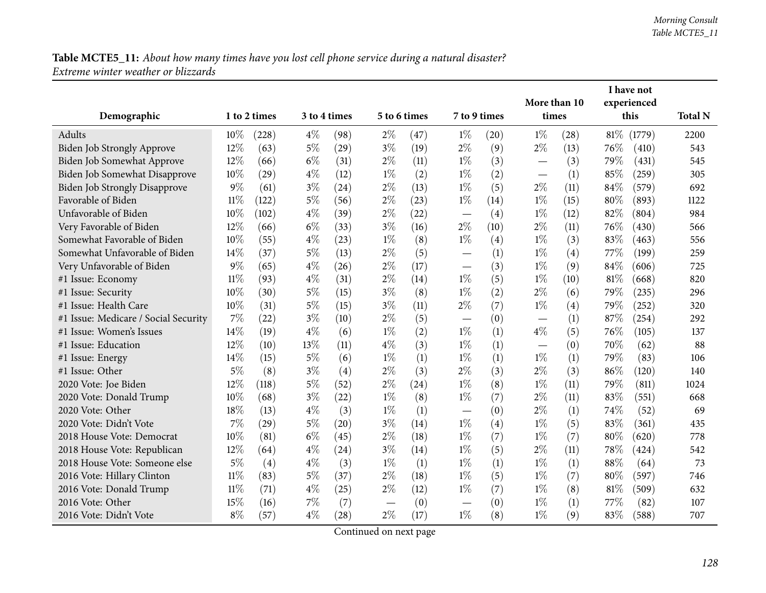|                                      |        |              |       |              |              |      |                                   |      | I have not<br>More than 10        |      |        |             |                |
|--------------------------------------|--------|--------------|-------|--------------|--------------|------|-----------------------------------|------|-----------------------------------|------|--------|-------------|----------------|
|                                      |        |              |       |              |              |      |                                   |      |                                   |      |        | experienced |                |
| Demographic                          |        | 1 to 2 times |       | 3 to 4 times | 5 to 6 times |      | 7 to 9 times                      |      | times                             |      |        | this        | <b>Total N</b> |
| Adults                               | 10%    | (228)        | $4\%$ | (98)         | $2\%$        | (47) | $1\%$                             | (20) | $1\%$                             | (28) | $81\%$ | (1779)      | 2200           |
| Biden Job Strongly Approve           | 12%    | (63)         | $5\%$ | (29)         | $3\%$        | (19) | $2\%$                             | (9)  | $2\%$                             | (13) | 76\%   | (410)       | 543            |
| Biden Job Somewhat Approve           | $12\%$ | (66)         | $6\%$ | (31)         | $2\%$        | (11) | $1\%$                             | (3)  |                                   | (3)  | 79%    | (431)       | 545            |
| Biden Job Somewhat Disapprove        | 10%    | (29)         | $4\%$ | (12)         | $1\%$        | (2)  | $1\%$                             | (2)  | $\overbrace{\phantom{123221111}}$ | (1)  | 85%    | (259)       | 305            |
| <b>Biden Job Strongly Disapprove</b> | $9\%$  | (61)         | $3\%$ | (24)         | $2\%$        | (13) | $1\%$                             | (5)  | $2\%$                             | (11) | 84%    | (579)       | 692            |
| Favorable of Biden                   | $11\%$ | (122)        | $5\%$ | (56)         | $2\%$        | (23) | $1\%$                             | (14) | $1\%$                             | (15) | 80%    | (893)       | 1122           |
| Unfavorable of Biden                 | 10%    | (102)        | $4\%$ | (39)         | $2\%$        | (22) |                                   | (4)  | $1\%$                             | (12) | 82%    | (804)       | 984            |
| Very Favorable of Biden              | 12%    | (66)         | $6\%$ | (33)         | $3\%$        | (16) | $2\%$                             | (10) | $2\%$                             | (11) | 76%    | (430)       | 566            |
| Somewhat Favorable of Biden          | 10%    | (55)         | $4\%$ | (23)         | $1\%$        | (8)  | $1\%$                             | (4)  | $1\%$                             | (3)  | 83%    | (463)       | 556            |
| Somewhat Unfavorable of Biden        | 14\%   | (37)         | $5\%$ | (13)         | $2\%$        | (5)  | $\overline{\phantom{0}}$          | (1)  | $1\%$                             | (4)  | 77%    | (199)       | 259            |
| Very Unfavorable of Biden            | 9%     | (65)         | $4\%$ | (26)         | $2\%$        | (17) |                                   | (3)  | $1\%$                             | (9)  | 84%    | (606)       | 725            |
| #1 Issue: Economy                    | $11\%$ | (93)         | $4\%$ | (31)         | $2\%$        | (14) | $1\%$                             | (5)  | $1\%$                             | (10) | 81\%   | (668)       | 820            |
| #1 Issue: Security                   | 10%    | (30)         | $5\%$ | (15)         | $3\%$        | (8)  | $1\%$                             | (2)  | $2\%$                             | (6)  | 79%    | (235)       | 296            |
| #1 Issue: Health Care                | 10%    | (31)         | $5\%$ | (15)         | $3\%$        | (11) | $2\%$                             | (7)  | $1\%$                             | (4)  | 79%    | (252)       | 320            |
| #1 Issue: Medicare / Social Security | 7%     | (22)         | $3\%$ | (10)         | $2\%$        | (5)  |                                   | (0)  | —                                 | (1)  | 87%    | (254)       | 292            |
| #1 Issue: Women's Issues             | 14%    | (19)         | $4\%$ | (6)          | $1\%$        | (2)  | $1\%$                             | (1)  | $4\%$                             | (5)  | 76%    | (105)       | 137            |
| #1 Issue: Education                  | 12%    | (10)         | 13%   | (11)         | $4\%$        | (3)  | $1\%$                             | (1)  |                                   | (0)  | 70%    | (62)        | 88             |
| #1 Issue: Energy                     | 14\%   | (15)         | $5\%$ | (6)          | $1\%$        | (1)  | $1\%$                             | (1)  | $1\%$                             | (1)  | 79%    | (83)        | 106            |
| #1 Issue: Other                      | $5\%$  | (8)          | $3\%$ | (4)          | $2\%$        | (3)  | $2\%$                             | (3)  | $2\%$                             | (3)  | 86%    | (120)       | 140            |
| 2020 Vote: Joe Biden                 | 12%    | (118)        | $5\%$ | (52)         | $2\%$        | (24) | $1\%$                             | (8)  | $1\%$                             | (11) | 79%    | (811)       | 1024           |
| 2020 Vote: Donald Trump              | 10%    | (68)         | $3\%$ | (22)         | $1\%$        | (8)  | $1\%$                             | (7)  | $2\%$                             | (11) | 83%    | (551)       | 668            |
| 2020 Vote: Other                     | 18%    | (13)         | $4\%$ | (3)          | $1\%$        | (1)  | $\overbrace{\phantom{123221111}}$ | (0)  | $2\%$                             | (1)  | 74%    | (52)        | 69             |
| 2020 Vote: Didn't Vote               | 7%     | (29)         | $5\%$ | (20)         | $3\%$        | (14) | $1\%$                             | (4)  | $1\%$                             | (5)  | 83%    | (361)       | 435            |
| 2018 House Vote: Democrat            | 10%    | (81)         | $6\%$ | (45)         | $2\%$        | (18) | $1\%$                             | (7)  | $1\%$                             | (7)  | $80\%$ | (620)       | 778            |
| 2018 House Vote: Republican          | 12%    | (64)         | $4\%$ | (24)         | $3\%$        | (14) | $1\%$                             | (5)  | $2\%$                             | (11) | 78%    | (424)       | 542            |
| 2018 House Vote: Someone else        | $5\%$  | (4)          | $4\%$ | (3)          | $1\%$        | (1)  | $1\%$                             | (1)  | $1\%$                             | (1)  | 88%    | (64)        | 73             |
| 2016 Vote: Hillary Clinton           | $11\%$ | (83)         | $5\%$ | (37)         | $2\%$        | (18) | $1\%$                             | (5)  | $1\%$                             | (7)  | 80%    | (597)       | 746            |
| 2016 Vote: Donald Trump              | $11\%$ | (71)         | $4\%$ | (25)         | $2\%$        | (12) | $1\%$                             | (7)  | $1\%$                             | (8)  | 81%    | (509)       | 632            |
| 2016 Vote: Other                     | 15%    | (16)         | $7\%$ | (7)          |              | (0)  |                                   | (0)  | $1\%$                             | (1)  | 77%    | (82)        | 107            |
| 2016 Vote: Didn't Vote               | $8\%$  | (57)         | $4\%$ | (28)         | $2\%$        | (17) | $1\%$                             | (8)  | $1\%$                             | (9)  | 83%    | (588)       | 707            |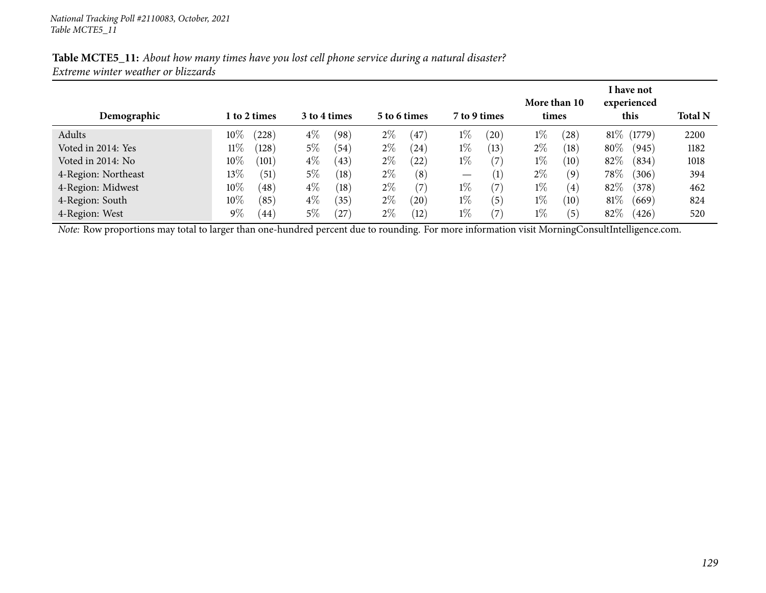| Demographic         |        | <b>1 to 2 times</b> |       | 3 to 4 times |       | 5 to 6 times      |                               | 7 to 9 times      | times | More than 10      |        | I have not<br>experienced<br>this | <b>Total N</b> |
|---------------------|--------|---------------------|-------|--------------|-------|-------------------|-------------------------------|-------------------|-------|-------------------|--------|-----------------------------------|----------------|
| Adults              | $10\%$ | (228)               | $4\%$ | (98)         | $2\%$ | $\left(47\right)$ | $1\%$                         | (20)              | $1\%$ | (28)              |        | 81\% (1779)                       | 2200           |
| Voted in 2014: Yes  | $11\%$ | (128)               | $5\%$ | (54)         | $2\%$ | (24)              | $1\%$                         | (13)              | $2\%$ | $\left(18\right)$ | $80\%$ | (945)                             | 1182           |
| Voted in 2014: No   | $10\%$ | (101)               | $4\%$ | (43)         | $2\%$ | $\left(22\right)$ | $1\%$                         | (7)               | $1\%$ | (10)              | $82\%$ | (834)                             | 1018           |
| 4-Region: Northeast | $13\%$ | (51)                | $5\%$ | (18)         | $2\%$ | (8)               | $\overbrace{\phantom{13333}}$ | $\left( 1\right)$ | $2\%$ | (9)               | $78\%$ | (306)                             | 394            |
| 4-Region: Midwest   | $10\%$ | $\left( 48\right)$  | $4\%$ | (18)         | $2\%$ | (7)               | $1\%$                         | (7)               | $1\%$ | (4)               | 82\%   | (378)                             | 462            |
| 4-Region: South     | $10\%$ | (85)                | $4\%$ | (35)         | $2\%$ | (20)              | $1\%$                         | (5)               | $1\%$ | (10)              | $81\%$ | (669)                             | 824            |
| 4-Region: West      | $9\%$  | (44)                | $5\%$ | (27)         | $2\%$ | (12)              | $1\%$                         | $\left( 7\right)$ | $1\%$ | (5)               | 82\%   | (426)                             | 520            |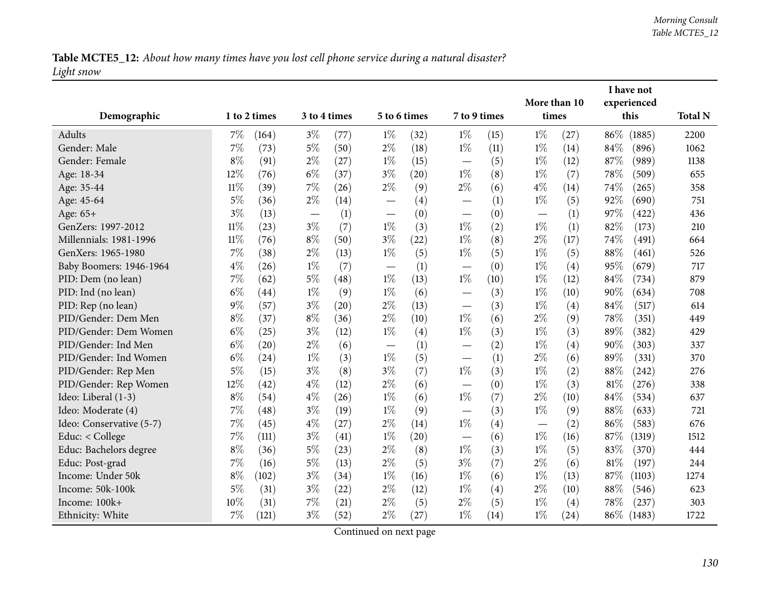Table MCTE5\_12: About how many times have you lost cell phone service during a natural disaster? *Light snow*

|                                           |        |              |       |              |                                   |              |                          |      |                       |      |        | I have not          |                |
|-------------------------------------------|--------|--------------|-------|--------------|-----------------------------------|--------------|--------------------------|------|-----------------------|------|--------|---------------------|----------------|
| Demographic                               |        | 1 to 2 times |       | 3 to 4 times |                                   | 5 to 6 times | 7 to 9 times             |      | More than 10<br>times |      |        | experienced<br>this | <b>Total N</b> |
| Adults                                    | $7\%$  | (164)        | $3\%$ | (77)         | $1\%$                             | (32)         | $1\%$                    | (15) | $1\%$                 | (27) | 86%    | (1885)              | 2200           |
| Gender: Male                              | 7%     | (73)         | $5\%$ | (50)         | $2\%$                             | (18)         | $1\%$                    | (11) | $1\%$                 | (14) | 84%    | (896)               | 1062           |
| Gender: Female                            | $8\%$  | (91)         | $2\%$ | (27)         | $1\%$                             | (15)         | $\overline{\phantom{0}}$ | (5)  | $1\%$                 | (12) | 87%    | (989)               | 1138           |
| Age: 18-34                                | 12%    | (76)         | $6\%$ | (37)         | $3\%$                             | (20)         | $1\%$                    | (8)  | $1\%$                 | (7)  | 78\%   | (509)               | 655            |
| Age: 35-44                                | $11\%$ | (39)         | 7%    | (26)         | $2\%$                             | (9)          | $2\%$                    | (6)  | $4\%$                 | (14) | 74%    | (265)               | 358            |
| Age: 45-64                                | $5\%$  | (36)         | $2\%$ | (14)         |                                   | (4)          |                          | (1)  | $1\%$                 | (5)  | 92%    | (690)               | 751            |
| Age: 65+                                  | $3\%$  | (13)         |       | (1)          |                                   | (0)          | $\overline{\phantom{0}}$ | (0)  |                       | (1)  | 97%    | (422)               | 436            |
| GenZers: 1997-2012                        | $11\%$ | (23)         | $3\%$ | (7)          | $1\%$                             | (3)          | $1\%$                    | (2)  | $1\%$                 | (1)  | 82%    | (173)               | 210            |
| Millennials: 1981-1996                    | $11\%$ | (76)         | $8\%$ | (50)         | $3\%$                             | (22)         | $1\%$                    | (8)  | $2\%$                 | (17) | 74%    | (491)               | 664            |
| GenXers: 1965-1980                        | 7%     | (38)         | $2\%$ | (13)         | $1\%$                             | (5)          | $1\%$                    | (5)  | $1\%$                 | (5)  | 88%    | (461)               | 526            |
| Baby Boomers: 1946-1964                   | $4\%$  | (26)         | $1\%$ | (7)          |                                   | (1)          |                          | (0)  | $1\%$                 | (4)  | 95%    | (679)               | 717            |
| PID: Dem (no lean)                        | $7\%$  | (62)         | $5\%$ | (48)         | $\overline{\phantom{m}}$<br>$1\%$ | (13)         | $1\%$                    | (10) | $1\%$                 |      | 84%    | (734)               | 879            |
| PID: Ind (no lean)                        | $6\%$  | (44)         | $1\%$ |              | $1\%$                             |              |                          |      | $1\%$                 | (12) | 90%    | (634)               | 708            |
|                                           | $9\%$  | (57)         | $3\%$ | (9)<br>(20)  | $2\%$                             | (6)          |                          | (3)  | $1\%$                 | (10) | 84%    |                     | 614            |
| PID: Rep (no lean)<br>PID/Gender: Dem Men | $8\%$  |              | $8\%$ | (36)         | $2\%$                             | (13)<br>(10) | $1\%$                    | (3)  | $2\%$                 | (4)  | 78%    | (517)               | 449            |
| PID/Gender: Dem Women                     | $6\%$  | (37)         | $3\%$ |              | $1\%$                             |              | $1\%$                    | (6)  | $1\%$                 | (9)  | 89%    | (351)               |                |
| PID/Gender: Ind Men                       | $6\%$  | (25)         | $2\%$ | (12)         |                                   | (4)          |                          | (3)  | $1\%$                 | (3)  |        | (382)               | 429            |
|                                           | $6\%$  | (20)         |       | (6)          |                                   | (1)          | $\overline{\phantom{0}}$ | (2)  | $2\%$                 | (4)  | 90%    | (303)               | 337            |
| PID/Gender: Ind Women                     |        | (24)         | $1\%$ | (3)          | $1\%$                             | (5)          |                          | (1)  |                       | (6)  | 89%    | (331)               | 370            |
| PID/Gender: Rep Men                       | $5\%$  | (15)         | $3\%$ | (8)          | $3\%$                             | (7)          | $1\%$                    | (3)  | $1\%$                 | (2)  | $88\%$ | (242)               | 276            |
| PID/Gender: Rep Women                     | 12%    | (42)         | $4\%$ | (12)         | $2\%$                             | (6)          |                          | (0)  | $1\%$                 | (3)  | 81\%   | (276)               | 338            |
| Ideo: Liberal (1-3)                       | $8\%$  | (54)         | $4\%$ | (26)         | $1\%$                             | (6)          | $1\%$                    | (7)  | $2\%$                 | (10) | 84%    | (534)               | 637            |
| Ideo: Moderate (4)                        | 7%     | (48)         | $3\%$ | (19)         | $1\%$                             | (9)          |                          | (3)  | $1\%$                 | (9)  | $88\%$ | (633)               | 721            |
| Ideo: Conservative (5-7)                  | 7%     | (45)         | $4\%$ | (27)         | $2\%$                             | (14)         | $1\%$                    | (4)  |                       | (2)  | 86%    | (583)               | 676            |
| Educ: < College                           | 7%     | (111)        | $3\%$ | (41)         | $1\%$                             | (20)         |                          | (6)  | $1\%$                 | (16) | 87%    | (1319)              | 1512           |
| Educ: Bachelors degree                    | $8\%$  | (36)         | $5\%$ | (23)         | $2\%$                             | (8)          | $1\%$                    | (3)  | $1\%$                 | (5)  | 83%    | (370)               | 444            |
| Educ: Post-grad                           | 7%     | (16)         | $5\%$ | (13)         | $2\%$                             | (5)          | $3\%$                    | (7)  | $2\%$                 | (6)  | 81\%   | (197)               | 244            |
| Income: Under 50k                         | $8\%$  | (102)        | $3\%$ | (34)         | $1\%$                             | (16)         | $1\%$                    | (6)  | $1\%$                 | (13) | 87%    | (1103)              | 1274           |
| Income: 50k-100k                          | 5%     | (31)         | $3\%$ | (22)         | $2\%$                             | (12)         | $1\%$                    | (4)  | $2\%$                 | (10) | 88%    | (546)               | 623            |
| Income: 100k+                             | 10%    | (31)         | 7%    | (21)         | $2\%$                             | (5)          | $2\%$                    | (5)  | $1\%$                 | (4)  | 78\%   | (237)               | 303            |
| Ethnicity: White                          | 7%     | (121)        | $3\%$ | (52)         | $2\%$                             | (27)         | $1\%$                    | (14) | $1\%$                 | (24) | $86\%$ | (1483)              | 1722           |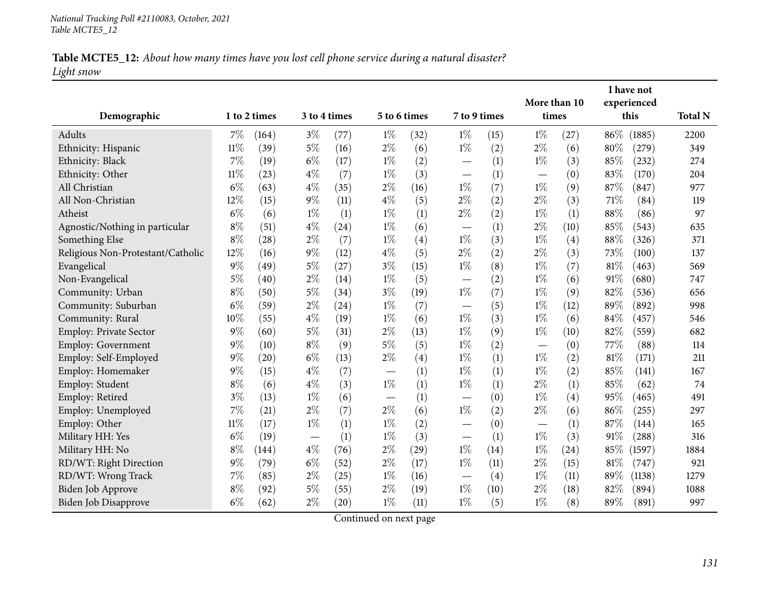# Table MCTE5\_12: About how many times have you lost cell phone service during a natural disaster? *Light snow*

|                                   |        |              |              |                    |       |              |                          |               | More than 10             |                  |        | I have not<br>experienced |                |
|-----------------------------------|--------|--------------|--------------|--------------------|-------|--------------|--------------------------|---------------|--------------------------|------------------|--------|---------------------------|----------------|
| Demographic                       |        | 1 to 2 times | 3 to 4 times |                    |       | 5 to 6 times | 7 to 9 times             |               | times                    |                  |        | this                      | <b>Total N</b> |
| Adults                            | $7\%$  | (164)        | $3\%$        | (77)               | $1\%$ | (32)         | $1\%$                    | $1\%$<br>(15) |                          | (27)             | $86\%$ | (1885)                    | 2200           |
| Ethnicity: Hispanic               | $11\%$ | (39)         | $5\%$        | (16)               | $2\%$ | (6)          | $1\%$                    | (2)           | $2\%$                    | (6)              | 80%    | (279)                     | 349            |
| Ethnicity: Black                  | 7%     | (19)         | $6\%$        | (17)               | $1\%$ | (2)          |                          | (1)           | $1\%$                    | (3)              | 85%    | (232)                     | 274            |
| Ethnicity: Other                  | $11\%$ | (23)         | $4\%$        | (7)                | $1\%$ | (3)          |                          | (1)           |                          | (0)              | 83%    | (170)                     | 204            |
| All Christian                     | $6\%$  | (63)         | $4\%$        | (35)               | $2\%$ | (16)         | $1\%$                    | (7)           | $1\%$                    | (9)              | 87%    | (847)                     | 977            |
| All Non-Christian                 | 12%    | (15)         | $9\%$        | (11)               | $4\%$ | (5)          | $2\%$                    | (2)           | $2\%$                    | (3)              | 71%    | (84)                      | 119            |
| Atheist                           | $6\%$  | (6)          | $1\%$        | (1)                | $1\%$ | (1)          | $2\%$                    | (2)           | $1\%$                    | (1)              | 88%    | (86)                      | 97             |
| Agnostic/Nothing in particular    | $8\%$  | (51)         | $4\%$        | (24)               | $1\%$ | (6)          |                          | (1)           | $2\%$                    | (10)             | 85%    | (543)                     | 635            |
| Something Else                    | $8\%$  | (28)         | $2\%$        | (7)                | $1\%$ | (4)          | $1\%$                    | (3)           | $1\%$                    | (4)              | 88%    | (326)                     | 371            |
| Religious Non-Protestant/Catholic | 12%    | (16)         | $9\%$        | (12)               | $4\%$ | (5)          | $2\%$                    | (2)           | $2\%$                    | (3)              | 73%    | (100)                     | 137            |
| Evangelical                       | $9\%$  | (49)         | 5%           | (27)               | $3\%$ | (15)         | $1\%$                    | (8)           | $1\%$                    | (7)              | 81%    | (463)                     | 569            |
| Non-Evangelical                   | $5\%$  | (40)         | $2\%$        | (14)               | $1\%$ | (5)          |                          | (2)           | $1\%$                    | (6)              | 91\%   | (680)                     | 747            |
| Community: Urban                  | $8\%$  | (50)         | $5\%$        | (34)               | $3\%$ | (19)         | $1\%$                    | (7)           | $1\%$                    | (9)              | 82%    | (536)                     | 656            |
| Community: Suburban               | $6\%$  | (59)         | $2\%$        | (24)               | $1\%$ | (7)          |                          | (5)           | $1\%$                    | (12)             | 89%    | (892)                     | 998            |
| Community: Rural                  | 10%    | (55)         | $4\%$        | (19)               | $1\%$ | (6)          | $1\%$                    | (3)           | $1\%$                    | (6)              | 84%    | (457)                     | 546            |
| <b>Employ: Private Sector</b>     | $9\%$  | (60)         | $5\%$        | (31)               | $2\%$ | (13)         | $1\%$                    | (9)           | $1\%$                    | (10)             | 82%    | (559)                     | 682            |
| <b>Employ: Government</b>         | $9\%$  | (10)         | $8\%$        | (9)                | $5\%$ | (5)          | $1\%$                    | (2)           | $\overline{\phantom{0}}$ | (0)              | 77%    | (88)                      | 114            |
| Employ: Self-Employed             | $9\%$  | (20)         | $6\%$        | (13)               | $2\%$ | (4)          | $1\%$                    | (1)           | $1\%$                    | (2)              | 81%    | (171)                     | 211            |
| Employ: Homemaker                 | 9%     | (15)         | $4\%$        | (7)                |       | (1)          | $1\%$                    | (1)           | $1\%$                    | (2)              | 85%    | (141)                     | 167            |
| Employ: Student                   | $8\%$  | (6)          | $4\%$        | (3)                | $1\%$ | (1)          | $1\%$                    | (1)           | $2\%$                    | (1)              | 85%    | (62)                      | 74             |
| Employ: Retired                   | $3\%$  | (13)         | $1\%$        | (6)                |       | (1)          | $\overline{\phantom{0}}$ | (0)           | $1\%$                    | (4)              | 95%    | (465)                     | 491            |
| Employ: Unemployed                | 7%     | (21)         | $2\%$        | (7)                | $2\%$ | (6)          | $1\%$                    | (2)           | $2\%$                    | (6)              | 86%    | (255)                     | 297            |
| Employ: Other                     | $11\%$ | (17)         | $1\%$        | (1)                | $1\%$ | (2)          |                          | (0)           |                          | $\left(1\right)$ | 87%    | (144)                     | 165            |
| Military HH: Yes                  | $6\%$  | (19)         |              | (1)                | $1\%$ | (3)          | $\overline{\phantom{0}}$ | (1)           | $1\%$                    | (3)              | 91%    | (288)                     | 316            |
| Military HH: No                   | $8\%$  | (144)        | $4\%$        | (76)               | $2\%$ | (29)         | $1\%$                    | (14)          | $1\%$                    | (24)             | 85%    | (1597)                    | 1884           |
| RD/WT: Right Direction            | $9\%$  | (79)         | $6\%$        | (52)               | $2\%$ | (17)         | $1\%$                    | (11)          | $2\%$                    | (15)             | 81%    | (747)                     | 921            |
| RD/WT: Wrong Track                | 7%     | (85)         | $2\%$        | (25)               | $1\%$ | (16)         |                          | (4)           | $1\%$                    | (11)             | 89%    | (1138)                    | 1279           |
| Biden Job Approve                 | $8\%$  | (92)         | $5\%$        | (55)               | $2\%$ | (19)         | $1\%$                    | (10)          | $2\%$                    | (18)             | 82%    | (894)                     | 1088           |
| Biden Job Disapprove              | $6\%$  | (62)         | $2\%$        | $\left( 20\right)$ | $1\%$ | (11)         | $1\%$                    | (5)           | $1\%$                    | (8)              | 89%    | (891)                     | 997            |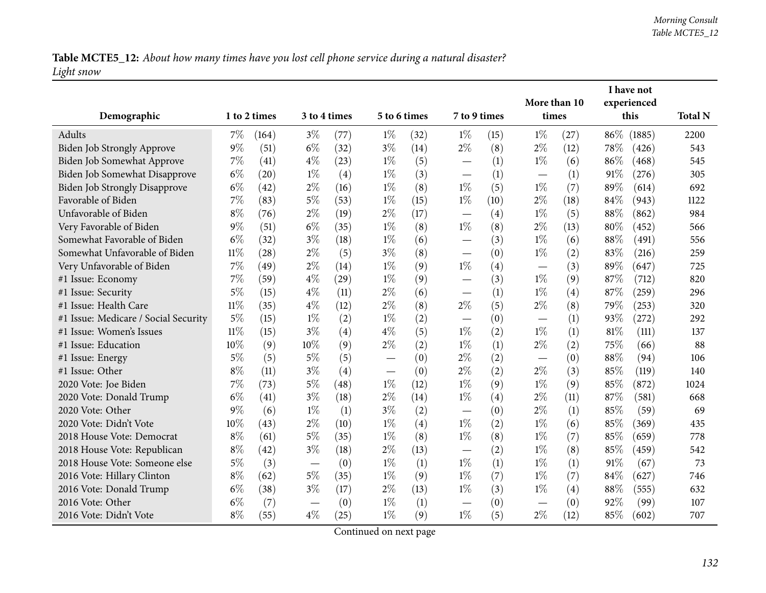Table MCTE5\_12: About how many times have you lost cell phone service during a natural disaster? *Light snow*

|                                      |        |              |       |      |              |      |                          |      |       |              | I have not  |        |                |
|--------------------------------------|--------|--------------|-------|------|--------------|------|--------------------------|------|-------|--------------|-------------|--------|----------------|
|                                      |        | 3 to 4 times |       |      |              |      |                          |      |       | More than 10 | experienced |        |                |
| Demographic                          |        | 1 to 2 times |       |      | 5 to 6 times |      | 7 to 9 times             |      | times |              | this        |        | <b>Total N</b> |
| Adults                               | 7%     | (164)        | $3\%$ | (77) | $1\%$        | (32) | $1\%$                    | (15) | $1\%$ | (27)         | 86\%        | (1885) | 2200           |
| Biden Job Strongly Approve           | 9%     | (51)         | $6\%$ | (32) | $3\%$        | (14) | $2\%$                    | (8)  | $2\%$ | (12)         | 78\%        | (426)  | 543            |
| Biden Job Somewhat Approve           | 7%     | (41)         | $4\%$ | (23) | $1\%$        | (5)  |                          | (1)  | $1\%$ | (6)          | 86%         | (468)  | 545            |
| Biden Job Somewhat Disapprove        | $6\%$  | (20)         | $1\%$ | (4)  | $1\%$        | (3)  |                          | (1)  |       | (1)          | 91%         | (276)  | 305            |
| <b>Biden Job Strongly Disapprove</b> | $6\%$  | (42)         | $2\%$ | (16) | $1\%$        | (8)  | $1\%$                    | (5)  | $1\%$ | (7)          | 89%         | (614)  | 692            |
| Favorable of Biden                   | 7%     | (83)         | $5\%$ | (53) | $1\%$        | (15) | $1\%$                    | (10) | $2\%$ | (18)         | 84%         | (943)  | 1122           |
| Unfavorable of Biden                 | $8\%$  | (76)         | $2\%$ | (19) | $2\%$        | (17) |                          | (4)  | $1\%$ | (5)          | $88\%$      | (862)  | 984            |
| Very Favorable of Biden              | $9\%$  | (51)         | $6\%$ | (35) | $1\%$        | (8)  | $1\%$                    | (8)  | $2\%$ | (13)         | 80%         | (452)  | 566            |
| Somewhat Favorable of Biden          | $6\%$  | (32)         | $3\%$ | (18) | $1\%$        | (6)  | $\overline{\phantom{0}}$ | (3)  | $1\%$ | (6)          | 88%         | (491)  | 556            |
| Somewhat Unfavorable of Biden        | $11\%$ | (28)         | $2\%$ | (5)  | $3\%$        | (8)  | $\overline{\phantom{0}}$ | (0)  | $1\%$ | (2)          | 83%         | (216)  | 259            |
| Very Unfavorable of Biden            | 7%     | (49)         | $2\%$ | (14) | $1\%$        | (9)  | $1\%$                    | (4)  |       | (3)          | 89%         | (647)  | 725            |
| #1 Issue: Economy                    | 7%     | (59)         | $4\%$ | (29) | $1\%$        | (9)  |                          | (3)  | $1\%$ | (9)          | 87%         | (712)  | 820            |
| #1 Issue: Security                   | $5\%$  | (15)         | $4\%$ | (11) | $2\%$        | (6)  |                          | (1)  | $1\%$ | (4)          | 87%         | (259)  | 296            |
| #1 Issue: Health Care                | $11\%$ | (35)         | $4\%$ | (12) | $2\%$        | (8)  | $2\%$                    | (5)  | $2\%$ | (8)          | 79%         | (253)  | 320            |
| #1 Issue: Medicare / Social Security | 5%     | (15)         | $1\%$ | (2)  | $1\%$        | (2)  | $\overline{\phantom{0}}$ | (0)  |       | (1)          | 93%         | (272)  | 292            |
| #1 Issue: Women's Issues             | $11\%$ | (15)         | $3\%$ | (4)  | $4\%$        | (5)  | $1\%$                    | (2)  | $1\%$ | (1)          | $81\%$      | (111)  | 137            |
| #1 Issue: Education                  | 10%    | (9)          | 10%   | (9)  | $2\%$        | (2)  | $1\%$                    | (1)  | $2\%$ | (2)          | 75%         | (66)   | 88             |
| #1 Issue: Energy                     | $5\%$  | (5)          | $5\%$ | (5)  |              | (0)  | $2\%$                    | (2)  |       | (0)          | 88%         | (94)   | 106            |
| #1 Issue: Other                      | $8\%$  | (11)         | $3\%$ | (4)  |              | (0)  | $2\%$                    | (2)  | $2\%$ | (3)          | 85%         | (119)  | 140            |
| 2020 Vote: Joe Biden                 | 7%     | (73)         | $5\%$ | (48) | $1\%$        | (12) | $1\%$                    | (9)  | $1\%$ | (9)          | 85%         | (872)  | 1024           |
| 2020 Vote: Donald Trump              | $6\%$  | (41)         | $3\%$ | (18) | $2\%$        | (14) | $1\%$                    | (4)  | $2\%$ | (11)         | 87%         | (581)  | 668            |
| 2020 Vote: Other                     | $9\%$  | (6)          | $1\%$ | (1)  | $3\%$        | (2)  | $\overline{\phantom{0}}$ | (0)  | $2\%$ | (1)          | 85%         | (59)   | 69             |
| 2020 Vote: Didn't Vote               | 10%    | (43)         | $2\%$ | (10) | $1\%$        | (4)  | $1\%$                    | (2)  | $1\%$ | (6)          | 85%         | (369)  | 435            |
| 2018 House Vote: Democrat            | $8\%$  | (61)         | $5\%$ | (35) | $1\%$        | (8)  | $1\%$                    | (8)  | $1\%$ | (7)          | 85%         | (659)  | 778            |
| 2018 House Vote: Republican          | $8\%$  | (42)         | $3\%$ | (18) | $2\%$        | (13) |                          | (2)  | $1\%$ | (8)          | 85%         | (459)  | 542            |
| 2018 House Vote: Someone else        | $5\%$  | (3)          |       | (0)  | $1\%$        | (1)  | $1\%$                    | (1)  | $1\%$ | (1)          | 91%         | (67)   | 73             |
| 2016 Vote: Hillary Clinton           | $8\%$  | (62)         | $5\%$ | (35) | $1\%$        | (9)  | $1\%$                    | (7)  | $1\%$ | (7)          | 84%         | (627)  | 746            |
| 2016 Vote: Donald Trump              | $6\%$  | (38)         | $3\%$ | (17) | $2\%$        | (13) | $1\%$                    | (3)  | $1\%$ | (4)          | 88%         | (555)  | 632            |
| 2016 Vote: Other                     | $6\%$  | (7)          |       | (0)  | $1\%$        | (1)  |                          | (0)  |       | (0)          | 92%         | (99)   | 107            |
| 2016 Vote: Didn't Vote               | $8\%$  | (55)         | $4\%$ | (25) | $1\%$        | (9)  | $1\%$                    | (5)  | $2\%$ | (12)         | 85%         | (602)  | 707            |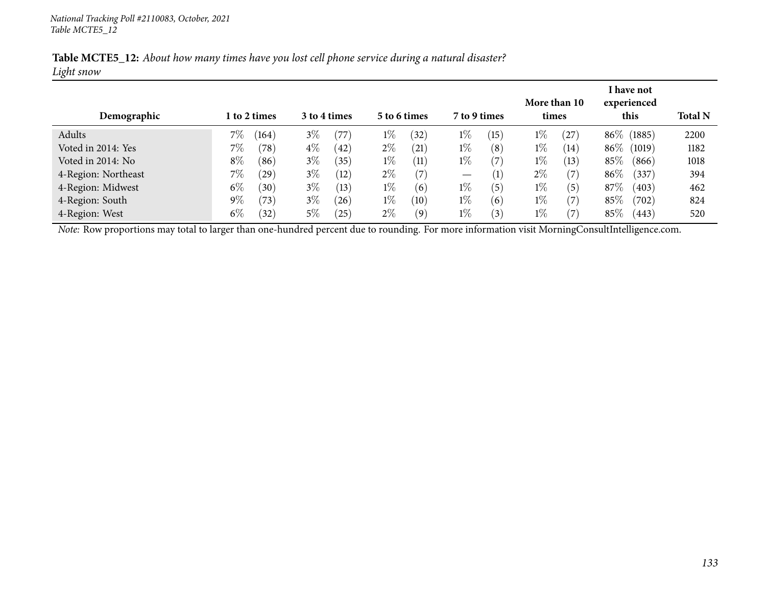|            | Table MCTE5_12: About how many times have you lost cell phone service during a natural disaster? |  |  |
|------------|--------------------------------------------------------------------------------------------------|--|--|
| Light snow |                                                                                                  |  |  |

| Demographic         |       | 1 to 2 times |       | 3 to 4 times |       | 5 to 6 times       | 7 to 9 times                    |                   | times | More than 10      |        | I have not<br>experienced<br>this | <b>Total N</b> |
|---------------------|-------|--------------|-------|--------------|-------|--------------------|---------------------------------|-------------------|-------|-------------------|--------|-----------------------------------|----------------|
| Adults              | 7%    | (164)        | $3\%$ | (77)         | $1\%$ | $^{(32)}$          | $1\%$                           | (15)              | $1\%$ | $^{'}27$          |        | 86\% (1885)                       | 2200           |
| Voted in 2014: Yes  | 7%    | (78)         | $4\%$ | (42          | $2\%$ | $\left( 21\right)$ | $1\%$                           | (8)               | $1\%$ | (14)              | $86\%$ | (1019)                            | 1182           |
| Voted in 2014: No   | $8\%$ | (86)         | $3\%$ | (35)         | $1\%$ | (11)               | $1\%$                           | $\left( 7\right)$ | $1\%$ | (13)              | 85\%   | (866)                             | 1018           |
| 4-Region: Northeast | 7%    | (29)         | $3\%$ | (12)         | $2\%$ | (7)                | $\hspace{0.1mm}-\hspace{0.1mm}$ | $\left( 1\right)$ | $2\%$ | $\left( 7\right)$ | $86\%$ | (337)                             | 394            |
| 4-Region: Midwest   | $6\%$ | (30)         | $3\%$ | (13)         | $1\%$ | (6)                | $1\%$                           | (5)               | $1\%$ | (5)               | 87\%   | (403)                             | 462            |
| 4-Region: South     | $9\%$ | (73)         | $3\%$ | (26)         | $1\%$ | (10)               | $1\%$                           | (6)               | $1\%$ | 7                 | 85%    | (702)                             | 824            |
| 4-Region: West      | $6\%$ | (32)         | $5\%$ | $^{'}25$     | $2\%$ | (9)                | $1\%$                           | $\left(3\right)$  | $1\%$ | 7                 | 85%    | (443)                             | 520            |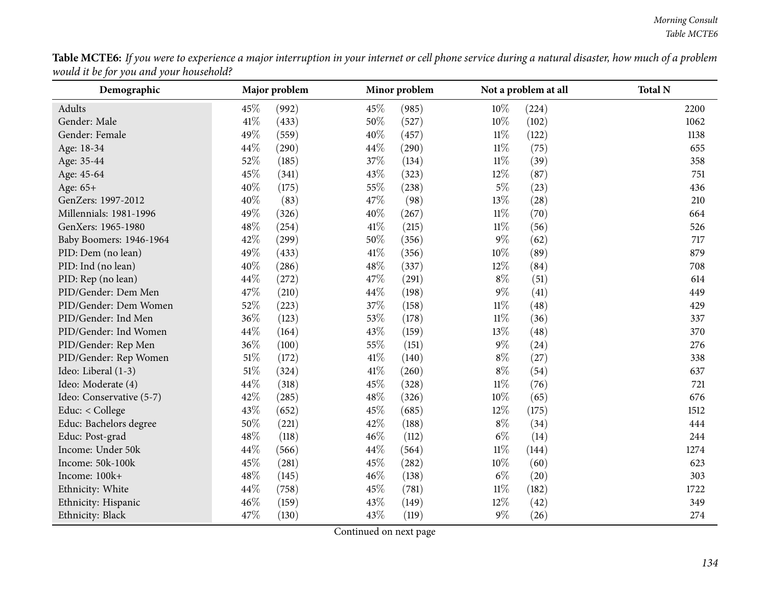| ${\bf Table~MCTE6:}$ If you were to experience a major interruption in your internet or cell phone service during a natural disaster, how much of a problem |  |
|-------------------------------------------------------------------------------------------------------------------------------------------------------------|--|
| would it be for you and your household?                                                                                                                     |  |

| Demographic              |        | Major problem |      | Minor problem |        | Not a problem at all | <b>Total N</b> |
|--------------------------|--------|---------------|------|---------------|--------|----------------------|----------------|
| Adults                   | 45%    | (992)         | 45%  | (985)         | $10\%$ | (224)                | 2200           |
| Gender: Male             | 41\%   | (433)         | 50%  | (527)         | $10\%$ | (102)                | 1062           |
| Gender: Female           | 49%    | (559)         | 40%  | (457)         | $11\%$ | (122)                | 1138           |
| Age: 18-34               | 44%    | (290)         | 44%  | (290)         | $11\%$ | (75)                 | 655            |
| Age: 35-44               | 52%    | (185)         | 37%  | (134)         | $11\%$ | (39)                 | 358            |
| Age: 45-64               | 45%    | (341)         | 43%  | (323)         | 12%    | (87)                 | 751            |
| Age: 65+                 | 40%    | (175)         | 55%  | (238)         | $5\%$  | (23)                 | 436            |
| GenZers: 1997-2012       | 40%    | (83)          | 47%  | (98)          | 13%    | (28)                 | 210            |
| Millennials: 1981-1996   | 49%    | (326)         | 40%  | (267)         | $11\%$ | (70)                 | 664            |
| GenXers: 1965-1980       | 48%    | (254)         | 41\% | (215)         | $11\%$ | (56)                 | 526            |
| Baby Boomers: 1946-1964  | 42%    | (299)         | 50%  | (356)         | $9\%$  | (62)                 | 717            |
| PID: Dem (no lean)       | 49%    | (433)         | 41\% | (356)         | $10\%$ | (89)                 | 879            |
| PID: Ind (no lean)       | 40%    | (286)         | 48%  | (337)         | $12\%$ | (84)                 | 708            |
| PID: Rep (no lean)       | 44%    | (272)         | 47%  | (291)         | $8\%$  | (51)                 | 614            |
| PID/Gender: Dem Men      | 47%    | (210)         | 44%  | (198)         | $9\%$  | (41)                 | 449            |
| PID/Gender: Dem Women    | 52%    | (223)         | 37%  | (158)         | $11\%$ | (48)                 | 429            |
| PID/Gender: Ind Men      | 36%    | (123)         | 53%  | (178)         | $11\%$ | (36)                 | 337            |
| PID/Gender: Ind Women    | 44%    | (164)         | 43%  | (159)         | 13%    | (48)                 | 370            |
| PID/Gender: Rep Men      | 36%    | (100)         | 55%  | (151)         | $9\%$  | (24)                 | 276            |
| PID/Gender: Rep Women    | $51\%$ | (172)         | 41\% | (140)         | $8\%$  | (27)                 | 338            |
| Ideo: Liberal (1-3)      | $51\%$ | (324)         | 41\% | (260)         | $8\%$  | (54)                 | 637            |
| Ideo: Moderate (4)       | 44%    | (318)         | 45%  | (328)         | $11\%$ | (76)                 | 721            |
| Ideo: Conservative (5-7) | 42%    | (285)         | 48%  | (326)         | $10\%$ | (65)                 | 676            |
| Educ: < College          | 43%    | (652)         | 45%  | (685)         | 12%    | (175)                | 1512           |
| Educ: Bachelors degree   | 50%    | (221)         | 42%  | (188)         | $8\%$  | (34)                 | 444            |
| Educ: Post-grad          | 48%    | (118)         | 46%  | (112)         | $6\%$  | (14)                 | 244            |
| Income: Under 50k        | 44%    | (566)         | 44%  | (564)         | $11\%$ | (144)                | 1274           |
| Income: 50k-100k         | 45%    | (281)         | 45%  | (282)         | 10%    | (60)                 | 623            |
| Income: 100k+            | 48%    | (145)         | 46%  | (138)         | $6\%$  | (20)                 | 303            |
| Ethnicity: White         | 44%    | (758)         | 45%  | (781)         | $11\%$ | (182)                | 1722           |
| Ethnicity: Hispanic      | 46%    | (159)         | 43%  | (149)         | 12%    | (42)                 | 349            |
| Ethnicity: Black         | 47%    | (130)         | 43%  | (119)         | 9%     | (26)                 | 274            |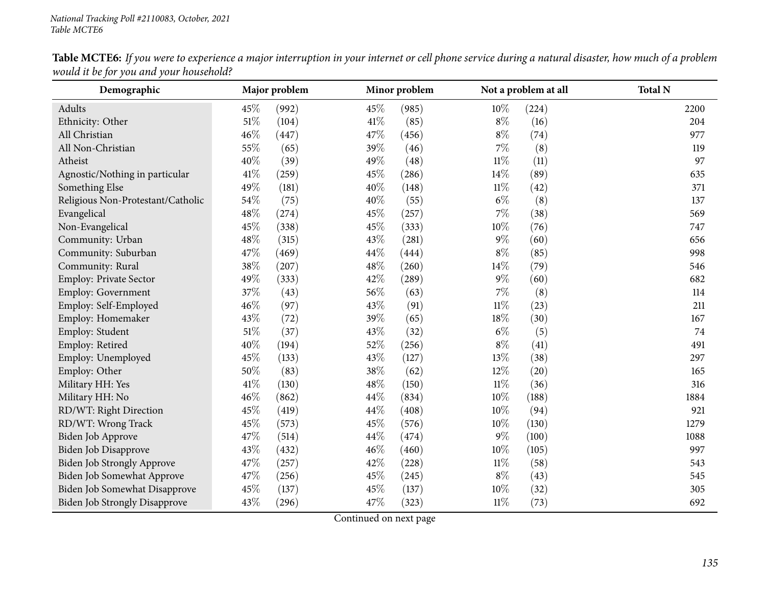| Demographic                          | Major problem |       |      | Minor problem |        | Not a problem at all | <b>Total N</b> |
|--------------------------------------|---------------|-------|------|---------------|--------|----------------------|----------------|
| Adults                               | 45%           | (992) | 45%  | (985)         | $10\%$ | (224)                | 2200           |
| Ethnicity: Other                     | $51\%$        | (104) | 41\% | (85)          | $8\%$  | (16)                 | 204            |
| All Christian                        | 46%           | (447) | 47%  | (456)         | $8\%$  | (74)                 | 977            |
| All Non-Christian                    | 55%           | (65)  | 39%  | (46)          | $7\%$  | (8)                  | 119            |
| Atheist                              | 40%           | (39)  | 49%  | (48)          | $11\%$ | (11)                 | 97             |
| Agnostic/Nothing in particular       | $41\%$        | (259) | 45%  | (286)         | 14%    | (89)                 | 635            |
| Something Else                       | 49%           | (181) | 40%  | (148)         | $11\%$ | (42)                 | 371            |
| Religious Non-Protestant/Catholic    | 54%           | (75)  | 40%  | (55)          | $6\%$  | (8)                  | 137            |
| Evangelical                          | 48%           | (274) | 45%  | (257)         | 7%     | (38)                 | 569            |
| Non-Evangelical                      | 45%           | (338) | 45%  | (333)         | $10\%$ | (76)                 | 747            |
| Community: Urban                     | 48\%          | (315) | 43%  | (281)         | $9\%$  | (60)                 | 656            |
| Community: Suburban                  | 47%           | (469) | 44%  | (444)         | $8\%$  | (85)                 | 998            |
| Community: Rural                     | 38%           | (207) | 48%  | (260)         | 14%    | (79)                 | 546            |
| Employ: Private Sector               | 49%           | (333) | 42%  | (289)         | $9\%$  | (60)                 | 682            |
| <b>Employ: Government</b>            | 37%           | (43)  | 56%  | (63)          | 7%     | (8)                  | 114            |
| Employ: Self-Employed                | 46%           | (97)  | 43%  | (91)          | $11\%$ | (23)                 | 211            |
| Employ: Homemaker                    | 43%           | (72)  | 39%  | (65)          | 18%    | (30)                 | 167            |
| Employ: Student                      | $51\%$        | (37)  | 43%  | (32)          | $6\%$  | (5)                  | 74             |
| Employ: Retired                      | 40%           | (194) | 52%  | (256)         | $8\%$  | (41)                 | 491            |
| Employ: Unemployed                   | 45%           | (133) | 43%  | (127)         | 13%    | (38)                 | 297            |
| Employ: Other                        | 50%           | (83)  | 38%  | (62)          | 12%    | (20)                 | 165            |
| Military HH: Yes                     | $41\%$        | (130) | 48\% | (150)         | $11\%$ | (36)                 | 316            |
| Military HH: No                      | 46%           | (862) | 44%  | (834)         | $10\%$ | (188)                | 1884           |
| RD/WT: Right Direction               | 45%           | (419) | 44\% | (408)         | 10%    | (94)                 | 921            |
| RD/WT: Wrong Track                   | 45%           | (573) | 45%  | (576)         | $10\%$ | (130)                | 1279           |
| Biden Job Approve                    | 47%           | (514) | 44%  | (474)         | $9\%$  | (100)                | 1088           |
| Biden Job Disapprove                 | 43%           | (432) | 46%  | (460)         | $10\%$ | (105)                | 997            |
| <b>Biden Job Strongly Approve</b>    | 47%           | (257) | 42%  | (228)         | $11\%$ | (58)                 | 543            |
| Biden Job Somewhat Approve           | 47%           | (256) | 45%  | (245)         | $8\%$  | (43)                 | 545            |
| Biden Job Somewhat Disapprove        | 45%           | (137) | 45%  | (137)         | 10%    | (32)                 | 305            |
| <b>Biden Job Strongly Disapprove</b> | 43%           | (296) | 47%  | (323)         | $11\%$ | (73)                 | 692            |

Table MCTE6: If you were to experience a major interruption in your internet or cell phone service during a natural disaster, how much of a problem *would it be for you and your household?*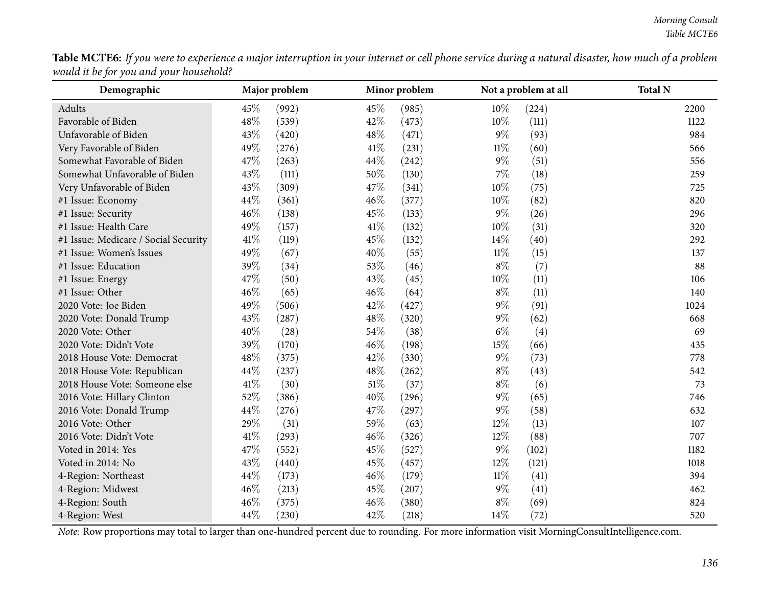| Table MCTE6: If you were to experience a major interruption in your internet or cell phone service during a natural disaster, how much of a problem |  |
|-----------------------------------------------------------------------------------------------------------------------------------------------------|--|
| would it be for you and your household?                                                                                                             |  |

| Demographic                          |      | Major problem |        | Minor problem |        | Not a problem at all | <b>Total N</b> |
|--------------------------------------|------|---------------|--------|---------------|--------|----------------------|----------------|
| Adults                               | 45%  | (992)         | 45%    | (985)         | $10\%$ | (224)                | 2200           |
| Favorable of Biden                   | 48%  | (539)         | 42%    | (473)         | 10%    | (111)                | 1122           |
| Unfavorable of Biden                 | 43%  | (420)         | 48%    | (471)         | $9\%$  | (93)                 | 984            |
| Very Favorable of Biden              | 49%  | (276)         | 41\%   | (231)         | $11\%$ | (60)                 | 566            |
| Somewhat Favorable of Biden          | 47%  | (263)         | 44%    | (242)         | $9\%$  | (51)                 | 556            |
| Somewhat Unfavorable of Biden        | 43%  | (111)         | $50\%$ | (130)         | $7\%$  | (18)                 | 259            |
| Very Unfavorable of Biden            | 43%  | (309)         | 47%    | (341)         | $10\%$ | (75)                 | 725            |
| #1 Issue: Economy                    | 44%  | (361)         | 46%    | (377)         | $10\%$ | (82)                 | 820            |
| #1 Issue: Security                   | 46%  | (138)         | 45%    | (133)         | $9\%$  | (26)                 | 296            |
| #1 Issue: Health Care                | 49%  | (157)         | $41\%$ | (132)         | $10\%$ | (31)                 | 320            |
| #1 Issue: Medicare / Social Security | 41\% | (119)         | 45%    | (132)         | 14\%   | (40)                 | 292            |
| #1 Issue: Women's Issues             | 49%  | (67)          | 40%    | (55)          | $11\%$ | (15)                 | 137            |
| #1 Issue: Education                  | 39%  | (34)          | 53%    | (46)          | $8\%$  | (7)                  | 88             |
| #1 Issue: Energy                     | 47%  | (50)          | 43%    | (45)          | $10\%$ | (11)                 | 106            |
| #1 Issue: Other                      | 46%  | (65)          | 46%    | (64)          | $8\%$  | (11)                 | 140            |
| 2020 Vote: Joe Biden                 | 49%  | (506)         | 42%    | (427)         | 9%     | (91)                 | 1024           |
| 2020 Vote: Donald Trump              | 43%  | (287)         | 48%    | (320)         | $9\%$  | (62)                 | 668            |
| 2020 Vote: Other                     | 40%  | (28)          | 54%    | (38)          | $6\%$  | (4)                  | 69             |
| 2020 Vote: Didn't Vote               | 39%  | (170)         | 46%    | (198)         | 15%    | (66)                 | 435            |
| 2018 House Vote: Democrat            | 48%  | (375)         | 42%    | (330)         | $9\%$  | (73)                 | 778            |
| 2018 House Vote: Republican          | 44%  | (237)         | 48%    | (262)         | $8\%$  | (43)                 | 542            |
| 2018 House Vote: Someone else        | 41\% | (30)          | 51%    | (37)          | $8\%$  | (6)                  | 73             |
| 2016 Vote: Hillary Clinton           | 52%  | (386)         | 40%    | (296)         | $9\%$  | (65)                 | 746            |
| 2016 Vote: Donald Trump              | 44%  | (276)         | 47\%   | (297)         | $9\%$  | (58)                 | 632            |
| 2016 Vote: Other                     | 29%  | (31)          | 59%    | (63)          | $12\%$ | (13)                 | 107            |
| 2016 Vote: Didn't Vote               | 41\% | (293)         | 46%    | (326)         | 12%    | (88)                 | 707            |
| Voted in 2014: Yes                   | 47%  | (552)         | 45%    | (527)         | $9\%$  | (102)                | 1182           |
| Voted in 2014: No                    | 43%  | (440)         | 45%    | (457)         | 12%    | (121)                | 1018           |
| 4-Region: Northeast                  | 44%  | (173)         | 46%    | (179)         | $11\%$ | (41)                 | 394            |
| 4-Region: Midwest                    | 46%  | (213)         | 45%    | (207)         | $9\%$  | (41)                 | 462            |
| 4-Region: South                      | 46%  | (375)         | 46%    | (380)         | $8\%$  | (69)                 | 824            |
| 4-Region: West                       | 44%  | (230)         | 42%    | (218)         | 14%    | (72)                 | 520            |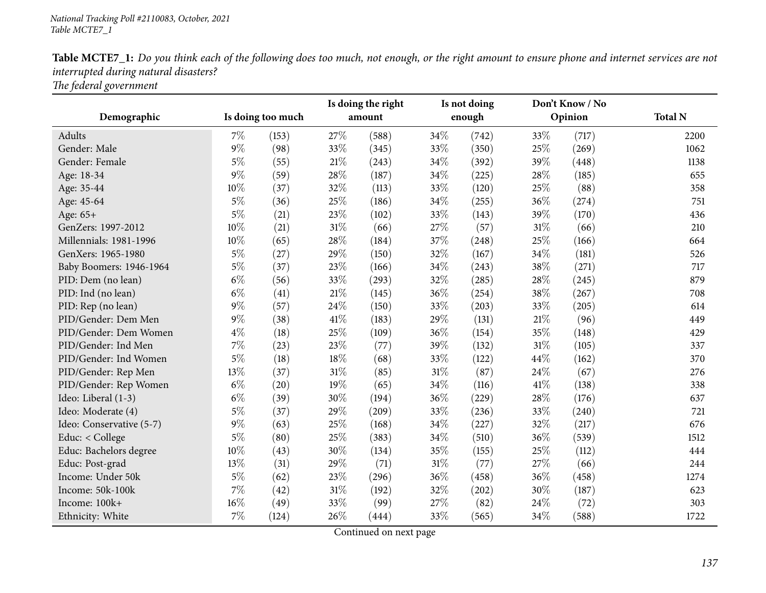|                          |       |                   | Is doing the right |        |        | Is not doing |      | Don't Know / No |                |
|--------------------------|-------|-------------------|--------------------|--------|--------|--------------|------|-----------------|----------------|
| Demographic              |       | Is doing too much |                    | amount |        | enough       |      | Opinion         | <b>Total N</b> |
| Adults                   | $7\%$ | (153)             | 27\%               | (588)  | 34\%   | (742)        | 33%  | (717)           | 2200           |
| Gender: Male             | $9\%$ | (98)              | 33%                | (345)  | 33%    | (350)        | 25%  | (269)           | 1062           |
| Gender: Female           | $5\%$ | (55)              | 21%                | (243)  | 34%    | (392)        | 39%  | (448)           | 1138           |
| Age: 18-34               | $9\%$ | (59)              | 28%                | (187)  | 34%    | (225)        | 28%  | (185)           | 655            |
| Age: 35-44               | 10%   | (37)              | 32%                | (113)  | 33%    | (120)        | 25%  | (88)            | 358            |
| Age: 45-64               | $5\%$ | (36)              | 25%                | (186)  | 34%    | (255)        | 36%  | (274)           | 751            |
| Age: 65+                 | $5\%$ | (21)              | 23%                | (102)  | 33%    | (143)        | 39%  | (170)           | 436            |
| GenZers: 1997-2012       | 10%   | (21)              | $31\%$             | (66)   | 27%    | (57)         | 31%  | (66)            | 210            |
| Millennials: 1981-1996   | 10%   | (65)              | 28\%               | (184)  | 37\%   | (248)        | 25%  | (166)           | 664            |
| GenXers: 1965-1980       | $5\%$ | (27)              | 29%                | (150)  | 32%    | (167)        | 34%  | (181)           | 526            |
| Baby Boomers: 1946-1964  | $5\%$ | (37)              | 23%                | (166)  | 34%    | (243)        | 38%  | (271)           | 717            |
| PID: Dem (no lean)       | $6\%$ | (56)              | 33%                | (293)  | 32%    | (285)        | 28%  | (245)           | 879            |
| PID: Ind (no lean)       | $6\%$ | (41)              | 21%                | (145)  | 36%    | (254)        | 38%  | (267)           | 708            |
| PID: Rep (no lean)       | $9\%$ | (57)              | 24\%               | (150)  | 33%    | (203)        | 33%  | (205)           | 614            |
| PID/Gender: Dem Men      | $9\%$ | (38)              | 41\%               | (183)  | 29%    | (131)        | 21%  | (96)            | 449            |
| PID/Gender: Dem Women    | $4\%$ | (18)              | 25%                | (109)  | 36%    | (154)        | 35%  | (148)           | 429            |
| PID/Gender: Ind Men      | 7%    | (23)              | 23%                | (77)   | 39%    | (132)        | 31%  | (105)           | 337            |
| PID/Gender: Ind Women    | $5\%$ | (18)              | 18%                | (68)   | 33%    | (122)        | 44%  | (162)           | 370            |
| PID/Gender: Rep Men      | 13%   | (37)              | $31\%$             | (85)   | $31\%$ | (87)         | 24\% | (67)            | 276            |
| PID/Gender: Rep Women    | $6\%$ | (20)              | 19%                | (65)   | 34%    | (116)        | 41%  | (138)           | 338            |
| Ideo: Liberal (1-3)      | $6\%$ | (39)              | 30%                | (194)  | 36%    | (229)        | 28%  | (176)           | 637            |
| Ideo: Moderate (4)       | $5\%$ | (37)              | 29%                | (209)  | 33%    | (236)        | 33%  | (240)           | 721            |
| Ideo: Conservative (5-7) | $9\%$ | (63)              | 25%                | (168)  | 34%    | (227)        | 32%  | (217)           | 676            |
| Educ: < College          | $5\%$ | (80)              | 25%                | (383)  | 34%    | (510)        | 36%  | (539)           | 1512           |
| Educ: Bachelors degree   | 10%   | (43)              | 30%                | (134)  | 35%    | (155)        | 25%  | (112)           | 444            |
| Educ: Post-grad          | 13%   | (31)              | 29%                | (71)   | $31\%$ | (77)         | 27%  | (66)            | 244            |
| Income: Under 50k        | 5%    | (62)              | 23%                | (296)  | 36%    | (458)        | 36%  | (458)           | 1274           |
| Income: 50k-100k         | $7\%$ | (42)              | 31%                | (192)  | 32%    | (202)        | 30%  | (187)           | 623            |
| Income: 100k+            | 16%   | (49)              | 33%                | (99)   | 27%    | (82)         | 24%  | (72)            | 303            |
| Ethnicity: White         | $7\%$ | (124)             | 26%                | (444)  | 33%    | (565)        | 34%  | (588)           | 1722           |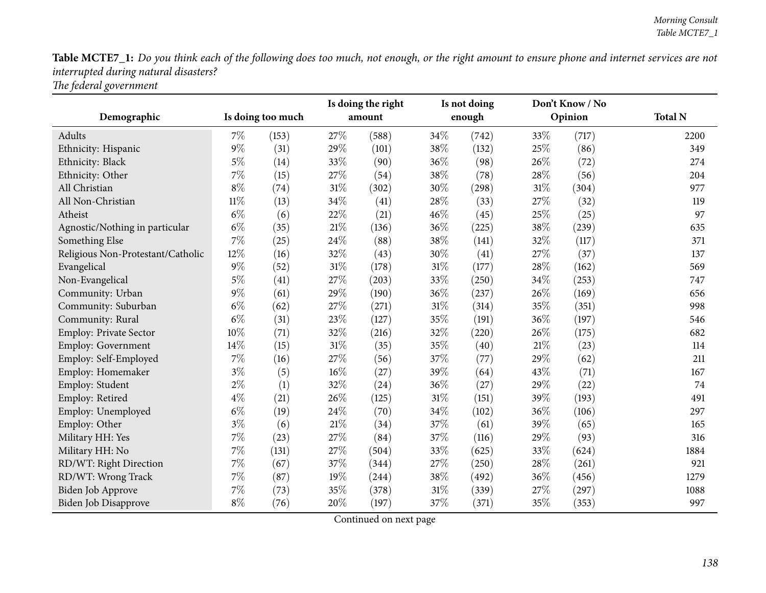| Demographic                       |        | Is doing too much |        | Is doing the right<br>Is not doing<br>enough<br>amount |        |       | Don't Know / No<br>Opinion | <b>Total N</b> |      |
|-----------------------------------|--------|-------------------|--------|--------------------------------------------------------|--------|-------|----------------------------|----------------|------|
|                                   |        |                   |        |                                                        |        |       |                            |                |      |
| Adults                            | 7%     | (153)             | 27%    | (588)                                                  | 34\%   | (742) | 33%                        | (717)          | 2200 |
| Ethnicity: Hispanic               | $9\%$  | (31)              | 29%    | (101)                                                  | 38%    | (132) | 25%                        | (86)           | 349  |
| Ethnicity: Black                  | $5\%$  | (14)              | 33%    | (90)                                                   | 36%    | (98)  | 26%                        | (72)           | 274  |
| Ethnicity: Other                  | $7\%$  | (15)              | 27%    | (54)                                                   | 38\%   | (78)  | 28%                        | (56)           | 204  |
| All Christian                     | $8\%$  | (74)              | $31\%$ | (302)                                                  | 30%    | (298) | 31%                        | (304)          | 977  |
| All Non-Christian                 | $11\%$ | (13)              | 34%    | (41)                                                   | 28%    | (33)  | 27%                        | (32)           | 119  |
| Atheist                           | $6\%$  | (6)               | 22%    | (21)                                                   | $46\%$ | (45)  | 25%                        | (25)           | 97   |
| Agnostic/Nothing in particular    | $6\%$  | (35)              | $21\%$ | (136)                                                  | 36%    | (225) | 38%                        | (239)          | 635  |
| Something Else                    | 7%     | (25)              | 24%    | (88)                                                   | 38%    | (141) | 32%                        | (117)          | 371  |
| Religious Non-Protestant/Catholic | 12%    | (16)              | 32%    | (43)                                                   | 30%    | (41)  | 27%                        | (37)           | 137  |
| Evangelical                       | $9\%$  | (52)              | $31\%$ | (178)                                                  | 31%    | (177) | 28%                        | (162)          | 569  |
| Non-Evangelical                   | $5\%$  | (41)              | 27%    | (203)                                                  | 33%    | (250) | 34%                        | (253)          | 747  |
| Community: Urban                  | $9\%$  | (61)              | 29%    | (190)                                                  | 36%    | (237) | 26%                        | (169)          | 656  |
| Community: Suburban               | $6\%$  | (62)              | 27%    | (271)                                                  | $31\%$ | (314) | 35%                        | (351)          | 998  |
| Community: Rural                  | $6\%$  | (31)              | 23%    | (127)                                                  | 35%    | (191) | 36%                        | (197)          | 546  |
| <b>Employ: Private Sector</b>     | 10%    | (71)              | 32%    | (216)                                                  | 32%    | (220) | 26%                        | (175)          | 682  |
| Employ: Government                | 14%    | (15)              | $31\%$ | (35)                                                   | 35%    | (40)  | 21%                        | (23)           | 114  |
| Employ: Self-Employed             | $7\%$  | (16)              | 27%    | (56)                                                   | 37\%   | (77)  | 29%                        | (62)           | 211  |
| Employ: Homemaker                 | $3\%$  | (5)               | $16\%$ | (27)                                                   | 39%    | (64)  | 43%                        | (71)           | 167  |
| Employ: Student                   | $2\%$  | (1)               | 32%    | (24)                                                   | 36%    | (27)  | 29%                        | (22)           | 74   |
| Employ: Retired                   | $4\%$  | (21)              | 26%    | (125)                                                  | 31%    | (151) | 39%                        | (193)          | 491  |
| Employ: Unemployed                | $6\%$  | (19)              | 24%    | (70)                                                   | 34%    | (102) | 36%                        | (106)          | 297  |
| Employ: Other                     | $3\%$  | (6)               | $21\%$ | (34)                                                   | 37%    | (61)  | 39%                        | (65)           | 165  |
| Military HH: Yes                  | $7\%$  | (23)              | 27%    | (84)                                                   | 37%    | (116) | 29%                        | (93)           | 316  |
| Military HH: No                   | $7\%$  | (131)             | $27\%$ | (504)                                                  | 33%    | (625) | 33%                        | (624)          | 1884 |
| RD/WT: Right Direction            | 7%     | (67)              | 37%    | (344)                                                  | 27%    | (250) | 28%                        | (261)          | 921  |
| RD/WT: Wrong Track                | 7%     | (87)              | 19%    | (244)                                                  | 38%    | (492) | 36%                        | (456)          | 1279 |
| <b>Biden Job Approve</b>          | $7\%$  | (73)              | 35%    | (378)                                                  | 31%    | (339) | 27%                        | (297)          | 1088 |
| Biden Job Disapprove              | $8\%$  | (76)              | 20%    | (197)                                                  | 37%    | (371) | 35%                        | (353)          | 997  |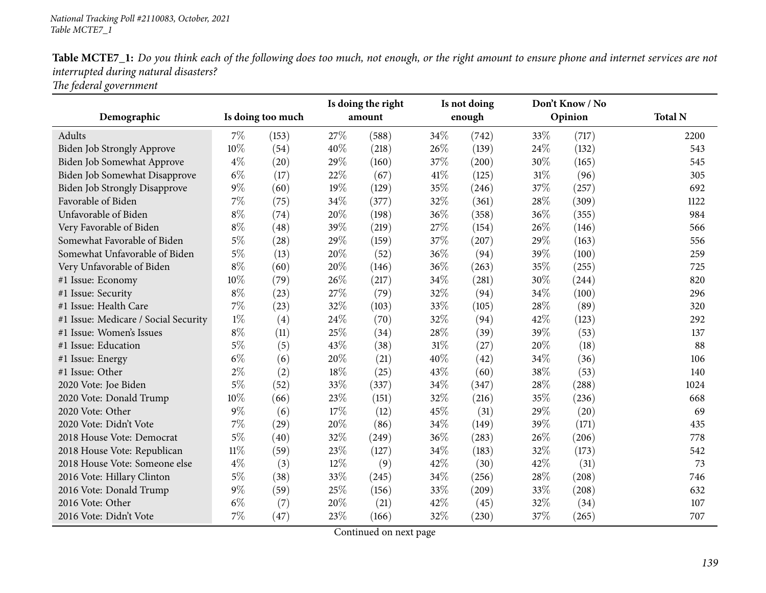|                                      | Is doing too much |       | Is doing the right<br>amount |       | Is not doing<br>enough |       |         | Don't Know / No |                |
|--------------------------------------|-------------------|-------|------------------------------|-------|------------------------|-------|---------|-----------------|----------------|
| Demographic                          |                   |       |                              |       |                        |       | Opinion |                 | <b>Total N</b> |
| Adults                               | $7\%$             | (153) | 27\%                         | (588) | 34\%                   | (742) | 33%     | (717)           | 2200           |
| <b>Biden Job Strongly Approve</b>    | 10%               | (54)  | 40%                          | (218) | 26%                    | (139) | 24\%    | (132)           | 543            |
| Biden Job Somewhat Approve           | $4\%$             | (20)  | 29%                          | (160) | 37%                    | (200) | 30%     | (165)           | 545            |
| Biden Job Somewhat Disapprove        | $6\%$             | (17)  | 22%                          | (67)  | 41%                    | (125) | 31%     | (96)            | 305            |
| <b>Biden Job Strongly Disapprove</b> | $9\%$             | (60)  | 19%                          | (129) | 35%                    | (246) | 37%     | (257)           | 692            |
| Favorable of Biden                   | 7%                | (75)  | 34%                          | (377) | 32%                    | (361) | 28%     | (309)           | 1122           |
| Unfavorable of Biden                 | $8\%$             | (74)  | 20%                          | (198) | 36%                    | (358) | 36%     | (355)           | 984            |
| Very Favorable of Biden              | $8\%$             | (48)  | 39%                          | (219) | 27%                    | (154) | 26%     | (146)           | 566            |
| Somewhat Favorable of Biden          | $5\%$             | (28)  | 29%                          | (159) | 37\%                   | (207) | 29%     | (163)           | 556            |
| Somewhat Unfavorable of Biden        | $5\%$             | (13)  | 20%                          | (52)  | 36%                    | (94)  | 39%     | (100)           | 259            |
| Very Unfavorable of Biden            | $8\%$             | (60)  | 20%                          | (146) | 36%                    | (263) | 35%     | (255)           | 725            |
| #1 Issue: Economy                    | 10%               | (79)  | 26%                          | (217) | 34%                    | (281) | 30%     | (244)           | 820            |
| #1 Issue: Security                   | $8\%$             | (23)  | 27%                          | (79)  | 32%                    | (94)  | 34%     | (100)           | 296            |
| #1 Issue: Health Care                | 7%                | (23)  | 32%                          | (103) | 33%                    | (105) | 28%     | (89)            | 320            |
| #1 Issue: Medicare / Social Security | $1\%$             | (4)   | 24%                          | (70)  | 32%                    | (94)  | 42%     | (123)           | 292            |
| #1 Issue: Women's Issues             | $8\%$             | (11)  | 25%                          | (34)  | 28%                    | (39)  | 39%     | (53)            | 137            |
| #1 Issue: Education                  | $5\%$             | (5)   | 43%                          | (38)  | 31%                    | (27)  | 20%     | (18)            | 88             |
| #1 Issue: Energy                     | $6\%$             | (6)   | 20%                          | (21)  | 40%                    | (42)  | 34%     | (36)            | 106            |
| #1 Issue: Other                      | $2\%$             | (2)   | 18%                          | (25)  | 43%                    | (60)  | 38%     | (53)            | 140            |
| 2020 Vote: Joe Biden                 | $5\%$             | (52)  | 33%                          | (337) | 34%                    | (347) | 28%     | (288)           | 1024           |
| 2020 Vote: Donald Trump              | 10%               | (66)  | 23%                          | (151) | 32%                    | (216) | 35%     | (236)           | 668            |
| 2020 Vote: Other                     | $9\%$             | (6)   | 17%                          | (12)  | 45%                    | (31)  | 29%     | (20)            | 69             |
| 2020 Vote: Didn't Vote               | 7%                | (29)  | 20%                          | (86)  | 34%                    | (149) | 39%     | (171)           | 435            |
| 2018 House Vote: Democrat            | $5\%$             | (40)  | 32%                          | (249) | 36%                    | (283) | 26%     | (206)           | 778            |
| 2018 House Vote: Republican          | $11\%$            | (59)  | 23%                          | (127) | 34%                    | (183) | 32%     | (173)           | 542            |
| 2018 House Vote: Someone else        | $4\%$             | (3)   | $12\%$                       | (9)   | 42%                    | (30)  | 42%     | (31)            | 73             |
| 2016 Vote: Hillary Clinton           | $5\%$             | (38)  | 33%                          | (245) | 34%                    | (256) | 28%     | (208)           | 746            |
| 2016 Vote: Donald Trump              | $9\%$             | (59)  | 25%                          | (156) | 33%                    | (209) | 33%     | (208)           | 632            |
| 2016 Vote: Other                     | $6\%$             | (7)   | 20%                          | (21)  | 42%                    | (45)  | 32%     | (34)            | 107            |
| 2016 Vote: Didn't Vote               | 7%                | (47)  | 23%                          | (166) | 32%                    | (230) | 37%     | (265)           | 707            |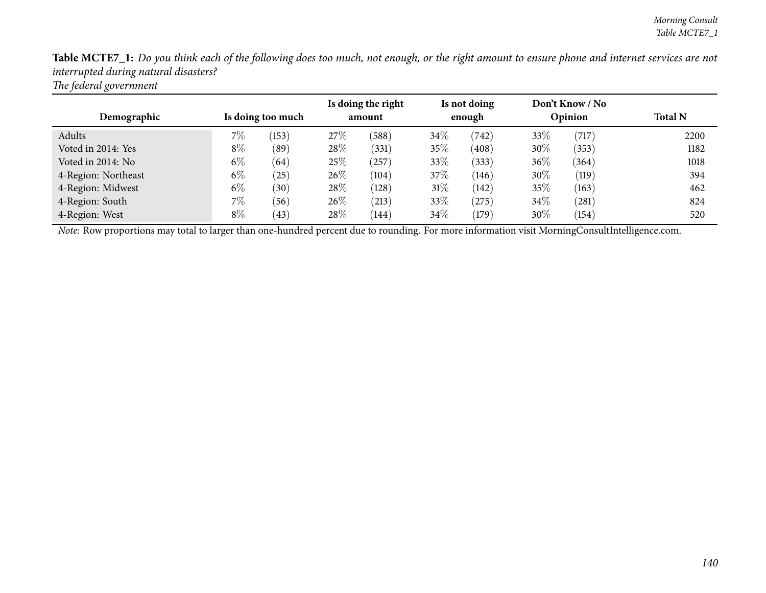| Demographic         | Is doing too much |       | Is doing the right<br>amount |                | Is not doing<br>enough |       | Don't Know / No<br>Opinion |       | <b>Total N</b> |  |
|---------------------|-------------------|-------|------------------------------|----------------|------------------------|-------|----------------------------|-------|----------------|--|
| Adults              | 7%                | (153) | 27\%                         | (588)          | $34\%$                 | (742) | 33%                        | (717) | 2200           |  |
| Voted in 2014: Yes  | $8\%$             | (89`  | 28%                          | (331)          | 35%                    | (408) | 30%                        | (353) | 1182           |  |
| Voted in 2014: No   | $6\%$             | (64)  | 25%                          | $^{\prime}257$ | 33%                    | (333) | $36\%$                     | (364) | 1018           |  |
| 4-Region: Northeast | $6\%$             | (25)  | 26\%                         | (104)          | 37%                    | (146) | 30%                        | (119) | 394            |  |
| 4-Region: Midwest   | $6\%$             | (30)  | 28\%                         | (128)          | $31\%$                 | (142) | 35%                        | (163) | 462            |  |
| 4-Region: South     | $7\%$             | (56)  | 26\%                         | (213)          | 33%                    | (275) | $34\%$                     | (281) | 824            |  |
| 4-Region: West      | $8\%$             | (43)  | 28\%                         | (144)          | 34\%                   | (179) | 30%                        | (154) | 520            |  |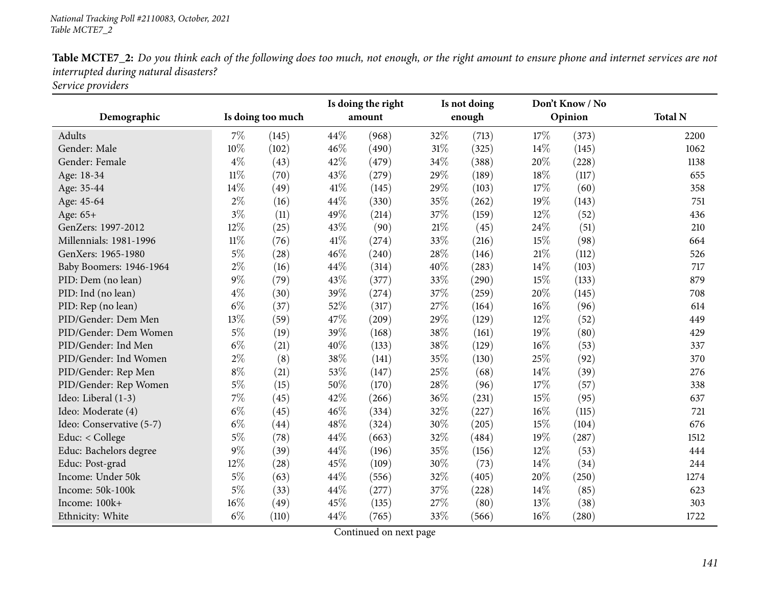| Demographic              | Is doing too much |       | Is doing the right<br>amount |       | Is not doing<br>enough |       | Don't Know / No<br>Opinion |                     | <b>Total N</b> |  |
|--------------------------|-------------------|-------|------------------------------|-------|------------------------|-------|----------------------------|---------------------|----------------|--|
|                          |                   |       |                              |       |                        |       |                            |                     |                |  |
| Adults                   | 7%                | (145) | 44%                          | (968) | 32\%                   | (713) | 17%                        | (373)               | 2200           |  |
| Gender: Male             | 10%               | (102) | 46%                          | (490) | $31\%$                 | (325) | $14\%$                     | (145)               | 1062           |  |
| Gender: Female           | $4\%$             | (43)  | 42\%                         | (479) | 34\%                   | (388) | 20%                        | (228)               | 1138           |  |
| Age: 18-34               | $11\%$            | (70)  | 43%                          | (279) | 29%                    | (189) | 18%                        | (117)               | 655            |  |
| Age: 35-44               | 14%               | (49)  | $41\%$                       | (145) | 29%                    | (103) | 17%                        | (60)                | 358            |  |
| Age: 45-64               | $2\%$             | (16)  | 44%                          | (330) | 35%                    | (262) | 19%                        | (143)               | 751            |  |
| Age: 65+                 | $3\%$             | (11)  | 49%                          | (214) | 37%                    | (159) | 12%                        | (52)                | 436            |  |
| GenZers: 1997-2012       | 12%               | (25)  | 43%                          | (90)  | $21\%$                 | (45)  | 24%                        | (51)                | 210            |  |
| Millennials: 1981-1996   | $11\%$            | (76)  | $41\%$                       | (274) | 33\%                   | (216) | 15%                        | (98)                | 664            |  |
| GenXers: 1965-1980       | $5\%$             | (28)  | 46%                          | (240) | 28%                    | (146) | $21\%$                     | (112)               | 526            |  |
| Baby Boomers: 1946-1964  | $2\%$             | (16)  | 44%                          | (314) | 40%                    | (283) | 14%                        | (103)               | 717            |  |
| PID: Dem (no lean)       | $9\%$             | (79)  | 43%                          | (377) | 33%                    | (290) | 15%                        | (133)               | 879            |  |
| PID: Ind (no lean)       | $4\%$             | (30)  | 39%                          | (274) | 37%                    | (259) | 20%                        | (145)               | 708            |  |
| PID: Rep (no lean)       | $6\%$             | (37)  | 52%                          | (317) | 27%                    | (164) | $16\%$                     | (96)                | 614            |  |
| PID/Gender: Dem Men      | 13%               | (59)  | 47%                          | (209) | 29%                    | (129) | 12%                        | (52)                | 449            |  |
| PID/Gender: Dem Women    | $5\%$             | (19)  | 39%                          | (168) | 38%                    | (161) | 19%                        | (80)                | 429            |  |
| PID/Gender: Ind Men      | $6\%$             | (21)  | 40%                          | (133) | 38%                    | (129) | 16%                        | (53)                | 337            |  |
| PID/Gender: Ind Women    | $2\%$             | (8)   | 38%                          | (141) | 35%                    | (130) | 25%                        | (92)                | 370            |  |
| PID/Gender: Rep Men      | $8\%$             | (21)  | 53%                          | (147) | 25%                    | (68)  | 14%                        | (39)                | 276            |  |
| PID/Gender: Rep Women    | $5\%$             | (15)  | $50\%$                       | (170) | 28\%                   | (96)  | 17%                        | (57)                | 338            |  |
| Ideo: Liberal (1-3)      | 7%                | (45)  | 42%                          | (266) | 36%                    | (231) | 15%                        | (95)                | 637            |  |
| Ideo: Moderate (4)       | $6\%$             | (45)  | 46%                          | (334) | 32%                    | (227) | 16%                        | (115)               | 721            |  |
| Ideo: Conservative (5-7) | $6\%$             | (44)  | 48%                          | (324) | 30%                    | (205) | 15%                        | (104)               | 676            |  |
| Educ: < College          | $5\%$             | (78)  | 44%                          | (663) | 32%                    | (484) | 19%                        | (287)               | 1512           |  |
| Educ: Bachelors degree   | $9\%$             | (39)  | 44%                          | (196) | 35\%                   | (156) | 12%                        | (53)                | 444            |  |
| Educ: Post-grad          | 12%               | (28)  | 45%                          | (109) | 30%                    | (73)  | 14%                        | (34)                | 244            |  |
| Income: Under 50k        | $5\%$             | (63)  | 44%                          | (556) | 32\%                   | (405) | 20%                        | (250)               | 1274           |  |
| Income: 50k-100k         | $5\%$             | (33)  | 44%                          | (277) | 37\%                   | (228) | 14%                        | (85)                | 623            |  |
| Income: 100k+            | 16%               | (49)  | 45%                          | (135) | 27%                    | (80)  | 13\%                       | (38)                | 303            |  |
| Ethnicity: White         | $6\%$             | (110) | 44%                          | (765) | 33%                    | (566) | 16%                        | $\left( 280\right)$ | 1722           |  |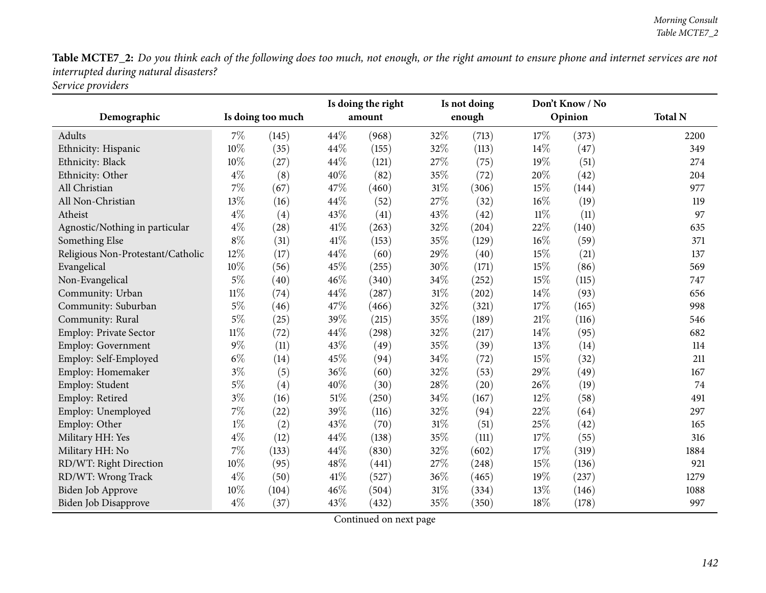| Demographic                       | Is doing too much |       | Is doing the right<br>amount |       | Is not doing<br>enough |       | Don't Know / No<br>Opinion |                    | <b>Total N</b> |
|-----------------------------------|-------------------|-------|------------------------------|-------|------------------------|-------|----------------------------|--------------------|----------------|
| Adults                            | $7\%$             | (145) | 44%                          | (968) | 32%                    | (713) | 17%                        | (373)              | 2200           |
| Ethnicity: Hispanic               | 10%               | (35)  | 44%                          | (155) | 32%                    | (113) | 14%                        | (47)               | 349            |
| Ethnicity: Black                  | 10%               | (27)  | 44%                          | (121) | 27\%                   | (75)  | 19%                        | (51)               | 274            |
| Ethnicity: Other                  | $4\%$             | (8)   | 40%                          | (82)  | 35%                    | (72)  | 20%                        | (42)               | 204            |
| All Christian                     | 7%                | (67)  | 47%                          | (460) | 31%                    | (306) | 15%                        | (144)              | 977            |
| All Non-Christian                 | 13%               | (16)  | 44%                          | (52)  | 27%                    | (32)  | 16%                        | (19)               | 119            |
| Atheist                           | $4\%$             | (4)   | 43%                          | (41)  | 43%                    | (42)  | $11\%$                     | (11)               | 97             |
| Agnostic/Nothing in particular    | $4\%$             | (28)  | 41\%                         | (263) | 32%                    | (204) | 22%                        | (140)              | 635            |
| Something Else                    | $8\%$             | (31)  | 41%                          | (153) | 35%                    | (129) | 16%                        | (59)               | 371            |
| Religious Non-Protestant/Catholic | 12%               | (17)  | 44%                          | (60)  | 29%                    | (40)  | 15%                        | (21)               | 137            |
| Evangelical                       | 10%               | (56)  | 45%                          | (255) | 30%                    | (171) | 15%                        | (86)               | 569            |
| Non-Evangelical                   | $5\%$             | (40)  | 46%                          | (340) | 34%                    | (252) | 15%                        | (115)              | 747            |
| Community: Urban                  | $11\%$            | (74)  | 44%                          | (287) | 31%                    | (202) | 14%                        | (93)               | 656            |
| Community: Suburban               | $5\%$             | (46)  | 47%                          | (466) | 32%                    | (321) | 17%                        | (165)              | 998            |
| Community: Rural                  | $5\%$             | (25)  | 39%                          | (215) | 35%                    | (189) | 21%                        | (116)              | 546            |
| Employ: Private Sector            | $11\%$            | (72)  | 44%                          | (298) | 32%                    | (217) | 14%                        | (95)               | 682            |
| Employ: Government                | $9\%$             | (11)  | 43%                          | (49)  | 35%                    | (39)  | 13%                        | (14)               | 114            |
| Employ: Self-Employed             | $6\%$             | (14)  | 45%                          | (94)  | 34\%                   | (72)  | 15%                        | (32)               | 211            |
| Employ: Homemaker                 | $3\%$             | (5)   | 36%                          | (60)  | 32%                    | (53)  | 29%                        | (49)               | 167            |
| Employ: Student                   | $5\%$             | (4)   | 40%                          | (30)  | 28\%                   | (20)  | 26%                        | (19)               | 74             |
| Employ: Retired                   | $3\%$             | (16)  | $51\%$                       | (250) | 34%                    | (167) | 12%                        | (58)               | 491            |
| Employ: Unemployed                | 7%                | (22)  | 39%                          | (116) | 32%                    | (94)  | 22%                        | (64)               | 297            |
| Employ: Other                     | $1\%$             | (2)   | 43%                          | (70)  | $31\%$                 | (51)  | 25%                        | $\left( 42\right)$ | 165            |
| Military HH: Yes                  | $4\%$             | (12)  | 44%                          | (138) | 35%                    | (111) | 17%                        | (55)               | 316            |
| Military HH: No                   | 7%                | (133) | 44%                          | (830) | 32%                    | (602) | 17\%                       | (319)              | 1884           |
| RD/WT: Right Direction            | 10%               | (95)  | 48%                          | (441) | 27%                    | (248) | 15%                        | (136)              | 921            |
| RD/WT: Wrong Track                | $4\%$             | (50)  | 41\%                         | (527) | 36%                    | (465) | 19%                        | (237)              | 1279           |
| Biden Job Approve                 | 10%               | (104) | 46%                          | (504) | 31%                    | (334) | 13%                        | (146)              | 1088           |
| Biden Job Disapprove              | $4\%$             | (37)  | 43%                          | (432) | 35%                    | (350) | 18%                        | (178)              | 997            |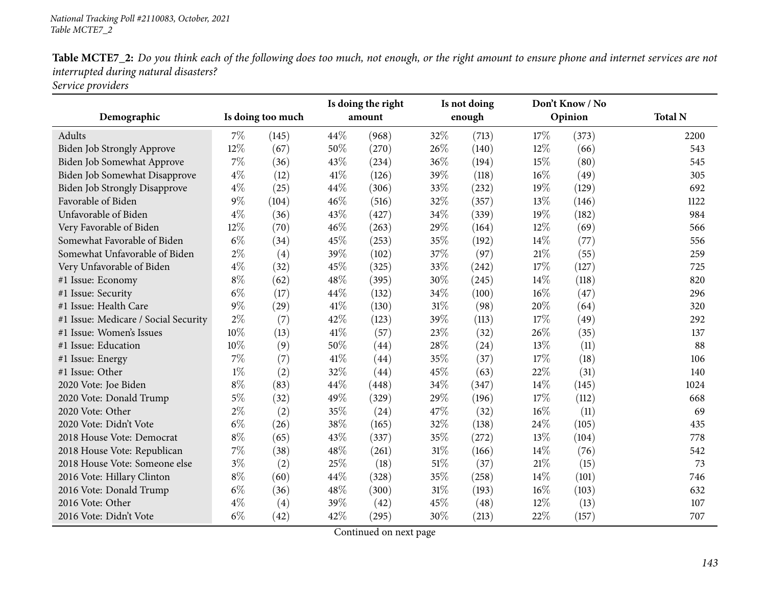| Demographic                          | Is doing too much |               | Is doing the right<br>amount |       | Is not doing<br>enough |       | Don't Know / No<br>Opinion |       | <b>Total N</b> |  |
|--------------------------------------|-------------------|---------------|------------------------------|-------|------------------------|-------|----------------------------|-------|----------------|--|
| Adults                               |                   |               | 44%                          |       | 32%                    |       |                            |       |                |  |
|                                      | $7\%$<br>12%      | (145)<br>(67) | 50%                          | (968) | 26\%                   | (713) | 17%<br>12%                 | (373) | 2200<br>543    |  |
| <b>Biden Job Strongly Approve</b>    |                   |               |                              | (270) |                        | (140) |                            | (66)  |                |  |
| Biden Job Somewhat Approve           | $7\%$             | (36)          | 43%                          | (234) | 36%                    | (194) | 15%                        | (80)  | 545            |  |
| Biden Job Somewhat Disapprove        | $4\%$             | (12)          | 41\%                         | (126) | 39%                    | (118) | 16%                        | (49)  | 305            |  |
| <b>Biden Job Strongly Disapprove</b> | $4\%$             | (25)          | 44%                          | (306) | 33%                    | (232) | 19%                        | (129) | 692            |  |
| Favorable of Biden                   | $9\%$             | (104)         | 46%                          | (516) | 32%                    | (357) | 13\%                       | (146) | 1122           |  |
| Unfavorable of Biden                 | $4\%$             | (36)          | 43%                          | (427) | 34%                    | (339) | 19%                        | (182) | 984            |  |
| Very Favorable of Biden              | 12%               | (70)          | 46%                          | (263) | 29%                    | (164) | 12%                        | (69)  | 566            |  |
| Somewhat Favorable of Biden          | $6\%$             | (34)          | 45%                          | (253) | 35\%                   | (192) | 14\%                       | (77)  | 556            |  |
| Somewhat Unfavorable of Biden        | $2\%$             | (4)           | 39%                          | (102) | 37%                    | (97)  | 21%                        | (55)  | 259            |  |
| Very Unfavorable of Biden            | $4\%$             | (32)          | 45%                          | (325) | 33%                    | (242) | 17%                        | (127) | 725            |  |
| #1 Issue: Economy                    | $8\%$             | (62)          | 48%                          | (395) | 30%                    | (245) | 14%                        | (118) | 820            |  |
| #1 Issue: Security                   | $6\%$             | (17)          | 44%                          | (132) | 34%                    | (100) | 16%                        | (47)  | 296            |  |
| #1 Issue: Health Care                | $9\%$             | (29)          | $41\%$                       | (130) | 31%                    | (98)  | 20%                        | (64)  | 320            |  |
| #1 Issue: Medicare / Social Security | $2\%$             | (7)           | 42%                          | (123) | 39%                    | (113) | 17\%                       | (49)  | 292            |  |
| #1 Issue: Women's Issues             | 10%               | (13)          | 41\%                         | (57)  | 23%                    | (32)  | 26%                        | (35)  | 137            |  |
| #1 Issue: Education                  | 10%               | (9)           | 50%                          | (44)  | 28%                    | (24)  | 13%                        | (11)  | 88             |  |
| #1 Issue: Energy                     | 7%                | (7)           | 41%                          | (44)  | 35%                    | (37)  | 17%                        | (18)  | 106            |  |
| #1 Issue: Other                      | $1\%$             | (2)           | 32%                          | (44)  | 45%                    | (63)  | 22%                        | (31)  | 140            |  |
| 2020 Vote: Joe Biden                 | $8\%$             | (83)          | 44%                          | (448) | 34%                    | (347) | 14\%                       | (145) | 1024           |  |
| 2020 Vote: Donald Trump              | $5\%$             | (32)          | 49%                          | (329) | 29%                    | (196) | 17%                        | (112) | 668            |  |
| 2020 Vote: Other                     | $2\%$             | (2)           | 35%                          | (24)  | 47\%                   | (32)  | 16%                        | (11)  | 69             |  |
| 2020 Vote: Didn't Vote               | $6\%$             | (26)          | 38%                          | (165) | 32%                    | (138) | 24%                        | (105) | 435            |  |
| 2018 House Vote: Democrat            | $8\%$             | (65)          | 43%                          | (337) | 35%                    | (272) | 13\%                       | (104) | 778            |  |
| 2018 House Vote: Republican          | $7\%$             | (38)          | 48%                          | (261) | 31%                    | (166) | 14%                        | (76)  | 542            |  |
| 2018 House Vote: Someone else        | $3\%$             | (2)           | 25%                          | (18)  | $51\%$                 | (37)  | 21%                        | (15)  | 73             |  |
| 2016 Vote: Hillary Clinton           | $8\%$             | (60)          | 44%                          | (328) | 35%                    | (258) | 14%                        | (101) | 746            |  |
| 2016 Vote: Donald Trump              | $6\%$             | (36)          | 48%                          | (300) | 31%                    | (193) | 16%                        | (103) | 632            |  |
| 2016 Vote: Other                     | $4\%$             | (4)           | 39%                          | (42)  | 45%                    | (48)  | 12%                        | (13)  | 107            |  |
| 2016 Vote: Didn't Vote               | $6\%$             | (42)          | 42%                          | (295) | 30%                    | (213) | 22%                        | (157) | 707            |  |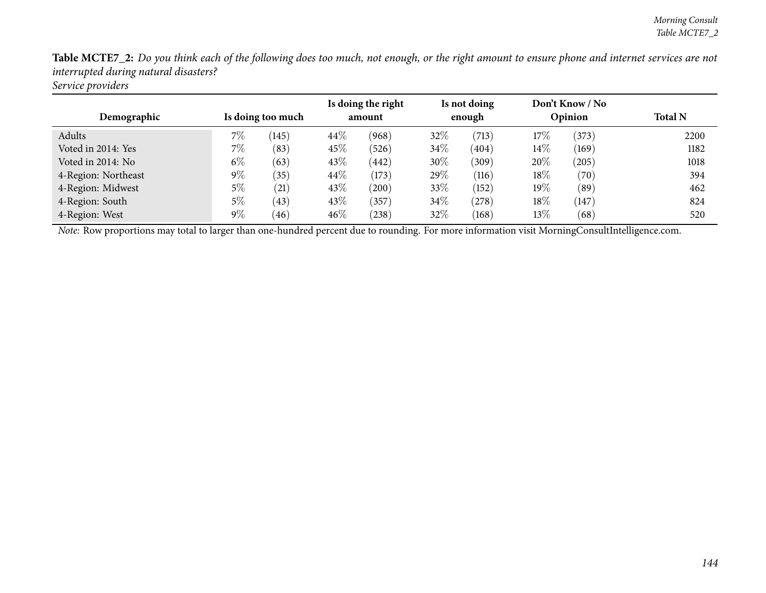| Demographic         | Is doing too much |       | Is doing the right<br>amount |            | Is not doing<br>enough |            | Don't Know / No<br>Opinion |       | <b>Total N</b> |  |
|---------------------|-------------------|-------|------------------------------|------------|------------------------|------------|----------------------------|-------|----------------|--|
| Adults              | 7%                | (145) | 44%                          | (968)      | $32\%$                 | (713)      | 17%                        | (373) | 2200           |  |
| Voted in 2014: Yes  | $7\%$             | (83)  | 45\%                         | (526)      | $34\%$                 | (404)      | $14\%$                     | (169) | 1182           |  |
| Voted in 2014: No   | $6\%$             | (63)  | 43%                          | (442)      | $30\%$                 | (309)      | 20%                        | (205) | 1018           |  |
| 4-Region: Northeast | $9\%$             | (35)  | 44\%                         | (173)      | 29\%                   | (116)      | 18%                        | (70)  | 394            |  |
| 4-Region: Midwest   | 5%                | (21)  | 43\%                         | $^{'}200)$ | 33%                    | (152)      | 19%                        | (89)  | 462            |  |
| 4-Region: South     | 5%                | (43)  | 43\%                         | (357)      | $34\%$                 | $^{'}278)$ | 18%                        | (147) | 824            |  |
| 4-Region: West      | 9%                | (46)  | 46%                          | (238)      | 32%                    | (168)      | 13\%                       | (68)  | 520            |  |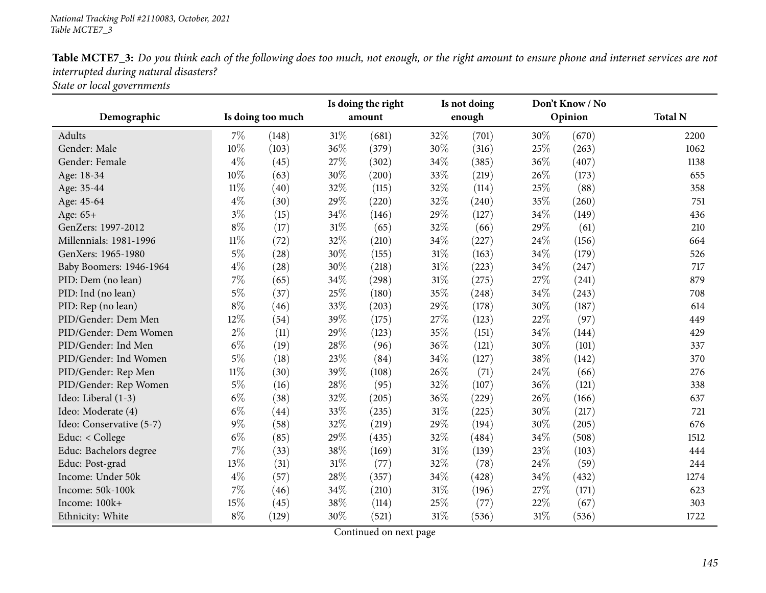|                          |        |                   |        | Is doing the right |      | Is not doing |      | Don't Know / No |                |
|--------------------------|--------|-------------------|--------|--------------------|------|--------------|------|-----------------|----------------|
| Demographic              |        | Is doing too much |        | amount             |      | enough       |      | Opinion         | <b>Total N</b> |
| Adults                   | $7\%$  | (148)             | $31\%$ | (681)              | 32%  | (701)        | 30%  | (670)           | 2200           |
| Gender: Male             | 10%    | (103)             | 36%    | (379)              | 30%  | (316)        | 25%  | (263)           | 1062           |
| Gender: Female           | $4\%$  | (45)              | 27%    | (302)              | 34%  | (385)        | 36%  | (407)           | 1138           |
| Age: 18-34               | 10%    | (63)              | 30%    | (200)              | 33%  | (219)        | 26%  | (173)           | 655            |
| Age: 35-44               | $11\%$ | (40)              | 32%    | (115)              | 32%  | (114)        | 25%  | (88)            | 358            |
| Age: 45-64               | $4\%$  | (30)              | 29%    | (220)              | 32%  | (240)        | 35%  | (260)           | 751            |
| Age: 65+                 | $3\%$  | (15)              | 34%    | (146)              | 29%  | (127)        | 34%  | (149)           | 436            |
| GenZers: 1997-2012       | $8\%$  | (17)              | $31\%$ | (65)               | 32%  | (66)         | 29%  | (61)            | 210            |
| Millennials: 1981-1996   | $11\%$ | (72)              | 32%    | (210)              | 34\% | (227)        | 24\% | (156)           | 664            |
| GenXers: 1965-1980       | $5\%$  | (28)              | 30%    | (155)              | 31%  | (163)        | 34%  | (179)           | 526            |
| Baby Boomers: 1946-1964  | $4\%$  | (28)              | 30%    | (218)              | 31%  | (223)        | 34%  | (247)           | 717            |
| PID: Dem (no lean)       | $7\%$  | (65)              | 34%    | (298)              | 31%  | (275)        | 27%  | (241)           | 879            |
| PID: Ind (no lean)       | $5\%$  | (37)              | 25%    | (180)              | 35%  | (248)        | 34%  | (243)           | 708            |
| PID: Rep (no lean)       | $8\%$  | (46)              | 33%    | (203)              | 29%  | (178)        | 30%  | (187)           | 614            |
| PID/Gender: Dem Men      | 12%    | (54)              | 39%    | (175)              | 27%  | (123)        | 22%  | (97)            | 449            |
| PID/Gender: Dem Women    | $2\%$  | (11)              | 29%    | (123)              | 35%  | (151)        | 34%  | (144)           | 429            |
| PID/Gender: Ind Men      | $6\%$  | (19)              | 28%    | (96)               | 36%  | (121)        | 30%  | (101)           | 337            |
| PID/Gender: Ind Women    | $5\%$  | (18)              | 23%    | (84)               | 34%  | (127)        | 38%  | (142)           | 370            |
| PID/Gender: Rep Men      | $11\%$ | (30)              | 39%    | (108)              | 26%  | (71)         | 24%  | (66)            | 276            |
| PID/Gender: Rep Women    | $5\%$  | (16)              | 28%    | (95)               | 32%  | (107)        | 36%  | (121)           | 338            |
| Ideo: Liberal (1-3)      | $6\%$  | (38)              | 32%    | (205)              | 36%  | (229)        | 26%  | (166)           | 637            |
| Ideo: Moderate (4)       | $6\%$  | (44)              | 33%    | (235)              | 31%  | (225)        | 30%  | (217)           | 721            |
| Ideo: Conservative (5-7) | $9\%$  | (58)              | 32%    | (219)              | 29%  | (194)        | 30%  | (205)           | 676            |
| Educ: < College          | $6\%$  | (85)              | 29%    | (435)              | 32%  | (484)        | 34%  | (508)           | 1512           |
| Educ: Bachelors degree   | 7%     | (33)              | 38%    | (169)              | 31%  | (139)        | 23%  | (103)           | 444            |
| Educ: Post-grad          | 13%    | (31)              | $31\%$ | (77)               | 32%  | (78)         | 24%  | (59)            | 244            |
| Income: Under 50k        | $4\%$  | (57)              | 28%    | (357)              | 34%  | (428)        | 34%  | (432)           | 1274           |
| Income: 50k-100k         | $7\%$  | (46)              | 34%    | (210)              | 31%  | (196)        | 27%  | (171)           | 623            |
| Income: 100k+            | 15%    | (45)              | 38%    | (114)              | 25%  | (77)         | 22%  | (67)            | 303            |
| Ethnicity: White         | $8\%$  | (129)             | 30%    | (521)              | 31%  | (536)        | 31%  | (536)           | 1722           |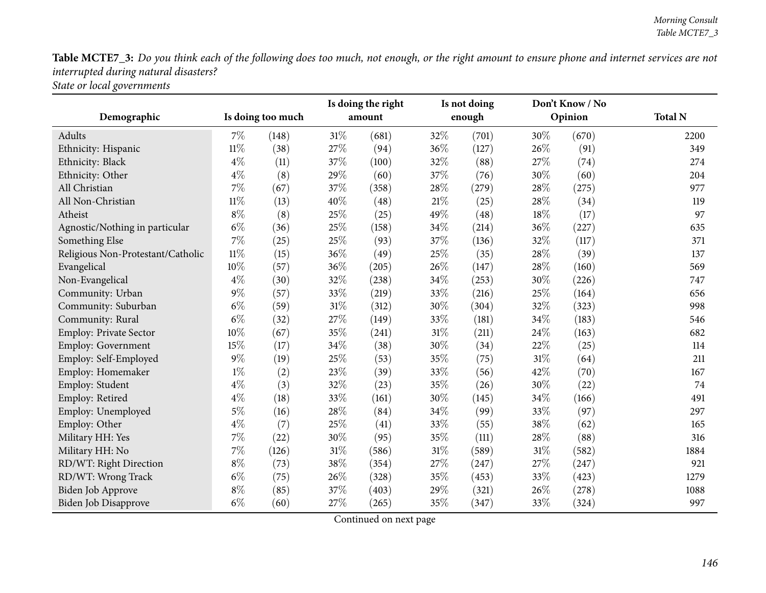| Demographic                       |        | Is doing too much |        | Is doing the right<br>amount |      | Is not doing<br>enough |     | Don't Know / No<br>Opinion | <b>Total N</b> |
|-----------------------------------|--------|-------------------|--------|------------------------------|------|------------------------|-----|----------------------------|----------------|
|                                   |        |                   |        |                              |      |                        |     |                            |                |
| Adults                            | 7%     | (148)             | $31\%$ | (681)                        | 32\% | (701)                  | 30% | (670)                      | 2200           |
| Ethnicity: Hispanic               | $11\%$ | (38)              | 27%    | (94)                         | 36%  | (127)                  | 26% | (91)                       | 349            |
| Ethnicity: Black                  | $4\%$  | (11)              | 37%    | (100)                        | 32%  | (88)                   | 27% | (74)                       | 274            |
| Ethnicity: Other                  | $4\%$  | (8)               | 29%    | (60)                         | 37%  | (76)                   | 30% | (60)                       | 204            |
| All Christian                     | 7%     | (67)              | 37%    | (358)                        | 28%  | (279)                  | 28% | (275)                      | 977            |
| All Non-Christian                 | $11\%$ | (13)              | 40%    | (48)                         | 21%  | (25)                   | 28% | (34)                       | 119            |
| Atheist                           | $8\%$  | (8)               | 25%    | (25)                         | 49%  | (48)                   | 18% | (17)                       | 97             |
| Agnostic/Nothing in particular    | $6\%$  | (36)              | 25%    | (158)                        | 34%  | (214)                  | 36% | (227)                      | 635            |
| Something Else                    | $7\%$  | (25)              | 25%    | (93)                         | 37%  | (136)                  | 32% | (117)                      | 371            |
| Religious Non-Protestant/Catholic | $11\%$ | (15)              | 36%    | (49)                         | 25%  | (35)                   | 28% | (39)                       | 137            |
| Evangelical                       | 10%    | (57)              | 36%    | (205)                        | 26%  | (147)                  | 28% | (160)                      | 569            |
| Non-Evangelical                   | $4\%$  | (30)              | 32%    | (238)                        | 34\% | (253)                  | 30% | (226)                      | 747            |
| Community: Urban                  | $9\%$  | (57)              | 33%    | (219)                        | 33%  | (216)                  | 25% | (164)                      | 656            |
| Community: Suburban               | $6\%$  | (59)              | $31\%$ | (312)                        | 30%  | (304)                  | 32% | (323)                      | 998            |
| Community: Rural                  | $6\%$  | (32)              | $27\%$ | (149)                        | 33%  | (181)                  | 34% | (183)                      | 546            |
| Employ: Private Sector            | 10%    | (67)              | 35%    | (241)                        | 31%  | (211)                  | 24% | (163)                      | 682            |
| <b>Employ: Government</b>         | 15%    | (17)              | 34%    | (38)                         | 30%  | (34)                   | 22% | (25)                       | 114            |
| Employ: Self-Employed             | $9\%$  | (19)              | 25%    | (53)                         | 35%  | (75)                   | 31% | (64)                       | 211            |
| Employ: Homemaker                 | $1\%$  | (2)               | 23%    | (39)                         | 33%  | (56)                   | 42% | (70)                       | 167            |
| Employ: Student                   | $4\%$  | (3)               | 32%    | (23)                         | 35%  | (26)                   | 30% | (22)                       | 74             |
| Employ: Retired                   | $4\%$  | (18)              | 33%    | (161)                        | 30%  | (145)                  | 34% | (166)                      | 491            |
| Employ: Unemployed                | $5\%$  | (16)              | 28%    | (84)                         | 34%  | (99)                   | 33% | (97)                       | 297            |
| Employ: Other                     | $4\%$  | (7)               | 25%    | (41)                         | 33%  | (55)                   | 38% | (62)                       | 165            |
| Military HH: Yes                  | $7\%$  | (22)              | 30%    | (95)                         | 35%  | (111)                  | 28% | (88)                       | 316            |
| Military HH: No                   | $7\%$  | (126)             | $31\%$ | (586)                        | 31%  | (589)                  | 31% | (582)                      | 1884           |
| RD/WT: Right Direction            | $8\%$  | (73)              | 38%    | (354)                        | 27\% | (247)                  | 27% | (247)                      | 921            |
| RD/WT: Wrong Track                | $6\%$  | (75)              | 26%    | (328)                        | 35%  | (453)                  | 33% | (423)                      | 1279           |
| Biden Job Approve                 | $8\%$  | (85)              | 37%    | (403)                        | 29%  | (321)                  | 26% | (278)                      | 1088           |
| Biden Job Disapprove              | $6\%$  | (60)              | 27%    | (265)                        | 35%  | (347)                  | 33% | (324)                      | 997            |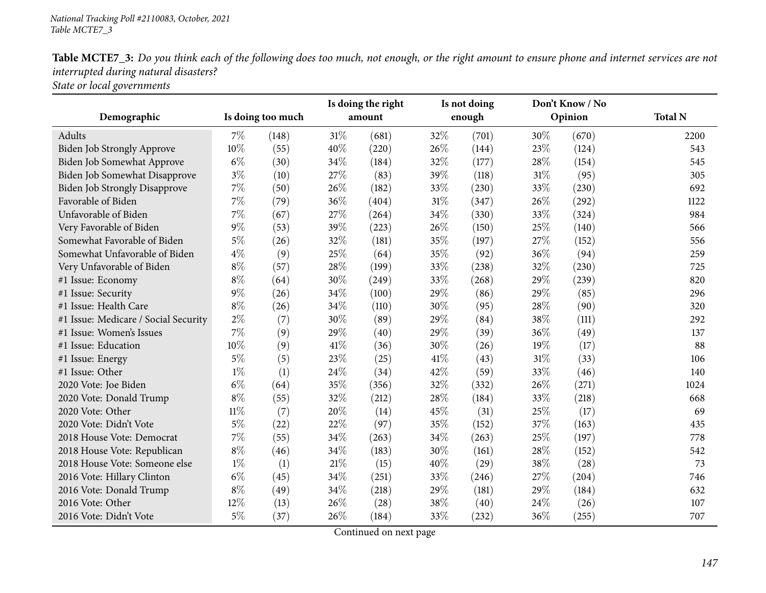|                                      |        |                   | Is doing the right |        | Is not doing |        | Don't Know / No |         |                |
|--------------------------------------|--------|-------------------|--------------------|--------|--------------|--------|-----------------|---------|----------------|
| Demographic                          |        | Is doing too much |                    | amount |              | enough |                 | Opinion | <b>Total N</b> |
| Adults                               | $7\%$  | (148)             | $31\%$             | (681)  | 32%          | (701)  | 30%             | (670)   | 2200           |
| Biden Job Strongly Approve           | 10%    | (55)              | 40%                | (220)  | 26%          | (144)  | 23%             | (124)   | 543            |
| Biden Job Somewhat Approve           | $6\%$  | (30)              | 34%                | (184)  | 32%          | (177)  | 28%             | (154)   | 545            |
| Biden Job Somewhat Disapprove        | $3\%$  | (10)              | 27%                | (83)   | 39%          | (118)  | 31%             | (95)    | 305            |
| Biden Job Strongly Disapprove        | 7%     | (50)              | 26%                | (182)  | 33%          | (230)  | 33%             | (230)   | 692            |
| Favorable of Biden                   | $7\%$  | (79)              | 36%                | (404)  | $31\%$       | (347)  | 26%             | (292)   | 1122           |
| Unfavorable of Biden                 | 7%     | (67)              | 27%                | (264)  | 34%          | (330)  | 33%             | (324)   | 984            |
| Very Favorable of Biden              | $9\%$  | (53)              | 39%                | (223)  | 26%          | (150)  | 25%             | (140)   | 566            |
| Somewhat Favorable of Biden          | $5\%$  | (26)              | 32%                | (181)  | 35%          | (197)  | 27%             | (152)   | 556            |
| Somewhat Unfavorable of Biden        | $4\%$  | (9)               | 25%                | (64)   | 35%          | (92)   | 36%             | (94)    | 259            |
| Very Unfavorable of Biden            | $8\%$  | (57)              | 28%                | (199)  | 33%          | (238)  | 32%             | (230)   | 725            |
| #1 Issue: Economy                    | $8\%$  | (64)              | 30%                | (249)  | 33%          | (268)  | 29%             | (239)   | 820            |
| #1 Issue: Security                   | $9\%$  | (26)              | 34%                | (100)  | 29%          | (86)   | 29%             | (85)    | 296            |
| #1 Issue: Health Care                | $8\%$  | (26)              | 34%                | (110)  | 30%          | (95)   | 28%             | (90)    | 320            |
| #1 Issue: Medicare / Social Security | $2\%$  | (7)               | 30%                | (89)   | 29%          | (84)   | 38%             | (111)   | 292            |
| #1 Issue: Women's Issues             | 7%     | (9)               | 29%                | (40)   | 29%          | (39)   | 36%             | (49)    | 137            |
| #1 Issue: Education                  | 10%    | (9)               | 41\%               | (36)   | 30%          | (26)   | 19%             | (17)    | 88             |
| #1 Issue: Energy                     | $5\%$  | (5)               | 23%                | (25)   | 41\%         | (43)   | 31%             | (33)    | 106            |
| #1 Issue: Other                      | $1\%$  | (1)               | 24%                | (34)   | 42%          | (59)   | 33%             | (46)    | 140            |
| 2020 Vote: Joe Biden                 | $6\%$  | (64)              | 35%                | (356)  | 32%          | (332)  | 26%             | (271)   | 1024           |
| 2020 Vote: Donald Trump              | $8\%$  | (55)              | 32%                | (212)  | 28%          | (184)  | 33%             | (218)   | 668            |
| 2020 Vote: Other                     | $11\%$ | (7)               | 20%                | (14)   | 45%          | (31)   | 25%             | (17)    | 69             |
| 2020 Vote: Didn't Vote               | $5\%$  | (22)              | 22%                | (97)   | 35%          | (152)  | 37%             | (163)   | 435            |
| 2018 House Vote: Democrat            | 7%     | (55)              | 34%                | (263)  | 34%          | (263)  | 25%             | (197)   | 778            |
| 2018 House Vote: Republican          | $8\%$  | (46)              | 34%                | (183)  | 30%          | (161)  | 28%             | (152)   | 542            |
| 2018 House Vote: Someone else        | $1\%$  | (1)               | $21\%$             | (15)   | 40%          | (29)   | 38%             | (28)    | 73             |
| 2016 Vote: Hillary Clinton           | $6\%$  | (45)              | 34%                | (251)  | 33%          | (246)  | 27%             | (204)   | 746            |
| 2016 Vote: Donald Trump              | $8\%$  | (49)              | 34%                | (218)  | 29%          | (181)  | 29%             | (184)   | 632            |
| 2016 Vote: Other                     | 12%    | (13)              | 26%                | (28)   | 38%          | (40)   | 24%             | (26)    | 107            |
| 2016 Vote: Didn't Vote               | $5\%$  | (37)              | 26%                | (184)  | 33%          | (232)  | 36%             | (255)   | 707            |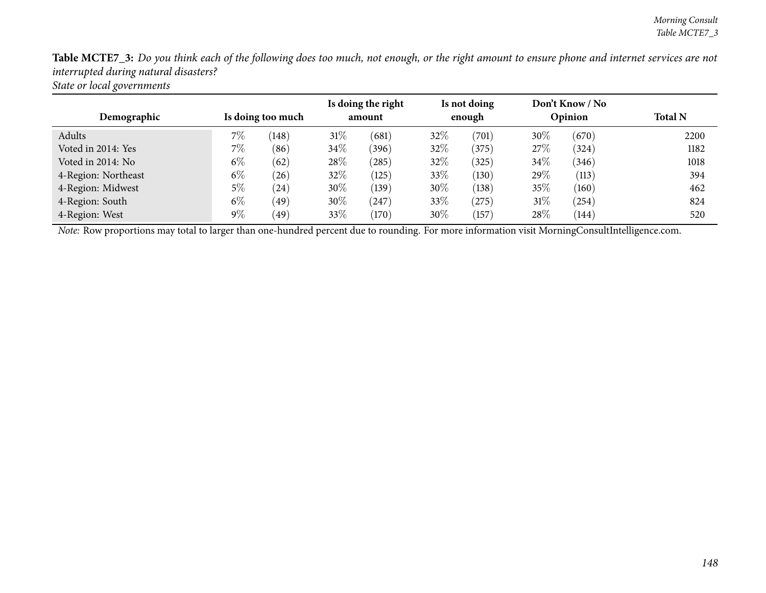| Demographic         | Is doing too much |                 | Is doing the right<br>amount |                 | Is not doing<br>enough |       | Don't Know / No<br>Opinion |       | <b>Total N</b> |  |
|---------------------|-------------------|-----------------|------------------------------|-----------------|------------------------|-------|----------------------------|-------|----------------|--|
| Adults              | 7%                | (148)           | $31\%$                       | (681)           | 32\%                   | (701) | $30\%$                     | (670) | 2200           |  |
| Voted in 2014: Yes  | $7\%$             | (86)            | $34\%$                       | (396)           | 32\%                   | (375) | 27%                        | (324) | 1182           |  |
| Voted in 2014: No   | $6\%$             | (62)            | 28\%                         | (285)           | 32%                    | (325) | $34\%$                     | (346) | 1018           |  |
| 4-Region: Northeast | $6\%$             | (26)            | 32%                          | (125)           | 33%                    | (130) | 29\%                       | (113) | 394            |  |
| 4-Region: Midwest   | 5%                | (24)            | 30%                          | (139)           | $30\%$                 | (138) | 35%                        | (160) | 462            |  |
| 4-Region: South     | $6\%$             | (49)            | 30%                          | (247)           | 33%                    | (275) | $31\%$                     | (254) | 824            |  |
| 4-Region: West      | 9%                | 49 <sup>°</sup> | 33\%                         | $^{\prime}170)$ | $30\%$                 | (157) | 28\%                       | (144) | 520            |  |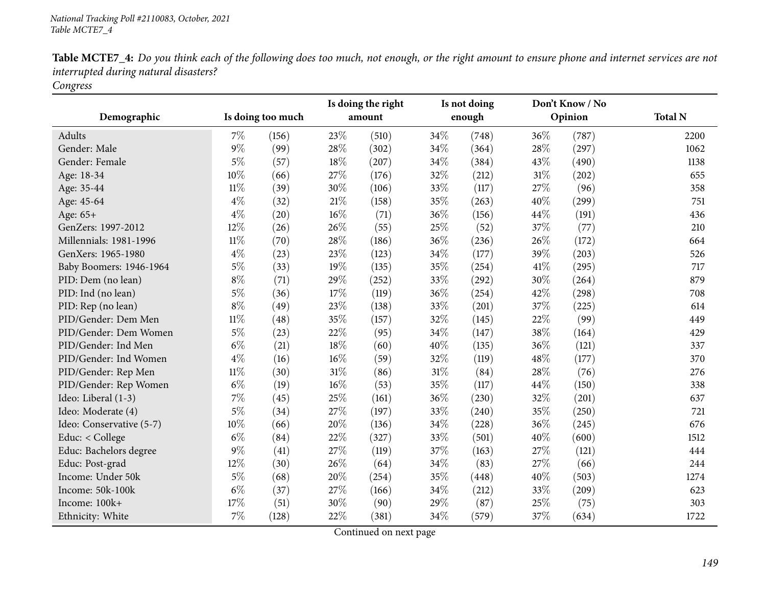|                          |        |                   | Is doing the right |        | Is not doing |        | Don't Know / No |         |                |
|--------------------------|--------|-------------------|--------------------|--------|--------------|--------|-----------------|---------|----------------|
| Demographic              |        | Is doing too much |                    | amount |              | enough |                 | Opinion | <b>Total N</b> |
| Adults                   | $7\%$  | (156)             | 23%                | (510)  | 34\%         | (748)  | 36%             | (787)   | 2200           |
| Gender: Male             | 9%     | (99)              | 28%                | (302)  | 34\%         | (364)  | 28%             | (297)   | 1062           |
| Gender: Female           | $5\%$  | (57)              | 18%                | (207)  | 34%          | (384)  | 43%             | (490)   | 1138           |
| Age: 18-34               | 10%    | (66)              | 27%                | (176)  | 32%          | (212)  | 31%             | (202)   | 655            |
| Age: 35-44               | $11\%$ | (39)              | 30%                | (106)  | 33%          | (117)  | 27%             | (96)    | 358            |
| Age: 45-64               | $4\%$  | (32)              | $21\%$             | (158)  | 35%          | (263)  | 40%             | (299)   | 751            |
| Age: 65+                 | $4\%$  | (20)              | 16%                | (71)   | 36%          | (156)  | 44%             | (191)   | 436            |
| GenZers: 1997-2012       | 12%    | (26)              | 26%                | (55)   | 25%          | (52)   | 37%             | (77)    | 210            |
| Millennials: 1981-1996   | $11\%$ | (70)              | 28%                | (186)  | 36\%         | (236)  | 26%             | (172)   | 664            |
| GenXers: 1965-1980       | $4\%$  | (23)              | 23%                | (123)  | 34%          | (177)  | 39%             | (203)   | 526            |
| Baby Boomers: 1946-1964  | $5\%$  | (33)              | 19%                | (135)  | 35%          | (254)  | 41%             | (295)   | 717            |
| PID: Dem (no lean)       | $8\%$  | (71)              | 29%                | (252)  | 33%          | (292)  | 30%             | (264)   | 879            |
| PID: Ind (no lean)       | $5\%$  | (36)              | 17%                | (119)  | 36%          | (254)  | 42%             | (298)   | 708            |
| PID: Rep (no lean)       | $8\%$  | (49)              | 23%                | (138)  | 33%          | (201)  | 37%             | (225)   | 614            |
| PID/Gender: Dem Men      | $11\%$ | (48)              | 35%                | (157)  | 32%          | (145)  | 22%             | (99)    | 449            |
| PID/Gender: Dem Women    | $5\%$  | (23)              | 22%                | (95)   | 34\%         | (147)  | 38%             | (164)   | 429            |
| PID/Gender: Ind Men      | $6\%$  | (21)              | $18\%$             | (60)   | 40%          | (135)  | 36%             | (121)   | 337            |
| PID/Gender: Ind Women    | $4\%$  | (16)              | 16%                | (59)   | 32%          | (119)  | 48%             | (177)   | 370            |
| PID/Gender: Rep Men      | $11\%$ | (30)              | 31%                | (86)   | 31\%         | (84)   | 28%             | (76)    | 276            |
| PID/Gender: Rep Women    | $6\%$  | (19)              | $16\%$             | (53)   | 35%          | (117)  | 44%             | (150)   | 338            |
| Ideo: Liberal (1-3)      | 7%     | (45)              | 25%                | (161)  | 36%          | (230)  | 32%             | (201)   | 637            |
| Ideo: Moderate (4)       | $5\%$  | (34)              | 27%                | (197)  | 33%          | (240)  | 35%             | (250)   | 721            |
| Ideo: Conservative (5-7) | 10%    | (66)              | 20%                | (136)  | 34\%         | (228)  | 36%             | (245)   | 676            |
| Educ: < College          | $6\%$  | (84)              | 22%                | (327)  | 33%          | (501)  | 40%             | (600)   | 1512           |
| Educ: Bachelors degree   | $9\%$  | (41)              | 27%                | (119)  | 37%          | (163)  | 27%             | (121)   | 444            |
| Educ: Post-grad          | 12%    | (30)              | 26%                | (64)   | 34\%         | (83)   | 27%             | (66)    | 244            |
| Income: Under 50k        | $5\%$  | (68)              | 20%                | (254)  | 35%          | (448)  | 40%             | (503)   | 1274           |
| Income: 50k-100k         | $6\%$  | (37)              | 27%                | (166)  | 34%          | (212)  | 33%             | (209)   | 623            |
| Income: 100k+            | 17%    | (51)              | 30%                | (90)   | 29%          | (87)   | 25%             | (75)    | 303            |
| Ethnicity: White         | 7%     | (128)             | 22%                | (381)  | 34%          | (579)  | 37%             | (634)   | 1722           |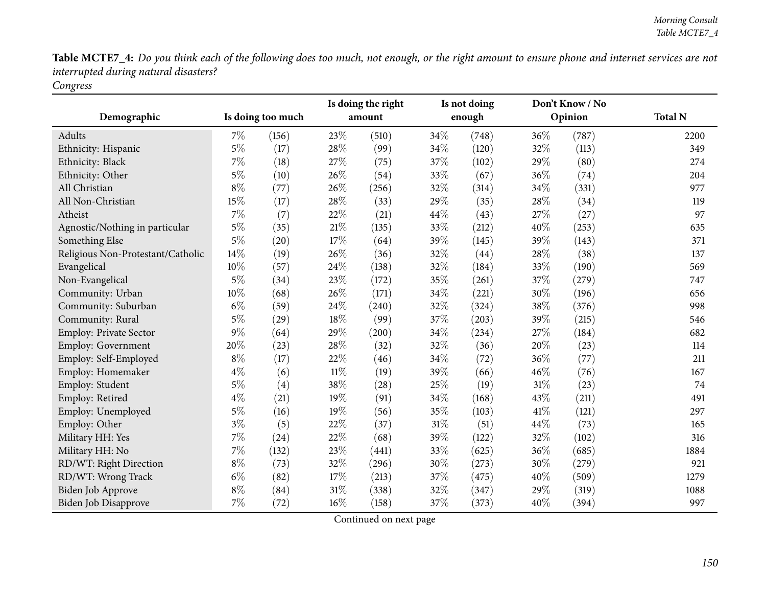| Demographic                       |       | Is doing too much |        | Is doing the right<br>amount |        | Is not doing<br>enough |     | Don't Know / No<br>Opinion | <b>Total N</b> |
|-----------------------------------|-------|-------------------|--------|------------------------------|--------|------------------------|-----|----------------------------|----------------|
|                                   |       |                   |        |                              |        |                        |     |                            |                |
| <b>Adults</b>                     | 7%    | (156)             | 23%    | (510)                        | 34\%   | (748)                  | 36% | (787)                      | 2200           |
| Ethnicity: Hispanic               | $5\%$ | (17)              | 28%    | (99)                         | 34%    | (120)                  | 32% | (113)                      | 349            |
| Ethnicity: Black                  | 7%    | (18)              | 27%    | (75)                         | 37\%   | (102)                  | 29% | (80)                       | 274            |
| Ethnicity: Other                  | $5\%$ | (10)              | 26%    | (54)                         | 33%    | (67)                   | 36% | (74)                       | 204            |
| All Christian                     | $8\%$ | (77)              | 26%    | (256)                        | 32%    | (314)                  | 34% | (331)                      | 977            |
| All Non-Christian                 | 15%   | (17)              | 28%    | (33)                         | 29%    | (35)                   | 28% | (34)                       | 119            |
| Atheist                           | 7%    | (7)               | 22%    | (21)                         | 44%    | (43)                   | 27% | (27)                       | 97             |
| Agnostic/Nothing in particular    | $5\%$ | (35)              | $21\%$ | (135)                        | 33%    | (212)                  | 40% | (253)                      | 635            |
| Something Else                    | $5\%$ | (20)              | 17%    | (64)                         | 39%    | (145)                  | 39% | (143)                      | 371            |
| Religious Non-Protestant/Catholic | 14%   | (19)              | 26%    | (36)                         | 32%    | (44)                   | 28% | (38)                       | 137            |
| Evangelical                       | 10%   | (57)              | 24%    | (138)                        | 32%    | (184)                  | 33% | (190)                      | 569            |
| Non-Evangelical                   | $5\%$ | (34)              | 23%    | (172)                        | 35%    | (261)                  | 37% | (279)                      | 747            |
| Community: Urban                  | 10%   | (68)              | 26%    | (171)                        | 34\%   | (221)                  | 30% | (196)                      | 656            |
| Community: Suburban               | $6\%$ | (59)              | 24%    | (240)                        | 32%    | (324)                  | 38% | (376)                      | 998            |
| Community: Rural                  | $5\%$ | (29)              | 18%    | (99)                         | 37%    | (203)                  | 39% | (215)                      | 546            |
| <b>Employ: Private Sector</b>     | 9%    | (64)              | 29%    | (200)                        | 34%    | (234)                  | 27% | (184)                      | 682            |
| <b>Employ: Government</b>         | 20%   | (23)              | 28%    | (32)                         | 32%    | (36)                   | 20% | (23)                       | 114            |
| Employ: Self-Employed             | $8\%$ | (17)              | 22%    | (46)                         | 34\%   | (72)                   | 36% | (77)                       | 211            |
| Employ: Homemaker                 | $4\%$ | (6)               | $11\%$ | (19)                         | 39%    | (66)                   | 46% | (76)                       | 167            |
| Employ: Student                   | $5\%$ | (4)               | 38%    | (28)                         | 25%    | (19)                   | 31% | (23)                       | 74             |
| Employ: Retired                   | $4\%$ | (21)              | 19%    | (91)                         | 34%    | (168)                  | 43% | (211)                      | 491            |
| Employ: Unemployed                | $5\%$ | (16)              | 19%    | (56)                         | 35%    | (103)                  | 41% | (121)                      | 297            |
| Employ: Other                     | $3\%$ | (5)               | 22%    | (37)                         | $31\%$ | (51)                   | 44% | (73)                       | 165            |
| Military HH: Yes                  | 7%    | (24)              | 22%    | (68)                         | 39%    | (122)                  | 32% | (102)                      | 316            |
| Military HH: No                   | 7%    | (132)             | 23%    | (441)                        | 33%    | (625)                  | 36% | (685)                      | 1884           |
| RD/WT: Right Direction            | $8\%$ | (73)              | 32%    | (296)                        | 30%    | (273)                  | 30% | (279)                      | 921            |
| RD/WT: Wrong Track                | $6\%$ | (82)              | 17%    | (213)                        | 37%    | (475)                  | 40% | (509)                      | 1279           |
| Biden Job Approve                 | $8\%$ | (84)              | 31%    | (338)                        | 32%    | (347)                  | 29% | (319)                      | 1088           |
| Biden Job Disapprove              | 7%    | (72)              | 16%    | (158)                        | 37%    | (373)                  | 40% | (394)                      | 997            |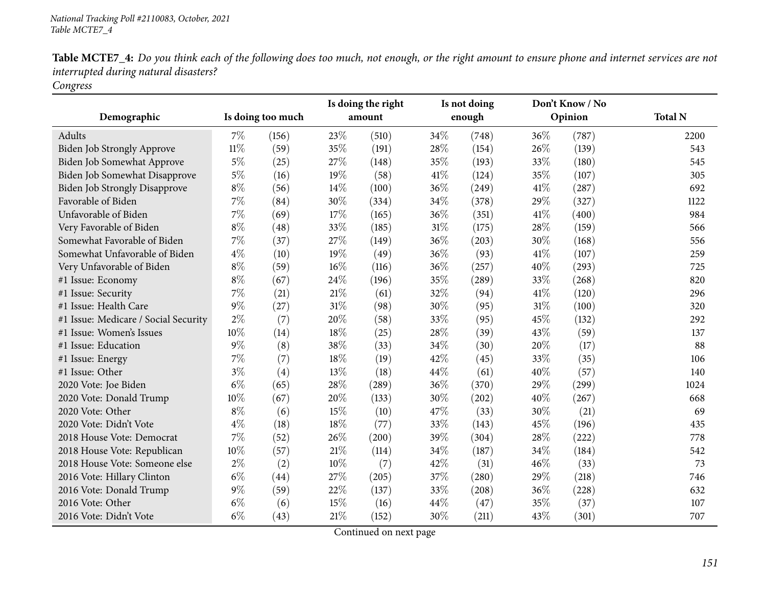|                                      |        |                   |        | Is doing the right |      | Is not doing |      | Don't Know / No     |                |
|--------------------------------------|--------|-------------------|--------|--------------------|------|--------------|------|---------------------|----------------|
| Demographic                          |        | Is doing too much |        | amount             |      | enough       |      | Opinion             | <b>Total N</b> |
| Adults                               | $7\%$  | (156)             | 23%    | (510)              | 34%  | (748)        | 36%  | (787)               | 2200           |
| <b>Biden Job Strongly Approve</b>    | $11\%$ | (59)              | 35%    | (191)              | 28\% | (154)        | 26%  | (139)               | 543            |
| Biden Job Somewhat Approve           | $5\%$  | (25)              | 27%    | (148)              | 35%  | (193)        | 33%  | (180)               | 545            |
| Biden Job Somewhat Disapprove        | $5\%$  | (16)              | 19%    | (58)               | 41\% | (124)        | 35%  | (107)               | 305            |
| Biden Job Strongly Disapprove        | $8\%$  | (56)              | 14\%   | (100)              | 36%  | (249)        | 41\% | $\left( 287\right)$ | 692            |
| Favorable of Biden                   | 7%     | (84)              | 30%    | (334)              | 34%  | (378)        | 29%  | (327)               | 1122           |
| Unfavorable of Biden                 | 7%     | (69)              | 17%    | (165)              | 36%  | (351)        | 41\% | (400)               | 984            |
| Very Favorable of Biden              | $8\%$  | (48)              | 33%    | (185)              | 31%  | (175)        | 28%  | (159)               | 566            |
| Somewhat Favorable of Biden          | $7\%$  | (37)              | 27%    | (149)              | 36%  | (203)        | 30%  | (168)               | 556            |
| Somewhat Unfavorable of Biden        | $4\%$  | (10)              | 19%    | (49)               | 36%  | (93)         | 41\% | (107)               | 259            |
| Very Unfavorable of Biden            | $8\%$  | (59)              | 16%    | (116)              | 36%  | (257)        | 40%  | (293)               | 725            |
| #1 Issue: Economy                    | $8\%$  | (67)              | 24\%   | (196)              | 35%  | (289)        | 33%  | (268)               | 820            |
| #1 Issue: Security                   | 7%     | (21)              | 21%    | (61)               | 32%  | (94)         | 41\% | (120)               | 296            |
| #1 Issue: Health Care                | $9\%$  | (27)              | $31\%$ | (98)               | 30%  | (95)         | 31%  | (100)               | 320            |
| #1 Issue: Medicare / Social Security | $2\%$  | (7)               | 20%    | (58)               | 33%  | (95)         | 45%  | (132)               | 292            |
| #1 Issue: Women's Issues             | 10%    | (14)              | 18%    | (25)               | 28%  | (39)         | 43%  | (59)                | 137            |
| #1 Issue: Education                  | $9\%$  | (8)               | 38%    | (33)               | 34%  | (30)         | 20%  | (17)                | 88             |
| #1 Issue: Energy                     | $7\%$  | (7)               | 18%    | (19)               | 42%  | (45)         | 33%  | (35)                | 106            |
| #1 Issue: Other                      | $3\%$  | (4)               | 13%    | (18)               | 44%  | (61)         | 40%  | (57)                | 140            |
| 2020 Vote: Joe Biden                 | $6\%$  | (65)              | 28%    | (289)              | 36%  | (370)        | 29%  | (299)               | 1024           |
| 2020 Vote: Donald Trump              | 10%    | (67)              | 20%    | (133)              | 30%  | (202)        | 40%  | (267)               | 668            |
| 2020 Vote: Other                     | $8\%$  | (6)               | 15%    | (10)               | 47%  | (33)         | 30%  | (21)                | 69             |
| 2020 Vote: Didn't Vote               | $4\%$  | (18)              | 18%    | (77)               | 33%  | (143)        | 45%  | (196)               | 435            |
| 2018 House Vote: Democrat            | $7\%$  | (52)              | 26%    | (200)              | 39%  | (304)        | 28%  | (222)               | 778            |
| 2018 House Vote: Republican          | 10%    | (57)              | 21%    | (114)              | 34%  | (187)        | 34%  | (184)               | 542            |
| 2018 House Vote: Someone else        | $2\%$  | (2)               | 10%    | (7)                | 42%  | (31)         | 46%  | (33)                | 73             |
| 2016 Vote: Hillary Clinton           | $6\%$  | (44)              | 27%    | (205)              | 37%  | (280)        | 29%  | (218)               | 746            |
| 2016 Vote: Donald Trump              | $9\%$  | (59)              | 22%    | (137)              | 33%  | (208)        | 36%  | (228)               | 632            |
| 2016 Vote: Other                     | $6\%$  | (6)               | 15%    | (16)               | 44%  | (47)         | 35%  | (37)                | 107            |
| 2016 Vote: Didn't Vote               | $6\%$  | (43)              | 21%    | (152)              | 30%  | (211)        | 43%  | (301)               | 707            |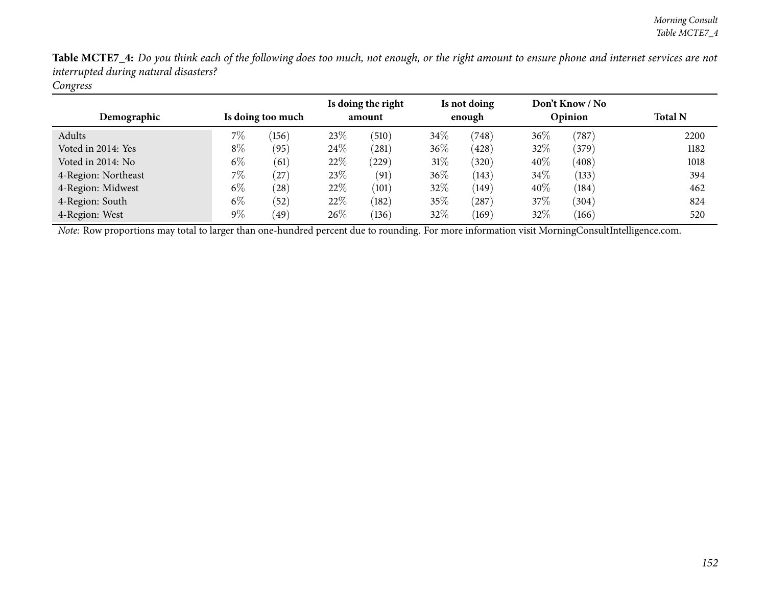| Demographic         | Is doing too much |       |      | Is doing the right<br>amount |        | Is not doing<br>enough |        | Don't Know / No<br>Opinion | <b>Total N</b> |  |
|---------------------|-------------------|-------|------|------------------------------|--------|------------------------|--------|----------------------------|----------------|--|
| Adults              | $7\%$             | (156) | 23\% | (510)                        | $34\%$ | (748)                  | $36\%$ | (787)                      | 2200           |  |
| Voted in 2014: Yes  | $8\%$             | (95)  | 24%  | (281)                        | 36%    | (428)                  | 32%    | (379)                      | 1182           |  |
| Voted in 2014: No   | $6\%$             | (61)  | 22%  | $^{'}229$                    | 31\%   | (320)                  | 40%    | (408)                      | 1018           |  |
| 4-Region: Northeast | $7\%$             | (27)  | 23\% | (91)                         | $36\%$ | (143)                  | 34%    | (133)                      | 394            |  |
| 4-Region: Midwest   | $6\%$             | (28)  | 22\% | (101)                        | 32%    | (149)                  | 40%    | (184)                      | 462            |  |
| 4-Region: South     | $6\%$             | (52)  | 22\% | (182)                        | 35%    | $^{'}287)$             | 37%    | (304)                      | 824            |  |
| 4-Region: West      | $9\%$             | (49)  | 26\% | (136)                        | 32\%   | (169)                  | 32%    | (166)                      | 520            |  |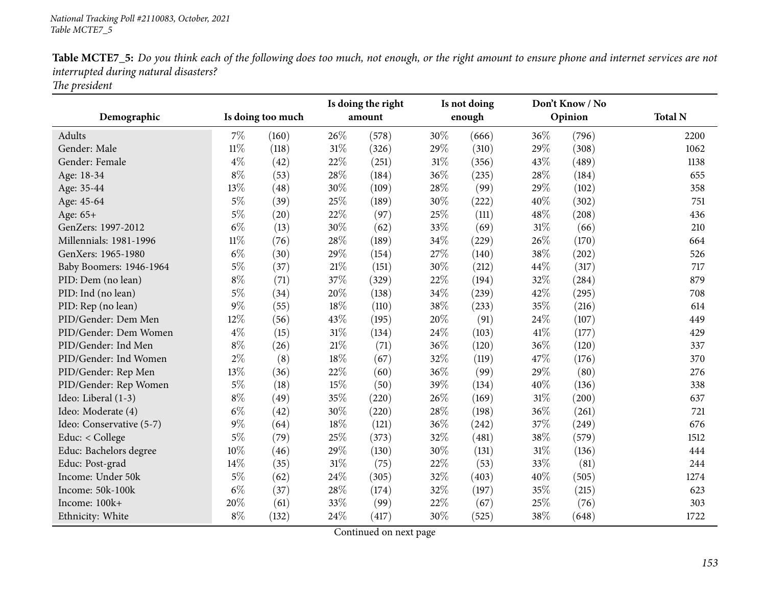| Demographic              |        | Is doing too much |        | Is doing the right<br>amount |      | Is not doing<br>enough |      | Don't Know / No<br>Opinion | <b>Total N</b> |
|--------------------------|--------|-------------------|--------|------------------------------|------|------------------------|------|----------------------------|----------------|
|                          |        |                   |        |                              |      |                        |      |                            |                |
| Adults                   | 7%     | (160)             | 26%    | (578)                        | 30\% | (666)                  | 36%  | (796)                      | 2200           |
| Gender: Male             | $11\%$ | (118)             | 31%    | (326)                        | 29%  | (310)                  | 29%  | (308)                      | 1062           |
| Gender: Female           | $4\%$  | (42)              | 22%    | (251)                        | 31%  | (356)                  | 43%  | (489)                      | 1138           |
| Age: 18-34               | $8\%$  | (53)              | 28%    | (184)                        | 36%  | (235)                  | 28%  | (184)                      | 655            |
| Age: 35-44               | 13%    | (48)              | 30%    | (109)                        | 28\% | (99)                   | 29%  | (102)                      | 358            |
| Age: 45-64               | $5\%$  | (39)              | 25%    | (189)                        | 30%  | (222)                  | 40%  | (302)                      | 751            |
| Age: 65+                 | $5\%$  | (20)              | 22%    | (97)                         | 25%  | (111)                  | 48%  | (208)                      | 436            |
| GenZers: 1997-2012       | $6\%$  | (13)              | 30%    | (62)                         | 33%  | (69)                   | 31%  | (66)                       | 210            |
| Millennials: 1981-1996   | $11\%$ | (76)              | 28%    | (189)                        | 34\% | (229)                  | 26%  | (170)                      | 664            |
| GenXers: 1965-1980       | $6\%$  | (30)              | 29%    | (154)                        | 27%  | (140)                  | 38%  | (202)                      | 526            |
| Baby Boomers: 1946-1964  | $5\%$  | (37)              | 21%    | (151)                        | 30%  | (212)                  | 44%  | (317)                      | 717            |
| PID: Dem (no lean)       | $8\%$  | (71)              | 37%    | (329)                        | 22\% | (194)                  | 32%  | (284)                      | 879            |
| PID: Ind (no lean)       | $5\%$  | (34)              | 20%    | (138)                        | 34\% | (239)                  | 42%  | (295)                      | 708            |
| PID: Rep (no lean)       | 9%     | (55)              | $18\%$ | (110)                        | 38%  | (233)                  | 35%  | (216)                      | 614            |
| PID/Gender: Dem Men      | 12%    | (56)              | 43%    | (195)                        | 20%  | (91)                   | 24%  | (107)                      | 449            |
| PID/Gender: Dem Women    | $4\%$  | (15)              | $31\%$ | (134)                        | 24\% | (103)                  | 41\% | (177)                      | 429            |
| PID/Gender: Ind Men      | $8\%$  | (26)              | 21\%   | (71)                         | 36%  | (120)                  | 36%  | (120)                      | 337            |
| PID/Gender: Ind Women    | $2\%$  | (8)               | $18\%$ | (67)                         | 32%  | (119)                  | 47%  | (176)                      | 370            |
| PID/Gender: Rep Men      | 13%    | (36)              | 22%    | (60)                         | 36%  | (99)                   | 29%  | (80)                       | 276            |
| PID/Gender: Rep Women    | $5\%$  | (18)              | 15%    | (50)                         | 39%  | (134)                  | 40%  | (136)                      | 338            |
| Ideo: Liberal (1-3)      | $8\%$  | (49)              | 35%    | (220)                        | 26%  | (169)                  | 31%  | (200)                      | 637            |
| Ideo: Moderate (4)       | $6\%$  | (42)              | 30%    | (220)                        | 28\% | (198)                  | 36%  | (261)                      | 721            |
| Ideo: Conservative (5-7) | $9\%$  | (64)              | 18%    | (121)                        | 36\% | (242)                  | 37\% | (249)                      | 676            |
| Educ: < College          | $5\%$  | (79)              | 25%    | (373)                        | 32%  | (481)                  | 38%  | (579)                      | 1512           |
| Educ: Bachelors degree   | 10%    | (46)              | 29%    | (130)                        | 30\% | (131)                  | 31%  | (136)                      | 444            |
| Educ: Post-grad          | 14%    | (35)              | $31\%$ | (75)                         | 22%  | (53)                   | 33%  | (81)                       | 244            |
| Income: Under 50k        | 5%     | (62)              | 24%    | (305)                        | 32%  | (403)                  | 40%  | (505)                      | 1274           |
| Income: 50k-100k         | $6\%$  | (37)              | 28%    | (174)                        | 32%  | (197)                  | 35%  | (215)                      | 623            |
| Income: 100k+            | 20%    | (61)              | 33%    | (99)                         | 22%  | (67)                   | 25%  | (76)                       | 303            |
| Ethnicity: White         | $8\%$  | (132)             | 24%    | (417)                        | 30%  | (525)                  | 38%  | (648)                      | 1722           |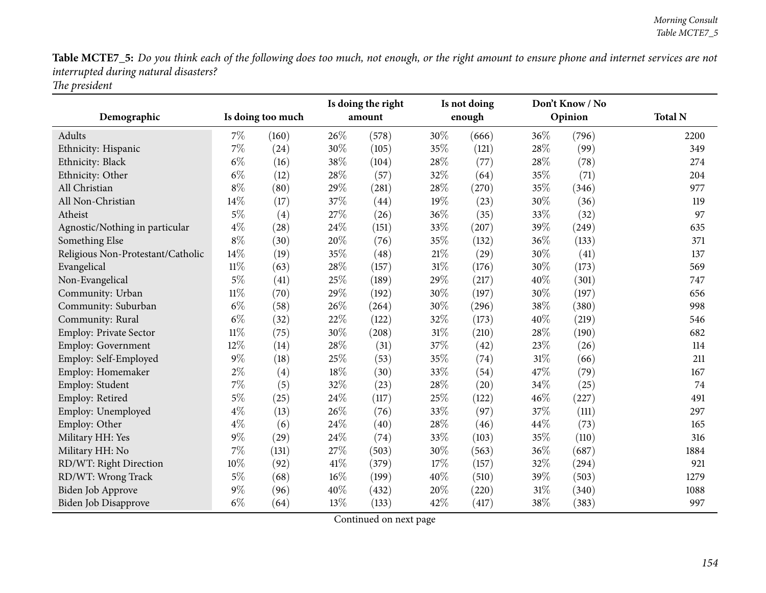| Demographic                       |        | Is doing too much  |     | Is doing the right<br>amount | Is not doing<br>enough |       | Don't Know / No<br>Opinion |       | <b>Total N</b> |
|-----------------------------------|--------|--------------------|-----|------------------------------|------------------------|-------|----------------------------|-------|----------------|
| Adults                            | $7\%$  | (160)              | 26% | (578)                        | 30%                    | (666) | 36%                        | (796) | 2200           |
| Ethnicity: Hispanic               | 7%     | (24)               | 30% | (105)                        | 35%                    | (121) | 28%                        | (99)  | 349            |
| Ethnicity: Black                  | $6\%$  | (16)               | 38% | (104)                        | 28%                    | (77)  | 28%                        | (78)  | 274            |
| Ethnicity: Other                  | $6\%$  | (12)               | 28% | (57)                         | 32%                    | (64)  | 35%                        | (71)  | 204            |
| All Christian                     | $8\%$  | (80)               | 29% | (281)                        | 28%                    | (270) | 35%                        | (346) | 977            |
| All Non-Christian                 | 14%    | (17)               | 37% | (44)                         | 19%                    | (23)  | 30%                        | (36)  | 119            |
| Atheist                           | $5\%$  | (4)                | 27% | (26)                         | 36%                    | (35)  | 33%                        | (32)  | 97             |
| Agnostic/Nothing in particular    | $4\%$  | $\left( 28\right)$ | 24% | (151)                        | 33%                    | (207) | 39%                        | (249) | 635            |
| Something Else                    | $8\%$  | (30)               | 20% | (76)                         | 35%                    | (132) | 36%                        | (133) | 371            |
| Religious Non-Protestant/Catholic | 14%    | (19)               | 35% | (48)                         | $21\%$                 | (29)  | 30%                        | (41)  | 137            |
| Evangelical                       | $11\%$ | (63)               | 28% | (157)                        | $31\%$                 | (176) | 30%                        | (173) | 569            |
| Non-Evangelical                   | $5\%$  | (41)               | 25% | (189)                        | 29%                    | (217) | 40%                        | (301) | 747            |
| Community: Urban                  | $11\%$ | (70)               | 29% | (192)                        | 30%                    | (197) | 30%                        | (197) | 656            |
| Community: Suburban               | $6\%$  | (58)               | 26% | (264)                        | 30%                    | (296) | 38%                        | (380) | 998            |
| Community: Rural                  | $6\%$  | (32)               | 22% | (122)                        | 32%                    | (173) | 40%                        | (219) | 546            |
| <b>Employ: Private Sector</b>     | $11\%$ | (75)               | 30% | (208)                        | 31%                    | (210) | 28%                        | (190) | 682            |
| <b>Employ: Government</b>         | 12%    | (14)               | 28% | (31)                         | 37%                    | (42)  | 23%                        | (26)  | 114            |
| Employ: Self-Employed             | $9\%$  | (18)               | 25% | (53)                         | 35%                    | (74)  | $31\%$                     | (66)  | 211            |
| Employ: Homemaker                 | $2\%$  | (4)                | 18% | (30)                         | 33%                    | (54)  | 47%                        | (79)  | 167            |
| Employ: Student                   | $7\%$  | (5)                | 32% | (23)                         | 28\%                   | (20)  | 34%                        | (25)  | 74             |
| Employ: Retired                   | $5\%$  | (25)               | 24% | (117)                        | 25%                    | (122) | 46%                        | (227) | 491            |
| Employ: Unemployed                | $4\%$  | (13)               | 26% | (76)                         | 33%                    | (97)  | 37%                        | (111) | 297            |
| Employ: Other                     | $4\%$  | (6)                | 24% | (40)                         | 28\%                   | (46)  | 44\%                       | (73)  | 165            |
| Military HH: Yes                  | $9\%$  | (29)               | 24% | (74)                         | 33%                    | (103) | 35%                        | (110) | 316            |
| Military HH: No                   | $7\%$  | (131)              | 27% | (503)                        | 30%                    | (563) | 36%                        | (687) | 1884           |
| RD/WT: Right Direction            | 10%    | (92)               | 41% | (379)                        | 17%                    | (157) | 32%                        | (294) | 921            |
| RD/WT: Wrong Track                | $5\%$  | (68)               | 16% | (199)                        | 40%                    | (510) | 39%                        | (503) | 1279           |
| <b>Biden Job Approve</b>          | $9\%$  | (96)               | 40% | (432)                        | 20%                    | (220) | 31\%                       | (340) | 1088           |
| Biden Job Disapprove              | $6\%$  | (64)               | 13% | (133)                        | 42%                    | (417) | 38%                        | (383) | 997            |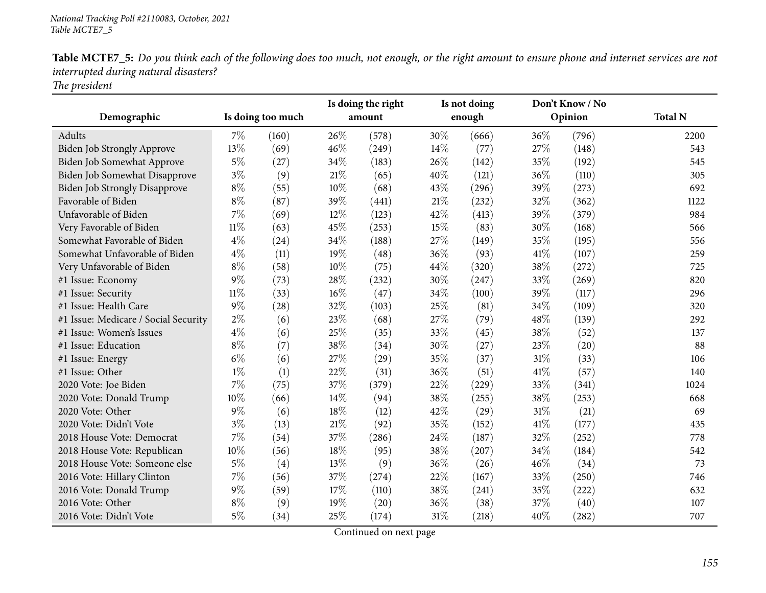| Demographic                          |        | Is doing too much |        | Is doing the right<br>amount |        | Is not doing<br>enough |      | Don't Know / No<br>Opinion | <b>Total N</b> |
|--------------------------------------|--------|-------------------|--------|------------------------------|--------|------------------------|------|----------------------------|----------------|
| Adults                               | $7\%$  | (160)             | 26%    | (578)                        | 30%    | (666)                  | 36%  | (796)                      | 2200           |
| <b>Biden Job Strongly Approve</b>    | 13%    | (69)              | 46%    | (249)                        | $14\%$ | (77)                   | 27%  | (148)                      | 543            |
| Biden Job Somewhat Approve           | $5\%$  | (27)              | 34%    | (183)                        | 26%    | (142)                  | 35%  | (192)                      | 545            |
| Biden Job Somewhat Disapprove        | $3\%$  | (9)               | $21\%$ | (65)                         | 40%    | (121)                  | 36%  | (110)                      | 305            |
| Biden Job Strongly Disapprove        | $8\%$  | (55)              | 10%    | (68)                         | 43%    | (296)                  | 39%  | (273)                      | 692            |
| Favorable of Biden                   | $8\%$  | (87)              | 39%    | (441)                        | $21\%$ | (232)                  | 32%  | (362)                      | 1122           |
| Unfavorable of Biden                 | 7%     | (69)              | 12%    | (123)                        | 42%    | (413)                  | 39%  | (379)                      | 984            |
| Very Favorable of Biden              | $11\%$ | (63)              | 45%    | (253)                        | 15%    | (83)                   | 30%  | (168)                      | 566            |
| Somewhat Favorable of Biden          | $4\%$  | (24)              | 34%    | (188)                        | 27%    | (149)                  | 35%  | (195)                      | 556            |
| Somewhat Unfavorable of Biden        | $4\%$  | (11)              | 19%    | (48)                         | 36%    | (93)                   | 41\% | (107)                      | 259            |
| Very Unfavorable of Biden            | $8\%$  | (58)              | 10%    | (75)                         | 44%    | (320)                  | 38%  | (272)                      | 725            |
| #1 Issue: Economy                    | $9\%$  | (73)              | 28%    | (232)                        | 30%    | (247)                  | 33%  | (269)                      | 820            |
| #1 Issue: Security                   | $11\%$ | (33)              | 16%    | (47)                         | 34%    | (100)                  | 39%  | (117)                      | 296            |
| #1 Issue: Health Care                | $9\%$  | (28)              | 32%    | (103)                        | 25%    | (81)                   | 34%  | (109)                      | 320            |
| #1 Issue: Medicare / Social Security | $2\%$  | (6)               | 23%    | (68)                         | 27%    | (79)                   | 48%  | (139)                      | 292            |
| #1 Issue: Women's Issues             | $4\%$  | (6)               | 25%    | (35)                         | 33%    | (45)                   | 38%  | (52)                       | 137            |
| #1 Issue: Education                  | $8\%$  | (7)               | 38%    | (34)                         | 30%    | (27)                   | 23%  | (20)                       | 88             |
| #1 Issue: Energy                     | $6\%$  | (6)               | 27%    | (29)                         | 35%    | (37)                   | 31%  | (33)                       | 106            |
| #1 Issue: Other                      | $1\%$  | (1)               | 22%    | (31)                         | 36%    | (51)                   | 41%  | (57)                       | 140            |
| 2020 Vote: Joe Biden                 | 7%     | (75)              | 37%    | (379)                        | 22%    | (229)                  | 33%  | (341)                      | 1024           |
| 2020 Vote: Donald Trump              | $10\%$ | (66)              | 14%    | (94)                         | 38%    | (255)                  | 38%  | (253)                      | 668            |
| 2020 Vote: Other                     | $9\%$  | (6)               | 18%    | (12)                         | 42%    | (29)                   | 31%  | (21)                       | 69             |
| 2020 Vote: Didn't Vote               | $3\%$  | (13)              | $21\%$ | (92)                         | 35%    | (152)                  | 41%  | (177)                      | 435            |
| 2018 House Vote: Democrat            | 7%     | (54)              | 37%    | (286)                        | 24\%   | (187)                  | 32%  | (252)                      | 778            |
| 2018 House Vote: Republican          | $10\%$ | (56)              | 18%    | (95)                         | 38%    | (207)                  | 34%  | (184)                      | 542            |
| 2018 House Vote: Someone else        | $5\%$  | (4)               | 13%    | (9)                          | 36%    | (26)                   | 46%  | (34)                       | 73             |
| 2016 Vote: Hillary Clinton           | 7%     | (56)              | 37%    | (274)                        | 22%    | (167)                  | 33%  | (250)                      | 746            |
| 2016 Vote: Donald Trump              | $9\%$  | (59)              | 17%    | (110)                        | 38%    | (241)                  | 35%  | (222)                      | 632            |
| 2016 Vote: Other                     | $8\%$  | (9)               | 19%    | (20)                         | 36%    | (38)                   | 37%  | (40)                       | 107            |
| 2016 Vote: Didn't Vote               | $5\%$  | (34)              | 25%    | (174)                        | $31\%$ | (218)                  | 40%  | (282)                      | 707            |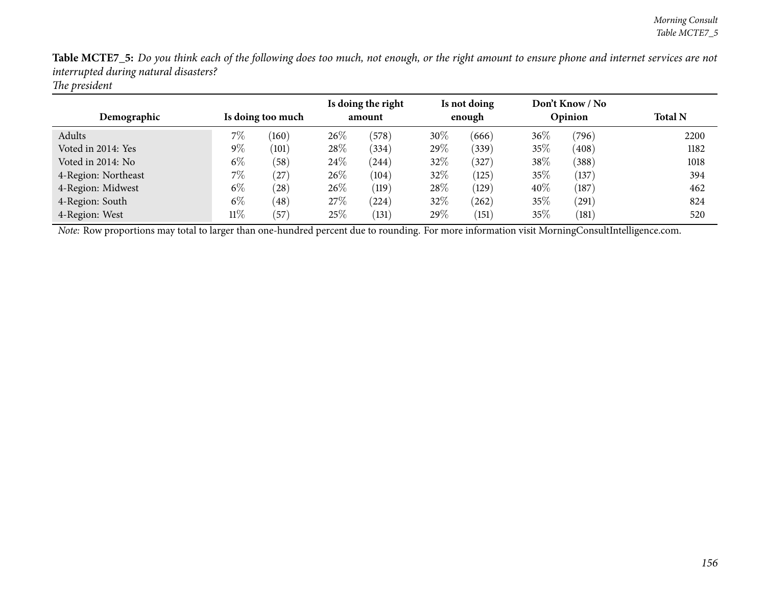| Demographic         |        | Is doing too much |      | Is doing the right<br>amount |        | Is not doing<br>enough |        | Don't Know / No<br>Opinion | <b>Total N</b> |  |
|---------------------|--------|-------------------|------|------------------------------|--------|------------------------|--------|----------------------------|----------------|--|
| Adults              | 7%     | (160)             | 26%  | (578)                        | $30\%$ | (666)                  | $36\%$ | (796)                      | 2200           |  |
| Voted in 2014: Yes  | $9\%$  | (101)             | 28\% | (334)                        | 29%    | (339)                  | 35%    | (408)                      | 1182           |  |
| Voted in 2014: No   | $6\%$  | (58)              | 24\% | (244)                        | 32%    | 327                    | 38%    | (388)                      | 1018           |  |
| 4-Region: Northeast | $7\%$  | (27)              | 26\% | (104)                        | 32%    | (125)                  | 35%    | (137)                      | 394            |  |
| 4-Region: Midwest   | $6\%$  | (28)              | 26\% | (119)                        | $28\%$ | (129)                  | 40%    | (187)                      | 462            |  |
| 4-Region: South     | $6\%$  | (48)              | 27\% | $^{(224)}$                   | 32%    | $^{'}262)$             | 35%    | (291)                      | 824            |  |
| 4-Region: West      | $11\%$ | $^{'}57$          | 25\% | (131)                        | 29\%   | (151)                  | 35%    | (181)                      | 520            |  |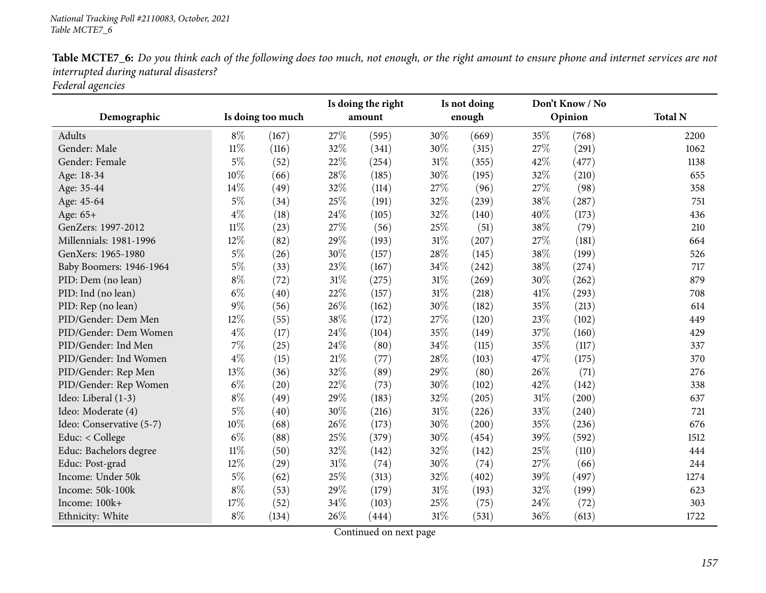| Demographic              | Is doing too much |                    | Is doing the right<br>amount |       | Is not doing<br>enough |       |      | Don't Know / No<br>Opinion | <b>Total N</b> |
|--------------------------|-------------------|--------------------|------------------------------|-------|------------------------|-------|------|----------------------------|----------------|
|                          |                   |                    |                              |       |                        |       |      |                            |                |
| Adults                   | $8\%$             | (167)              | 27%                          | (595) | 30%                    | (669) | 35%  | (768)                      | 2200           |
| Gender: Male             | $11\%$            | (116)              | 32%                          | (341) | 30%                    | (315) | 27%  | (291)                      | 1062           |
| Gender: Female           | $5\%$             | (52)               | 22%                          | (254) | 31%                    | (355) | 42%  | (477)                      | 1138           |
| Age: 18-34               | 10%               | (66)               | 28%                          | (185) | 30%                    | (195) | 32%  | (210)                      | 655            |
| Age: 35-44               | 14%               | (49)               | 32%                          | (114) | 27%                    | (96)  | 27%  | (98)                       | 358            |
| Age: 45-64               | $5\%$             | (34)               | 25%                          | (191) | 32%                    | (239) | 38%  | (287)                      | 751            |
| Age: 65+                 | $4\%$             | (18)               | 24%                          | (105) | 32%                    | (140) | 40%  | (173)                      | 436            |
| GenZers: 1997-2012       | $11\%$            | (23)               | 27%                          | (56)  | 25%                    | (51)  | 38%  | (79)                       | 210            |
| Millennials: 1981-1996   | 12%               | (82)               | 29%                          | (193) | 31%                    | (207) | 27%  | (181)                      | 664            |
| GenXers: 1965-1980       | $5\%$             | (26)               | 30%                          | (157) | 28%                    | (145) | 38%  | (199)                      | 526            |
| Baby Boomers: 1946-1964  | $5\%$             | (33)               | 23%                          | (167) | 34%                    | (242) | 38%  | (274)                      | 717            |
| PID: Dem (no lean)       | $8\%$             | (72)               | $31\%$                       | (275) | $31\%$                 | (269) | 30%  | (262)                      | 879            |
| PID: Ind (no lean)       | $6\%$             | (40)               | 22%                          | (157) | 31%                    | (218) | 41\% | (293)                      | 708            |
| PID: Rep (no lean)       | $9\%$             | (56)               | 26%                          | (162) | 30%                    | (182) | 35%  | (213)                      | 614            |
| PID/Gender: Dem Men      | $12\%$            | (55)               | 38%                          | (172) | 27%                    | (120) | 23%  | (102)                      | 449            |
| PID/Gender: Dem Women    | $4\%$             | (17)               | 24%                          | (104) | 35%                    | (149) | 37%  | (160)                      | 429            |
| PID/Gender: Ind Men      | $7\%$             | (25)               | 24\%                         | (80)  | 34%                    | (115) | 35%  | (117)                      | 337            |
| PID/Gender: Ind Women    | $4\%$             | (15)               | $21\%$                       | (77)  | 28%                    | (103) | 47%  | (175)                      | 370            |
| PID/Gender: Rep Men      | 13%               | (36)               | 32%                          | (89)  | 29%                    | (80)  | 26%  | (71)                       | 276            |
| PID/Gender: Rep Women    | $6\%$             | $\left( 20\right)$ | 22%                          | (73)  | 30%                    | (102) | 42%  | (142)                      | 338            |
| Ideo: Liberal (1-3)      | $8\%$             | (49)               | 29%                          | (183) | 32%                    | (205) | 31%  | (200)                      | 637            |
| Ideo: Moderate (4)       | $5\%$             | (40)               | 30%                          | (216) | 31%                    | (226) | 33%  | (240)                      | 721            |
| Ideo: Conservative (5-7) | $10\%$            | (68)               | 26%                          | (173) | 30%                    | (200) | 35%  | (236)                      | 676            |
| Educ: < College          | $6\%$             | (88)               | 25%                          | (379) | 30%                    | (454) | 39%  | (592)                      | 1512           |
| Educ: Bachelors degree   | $11\%$            | (50)               | 32%                          | (142) | 32%                    | (142) | 25%  | (110)                      | 444            |
| Educ: Post-grad          | 12%               | (29)               | $31\%$                       | (74)  | 30%                    | (74)  | 27%  | (66)                       | 244            |
| Income: Under 50k        | $5\%$             | (62)               | 25%                          | (313) | 32%                    | (402) | 39%  | (497)                      | 1274           |
| Income: 50k-100k         | $8\%$             | (53)               | 29%                          | (179) | 31%                    | (193) | 32%  | (199)                      | 623            |
| Income: 100k+            | 17%               | (52)               | 34%                          | (103) | 25%                    | (75)  | 24%  | (72)                       | 303            |
| Ethnicity: White         | $8\%$             | (134)              | 26%                          | (444) | 31%                    | (531) | 36%  | (613)                      | 1722           |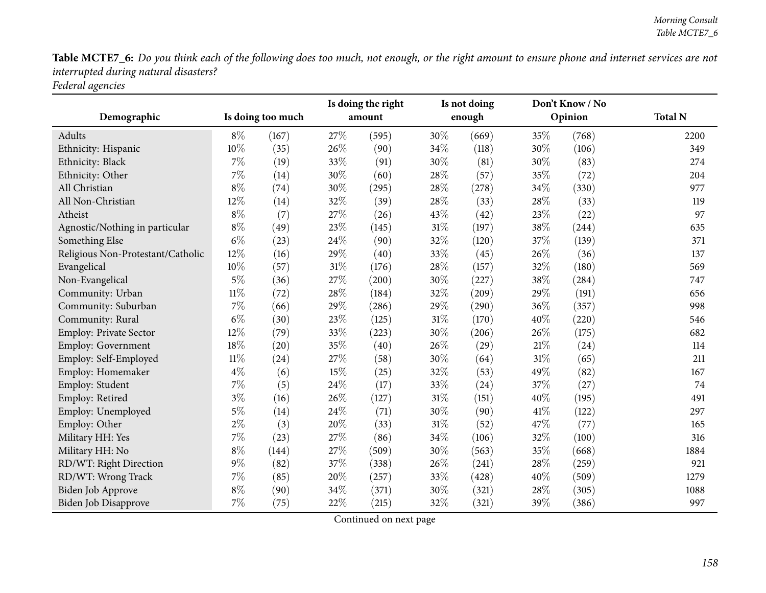| Demographic                       | Is doing too much |       | Is doing the right<br>amount |       |        | Is not doing<br>enough |        | Don't Know / No<br>Opinion | <b>Total N</b> |
|-----------------------------------|-------------------|-------|------------------------------|-------|--------|------------------------|--------|----------------------------|----------------|
| <b>Adults</b>                     | $8\%$             | (167) | 27%                          | (595) | 30\%   | (669)                  | 35%    | (768)                      | 2200           |
| Ethnicity: Hispanic               | 10%               | (35)  | 26%                          | (90)  | 34%    | (118)                  | 30%    | (106)                      | 349            |
| Ethnicity: Black                  | $7\%$             | (19)  | 33%                          | (91)  | 30%    | (81)                   | 30%    | (83)                       | 274            |
| Ethnicity: Other                  | 7%                | (14)  | 30%                          | (60)  | 28\%   | (57)                   | 35%    | (72)                       | 204            |
| All Christian                     | $8\%$             | (74)  | 30%                          | (295) | 28%    | (278)                  | 34%    | (330)                      | 977            |
| All Non-Christian                 | 12%               | (14)  | 32%                          | (39)  | 28%    | (33)                   | 28%    | (33)                       | 119            |
| Atheist                           | $8\%$             | (7)   | 27%                          | (26)  | 43%    | (42)                   | 23%    | (22)                       | 97             |
| Agnostic/Nothing in particular    | $8\%$             | (49)  | 23%                          | (145) | 31%    | (197)                  | 38%    | (244)                      | 635            |
| Something Else                    | $6\%$             | (23)  | 24%                          | (90)  | 32%    | (120)                  | 37%    | (139)                      | 371            |
| Religious Non-Protestant/Catholic | 12%               | (16)  | 29%                          | (40)  | 33%    | (45)                   | 26%    | (36)                       | 137            |
| Evangelical                       | 10%               | (57)  | $31\%$                       | (176) | 28%    | (157)                  | 32%    | (180)                      | 569            |
| Non-Evangelical                   | $5\%$             | (36)  | 27%                          | (200) | 30%    | (227)                  | 38%    | (284)                      | 747            |
| Community: Urban                  | 11%               | (72)  | 28%                          | (184) | 32%    | (209)                  | 29%    | (191)                      | 656            |
| Community: Suburban               | 7%                | (66)  | 29%                          | (286) | 29%    | (290)                  | 36%    | (357)                      | 998            |
| Community: Rural                  | $6\%$             | (30)  | 23%                          | (125) | $31\%$ | (170)                  | 40%    | (220)                      | 546            |
| <b>Employ: Private Sector</b>     | 12%               | (79)  | 33%                          | (223) | 30%    | (206)                  | 26%    | (175)                      | 682            |
| Employ: Government                | 18%               | (20)  | 35%                          | (40)  | 26%    | (29)                   | 21%    | (24)                       | 114            |
| Employ: Self-Employed             | $11\%$            | (24)  | $27\%$                       | (58)  | 30\%   | (64)                   | $31\%$ | (65)                       | 211            |
| Employ: Homemaker                 | $4\%$             | (6)   | 15%                          | (25)  | 32%    | (53)                   | 49%    | (82)                       | 167            |
| Employ: Student                   | $7\%$             | (5)   | 24\%                         | (17)  | 33%    | (24)                   | 37%    | (27)                       | 74             |
| Employ: Retired                   | $3\%$             | (16)  | 26%                          | (127) | 31%    | (151)                  | 40%    | (195)                      | 491            |
| Employ: Unemployed                | $5\%$             | (14)  | 24%                          | (71)  | 30%    | (90)                   | 41%    | (122)                      | 297            |
| Employ: Other                     | $2\%$             | (3)   | 20%                          | (33)  | $31\%$ | (52)                   | 47%    | (77)                       | 165            |
| Military HH: Yes                  | $7\%$             | (23)  | 27%                          | (86)  | 34%    | (106)                  | 32%    | (100)                      | 316            |
| Military HH: No                   | $8\%$             | (144) | 27%                          | (509) | 30%    | (563)                  | 35%    | (668)                      | 1884           |
| RD/WT: Right Direction            | $9\%$             | (82)  | 37%                          | (338) | 26%    | (241)                  | 28%    | (259)                      | 921            |
| RD/WT: Wrong Track                | 7%                | (85)  | 20%                          | (257) | 33%    | (428)                  | 40%    | (509)                      | 1279           |
| Biden Job Approve                 | $8\%$             | (90)  | 34%                          | (371) | 30%    | (321)                  | 28%    | (305)                      | 1088           |
| Biden Job Disapprove              | 7%                | (75)  | 22%                          | (215) | 32%    | (321)                  | 39%    | (386)                      | 997            |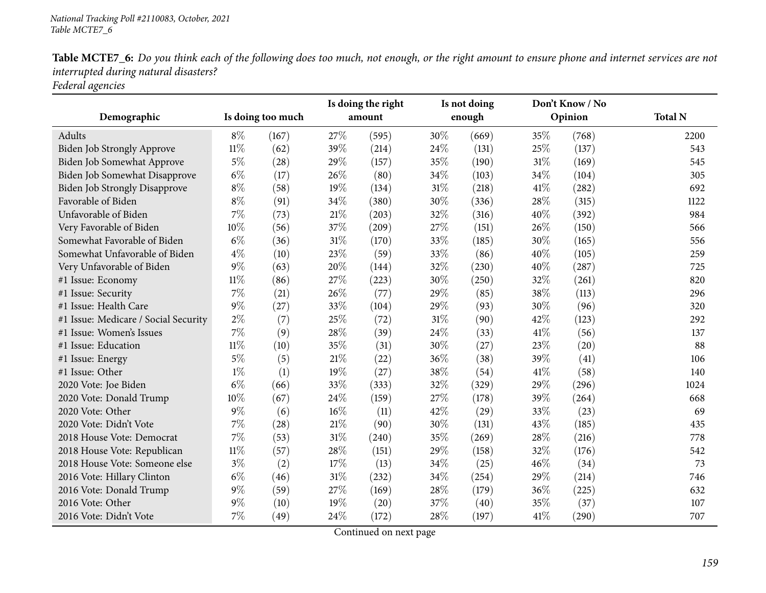|                                      | Is doing too much |       | Is doing the right<br>amount |       |        | Is not doing |      | Don't Know / No |                |
|--------------------------------------|-------------------|-------|------------------------------|-------|--------|--------------|------|-----------------|----------------|
| Demographic                          |                   |       |                              |       |        | enough       |      | Opinion         | <b>Total N</b> |
| Adults                               | $8\%$             | (167) | 27%                          | (595) | 30%    | (669)        | 35%  | (768)           | 2200           |
| <b>Biden Job Strongly Approve</b>    | $11\%$            | (62)  | 39%                          | (214) | 24\%   | (131)        | 25%  | (137)           | 543            |
| Biden Job Somewhat Approve           | $5\%$             | (28)  | 29%                          | (157) | 35%    | (190)        | 31%  | (169)           | 545            |
| Biden Job Somewhat Disapprove        | $6\%$             | (17)  | 26%                          | (80)  | 34%    | (103)        | 34%  | (104)           | 305            |
| Biden Job Strongly Disapprove        | $8\%$             | (58)  | 19%                          | (134) | $31\%$ | (218)        | 41\% | (282)           | 692            |
| Favorable of Biden                   | $8\%$             | (91)  | 34%                          | (380) | 30%    | (336)        | 28%  | (315)           | 1122           |
| Unfavorable of Biden                 | $7\%$             | (73)  | 21%                          | (203) | 32%    | (316)        | 40%  | (392)           | 984            |
| Very Favorable of Biden              | 10%               | (56)  | 37%                          | (209) | 27%    | (151)        | 26%  | (150)           | 566            |
| Somewhat Favorable of Biden          | $6\%$             | (36)  | $31\%$                       | (170) | 33%    | (185)        | 30%  | (165)           | 556            |
| Somewhat Unfavorable of Biden        | $4\%$             | (10)  | 23%                          | (59)  | 33%    | (86)         | 40%  | (105)           | 259            |
| Very Unfavorable of Biden            | $9\%$             | (63)  | 20%                          | (144) | 32%    | (230)        | 40%  | (287)           | 725            |
| #1 Issue: Economy                    | $11\%$            | (86)  | 27%                          | (223) | 30%    | (250)        | 32%  | (261)           | 820            |
| #1 Issue: Security                   | 7%                | (21)  | 26%                          | (77)  | 29%    | (85)         | 38%  | (113)           | 296            |
| #1 Issue: Health Care                | $9\%$             | (27)  | 33%                          | (104) | 29%    | (93)         | 30%  | (96)            | 320            |
| #1 Issue: Medicare / Social Security | $2\%$             | (7)   | 25%                          | (72)  | $31\%$ | (90)         | 42%  | (123)           | 292            |
| #1 Issue: Women's Issues             | $7\%$             | (9)   | 28\%                         | (39)  | 24%    | (33)         | 41\% | (56)            | 137            |
| #1 Issue: Education                  | $11\%$            | (10)  | 35%                          | (31)  | 30%    | (27)         | 23%  | (20)            | 88             |
| #1 Issue: Energy                     | $5\%$             | (5)   | 21%                          | (22)  | 36%    | (38)         | 39%  | (41)            | 106            |
| #1 Issue: Other                      | $1\%$             | (1)   | 19%                          | (27)  | 38%    | (54)         | 41\% | (58)            | 140            |
| 2020 Vote: Joe Biden                 | $6\%$             | (66)  | 33%                          | (333) | 32%    | (329)        | 29%  | (296)           | 1024           |
| 2020 Vote: Donald Trump              | 10%               | (67)  | 24\%                         | (159) | 27\%   | (178)        | 39%  | (264)           | 668            |
| 2020 Vote: Other                     | $9\%$             | (6)   | 16%                          | (11)  | 42%    | (29)         | 33%  | (23)            | 69             |
| 2020 Vote: Didn't Vote               | $7\%$             | (28)  | $21\%$                       | (90)  | 30%    | (131)        | 43%  | (185)           | 435            |
| 2018 House Vote: Democrat            | 7%                | (53)  | 31%                          | (240) | 35%    | (269)        | 28%  | (216)           | 778            |
| 2018 House Vote: Republican          | $11\%$            | (57)  | 28%                          | (151) | 29%    | (158)        | 32%  | (176)           | 542            |
| 2018 House Vote: Someone else        | $3\%$             | (2)   | 17%                          | (13)  | 34\%   | (25)         | 46%  | (34)            | 73             |
| 2016 Vote: Hillary Clinton           | $6\%$             | (46)  | $31\%$                       | (232) | 34%    | (254)        | 29%  | (214)           | 746            |
| 2016 Vote: Donald Trump              | $9\%$             | (59)  | 27%                          | (169) | 28\%   | (179)        | 36%  | (225)           | 632            |
| 2016 Vote: Other                     | 9%                | (10)  | 19%                          | (20)  | 37%    | (40)         | 35%  | (37)            | 107            |
| 2016 Vote: Didn't Vote               | 7%                | (49)  | 24%                          | (172) | 28\%   | (197)        | 41\% | (290)           | 707            |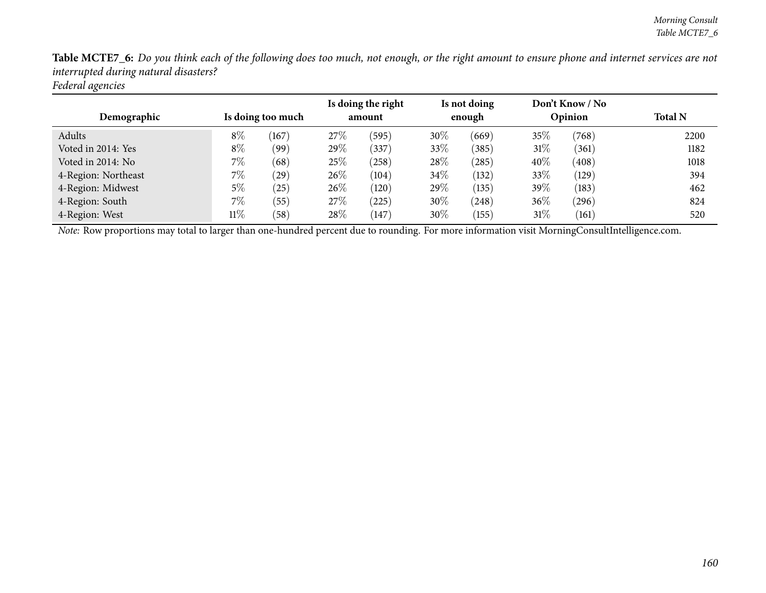| Demographic         | Is doing too much |       | Is doing the right<br>amount |                    | Is not doing<br>enough |            | Don't Know / No<br>Opinion |       | <b>Total N</b> |
|---------------------|-------------------|-------|------------------------------|--------------------|------------------------|------------|----------------------------|-------|----------------|
| Adults              | $8\%$             | (167) | 27\%                         | (595)              | $30\%$                 | (669)      | 35%                        | (768) | 2200           |
| Voted in 2014: Yes  | $8\%$             | (99)  | 29\%                         | (337)              | 33%                    | (385)      | $31\%$                     | (361) | 1182           |
| Voted in 2014: No   | $7\%$             | (68)  | 25%                          | (258)              | 28%                    | $^{'}285)$ | 40%                        | (408) | 1018           |
| 4-Region: Northeast | 7%                | (29)  | 26\%                         | (104)              | 34\%                   | (132)      | 33\%                       | (129) | 394            |
| 4-Region: Midwest   | 5%                | 25    | 26\%                         | (120)              | 29\%                   | (135)      | 39%                        | (183) | 462            |
| 4-Region: South     | $7\%$             | (55)  | 27\%                         | (225)              | $30\%$                 | (248)      | $36\%$                     | (296) | 824            |
| 4-Region: West      | $11\%$            | (58)  | 28\%                         | $\left(147\right)$ | $30\%$                 | (155)      | $31\%$                     | (161) | 520            |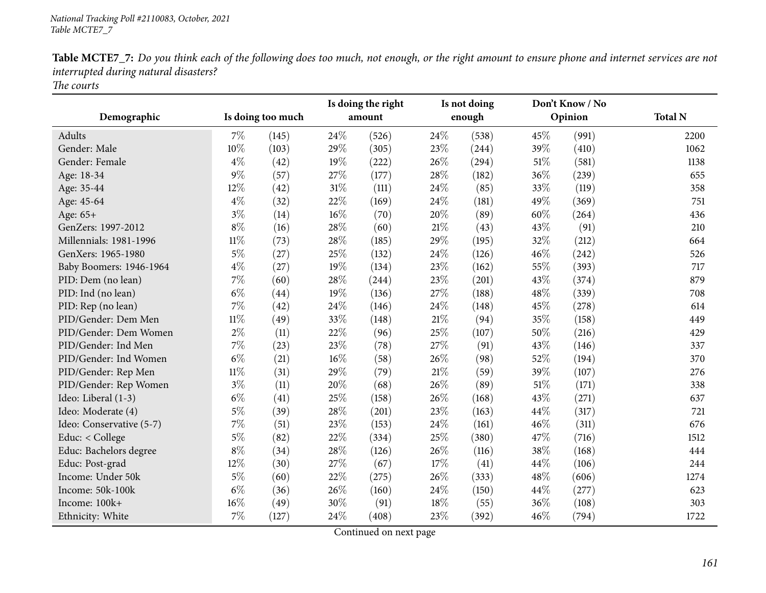| Demographic              | Is doing too much |       | Is doing the right<br>amount |       | Is not doing<br>enough |       |        | Don't Know / No<br>Opinion | <b>Total N</b> |
|--------------------------|-------------------|-------|------------------------------|-------|------------------------|-------|--------|----------------------------|----------------|
|                          |                   |       |                              |       |                        |       |        |                            |                |
| Adults                   | 7%                | (145) | 24%                          | (526) | 24\%                   | (538) | 45%    | (991)                      | 2200           |
| Gender: Male             | 10%               | (103) | 29%                          | (305) | 23\%                   | (244) | 39%    | (410)                      | 1062           |
| Gender: Female           | $4\%$             | (42)  | 19%                          | (222) | 26%                    | (294) | $51\%$ | (581)                      | 1138           |
| Age: 18-34               | $9\%$             | (57)  | 27%                          | (177) | 28\%                   | (182) | 36%    | (239)                      | 655            |
| Age: 35-44               | 12%               | (42)  | $31\%$                       | (111) | 24\%                   | (85)  | 33%    | (119)                      | 358            |
| Age: 45-64               | $4\%$             | (32)  | 22%                          | (169) | 24\%                   | (181) | 49%    | (369)                      | 751            |
| Age: 65+                 | $3\%$             | (14)  | 16%                          | (70)  | 20%                    | (89)  | 60%    | (264)                      | 436            |
| GenZers: 1997-2012       | $8\%$             | (16)  | 28%                          | (60)  | $21\%$                 | (43)  | 43%    | (91)                       | 210            |
| Millennials: 1981-1996   | $11\%$            | (73)  | 28%                          | (185) | 29%                    | (195) | 32%    | (212)                      | 664            |
| GenXers: 1965-1980       | $5\%$             | (27)  | 25%                          | (132) | 24%                    | (126) | 46%    | (242)                      | 526            |
| Baby Boomers: 1946-1964  | $4\%$             | (27)  | 19%                          | (134) | 23%                    | (162) | 55%    | (393)                      | 717            |
| PID: Dem (no lean)       | 7%                | (60)  | 28%                          | (244) | 23%                    | (201) | 43%    | (374)                      | 879            |
| PID: Ind (no lean)       | $6\%$             | (44)  | 19%                          | (136) | 27\%                   | (188) | 48%    | (339)                      | 708            |
| PID: Rep (no lean)       | 7%                | (42)  | 24%                          | (146) | 24\%                   | (148) | 45%    | (278)                      | 614            |
| PID/Gender: Dem Men      | $11\%$            | (49)  | 33%                          | (148) | 21%                    | (94)  | 35%    | (158)                      | 449            |
| PID/Gender: Dem Women    | $2\%$             | (11)  | 22%                          | (96)  | 25%                    | (107) | 50%    | (216)                      | 429            |
| PID/Gender: Ind Men      | 7%                | (23)  | 23%                          | (78)  | 27\%                   | (91)  | 43\%   | (146)                      | 337            |
| PID/Gender: Ind Women    | $6\%$             | (21)  | 16%                          | (58)  | 26%                    | (98)  | 52%    | (194)                      | 370            |
| PID/Gender: Rep Men      | $11\%$            | (31)  | 29%                          | (79)  | $21\%$                 | (59)  | 39%    | (107)                      | 276            |
| PID/Gender: Rep Women    | $3\%$             | (11)  | 20%                          | (68)  | 26\%                   | (89)  | $51\%$ | (171)                      | 338            |
| Ideo: Liberal (1-3)      | $6\%$             | (41)  | 25%                          | (158) | 26%                    | (168) | 43%    | (271)                      | 637            |
| Ideo: Moderate (4)       | $5\%$             | (39)  | 28%                          | (201) | 23\%                   | (163) | 44%    | (317)                      | 721            |
| Ideo: Conservative (5-7) | 7%                | (51)  | 23%                          | (153) | 24\%                   | (161) | 46%    | (311)                      | 676            |
| Educ: < College          | $5\%$             | (82)  | 22%                          | (334) | 25%                    | (380) | 47\%   | (716)                      | 1512           |
| Educ: Bachelors degree   | $8\%$             | (34)  | 28%                          | (126) | 26%                    | (116) | 38%    | (168)                      | 444            |
| Educ: Post-grad          | 12%               | (30)  | 27%                          | (67)  | 17%                    | (41)  | 44%    | (106)                      | 244            |
| Income: Under 50k        | $5\%$             | (60)  | 22%                          | (275) | 26%                    | (333) | 48%    | (606)                      | 1274           |
| Income: 50k-100k         | $6\%$             | (36)  | 26%                          | (160) | 24\%                   | (150) | 44%    | (277)                      | 623            |
| Income: 100k+            | 16%               | (49)  | 30%                          | (91)  | 18%                    | (55)  | 36%    | (108)                      | 303            |
| Ethnicity: White         | 7%                | (127) | 24%                          | (408) | 23%                    | (392) | 46%    | (794)                      | 1722           |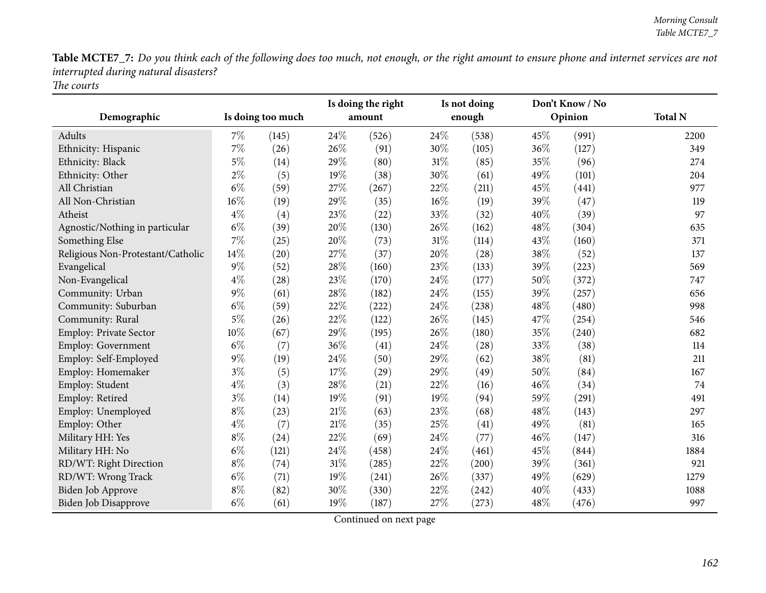| Demographic                       | Is doing too much |       | Is doing the right<br>amount |       |      | Is not doing<br>enough | Don't Know / No<br>Opinion |       | <b>Total N</b> |  |
|-----------------------------------|-------------------|-------|------------------------------|-------|------|------------------------|----------------------------|-------|----------------|--|
| <b>Adults</b>                     | $7\%$             | (145) | 24\%                         | (526) | 24\% | (538)                  | 45%                        | (991) | 2200           |  |
| Ethnicity: Hispanic               | 7%                | (26)  | 26%                          | (91)  | 30%  | (105)                  | 36%                        | (127) | 349            |  |
| Ethnicity: Black                  | $5\%$             | (14)  | 29%                          | (80)  | 31%  | (85)                   | 35%                        | (96)  | 274            |  |
| Ethnicity: Other                  | $2\%$             | (5)   | 19%                          | (38)  | 30%  | (61)                   | 49%                        | (101) | 204            |  |
| All Christian                     | $6\%$             | (59)  | 27%                          | (267) | 22%  | (211)                  | 45%                        | (441) | 977            |  |
| All Non-Christian                 | 16%               | (19)  | 29%                          | (35)  | 16%  | (19)                   | 39%                        | (47)  | 119            |  |
| Atheist                           | $4\%$             | (4)   | 23%                          | (22)  | 33\% | (32)                   | 40%                        | (39)  | 97             |  |
| Agnostic/Nothing in particular    | $6\%$             | (39)  | 20%                          | (130) | 26%  | (162)                  | 48%                        | (304) | 635            |  |
| Something Else                    | 7%                | (25)  | $20\%$                       | (73)  | 31%  | (114)                  | 43%                        | (160) | 371            |  |
| Religious Non-Protestant/Catholic | 14%               | (20)  | 27%                          | (37)  | 20%  | (28)                   | 38%                        | (52)  | 137            |  |
| Evangelical                       | $9\%$             | (52)  | 28%                          | (160) | 23%  | (133)                  | 39%                        | (223) | 569            |  |
| Non-Evangelical                   | $4\%$             | (28)  | 23%                          | (170) | 24\% | (177)                  | 50%                        | (372) | 747            |  |
| Community: Urban                  | $9\%$             | (61)  | 28%                          | (182) | 24%  | (155)                  | 39%                        | (257) | 656            |  |
| Community: Suburban               | $6\%$             | (59)  | 22%                          | (222) | 24%  | (238)                  | 48%                        | (480) | 998            |  |
| Community: Rural                  | $5\%$             | (26)  | 22%                          | (122) | 26%  | (145)                  | 47%                        | (254) | 546            |  |
| <b>Employ: Private Sector</b>     | 10%               | (67)  | 29%                          | (195) | 26%  | (180)                  | 35%                        | (240) | 682            |  |
| Employ: Government                | $6\%$             | (7)   | 36%                          | (41)  | 24%  | (28)                   | 33%                        | (38)  | 114            |  |
| Employ: Self-Employed             | $9\%$             | (19)  | 24%                          | (50)  | 29%  | (62)                   | 38%                        | (81)  | 211            |  |
| Employ: Homemaker                 | $3\%$             | (5)   | $17\%$                       | (29)  | 29%  | (49)                   | 50%                        | (84)  | 167            |  |
| Employ: Student                   | $4\%$             | (3)   | 28%                          | (21)  | 22%  | (16)                   | 46%                        | (34)  | 74             |  |
| Employ: Retired                   | $3\%$             | (14)  | 19%                          | (91)  | 19%  | (94)                   | 59%                        | (291) | 491            |  |
| Employ: Unemployed                | $8\%$             | (23)  | $21\%$                       | (63)  | 23%  | (68)                   | 48%                        | (143) | 297            |  |
| Employ: Other                     | $4\%$             | (7)   | $21\%$                       | (35)  | 25%  | (41)                   | 49%                        | (81)  | 165            |  |
| Military HH: Yes                  | $8\%$             | (24)  | 22%                          | (69)  | 24%  | (77)                   | 46%                        | (147) | 316            |  |
| Military HH: No                   | $6\%$             | (121) | 24%                          | (458) | 24%  | (461)                  | 45%                        | (844) | 1884           |  |
| RD/WT: Right Direction            | $8\%$             | (74)  | $31\%$                       | (285) | 22%  | (200)                  | 39%                        | (361) | 921            |  |
| RD/WT: Wrong Track                | $6\%$             | (71)  | 19%                          | (241) | 26%  | (337)                  | 49%                        | (629) | 1279           |  |
| <b>Biden Job Approve</b>          | $8\%$             | (82)  | 30%                          | (330) | 22%  | (242)                  | 40%                        | (433) | 1088           |  |
| Biden Job Disapprove              | $6\%$             | (61)  | 19%                          | (187) | 27%  | (273)                  | 48%                        | (476) | 997            |  |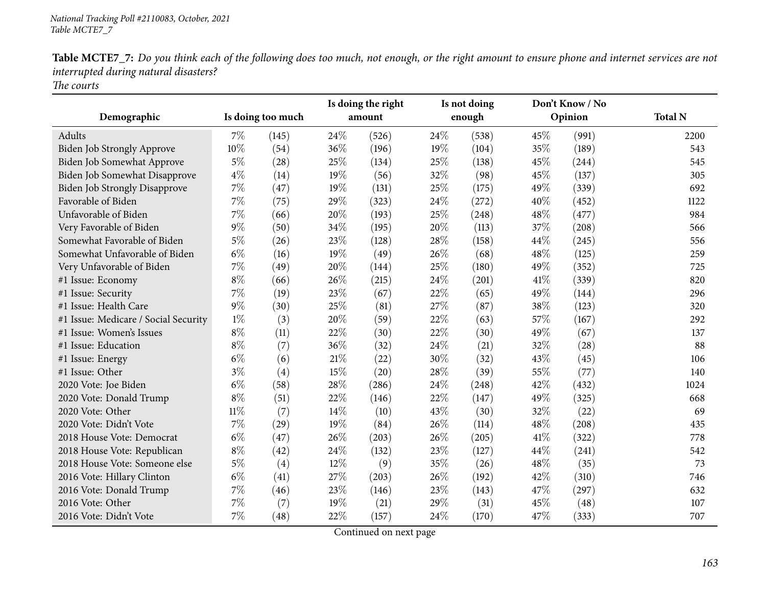|                                      |        |                   | Is doing the right<br>amount |       | Is not doing<br>enough |       | Don't Know / No<br>Opinion |       | <b>Total N</b> |
|--------------------------------------|--------|-------------------|------------------------------|-------|------------------------|-------|----------------------------|-------|----------------|
| Demographic                          |        | Is doing too much |                              |       |                        |       |                            |       |                |
| Adults                               | $7\%$  | (145)             | 24\%                         | (526) | 24%                    | (538) | 45%                        | (991) | 2200           |
| <b>Biden Job Strongly Approve</b>    | 10%    | (54)              | 36%                          | (196) | 19%                    | (104) | 35%                        | (189) | 543            |
| Biden Job Somewhat Approve           | $5\%$  | (28)              | 25%                          | (134) | 25%                    | (138) | 45%                        | (244) | 545            |
| Biden Job Somewhat Disapprove        | $4\%$  | (14)              | 19%                          | (56)  | 32%                    | (98)  | 45%                        | (137) | 305            |
| Biden Job Strongly Disapprove        | $7\%$  | (47)              | 19%                          | (131) | 25\%                   | (175) | 49%                        | (339) | 692            |
| Favorable of Biden                   | 7%     | (75)              | 29%                          | (323) | 24%                    | (272) | 40%                        | (452) | 1122           |
| Unfavorable of Biden                 | $7\%$  | (66)              | 20%                          | (193) | 25%                    | (248) | 48%                        | (477) | 984            |
| Very Favorable of Biden              | $9\%$  | (50)              | 34%                          | (195) | 20%                    | (113) | 37%                        | (208) | 566            |
| Somewhat Favorable of Biden          | $5\%$  | (26)              | 23%                          | (128) | 28\%                   | (158) | 44%                        | (245) | 556            |
| Somewhat Unfavorable of Biden        | $6\%$  | (16)              | 19%                          | (49)  | 26%                    | (68)  | 48%                        | (125) | 259            |
| Very Unfavorable of Biden            | $7\%$  | (49)              | 20%                          | (144) | 25%                    | (180) | 49%                        | (352) | 725            |
| #1 Issue: Economy                    | $8\%$  | (66)              | 26%                          | (215) | 24%                    | (201) | 41\%                       | (339) | 820            |
| #1 Issue: Security                   | 7%     | (19)              | 23%                          | (67)  | $22\%$                 | (65)  | 49%                        | (144) | 296            |
| #1 Issue: Health Care                | $9\%$  | (30)              | 25%                          | (81)  | 27%                    | (87)  | 38%                        | (123) | 320            |
| #1 Issue: Medicare / Social Security | $1\%$  | (3)               | 20%                          | (59)  | 22%                    | (63)  | 57%                        | (167) | 292            |
| #1 Issue: Women's Issues             | $8\%$  | (11)              | 22%                          | (30)  | 22%                    | (30)  | 49%                        | (67)  | 137            |
| #1 Issue: Education                  | $8\%$  | (7)               | 36%                          | (32)  | 24%                    | (21)  | 32%                        | (28)  | 88             |
| #1 Issue: Energy                     | $6\%$  | (6)               | $21\%$                       | (22)  | 30%                    | (32)  | 43%                        | (45)  | 106            |
| #1 Issue: Other                      | $3\%$  | (4)               | 15%                          | (20)  | 28%                    | (39)  | 55%                        | (77)  | 140            |
| 2020 Vote: Joe Biden                 | $6\%$  | (58)              | 28%                          | (286) | 24%                    | (248) | 42%                        | (432) | 1024           |
| 2020 Vote: Donald Trump              | $8\%$  | (51)              | 22%                          | (146) | 22%                    | (147) | 49%                        | (325) | 668            |
| 2020 Vote: Other                     | $11\%$ | (7)               | 14%                          | (10)  | 43%                    | (30)  | 32%                        | (22)  | 69             |
| 2020 Vote: Didn't Vote               | $7\%$  | (29)              | 19%                          | (84)  | 26\%                   | (114) | 48%                        | (208) | 435            |
| 2018 House Vote: Democrat            | $6\%$  | (47)              | 26%                          | (203) | 26%                    | (205) | 41\%                       | (322) | 778            |
| 2018 House Vote: Republican          | $8\%$  | (42)              | 24%                          | (132) | 23%                    | (127) | 44%                        | (241) | 542            |
| 2018 House Vote: Someone else        | $5\%$  | (4)               | $12\%$                       | (9)   | 35%                    | (26)  | 48%                        | (35)  | 73             |
| 2016 Vote: Hillary Clinton           | $6\%$  | (41)              | 27%                          | (203) | 26%                    | (192) | 42%                        | (310) | 746            |
| 2016 Vote: Donald Trump              | $7\%$  | (46)              | 23%                          | (146) | 23%                    | (143) | 47%                        | (297) | 632            |
| 2016 Vote: Other                     | 7%     | (7)               | 19%                          | (21)  | 29%                    | (31)  | 45%                        | (48)  | 107            |
| 2016 Vote: Didn't Vote               | 7%     | (48)              | 22%                          | (157) | 24\%                   | (170) | 47%                        | (333) | 707            |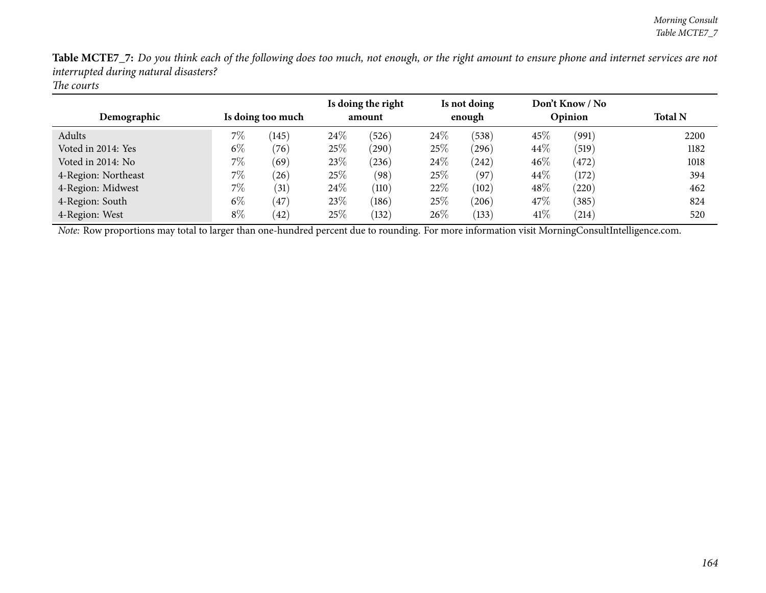| Demographic         | Is doing too much |       | Is doing the right<br>amount |       | Is not doing<br>enough |            | Don't Know / No<br>Opinion |       | <b>Total N</b> |
|---------------------|-------------------|-------|------------------------------|-------|------------------------|------------|----------------------------|-------|----------------|
| Adults              | 7%                | (145) | 24%                          | (526) | $24\%$                 | (538)      | 45%                        | (991) | 2200           |
| Voted in 2014: Yes  | $6\%$             | (76)  | 25\%                         | (290) | $25\%$                 | $^{(296)}$ | 44\%                       | (519) | 1182           |
| Voted in 2014: No   | $7\%$             | (69)  | 23%                          | (236) | $24\%$                 | (242)      | 46%                        | (472) | 1018           |
| 4-Region: Northeast | $7\%$             | (26)  | 25%                          | (98)  | $25\%$                 | (97)       | 44\%                       | (172) | 394            |
| 4-Region: Midwest   | $7\%$             | (31)  | 24%                          | (110) | 22%                    | (102)      | 48%                        | (220) | 462            |
| 4-Region: South     | $6\%$             | (47)  | 23%                          | (186) | $25\%$                 | (206)      | 47\%                       | (385) | 824            |
| 4-Region: West      | $8\%$             | (42)  | 25%                          | (132) | $26\%$                 | (133)      | 41\%                       | (214) | 520            |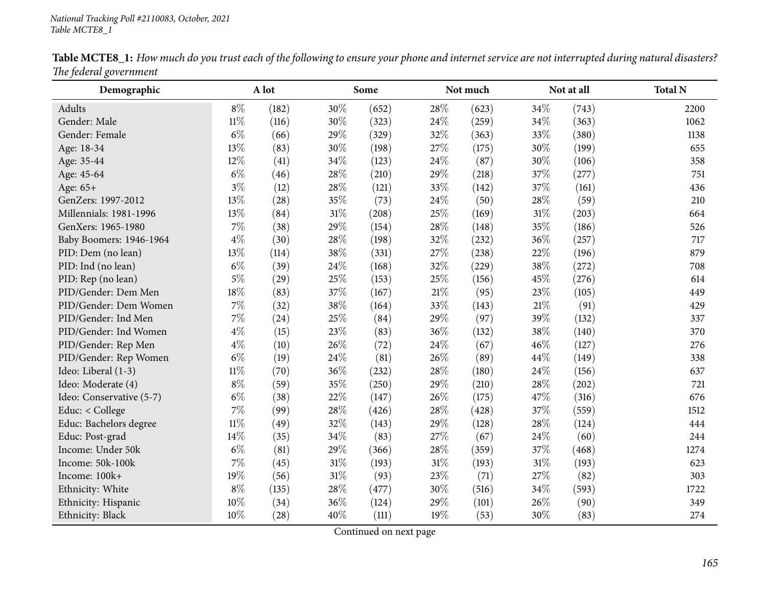| Demographic              |        | A lot |        | Some  |        | Not much |      | Not at all | <b>Total N</b> |
|--------------------------|--------|-------|--------|-------|--------|----------|------|------------|----------------|
| Adults                   | $8\%$  | (182) | 30%    | (652) | 28\%   | (623)    | 34%  | (743)      | 2200           |
| Gender: Male             | $11\%$ | (116) | 30%    | (323) | 24\%   | (259)    | 34%  | (363)      | 1062           |
| Gender: Female           | $6\%$  | (66)  | 29%    | (329) | 32%    | (363)    | 33%  | (380)      | 1138           |
| Age: 18-34               | 13%    | (83)  | 30%    | (198) | 27\%   | (175)    | 30%  | (199)      | 655            |
| Age: 35-44               | 12%    | (41)  | 34%    | (123) | 24\%   | (87)     | 30%  | (106)      | 358            |
| Age: 45-64               | $6\%$  | (46)  | 28%    | (210) | 29%    | (218)    | 37%  | (277)      | 751            |
| Age: 65+                 | $3\%$  | (12)  | 28%    | (121) | 33%    | (142)    | 37%  | (161)      | 436            |
| GenZers: 1997-2012       | 13%    | (28)  | 35%    | (73)  | 24\%   | (50)     | 28%  | (59)       | 210            |
| Millennials: 1981-1996   | 13%    | (84)  | $31\%$ | (208) | 25\%   | (169)    | 31%  | (203)      | 664            |
| GenXers: 1965-1980       | 7%     | (38)  | 29%    | (154) | 28\%   | (148)    | 35%  | (186)      | 526            |
| Baby Boomers: 1946-1964  | $4\%$  | (30)  | 28%    | (198) | 32%    | (232)    | 36%  | (257)      | 717            |
| PID: Dem (no lean)       | 13%    | (114) | 38%    | (331) | 27\%   | (238)    | 22%  | (196)      | 879            |
| PID: Ind (no lean)       | $6\%$  | (39)  | 24%    | (168) | 32%    | (229)    | 38%  | (272)      | 708            |
| PID: Rep (no lean)       | $5\%$  | (29)  | 25%    | (153) | 25\%   | (156)    | 45%  | (276)      | 614            |
| PID/Gender: Dem Men      | 18%    | (83)  | 37%    | (167) | $21\%$ | (95)     | 23%  | (105)      | 449            |
| PID/Gender: Dem Women    | 7%     | (32)  | 38%    | (164) | 33%    | (143)    | 21\% | (91)       | 429            |
| PID/Gender: Ind Men      | 7%     | (24)  | 25%    | (84)  | 29%    | (97)     | 39%  | (132)      | 337            |
| PID/Gender: Ind Women    | $4\%$  | (15)  | 23%    | (83)  | 36%    | (132)    | 38%  | (140)      | 370            |
| PID/Gender: Rep Men      | $4\%$  | (10)  | 26%    | (72)  | 24\%   | (67)     | 46%  | (127)      | 276            |
| PID/Gender: Rep Women    | $6\%$  | (19)  | 24%    | (81)  | 26%    | (89)     | 44%  | (149)      | 338            |
| Ideo: Liberal (1-3)      | $11\%$ | (70)  | 36%    | (232) | 28%    | (180)    | 24%  | (156)      | 637            |
| Ideo: Moderate (4)       | $8\%$  | (59)  | 35%    | (250) | 29%    | (210)    | 28%  | (202)      | 721            |
| Ideo: Conservative (5-7) | $6\%$  | (38)  | 22%    | (147) | 26%    | (175)    | 47%  | (316)      | 676            |
| Educ: < College          | 7%     | (99)  | 28%    | (426) | 28\%   | (428)    | 37%  | (559)      | 1512           |
| Educ: Bachelors degree   | $11\%$ | (49)  | 32%    | (143) | 29%    | (128)    | 28%  | (124)      | 444            |
| Educ: Post-grad          | 14%    | (35)  | 34%    | (83)  | 27%    | (67)     | 24%  | (60)       | 244            |
| Income: Under 50k        | $6\%$  | (81)  | 29%    | (366) | 28%    | (359)    | 37%  | (468)      | 1274           |
| Income: 50k-100k         | 7%     | (45)  | 31%    | (193) | 31\%   | (193)    | 31%  | (193)      | 623            |
| Income: 100k+            | 19%    | (56)  | $31\%$ | (93)  | 23\%   | (71)     | 27\% | (82)       | 303            |
| Ethnicity: White         | $8\%$  | (135) | 28%    | (477) | 30%    | (516)    | 34%  | (593)      | 1722           |
| Ethnicity: Hispanic      | 10%    | (34)  | 36%    | (124) | 29%    | (101)    | 26%  | (90)       | 349            |
| Ethnicity: Black         | 10%    | (28)  | 40%    | (111) | 19%    | (53)     | 30%  | (83)       | 274            |

Table MCTE8\_1: How much do you trust each of the following to ensure your phone and internet service are not interrupted during natural disasters? *The federal governmen<sup>t</sup>*  $\overline{\phantom{0}}$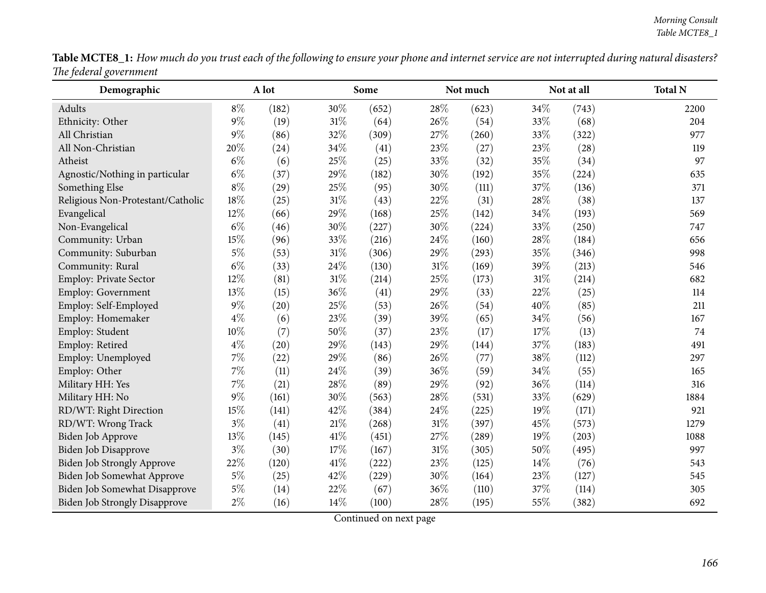|                        | <b>Table MCTE8_1:</b> How much do you trust each of the following to ensure your phone and internet service are not interrupted during natural disasters? |  |  |
|------------------------|-----------------------------------------------------------------------------------------------------------------------------------------------------------|--|--|
| The federal government |                                                                                                                                                           |  |  |

| Demographic                          |       | A lot |        | Some  |        | Not much |      | Not at all | <b>Total N</b> |
|--------------------------------------|-------|-------|--------|-------|--------|----------|------|------------|----------------|
| Adults                               | $8\%$ | (182) | 30%    | (652) | 28%    | (623)    | 34%  | (743)      | 2200           |
| Ethnicity: Other                     | $9\%$ | (19)  | $31\%$ | (64)  | 26\%   | (54)     | 33%  | (68)       | 204            |
| All Christian                        | 9%    | (86)  | 32%    | (309) | 27%    | (260)    | 33%  | (322)      | 977            |
| All Non-Christian                    | 20%   | (24)  | 34%    | (41)  | 23%    | (27)     | 23%  | (28)       | 119            |
| Atheist                              | $6\%$ | (6)   | 25%    | (25)  | 33%    | (32)     | 35%  | (34)       | 97             |
| Agnostic/Nothing in particular       | $6\%$ | (37)  | $29\%$ | (182) | 30%    | (192)    | 35%  | (224)      | 635            |
| Something Else                       | $8\%$ | (29)  | 25%    | (95)  | 30%    | (111)    | 37%  | (136)      | 371            |
| Religious Non-Protestant/Catholic    | 18%   | (25)  | $31\%$ | (43)  | 22%    | (31)     | 28\% | (38)       | 137            |
| Evangelical                          | 12%   | (66)  | $29\%$ | (168) | 25%    | (142)    | 34%  | (193)      | 569            |
| Non-Evangelical                      | $6\%$ | (46)  | 30%    | (227) | 30%    | (224)    | 33%  | (250)      | 747            |
| Community: Urban                     | 15%   | (96)  | 33%    | (216) | 24%    | (160)    | 28\% | (184)      | 656            |
| Community: Suburban                  | $5\%$ | (53)  | $31\%$ | (306) | 29%    | (293)    | 35%  | (346)      | 998            |
| Community: Rural                     | $6\%$ | (33)  | 24%    | (130) | 31%    | (169)    | 39%  | (213)      | 546            |
| Employ: Private Sector               | 12%   | (81)  | $31\%$ | (214) | $25\%$ | (173)    | 31%  | (214)      | 682            |
| Employ: Government                   | 13%   | (15)  | 36%    | (41)  | 29%    | (33)     | 22%  | (25)       | 114            |
| Employ: Self-Employed                | $9\%$ | (20)  | 25%    | (53)  | 26%    | (54)     | 40%  | (85)       | 211            |
| Employ: Homemaker                    | $4\%$ | (6)   | 23%    | (39)  | 39%    | (65)     | 34%  | (56)       | 167            |
| Employ: Student                      | 10%   | (7)   | 50%    | (37)  | 23%    | (17)     | 17%  | (13)       | 74             |
| Employ: Retired                      | $4\%$ | (20)  | $29\%$ | (143) | 29%    | (144)    | 37%  | (183)      | 491            |
| Employ: Unemployed                   | 7%    | (22)  | 29%    | (86)  | $26\%$ | (77)     | 38%  | (112)      | 297            |
| Employ: Other                        | 7%    | (11)  | 24\%   | (39)  | 36%    | (59)     | 34%  | (55)       | 165            |
| Military HH: Yes                     | 7%    | (21)  | 28%    | (89)  | 29%    | (92)     | 36%  | (114)      | 316            |
| Military HH: No                      | 9%    | (161) | 30%    | (563) | 28\%   | (531)    | 33%  | (629)      | 1884           |
| RD/WT: Right Direction               | 15%   | (141) | 42%    | (384) | 24%    | (225)    | 19%  | (171)      | 921            |
| RD/WT: Wrong Track                   | $3\%$ | (41)  | $21\%$ | (268) | 31%    | (397)    | 45%  | (573)      | 1279           |
| Biden Job Approve                    | 13%   | (145) | $41\%$ | (451) | $27\%$ | (289)    | 19%  | (203)      | 1088           |
| <b>Biden Job Disapprove</b>          | $3\%$ | (30)  | 17%    | (167) | 31%    | (305)    | 50%  | (495)      | 997            |
| Biden Job Strongly Approve           | 22%   | (120) | 41\%   | (222) | 23%    | (125)    | 14%  | (76)       | 543            |
| Biden Job Somewhat Approve           | $5\%$ | (25)  | 42%    | (229) | 30%    | (164)    | 23%  | (127)      | 545            |
| Biden Job Somewhat Disapprove        | $5\%$ | (14)  | 22\%   | (67)  | 36%    | (110)    | 37\% | (114)      | 305            |
| <b>Biden Job Strongly Disapprove</b> | $2\%$ | (16)  | 14%    | (100) | 28%    | (195)    | 55%  | (382)      | 692            |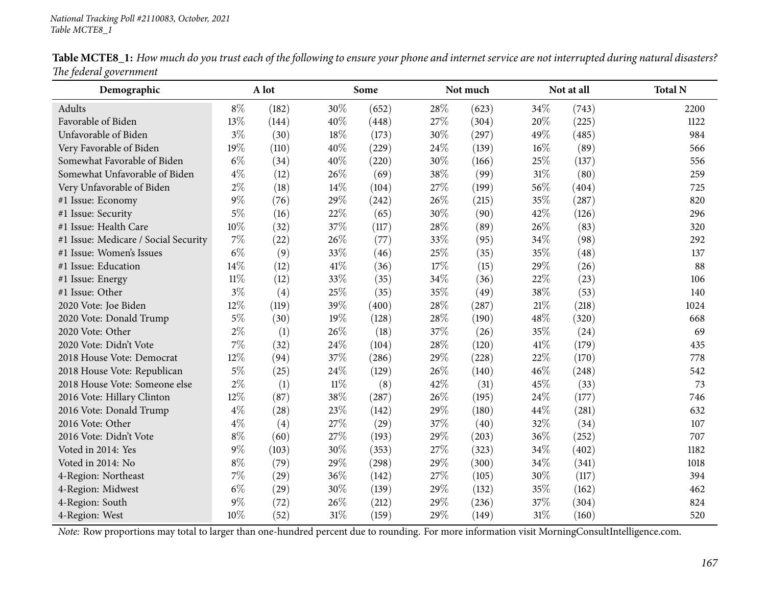| Demographic                          |       | A lot |        | Some  |     | Not much |        | Not at all | <b>Total N</b> |
|--------------------------------------|-------|-------|--------|-------|-----|----------|--------|------------|----------------|
| Adults                               | $8\%$ | (182) | 30%    | (652) | 28% | (623)    | 34%    | (743)      | 2200           |
| Favorable of Biden                   | 13%   | (144) | 40%    | (448) | 27% | (304)    | 20%    | (225)      | 1122           |
| Unfavorable of Biden                 | $3\%$ | (30)  | 18%    | (173) | 30% | (297)    | 49%    | (485)      | 984            |
| Very Favorable of Biden              | 19%   | (110) | 40%    | (229) | 24% | (139)    | 16%    | (89)       | 566            |
| Somewhat Favorable of Biden          | $6\%$ | (34)  | 40%    | (220) | 30% | (166)    | 25%    | (137)      | 556            |
| Somewhat Unfavorable of Biden        | $4\%$ | (12)  | 26%    | (69)  | 38% | (99)     | $31\%$ | (80)       | 259            |
| Very Unfavorable of Biden            | $2\%$ | (18)  | 14%    | (104) | 27% | (199)    | 56%    | (404)      | 725            |
| #1 Issue: Economy                    | $9\%$ | (76)  | 29%    | (242) | 26% | (215)    | 35%    | (287)      | 820            |
| #1 Issue: Security                   | $5\%$ | (16)  | 22%    | (65)  | 30% | (90)     | 42%    | (126)      | 296            |
| #1 Issue: Health Care                | 10%   | (32)  | 37%    | (117) | 28% | (89)     | 26%    | (83)       | 320            |
| #1 Issue: Medicare / Social Security | 7%    | (22)  | 26%    | (77)  | 33% | (95)     | 34%    | (98)       | 292            |
| #1 Issue: Women's Issues             | $6\%$ | (9)   | 33%    | (46)  | 25% | (35)     | 35%    | (48)       | 137            |
| #1 Issue: Education                  | 14%   | (12)  | $41\%$ | (36)  | 17% | (15)     | 29%    | (26)       | 88             |
| #1 Issue: Energy                     | 11%   | (12)  | 33%    | (35)  | 34% | (36)     | 22%    | (23)       | 106            |
| #1 Issue: Other                      | $3\%$ | (4)   | 25%    | (35)  | 35% | (49)     | 38%    | (53)       | 140            |
| 2020 Vote: Joe Biden                 | 12%   | (119) | 39%    | (400) | 28% | (287)    | 21%    | (218)      | 1024           |
| 2020 Vote: Donald Trump              | $5\%$ | (30)  | 19%    | (128) | 28% | (190)    | 48%    | (320)      | 668            |
| 2020 Vote: Other                     | $2\%$ | (1)   | 26%    | (18)  | 37% | (26)     | 35%    | (24)       | 69             |
| 2020 Vote: Didn't Vote               | 7%    | (32)  | 24%    | (104) | 28% | (120)    | 41\%   | (179)      | 435            |
| 2018 House Vote: Democrat            | 12%   | (94)  | 37%    | (286) | 29% | (228)    | 22%    | (170)      | 778            |
| 2018 House Vote: Republican          | $5\%$ | (25)  | 24%    | (129) | 26% | (140)    | 46%    | (248)      | 542            |
| 2018 House Vote: Someone else        | $2\%$ | (1)   | $11\%$ | (8)   | 42% | (31)     | 45%    | (33)       | 73             |
| 2016 Vote: Hillary Clinton           | 12%   | (87)  | 38%    | (287) | 26% | (195)    | 24%    | (177)      | 746            |
| 2016 Vote: Donald Trump              | $4\%$ | (28)  | 23%    | (142) | 29% | (180)    | 44%    | (281)      | 632            |
| 2016 Vote: Other                     | $4\%$ | (4)   | 27%    | (29)  | 37% | (40)     | 32%    | (34)       | 107            |
| 2016 Vote: Didn't Vote               | $8\%$ | (60)  | 27%    | (193) | 29% | (203)    | 36%    | (252)      | 707            |
| Voted in 2014: Yes                   | $9\%$ | (103) | 30%    | (353) | 27% | (323)    | 34%    | (402)      | 1182           |
| Voted in 2014: No                    | $8\%$ | (79)  | 29%    | (298) | 29% | (300)    | 34%    | (341)      | 1018           |
| 4-Region: Northeast                  | 7%    | (29)  | 36%    | (142) | 27% | (105)    | 30%    | (117)      | 394            |
| 4-Region: Midwest                    | $6\%$ | (29)  | 30%    | (139) | 29% | (132)    | 35%    | (162)      | 462            |
| 4-Region: South                      | $9\%$ | (72)  | 26%    | (212) | 29% | (236)    | 37%    | (304)      | 824            |
| 4-Region: West                       | 10%   | (52)  | 31%    | (159) | 29% | (149)    | 31%    | (160)      | 520            |

Table MCTE8\_1: How much do you trust each of the following to ensure your phone and internet service are not interrupted during natural disasters? *The federal governmen<sup>t</sup>*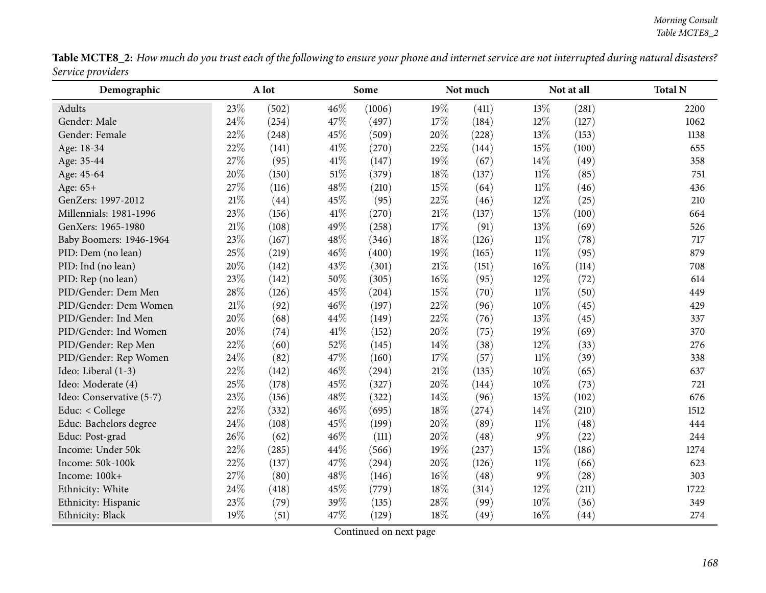|                   | <b>Table MCTE8_2:</b> How much do you trust each of the following to ensure your phone and internet service are not interrupted during natural disasters? |  |
|-------------------|-----------------------------------------------------------------------------------------------------------------------------------------------------------|--|
| Service providers |                                                                                                                                                           |  |

| Demographic              |        | A lot |        | Some   |        | Not much |        | Not at all         | <b>Total N</b> |
|--------------------------|--------|-------|--------|--------|--------|----------|--------|--------------------|----------------|
| Adults                   | 23%    | (502) | 46\%   | (1006) | 19%    | (411)    | 13\%   | (281)              | 2200           |
| Gender: Male             | 24%    | (254) | 47%    | (497)  | 17%    | (184)    | 12%    | (127)              | 1062           |
| Gender: Female           | 22%    | (248) | 45%    | (509)  | 20%    | (228)    | 13%    | (153)              | 1138           |
| Age: 18-34               | 22%    | (141) | 41\%   | (270)  | 22%    | (144)    | 15%    | (100)              | 655            |
| Age: 35-44               | 27%    | (95)  | $41\%$ | (147)  | 19%    | (67)     | 14%    | (49)               | 358            |
| Age: 45-64               | 20%    | (150) | 51\%   | (379)  | 18%    | (137)    | $11\%$ | (85)               | 751            |
| Age: 65+                 | 27%    | (116) | 48%    | (210)  | 15%    | (64)     | $11\%$ | (46)               | 436            |
| GenZers: 1997-2012       | 21%    | (44)  | 45%    | (95)   | 22%    | (46)     | 12%    | (25)               | 210            |
| Millennials: 1981-1996   | 23%    | (156) | 41\%   | (270)  | $21\%$ | (137)    | 15%    | (100)              | 664            |
| GenXers: 1965-1980       | $21\%$ | (108) | 49%    | (258)  | 17%    | (91)     | 13%    | (69)               | 526            |
| Baby Boomers: 1946-1964  | 23%    | (167) | 48\%   | (346)  | 18%    | (126)    | $11\%$ | (78)               | 717            |
| PID: Dem (no lean)       | 25%    | (219) | 46%    | (400)  | 19%    | (165)    | $11\%$ | (95)               | 879            |
| PID: Ind (no lean)       | 20%    | (142) | 43%    | (301)  | 21%    | (151)    | $16\%$ | (114)              | 708            |
| PID: Rep (no lean)       | 23%    | (142) | 50%    | (305)  | 16%    | (95)     | $12\%$ | (72)               | 614            |
| PID/Gender: Dem Men      | 28%    | (126) | 45%    | (204)  | 15%    | (70)     | $11\%$ | (50)               | 449            |
| PID/Gender: Dem Women    | 21%    | (92)  | 46%    | (197)  | 22%    | (96)     | 10%    | (45)               | 429            |
| PID/Gender: Ind Men      | 20%    | (68)  | 44\%   | (149)  | 22%    | (76)     | 13%    | (45)               | 337            |
| PID/Gender: Ind Women    | 20%    | (74)  | 41\%   | (152)  | 20%    | (75)     | 19%    | (69)               | 370            |
| PID/Gender: Rep Men      | 22%    | (60)  | 52%    | (145)  | 14%    | (38)     | 12%    | (33)               | 276            |
| PID/Gender: Rep Women    | 24%    | (82)  | 47%    | (160)  | 17%    | (57)     | $11\%$ | (39)               | 338            |
| Ideo: Liberal (1-3)      | 22%    | (142) | 46%    | (294)  | 21%    | (135)    | 10%    | (65)               | 637            |
| Ideo: Moderate (4)       | 25%    | (178) | 45%    | (327)  | 20%    | (144)    | $10\%$ | (73)               | 721            |
| Ideo: Conservative (5-7) | 23%    | (156) | 48%    | (322)  | 14%    | (96)     | 15%    | (102)              | 676            |
| Educ: $<$ College        | 22%    | (332) | 46\%   | (695)  | 18%    | (274)    | $14\%$ | (210)              | 1512           |
| Educ: Bachelors degree   | 24%    | (108) | 45%    | (199)  | 20%    | (89)     | $11\%$ | (48)               | 444            |
| Educ: Post-grad          | 26%    | (62)  | 46%    | (111)  | 20%    | (48)     | $9\%$  | (22)               | 244            |
| Income: Under 50k        | 22%    | (285) | 44%    | (566)  | 19%    | (237)    | 15%    | (186)              | 1274           |
| Income: 50k-100k         | 22%    | (137) | 47%    | (294)  | 20%    | (126)    | $11\%$ | (66)               | 623            |
| Income: 100k+            | 27%    | (80)  | 48%    | (146)  | 16%    | (48)     | $9\%$  | (28)               | 303            |
| Ethnicity: White         | 24%    | (418) | 45%    | (779)  | 18%    | (314)    | 12%    | (211)              | 1722           |
| Ethnicity: Hispanic      | 23%    | (79)  | 39%    | (135)  | 28%    | (99)     | $10\%$ | (36)               | 349            |
| Ethnicity: Black         | 19%    | (51)  | 47\%   | (129)  | 18%    | (49)     | $16\%$ | $\left( 44\right)$ | 274            |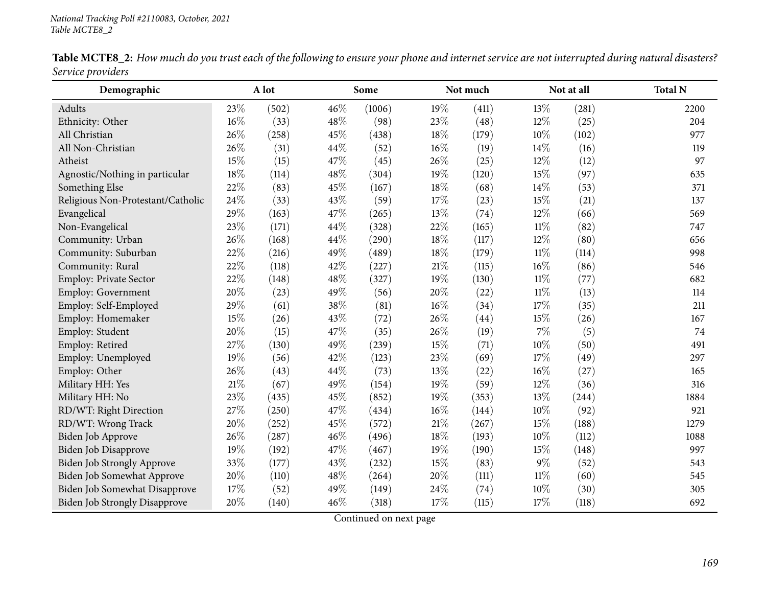| Demographic                          | A lot  |       |     | Some   |      | Not much |        | Not at all | <b>Total N</b> |
|--------------------------------------|--------|-------|-----|--------|------|----------|--------|------------|----------------|
| Adults                               | 23%    | (502) | 46% | (1006) | 19%  | (411)    | 13%    | (281)      | 2200           |
| Ethnicity: Other                     | 16%    | (33)  | 48% | (98)   | 23%  | (48)     | 12%    | (25)       | 204            |
| All Christian                        | 26%    | (258) | 45% | (438)  | 18%  | (179)    | 10%    | (102)      | 977            |
| All Non-Christian                    | 26%    | (31)  | 44% | (52)   | 16%  | (19)     | 14%    | (16)       | 119            |
| Atheist                              | 15%    | (15)  | 47% | (45)   | 26%  | (25)     | 12%    | (12)       | 97             |
| Agnostic/Nothing in particular       | 18%    | (114) | 48% | (304)  | 19%  | (120)    | 15%    | (97)       | 635            |
| Something Else                       | 22%    | (83)  | 45% | (167)  | 18%  | (68)     | 14%    | (53)       | 371            |
| Religious Non-Protestant/Catholic    | 24%    | (33)  | 43% | (59)   | 17%  | (23)     | 15%    | (21)       | 137            |
| Evangelical                          | 29%    | (163) | 47% | (265)  | 13%  | (74)     | 12%    | (66)       | 569            |
| Non-Evangelical                      | 23%    | (171) | 44% | (328)  | 22%  | (165)    | 11%    | (82)       | 747            |
| Community: Urban                     | 26%    | (168) | 44% | (290)  | 18%  | (117)    | 12%    | (80)       | 656            |
| Community: Suburban                  | 22%    | (216) | 49% | (489)  | 18%  | (179)    | $11\%$ | (114)      | 998            |
| Community: Rural                     | 22%    | (118) | 42% | (227)  | 21\% | (115)    | 16%    | (86)       | 546            |
| Employ: Private Sector               | $22\%$ | (148) | 48% | (327)  | 19%  | (130)    | $11\%$ | (77)       | 682            |
| Employ: Government                   | 20%    | (23)  | 49% | (56)   | 20%  | (22)     | $11\%$ | (13)       | 114            |
| Employ: Self-Employed                | 29%    | (61)  | 38% | (81)   | 16%  | (34)     | 17%    | (35)       | 211            |
| Employ: Homemaker                    | 15%    | (26)  | 43% | (72)   | 26%  | (44)     | 15%    | (26)       | 167            |
| Employ: Student                      | 20%    | (15)  | 47% | (35)   | 26%  | (19)     | 7%     | (5)        | 74             |
| Employ: Retired                      | 27%    | (130) | 49% | (239)  | 15%  | (71)     | 10%    | (50)       | 491            |
| Employ: Unemployed                   | 19%    | (56)  | 42% | (123)  | 23%  | (69)     | 17%    | (49)       | 297            |
| Employ: Other                        | 26%    | (43)  | 44% | (73)   | 13%  | (22)     | 16%    | (27)       | 165            |
| Military HH: Yes                     | 21\%   | (67)  | 49% | (154)  | 19%  | (59)     | 12%    | (36)       | 316            |
| Military HH: No                      | 23%    | (435) | 45% | (852)  | 19%  | (353)    | 13%    | (244)      | 1884           |
| RD/WT: Right Direction               | 27%    | (250) | 47% | (434)  | 16%  | (144)    | 10%    | (92)       | 921            |
| RD/WT: Wrong Track                   | 20%    | (252) | 45% | (572)  | 21%  | (267)    | 15%    | (188)      | 1279           |
| Biden Job Approve                    | 26%    | (287) | 46% | (496)  | 18%  | (193)    | 10%    | (112)      | 1088           |
| Biden Job Disapprove                 | 19%    | (192) | 47% | (467)  | 19%  | (190)    | 15%    | (148)      | 997            |
| Biden Job Strongly Approve           | 33%    | (177) | 43% | (232)  | 15%  | (83)     | $9\%$  | (52)       | 543            |
| Biden Job Somewhat Approve           | 20%    | (110) | 48% | (264)  | 20%  | (111)    | $11\%$ | (60)       | 545            |
| Biden Job Somewhat Disapprove        | 17%    | (52)  | 49% | (149)  | 24\% | (74)     | 10%    | (30)       | 305            |
| <b>Biden Job Strongly Disapprove</b> | 20%    | (140) | 46% | (318)  | 17%  | (115)    | 17\%   | (118)      | 692            |

Table MCTE8\_2: How much do you trust each of the following to ensure your phone and internet service are not interrupted during natural disasters? *Service providers*  $\overline{\phantom{0}}$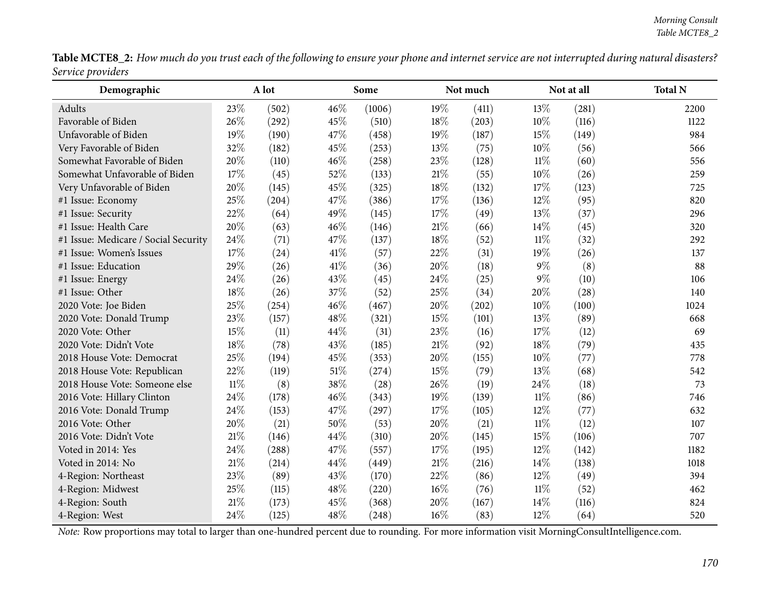|                   | Table MCTE8_2: How much do you trust each of the following to ensure your phone and internet service are not interrupted during natural disasters? |  |
|-------------------|----------------------------------------------------------------------------------------------------------------------------------------------------|--|
| Service providers |                                                                                                                                                    |  |

| Demographic                          | A lot  |       |        | Some   |        | Not much |        | Not at all | <b>Total N</b> |
|--------------------------------------|--------|-------|--------|--------|--------|----------|--------|------------|----------------|
| Adults                               | 23%    | (502) | 46%    | (1006) | 19%    | (411)    | 13%    | (281)      | 2200           |
| Favorable of Biden                   | 26%    | (292) | 45%    | (510)  | 18%    | (203)    | 10%    | (116)      | 1122           |
| Unfavorable of Biden                 | 19%    | (190) | 47%    | (458)  | 19%    | (187)    | 15%    | (149)      | 984            |
| Very Favorable of Biden              | 32%    | (182) | 45%    | (253)  | 13%    | (75)     | 10%    | (56)       | 566            |
| Somewhat Favorable of Biden          | 20%    | (110) | 46%    | (258)  | 23%    | (128)    | $11\%$ | (60)       | 556            |
| Somewhat Unfavorable of Biden        | 17%    | (45)  | 52%    | (133)  | $21\%$ | (55)     | 10%    | (26)       | 259            |
| Very Unfavorable of Biden            | 20%    | (145) | 45%    | (325)  | $18\%$ | (132)    | 17%    | (123)      | 725            |
| #1 Issue: Economy                    | 25%    | (204) | 47%    | (386)  | 17%    | (136)    | 12%    | (95)       | 820            |
| #1 Issue: Security                   | 22%    | (64)  | 49%    | (145)  | 17%    | (49)     | 13%    | (37)       | 296            |
| #1 Issue: Health Care                | 20%    | (63)  | 46%    | (146)  | $21\%$ | (66)     | 14%    | (45)       | 320            |
| #1 Issue: Medicare / Social Security | 24%    | (71)  | 47%    | (137)  | 18%    | (52)     | $11\%$ | (32)       | 292            |
| #1 Issue: Women's Issues             | 17%    | (24)  | 41\%   | (57)   | 22%    | (31)     | 19%    | (26)       | 137            |
| #1 Issue: Education                  | 29%    | (26)  | $41\%$ | (36)   | 20%    | (18)     | $9\%$  | (8)        | 88             |
| #1 Issue: Energy                     | 24%    | (26)  | 43%    | (45)   | 24%    | (25)     | $9\%$  | (10)       | 106            |
| #1 Issue: Other                      | 18%    | (26)  | 37%    | (52)   | 25%    | (34)     | 20%    | (28)       | 140            |
| 2020 Vote: Joe Biden                 | 25%    | (254) | 46%    | (467)  | 20%    | (202)    | 10%    | (100)      | 1024           |
| 2020 Vote: Donald Trump              | 23%    | (157) | 48%    | (321)  | 15%    | (101)    | 13%    | (89)       | 668            |
| 2020 Vote: Other                     | 15%    | (11)  | 44%    | (31)   | 23%    | (16)     | 17%    | (12)       | 69             |
| 2020 Vote: Didn't Vote               | 18%    | (78)  | 43%    | (185)  | $21\%$ | (92)     | 18%    | (79)       | 435            |
| 2018 House Vote: Democrat            | 25%    | (194) | 45%    | (353)  | $20\%$ | (155)    | 10%    | (77)       | 778            |
| 2018 House Vote: Republican          | 22%    | (119) | $51\%$ | (274)  | $15\%$ | (79)     | 13%    | (68)       | 542            |
| 2018 House Vote: Someone else        | $11\%$ | (8)   | 38%    | (28)   | 26%    | (19)     | 24%    | (18)       | 73             |
| 2016 Vote: Hillary Clinton           | 24%    | (178) | 46%    | (343)  | 19%    | (139)    | $11\%$ | (86)       | 746            |
| 2016 Vote: Donald Trump              | 24%    | (153) | 47%    | (297)  | 17%    | (105)    | 12%    | (77)       | 632            |
| 2016 Vote: Other                     | 20%    | (21)  | 50%    | (53)   | 20%    | (21)     | $11\%$ | (12)       | 107            |
| 2016 Vote: Didn't Vote               | 21\%   | (146) | 44%    | (310)  | 20%    | (145)    | 15%    | (106)      | 707            |
| Voted in 2014: Yes                   | 24%    | (288) | 47%    | (557)  | 17%    | (195)    | 12%    | (142)      | 1182           |
| Voted in 2014: No                    | 21\%   | (214) | 44%    | (449)  | $21\%$ | (216)    | 14\%   | (138)      | 1018           |
| 4-Region: Northeast                  | 23%    | (89)  | 43%    | (170)  | 22%    | (86)     | 12%    | (49)       | 394            |
| 4-Region: Midwest                    | 25%    | (115) | 48%    | (220)  | $16\%$ | (76)     | $11\%$ | (52)       | 462            |
| 4-Region: South                      | 21\%   | (173) | 45%    | (368)  | 20%    | (167)    | 14%    | (116)      | 824            |
| 4-Region: West                       | 24%    | (125) | 48%    | (248)  | $16\%$ | (83)     | 12%    | (64)       | 520            |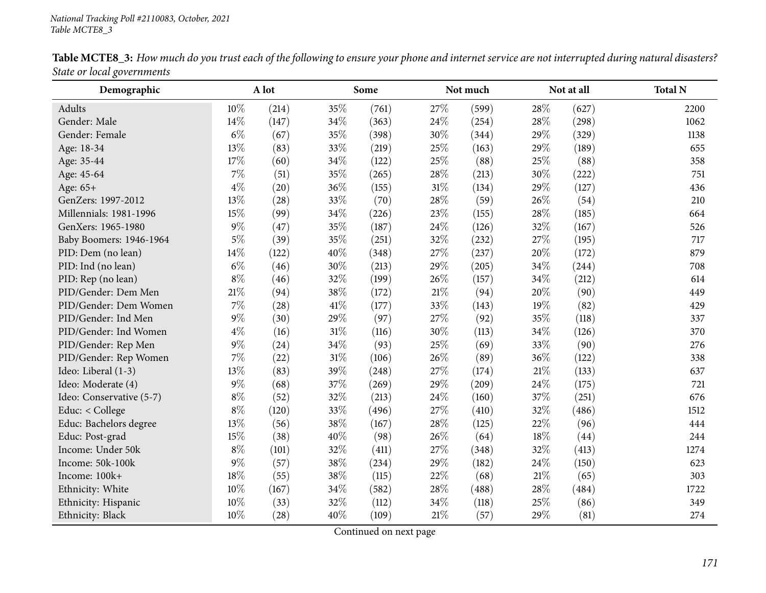| Demographic              | A lot  |       |        | Some  |        | Not much |      | Not at all | <b>Total N</b> |
|--------------------------|--------|-------|--------|-------|--------|----------|------|------------|----------------|
| Adults                   | 10%    | (214) | 35%    | (761) | 27\%   | (599)    | 28\% | (627)      | 2200           |
| Gender: Male             | 14%    | (147) | 34%    | (363) | 24%    | (254)    | 28%  | (298)      | 1062           |
| Gender: Female           | $6\%$  | (67)  | 35%    | (398) | 30%    | (344)    | 29%  | (329)      | 1138           |
| Age: 18-34               | 13%    | (83)  | 33%    | (219) | 25%    | (163)    | 29%  | (189)      | 655            |
| Age: 35-44               | 17%    | (60)  | 34%    | (122) | 25%    | (88)     | 25%  | (88)       | 358            |
| Age: 45-64               | 7%     | (51)  | 35%    | (265) | 28%    | (213)    | 30%  | (222)      | 751            |
| Age: 65+                 | $4\%$  | (20)  | 36%    | (155) | 31%    | (134)    | 29%  | (127)      | 436            |
| GenZers: 1997-2012       | 13%    | (28)  | 33%    | (70)  | 28\%   | (59)     | 26%  | (54)       | 210            |
| Millennials: 1981-1996   | 15%    | (99)  | 34%    | (226) | 23%    | (155)    | 28%  | (185)      | 664            |
| GenXers: 1965-1980       | $9\%$  | (47)  | 35%    | (187) | 24%    | (126)    | 32%  | (167)      | 526            |
| Baby Boomers: 1946-1964  | $5\%$  | (39)  | 35%    | (251) | 32%    | (232)    | 27%  | (195)      | 717            |
| PID: Dem (no lean)       | 14%    | (122) | 40%    | (348) | 27%    | (237)    | 20%  | (172)      | 879            |
| PID: Ind (no lean)       | $6\%$  | (46)  | 30%    | (213) | 29%    | (205)    | 34%  | (244)      | 708            |
| PID: Rep (no lean)       | $8\%$  | (46)  | 32%    | (199) | 26%    | (157)    | 34%  | (212)      | 614            |
| PID/Gender: Dem Men      | $21\%$ | (94)  | 38%    | (172) | 21%    | (94)     | 20%  | (90)       | 449            |
| PID/Gender: Dem Women    | 7%     | (28)  | 41\%   | (177) | 33%    | (143)    | 19%  | (82)       | 429            |
| PID/Gender: Ind Men      | $9\%$  | (30)  | 29%    | (97)  | 27%    | (92)     | 35%  | (118)      | 337            |
| PID/Gender: Ind Women    | $4\%$  | (16)  | $31\%$ | (116) | 30%    | (113)    | 34%  | (126)      | 370            |
| PID/Gender: Rep Men      | $9\%$  | (24)  | 34%    | (93)  | 25%    | (69)     | 33%  | (90)       | 276            |
| PID/Gender: Rep Women    | 7%     | (22)  | $31\%$ | (106) | 26%    | (89)     | 36%  | (122)      | 338            |
| Ideo: Liberal (1-3)      | 13%    | (83)  | 39%    | (248) | 27%    | (174)    | 21%  | (133)      | 637            |
| Ideo: Moderate (4)       | $9\%$  | (68)  | 37%    | (269) | 29%    | (209)    | 24%  | (175)      | 721            |
| Ideo: Conservative (5-7) | $8\%$  | (52)  | 32%    | (213) | 24\%   | (160)    | 37%  | (251)      | 676            |
| Educ: < College          | $8\%$  | (120) | 33%    | (496) | 27\%   | (410)    | 32%  | (486)      | 1512           |
| Educ: Bachelors degree   | 13%    | (56)  | 38%    | (167) | 28%    | (125)    | 22%  | (96)       | 444            |
| Educ: Post-grad          | 15%    | (38)  | 40%    | (98)  | 26%    | (64)     | 18%  | (44)       | 244            |
| Income: Under 50k        | $8\%$  | (101) | 32%    | (411) | 27%    | (348)    | 32%  | (413)      | 1274           |
| Income: 50k-100k         | $9\%$  | (57)  | 38%    | (234) | 29%    | (182)    | 24%  | (150)      | 623            |
| Income: 100k+            | 18%    | (55)  | 38%    | (115) | $22\%$ | (68)     | 21%  | (65)       | 303            |
| Ethnicity: White         | 10%    | (167) | 34%    | (582) | 28%    | (488)    | 28%  | (484)      | 1722           |
| Ethnicity: Hispanic      | 10%    | (33)  | 32%    | (112) | 34%    | (118)    | 25%  | (86)       | 349            |
| Ethnicity: Black         | 10%    | (28)  | 40%    | (109) | 21%    | (57)     | 29%  | (81)       | 274            |

Table MCTE8\_3: How much do you trust each of the following to ensure your phone and internet service are not interrupted during natural disasters? *State or local governments*  $\overline{\phantom{0}}$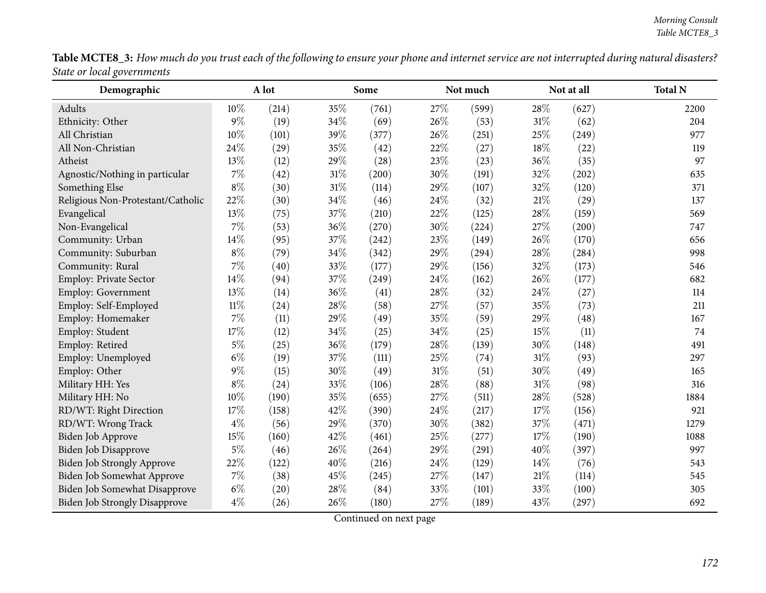|                            |  |  | <b>Table MCTE8_3:</b> How much do you trust each of the following to ensure your phone and internet service are not interrupted during natural disasters? |
|----------------------------|--|--|-----------------------------------------------------------------------------------------------------------------------------------------------------------|
| State or local governments |  |  |                                                                                                                                                           |

| Demographic                          |        | A lot |        | Some  |        | Not much |        | Not at all | <b>Total N</b> |
|--------------------------------------|--------|-------|--------|-------|--------|----------|--------|------------|----------------|
| Adults                               | 10%    | (214) | 35%    | (761) | 27%    | (599)    | 28\%   | (627)      | 2200           |
| Ethnicity: Other                     | $9\%$  | (19)  | 34%    | (69)  | 26%    | (53)     | $31\%$ | (62)       | 204            |
| All Christian                        | 10%    | (101) | 39%    | (377) | 26%    | (251)    | 25%    | (249)      | 977            |
| All Non-Christian                    | 24%    | (29)  | 35%    | (42)  | 22%    | (27)     | $18\%$ | (22)       | 119            |
| Atheist                              | 13%    | (12)  | 29%    | (28)  | 23%    | (23)     | 36%    | (35)       | 97             |
| Agnostic/Nothing in particular       | $7\%$  | (42)  | 31%    | (200) | 30%    | (191)    | 32%    | (202)      | 635            |
| Something Else                       | $8\%$  | (30)  | $31\%$ | (114) | 29%    | (107)    | 32%    | (120)      | 371            |
| Religious Non-Protestant/Catholic    | 22%    | (30)  | 34%    | (46)  | 24%    | (32)     | 21\%   | (29)       | 137            |
| Evangelical                          | 13%    | (75)  | 37%    | (210) | 22%    | (125)    | 28%    | (159)      | 569            |
| Non-Evangelical                      | 7%     | (53)  | 36%    | (270) | 30%    | (224)    | 27\%   | (200)      | 747            |
| Community: Urban                     | 14%    | (95)  | 37%    | (242) | 23%    | (149)    | 26\%   | (170)      | 656            |
| Community: Suburban                  | $8\%$  | (79)  | 34%    | (342) | 29%    | (294)    | 28\%   | (284)      | 998            |
| Community: Rural                     | 7%     | (40)  | 33%    | (177) | 29%    | (156)    | 32%    | (173)      | 546            |
| Employ: Private Sector               | 14%    | (94)  | 37%    | (249) | 24%    | (162)    | 26%    | (177)      | 682            |
| Employ: Government                   | 13%    | (14)  | 36%    | (41)  | 28\%   | (32)     | 24\%   | (27)       | 114            |
| Employ: Self-Employed                | $11\%$ | (24)  | 28\%   | (58)  | 27%    | (57)     | 35%    | (73)       | 211            |
| Employ: Homemaker                    | 7%     | (11)  | 29%    | (49)  | 35%    | (59)     | 29%    | (48)       | 167            |
| Employ: Student                      | 17%    | (12)  | 34%    | (25)  | 34%    | (25)     | $15\%$ | (11)       | 74             |
| Employ: Retired                      | $5\%$  | (25)  | 36%    | (179) | 28\%   | (139)    | 30%    | (148)      | 491            |
| Employ: Unemployed                   | $6\%$  | (19)  | 37%    | (111) | 25%    | (74)     | $31\%$ | (93)       | 297            |
| Employ: Other                        | 9%     | (15)  | 30%    | (49)  | $31\%$ | (51)     | 30%    | (49)       | 165            |
| Military HH: Yes                     | $8\%$  | (24)  | 33%    | (106) | 28%    | (88)     | $31\%$ | (98)       | 316            |
| Military HH: No                      | 10%    | (190) | 35%    | (655) | 27%    | (511)    | 28%    | (528)      | 1884           |
| RD/WT: Right Direction               | 17%    | (158) | 42%    | (390) | 24%    | (217)    | 17%    | (156)      | 921            |
| RD/WT: Wrong Track                   | $4\%$  | (56)  | 29%    | (370) | 30%    | (382)    | 37%    | (471)      | 1279           |
| Biden Job Approve                    | 15%    | (160) | 42%    | (461) | 25%    | (277)    | 17%    | (190)      | 1088           |
| <b>Biden Job Disapprove</b>          | $5\%$  | (46)  | 26%    | (264) | 29%    | (291)    | 40%    | (397)      | 997            |
| Biden Job Strongly Approve           | 22%    | (122) | 40%    | (216) | 24%    | (129)    | 14%    | (76)       | 543            |
| Biden Job Somewhat Approve           | $7\%$  | (38)  | 45%    | (245) | $27\%$ | (147)    | $21\%$ | (114)      | 545            |
| Biden Job Somewhat Disapprove        | $6\%$  | (20)  | 28\%   | (84)  | 33%    | (101)    | 33%    | (100)      | 305            |
| <b>Biden Job Strongly Disapprove</b> | $4\%$  | (26)  | 26%    | (180) | 27%    | (189)    | 43%    | (297)      | 692            |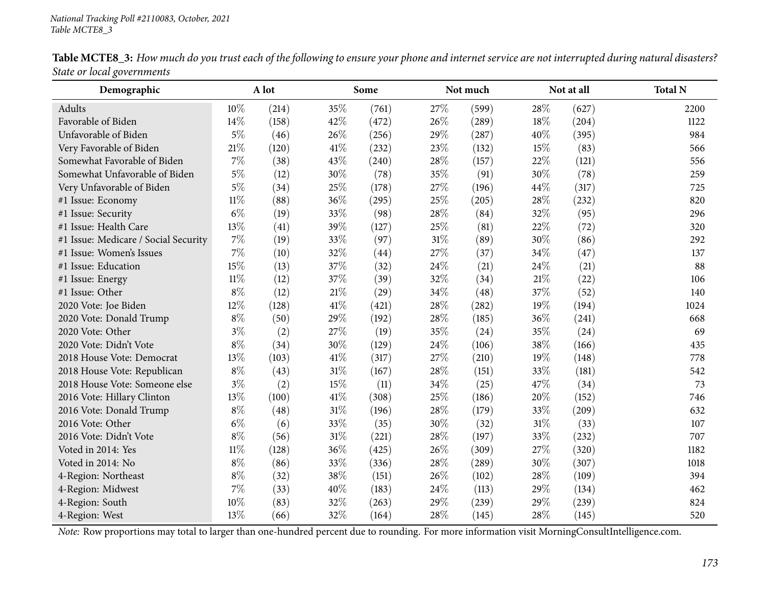| Demographic                          |        | A lot<br>Some |        |       |      | Not much |        | Not at all | <b>Total N</b> |
|--------------------------------------|--------|---------------|--------|-------|------|----------|--------|------------|----------------|
| Adults                               | 10%    | (214)         | 35%    | (761) | 27%  | (599)    | 28%    | (627)      | 2200           |
| Favorable of Biden                   | 14%    | (158)         | 42%    | (472) | 26%  | (289)    | 18%    | (204)      | 1122           |
| Unfavorable of Biden                 | $5\%$  | (46)          | 26\%   | (256) | 29%  | (287)    | 40%    | (395)      | 984            |
| Very Favorable of Biden              | 21%    | (120)         | 41\%   | (232) | 23%  | (132)    | 15%    | (83)       | 566            |
| Somewhat Favorable of Biden          | 7%     | (38)          | 43%    | (240) | 28%  | (157)    | 22%    | (121)      | 556            |
| Somewhat Unfavorable of Biden        | $5\%$  | (12)          | 30%    | (78)  | 35%  | (91)     | 30%    | (78)       | 259            |
| Very Unfavorable of Biden            | $5\%$  | (34)          | 25%    | (178) | 27%  | (196)    | 44%    | (317)      | 725            |
| #1 Issue: Economy                    | $11\%$ | (88)          | 36%    | (295) | 25%  | (205)    | 28%    | (232)      | 820            |
| #1 Issue: Security                   | $6\%$  | (19)          | 33%    | (98)  | 28%  | (84)     | 32%    | (95)       | 296            |
| #1 Issue: Health Care                | 13%    | (41)          | 39%    | (127) | 25%  | (81)     | 22%    | (72)       | 320            |
| #1 Issue: Medicare / Social Security | $7\%$  | (19)          | 33%    | (97)  | 31%  | (89)     | 30%    | (86)       | 292            |
| #1 Issue: Women's Issues             | 7%     | (10)          | 32%    | (44)  | 27%  | (37)     | 34%    | (47)       | 137            |
| #1 Issue: Education                  | 15%    | (13)          | 37%    | (32)  | 24%  | (21)     | 24%    | (21)       | 88             |
| #1 Issue: Energy                     | $11\%$ | (12)          | 37%    | (39)  | 32%  | (34)     | $21\%$ | (22)       | 106            |
| #1 Issue: Other                      | $8\%$  | (12)          | $21\%$ | (29)  | 34%  | (48)     | 37%    | (52)       | 140            |
| 2020 Vote: Joe Biden                 | 12%    | (128)         | 41%    | (421) | 28%  | (282)    | 19%    | (194)      | 1024           |
| 2020 Vote: Donald Trump              | $8\%$  | (50)          | 29%    | (192) | 28%  | (185)    | 36%    | (241)      | 668            |
| 2020 Vote: Other                     | $3\%$  | (2)           | 27%    | (19)  | 35%  | (24)     | 35%    | (24)       | 69             |
| 2020 Vote: Didn't Vote               | $8\%$  | (34)          | 30%    | (129) | 24%  | (106)    | 38%    | (166)      | 435            |
| 2018 House Vote: Democrat            | 13%    | (103)         | $41\%$ | (317) | 27%  | (210)    | 19%    | (148)      | 778            |
| 2018 House Vote: Republican          | $8\%$  | (43)          | $31\%$ | (167) | 28%  | (151)    | 33%    | (181)      | 542            |
| 2018 House Vote: Someone else        | $3\%$  | (2)           | 15%    | (11)  | 34%  | (25)     | 47%    | (34)       | 73             |
| 2016 Vote: Hillary Clinton           | 13%    | (100)         | 41\%   | (308) | 25%  | (186)    | 20%    | (152)      | 746            |
| 2016 Vote: Donald Trump              | $8\%$  | (48)          | $31\%$ | (196) | 28%  | (179)    | 33%    | (209)      | 632            |
| 2016 Vote: Other                     | $6\%$  | (6)           | 33%    | (35)  | 30%  | (32)     | 31%    | (33)       | 107            |
| 2016 Vote: Didn't Vote               | $8\%$  | (56)          | $31\%$ | (221) | 28%  | (197)    | 33%    | (232)      | 707            |
| Voted in 2014: Yes                   | $11\%$ | (128)         | 36%    | (425) | 26%  | (309)    | 27%    | (320)      | 1182           |
| Voted in 2014: No                    | $8\%$  | (86)          | 33%    | (336) | 28%  | (289)    | 30%    | (307)      | 1018           |
| 4-Region: Northeast                  | $8\%$  | (32)          | 38%    | (151) | 26%  | (102)    | 28%    | (109)      | 394            |
| 4-Region: Midwest                    | $7\%$  | (33)          | 40%    | (183) | 24\% | (113)    | 29%    | (134)      | 462            |
| 4-Region: South                      | 10%    | (83)          | 32%    | (263) | 29%  | (239)    | 29%    | (239)      | 824            |
| 4-Region: West                       | 13%    | (66)          | 32%    | (164) | 28%  | (145)    | 28%    | (145)      | 520            |

Table MCTE8\_3: How much do you trust each of the following to ensure your phone and internet service are not interrupted during natural disasters? *State or local governments*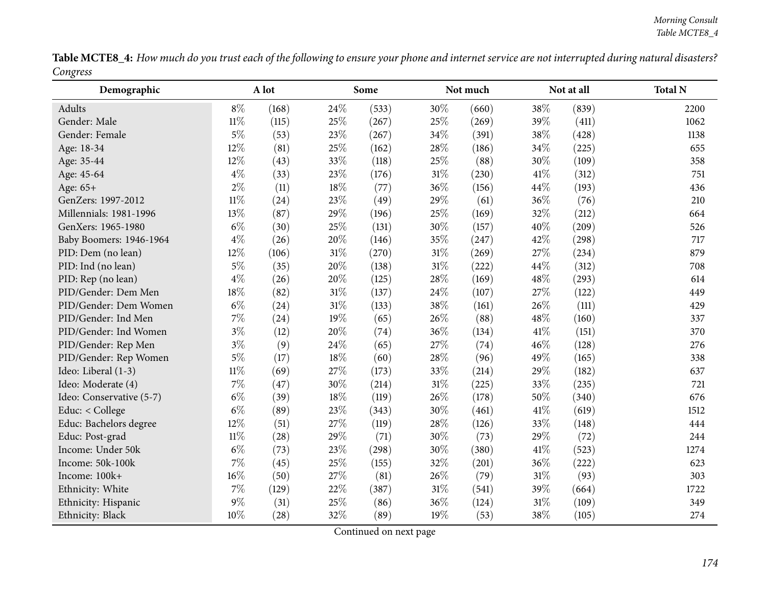Table MCTE8\_4: How much do you trust each of the following to ensure your phone and internet service are not interrupted during natural disasters? *Congress* $\overline{\phantom{0}}$ 

| Demographic              | A lot  |       |     | Some  |        | Not much |        | Not at all | <b>Total N</b> |
|--------------------------|--------|-------|-----|-------|--------|----------|--------|------------|----------------|
| Adults                   | $8\%$  | (168) | 24% | (533) | 30%    | (660)    | 38%    | (839)      | 2200           |
| Gender: Male             | $11\%$ | (115) | 25% | (267) | 25%    | (269)    | 39%    | (411)      | 1062           |
| Gender: Female           | $5\%$  | (53)  | 23% | (267) | 34%    | (391)    | 38%    | (428)      | 1138           |
| Age: 18-34               | 12%    | (81)  | 25% | (162) | 28%    | (186)    | 34%    | (225)      | 655            |
| Age: 35-44               | 12%    | (43)  | 33% | (118) | 25%    | (88)     | 30%    | (109)      | 358            |
| Age: 45-64               | $4\%$  | (33)  | 23% | (176) | 31%    | (230)    | 41%    | (312)      | 751            |
| Age: 65+                 | $2\%$  | (11)  | 18% | (77)  | 36%    | (156)    | 44%    | (193)      | 436            |
| GenZers: 1997-2012       | $11\%$ | (24)  | 23% | (49)  | 29%    | (61)     | 36%    | (76)       | 210            |
| Millennials: 1981-1996   | 13%    | (87)  | 29% | (196) | 25%    | (169)    | 32%    | (212)      | 664            |
| GenXers: 1965-1980       | $6\%$  | (30)  | 25% | (131) | 30%    | (157)    | 40%    | (209)      | 526            |
| Baby Boomers: 1946-1964  | $4\%$  | (26)  | 20% | (146) | 35%    | (247)    | 42%    | (298)      | 717            |
| PID: Dem (no lean)       | 12%    | (106) | 31% | (270) | $31\%$ | (269)    | 27%    | (234)      | 879            |
| PID: Ind (no lean)       | $5\%$  | (35)  | 20% | (138) | $31\%$ | (222)    | 44%    | (312)      | 708            |
| PID: Rep (no lean)       | $4\%$  | (26)  | 20% | (125) | 28%    | (169)    | 48%    | (293)      | 614            |
| PID/Gender: Dem Men      | 18%    | (82)  | 31% | (137) | 24%    | (107)    | 27%    | (122)      | 449            |
| PID/Gender: Dem Women    | $6\%$  | (24)  | 31% | (133) | 38%    | (161)    | 26%    | (111)      | 429            |
| PID/Gender: Ind Men      | $7\%$  | (24)  | 19% | (65)  | 26%    | (88)     | 48%    | (160)      | 337            |
| PID/Gender: Ind Women    | $3\%$  | (12)  | 20% | (74)  | 36%    | (134)    | 41%    | (151)      | 370            |
| PID/Gender: Rep Men      | $3\%$  | (9)   | 24% | (65)  | 27%    | (74)     | 46%    | (128)      | 276            |
| PID/Gender: Rep Women    | $5\%$  | (17)  | 18% | (60)  | 28%    | (96)     | 49%    | (165)      | 338            |
| Ideo: Liberal (1-3)      | $11\%$ | (69)  | 27% | (173) | 33%    | (214)    | 29%    | (182)      | 637            |
| Ideo: Moderate (4)       | $7\%$  | (47)  | 30% | (214) | $31\%$ | (225)    | 33%    | (235)      | 721            |
| Ideo: Conservative (5-7) | $6\%$  | (39)  | 18% | (119) | 26%    | (178)    | 50%    | (340)      | 676            |
| Educ: < College          | $6\%$  | (89)  | 23% | (343) | 30%    | (461)    | 41\%   | (619)      | 1512           |
| Educ: Bachelors degree   | 12%    | (51)  | 27% | (119) | 28%    | (126)    | 33%    | (148)      | 444            |
| Educ: Post-grad          | $11\%$ | (28)  | 29% | (71)  | 30%    | (73)     | 29%    | (72)       | 244            |
| Income: Under 50k        | $6\%$  | (73)  | 23% | (298) | 30%    | (380)    | 41\%   | (523)      | 1274           |
| Income: 50k-100k         | $7\%$  | (45)  | 25% | (155) | 32%    | (201)    | 36%    | (222)      | 623            |
| Income: 100k+            | 16%    | (50)  | 27% | (81)  | 26%    | (79)     | $31\%$ | (93)       | 303            |
| Ethnicity: White         | $7\%$  | (129) | 22% | (387) | $31\%$ | (541)    | 39%    | (664)      | 1722           |
| Ethnicity: Hispanic      | $9\%$  | (31)  | 25% | (86)  | 36%    | (124)    | 31%    | (109)      | 349            |
| Ethnicity: Black         | 10%    | (28)  | 32% | (89)  | 19%    | (53)     | 38%    | (105)      | 274            |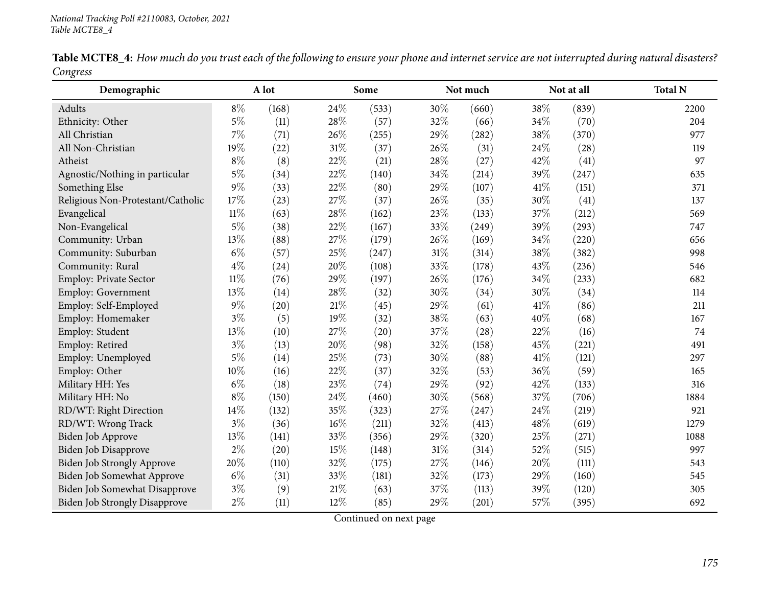| Demographic                          |        | A lot |        | Some  |     | Not much |      | Not at all | <b>Total N</b> |
|--------------------------------------|--------|-------|--------|-------|-----|----------|------|------------|----------------|
| Adults                               | $8\%$  | (168) | 24%    | (533) | 30% | (660)    | 38%  | (839)      | 2200           |
| Ethnicity: Other                     | $5\%$  | (11)  | 28%    | (57)  | 32% | (66)     | 34%  | (70)       | 204            |
| All Christian                        | $7\%$  | (71)  | 26%    | (255) | 29% | (282)    | 38%  | (370)      | 977            |
| All Non-Christian                    | 19%    | (22)  | $31\%$ | (37)  | 26% | (31)     | 24%  | (28)       | 119            |
| Atheist                              | $8\%$  | (8)   | 22%    | (21)  | 28% | (27)     | 42%  | (41)       | 97             |
| Agnostic/Nothing in particular       | $5\%$  | (34)  | 22%    | (140) | 34% | (214)    | 39%  | (247)      | 635            |
| Something Else                       | $9\%$  | (33)  | 22%    | (80)  | 29% | (107)    | 41\% | (151)      | 371            |
| Religious Non-Protestant/Catholic    | 17%    | (23)  | 27%    | (37)  | 26% | (35)     | 30%  | (41)       | 137            |
| Evangelical                          | $11\%$ | (63)  | 28%    | (162) | 23% | (133)    | 37%  | (212)      | 569            |
| Non-Evangelical                      | $5\%$  | (38)  | 22%    | (167) | 33% | (249)    | 39%  | (293)      | 747            |
| Community: Urban                     | 13%    | (88)  | 27%    | (179) | 26% | (169)    | 34%  | (220)      | 656            |
| Community: Suburban                  | $6\%$  | (57)  | 25%    | (247) | 31% | (314)    | 38%  | (382)      | 998            |
| Community: Rural                     | $4\%$  | (24)  | 20%    | (108) | 33% | (178)    | 43%  | (236)      | 546            |
| Employ: Private Sector               | $11\%$ | (76)  | 29%    | (197) | 26% | (176)    | 34%  | (233)      | 682            |
| Employ: Government                   | 13%    | (14)  | 28%    | (32)  | 30% | (34)     | 30%  | (34)       | 114            |
| Employ: Self-Employed                | $9\%$  | (20)  | 21%    | (45)  | 29% | (61)     | 41\% | (86)       | 211            |
| Employ: Homemaker                    | $3\%$  | (5)   | 19%    | (32)  | 38% | (63)     | 40%  | (68)       | 167            |
| Employ: Student                      | 13%    | (10)  | 27%    | (20)  | 37% | (28)     | 22%  | (16)       | 74             |
| Employ: Retired                      | $3\%$  | (13)  | 20%    | (98)  | 32% | (158)    | 45%  | (221)      | 491            |
| Employ: Unemployed                   | $5\%$  | (14)  | 25%    | (73)  | 30% | (88)     | 41\% | (121)      | 297            |
| Employ: Other                        | 10%    | (16)  | 22%    | (37)  | 32% | (53)     | 36%  | (59)       | 165            |
| Military HH: Yes                     | $6\%$  | (18)  | 23%    | (74)  | 29% | (92)     | 42%  | (133)      | 316            |
| Military HH: No                      | $8\%$  | (150) | 24%    | (460) | 30% | (568)    | 37%  | (706)      | 1884           |
| RD/WT: Right Direction               | 14%    | (132) | 35%    | (323) | 27% | (247)    | 24%  | (219)      | 921            |
| RD/WT: Wrong Track                   | $3\%$  | (36)  | 16%    | (211) | 32% | (413)    | 48%  | (619)      | 1279           |
| Biden Job Approve                    | 13%    | (141) | 33%    | (356) | 29% | (320)    | 25%  | (271)      | 1088           |
| Biden Job Disapprove                 | $2\%$  | (20)  | 15%    | (148) | 31% | (314)    | 52%  | (515)      | 997            |
| <b>Biden Job Strongly Approve</b>    | 20%    | (110) | 32%    | (175) | 27% | (146)    | 20%  | (111)      | 543            |
| Biden Job Somewhat Approve           | $6\%$  | (31)  | 33%    | (181) | 32% | (173)    | 29%  | (160)      | 545            |
| Biden Job Somewhat Disapprove        | $3\%$  | (9)   | $21\%$ | (63)  | 37% | (113)    | 39%  | (120)      | 305            |
| <b>Biden Job Strongly Disapprove</b> | $2\%$  | (11)  | 12%    | (85)  | 29% | (201)    | 57%  | (395)      | 692            |

Table MCTE8\_4: How much do you trust each of the following to ensure your phone and internet service are not interrupted during natural disasters? *Congress* $\overline{\phantom{0}}$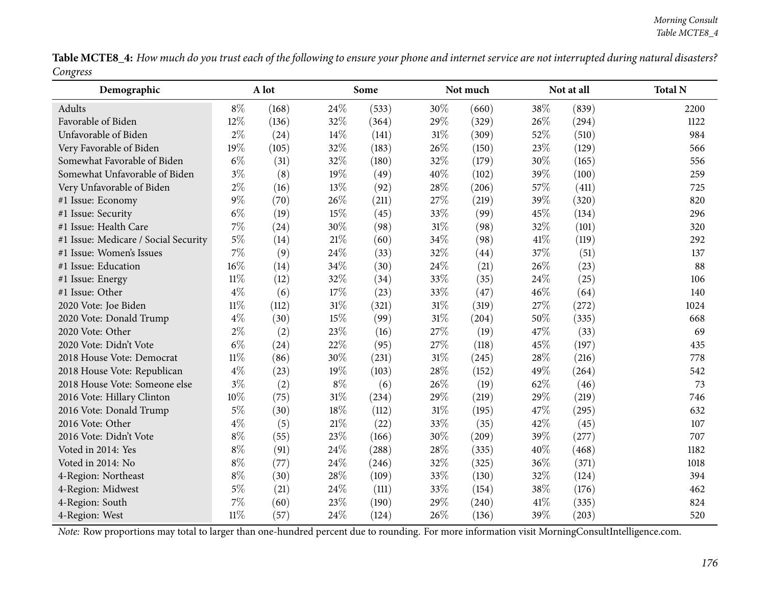Table MCTE8\_4: How much do you trust each of the following to ensure your phone and internet service are not interrupted during natural disasters? *Congress*

| Demographic                          |        | A lot<br>Some |        |       | Not much |       | Not at all | <b>Total N</b> |      |
|--------------------------------------|--------|---------------|--------|-------|----------|-------|------------|----------------|------|
| Adults                               | $8\%$  | (168)         | 24%    | (533) | 30%      | (660) | 38%        | (839)          | 2200 |
| Favorable of Biden                   | 12%    | (136)         | 32%    | (364) | 29%      | (329) | 26%        | (294)          | 1122 |
| Unfavorable of Biden                 | $2\%$  | (24)          | 14%    | (141) | 31%      | (309) | 52%        | (510)          | 984  |
| Very Favorable of Biden              | 19%    | (105)         | 32%    | (183) | 26%      | (150) | 23%        | (129)          | 566  |
| Somewhat Favorable of Biden          | $6\%$  | (31)          | 32%    | (180) | 32%      | (179) | 30%        | (165)          | 556  |
| Somewhat Unfavorable of Biden        | $3\%$  | (8)           | 19%    | (49)  | 40%      | (102) | 39%        | (100)          | 259  |
| Very Unfavorable of Biden            | $2\%$  | (16)          | 13%    | (92)  | 28%      | (206) | 57%        | (411)          | 725  |
| #1 Issue: Economy                    | $9\%$  | (70)          | 26%    | (211) | 27%      | (219) | 39%        | (320)          | 820  |
| #1 Issue: Security                   | $6\%$  | (19)          | 15%    | (45)  | 33%      | (99)  | 45%        | (134)          | 296  |
| #1 Issue: Health Care                | 7%     | (24)          | 30%    | (98)  | 31%      | (98)  | 32%        | (101)          | 320  |
| #1 Issue: Medicare / Social Security | $5\%$  | (14)          | $21\%$ | (60)  | 34%      | (98)  | 41\%       | (119)          | 292  |
| #1 Issue: Women's Issues             | 7%     | (9)           | 24%    | (33)  | 32%      | (44)  | 37%        | (51)           | 137  |
| #1 Issue: Education                  | 16%    | (14)          | 34%    | (30)  | 24%      | (21)  | 26%        | (23)           | 88   |
| #1 Issue: Energy                     | $11\%$ | (12)          | 32%    | (34)  | 33%      | (35)  | 24%        | (25)           | 106  |
| #1 Issue: Other                      | $4\%$  | (6)           | 17%    | (23)  | 33%      | (47)  | 46%        | (64)           | 140  |
| 2020 Vote: Joe Biden                 | $11\%$ | (112)         | 31%    | (321) | 31%      | (319) | 27%        | (272)          | 1024 |
| 2020 Vote: Donald Trump              | $4\%$  | (30)          | 15%    | (99)  | $31\%$   | (204) | 50%        | (335)          | 668  |
| 2020 Vote: Other                     | $2\%$  | (2)           | 23%    | (16)  | 27%      | (19)  | 47%        | (33)           | 69   |
| 2020 Vote: Didn't Vote               | $6\%$  | (24)          | 22%    | (95)  | 27%      | (118) | 45%        | (197)          | 435  |
| 2018 House Vote: Democrat            | $11\%$ | (86)          | 30%    | (231) | 31%      | (245) | 28%        | (216)          | 778  |
| 2018 House Vote: Republican          | $4\%$  | (23)          | 19%    | (103) | 28%      | (152) | 49%        | (264)          | 542  |
| 2018 House Vote: Someone else        | $3\%$  | (2)           | $8\%$  | (6)   | 26%      | (19)  | 62%        | (46)           | 73   |
| 2016 Vote: Hillary Clinton           | 10%    | (75)          | 31%    | (234) | 29%      | (219) | 29%        | (219)          | 746  |
| 2016 Vote: Donald Trump              | $5\%$  | (30)          | 18%    | (112) | 31%      | (195) | 47%        | (295)          | 632  |
| 2016 Vote: Other                     | $4\%$  | (5)           | $21\%$ | (22)  | 33%      | (35)  | 42%        | (45)           | 107  |
| 2016 Vote: Didn't Vote               | $8\%$  | (55)          | 23%    | (166) | 30%      | (209) | 39%        | (277)          | 707  |
| Voted in 2014: Yes                   | $8\%$  | (91)          | 24%    | (288) | 28%      | (335) | 40%        | (468)          | 1182 |
| Voted in 2014: No                    | $8\%$  | (77)          | 24%    | (246) | 32%      | (325) | 36%        | (371)          | 1018 |
| 4-Region: Northeast                  | $8\%$  | (30)          | 28%    | (109) | 33%      | (130) | 32%        | (124)          | 394  |
| 4-Region: Midwest                    | $5\%$  | (21)          | 24%    | (111) | 33%      | (154) | 38%        | (176)          | 462  |
| 4-Region: South                      | 7%     | (60)          | 23%    | (190) | 29%      | (240) | 41\%       | (335)          | 824  |
| 4-Region: West                       | $11\%$ | (57)          | 24%    | (124) | 26%      | (136) | 39%        | (203)          | 520  |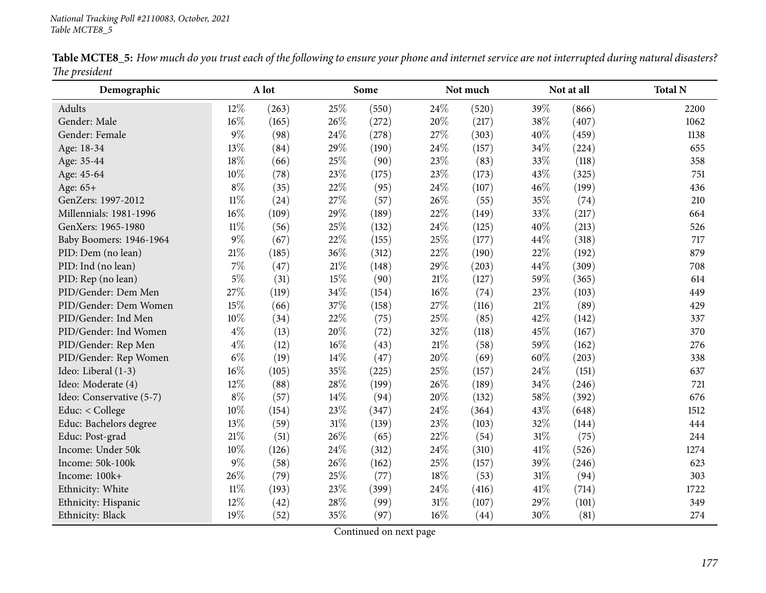| Demographic              |        | A lot |        | Some  |     | Not much |        | Not at all | <b>Total N</b> |
|--------------------------|--------|-------|--------|-------|-----|----------|--------|------------|----------------|
| <b>Adults</b>            | 12%    | (263) | 25%    | (550) | 24% | (520)    | 39%    | (866)      | 2200           |
| Gender: Male             | 16%    | (165) | 26%    | (272) | 20% | (217)    | 38%    | (407)      | 1062           |
| Gender: Female           | $9\%$  | (98)  | 24%    | (278) | 27% | (303)    | 40%    | (459)      | 1138           |
| Age: 18-34               | 13%    | (84)  | 29%    | (190) | 24% | (157)    | 34%    | (224)      | 655            |
| Age: 35-44               | 18%    | (66)  | 25%    | (90)  | 23% | (83)     | 33%    | (118)      | 358            |
| Age: 45-64               | 10%    | (78)  | 23%    | (175) | 23% | (173)    | 43%    | (325)      | 751            |
| Age: 65+                 | $8\%$  | (35)  | 22%    | (95)  | 24% | (107)    | 46%    | (199)      | 436            |
| GenZers: 1997-2012       | $11\%$ | (24)  | 27%    | (57)  | 26% | (55)     | 35%    | (74)       | 210            |
| Millennials: 1981-1996   | 16%    | (109) | 29%    | (189) | 22% | (149)    | 33%    | (217)      | 664            |
| GenXers: 1965-1980       | $11\%$ | (56)  | 25%    | (132) | 24% | (125)    | 40%    | (213)      | 526            |
| Baby Boomers: 1946-1964  | $9\%$  | (67)  | 22%    | (155) | 25% | (177)    | 44%    | (318)      | 717            |
| PID: Dem (no lean)       | 21%    | (185) | 36%    | (312) | 22% | (190)    | 22%    | (192)      | 879            |
| PID: Ind (no lean)       | 7%     | (47)  | $21\%$ | (148) | 29% | (203)    | 44%    | (309)      | 708            |
| PID: Rep (no lean)       | $5\%$  | (31)  | 15%    | (90)  | 21% | (127)    | 59%    | (365)      | 614            |
| PID/Gender: Dem Men      | 27%    | (119) | 34%    | (154) | 16% | (74)     | 23%    | (103)      | 449            |
| PID/Gender: Dem Women    | 15%    | (66)  | 37%    | (158) | 27% | (116)    | $21\%$ | (89)       | 429            |
| PID/Gender: Ind Men      | 10%    | (34)  | 22%    | (75)  | 25% | (85)     | 42%    | (142)      | 337            |
| PID/Gender: Ind Women    | $4\%$  | (13)  | 20%    | (72)  | 32% | (118)    | 45%    | (167)      | 370            |
| PID/Gender: Rep Men      | $4\%$  | (12)  | 16%    | (43)  | 21% | (58)     | 59%    | (162)      | 276            |
| PID/Gender: Rep Women    | $6\%$  | (19)  | 14%    | (47)  | 20% | (69)     | 60%    | (203)      | 338            |
| Ideo: Liberal (1-3)      | 16%    | (105) | 35%    | (225) | 25% | (157)    | 24%    | (151)      | 637            |
| Ideo: Moderate (4)       | 12%    | (88)  | 28%    | (199) | 26% | (189)    | 34%    | (246)      | 721            |
| Ideo: Conservative (5-7) | $8\%$  | (57)  | 14%    | (94)  | 20% | (132)    | 58%    | (392)      | 676            |
| Educ: < College          | 10%    | (154) | 23%    | (347) | 24% | (364)    | 43%    | (648)      | 1512           |
| Educ: Bachelors degree   | 13%    | (59)  | 31%    | (139) | 23% | (103)    | 32%    | (144)      | 444            |
| Educ: Post-grad          | 21%    | (51)  | 26%    | (65)  | 22% | (54)     | $31\%$ | (75)       | 244            |
| Income: Under 50k        | 10%    | (126) | 24%    | (312) | 24% | (310)    | 41\%   | (526)      | 1274           |
| Income: 50k-100k         | $9\%$  | (58)  | 26%    | (162) | 25% | (157)    | 39%    | (246)      | 623            |
| Income: 100k+            | 26%    | (79)  | 25%    | (77)  | 18% | (53)     | $31\%$ | (94)       | 303            |
| Ethnicity: White         | $11\%$ | (193) | 23%    | (399) | 24% | (416)    | 41\%   | (714)      | 1722           |
| Ethnicity: Hispanic      | 12%    | (42)  | 28%    | (99)  | 31% | (107)    | 29%    | (101)      | 349            |
| Ethnicity: Black         | 19%    | (52)  | 35%    | (97)  | 16% | (44)     | 30%    | (81)       | 274            |

Table MCTE8\_5: How much do you trust each of the following to ensure your phone and internet service are not interrupted during natural disasters? *The president*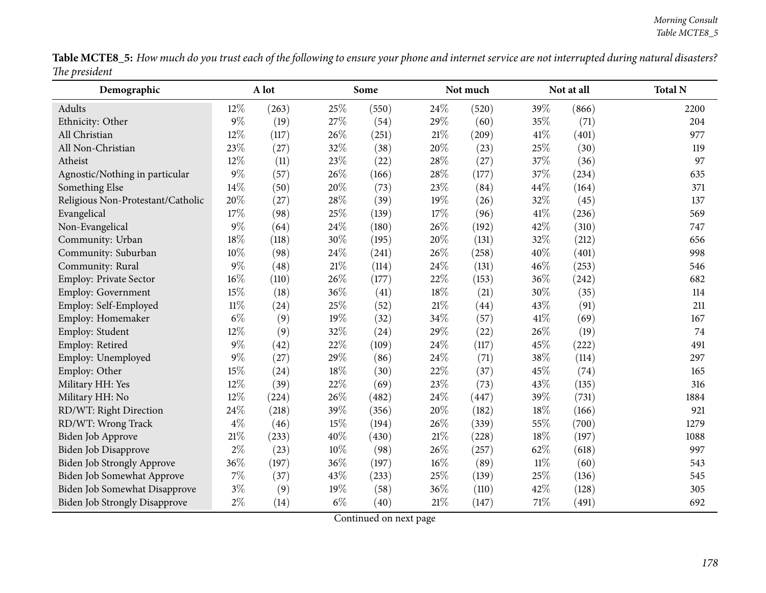|               | Table MCTE8_5: How much do you trust each of the following to ensure your phone and internet service are not interrupted during natural disasters? |  |
|---------------|----------------------------------------------------------------------------------------------------------------------------------------------------|--|
| The president |                                                                                                                                                    |  |

| Demographic                          | A lot  |       | Some   |       |        | Not much |        | Not at all | <b>Total N</b> |
|--------------------------------------|--------|-------|--------|-------|--------|----------|--------|------------|----------------|
| Adults                               | 12%    | (263) | 25%    | (550) | 24%    | (520)    | 39%    | (866)      | 2200           |
| Ethnicity: Other                     | $9\%$  | (19)  | 27\%   | (54)  | 29%    | (60)     | 35%    | (71)       | 204            |
| All Christian                        | 12%    | (117) | 26%    | (251) | $21\%$ | (209)    | 41\%   | (401)      | 977            |
| All Non-Christian                    | 23%    | (27)  | 32%    | (38)  | 20%    | (23)     | 25%    | (30)       | 119            |
| Atheist                              | 12%    | (11)  | 23%    | (22)  | 28%    | (27)     | 37%    | (36)       | 97             |
| Agnostic/Nothing in particular       | $9\%$  | (57)  | 26%    | (166) | 28%    | (177)    | 37%    | (234)      | 635            |
| Something Else                       | 14%    | (50)  | 20%    | (73)  | 23%    | (84)     | 44%    | (164)      | 371            |
| Religious Non-Protestant/Catholic    | 20%    | (27)  | 28\%   | (39)  | 19%    | (26)     | 32%    | (45)       | 137            |
| Evangelical                          | 17%    | (98)  | 25%    | (139) | 17%    | (96)     | 41\%   | (236)      | 569            |
| Non-Evangelical                      | $9\%$  | (64)  | 24%    | (180) | 26%    | (192)    | 42%    | (310)      | 747            |
| Community: Urban                     | 18%    | (118) | 30%    | (195) | 20%    | (131)    | 32%    | (212)      | 656            |
| Community: Suburban                  | 10%    | (98)  | 24\%   | (241) | 26%    | (258)    | 40%    | (401)      | 998            |
| Community: Rural                     | $9\%$  | (48)  | 21\%   | (114) | 24%    | (131)    | 46%    | (253)      | 546            |
| Employ: Private Sector               | $16\%$ | (110) | 26%    | (177) | 22%    | (153)    | 36%    | (242)      | 682            |
| Employ: Government                   | 15%    | (18)  | 36%    | (41)  | 18%    | (21)     | 30%    | (35)       | 114            |
| Employ: Self-Employed                | $11\%$ | (24)  | 25%    | (52)  | 21%    | (44)     | 43%    | (91)       | 211            |
| Employ: Homemaker                    | $6\%$  | (9)   | 19%    | (32)  | 34%    | (57)     | 41\%   | (69)       | 167            |
| Employ: Student                      | 12%    | (9)   | 32%    | (24)  | 29%    | (22)     | 26%    | (19)       | 74             |
| Employ: Retired                      | $9\%$  | (42)  | 22%    | (109) | 24%    | (117)    | 45%    | (222)      | 491            |
| Employ: Unemployed                   | $9\%$  | (27)  | 29%    | (86)  | $24\%$ | (71)     | 38%    | (114)      | 297            |
| Employ: Other                        | 15%    | (24)  | 18%    | (30)  | 22%    | (37)     | 45%    | (74)       | 165            |
| Military HH: Yes                     | 12%    | (39)  | 22%    | (69)  | 23%    | (73)     | 43%    | (135)      | 316            |
| Military HH: No                      | 12%    | (224) | 26%    | (482) | $24\%$ | (447)    | 39%    | (731)      | 1884           |
| RD/WT: Right Direction               | 24%    | (218) | 39%    | (356) | 20%    | (182)    | 18%    | (166)      | 921            |
| RD/WT: Wrong Track                   | $4\%$  | (46)  | 15%    | (194) | 26%    | (339)    | 55%    | (700)      | 1279           |
| Biden Job Approve                    | $21\%$ | (233) | 40%    | (430) | $21\%$ | (228)    | 18%    | (197)      | 1088           |
| <b>Biden Job Disapprove</b>          | $2\%$  | (23)  | $10\%$ | (98)  | 26%    | (257)    | 62%    | (618)      | 997            |
| Biden Job Strongly Approve           | 36%    | (197) | 36%    | (197) | 16%    | (89)     | $11\%$ | (60)       | 543            |
| Biden Job Somewhat Approve           | $7\%$  | (37)  | 43%    | (233) | 25%    | (139)    | 25%    | (136)      | 545            |
| Biden Job Somewhat Disapprove        | $3\%$  | (9)   | $19\%$ | (58)  | 36%    | (110)    | 42\%   | (128)      | 305            |
| <b>Biden Job Strongly Disapprove</b> | $2\%$  | (14)  | $6\%$  | (40)  | 21\%   | (147)    | 71%    | (491)      | 692            |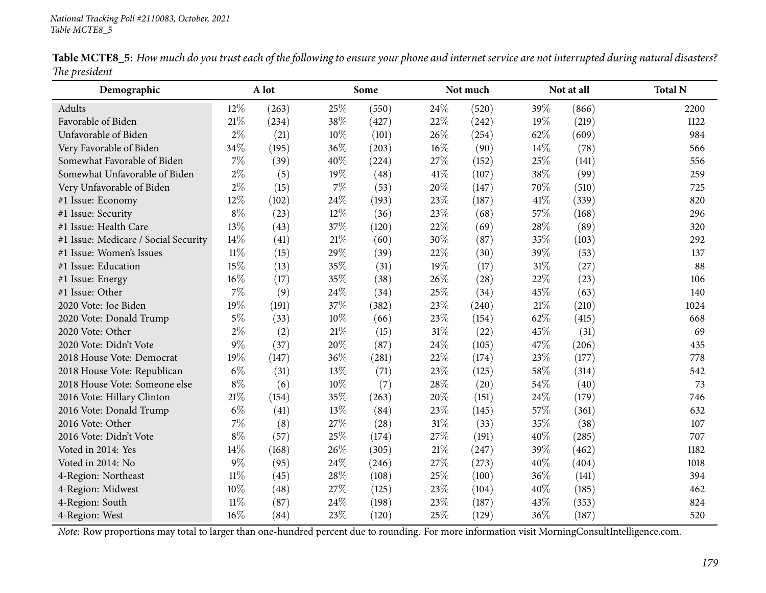| Demographic                          |        | A lot |        | Some  |      | Not much |      | Not at all | <b>Total N</b> |
|--------------------------------------|--------|-------|--------|-------|------|----------|------|------------|----------------|
| Adults                               | 12%    | (263) | 25%    | (550) | 24%  | (520)    | 39%  | (866)      | 2200           |
| Favorable of Biden                   | 21%    | (234) | 38%    | (427) | 22%  | (242)    | 19%  | (219)      | 1122           |
| Unfavorable of Biden                 | $2\%$  | (21)  | 10%    | (101) | 26\% | (254)    | 62%  | (609)      | 984            |
| Very Favorable of Biden              | 34%    | (195) | 36%    | (203) | 16%  | (90)     | 14\% | (78)       | 566            |
| Somewhat Favorable of Biden          | $7\%$  | (39)  | 40%    | (224) | 27%  | (152)    | 25%  | (141)      | 556            |
| Somewhat Unfavorable of Biden        | $2\%$  | (5)   | 19%    | (48)  | 41\% | (107)    | 38%  | (99)       | 259            |
| Very Unfavorable of Biden            | $2\%$  | (15)  | 7%     | (53)  | 20%  | (147)    | 70%  | (510)      | 725            |
| #1 Issue: Economy                    | 12%    | (102) | 24%    | (193) | 23%  | (187)    | 41%  | (339)      | 820            |
| #1 Issue: Security                   | $8\%$  | (23)  | 12%    | (36)  | 23%  | (68)     | 57%  | (168)      | 296            |
| #1 Issue: Health Care                | 13%    | (43)  | 37%    | (120) | 22%  | (69)     | 28%  | (89)       | 320            |
| #1 Issue: Medicare / Social Security | 14%    | (41)  | $21\%$ | (60)  | 30%  | (87)     | 35%  | (103)      | 292            |
| #1 Issue: Women's Issues             | $11\%$ | (15)  | 29%    | (39)  | 22%  | (30)     | 39%  | (53)       | 137            |
| #1 Issue: Education                  | 15%    | (13)  | 35%    | (31)  | 19%  | (17)     | 31%  | (27)       | 88             |
| #1 Issue: Energy                     | 16%    | (17)  | 35%    | (38)  | 26%  | (28)     | 22%  | (23)       | 106            |
| #1 Issue: Other                      | $7\%$  | (9)   | 24%    | (34)  | 25%  | (34)     | 45%  | (63)       | 140            |
| 2020 Vote: Joe Biden                 | 19%    | (191) | 37%    | (382) | 23%  | (240)    | 21%  | (210)      | 1024           |
| 2020 Vote: Donald Trump              | $5\%$  | (33)  | 10%    | (66)  | 23%  | (154)    | 62%  | (415)      | 668            |
| 2020 Vote: Other                     | $2\%$  | (2)   | $21\%$ | (15)  | 31%  | (22)     | 45%  | (31)       | 69             |
| 2020 Vote: Didn't Vote               | $9\%$  | (37)  | 20%    | (87)  | 24%  | (105)    | 47%  | (206)      | 435            |
| 2018 House Vote: Democrat            | 19%    | (147) | 36%    | (281) | 22%  | (174)    | 23%  | (177)      | 778            |
| 2018 House Vote: Republican          | $6\%$  | (31)  | 13%    | (71)  | 23%  | (125)    | 58%  | (314)      | 542            |
| 2018 House Vote: Someone else        | $8\%$  | (6)   | 10%    | (7)   | 28%  | (20)     | 54%  | (40)       | 73             |
| 2016 Vote: Hillary Clinton           | $21\%$ | (154) | 35%    | (263) | 20%  | (151)    | 24%  | (179)      | 746            |
| 2016 Vote: Donald Trump              | $6\%$  | (41)  | 13%    | (84)  | 23%  | (145)    | 57%  | (361)      | 632            |
| 2016 Vote: Other                     | 7%     | (8)   | 27%    | (28)  | 31%  | (33)     | 35%  | (38)       | 107            |
| 2016 Vote: Didn't Vote               | $8\%$  | (57)  | 25%    | (174) | 27%  | (191)    | 40%  | (285)      | 707            |
| Voted in 2014: Yes                   | 14%    | (168) | 26%    | (305) | 21%  | (247)    | 39%  | (462)      | 1182           |
| Voted in 2014: No                    | $9\%$  | (95)  | 24%    | (246) | 27%  | (273)    | 40%  | (404)      | 1018           |
| 4-Region: Northeast                  | $11\%$ | (45)  | 28%    | (108) | 25%  | (100)    | 36%  | (141)      | 394            |
| 4-Region: Midwest                    | 10%    | (48)  | 27%    | (125) | 23%  | (104)    | 40%  | (185)      | 462            |
| 4-Region: South                      | 11%    | (87)  | 24%    | (198) | 23%  | (187)    | 43%  | (353)      | 824            |
| 4-Region: West                       | 16%    | (84)  | 23%    | (120) | 25%  | (129)    | 36%  | (187)      | 520            |

Table MCTE8\_5: How much do you trust each of the following to ensure your phone and internet service are not interrupted during natural disasters? *The president*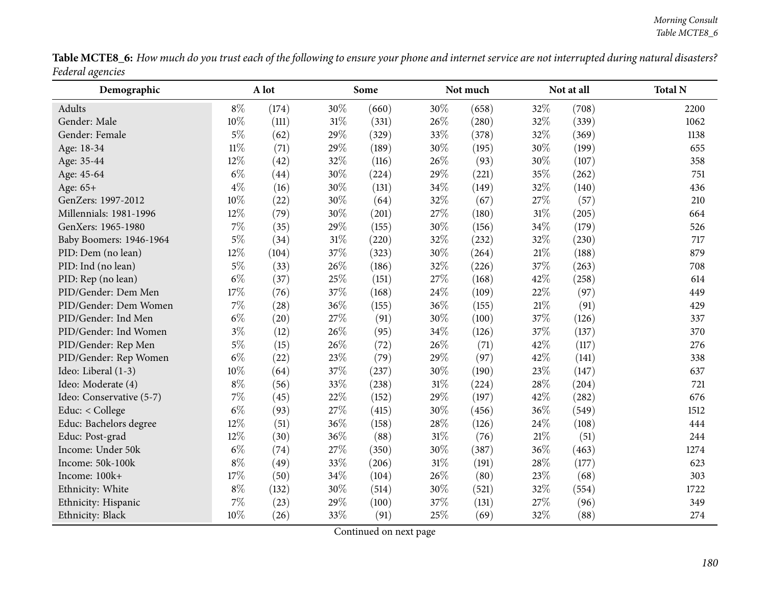| <b>Table MCTE8 6:</b> How much do you trust each of the following to ensure your phone and internet service are not interrupted during natural disasters? |  |
|-----------------------------------------------------------------------------------------------------------------------------------------------------------|--|
| Federal agencies                                                                                                                                          |  |
|                                                                                                                                                           |  |

| Demographic              |        | A lot |        | Some  |        | Not much |        | Not at all | <b>Total N</b> |
|--------------------------|--------|-------|--------|-------|--------|----------|--------|------------|----------------|
| Adults                   | $8\%$  | (174) | 30%    | (660) | 30%    | (658)    | 32%    | (708)      | 2200           |
| Gender: Male             | 10%    | (111) | $31\%$ | (331) | 26%    | (280)    | 32%    | (339)      | 1062           |
| Gender: Female           | $5\%$  | (62)  | 29%    | (329) | 33%    | (378)    | 32%    | (369)      | 1138           |
| Age: 18-34               | $11\%$ | (71)  | 29%    | (189) | 30%    | (195)    | 30%    | (199)      | 655            |
| Age: 35-44               | 12%    | (42)  | 32%    | (116) | 26%    | (93)     | 30%    | (107)      | 358            |
| Age: 45-64               | $6\%$  | (44)  | 30%    | (224) | 29%    | (221)    | 35%    | (262)      | 751            |
| Age: 65+                 | $4\%$  | (16)  | 30%    | (131) | 34%    | (149)    | 32%    | (140)      | 436            |
| GenZers: 1997-2012       | 10%    | (22)  | 30%    | (64)  | 32%    | (67)     | 27%    | (57)       | 210            |
| Millennials: 1981-1996   | $12\%$ | (79)  | 30%    | (201) | 27%    | (180)    | $31\%$ | (205)      | 664            |
| GenXers: 1965-1980       | 7%     | (35)  | 29%    | (155) | 30%    | (156)    | 34%    | (179)      | 526            |
| Baby Boomers: 1946-1964  | $5\%$  | (34)  | 31%    | (220) | 32%    | (232)    | 32%    | (230)      | 717            |
| PID: Dem (no lean)       | 12%    | (104) | 37%    | (323) | 30%    | (264)    | $21\%$ | (188)      | 879            |
| PID: Ind (no lean)       | $5\%$  | (33)  | $26\%$ | (186) | 32%    | (226)    | 37%    | (263)      | 708            |
| PID: Rep (no lean)       | $6\%$  | (37)  | 25%    | (151) | 27%    | (168)    | 42%    | (258)      | 614            |
| PID/Gender: Dem Men      | 17%    | (76)  | 37%    | (168) | 24%    | (109)    | 22%    | (97)       | 449            |
| PID/Gender: Dem Women    | $7\%$  | (28)  | 36%    | (155) | 36%    | (155)    | $21\%$ | (91)       | 429            |
| PID/Gender: Ind Men      | $6\%$  | (20)  | 27%    | (91)  | 30%    | (100)    | 37%    | (126)      | 337            |
| PID/Gender: Ind Women    | $3\%$  | (12)  | 26%    | (95)  | 34%    | (126)    | 37%    | (137)      | 370            |
| PID/Gender: Rep Men      | $5\%$  | (15)  | 26%    | (72)  | 26%    | (71)     | 42%    | (117)      | 276            |
| PID/Gender: Rep Women    | $6\%$  | (22)  | 23%    | (79)  | 29%    | (97)     | 42\%   | (141)      | 338            |
| Ideo: Liberal (1-3)      | 10%    | (64)  | 37%    | (237) | 30%    | (190)    | 23\%   | (147)      | 637            |
| Ideo: Moderate (4)       | $8\%$  | (56)  | 33%    | (238) | 31%    | (224)    | 28%    | (204)      | 721            |
| Ideo: Conservative (5-7) | 7%     | (45)  | 22%    | (152) | 29%    | (197)    | 42%    | (282)      | 676            |
| Educ: < College          | $6\%$  | (93)  | 27%    | (415) | 30%    | (456)    | 36%    | (549)      | 1512           |
| Educ: Bachelors degree   | 12%    | (51)  | 36%    | (158) | 28%    | (126)    | 24\%   | (108)      | 444            |
| Educ: Post-grad          | 12%    | (30)  | 36%    | (88)  | $31\%$ | (76)     | 21\%   | (51)       | 244            |
| Income: Under 50k        | $6\%$  | (74)  | 27%    | (350) | 30%    | (387)    | 36%    | (463)      | 1274           |
| Income: 50k-100k         | $8\%$  | (49)  | 33%    | (206) | 31%    | (191)    | 28\%   | (177)      | 623            |
| Income: 100k+            | 17%    | (50)  | 34%    | (104) | 26%    | (80)     | 23%    | (68)       | 303            |
| Ethnicity: White         | $8\%$  | (132) | 30%    | (514) | $30\%$ | (521)    | 32%    | (554)      | 1722           |
| Ethnicity: Hispanic      | 7%     | (23)  | 29%    | (100) | 37%    | (131)    | 27%    | (96)       | 349            |
| Ethnicity: Black         | 10%    | (26)  | 33%    | (91)  | 25%    | (69)     | 32%    | (88)       | 274            |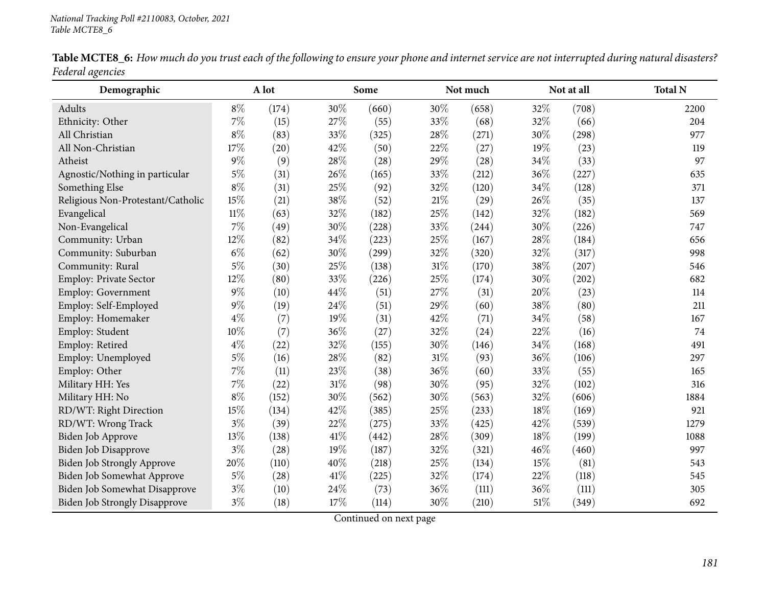| Demographic                          |        | A lot |        | Some  |        | Not much | Not at all |       | <b>Total N</b> |
|--------------------------------------|--------|-------|--------|-------|--------|----------|------------|-------|----------------|
| Adults                               | $8\%$  | (174) | 30%    | (660) | 30%    | (658)    | 32%        | (708) | 2200           |
| Ethnicity: Other                     | $7\%$  | (15)  | 27%    | (55)  | 33%    | (68)     | 32%        | (66)  | 204            |
| All Christian                        | $8\%$  | (83)  | 33%    | (325) | 28%    | (271)    | 30%        | (298) | 977            |
| All Non-Christian                    | 17%    | (20)  | 42%    | (50)  | 22%    | (27)     | 19%        | (23)  | 119            |
| Atheist                              | $9\%$  | (9)   | 28%    | (28)  | 29%    | (28)     | 34%        | (33)  | 97             |
| Agnostic/Nothing in particular       | $5\%$  | (31)  | 26%    | (165) | 33%    | (212)    | 36%        | (227) | 635            |
| Something Else                       | $8\%$  | (31)  | 25%    | (92)  | 32%    | (120)    | 34%        | (128) | 371            |
| Religious Non-Protestant/Catholic    | 15%    | (21)  | 38%    | (52)  | $21\%$ | (29)     | 26%        | (35)  | 137            |
| Evangelical                          | $11\%$ | (63)  | 32%    | (182) | 25%    | (142)    | 32%        | (182) | 569            |
| Non-Evangelical                      | 7%     | (49)  | 30%    | (228) | 33%    | (244)    | 30%        | (226) | 747            |
| Community: Urban                     | 12%    | (82)  | 34%    | (223) | 25%    | (167)    | 28%        | (184) | 656            |
| Community: Suburban                  | $6\%$  | (62)  | 30%    | (299) | 32%    | (320)    | 32%        | (317) | 998            |
| Community: Rural                     | $5\%$  | (30)  | 25%    | (138) | 31%    | (170)    | 38%        | (207) | 546            |
| Employ: Private Sector               | 12%    | (80)  | 33%    | (226) | 25%    | (174)    | 30%        | (202) | 682            |
| Employ: Government                   | $9\%$  | (10)  | 44%    | (51)  | 27%    | (31)     | 20%        | (23)  | 114            |
| Employ: Self-Employed                | $9\%$  | (19)  | 24\%   | (51)  | 29%    | (60)     | 38%        | (80)  | 211            |
| Employ: Homemaker                    | $4\%$  | (7)   | 19%    | (31)  | 42%    | (71)     | 34%        | (58)  | 167            |
| Employ: Student                      | $10\%$ | (7)   | 36%    | (27)  | 32%    | (24)     | 22%        | (16)  | 74             |
| Employ: Retired                      | $4\%$  | (22)  | 32%    | (155) | 30%    | (146)    | 34%        | (168) | 491            |
| Employ: Unemployed                   | $5\%$  | (16)  | 28%    | (82)  | 31%    | (93)     | 36%        | (106) | 297            |
| Employ: Other                        | $7\%$  | (11)  | 23%    | (38)  | 36%    | (60)     | 33%        | (55)  | 165            |
| Military HH: Yes                     | $7\%$  | (22)  | 31%    | (98)  | 30%    | (95)     | 32%        | (102) | 316            |
| Military HH: No                      | $8\%$  | (152) | 30%    | (562) | 30%    | (563)    | 32%        | (606) | 1884           |
| RD/WT: Right Direction               | 15%    | (134) | 42%    | (385) | 25%    | (233)    | 18%        | (169) | 921            |
| RD/WT: Wrong Track                   | $3\%$  | (39)  | 22%    | (275) | 33%    | (425)    | 42%        | (539) | 1279           |
| Biden Job Approve                    | 13%    | (138) | 41%    | (442) | 28%    | (309)    | 18%        | (199) | 1088           |
| Biden Job Disapprove                 | $3\%$  | (28)  | 19%    | (187) | 32%    | (321)    | 46%        | (460) | 997            |
| <b>Biden Job Strongly Approve</b>    | 20%    | (110) | 40%    | (218) | 25%    | (134)    | 15%        | (81)  | 543            |
| Biden Job Somewhat Approve           | $5\%$  | (28)  | $41\%$ | (225) | 32%    | (174)    | 22%        | (118) | 545            |
| Biden Job Somewhat Disapprove        | $3\%$  | (10)  | 24\%   | (73)  | 36%    | (111)    | 36%        | (111) | 305            |
| <b>Biden Job Strongly Disapprove</b> | $3\%$  | (18)  | 17%    | (114) | 30%    | (210)    | 51\%       | (349) | 692            |

Table MCTE8\_6: How much do you trust each of the following to ensure your phone and internet service are not interrupted during natural disasters? *Federal agencies*  $\overline{\phantom{0}}$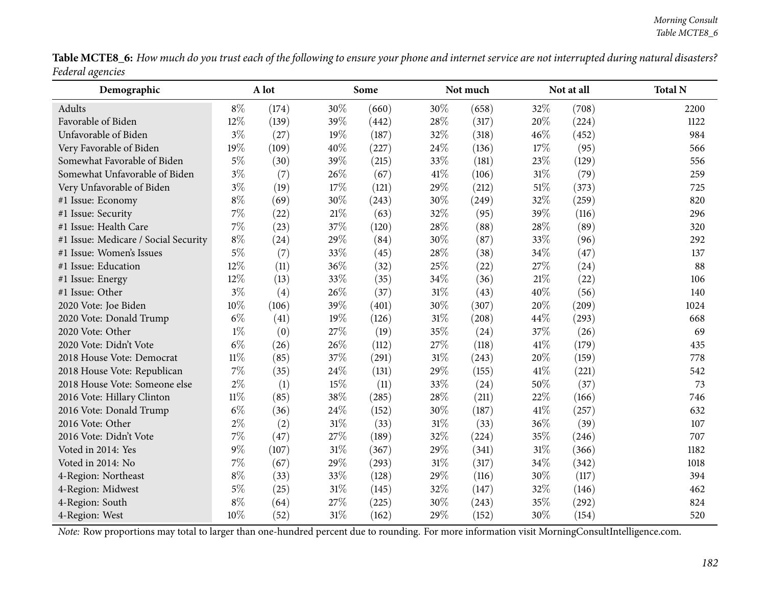|                  | Table MCTE8_6: How much do you trust each of the following to ensure your phone and internet service are not interrupted during natural disasters? |  |
|------------------|----------------------------------------------------------------------------------------------------------------------------------------------------|--|
| Federal agencies |                                                                                                                                                    |  |

| Demographic                          |        | A lot |        | Some  |        | Not much |        | Not at all | <b>Total N</b> |
|--------------------------------------|--------|-------|--------|-------|--------|----------|--------|------------|----------------|
| Adults                               | $8\%$  | (174) | 30%    | (660) | 30%    | (658)    | 32%    | (708)      | 2200           |
| Favorable of Biden                   | 12%    | (139) | 39%    | (442) | 28%    | (317)    | 20%    | (224)      | 1122           |
| Unfavorable of Biden                 | $3\%$  | (27)  | 19%    | (187) | 32%    | (318)    | 46%    | (452)      | 984            |
| Very Favorable of Biden              | 19%    | (109) | 40%    | (227) | 24%    | (136)    | 17%    | (95)       | 566            |
| Somewhat Favorable of Biden          | $5\%$  | (30)  | 39%    | (215) | 33%    | (181)    | 23%    | (129)      | 556            |
| Somewhat Unfavorable of Biden        | $3\%$  | (7)   | 26%    | (67)  | 41\%   | (106)    | $31\%$ | (79)       | 259            |
| Very Unfavorable of Biden            | $3\%$  | (19)  | 17%    | (121) | 29%    | (212)    | $51\%$ | (373)      | 725            |
| #1 Issue: Economy                    | $8\%$  | (69)  | 30%    | (243) | 30%    | (249)    | 32%    | (259)      | 820            |
| #1 Issue: Security                   | 7%     | (22)  | $21\%$ | (63)  | 32%    | (95)     | 39%    | (116)      | 296            |
| #1 Issue: Health Care                | 7%     | (23)  | 37%    | (120) | 28%    | (88)     | 28%    | (89)       | 320            |
| #1 Issue: Medicare / Social Security | $8\%$  | (24)  | 29%    | (84)  | 30%    | (87)     | 33%    | (96)       | 292            |
| #1 Issue: Women's Issues             | $5\%$  | (7)   | 33%    | (45)  | 28%    | (38)     | 34%    | (47)       | 137            |
| #1 Issue: Education                  | 12%    | (11)  | 36%    | (32)  | 25%    | (22)     | 27%    | (24)       | 88             |
| #1 Issue: Energy                     | 12%    | (13)  | 33%    | (35)  | 34%    | (36)     | $21\%$ | (22)       | 106            |
| #1 Issue: Other                      | $3\%$  | (4)   | 26%    | (37)  | 31%    | (43)     | 40%    | (56)       | 140            |
| 2020 Vote: Joe Biden                 | 10%    | (106) | 39%    | (401) | 30%    | (307)    | 20%    | (209)      | 1024           |
| 2020 Vote: Donald Trump              | $6\%$  | (41)  | 19%    | (126) | $31\%$ | (208)    | 44%    | (293)      | 668            |
| 2020 Vote: Other                     | $1\%$  | (0)   | 27%    | (19)  | 35%    | (24)     | 37%    | (26)       | 69             |
| 2020 Vote: Didn't Vote               | $6\%$  | (26)  | 26%    | (112) | 27%    | (118)    | 41%    | (179)      | 435            |
| 2018 House Vote: Democrat            | $11\%$ | (85)  | 37%    | (291) | 31%    | (243)    | 20%    | (159)      | 778            |
| 2018 House Vote: Republican          | 7%     | (35)  | 24%    | (131) | 29%    | (155)    | 41%    | (221)      | 542            |
| 2018 House Vote: Someone else        | $2\%$  | (1)   | 15%    | (11)  | 33%    | (24)     | 50%    | (37)       | 73             |
| 2016 Vote: Hillary Clinton           | $11\%$ | (85)  | 38%    | (285) | 28%    | (211)    | 22%    | (166)      | 746            |
| 2016 Vote: Donald Trump              | $6\%$  | (36)  | 24%    | (152) | 30%    | (187)    | 41%    | (257)      | 632            |
| 2016 Vote: Other                     | $2\%$  | (2)   | 31%    | (33)  | 31%    | (33)     | 36%    | (39)       | 107            |
| 2016 Vote: Didn't Vote               | 7%     | (47)  | 27%    | (189) | 32%    | (224)    | 35%    | (246)      | 707            |
| Voted in 2014: Yes                   | $9\%$  | (107) | 31%    | (367) | 29%    | (341)    | $31\%$ | (366)      | 1182           |
| Voted in 2014: No                    | 7%     | (67)  | 29%    | (293) | 31%    | (317)    | 34%    | (342)      | 1018           |
| 4-Region: Northeast                  | $8\%$  | (33)  | 33%    | (128) | 29%    | (116)    | 30%    | (117)      | 394            |
| 4-Region: Midwest                    | $5\%$  | (25)  | 31%    | (145) | 32%    | (147)    | 32%    | (146)      | 462            |
| 4-Region: South                      | $8\%$  | (64)  | 27%    | (225) | 30%    | (243)    | 35%    | (292)      | 824            |
| 4-Region: West                       | 10%    | (52)  | 31%    | (162) | 29%    | (152)    | 30%    | (154)      | 520            |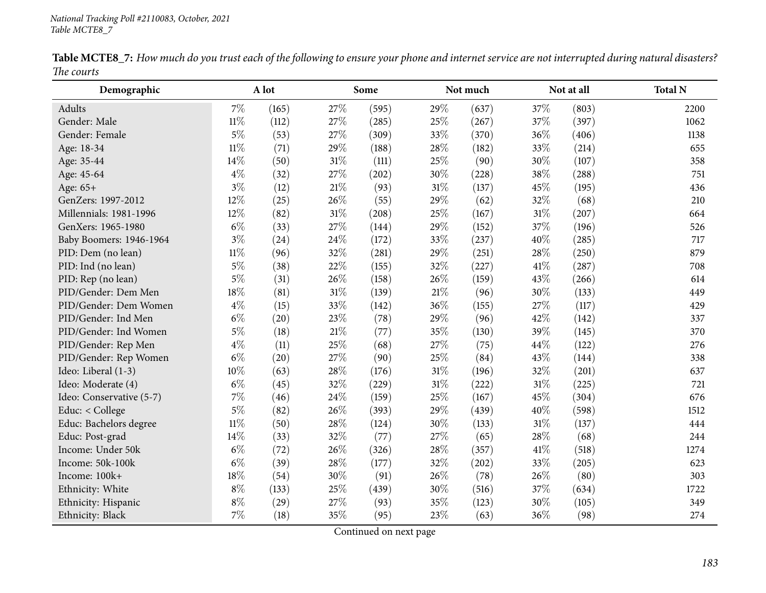| Demographic              |        | A lot |     | Some  |     | Not much |        | Not at all | <b>Total N</b> |
|--------------------------|--------|-------|-----|-------|-----|----------|--------|------------|----------------|
| Adults                   | $7\%$  | (165) | 27% | (595) | 29% | (637)    | 37%    | (803)      | 2200           |
| Gender: Male             | $11\%$ | (112) | 27% | (285) | 25% | (267)    | 37%    | (397)      | 1062           |
| Gender: Female           | $5\%$  | (53)  | 27% | (309) | 33% | (370)    | 36%    | (406)      | 1138           |
| Age: 18-34               | $11\%$ | (71)  | 29% | (188) | 28% | (182)    | 33%    | (214)      | 655            |
| Age: 35-44               | 14%    | (50)  | 31% | (111) | 25% | (90)     | 30%    | (107)      | 358            |
| Age: 45-64               | $4\%$  | (32)  | 27% | (202) | 30% | (228)    | 38%    | (288)      | 751            |
| Age: 65+                 | $3\%$  | (12)  | 21% | (93)  | 31% | (137)    | 45%    | (195)      | 436            |
| GenZers: 1997-2012       | 12%    | (25)  | 26% | (55)  | 29% | (62)     | 32%    | (68)       | 210            |
| Millennials: 1981-1996   | 12%    | (82)  | 31% | (208) | 25% | (167)    | 31%    | (207)      | 664            |
| GenXers: 1965-1980       | $6\%$  | (33)  | 27% | (144) | 29% | (152)    | 37%    | (196)      | 526            |
| Baby Boomers: 1946-1964  | $3\%$  | (24)  | 24% | (172) | 33% | (237)    | 40%    | (285)      | 717            |
| PID: Dem (no lean)       | $11\%$ | (96)  | 32% | (281) | 29% | (251)    | 28%    | (250)      | 879            |
| PID: Ind (no lean)       | $5\%$  | (38)  | 22% | (155) | 32% | (227)    | 41\%   | (287)      | 708            |
| PID: Rep (no lean)       | $5\%$  | (31)  | 26% | (158) | 26% | (159)    | 43%    | (266)      | 614            |
| PID/Gender: Dem Men      | 18%    | (81)  | 31% | (139) | 21% | (96)     | 30%    | (133)      | 449            |
| PID/Gender: Dem Women    | $4\%$  | (15)  | 33% | (142) | 36% | (155)    | 27%    | (117)      | 429            |
| PID/Gender: Ind Men      | $6\%$  | (20)  | 23% | (78)  | 29% | (96)     | 42%    | (142)      | 337            |
| PID/Gender: Ind Women    | $5\%$  | (18)  | 21% | (77)  | 35% | (130)    | 39%    | (145)      | 370            |
| PID/Gender: Rep Men      | $4\%$  | (11)  | 25% | (68)  | 27% | (75)     | 44%    | (122)      | 276            |
| PID/Gender: Rep Women    | $6\%$  | (20)  | 27% | (90)  | 25% | (84)     | 43%    | (144)      | 338            |
| Ideo: Liberal (1-3)      | 10%    | (63)  | 28% | (176) | 31% | (196)    | 32%    | (201)      | 637            |
| Ideo: Moderate (4)       | $6\%$  | (45)  | 32% | (229) | 31% | (222)    | $31\%$ | (225)      | 721            |
| Ideo: Conservative (5-7) | 7%     | (46)  | 24% | (159) | 25% | (167)    | 45%    | (304)      | 676            |
| Educ: < College          | $5\%$  | (82)  | 26% | (393) | 29% | (439)    | 40%    | (598)      | 1512           |
| Educ: Bachelors degree   | $11\%$ | (50)  | 28% | (124) | 30% | (133)    | $31\%$ | (137)      | 444            |
| Educ: Post-grad          | 14%    | (33)  | 32% | (77)  | 27% | (65)     | 28%    | (68)       | 244            |
| Income: Under 50k        | $6\%$  | (72)  | 26% | (326) | 28% | (357)    | 41\%   | (518)      | 1274           |
| Income: 50k-100k         | $6\%$  | (39)  | 28% | (177) | 32% | (202)    | 33%    | (205)      | 623            |
| Income: 100k+            | 18%    | (54)  | 30% | (91)  | 26% | (78)     | 26%    | (80)       | 303            |
| Ethnicity: White         | $8\%$  | (133) | 25% | (439) | 30% | (516)    | 37%    | (634)      | 1722           |
| Ethnicity: Hispanic      | $8\%$  | (29)  | 27% | (93)  | 35% | (123)    | 30%    | (105)      | 349            |
| Ethnicity: Black         | 7%     | (18)  | 35% | (95)  | 23% | (63)     | 36%    | (98)       | 274            |

Table MCTE8\_7: How much do you trust each of the following to ensure your phone and internet service are not interrupted during natural disasters? *The courts*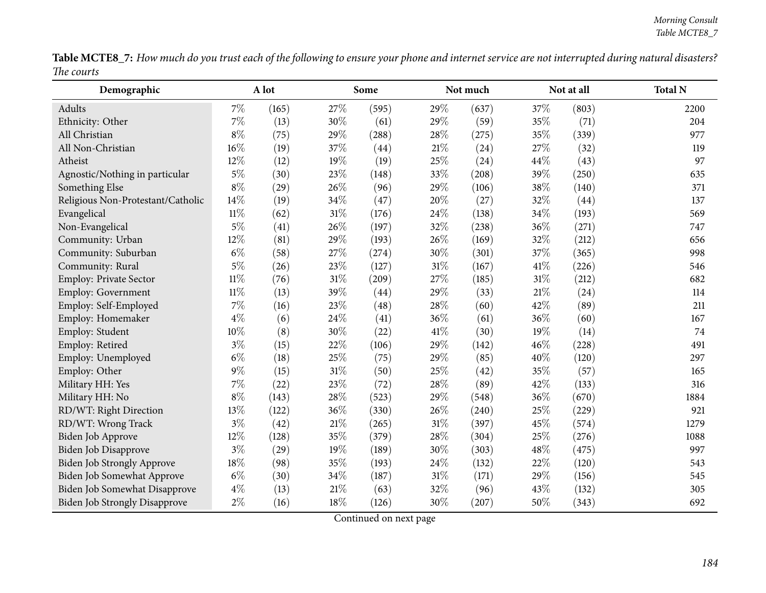| <b>Table MCTE8_7:</b> How much do you trust each of the following to ensure your phone and internet service are not interrupted during natural disasters? |  |
|-----------------------------------------------------------------------------------------------------------------------------------------------------------|--|
| The courts                                                                                                                                                |  |

| Demographic                          |        | A lot |      | Some  |        | Not much | Not at all |       | <b>Total N</b> |
|--------------------------------------|--------|-------|------|-------|--------|----------|------------|-------|----------------|
| Adults                               | $7\%$  | (165) | 27\% | (595) | 29%    | (637)    | 37\%       | (803) | 2200           |
| Ethnicity: Other                     | $7\%$  | (13)  | 30%  | (61)  | 29%    | (59)     | 35%        | (71)  | 204            |
| All Christian                        | $8\%$  | (75)  | 29%  | (288) | 28%    | (275)    | 35%        | (339) | 977            |
| All Non-Christian                    | 16%    | (19)  | 37%  | (44)  | 21%    | (24)     | 27%        | (32)  | 119            |
| Atheist                              | 12%    | (12)  | 19%  | (19)  | 25%    | (24)     | 44%        | (43)  | 97             |
| Agnostic/Nothing in particular       | $5\%$  | (30)  | 23%  | (148) | 33%    | (208)    | 39%        | (250) | 635            |
| Something Else                       | $8\%$  | (29)  | 26%  | (96)  | 29%    | (106)    | 38%        | (140) | 371            |
| Religious Non-Protestant/Catholic    | 14%    | (19)  | 34%  | (47)  | 20%    | (27)     | 32%        | (44)  | 137            |
| Evangelical                          | $11\%$ | (62)  | 31%  | (176) | 24%    | (138)    | 34%        | (193) | 569            |
| Non-Evangelical                      | $5\%$  | (41)  | 26%  | (197) | 32%    | (238)    | 36%        | (271) | 747            |
| Community: Urban                     | 12%    | (81)  | 29%  | (193) | 26%    | (169)    | 32%        | (212) | 656            |
| Community: Suburban                  | $6\%$  | (58)  | 27%  | (274) | 30%    | (301)    | 37%        | (365) | 998            |
| Community: Rural                     | $5\%$  | (26)  | 23%  | (127) | $31\%$ | (167)    | 41\%       | (226) | 546            |
| Employ: Private Sector               | $11\%$ | (76)  | 31%  | (209) | 27%    | (185)    | 31%        | (212) | 682            |
| Employ: Government                   | $11\%$ | (13)  | 39%  | (44)  | 29%    | (33)     | 21%        | (24)  | 114            |
| Employ: Self-Employed                | 7%     | (16)  | 23%  | (48)  | 28%    | (60)     | 42%        | (89)  | 211            |
| Employ: Homemaker                    | $4\%$  | (6)   | 24%  | (41)  | 36%    | (61)     | 36%        | (60)  | 167            |
| Employ: Student                      | 10%    | (8)   | 30%  | (22)  | 41\%   | (30)     | 19%        | (14)  | 74             |
| Employ: Retired                      | $3\%$  | (15)  | 22%  | (106) | 29%    | (142)    | 46%        | (228) | 491            |
| Employ: Unemployed                   | $6\%$  | (18)  | 25%  | (75)  | 29%    | (85)     | 40%        | (120) | 297            |
| Employ: Other                        | $9\%$  | (15)  | 31%  | (50)  | 25%    | (42)     | 35%        | (57)  | 165            |
| Military HH: Yes                     | 7%     | (22)  | 23%  | (72)  | 28%    | (89)     | 42%        | (133) | 316            |
| Military HH: No                      | $8\%$  | (143) | 28%  | (523) | 29%    | (548)    | 36%        | (670) | 1884           |
| RD/WT: Right Direction               | 13%    | (122) | 36%  | (330) | 26%    | (240)    | 25%        | (229) | 921            |
| RD/WT: Wrong Track                   | $3\%$  | (42)  | 21%  | (265) | 31%    | (397)    | 45%        | (574) | 1279           |
| Biden Job Approve                    | 12%    | (128) | 35%  | (379) | 28%    | (304)    | 25%        | (276) | 1088           |
| Biden Job Disapprove                 | $3\%$  | (29)  | 19%  | (189) | 30%    | (303)    | 48%        | (475) | 997            |
| Biden Job Strongly Approve           | 18%    | (98)  | 35%  | (193) | 24%    | (132)    | 22%        | (120) | 543            |
| Biden Job Somewhat Approve           | $6\%$  | (30)  | 34%  | (187) | 31%    | (171)    | 29%        | (156) | 545            |
| Biden Job Somewhat Disapprove        | $4\%$  | (13)  | 21\% | (63)  | 32%    | (96)     | 43%        | (132) | 305            |
| <b>Biden Job Strongly Disapprove</b> | $2\%$  | (16)  | 18%  | (126) | 30%    | (207)    | 50%        | (343) | 692            |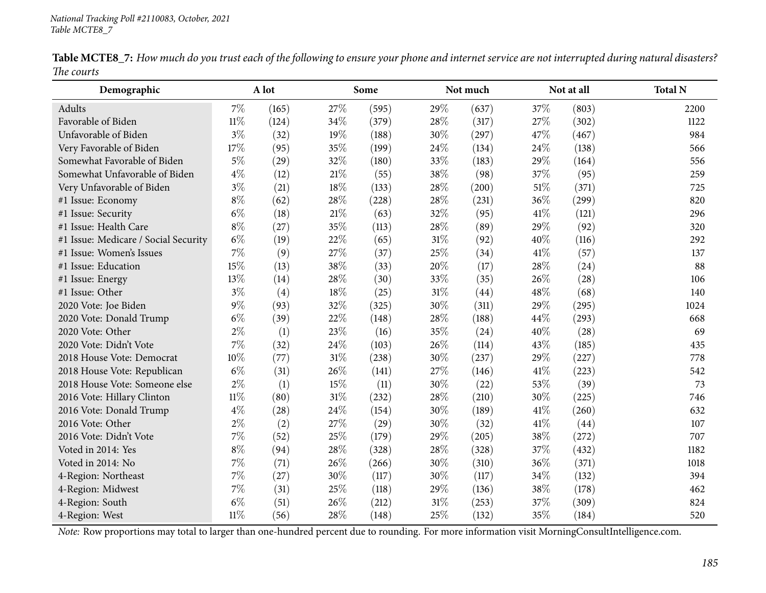| Demographic                          |        | A lot |     | Some  |      | Not much |        | Not at all | <b>Total N</b> |
|--------------------------------------|--------|-------|-----|-------|------|----------|--------|------------|----------------|
| Adults                               | $7\%$  | (165) | 27% | (595) | 29%  | (637)    | 37%    | (803)      | 2200           |
| Favorable of Biden                   | $11\%$ | (124) | 34% | (379) | 28%  | (317)    | 27%    | (302)      | 1122           |
| Unfavorable of Biden                 | $3\%$  | (32)  | 19% | (188) | 30%  | (297)    | 47%    | (467)      | 984            |
| Very Favorable of Biden              | 17%    | (95)  | 35% | (199) | 24\% | (134)    | 24\%   | (138)      | 566            |
| Somewhat Favorable of Biden          | $5\%$  | (29)  | 32% | (180) | 33%  | (183)    | 29%    | (164)      | 556            |
| Somewhat Unfavorable of Biden        | $4\%$  | (12)  | 21% | (55)  | 38%  | (98)     | 37%    | (95)       | 259            |
| Very Unfavorable of Biden            | $3\%$  | (21)  | 18% | (133) | 28%  | (200)    | $51\%$ | (371)      | 725            |
| #1 Issue: Economy                    | $8\%$  | (62)  | 28% | (228) | 28%  | (231)    | 36%    | (299)      | 820            |
| #1 Issue: Security                   | $6\%$  | (18)  | 21% | (63)  | 32%  | (95)     | 41\%   | (121)      | 296            |
| #1 Issue: Health Care                | $8\%$  | (27)  | 35% | (113) | 28%  | (89)     | 29%    | (92)       | 320            |
| #1 Issue: Medicare / Social Security | $6\%$  | (19)  | 22% | (65)  | 31%  | (92)     | 40%    | (116)      | 292            |
| #1 Issue: Women's Issues             | 7%     | (9)   | 27% | (37)  | 25%  | (34)     | 41\%   | (57)       | 137            |
| #1 Issue: Education                  | 15%    | (13)  | 38% | (33)  | 20%  | (17)     | 28%    | (24)       | 88             |
| #1 Issue: Energy                     | 13%    | (14)  | 28% | (30)  | 33%  | (35)     | 26%    | (28)       | 106            |
| #1 Issue: Other                      | $3\%$  | (4)   | 18% | (25)  | 31%  | (44)     | 48%    | (68)       | 140            |
| 2020 Vote: Joe Biden                 | $9\%$  | (93)  | 32% | (325) | 30%  | (311)    | 29%    | (295)      | 1024           |
| 2020 Vote: Donald Trump              | $6\%$  | (39)  | 22% | (148) | 28%  | (188)    | 44%    | (293)      | 668            |
| 2020 Vote: Other                     | $2\%$  | (1)   | 23% | (16)  | 35%  | (24)     | 40%    | (28)       | 69             |
| 2020 Vote: Didn't Vote               | $7\%$  | (32)  | 24% | (103) | 26%  | (114)    | 43%    | (185)      | 435            |
| 2018 House Vote: Democrat            | 10%    | (77)  | 31% | (238) | 30%  | (237)    | 29%    | (227)      | 778            |
| 2018 House Vote: Republican          | $6\%$  | (31)  | 26% | (141) | 27%  | (146)    | 41\%   | (223)      | 542            |
| 2018 House Vote: Someone else        | $2\%$  | (1)   | 15% | (11)  | 30%  | (22)     | 53%    | (39)       | 73             |
| 2016 Vote: Hillary Clinton           | $11\%$ | (80)  | 31% | (232) | 28%  | (210)    | 30%    | (225)      | 746            |
| 2016 Vote: Donald Trump              | $4\%$  | (28)  | 24% | (154) | 30%  | (189)    | 41\%   | (260)      | 632            |
| 2016 Vote: Other                     | $2\%$  | (2)   | 27% | (29)  | 30%  | (32)     | 41\%   | (44)       | 107            |
| 2016 Vote: Didn't Vote               | $7\%$  | (52)  | 25% | (179) | 29%  | (205)    | 38%    | (272)      | 707            |
| Voted in 2014: Yes                   | $8\%$  | (94)  | 28% | (328) | 28%  | (328)    | 37%    | (432)      | 1182           |
| Voted in 2014: No                    | $7\%$  | (71)  | 26% | (266) | 30%  | (310)    | 36%    | (371)      | 1018           |
| 4-Region: Northeast                  | $7\%$  | (27)  | 30% | (117) | 30%  | (117)    | 34%    | (132)      | 394            |
| 4-Region: Midwest                    | $7\%$  | (31)  | 25% | (118) | 29%  | (136)    | 38%    | (178)      | 462            |
| 4-Region: South                      | $6\%$  | (51)  | 26% | (212) | 31%  | (253)    | 37%    | (309)      | 824            |
| 4-Region: West                       | $11\%$ | (56)  | 28% | (148) | 25%  | (132)    | 35%    | (184)      | 520            |

Table MCTE8\_7: How much do you trust each of the following to ensure your phone and internet service are not interrupted during natural disasters? *The courts*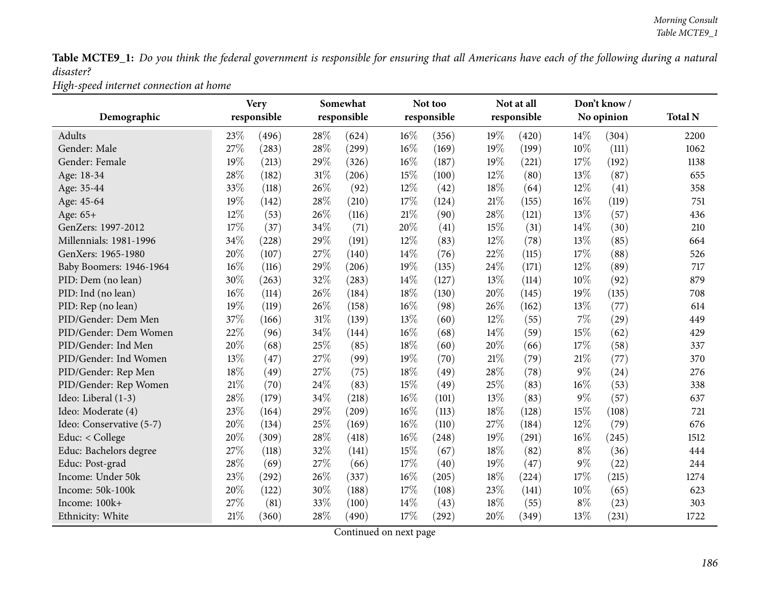Table MCTE9\_1: Do you think the federal government is responsible for ensuring that all Americans have each of the following during a natural *disaster?*

*High-speed internet connection at home*

|                          |      | <b>Very</b> |        | Somewhat    |      | Not too     |     | Not at all  |        | Don't know/ |                |
|--------------------------|------|-------------|--------|-------------|------|-------------|-----|-------------|--------|-------------|----------------|
| Demographic              |      | responsible |        | responsible |      | responsible |     | responsible |        | No opinion  | <b>Total N</b> |
| Adults                   | 23%  | (496)       | 28%    | (624)       | 16%  | (356)       | 19% | (420)       | 14%    | (304)       | 2200           |
| Gender: Male             | 27%  | (283)       | 28%    | (299)       | 16%  | (169)       | 19% | (199)       | 10%    | (111)       | 1062           |
| Gender: Female           | 19%  | (213)       | 29%    | (326)       | 16%  | (187)       | 19% | (221)       | 17%    | (192)       | 1138           |
| Age: 18-34               | 28%  | (182)       | $31\%$ | (206)       | 15%  | (100)       | 12% | (80)        | 13%    | (87)        | 655            |
| Age: 35-44               | 33%  | (118)       | 26%    | (92)        | 12%  | (42)        | 18% | (64)        | $12\%$ | (41)        | 358            |
| Age: 45-64               | 19%  | (142)       | 28\%   | (210)       | 17%  | (124)       | 21% | (155)       | 16%    | (119)       | 751            |
| Age: 65+                 | 12%  | (53)        | 26%    | (116)       | 21%  | (90)        | 28% | (121)       | 13%    | (57)        | 436            |
| GenZers: 1997-2012       | 17%  | (37)        | 34%    | (71)        | 20%  | (41)        | 15% | (31)        | 14%    | (30)        | 210            |
| Millennials: 1981-1996   | 34%  | (228)       | 29%    | (191)       | 12%  | (83)        | 12% | (78)        | 13%    | (85)        | 664            |
| GenXers: 1965-1980       | 20%  | (107)       | 27%    | (140)       | 14%  | (76)        | 22% | (115)       | 17%    | (88)        | 526            |
| Baby Boomers: 1946-1964  | 16%  | (116)       | 29%    | (206)       | 19%  | (135)       | 24% | (171)       | 12%    | (89)        | 717            |
| PID: Dem (no lean)       | 30%  | (263)       | 32%    | (283)       | 14%  | (127)       | 13% | (114)       | 10%    | (92)        | 879            |
| PID: Ind (no lean)       | 16%  | (114)       | 26%    | (184)       | 18%  | (130)       | 20% | (145)       | 19%    | (135)       | 708            |
| PID: Rep (no lean)       | 19%  | (119)       | 26%    | (158)       | 16%  | (98)        | 26% | (162)       | 13%    | (77)        | 614            |
| PID/Gender: Dem Men      | 37%  | (166)       | $31\%$ | (139)       | 13%  | (60)        | 12% | (55)        | 7%     | (29)        | 449            |
| PID/Gender: Dem Women    | 22%  | (96)        | 34%    | (144)       | 16%  | (68)        | 14% | (59)        | 15%    | (62)        | 429            |
| PID/Gender: Ind Men      | 20%  | (68)        | 25%    | (85)        | 18%  | (60)        | 20% | (66)        | 17%    | (58)        | 337            |
| PID/Gender: Ind Women    | 13%  | (47)        | 27%    | (99)        | 19%  | (70)        | 21% | (79)        | 21%    | (77)        | 370            |
| PID/Gender: Rep Men      | 18%  | (49)        | 27%    | (75)        | 18%  | (49)        | 28% | (78)        | $9\%$  | (24)        | 276            |
| PID/Gender: Rep Women    | 21%  | (70)        | 24%    | (83)        | 15%  | (49)        | 25% | (83)        | 16%    | (53)        | 338            |
| Ideo: Liberal (1-3)      | 28\% | (179)       | 34%    | (218)       | 16%  | (101)       | 13% | (83)        | $9\%$  | (57)        | 637            |
| Ideo: Moderate (4)       | 23%  | (164)       | 29%    | (209)       | 16%  | (113)       | 18% | (128)       | 15%    | (108)       | 721            |
| Ideo: Conservative (5-7) | 20%  | (134)       | 25%    | (169)       | 16%  | (110)       | 27% | (184)       | 12%    | (79)        | 676            |
| Educ: < College          | 20%  | (309)       | 28%    | (418)       | 16%  | (248)       | 19% | (291)       | 16%    | (245)       | 1512           |
| Educ: Bachelors degree   | 27%  | (118)       | 32%    | (141)       | 15%  | (67)        | 18% | (82)        | $8\%$  | (36)        | 444            |
| Educ: Post-grad          | 28%  | (69)        | 27%    | (66)        | 17%  | (40)        | 19% | (47)        | $9\%$  | (22)        | 244            |
| Income: Under 50k        | 23%  | (292)       | 26%    | (337)       | 16%  | (205)       | 18% | (224)       | 17%    | (215)       | 1274           |
| Income: 50k-100k         | 20%  | (122)       | 30%    | (188)       | 17%  | (108)       | 23% | (141)       | 10%    | (65)        | 623            |
| Income: 100k+            | 27%  | (81)        | 33%    | (100)       | 14\% | (43)        | 18% | (55)        | $8\%$  | (23)        | 303            |
| Ethnicity: White         | 21%  | (360)       | 28\%   | (490)       | 17%  | (292)       | 20% | (349)       | 13%    | (231)       | 1722           |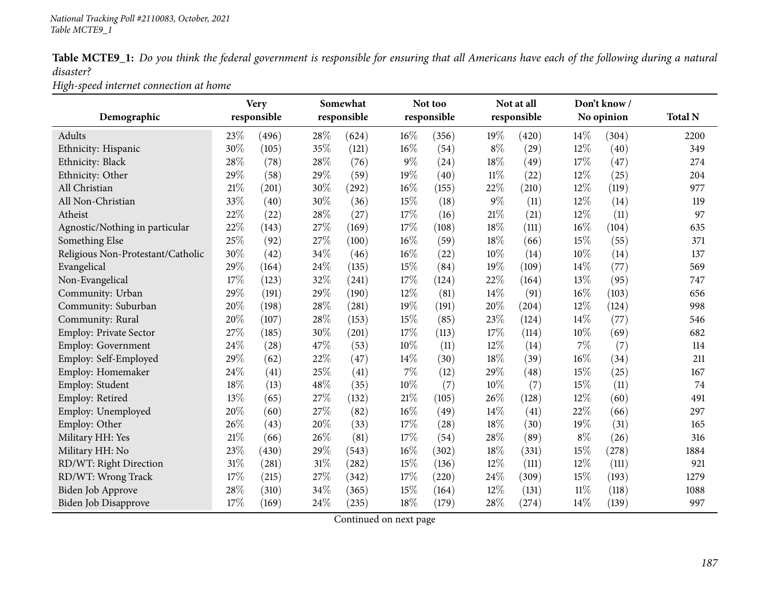Table MCTE9\_1: Do you think the federal government is responsible for ensuring that all Americans have each of the following during a natural *disaster?*

*High-speed internet connection at home*

| Demographic                       |        | <b>Very</b><br>responsible |        | Somewhat<br>responsible |       | Not too<br>responsible |        | Not at all<br>responsible |        | Don't know/<br>No opinion | <b>Total N</b> |
|-----------------------------------|--------|----------------------------|--------|-------------------------|-------|------------------------|--------|---------------------------|--------|---------------------------|----------------|
|                                   |        |                            |        |                         |       |                        |        |                           |        |                           |                |
| Adults                            | 23%    | (496)                      | 28\%   | (624)                   | 16%   | (356)                  | 19%    | (420)                     | 14\%   | (304)                     | 2200           |
| Ethnicity: Hispanic               | 30%    | (105)                      | 35%    | (121)                   | 16%   | (54)                   | $8\%$  | (29)                      | 12%    | (40)                      | 349            |
| Ethnicity: Black                  | 28%    | (78)                       | 28%    | (76)                    | $9\%$ | (24)                   | 18%    | (49)                      | 17%    | (47)                      | 274            |
| Ethnicity: Other                  | 29%    | (58)                       | 29%    | (59)                    | 19%   | (40)                   | $11\%$ | (22)                      | 12%    | (25)                      | 204            |
| All Christian                     | $21\%$ | (201)                      | 30%    | (292)                   | 16%   | (155)                  | 22%    | (210)                     | 12%    | (119)                     | 977            |
| All Non-Christian                 | 33%    | (40)                       | 30%    | (36)                    | 15%   | (18)                   | $9\%$  | (11)                      | 12%    | (14)                      | 119            |
| Atheist                           | $22\%$ | (22)                       | 28%    | (27)                    | 17%   | (16)                   | 21\%   | (21)                      | 12%    | (11)                      | 97             |
| Agnostic/Nothing in particular    | 22%    | (143)                      | 27\%   | (169)                   | 17%   | (108)                  | 18%    | (111)                     | 16%    | (104)                     | 635            |
| Something Else                    | 25%    | (92)                       | 27%    | (100)                   | 16%   | (59)                   | 18%    | (66)                      | 15%    | (55)                      | 371            |
| Religious Non-Protestant/Catholic | 30%    | (42)                       | 34\%   | (46)                    | 16%   | (22)                   | 10%    | (14)                      | 10%    | (14)                      | 137            |
| Evangelical                       | 29%    | (164)                      | 24\%   | (135)                   | 15%   | (84)                   | 19%    | (109)                     | 14\%   | (77)                      | 569            |
| Non-Evangelical                   | 17%    | (123)                      | 32%    | (241)                   | 17%   | (124)                  | 22%    | (164)                     | 13%    | (95)                      | 747            |
| Community: Urban                  | 29%    | (191)                      | 29%    | (190)                   | 12%   | (81)                   | 14%    | (91)                      | 16%    | (103)                     | 656            |
| Community: Suburban               | 20%    | (198)                      | 28%    | (281)                   | 19%   | (191)                  | 20%    | (204)                     | 12%    | (124)                     | 998            |
| Community: Rural                  | 20%    | (107)                      | 28%    | (153)                   | 15%   | (85)                   | 23%    | (124)                     | 14%    | (77)                      | 546            |
| <b>Employ: Private Sector</b>     | 27%    | (185)                      | 30%    | (201)                   | 17%   | (113)                  | 17%    | (114)                     | 10%    | (69)                      | 682            |
| Employ: Government                | 24%    | (28)                       | 47\%   | (53)                    | 10%   | (11)                   | 12%    | (14)                      | $7\%$  | (7)                       | 114            |
| Employ: Self-Employed             | 29%    | (62)                       | 22%    | (47)                    | 14\%  | (30)                   | 18%    | (39)                      | 16%    | (34)                      | 211            |
| Employ: Homemaker                 | 24\%   | (41)                       | 25%    | (41)                    | 7%    | (12)                   | 29%    | (48)                      | 15%    | (25)                      | 167            |
| Employ: Student                   | 18%    | (13)                       | 48%    | (35)                    | 10%   | (7)                    | 10%    | (7)                       | 15%    | (11)                      | 74             |
| Employ: Retired                   | 13%    | (65)                       | 27%    | (132)                   | 21%   | (105)                  | 26%    | (128)                     | 12%    | (60)                      | 491            |
| Employ: Unemployed                | 20%    | (60)                       | 27%    | (82)                    | 16%   | (49)                   | 14%    | (41)                      | 22%    | (66)                      | 297            |
| Employ: Other                     | 26%    | (43)                       | 20%    | (33)                    | 17%   | (28)                   | 18%    | (30)                      | 19%    | (31)                      | 165            |
| Military HH: Yes                  | $21\%$ | (66)                       | 26\%   | (81)                    | 17%   | (54)                   | 28%    | (89)                      | $8\%$  | (26)                      | 316            |
| Military HH: No                   | 23\%   | (430)                      | 29%    | (543)                   | 16%   | (302)                  | 18%    | (331)                     | 15%    | (278)                     | 1884           |
| RD/WT: Right Direction            | 31%    | (281)                      | $31\%$ | (282)                   | 15%   | (136)                  | $12\%$ | (111)                     | $12\%$ | (111)                     | 921            |
| RD/WT: Wrong Track                | 17%    | (215)                      | 27\%   | (342)                   | 17%   | (220)                  | 24%    | (309)                     | 15%    | (193)                     | 1279           |
| Biden Job Approve                 | 28%    | (310)                      | 34%    | (365)                   | 15%   | (164)                  | 12%    | (131)                     | 11%    | (118)                     | 1088           |
| Biden Job Disapprove              | 17%    | (169)                      | 24%    | (235)                   | 18%   | (179)                  | 28%    | (274)                     | 14%    | (139)                     | 997            |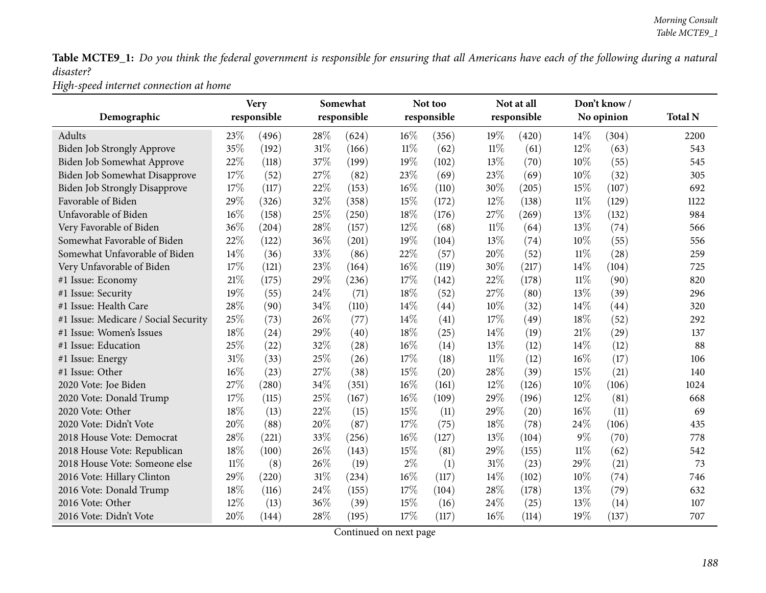Table MCTE9\_1: Do you think the federal government is responsible for ensuring that all Americans have each of the following during a natural *disaster?*

*High-speed internet connection at home*

|                                      |        | <b>Very</b>         |        | Somewhat    |        | Not too     |        | Not at all  |        | Don't know/ |                |
|--------------------------------------|--------|---------------------|--------|-------------|--------|-------------|--------|-------------|--------|-------------|----------------|
| Demographic                          |        | responsible         |        | responsible |        | responsible |        | responsible |        | No opinion  | <b>Total N</b> |
| Adults                               | 23%    | (496)               | 28%    | (624)       | 16%    | (356)       | 19%    | (420)       | 14%    | (304)       | 2200           |
| Biden Job Strongly Approve           | 35%    | (192)               | 31%    | (166)       | $11\%$ | (62)        | $11\%$ | (61)        | 12%    | (63)        | 543            |
| Biden Job Somewhat Approve           | 22%    | (118)               | 37%    | (199)       | 19%    | (102)       | 13%    | (70)        | 10%    | (55)        | 545            |
| Biden Job Somewhat Disapprove        | 17%    | (52)                | 27%    | (82)        | 23%    | (69)        | 23%    | (69)        | 10%    | (32)        | 305            |
| Biden Job Strongly Disapprove        | 17%    | (117)               | 22%    | (153)       | $16\%$ | (110)       | 30%    | (205)       | 15%    | (107)       | 692            |
| Favorable of Biden                   | 29%    | (326)               | 32%    | (358)       | 15%    | (172)       | 12%    | (138)       | $11\%$ | (129)       | 1122           |
| Unfavorable of Biden                 | $16\%$ | (158)               | 25%    | (250)       | 18%    | (176)       | 27%    | (269)       | 13%    | (132)       | 984            |
| Very Favorable of Biden              | 36%    | (204)               | 28%    | (157)       | 12%    | (68)        | $11\%$ | (64)        | 13%    | (74)        | 566            |
| Somewhat Favorable of Biden          | 22%    | (122)               | 36%    | (201)       | 19%    | (104)       | 13%    | (74)        | 10%    | (55)        | 556            |
| Somewhat Unfavorable of Biden        | $14\%$ | (36)                | 33%    | (86)        | 22%    | (57)        | 20%    | (52)        | 11%    | (28)        | 259            |
| Very Unfavorable of Biden            | 17%    | (121)               | 23%    | (164)       | $16\%$ | (119)       | 30%    | (217)       | 14\%   | (104)       | 725            |
| #1 Issue: Economy                    | 21%    | (175)               | 29%    | (236)       | 17%    | (142)       | 22%    | (178)       | 11%    | (90)        | 820            |
| #1 Issue: Security                   | 19%    | (55)                | 24\%   | (71)        | $18\%$ | (52)        | 27%    | (80)        | 13%    | (39)        | 296            |
| #1 Issue: Health Care                | 28%    | (90)                | 34%    | (110)       | 14%    | (44)        | 10%    | (32)        | 14%    | (44)        | 320            |
| #1 Issue: Medicare / Social Security | 25%    | (73)                | 26%    | (77)        | 14%    | (41)        | 17%    | (49)        | 18%    | (52)        | 292            |
| #1 Issue: Women's Issues             | 18%    | (24)                | 29%    | (40)        | 18%    | (25)        | 14\%   | (19)        | 21\%   | (29)        | 137            |
| #1 Issue: Education                  | 25%    | (22)                | 32%    | (28)        | $16\%$ | (14)        | 13%    | (12)        | 14\%   | (12)        | 88             |
| #1 Issue: Energy                     | 31%    | (33)                | 25%    | (26)        | 17%    | (18)        | $11\%$ | (12)        | 16%    | (17)        | 106            |
| #1 Issue: Other                      | 16%    | (23)                | 27%    | (38)        | 15%    | (20)        | 28%    | (39)        | 15%    | (21)        | 140            |
| 2020 Vote: Joe Biden                 | 27%    | $\left( 280\right)$ | 34%    | (351)       | $16\%$ | (161)       | $12\%$ | (126)       | 10%    | (106)       | 1024           |
| 2020 Vote: Donald Trump              | 17%    | (115)               | 25%    | (167)       | 16%    | (109)       | 29%    | (196)       | 12%    | (81)        | 668            |
| 2020 Vote: Other                     | 18%    | (13)                | 22%    | (15)        | 15%    | (11)        | 29%    | (20)        | 16%    | (11)        | 69             |
| 2020 Vote: Didn't Vote               | 20%    | (88)                | 20%    | (87)        | 17%    | (75)        | 18%    | (78)        | 24%    | (106)       | 435            |
| 2018 House Vote: Democrat            | 28%    | (221)               | 33%    | (256)       | 16%    | (127)       | 13%    | (104)       | $9\%$  | (70)        | 778            |
| 2018 House Vote: Republican          | 18%    | (100)               | 26%    | (143)       | 15%    | (81)        | 29%    | (155)       | 11%    | (62)        | 542            |
| 2018 House Vote: Someone else        | $11\%$ | (8)                 | 26%    | (19)        | $2\%$  | (1)         | 31%    | (23)        | 29%    | (21)        | 73             |
| 2016 Vote: Hillary Clinton           | 29%    | (220)               | $31\%$ | (234)       | 16%    | (117)       | 14\%   | (102)       | 10%    | (74)        | 746            |
| 2016 Vote: Donald Trump              | 18%    | (116)               | 24\%   | (155)       | 17%    | (104)       | 28%    | (178)       | 13%    | (79)        | 632            |
| 2016 Vote: Other                     | 12%    | (13)                | 36%    | (39)        | 15%    | (16)        | 24\%   | (25)        | 13%    | (14)        | 107            |
| 2016 Vote: Didn't Vote               | 20%    | (144)               | 28%    | (195)       | 17%    | (117)       | 16%    | (114)       | 19%    | (137)       | 707            |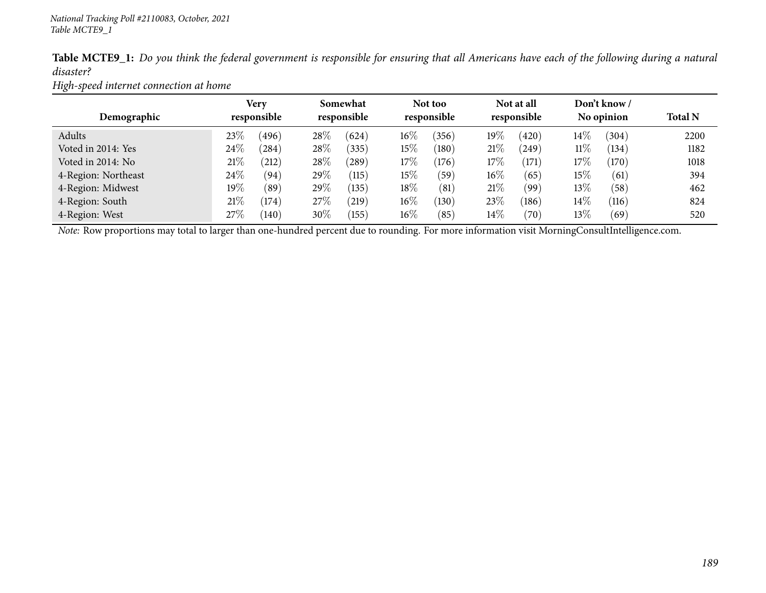|           | Table MCTE9_1: Do you think the federal government is responsible for ensuring that all Americans have each of the following during a natural |  |  |  |  |
|-----------|-----------------------------------------------------------------------------------------------------------------------------------------------|--|--|--|--|
| disaster? |                                                                                                                                               |  |  |  |  |

*High-speed internet connection at home*

| Demographic         | Very<br>responsible |       |        | Somewhat<br>responsible |        | Not too<br>responsible |        | Not at all<br>responsible |        | Don't know /<br>No opinion | <b>Total N</b> |
|---------------------|---------------------|-------|--------|-------------------------|--------|------------------------|--------|---------------------------|--------|----------------------------|----------------|
| Adults              | 23\%                | (496) | 28\%   | (624)                   | $16\%$ | (356)                  | 19%    | (420)                     | $14\%$ | (304)                      | 2200           |
| Voted in 2014: Yes  | 24\%                | (284) | 28\%   | (335)                   | 15%    | (180)                  | 21\%   | (249)                     | $11\%$ | (134)                      | 1182           |
| Voted in 2014: No   | 21%                 | 212   | 28\%   | $^{'}289$               | 17%    | (176)                  | 17\%   | (171)                     | $17\%$ | (170)                      | 1018           |
| 4-Region: Northeast | 24\%                | (94)  | 29\%   | (115)                   | $15\%$ | (59)                   | $16\%$ | (65)                      | $15\%$ | (61)                       | 394            |
| 4-Region: Midwest   | $19\%$              | (89`  | 29\%   | (135)                   | 18%    | (81)                   | 21%    | (99)                      | $13\%$ | (58)                       | 462            |
| 4-Region: South     | 21%                 | (174) | 27\%   | (219)                   | $16\%$ | (130)                  | 23%    | (186)                     | $14\%$ | (116)                      | 824            |
| 4-Region: West      | 27\%                | (140) | $30\%$ | (155)                   | $16\%$ | (85)                   | $14\%$ | (70)                      | $13\%$ | (69)                       | 520            |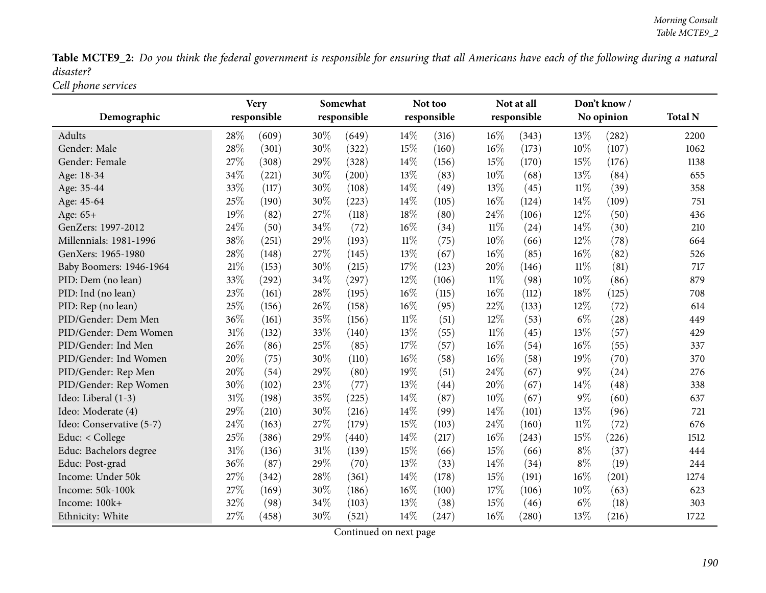Table MCTE9\_2: Do you think the federal government is responsible for ensuring that all Americans have each of the following during a natural *disaster?*

*Cell <sup>p</sup>hone services*

|                          |        | <b>Very</b> |        | Somewhat    |        | Not too     |        | Not at all          |        | Don't know/ |                |
|--------------------------|--------|-------------|--------|-------------|--------|-------------|--------|---------------------|--------|-------------|----------------|
| Demographic              |        | responsible |        | responsible |        | responsible |        | responsible         |        | No opinion  | <b>Total N</b> |
| <b>Adults</b>            | 28\%   | (609)       | 30%    | (649)       | 14%    | (316)       | $16\%$ | (343)               | 13%    | (282)       | 2200           |
| Gender: Male             | 28%    | (301)       | 30%    | (322)       | 15%    | (160)       | 16%    | (173)               | 10%    | (107)       | 1062           |
| Gender: Female           | 27%    | (308)       | 29%    | (328)       | 14\%   | (156)       | 15%    | (170)               | 15%    | (176)       | 1138           |
| Age: 18-34               | 34%    | (221)       | 30%    | (200)       | 13%    | (83)        | 10%    | (68)                | 13%    | (84)        | 655            |
| Age: 35-44               | 33%    | (117)       | 30%    | (108)       | 14%    | (49)        | 13%    | (45)                | $11\%$ | (39)        | 358            |
| Age: 45-64               | 25%    | (190)       | 30%    | (223)       | 14%    | (105)       | 16%    | (124)               | 14%    | (109)       | 751            |
| Age: $65+$               | 19%    | (82)        | 27%    | (118)       | 18%    | (80)        | 24%    | (106)               | 12%    | (50)        | 436            |
| GenZers: 1997-2012       | 24%    | (50)        | 34%    | (72)        | 16%    | (34)        | $11\%$ | (24)                | 14%    | (30)        | 210            |
| Millennials: 1981-1996   | 38%    | (251)       | 29%    | (193)       | $11\%$ | (75)        | 10%    | (66)                | 12%    | (78)        | 664            |
| GenXers: 1965-1980       | 28%    | (148)       | 27%    | (145)       | 13%    | (67)        | 16%    | (85)                | 16%    | (82)        | 526            |
| Baby Boomers: 1946-1964  | $21\%$ | (153)       | 30%    | (215)       | 17%    | (123)       | 20%    | (146)               | $11\%$ | (81)        | 717            |
| PID: Dem (no lean)       | 33%    | (292)       | 34%    | (297)       | 12%    | (106)       | $11\%$ | (98)                | 10%    | (86)        | 879            |
| PID: Ind (no lean)       | 23%    | (161)       | $28\%$ | (195)       | 16%    | (115)       | 16%    | (112)               | 18%    | (125)       | 708            |
| PID: Rep (no lean)       | 25%    | (156)       | 26%    | (158)       | 16%    | (95)        | 22%    | (133)               | 12%    | (72)        | 614            |
| PID/Gender: Dem Men      | 36%    | (161)       | 35%    | (156)       | $11\%$ | (51)        | 12%    | (53)                | $6\%$  | (28)        | 449            |
| PID/Gender: Dem Women    | 31%    | (132)       | 33%    | (140)       | 13%    | (55)        | $11\%$ | (45)                | 13%    | (57)        | 429            |
| PID/Gender: Ind Men      | 26%    | (86)        | 25%    | (85)        | 17%    | (57)        | 16%    | (54)                | 16%    | (55)        | 337            |
| PID/Gender: Ind Women    | 20%    | (75)        | 30%    | (110)       | 16%    | (58)        | 16%    | (58)                | 19%    | (70)        | 370            |
| PID/Gender: Rep Men      | 20%    | (54)        | 29%    | (80)        | 19%    | (51)        | 24%    | (67)                | $9\%$  | (24)        | 276            |
| PID/Gender: Rep Women    | 30%    | (102)       | 23%    | (77)        | 13%    | (44)        | 20%    | (67)                | 14%    | (48)        | 338            |
| Ideo: Liberal (1-3)      | 31%    | (198)       | 35%    | (225)       | 14%    | (87)        | 10%    | (67)                | $9\%$  | (60)        | 637            |
| Ideo: Moderate (4)       | 29%    | (210)       | 30%    | (216)       | 14%    | (99)        | 14%    | (101)               | 13%    | (96)        | 721            |
| Ideo: Conservative (5-7) | 24\%   | (163)       | 27%    | (179)       | 15%    | (103)       | 24%    | (160)               | $11\%$ | (72)        | 676            |
| Educ: < College          | 25%    | (386)       | 29%    | (440)       | 14%    | (217)       | $16\%$ | (243)               | 15%    | (226)       | 1512           |
| Educ: Bachelors degree   | $31\%$ | (136)       | $31\%$ | (139)       | 15%    | (66)        | 15%    | (66)                | $8\%$  | (37)        | 444            |
| Educ: Post-grad          | 36%    | (87)        | 29%    | (70)        | 13%    | (33)        | 14%    | (34)                | $8\%$  | (19)        | 244            |
| Income: Under 50k        | 27%    | (342)       | 28\%   | (361)       | 14%    | (178)       | 15%    | (191)               | 16%    | (201)       | 1274           |
| Income: 50k-100k         | 27%    | (169)       | 30%    | (186)       | 16%    | (100)       | 17%    | (106)               | 10%    | (63)        | 623            |
| Income: 100k+            | 32%    | (98)        | 34%    | (103)       | 13%    | (38)        | 15%    | (46)                | $6\%$  | (18)        | 303            |
| Ethnicity: White         | 27%    | (458)       | 30%    | (521)       | 14%    | (247)       | 16%    | $\left( 280\right)$ | 13%    | (216)       | 1722           |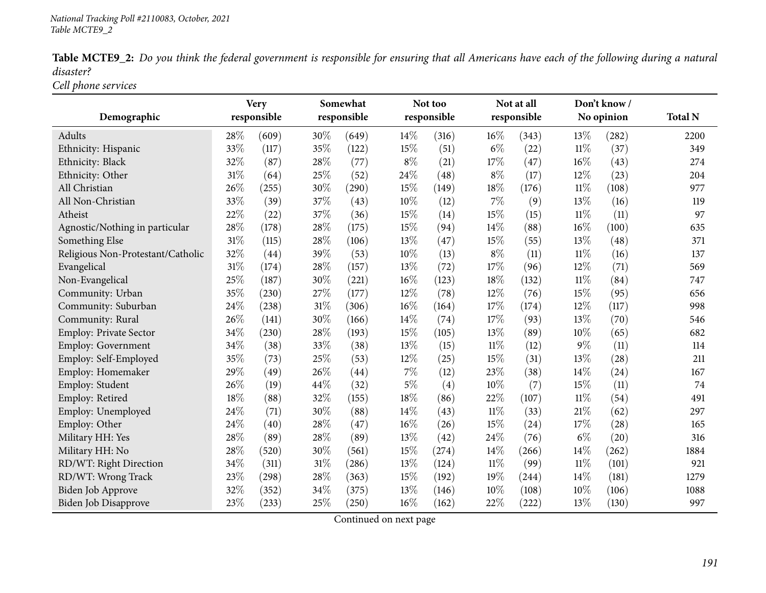|           |  | Table MCTE9_2: Do you think the federal government is responsible for ensuring that all Americans have each of the following during a natural |  |  |
|-----------|--|-----------------------------------------------------------------------------------------------------------------------------------------------|--|--|
| disaster? |  |                                                                                                                                               |  |  |

*Cell <sup>p</sup>hone services*

|                                   |        | <b>Very</b> |        | Somewhat    |        | Not too     |        | Not at all  |        | Don't know / |                |
|-----------------------------------|--------|-------------|--------|-------------|--------|-------------|--------|-------------|--------|--------------|----------------|
| Demographic                       |        | responsible |        | responsible |        | responsible |        | responsible |        | No opinion   | <b>Total N</b> |
| Adults                            | 28%    | (609)       | 30%    | (649)       | $14\%$ | (316)       | $16\%$ | (343)       | 13%    | (282)        | 2200           |
| Ethnicity: Hispanic               | 33%    | (117)       | 35%    | (122)       | 15%    | (51)        | $6\%$  | (22)        | $11\%$ | (37)         | 349            |
| Ethnicity: Black                  | 32%    | (87)        | 28%    | (77)        | $8\%$  | (21)        | 17\%   | (47)        | 16%    | (43)         | 274            |
| Ethnicity: Other                  | 31%    | (64)        | 25%    | (52)        | 24%    | (48)        | $8\%$  | (17)        | 12%    | (23)         | 204            |
| All Christian                     | 26%    | (255)       | 30%    | (290)       | 15%    | (149)       | 18%    | (176)       | $11\%$ | (108)        | 977            |
| All Non-Christian                 | 33%    | (39)        | 37%    | (43)        | 10%    | (12)        | 7%     | (9)         | 13%    | (16)         | 119            |
| Atheist                           | 22%    | (22)        | 37%    | (36)        | 15%    | (14)        | 15%    | (15)        | 11%    | (11)         | 97             |
| Agnostic/Nothing in particular    | 28%    | (178)       | 28\%   | (175)       | 15%    | (94)        | $14\%$ | (88)        | 16%    | (100)        | 635            |
| Something Else                    | $31\%$ | (115)       | 28%    | (106)       | 13%    | (47)        | 15%    | (55)        | 13%    | (48)         | 371            |
| Religious Non-Protestant/Catholic | 32%    | (44)        | 39%    | (53)        | $10\%$ | (13)        | $8\%$  | (11)        | $11\%$ | (16)         | 137            |
| Evangelical                       | $31\%$ | (174)       | 28\%   | (157)       | 13%    | (72)        | 17%    | (96)        | 12%    | (71)         | 569            |
| Non-Evangelical                   | 25%    | (187)       | 30%    | (221)       | 16%    | (123)       | 18%    | (132)       | $11\%$ | (84)         | 747            |
| Community: Urban                  | 35%    | (230)       | 27\%   | (177)       | 12%    | (78)        | $12\%$ | (76)        | 15%    | (95)         | 656            |
| Community: Suburban               | 24\%   | (238)       | $31\%$ | (306)       | 16%    | (164)       | 17%    | (174)       | 12%    | (117)        | 998            |
| Community: Rural                  | 26%    | (141)       | 30%    | (166)       | 14\%   | (74)        | 17%    | (93)        | 13%    | (70)         | 546            |
| Employ: Private Sector            | 34%    | (230)       | 28\%   | (193)       | 15%    | (105)       | 13%    | (89)        | 10%    | (65)         | 682            |
| Employ: Government                | 34%    | (38)        | 33%    | (38)        | 13%    | (15)        | $11\%$ | (12)        | $9\%$  | (11)         | 114            |
| Employ: Self-Employed             | 35%    | (73)        | 25%    | (53)        | 12%    | (25)        | 15%    | (31)        | 13%    | (28)         | 211            |
| Employ: Homemaker                 | 29%    | (49)        | 26\%   | (44)        | $7\%$  | (12)        | 23%    | (38)        | 14\%   | (24)         | 167            |
| Employ: Student                   | 26%    | (19)        | 44\%   | (32)        | $5\%$  | (4)         | 10%    | (7)         | 15%    | (11)         | 74             |
| Employ: Retired                   | 18%    | (88)        | 32%    | (155)       | 18%    | (86)        | 22%    | (107)       | $11\%$ | (54)         | 491            |
| Employ: Unemployed                | 24%    | (71)        | 30%    | (88)        | 14%    | (43)        | $11\%$ | (33)        | 21%    | (62)         | 297            |
| Employ: Other                     | 24%    | (40)        | 28%    | (47)        | 16%    | (26)        | 15%    | (24)        | 17%    | (28)         | 165            |
| Military HH: Yes                  | 28%    | (89)        | 28%    | (89)        | 13%    | (42)        | 24\%   | (76)        | $6\%$  | (20)         | 316            |
| Military HH: No                   | 28%    | (520)       | 30%    | (561)       | 15%    | (274)       | 14%    | (266)       | 14%    | (262)        | 1884           |
| RD/WT: Right Direction            | 34%    | (311)       | 31%    | (286)       | 13%    | (124)       | $11\%$ | (99)        | $11\%$ | (101)        | 921            |
| RD/WT: Wrong Track                | 23%    | (298)       | $28\%$ | (363)       | 15%    | (192)       | 19%    | (244)       | 14%    | (181)        | 1279           |
| Biden Job Approve                 | 32%    | (352)       | 34%    | (375)       | 13%    | (146)       | 10%    | (108)       | $10\%$ | (106)        | 1088           |
| <b>Biden Job Disapprove</b>       | 23%    | (233)       | 25%    | (250)       | 16%    | (162)       | 22%    | (222)       | 13%    | (130)        | 997            |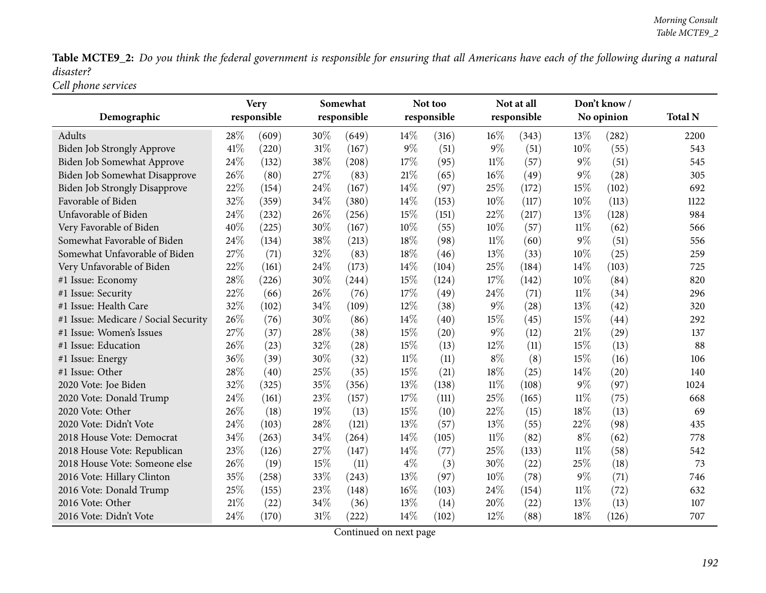Table MCTE9\_2: Do you think the federal government is responsible for ensuring that all Americans have each of the following during a natural *disaster?*

*Cell <sup>p</sup>hone services*

|                                      |      | Very        |     | Somewhat    |        | Not too     |        | Not at all  |        | Don't know/ |                |
|--------------------------------------|------|-------------|-----|-------------|--------|-------------|--------|-------------|--------|-------------|----------------|
| Demographic                          |      | responsible |     | responsible |        | responsible |        | responsible |        | No opinion  | <b>Total N</b> |
| Adults                               | 28\% | (609)       | 30% | (649)       | 14%    | (316)       | $16\%$ | (343)       | 13\%   | (282)       | 2200           |
| <b>Biden Job Strongly Approve</b>    | 41\% | (220)       | 31% | (167)       | 9%     | (51)        | $9\%$  | (51)        | $10\%$ | (55)        | 543            |
| Biden Job Somewhat Approve           | 24%  | (132)       | 38% | (208)       | 17%    | (95)        | $11\%$ | (57)        | $9\%$  | (51)        | 545            |
| Biden Job Somewhat Disapprove        | 26%  | (80)        | 27% | (83)        | 21%    | (65)        | $16\%$ | (49)        | $9\%$  | (28)        | 305            |
| <b>Biden Job Strongly Disapprove</b> | 22%  | (154)       | 24% | (167)       | 14%    | (97)        | 25%    | (172)       | 15%    | (102)       | 692            |
| Favorable of Biden                   | 32%  | (359)       | 34% | (380)       | 14%    | (153)       | 10%    | (117)       | $10\%$ | (113)       | 1122           |
| Unfavorable of Biden                 | 24\% | (232)       | 26% | (256)       | 15%    | (151)       | 22%    | (217)       | 13\%   | (128)       | 984            |
| Very Favorable of Biden              | 40%  | (225)       | 30% | (167)       | 10%    | (55)        | 10%    | (57)        | $11\%$ | (62)        | 566            |
| Somewhat Favorable of Biden          | 24%  | (134)       | 38% | (213)       | 18%    | (98)        | 11%    | (60)        | $9\%$  | (51)        | 556            |
| Somewhat Unfavorable of Biden        | 27%  | (71)        | 32% | (83)        | 18%    | (46)        | 13%    | (33)        | $10\%$ | (25)        | 259            |
| Very Unfavorable of Biden            | 22%  | (161)       | 24% | (173)       | 14%    | (104)       | 25%    | (184)       | 14\%   | (103)       | 725            |
| #1 Issue: Economy                    | 28%  | (226)       | 30% | (244)       | 15%    | (124)       | 17%    | (142)       | 10%    | (84)        | 820            |
| #1 Issue: Security                   | 22%  | (66)        | 26% | (76)        | 17%    | (49)        | 24\%   | (71)        | $11\%$ | (34)        | 296            |
| #1 Issue: Health Care                | 32%  | (102)       | 34% | (109)       | 12%    | (38)        | $9\%$  | (28)        | 13%    | (42)        | 320            |
| #1 Issue: Medicare / Social Security | 26%  | (76)        | 30% | (86)        | 14%    | (40)        | 15%    | (45)        | 15%    | (44)        | 292            |
| #1 Issue: Women's Issues             | 27%  | (37)        | 28% | (38)        | 15%    | (20)        | $9\%$  | (12)        | 21\%   | (29)        | 137            |
| #1 Issue: Education                  | 26%  | (23)        | 32% | (28)        | 15%    | (13)        | $12\%$ | (11)        | 15%    | (13)        | 88             |
| #1 Issue: Energy                     | 36%  | (39)        | 30% | (32)        | $11\%$ | (11)        | $8\%$  | (8)         | 15%    | (16)        | 106            |
| #1 Issue: Other                      | 28%  | (40)        | 25% | (35)        | 15%    | (21)        | 18%    | (25)        | 14%    | (20)        | 140            |
| 2020 Vote: Joe Biden                 | 32%  | (325)       | 35% | (356)       | 13%    | (138)       | $11\%$ | (108)       | $9\%$  | (97)        | 1024           |
| 2020 Vote: Donald Trump              | 24\% | (161)       | 23% | (157)       | 17%    | (111)       | 25%    | (165)       | 11%    | (75)        | 668            |
| 2020 Vote: Other                     | 26%  | (18)        | 19% | (13)        | 15%    | (10)        | 22%    | (15)        | 18\%   | (13)        | 69             |
| 2020 Vote: Didn't Vote               | 24%  | (103)       | 28% | (121)       | 13%    | (57)        | 13\%   | (55)        | 22%    | (98)        | 435            |
| 2018 House Vote: Democrat            | 34%  | (263)       | 34% | (264)       | 14%    | (105)       | 11%    | (82)        | $8\%$  | (62)        | 778            |
| 2018 House Vote: Republican          | 23%  | (126)       | 27% | (147)       | 14%    | (77)        | 25%    | (133)       | $11\%$ | (58)        | 542            |
| 2018 House Vote: Someone else        | 26%  | (19)        | 15% | (11)        | $4\%$  | (3)         | 30%    | (22)        | 25%    | (18)        | 73             |
| 2016 Vote: Hillary Clinton           | 35%  | (258)       | 33% | (243)       | 13%    | (97)        | 10%    | (78)        | $9\%$  | (71)        | 746            |
| 2016 Vote: Donald Trump              | 25%  | (155)       | 23% | (148)       | 16%    | (103)       | 24%    | (154)       | $11\%$ | (72)        | 632            |
| 2016 Vote: Other                     | 21%  | (22)        | 34% | (36)        | 13%    | (14)        | 20%    | (22)        | 13%    | (13)        | 107            |
| 2016 Vote: Didn't Vote               | 24%  | (170)       | 31% | (222)       | 14%    | (102)       | 12%    | (88)        | 18%    | (126)       | 707            |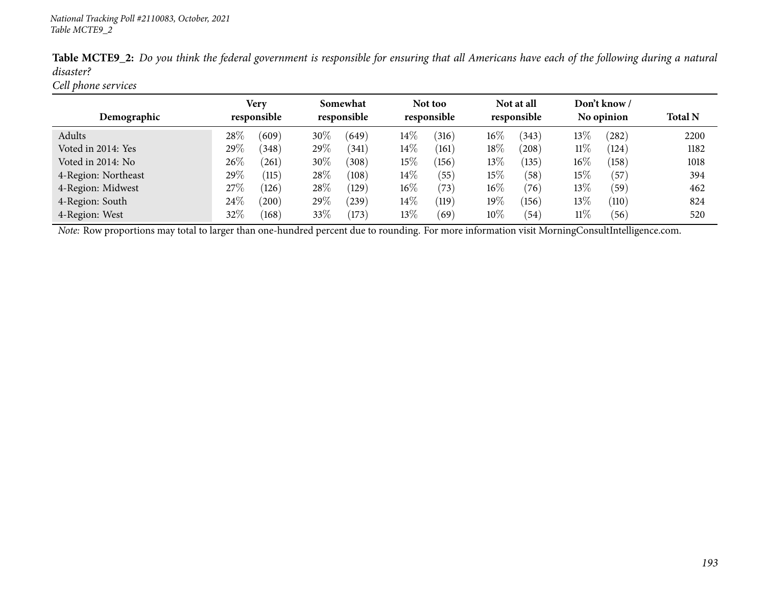| <b>Table MCTE9_2:</b> Do you think the federal government is responsible for ensuring that all Americans have each of the following during a natural |  |  |  |  |  |
|------------------------------------------------------------------------------------------------------------------------------------------------------|--|--|--|--|--|
| disaster?                                                                                                                                            |  |  |  |  |  |
| Cell phone services                                                                                                                                  |  |  |  |  |  |

|                     | Very<br>responsible |       | Somewhat<br>responsible |       |        | Not too<br>responsible |        | Not at all        |        | Don't know / |                |
|---------------------|---------------------|-------|-------------------------|-------|--------|------------------------|--------|-------------------|--------|--------------|----------------|
| Demographic         |                     |       |                         |       |        |                        |        | responsible       |        | No opinion   | <b>Total N</b> |
| Adults              | 28%                 | (609) | 30\%                    | (649) | $14\%$ | (316)                  | $16\%$ | (343)             | $13\%$ | (282)        | 2200           |
| Voted in 2014: Yes  | 29%                 | (348) | 29\%                    | (341) | $14\%$ | (161)                  | $18\%$ | (208)             | $11\%$ | (124)        | 1182           |
| Voted in 2014: No   | 26%                 | (261) | 30\%                    | (308) | 15%    | (156)                  | $13\%$ | (135)             | $16\%$ | (158)        | 1018           |
| 4-Region: Northeast | 29%                 | (115) | 28\%                    | (108) | $14\%$ | (55)                   | $15\%$ | (58)              | $15\%$ | (57)         | 394            |
| 4-Region: Midwest   | 27\%                | (126) | 28\%                    | (129) | $16\%$ | (73)                   | $16\%$ | (76)              | $13\%$ | (59)         | 462            |
| 4-Region: South     | 24\%                | (200) | 29%                     | (239) | $14\%$ | $^{\prime}119)$        | $19\%$ | (156)             | $13\%$ | (110)        | 824            |
| 4-Region: West      | 32%                 | (168) | 33\%                    | (173) | $13\%$ | (69)                   | $10\%$ | $\left(54\right)$ | $11\%$ | (56)         | 520            |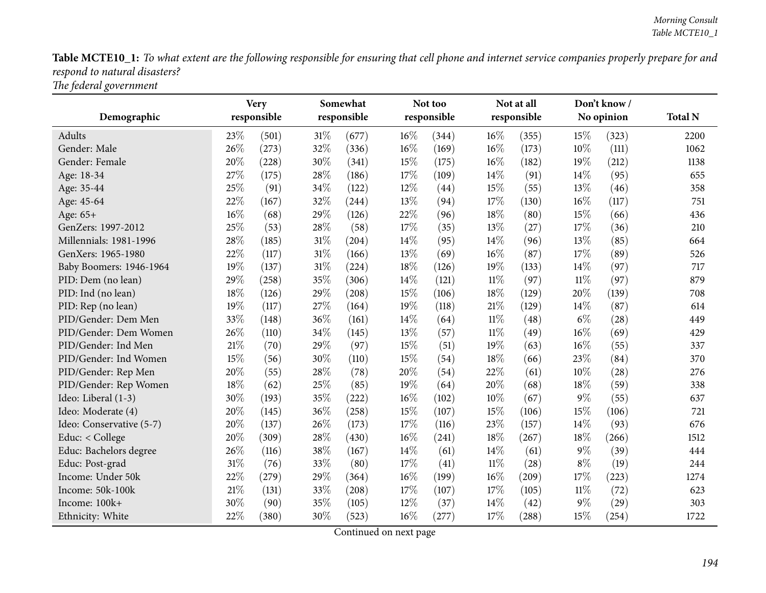Table MCTE10\_1: To what extent are the following responsible for ensuring that cell phone and internet service companies properly prepare for and *respon<sup>d</sup> to natural disasters?*

*The federal governmen<sup>t</sup>*

|                          |        | <b>Very</b> |        | Somewhat    |        | Not too     |        | Not at all  |        | Don't know/ |                |
|--------------------------|--------|-------------|--------|-------------|--------|-------------|--------|-------------|--------|-------------|----------------|
| Demographic              |        | responsible |        | responsible |        | responsible |        | responsible |        | No opinion  | <b>Total N</b> |
| Adults                   | 23%    | (501)       | $31\%$ | (677)       | $16\%$ | (344)       | 16%    | (355)       | 15%    | (323)       | 2200           |
| Gender: Male             | 26%    | (273)       | 32%    | (336)       | $16\%$ | (169)       | 16%    | (173)       | 10%    | (111)       | 1062           |
| Gender: Female           | 20%    | (228)       | 30%    | (341)       | 15%    | (175)       | 16%    | (182)       | 19%    | (212)       | 1138           |
| Age: 18-34               | 27%    | (175)       | 28\%   | (186)       | 17%    | (109)       | 14%    | (91)        | 14\%   | (95)        | 655            |
| Age: 35-44               | 25%    | (91)        | 34%    | (122)       | 12%    | (44)        | 15%    | (55)        | 13%    | (46)        | 358            |
| Age: 45-64               | $22\%$ | (167)       | 32%    | (244)       | 13%    | (94)        | 17%    | (130)       | 16%    | (117)       | 751            |
| Age: 65+                 | 16%    | (68)        | 29%    | (126)       | 22%    | (96)        | 18%    | (80)        | 15%    | (66)        | 436            |
| GenZers: 1997-2012       | 25%    | (53)        | 28%    | (58)        | 17%    | (35)        | 13%    | (27)        | 17%    | (36)        | 210            |
| Millennials: 1981-1996   | 28%    | (185)       | $31\%$ | (204)       | 14%    | (95)        | 14%    | (96)        | 13%    | (85)        | 664            |
| GenXers: 1965-1980       | 22%    | (117)       | $31\%$ | (166)       | 13%    | (69)        | 16%    | (87)        | 17%    | (89)        | 526            |
| Baby Boomers: 1946-1964  | 19%    | (137)       | $31\%$ | (224)       | 18%    | (126)       | 19%    | (133)       | 14\%   | (97)        | 717            |
| PID: Dem (no lean)       | 29%    | (258)       | 35%    | (306)       | 14%    | (121)       | $11\%$ | (97)        | $11\%$ | (97)        | 879            |
| PID: Ind (no lean)       | 18%    | (126)       | 29%    | (208)       | 15%    | (106)       | 18%    | (129)       | 20%    | (139)       | 708            |
| PID: Rep (no lean)       | 19%    | (117)       | 27%    | (164)       | 19%    | (118)       | $21\%$ | (129)       | 14%    | (87)        | 614            |
| PID/Gender: Dem Men      | 33%    | (148)       | 36%    | (161)       | 14%    | (64)        | $11\%$ | (48)        | $6\%$  | (28)        | 449            |
| PID/Gender: Dem Women    | 26%    | (110)       | 34%    | (145)       | 13%    | (57)        | $11\%$ | (49)        | 16%    | (69)        | 429            |
| PID/Gender: Ind Men      | 21%    | (70)        | 29%    | (97)        | 15%    | (51)        | 19%    | (63)        | 16%    | (55)        | 337            |
| PID/Gender: Ind Women    | 15%    | (56)        | 30%    | (110)       | 15%    | (54)        | 18%    | (66)        | 23%    | (84)        | 370            |
| PID/Gender: Rep Men      | 20%    | (55)        | 28%    | (78)        | 20%    | (54)        | 22%    | (61)        | 10%    | (28)        | 276            |
| PID/Gender: Rep Women    | 18%    | (62)        | 25%    | (85)        | 19%    | (64)        | 20%    | (68)        | 18%    | (59)        | 338            |
| Ideo: Liberal (1-3)      | 30%    | (193)       | 35%    | (222)       | $16\%$ | (102)       | 10%    | (67)        | $9\%$  | (55)        | 637            |
| Ideo: Moderate (4)       | 20%    | (145)       | 36%    | (258)       | 15%    | (107)       | 15%    | (106)       | 15%    | (106)       | 721            |
| Ideo: Conservative (5-7) | 20%    | (137)       | 26%    | (173)       | $17\%$ | (116)       | 23%    | (157)       | 14%    | (93)        | 676            |
| Educ: < College          | 20%    | (309)       | 28\%   | (430)       | 16%    | (241)       | 18%    | (267)       | 18%    | (266)       | 1512           |
| Educ: Bachelors degree   | 26%    | (116)       | 38%    | (167)       | 14%    | (61)        | 14%    | (61)        | 9%     | (39)        | 444            |
| Educ: Post-grad          | 31%    | (76)        | 33%    | (80)        | 17%    | (41)        | $11\%$ | (28)        | $8\%$  | (19)        | 244            |
| Income: Under 50k        | 22%    | (279)       | 29%    | (364)       | 16%    | (199)       | $16\%$ | (209)       | 17%    | (223)       | 1274           |
| Income: 50k-100k         | $21\%$ | (131)       | 33%    | (208)       | 17%    | (107)       | 17%    | (105)       | $11\%$ | (72)        | 623            |
| Income: 100k+            | 30%    | (90)        | 35%    | (105)       | 12%    | (37)        | 14\%   | (42)        | $9\%$  | (29)        | 303            |
| Ethnicity: White         | 22%    | (380)       | 30%    | (523)       | 16%    | (277)       | 17%    | (288)       | 15%    | (254)       | 1722           |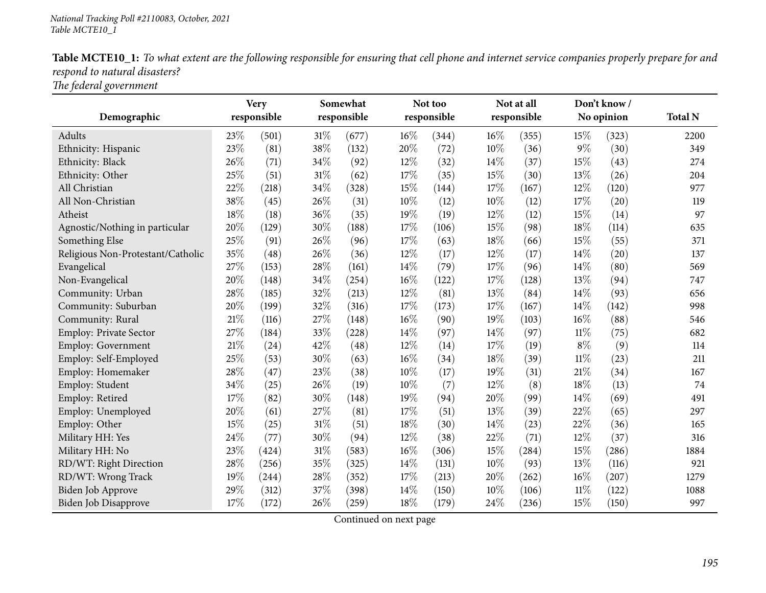|                               | Table MCTE10_1: To what extent are the following responsible for ensuring that cell phone and internet service companies properly prepare for and |  |  |
|-------------------------------|---------------------------------------------------------------------------------------------------------------------------------------------------|--|--|
| respond to natural disasters? |                                                                                                                                                   |  |  |
| $-1$ $-1$ $1$                 |                                                                                                                                                   |  |  |

*The federal governmen<sup>t</sup>*

|                                   |        | <b>Very</b> |        | Somewhat    |        | Not too     |     | Not at all  |        | Don't know/ |                |
|-----------------------------------|--------|-------------|--------|-------------|--------|-------------|-----|-------------|--------|-------------|----------------|
| Demographic                       |        | responsible |        | responsible |        | responsible |     | responsible |        | No opinion  | <b>Total N</b> |
| Adults                            | 23\%   | (501)       | $31\%$ | (677)       | 16%    | (344)       | 16% | (355)       | 15%    | (323)       | 2200           |
| Ethnicity: Hispanic               | 23%    | (81)        | 38%    | (132)       | 20%    | (72)        | 10% | (36)        | $9\%$  | (30)        | 349            |
| Ethnicity: Black                  | 26%    | (71)        | 34%    | (92)        | 12%    | (32)        | 14% | (37)        | 15%    | (43)        | 274            |
| Ethnicity: Other                  | 25%    | (51)        | $31\%$ | (62)        | 17%    | (35)        | 15% | (30)        | 13%    | (26)        | 204            |
| All Christian                     | 22%    | (218)       | 34%    | (328)       | 15%    | (144)       | 17% | (167)       | 12%    | (120)       | 977            |
| All Non-Christian                 | 38%    | (45)        | 26%    | (31)        | 10%    | (12)        | 10% | (12)        | 17%    | (20)        | 119            |
| Atheist                           | 18%    | (18)        | 36%    | (35)        | 19%    | (19)        | 12% | (12)        | 15%    | (14)        | 97             |
| Agnostic/Nothing in particular    | 20%    | (129)       | 30%    | (188)       | 17%    | (106)       | 15% | (98)        | 18%    | (114)       | 635            |
| Something Else                    | 25%    | (91)        | 26%    | (96)        | 17%    | (63)        | 18% | (66)        | 15%    | (55)        | 371            |
| Religious Non-Protestant/Catholic | 35%    | (48)        | 26%    | (36)        | 12%    | (17)        | 12% | (17)        | 14%    | (20)        | 137            |
| Evangelical                       | 27%    | (153)       | 28\%   | (161)       | 14%    | (79)        | 17% | (96)        | 14%    | (80)        | 569            |
| Non-Evangelical                   | 20%    | (148)       | 34%    | (254)       | 16%    | (122)       | 17% | (128)       | 13%    | (94)        | 747            |
| Community: Urban                  | 28%    | (185)       | 32%    | (213)       | 12%    | (81)        | 13% | (84)        | 14%    | (93)        | 656            |
| Community: Suburban               | 20%    | (199)       | 32%    | (316)       | 17%    | (173)       | 17% | (167)       | 14%    | (142)       | 998            |
| Community: Rural                  | $21\%$ | (116)       | 27%    | (148)       | 16%    | (90)        | 19% | (103)       | 16%    | (88)        | 546            |
| <b>Employ: Private Sector</b>     | 27%    | (184)       | 33%    | (228)       | 14%    | (97)        | 14% | (97)        | $11\%$ | (75)        | 682            |
| Employ: Government                | 21%    | (24)        | 42%    | (48)        | 12%    | (14)        | 17% | (19)        | $8\%$  | (9)         | 114            |
| Employ: Self-Employed             | 25%    | (53)        | 30%    | (63)        | 16%    | (34)        | 18% | (39)        | $11\%$ | (23)        | 211            |
| Employ: Homemaker                 | 28%    | (47)        | 23%    | (38)        | 10%    | (17)        | 19% | (31)        | 21%    | (34)        | 167            |
| Employ: Student                   | 34%    | (25)        | 26%    | (19)        | 10%    | (7)         | 12% | (8)         | 18%    | (13)        | 74             |
| Employ: Retired                   | 17%    | (82)        | 30%    | (148)       | 19%    | (94)        | 20% | (99)        | 14%    | (69)        | 491            |
| Employ: Unemployed                | 20%    | (61)        | 27%    | (81)        | $17\%$ | (51)        | 13% | (39)        | 22%    | (65)        | 297            |
| Employ: Other                     | 15%    | (25)        | 31%    | (51)        | 18%    | (30)        | 14% | (23)        | 22%    | (36)        | 165            |
| Military HH: Yes                  | 24%    | (77)        | 30%    | (94)        | 12%    | (38)        | 22% | (71)        | 12%    | (37)        | 316            |
| Military HH: No                   | 23%    | (424)       | $31\%$ | (583)       | 16%    | (306)       | 15% | (284)       | 15%    | (286)       | 1884           |
| RD/WT: Right Direction            | 28%    | (256)       | 35%    | (325)       | 14%    | (131)       | 10% | (93)        | 13%    | (116)       | 921            |
| RD/WT: Wrong Track                | 19%    | (244)       | $28\%$ | (352)       | 17%    | (213)       | 20% | (262)       | 16%    | (207)       | 1279           |
| Biden Job Approve                 | 29%    | (312)       | 37%    | (398)       | 14%    | (150)       | 10% | (106)       | $11\%$ | (122)       | 1088           |
| <b>Biden Job Disapprove</b>       | 17%    | (172)       | 26%    | (259)       | 18%    | (179)       | 24% | (236)       | 15%    | (150)       | 997            |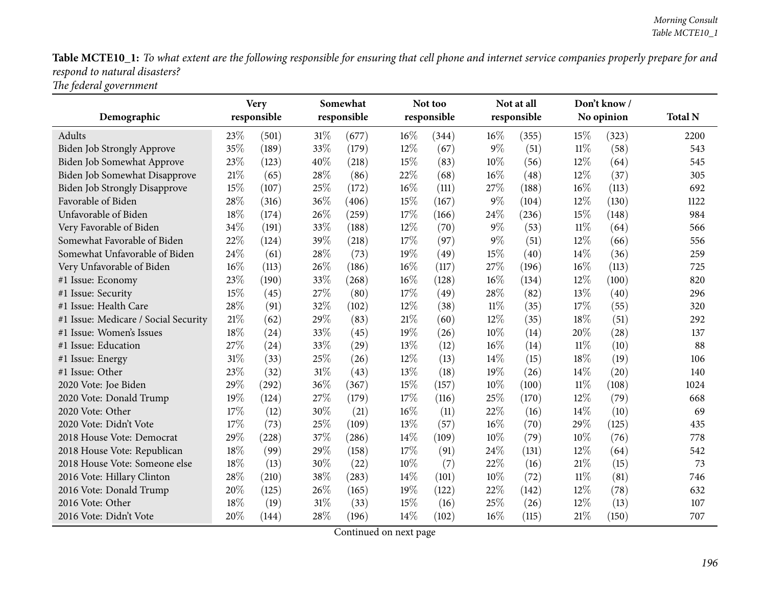Table MCTE10\_1: To what extent are the following responsible for ensuring that cell phone and internet service companies properly prepare for and *respon<sup>d</sup> to natural disasters?*

*The federal governmen<sup>t</sup>*

|                                      |        | <b>Very</b> |        | Somewhat    |      | Not too     |       | Not at all  |        | Don't know/ |                |
|--------------------------------------|--------|-------------|--------|-------------|------|-------------|-------|-------------|--------|-------------|----------------|
| Demographic                          |        | responsible |        | responsible |      | responsible |       | responsible |        | No opinion  | <b>Total N</b> |
| Adults                               | 23%    | (501)       | $31\%$ | (677)       | 16%  | (344)       | 16%   | (355)       | 15%    | (323)       | 2200           |
| Biden Job Strongly Approve           | 35%    | (189)       | 33%    | (179)       | 12%  | (67)        | $9\%$ | (51)        | 11%    | (58)        | 543            |
| Biden Job Somewhat Approve           | 23%    | (123)       | 40%    | (218)       | 15%  | (83)        | 10%   | (56)        | 12%    | (64)        | 545            |
| Biden Job Somewhat Disapprove        | $21\%$ | (65)        | 28%    | (86)        | 22%  | (68)        | 16%   | (48)        | 12%    | (37)        | 305            |
| <b>Biden Job Strongly Disapprove</b> | 15%    | (107)       | 25%    | (172)       | 16%  | (111)       | 27%   | (188)       | 16%    | (113)       | 692            |
| Favorable of Biden                   | 28%    | (316)       | 36%    | (406)       | 15%  | (167)       | 9%    | (104)       | 12%    | (130)       | 1122           |
| Unfavorable of Biden                 | 18%    | (174)       | 26%    | (259)       | 17%  | (166)       | 24%   | (236)       | 15%    | (148)       | 984            |
| Very Favorable of Biden              | 34%    | (191)       | 33%    | (188)       | 12%  | (70)        | $9\%$ | (53)        | $11\%$ | (64)        | 566            |
| Somewhat Favorable of Biden          | 22%    | (124)       | 39%    | (218)       | 17%  | (97)        | $9\%$ | (51)        | 12%    | (66)        | 556            |
| Somewhat Unfavorable of Biden        | 24%    | (61)        | 28\%   | (73)        | 19%  | (49)        | 15%   | (40)        | 14%    | (36)        | 259            |
| Very Unfavorable of Biden            | 16%    | (113)       | 26%    | (186)       | 16%  | (117)       | 27%   | (196)       | 16%    | (113)       | 725            |
| #1 Issue: Economy                    | 23%    | (190)       | 33%    | (268)       | 16%  | (128)       | 16%   | (134)       | 12%    | (100)       | 820            |
| #1 Issue: Security                   | 15%    | (45)        | 27%    | (80)        | 17%  | (49)        | 28%   | (82)        | 13%    | (40)        | 296            |
| #1 Issue: Health Care                | 28%    | (91)        | 32%    | (102)       | 12%  | (38)        | 11%   | (35)        | 17%    | (55)        | 320            |
| #1 Issue: Medicare / Social Security | 21%    | (62)        | 29%    | (83)        | 21%  | (60)        | 12%   | (35)        | 18%    | (51)        | 292            |
| #1 Issue: Women's Issues             | 18%    | (24)        | 33%    | (45)        | 19%  | (26)        | 10%   | (14)        | 20%    | (28)        | 137            |
| #1 Issue: Education                  | 27%    | (24)        | 33%    | (29)        | 13%  | (12)        | 16%   | (14)        | $11\%$ | (10)        | 88             |
| #1 Issue: Energy                     | 31%    | (33)        | 25%    | (26)        | 12%  | (13)        | 14%   | (15)        | 18%    | (19)        | 106            |
| #1 Issue: Other                      | 23%    | (32)        | $31\%$ | (43)        | 13%  | (18)        | 19%   | (26)        | 14%    | (20)        | 140            |
| 2020 Vote: Joe Biden                 | 29%    | (292)       | 36%    | (367)       | 15%  | (157)       | 10%   | (100)       | $11\%$ | (108)       | 1024           |
| 2020 Vote: Donald Trump              | 19%    | (124)       | 27%    | (179)       | 17%  | (116)       | 25%   | (170)       | 12%    | (79)        | 668            |
| 2020 Vote: Other                     | 17%    | (12)        | 30%    | (21)        | 16%  | (11)        | 22%   | (16)        | 14\%   | (10)        | 69             |
| 2020 Vote: Didn't Vote               | 17%    | (73)        | 25%    | (109)       | 13%  | (57)        | 16%   | (70)        | 29%    | (125)       | 435            |
| 2018 House Vote: Democrat            | 29%    | (228)       | 37%    | (286)       | 14%  | (109)       | 10%   | (79)        | 10%    | (76)        | 778            |
| 2018 House Vote: Republican          | 18%    | (99)        | 29%    | (158)       | 17%  | (91)        | 24%   | (131)       | 12%    | (64)        | 542            |
| 2018 House Vote: Someone else        | 18%    | (13)        | 30%    | (22)        | 10%  | (7)         | 22%   | (16)        | 21%    | (15)        | 73             |
| 2016 Vote: Hillary Clinton           | 28%    | (210)       | 38%    | (283)       | 14\% | (101)       | 10%   | (72)        | $11\%$ | (81)        | 746            |
| 2016 Vote: Donald Trump              | 20%    | (125)       | 26%    | (165)       | 19%  | (122)       | 22%   | (142)       | 12%    | (78)        | 632            |
| 2016 Vote: Other                     | 18%    | (19)        | 31\%   | (33)        | 15%  | (16)        | 25%   | (26)        | 12%    | (13)        | 107            |
| 2016 Vote: Didn't Vote               | 20%    | (144)       | 28\%   | (196)       | 14\% | (102)       | 16%   | (115)       | 21%    | (150)       | 707            |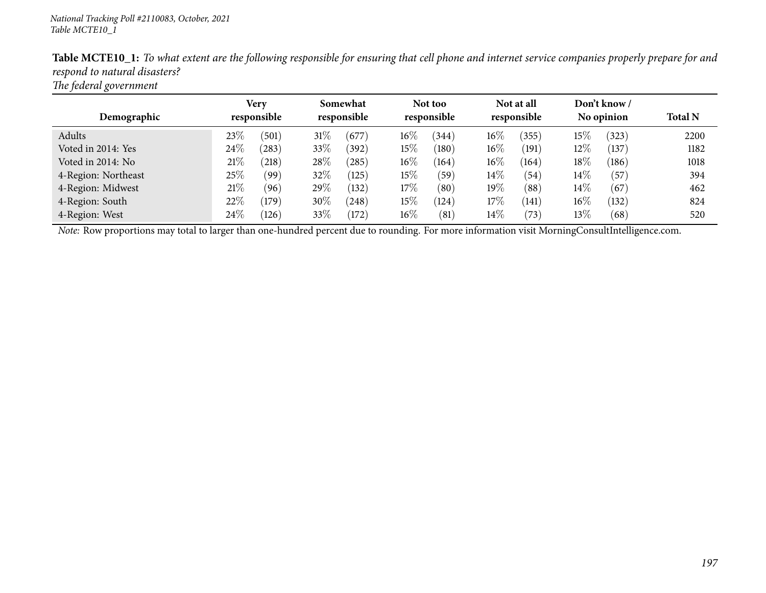| $\cdot$             |                     |                         |                        |                           |                            |                |
|---------------------|---------------------|-------------------------|------------------------|---------------------------|----------------------------|----------------|
| Demographic         | Very<br>responsible | Somewhat<br>responsible | Not too<br>responsible | Not at all<br>responsible | Don't know /<br>No opinion | <b>Total N</b> |
|                     |                     |                         |                        |                           |                            |                |
| Adults              | 23%<br>(501)        | 31%<br>(677)            | $16\%$<br>(344)        | $16\%$<br>(355)           | $15\%$<br>(323)            | 2200           |
| Voted in 2014: Yes  | 24\%<br>(283)       | 33\%<br>(392)           | $15\%$<br>(180)        | $16\%$<br>(191)           | $12\%$<br>(137)            | 1182           |
| Voted in 2014: No   | $21\%$<br>(218)     | 28\%<br>$^{'}285)$      | $16\%$<br>(164)        | $16\%$<br>(164)           | $18\%$<br>(186)            | 1018           |
| 4-Region: Northeast | 25%<br>(99)         | 32\%<br>(125)           | 15%<br>(59)            | $14\%$<br>(54)            | $14\%$<br>(57)             | 394            |
| 4-Region: Midwest   | 21%<br>(96)         | 29%<br>(132)            | 17%<br>(80)            | 19%<br>(88)               | $14\%$<br>(67)             | 462            |
| 4-Region: South     | 22%<br>(179)        | 30\%<br>(248)           | 15%<br>(124)           | 17\%<br>(141)             | $16\%$<br>(132)            | 824            |
| 4-Region: West      | 24\%<br>(126)       | 33\%<br>(172)           | $16\%$<br>(81)         | $14\%$<br>(73)            | $13\%$<br>(68)             | 520            |

Table MCTE10\_1: To what extent are the following responsible for ensuring that cell phone and internet service companies properly prepare for and *respon<sup>d</sup> to natural disasters?*

*The federal governmen<sup>t</sup>*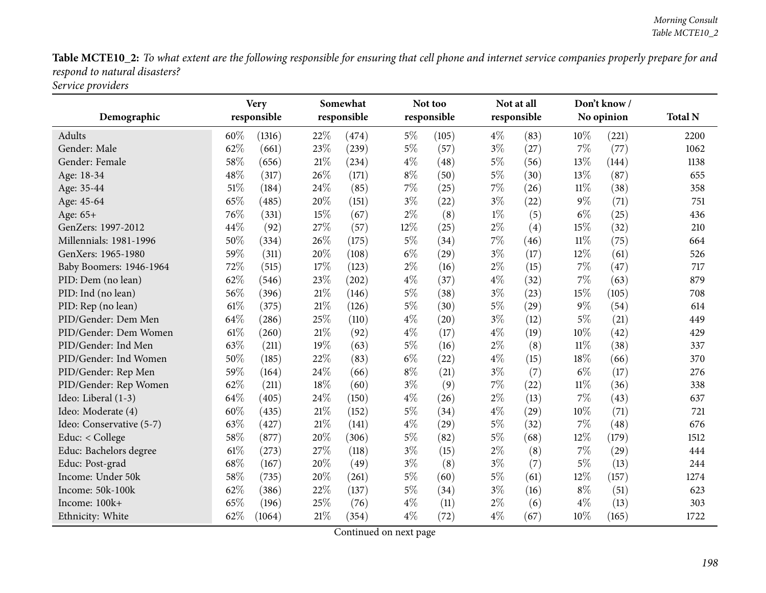Table MCTE10\_2: To what extent are the following responsible for ensuring that cell phone and internet service companies properly prepare for and *respon<sup>d</sup> to natural disasters? Service providers*

|                          |      | <b>Very</b> |        | Somewhat    |       | Not too     | Not at all |             |        | Don't know/ |                |
|--------------------------|------|-------------|--------|-------------|-------|-------------|------------|-------------|--------|-------------|----------------|
| Demographic              |      | responsible |        | responsible |       | responsible |            | responsible |        | No opinion  | <b>Total N</b> |
| <b>Adults</b>            | 60%  | (1316)      | 22%    | (474)       | $5\%$ | (105)       | $4\%$      | (83)        | 10%    | (221)       | 2200           |
| Gender: Male             | 62%  | (661)       | 23%    | (239)       | $5\%$ | (57)        | $3\%$      | (27)        | $7\%$  | (77)        | 1062           |
| Gender: Female           | 58%  | (656)       | $21\%$ | (234)       | $4\%$ | (48)        | $5\%$      | (56)        | 13%    | (144)       | 1138           |
| Age: 18-34               | 48%  | (317)       | 26%    | (171)       | $8\%$ | (50)        | $5\%$      | (30)        | 13%    | (87)        | 655            |
| Age: 35-44               | 51%  | (184)       | 24\%   | (85)        | $7\%$ | (25)        | $7\%$      | (26)        | $11\%$ | (38)        | 358            |
| Age: 45-64               | 65%  | (485)       | 20%    | (151)       | $3\%$ | (22)        | $3\%$      | (22)        | $9\%$  | (71)        | 751            |
| Age: 65+                 | 76%  | (331)       | 15%    | (67)        | $2\%$ | (8)         | $1\%$      | (5)         | $6\%$  | (25)        | 436            |
| GenZers: 1997-2012       | 44%  | (92)        | 27%    | (57)        | 12%   | (25)        | $2\%$      | (4)         | 15%    | (32)        | 210            |
| Millennials: 1981-1996   | 50%  | (334)       | 26%    | (175)       | $5\%$ | (34)        | $7\%$      | (46)        | $11\%$ | (75)        | 664            |
| GenXers: 1965-1980       | 59%  | (311)       | 20%    | (108)       | $6\%$ | (29)        | $3\%$      | (17)        | 12%    | (61)        | 526            |
| Baby Boomers: 1946-1964  | 72%  | (515)       | $17\%$ | (123)       | $2\%$ | (16)        | $2\%$      | (15)        | $7\%$  | (47)        | 717            |
| PID: Dem (no lean)       | 62%  | (546)       | 23%    | (202)       | $4\%$ | (37)        | $4\%$      | (32)        | $7\%$  | (63)        | 879            |
| PID: Ind (no lean)       | 56%  | (396)       | 21\%   | (146)       | $5\%$ | (38)        | $3\%$      | (23)        | 15%    | (105)       | 708            |
| PID: Rep (no lean)       | 61\% | (375)       | $21\%$ | (126)       | $5\%$ | (30)        | $5\%$      | (29)        | $9\%$  | (54)        | 614            |
| PID/Gender: Dem Men      | 64%  | (286)       | 25%    | (110)       | $4\%$ | (20)        | $3\%$      | (12)        | $5\%$  | (21)        | 449            |
| PID/Gender: Dem Women    | 61%  | (260)       | $21\%$ | (92)        | $4\%$ | (17)        | $4\%$      | (19)        | 10%    | (42)        | 429            |
| PID/Gender: Ind Men      | 63%  | (211)       | 19%    | (63)        | $5\%$ | (16)        | $2\%$      | (8)         | $11\%$ | (38)        | 337            |
| PID/Gender: Ind Women    | 50%  | (185)       | 22%    | (83)        | $6\%$ | (22)        | $4\%$      | (15)        | 18%    | (66)        | 370            |
| PID/Gender: Rep Men      | 59%  | (164)       | 24\%   | (66)        | $8\%$ | (21)        | $3\%$      | (7)         | $6\%$  | (17)        | 276            |
| PID/Gender: Rep Women    | 62%  | (211)       | 18%    | (60)        | $3\%$ | (9)         | $7\%$      | (22)        | $11\%$ | (36)        | 338            |
| Ideo: Liberal (1-3)      | 64%  | (405)       | 24%    | (150)       | $4\%$ | (26)        | $2\%$      | (13)        | 7%     | (43)        | 637            |
| Ideo: Moderate (4)       | 60%  | (435)       | $21\%$ | (152)       | $5\%$ | (34)        | $4\%$      | (29)        | 10%    | (71)        | 721            |
| Ideo: Conservative (5-7) | 63\% | (427)       | 21\%   | (141)       | $4\%$ | (29)        | $5\%$      | (32)        | 7%     | (48)        | 676            |
| Educ: < College          | 58%  | (877)       | 20%    | (306)       | $5\%$ | (82)        | $5\%$      | (68)        | 12%    | (179)       | 1512           |
| Educ: Bachelors degree   | 61\% | (273)       | 27%    | (118)       | $3\%$ | (15)        | $2\%$      | (8)         | $7\%$  | (29)        | 444            |
| Educ: Post-grad          | 68%  | (167)       | 20%    | (49)        | $3\%$ | (8)         | $3\%$      | (7)         | $5\%$  | (13)        | 244            |
| Income: Under 50k        | 58%  | (735)       | 20%    | (261)       | $5\%$ | (60)        | $5\%$      | (61)        | 12%    | (157)       | 1274           |
| Income: 50k-100k         | 62%  | (386)       | 22%    | (137)       | $5\%$ | (34)        | $3\%$      | (16)        | $8\%$  | (51)        | 623            |
| Income: 100k+            | 65%  | (196)       | 25%    | (76)        | $4\%$ | (11)        | $2\%$      | (6)         | $4\%$  | (13)        | 303            |
| Ethnicity: White         | 62%  | (1064)      | $21\%$ | (354)       | $4\%$ | (72)        | $4\%$      | (67)        | 10%    | (165)       | 1722           |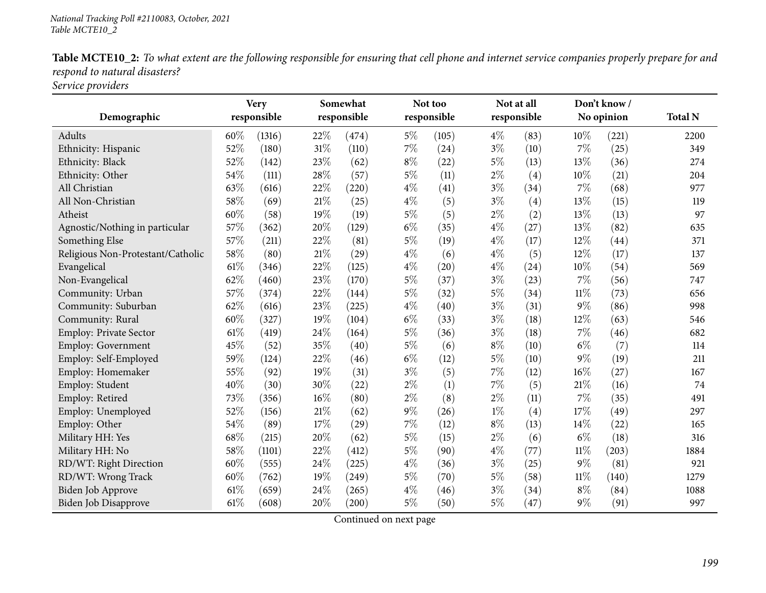|                               | Table MCTE10_2: To what extent are the following responsible for ensuring that cell phone and internet service companies properly prepare for and |  |  |
|-------------------------------|---------------------------------------------------------------------------------------------------------------------------------------------------|--|--|
| respond to natural disasters? |                                                                                                                                                   |  |  |
|                               |                                                                                                                                                   |  |  |

*Service providers*

|                                   | <b>Very</b> |             | Somewhat |             |       | Not too     |       | Not at all  |        | Don't know/ |                |
|-----------------------------------|-------------|-------------|----------|-------------|-------|-------------|-------|-------------|--------|-------------|----------------|
| Demographic                       |             | responsible |          | responsible |       | responsible |       | responsible |        | No opinion  | <b>Total N</b> |
| Adults                            | 60%         | (1316)      | 22%      | (474)       | $5\%$ | (105)       | $4\%$ | (83)        | 10%    | (221)       | 2200           |
| Ethnicity: Hispanic               | 52%         | (180)       | $31\%$   | (110)       | $7\%$ | (24)        | $3\%$ | (10)        | 7%     | (25)        | 349            |
| Ethnicity: Black                  | 52%         | (142)       | 23%      | (62)        | $8\%$ | (22)        | $5\%$ | (13)        | 13%    | (36)        | 274            |
| Ethnicity: Other                  | 54%         | (111)       | 28\%     | (57)        | $5\%$ | (11)        | $2\%$ | (4)         | 10%    | (21)        | 204            |
| All Christian                     | 63%         | (616)       | 22%      | (220)       | $4\%$ | (41)        | $3\%$ | (34)        | 7%     | (68)        | 977            |
| All Non-Christian                 | 58%         | (69)        | $21\%$   | (25)        | $4\%$ | (5)         | $3\%$ | (4)         | 13%    | (15)        | 119            |
| Atheist                           | 60%         | (58)        | 19%      | (19)        | $5\%$ | (5)         | $2\%$ | (2)         | 13%    | (13)        | 97             |
| Agnostic/Nothing in particular    | 57%         | (362)       | 20%      | (129)       | $6\%$ | (35)        | $4\%$ | (27)        | 13%    | (82)        | 635            |
| Something Else                    | 57%         | (211)       | 22%      | (81)        | $5\%$ | (19)        | $4\%$ | (17)        | 12%    | (44)        | 371            |
| Religious Non-Protestant/Catholic | 58%         | (80)        | $21\%$   | (29)        | $4\%$ | (6)         | $4\%$ | (5)         | 12%    | (17)        | 137            |
| Evangelical                       | 61\%        | (346)       | 22%      | (125)       | $4\%$ | (20)        | $4\%$ | (24)        | 10%    | (54)        | 569            |
| Non-Evangelical                   | 62%         | (460)       | 23%      | (170)       | $5\%$ | (37)        | $3\%$ | (23)        | 7%     | (56)        | 747            |
| Community: Urban                  | 57%         | (374)       | 22%      | (144)       | $5\%$ | (32)        | $5\%$ | (34)        | $11\%$ | (73)        | 656            |
| Community: Suburban               | 62%         | (616)       | 23%      | (225)       | $4\%$ | (40)        | $3\%$ | (31)        | 9%     | (86)        | 998            |
| Community: Rural                  | 60%         | (327)       | 19%      | (104)       | $6\%$ | (33)        | $3\%$ | (18)        | 12%    | (63)        | 546            |
| Employ: Private Sector            | 61\%        | (419)       | 24\%     | (164)       | $5\%$ | (36)        | $3\%$ | (18)        | 7%     | (46)        | 682            |
| Employ: Government                | 45%         | (52)        | 35%      | (40)        | $5\%$ | (6)         | $8\%$ | (10)        | $6\%$  | (7)         | 114            |
| Employ: Self-Employed             | 59%         | (124)       | 22%      | (46)        | $6\%$ | (12)        | $5\%$ | (10)        | $9\%$  | (19)        | 211            |
| Employ: Homemaker                 | 55%         | (92)        | 19%      | (31)        | $3\%$ | (5)         | 7%    | (12)        | 16%    | (27)        | 167            |
| Employ: Student                   | 40%         | (30)        | 30%      | (22)        | $2\%$ | (1)         | 7%    | (5)         | 21%    | (16)        | 74             |
| Employ: Retired                   | 73%         | (356)       | $16\%$   | (80)        | $2\%$ | (8)         | $2\%$ | (11)        | 7%     | (35)        | 491            |
| Employ: Unemployed                | 52%         | (156)       | $21\%$   | (62)        | $9\%$ | (26)        | $1\%$ | (4)         | 17%    | (49)        | 297            |
| Employ: Other                     | 54%         | (89)        | 17%      | (29)        | $7\%$ | (12)        | $8\%$ | (13)        | 14\%   | (22)        | 165            |
| Military HH: Yes                  | 68%         | (215)       | 20%      | (62)        | $5\%$ | (15)        | $2\%$ | (6)         | $6\%$  | (18)        | 316            |
| Military HH: No                   | 58%         | (1101)      | 22%      | (412)       | $5\%$ | (90)        | $4\%$ | (77)        | $11\%$ | (203)       | 1884           |
| RD/WT: Right Direction            | 60%         | (555)       | 24%      | (225)       | $4\%$ | (36)        | $3\%$ | (25)        | $9\%$  | (81)        | 921            |
| RD/WT: Wrong Track                | 60%         | (762)       | 19%      | (249)       | $5\%$ | (70)        | $5\%$ | (58)        | 11%    | (140)       | 1279           |
| Biden Job Approve                 | 61%         | (659)       | 24%      | (265)       | $4\%$ | (46)        | $3\%$ | (34)        | $8\%$  | (84)        | 1088           |
| Biden Job Disapprove              | 61\%        | (608)       | 20%      | (200)       | $5\%$ | (50)        | $5\%$ | (47)        | $9\%$  | (91)        | 997            |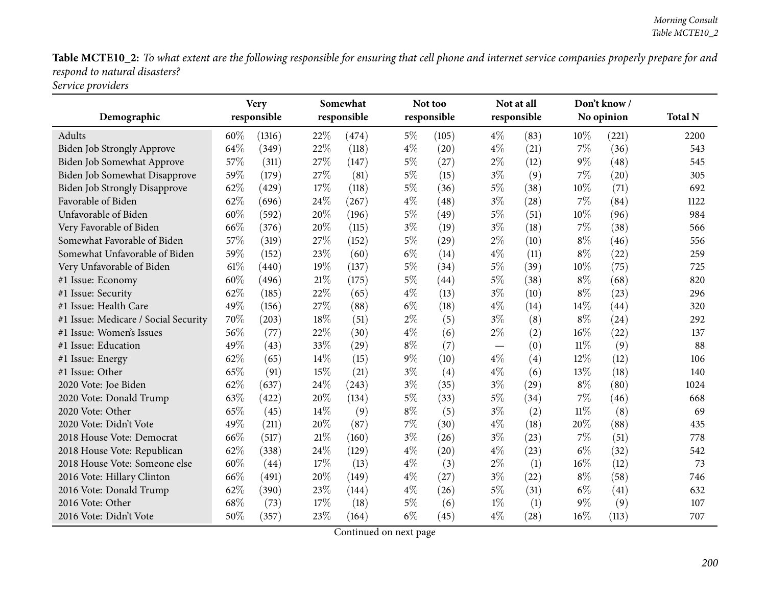Table MCTE10\_2: To what extent are the following responsible for ensuring that cell phone and internet service companies properly prepare for and *respon<sup>d</sup> to natural disasters? Service providers*

| Demographic                          | <b>Very</b><br>responsible |        | Somewhat<br>responsible |                    |       | Not too<br>responsible |       | Not at all<br>responsible | Don't know/<br>No opinion |       | <b>Total N</b> |
|--------------------------------------|----------------------------|--------|-------------------------|--------------------|-------|------------------------|-------|---------------------------|---------------------------|-------|----------------|
| Adults                               | 60%                        | (1316) | 22%                     | (474)              | $5\%$ | (105)                  | $4\%$ | (83)                      | 10%                       | (221) | 2200           |
| <b>Biden Job Strongly Approve</b>    | 64%                        | (349)  | 22%                     | (118)              | $4\%$ | (20)                   | $4\%$ | (21)                      | 7%                        | (36)  | 543            |
| Biden Job Somewhat Approve           | 57%                        | (311)  | 27%                     | (147)              | $5\%$ | (27)                   | $2\%$ | (12)                      | $9\%$                     | (48)  | 545            |
| Biden Job Somewhat Disapprove        | 59%                        | (179)  | 27%                     | (81)               | $5\%$ | (15)                   | $3\%$ | (9)                       | 7%                        | (20)  | 305            |
| <b>Biden Job Strongly Disapprove</b> | 62%                        | (429)  | 17%                     | (118)              | $5\%$ | (36)                   | $5\%$ | (38)                      | 10%                       | (71)  | 692            |
| Favorable of Biden                   | 62%                        | (696)  | 24%                     | (267)              | $4\%$ | (48)                   | $3\%$ | (28)                      | 7%                        | (84)  | 1122           |
| Unfavorable of Biden                 | 60%                        | (592)  | 20%                     | (196)              | $5\%$ | (49)                   | $5\%$ | (51)                      | 10%                       | (96)  | 984            |
| Very Favorable of Biden              | 66%                        | (376)  | 20%                     | (115)              | $3\%$ | (19)                   | $3\%$ | (18)                      | 7%                        | (38)  | 566            |
| Somewhat Favorable of Biden          | 57%                        | (319)  | 27%                     | (152)              | $5\%$ | (29)                   | $2\%$ | (10)                      | $8\%$                     | (46)  | 556            |
| Somewhat Unfavorable of Biden        | 59%                        | (152)  | 23%                     | (60)               | $6\%$ | (14)                   | $4\%$ | (11)                      | $8\%$                     | (22)  | 259            |
| Very Unfavorable of Biden            | 61\%                       | (440)  | 19%                     | (137)              | $5\%$ | (34)                   | $5\%$ | (39)                      | 10%                       | (75)  | 725            |
| #1 Issue: Economy                    | 60%                        | (496)  | $21\%$                  | (175)              | $5\%$ | (44)                   | $5\%$ | (38)                      | $8\%$                     | (68)  | 820            |
| #1 Issue: Security                   | 62%                        | (185)  | 22%                     | (65)               | $4\%$ | (13)                   | $3\%$ | (10)                      | $8\%$                     | (23)  | 296            |
| #1 Issue: Health Care                | 49%                        | (156)  | 27%                     | (88)               | $6\%$ | (18)                   | $4\%$ | (14)                      | 14%                       | (44)  | 320            |
| #1 Issue: Medicare / Social Security | 70%                        | (203)  | 18%                     | (51)               | $2\%$ | (5)                    | $3\%$ | (8)                       | $8\%$                     | (24)  | 292            |
| #1 Issue: Women's Issues             | 56%                        | (77)   | 22%                     | (30)               | $4\%$ | (6)                    | $2\%$ | (2)                       | 16%                       | (22)  | 137            |
| #1 Issue: Education                  | 49%                        | (43)   | 33%                     | $\left( 29\right)$ | $8\%$ | (7)                    |       | (0)                       | $11\%$                    | (9)   | 88             |
| #1 Issue: Energy                     | 62%                        | (65)   | 14%                     | (15)               | $9\%$ | (10)                   | $4\%$ | (4)                       | 12%                       | (12)  | 106            |
| #1 Issue: Other                      | 65%                        | (91)   | 15%                     | (21)               | $3\%$ | (4)                    | $4\%$ | (6)                       | 13%                       | (18)  | 140            |
| 2020 Vote: Joe Biden                 | 62%                        | (637)  | 24%                     | (243)              | $3\%$ | (35)                   | $3\%$ | (29)                      | $8\%$                     | (80)  | 1024           |
| 2020 Vote: Donald Trump              | 63%                        | (422)  | 20%                     | (134)              | $5\%$ | (33)                   | $5\%$ | (34)                      | 7%                        | (46)  | 668            |
| 2020 Vote: Other                     | 65%                        | (45)   | 14%                     | (9)                | $8\%$ | (5)                    | $3\%$ | (2)                       | $11\%$                    | (8)   | 69             |
| 2020 Vote: Didn't Vote               | 49%                        | (211)  | 20%                     | (87)               | $7\%$ | (30)                   | $4\%$ | (18)                      | 20%                       | (88)  | 435            |
| 2018 House Vote: Democrat            | 66\%                       | (517)  | 21%                     | (160)              | $3\%$ | (26)                   | $3\%$ | (23)                      | 7%                        | (51)  | 778            |
| 2018 House Vote: Republican          | 62%                        | (338)  | 24%                     | (129)              | $4\%$ | (20)                   | $4\%$ | (23)                      | $6\%$                     | (32)  | 542            |
| 2018 House Vote: Someone else        | 60%                        | (44)   | 17%                     | (13)               | $4\%$ | (3)                    | $2\%$ | (1)                       | 16%                       | (12)  | 73             |
| 2016 Vote: Hillary Clinton           | 66%                        | (491)  | 20%                     | (149)              | $4\%$ | (27)                   | $3\%$ | (22)                      | $8\%$                     | (58)  | 746            |
| 2016 Vote: Donald Trump              | 62%                        | (390)  | 23%                     | (144)              | $4\%$ | (26)                   | $5\%$ | (31)                      | $6\%$                     | (41)  | 632            |
| 2016 Vote: Other                     | 68%                        | (73)   | 17%                     | (18)               | $5\%$ | (6)                    | $1\%$ | (1)                       | $9\%$                     | (9)   | 107            |
| 2016 Vote: Didn't Vote               | 50%                        | (357)  | 23%                     | (164)              | $6\%$ | (45)                   | $4\%$ | (28)                      | 16%                       | (113) | 707            |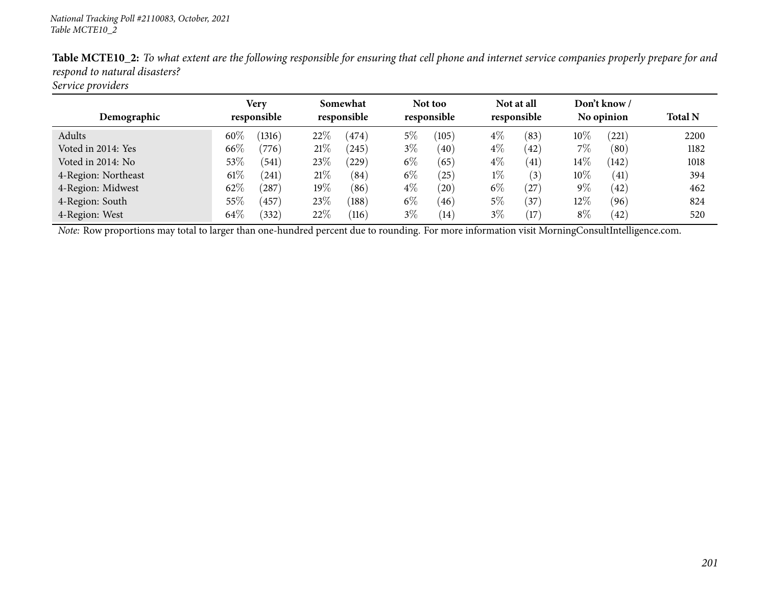| Demographic         | Very<br>responsible |        | Somewhat<br>responsible |            |       | Not too<br>responsible |       | Not at all<br>responsible |        | Don't know /<br>No opinion | <b>Total N</b> |
|---------------------|---------------------|--------|-------------------------|------------|-------|------------------------|-------|---------------------------|--------|----------------------------|----------------|
| Adults              | 60%                 | (1316) | 22%                     | (474)      | $5\%$ | (105)                  | $4\%$ | (83)                      | $10\%$ | $^{'}221$                  | 2200           |
| Voted in 2014: Yes  | 66\%                | (776)  | 21%                     | (245)      | $3\%$ | (40)                   | $4\%$ | (42)                      | 7%     | (80)                       | 1182           |
| Voted in 2014: No   | $53\%$              | (541)  | 23%                     | $^{'}229)$ | $6\%$ | (65)                   | $4\%$ | (41)                      | $14\%$ | (142)                      | 1018           |
| 4-Region: Northeast | $61\%$              | (241)  | 21%                     | (84)       | $6\%$ | $^{'}25)$              | $1\%$ | (3)                       | 10%    | (41)                       | 394            |
| 4-Region: Midwest   | $62\%$              | 287    | $19\%$                  | (86)       | $4\%$ | (20)                   | $6\%$ | (27)                      | $9\%$  | (42)                       | 462            |
| 4-Region: South     | 55\%                | (457)  | 23\%                    | (188)      | $6\%$ | (46)                   | $5\%$ | (37)                      | 12%    | (96)                       | 824            |
| 4-Region: West      | 64\%                | (332)  | 22%                     | (116)      | $3\%$ | (14)                   | $3\%$ | (17)                      | $8\%$  | (42)                       | 520            |

Table MCTE10\_2: To what extent are the following responsible for ensuring that cell phone and internet service companies properly prepare for and *respon<sup>d</sup> to natural disasters?*

*Service providers*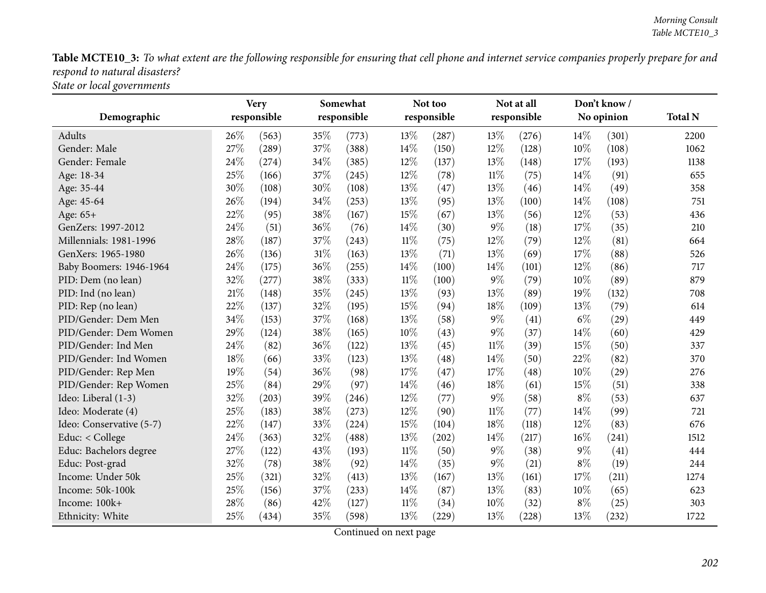Table MCTE10\_3: To what extent are the following responsible for ensuring that cell phone and internet service companies properly prepare for and *respon<sup>d</sup> to natural disasters?*

*State or local governments*

|                          | <b>Very</b> |             |        | Somewhat    |        | Not too     |        | Not at all  |       | Don't know/ |                |
|--------------------------|-------------|-------------|--------|-------------|--------|-------------|--------|-------------|-------|-------------|----------------|
| Demographic              |             | responsible |        | responsible |        | responsible |        | responsible |       | No opinion  | <b>Total N</b> |
| Adults                   | 26\%        | (563)       | 35\%   | (773)       | 13%    | (287)       | 13%    | (276)       | 14\%  | (301)       | 2200           |
| Gender: Male             | 27%         | (289)       | 37%    | (388)       | 14%    | (150)       | 12%    | (128)       | 10%   | (108)       | 1062           |
| Gender: Female           | 24\%        | (274)       | 34%    | (385)       | 12%    | (137)       | 13%    | (148)       | 17%   | (193)       | 1138           |
| Age: 18-34               | 25%         | (166)       | 37%    | (245)       | 12%    | (78)        | $11\%$ | (75)        | 14%   | (91)        | 655            |
| Age: 35-44               | 30%         | (108)       | 30%    | (108)       | 13%    | (47)        | 13%    | (46)        | 14%   | (49)        | 358            |
| Age: 45-64               | 26%         | (194)       | 34%    | (253)       | 13%    | (95)        | 13%    | (100)       | 14%   | (108)       | 751            |
| Age: 65+                 | 22%         | (95)        | 38%    | (167)       | 15%    | (67)        | 13%    | (56)        | 12%   | (53)        | 436            |
| GenZers: 1997-2012       | 24%         | (51)        | 36%    | (76)        | 14%    | (30)        | $9\%$  | (18)        | 17%   | (35)        | 210            |
| Millennials: 1981-1996   | 28%         | (187)       | 37%    | (243)       | $11\%$ | (75)        | 12%    | (79)        | 12%   | (81)        | 664            |
| GenXers: 1965-1980       | 26%         | (136)       | $31\%$ | (163)       | 13%    | (71)        | 13%    | (69)        | 17%   | (88)        | 526            |
| Baby Boomers: 1946-1964  | 24%         | (175)       | 36%    | (255)       | 14%    | (100)       | 14%    | (101)       | 12%   | (86)        | 717            |
| PID: Dem (no lean)       | 32%         | (277)       | 38%    | (333)       | $11\%$ | (100)       | $9\%$  | (79)        | 10%   | (89)        | 879            |
| PID: Ind (no lean)       | 21%         | (148)       | 35%    | (245)       | 13%    | (93)        | 13%    | (89)        | 19%   | (132)       | 708            |
| PID: Rep (no lean)       | 22%         | (137)       | 32%    | (195)       | 15%    | (94)        | 18%    | (109)       | 13%   | (79)        | 614            |
| PID/Gender: Dem Men      | 34%         | (153)       | 37%    | (168)       | 13%    | (58)        | $9\%$  | (41)        | $6\%$ | (29)        | 449            |
| PID/Gender: Dem Women    | 29%         | (124)       | 38%    | (165)       | 10%    | (43)        | $9\%$  | (37)        | 14%   | (60)        | 429            |
| PID/Gender: Ind Men      | 24\%        | (82)        | 36%    | (122)       | 13%    | (45)        | $11\%$ | (39)        | 15%   | (50)        | 337            |
| PID/Gender: Ind Women    | 18%         | (66)        | 33%    | (123)       | 13%    | (48)        | 14%    | (50)        | 22%   | (82)        | 370            |
| PID/Gender: Rep Men      | 19%         | (54)        | 36%    | (98)        | 17%    | (47)        | 17%    | (48)        | 10%   | (29)        | 276            |
| PID/Gender: Rep Women    | 25%         | (84)        | 29%    | (97)        | 14%    | (46)        | 18%    | (61)        | 15%   | (51)        | 338            |
| Ideo: Liberal (1-3)      | 32%         | (203)       | 39%    | (246)       | 12%    | (77)        | $9\%$  | (58)        | $8\%$ | (53)        | 637            |
| Ideo: Moderate (4)       | 25%         | (183)       | 38%    | (273)       | 12%    | (90)        | $11\%$ | (77)        | 14%   | (99)        | 721            |
| Ideo: Conservative (5-7) | 22%         | (147)       | 33%    | (224)       | 15%    | (104)       | 18%    | (118)       | 12%   | (83)        | 676            |
| Educ: $<$ College        | 24\%        | (363)       | 32%    | (488)       | 13%    | (202)       | 14%    | (217)       | 16%   | (241)       | 1512           |
| Educ: Bachelors degree   | 27%         | (122)       | 43%    | (193)       | $11\%$ | (50)        | $9\%$  | (38)        | 9%    | (41)        | 444            |
| Educ: Post-grad          | 32%         | (78)        | 38%    | (92)        | 14%    | (35)        | $9\%$  | (21)        | $8\%$ | (19)        | 244            |
| Income: Under 50k        | 25%         | (321)       | 32%    | (413)       | 13%    | (167)       | 13%    | (161)       | 17%   | (211)       | 1274           |
| Income: 50k-100k         | 25%         | (156)       | 37%    | (233)       | 14%    | (87)        | 13%    | (83)        | 10%   | (65)        | 623            |
| Income: 100k+            | 28%         | (86)        | 42%    | (127)       | $11\%$ | (34)        | 10%    | (32)        | $8\%$ | (25)        | 303            |
| Ethnicity: White         | 25%         | (434)       | 35%    | (598)       | 13%    | (229)       | 13%    | (228)       | 13%   | (232)       | 1722           |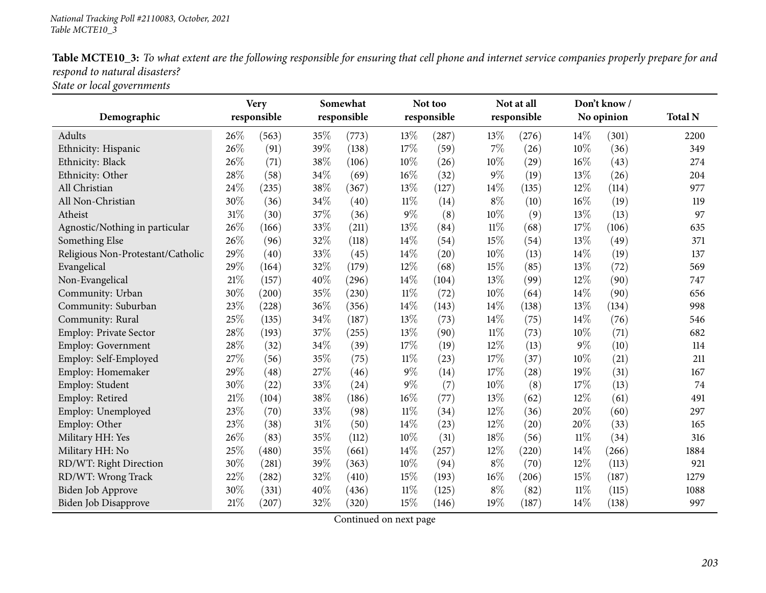|                                         | Table MCTE10_3: To what extent are the following responsible for ensuring that cell phone and internet service companies properly prepare for and |  |  |
|-----------------------------------------|---------------------------------------------------------------------------------------------------------------------------------------------------|--|--|
| respond to natural disasters?           |                                                                                                                                                   |  |  |
| $\alpha \cdot \cdot \cdot$ 1 1 $\alpha$ |                                                                                                                                                   |  |  |

*State or local governments*

|                                   |        | <b>Very</b>         |        | Somewhat    |        | Not too     |        | Not at all  |        | Don't know/ |                |
|-----------------------------------|--------|---------------------|--------|-------------|--------|-------------|--------|-------------|--------|-------------|----------------|
| Demographic                       |        | responsible         |        | responsible |        | responsible |        | responsible |        | No opinion  | <b>Total N</b> |
| Adults                            | 26%    | (563)               | 35%    | (773)       | 13%    | (287)       | 13%    | (276)       | 14%    | (301)       | 2200           |
| Ethnicity: Hispanic               | 26%    | (91)                | 39%    | (138)       | 17%    | (59)        | 7%     | (26)        | 10%    | (36)        | 349            |
| Ethnicity: Black                  | 26%    | (71)                | 38%    | (106)       | 10%    | (26)        | 10%    | (29)        | 16%    | (43)        | 274            |
| Ethnicity: Other                  | 28%    | (58)                | 34%    | (69)        | 16%    | (32)        | $9\%$  | (19)        | 13%    | (26)        | 204            |
| All Christian                     | 24%    | (235)               | $38\%$ | (367)       | 13%    | (127)       | 14%    | (135)       | 12%    | (114)       | 977            |
| All Non-Christian                 | 30%    | (36)                | 34%    | (40)        | $11\%$ | (14)        | $8\%$  | (10)        | 16%    | (19)        | 119            |
| Atheist                           | 31%    | (30)                | 37%    | (36)        | $9\%$  | (8)         | 10%    | (9)         | 13%    | (13)        | 97             |
| Agnostic/Nothing in particular    | 26%    | (166)               | 33%    | (211)       | 13%    | (84)        | $11\%$ | (68)        | 17%    | (106)       | 635            |
| Something Else                    | 26%    | (96)                | 32%    | (118)       | 14%    | (54)        | 15%    | (54)        | 13%    | (49)        | 371            |
| Religious Non-Protestant/Catholic | 29%    | (40)                | 33%    | (45)        | 14%    | (20)        | 10%    | (13)        | 14%    | (19)        | 137            |
| Evangelical                       | 29%    | (164)               | 32%    | (179)       | 12%    | (68)        | 15%    | (85)        | 13%    | (72)        | 569            |
| Non-Evangelical                   | 21%    | (157)               | 40%    | (296)       | 14%    | (104)       | 13%    | (99)        | 12%    | (90)        | 747            |
| Community: Urban                  | 30%    | (200)               | 35%    | (230)       | $11\%$ | (72)        | 10%    | (64)        | 14%    | (90)        | 656            |
| Community: Suburban               | 23%    | (228)               | 36%    | (356)       | 14%    | (143)       | 14%    | (138)       | 13%    | (134)       | 998            |
| Community: Rural                  | 25%    | (135)               | 34%    | (187)       | 13%    | (73)        | 14%    | (75)        | 14%    | (76)        | 546            |
| <b>Employ: Private Sector</b>     | 28%    | (193)               | $37\%$ | (255)       | 13%    | (90)        | $11\%$ | (73)        | 10%    | (71)        | 682            |
| Employ: Government                | 28%    | (32)                | 34%    | (39)        | 17%    | (19)        | 12%    | (13)        | 9%     | (10)        | 114            |
| Employ: Self-Employed             | 27%    | (56)                | 35%    | (75)        | $11\%$ | (23)        | 17%    | (37)        | 10%    | (21)        | 211            |
| Employ: Homemaker                 | 29%    | (48)                | 27%    | (46)        | $9\%$  | (14)        | 17%    | (28)        | 19%    | (31)        | 167            |
| Employ: Student                   | 30%    | (22)                | 33%    | (24)        | $9\%$  | (7)         | 10%    | (8)         | 17%    | (13)        | 74             |
| Employ: Retired                   | 21%    | (104)               | 38\%   | (186)       | $16\%$ | (77)        | 13%    | (62)        | 12%    | (61)        | 491            |
| Employ: Unemployed                | 23%    | (70)                | 33%    | (98)        | $11\%$ | (34)        | 12%    | (36)        | 20%    | (60)        | 297            |
| Employ: Other                     | 23%    | (38)                | $31\%$ | (50)        | 14%    | (23)        | 12%    | (20)        | 20%    | (33)        | 165            |
| Military HH: Yes                  | $26\%$ | (83)                | 35%    | (112)       | 10%    | (31)        | 18%    | (56)        | 11%    | (34)        | 316            |
| Military HH: No                   | 25%    | (480)               | 35%    | (661)       | 14%    | (257)       | 12%    | (220)       | 14%    | (266)       | 1884           |
| RD/WT: Right Direction            | 30%    | (281)               | 39%    | (363)       | $10\%$ | (94)        | $8\%$  | (70)        | 12%    | (113)       | 921            |
| RD/WT: Wrong Track                | 22%    | $\left( 282\right)$ | 32%    | (410)       | 15%    | (193)       | 16%    | (206)       | 15%    | (187)       | 1279           |
| Biden Job Approve                 | 30%    | (331)               | 40%    | (436)       | $11\%$ | (125)       | $8\%$  | (82)        | $11\%$ | (115)       | 1088           |
| Biden Job Disapprove              | 21%    | (207)               | 32%    | (320)       | 15%    | (146)       | 19%    | (187)       | 14%    | (138)       | 997            |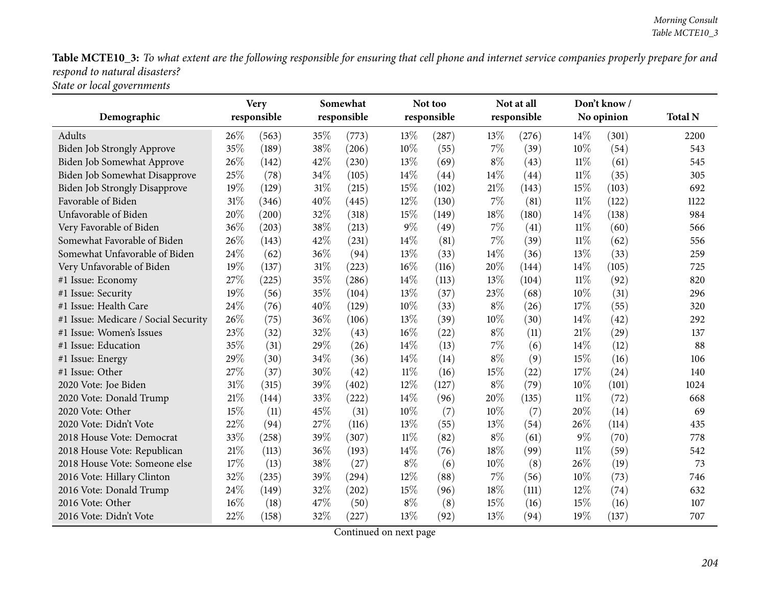Table MCTE10\_3: To what extent are the following responsible for ensuring that cell phone and internet service companies properly prepare for and *respon<sup>d</sup> to natural disasters?*

*State or local governments*

|                                      | <b>Very</b> |             | Somewhat |             |        | Not too     |        | Not at all  |        | Don't know/ |                |
|--------------------------------------|-------------|-------------|----------|-------------|--------|-------------|--------|-------------|--------|-------------|----------------|
| Demographic                          |             | responsible |          | responsible |        | responsible |        | responsible |        | No opinion  | <b>Total N</b> |
| Adults                               | 26\%        | (563)       | 35%      | (773)       | 13%    | (287)       | 13%    | (276)       | 14\%   | (301)       | 2200           |
| <b>Biden Job Strongly Approve</b>    | 35%         | (189)       | 38%      | (206)       | 10%    | (55)        | $7\%$  | (39)        | 10%    | (54)        | 543            |
| Biden Job Somewhat Approve           | 26%         | (142)       | 42%      | (230)       | 13%    | (69)        | $8\%$  | (43)        | 11%    | (61)        | 545            |
| Biden Job Somewhat Disapprove        | 25%         | (78)        | 34%      | (105)       | 14%    | (44)        | 14%    | (44)        | 11%    | (35)        | 305            |
| <b>Biden Job Strongly Disapprove</b> | 19%         | (129)       | $31\%$   | (215)       | 15%    | (102)       | $21\%$ | (143)       | 15%    | (103)       | 692            |
| Favorable of Biden                   | 31\%        | (346)       | 40%      | (445)       | 12%    | (130)       | 7%     | (81)        | 11%    | (122)       | 1122           |
| Unfavorable of Biden                 | 20%         | (200)       | 32%      | (318)       | 15%    | (149)       | 18%    | (180)       | 14%    | (138)       | 984            |
| Very Favorable of Biden              | 36%         | (203)       | 38%      | (213)       | 9%     | (49)        | $7\%$  | (41)        | $11\%$ | (60)        | 566            |
| Somewhat Favorable of Biden          | 26%         | (143)       | 42\%     | (231)       | 14%    | (81)        | 7%     | (39)        | 11%    | (62)        | 556            |
| Somewhat Unfavorable of Biden        | 24%         | (62)        | 36%      | (94)        | 13%    | (33)        | 14%    | (36)        | 13%    | (33)        | 259            |
| Very Unfavorable of Biden            | 19%         | (137)       | $31\%$   | (223)       | 16%    | (116)       | 20%    | (144)       | 14%    | (105)       | 725            |
| #1 Issue: Economy                    | 27%         | (225)       | 35%      | (286)       | 14%    | (113)       | 13%    | (104)       | 11%    | (92)        | 820            |
| #1 Issue: Security                   | 19%         | (56)        | 35%      | (104)       | 13%    | (37)        | 23%    | (68)        | 10%    | (31)        | 296            |
| #1 Issue: Health Care                | 24%         | (76)        | 40%      | (129)       | 10%    | (33)        | $8\%$  | (26)        | 17%    | (55)        | 320            |
| #1 Issue: Medicare / Social Security | 26%         | (75)        | 36%      | (106)       | 13%    | (39)        | 10%    | (30)        | 14\%   | (42)        | 292            |
| #1 Issue: Women's Issues             | 23%         | (32)        | 32%      | (43)        | $16\%$ | (22)        | $8\%$  | (11)        | 21\%   | (29)        | 137            |
| #1 Issue: Education                  | 35%         | (31)        | 29%      | (26)        | 14%    | (13)        | 7%     | (6)         | 14\%   | (12)        | 88             |
| #1 Issue: Energy                     | 29%         | (30)        | 34%      | (36)        | 14%    | (14)        | $8\%$  | (9)         | 15%    | (16)        | 106            |
| #1 Issue: Other                      | 27%         | (37)        | 30%      | (42)        | $11\%$ | (16)        | 15%    | (22)        | 17%    | (24)        | 140            |
| 2020 Vote: Joe Biden                 | 31%         | (315)       | 39%      | (402)       | 12%    | (127)       | $8\%$  | (79)        | 10%    | (101)       | 1024           |
| 2020 Vote: Donald Trump              | 21%         | (144)       | 33%      | (222)       | 14%    | (96)        | 20%    | (135)       | $11\%$ | (72)        | 668            |
| 2020 Vote: Other                     | 15%         | (11)        | 45%      | (31)        | 10%    | (7)         | 10%    | (7)         | 20%    | (14)        | 69             |
| 2020 Vote: Didn't Vote               | 22%         | (94)        | 27%      | (116)       | 13%    | (55)        | 13%    | (54)        | 26%    | (114)       | 435            |
| 2018 House Vote: Democrat            | 33%         | (258)       | 39%      | (307)       | $11\%$ | (82)        | $8\%$  | (61)        | $9\%$  | (70)        | 778            |
| 2018 House Vote: Republican          | $21\%$      | (113)       | 36%      | (193)       | 14%    | (76)        | 18%    | (99)        | $11\%$ | (59)        | 542            |
| 2018 House Vote: Someone else        | 17%         | (13)        | 38%      | (27)        | $8\%$  | (6)         | 10%    | (8)         | 26\%   | (19)        | 73             |
| 2016 Vote: Hillary Clinton           | 32%         | (235)       | 39%      | (294)       | 12%    | (88)        | $7\%$  | (56)        | 10%    | (73)        | 746            |
| 2016 Vote: Donald Trump              | 24%         | (149)       | 32%      | (202)       | 15%    | (96)        | 18%    | (111)       | 12%    | (74)        | 632            |
| 2016 Vote: Other                     | 16%         | (18)        | 47\%     | (50)        | $8\%$  | (8)         | 15%    | (16)        | 15%    | (16)        | 107            |
| 2016 Vote: Didn't Vote               | 22%         | (158)       | 32%      | (227)       | 13%    | (92)        | 13%    | (94)        | 19%    | (137)       | 707            |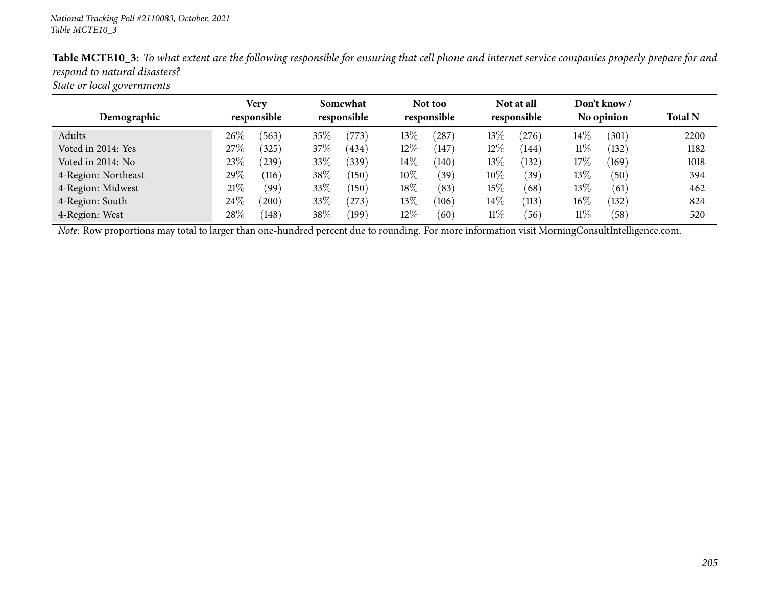| $\circ$             |                     |                         |                        |                           |                            |                |
|---------------------|---------------------|-------------------------|------------------------|---------------------------|----------------------------|----------------|
| Demographic         | Very<br>responsible | Somewhat<br>responsible | Not too<br>responsible | Not at all<br>responsible | Don't know /<br>No opinion | <b>Total N</b> |
| Adults              | $26\%$<br>(563)     | 35%<br>(773)            | $13\%$<br>(287)        | $13\%$<br>(276)           | $14\%$<br>(301)            | 2200           |
| Voted in 2014: Yes  | 27\%<br>325         | 37\%<br>(434)           | $12\%$<br>(147)        | 12\%<br>(144)             | 11%<br>(132)               | 1182           |
| Voted in 2014: No   | 23\%<br>(239)       | 33\%<br>(339)           | $14\%$<br>(140)        | $13\%$<br>(132)           | $17\%$<br>(169)            | 1018           |
| 4-Region: Northeast | 29\%<br>(116)       | 38\%<br>(150)           | $10\%$<br>(39)         | $10\%$<br>(39)            | $13\%$<br>(50)             | 394            |
| 4-Region: Midwest   | 21%<br>(99)         | 33\%<br>(150)           | 18\%<br>(83)           | 15%<br>(68)               | 13\%<br>(61)               | 462            |
| 4-Region: South     | 24\%<br>(200)       | 33\%<br>(273)           | 13%<br>(106)           | $14\%$<br>(113)           | 16%<br>(132)               | 824            |
| 4-Region: West      | $28\%$<br>(148)     | 38\%<br>(199)           | $12\%$<br>(60)         | $11\%$<br>(56)            | $11\%$<br>(58)             | 520            |

Table MCTE10\_3: To what extent are the following responsible for ensuring that cell phone and internet service companies properly prepare for and *respon<sup>d</sup> to natural disasters?*

*State or local governments*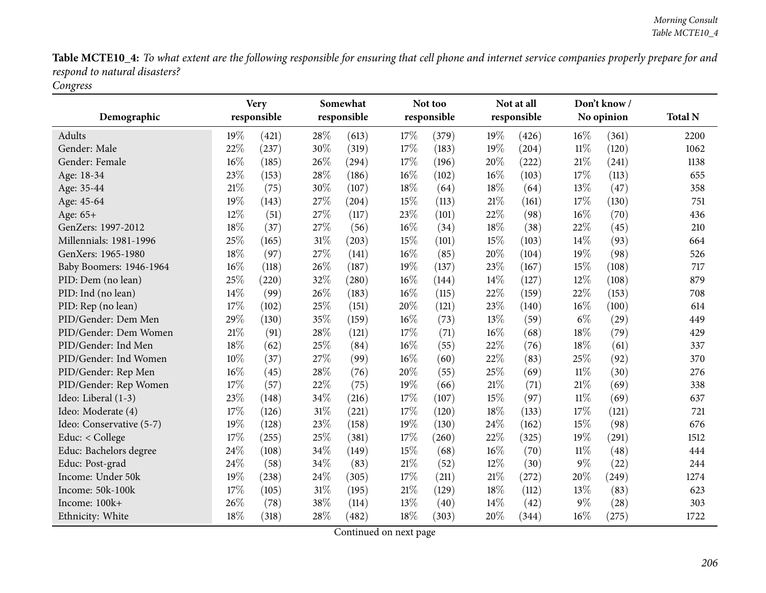Table MCTE10\_4: To what extent are the following responsible for ensuring that cell phone and internet service companies properly prepare for and *respon<sup>d</sup> to natural disasters? Congress*

|                          | <b>Very</b> |             |        | Somewhat    |     | Not too     |     | Not at all  |        | Don't know/ |                |
|--------------------------|-------------|-------------|--------|-------------|-----|-------------|-----|-------------|--------|-------------|----------------|
| Demographic              |             | responsible |        | responsible |     | responsible |     | responsible |        | No opinion  | <b>Total N</b> |
| Adults                   | 19%         | (421)       | 28%    | (613)       | 17% | (379)       | 19% | (426)       | 16%    | (361)       | 2200           |
| Gender: Male             | 22%         | (237)       | 30%    | (319)       | 17% | (183)       | 19% | (204)       | $11\%$ | (120)       | 1062           |
| Gender: Female           | 16%         | (185)       | 26%    | (294)       | 17% | (196)       | 20% | (222)       | 21%    | (241)       | 1138           |
| Age: 18-34               | 23%         | (153)       | 28%    | (186)       | 16% | (102)       | 16% | (103)       | 17%    | (113)       | 655            |
| Age: 35-44               | 21%         | (75)        | 30%    | (107)       | 18% | (64)        | 18% | (64)        | 13%    | (47)        | 358            |
| Age: 45-64               | 19%         | (143)       | 27%    | (204)       | 15% | (113)       | 21% | (161)       | 17%    | (130)       | 751            |
| Age: 65+                 | 12%         | (51)        | 27%    | (117)       | 23% | (101)       | 22% | (98)        | 16%    | (70)        | 436            |
| GenZers: 1997-2012       | 18%         | (37)        | 27%    | (56)        | 16% | (34)        | 18% | (38)        | 22%    | (45)        | 210            |
| Millennials: 1981-1996   | 25%         | (165)       | $31\%$ | (203)       | 15% | (101)       | 15% | (103)       | 14%    | (93)        | 664            |
| GenXers: 1965-1980       | 18%         | (97)        | 27%    | (141)       | 16% | (85)        | 20% | (104)       | 19%    | (98)        | 526            |
| Baby Boomers: 1946-1964  | 16%         | (118)       | 26%    | (187)       | 19% | (137)       | 23% | (167)       | 15%    | (108)       | 717            |
| PID: Dem (no lean)       | 25%         | (220)       | 32%    | (280)       | 16% | (144)       | 14% | (127)       | 12%    | (108)       | 879            |
| PID: Ind (no lean)       | 14%         | (99)        | 26%    | (183)       | 16% | (115)       | 22% | (159)       | 22%    | (153)       | 708            |
| PID: Rep (no lean)       | 17%         | (102)       | 25%    | (151)       | 20% | (121)       | 23% | (140)       | 16%    | (100)       | 614            |
| PID/Gender: Dem Men      | 29%         | (130)       | 35%    | (159)       | 16% | (73)        | 13% | (59)        | $6\%$  | (29)        | 449            |
| PID/Gender: Dem Women    | 21%         | (91)        | 28%    | (121)       | 17% | (71)        | 16% | (68)        | 18%    | (79)        | 429            |
| PID/Gender: Ind Men      | 18%         | (62)        | 25%    | (84)        | 16% | (55)        | 22% | (76)        | 18%    | (61)        | 337            |
| PID/Gender: Ind Women    | 10%         | (37)        | 27%    | (99)        | 16% | (60)        | 22% | (83)        | 25%    | (92)        | 370            |
| PID/Gender: Rep Men      | 16%         | (45)        | 28%    | (76)        | 20% | (55)        | 25% | (69)        | $11\%$ | (30)        | 276            |
| PID/Gender: Rep Women    | 17%         | (57)        | 22%    | (75)        | 19% | (66)        | 21% | (71)        | 21%    | (69)        | 338            |
| Ideo: Liberal (1-3)      | 23%         | (148)       | 34%    | (216)       | 17% | (107)       | 15% | (97)        | $11\%$ | (69)        | 637            |
| Ideo: Moderate (4)       | 17%         | (126)       | 31%    | (221)       | 17% | (120)       | 18% | (133)       | 17%    | (121)       | 721            |
| Ideo: Conservative (5-7) | 19%         | (128)       | 23%    | (158)       | 19% | (130)       | 24% | (162)       | 15%    | (98)        | 676            |
| Educ: < College          | 17%         | (255)       | 25%    | (381)       | 17% | (260)       | 22% | (325)       | 19%    | (291)       | 1512           |
| Educ: Bachelors degree   | 24%         | (108)       | 34%    | (149)       | 15% | (68)        | 16% | (70)        | $11\%$ | (48)        | 444            |
| Educ: Post-grad          | 24%         | (58)        | 34%    | (83)        | 21% | (52)        | 12% | (30)        | $9\%$  | (22)        | 244            |
| Income: Under 50k        | 19%         | (238)       | 24%    | (305)       | 17% | (211)       | 21% | (272)       | 20%    | (249)       | 1274           |
| Income: 50k-100k         | 17%         | (105)       | 31%    | (195)       | 21% | (129)       | 18% | (112)       | 13%    | (83)        | 623            |
| Income: 100k+            | 26%         | (78)        | 38%    | (114)       | 13% | (40)        | 14% | (42)        | 9%     | (28)        | 303            |
| Ethnicity: White         | 18%         | (318)       | 28\%   | (482)       | 18% | (303)       | 20% | (344)       | 16%    | (275)       | 1722           |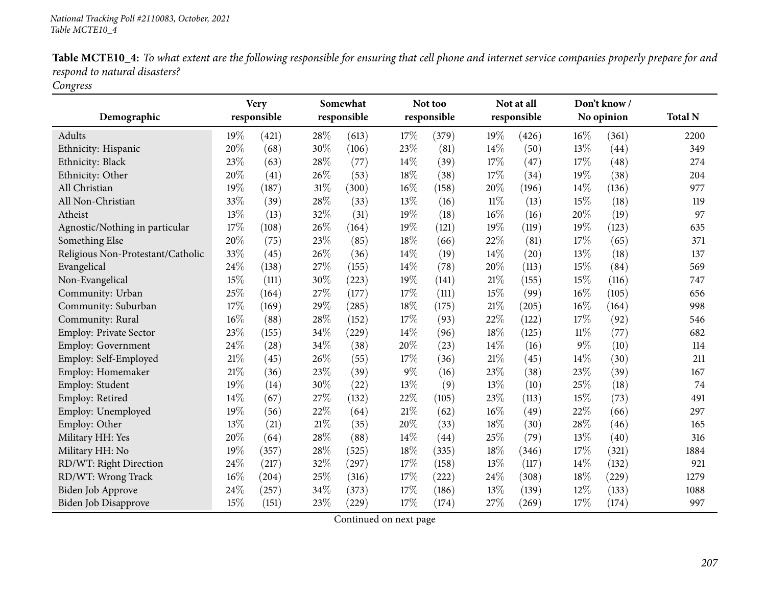| Table MCTE10_4: To what extent are the following responsible for ensuring that cell phone and internet service companies properly prepare for and |  |  |  |  |
|---------------------------------------------------------------------------------------------------------------------------------------------------|--|--|--|--|
| respond to natural disasters?                                                                                                                     |  |  |  |  |

*Congress*

| Demographic                       | <b>Very</b><br>responsible |       | Somewhat<br>responsible |       | Not too<br>responsible |       | Not at all<br>responsible |       | Don't know/<br>No opinion |       | <b>Total N</b> |
|-----------------------------------|----------------------------|-------|-------------------------|-------|------------------------|-------|---------------------------|-------|---------------------------|-------|----------------|
|                                   |                            |       |                         |       |                        |       |                           |       |                           |       |                |
| Adults                            | 19%                        | (421) | 28\%                    | (613) | 17%                    | (379) | 19%                       | (426) | 16%                       | (361) | 2200           |
| Ethnicity: Hispanic               | $20\%$                     | (68)  | 30%                     | (106) | 23%                    | (81)  | 14%                       | (50)  | 13%                       | (44)  | 349            |
| Ethnicity: Black                  | 23%                        | (63)  | 28%                     | (77)  | 14%                    | (39)  | 17%                       | (47)  | 17%                       | (48)  | 274            |
| Ethnicity: Other                  | 20%                        | (41)  | 26%                     | (53)  | 18%                    | (38)  | 17%                       | (34)  | 19%                       | (38)  | 204            |
| All Christian                     | 19%                        | (187) | $31\%$                  | (300) | $16\%$                 | (158) | 20%                       | (196) | 14%                       | (136) | 977            |
| All Non-Christian                 | 33%                        | (39)  | 28%                     | (33)  | 13%                    | (16)  | $11\%$                    | (13)  | 15%                       | (18)  | 119            |
| Atheist                           | 13%                        | (13)  | 32%                     | (31)  | 19%                    | (18)  | 16%                       | (16)  | 20%                       | (19)  | 97             |
| Agnostic/Nothing in particular    | 17%                        | (108) | 26%                     | (164) | 19%                    | (121) | 19%                       | (119) | 19%                       | (123) | 635            |
| Something Else                    | 20%                        | (75)  | 23%                     | (85)  | 18%                    | (66)  | 22%                       | (81)  | 17%                       | (65)  | 371            |
| Religious Non-Protestant/Catholic | 33%                        | (45)  | 26%                     | (36)  | 14%                    | (19)  | 14%                       | (20)  | 13%                       | (18)  | 137            |
| Evangelical                       | 24%                        | (138) | 27%                     | (155) | 14%                    | (78)  | $20\%$                    | (113) | 15%                       | (84)  | 569            |
| Non-Evangelical                   | 15%                        | (111) | 30%                     | (223) | 19%                    | (141) | 21%                       | (155) | 15%                       | (116) | 747            |
| Community: Urban                  | 25%                        | (164) | 27%                     | (177) | 17%                    | (111) | 15%                       | (99)  | 16%                       | (105) | 656            |
| Community: Suburban               | 17%                        | (169) | 29%                     | (285) | 18%                    | (175) | 21%                       | (205) | 16%                       | (164) | 998            |
| Community: Rural                  | 16%                        | (88)  | 28\%                    | (152) | 17%                    | (93)  | 22%                       | (122) | 17%                       | (92)  | 546            |
| <b>Employ: Private Sector</b>     | 23%                        | (155) | 34%                     | (229) | 14%                    | (96)  | 18%                       | (125) | $11\%$                    | (77)  | 682            |
| Employ: Government                | 24%                        | (28)  | 34%                     | (38)  | 20%                    | (23)  | 14%                       | (16)  | $9\%$                     | (10)  | 114            |
| Employ: Self-Employed             | 21%                        | (45)  | 26%                     | (55)  | 17%                    | (36)  | $21\%$                    | (45)  | 14%                       | (30)  | 211            |
| Employ: Homemaker                 | 21%                        | (36)  | 23%                     | (39)  | 9%                     | (16)  | 23%                       | (38)  | 23%                       | (39)  | 167            |
| Employ: Student                   | 19%                        | (14)  | 30%                     | (22)  | 13%                    | (9)   | 13\%                      | (10)  | 25%                       | (18)  | 74             |
| Employ: Retired                   | 14%                        | (67)  | $27\%$                  | (132) | 22%                    | (105) | 23%                       | (113) | 15%                       | (73)  | 491            |
| Employ: Unemployed                | 19%                        | (56)  | 22%                     | (64)  | 21%                    | (62)  | 16%                       | (49)  | 22%                       | (66)  | 297            |
| Employ: Other                     | 13%                        | (21)  | 21%                     | (35)  | 20%                    | (33)  | 18%                       | (30)  | 28%                       | (46)  | 165            |
| Military HH: Yes                  | 20%                        | (64)  | 28\%                    | (88)  | 14%                    | (44)  | 25%                       | (79)  | 13%                       | (40)  | 316            |
| Military HH: No                   | 19%                        | (357) | 28\%                    | (525) | 18%                    | (335) | 18%                       | (346) | 17%                       | (321) | 1884           |
| RD/WT: Right Direction            | 24%                        | (217) | 32%                     | (297) | 17%                    | (158) | 13%                       | (117) | 14%                       | (132) | 921            |
| RD/WT: Wrong Track                | 16%                        | (204) | 25%                     | (316) | 17%                    | (222) | 24%                       | (308) | 18%                       | (229) | 1279           |
| Biden Job Approve                 | 24%                        | (257) | 34%                     | (373) | 17%                    | (186) | 13%                       | (139) | 12%                       | (133) | 1088           |
| Biden Job Disapprove              | 15%                        | (151) | 23%                     | (229) | 17%                    | (174) | 27%                       | (269) | 17%                       | (174) | 997            |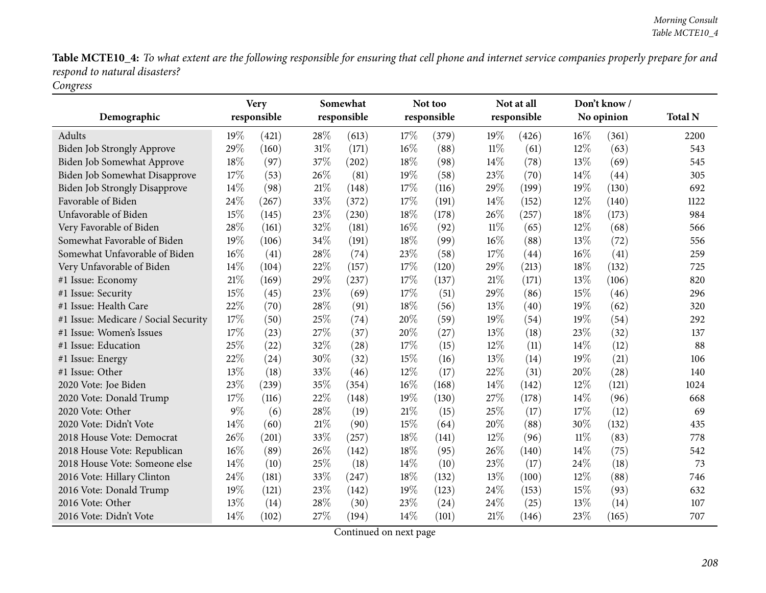Table MCTE10\_4: To what extent are the following responsible for ensuring that cell phone and internet service companies properly prepare for and *respon<sup>d</sup> to natural disasters? Congress*

|                                      | Somewhat<br><b>Very</b> |             |        | Not too     |     | Not at all  |        | Don't know/ |        |            |                |
|--------------------------------------|-------------------------|-------------|--------|-------------|-----|-------------|--------|-------------|--------|------------|----------------|
| Demographic                          |                         | responsible |        | responsible |     | responsible |        | responsible |        | No opinion | <b>Total N</b> |
| Adults                               | 19%                     | (421)       | 28%    | (613)       | 17% | (379)       | 19%    | (426)       | 16%    | (361)      | 2200           |
| <b>Biden Job Strongly Approve</b>    | 29%                     | (160)       | $31\%$ | (171)       | 16% | (88)        | $11\%$ | (61)        | $12\%$ | (63)       | 543            |
| Biden Job Somewhat Approve           | 18%                     | (97)        | 37%    | (202)       | 18% | (98)        | 14\%   | (78)        | 13%    | (69)       | 545            |
| Biden Job Somewhat Disapprove        | 17%                     | (53)        | 26%    | (81)        | 19% | (58)        | 23%    | (70)        | 14%    | (44)       | 305            |
| <b>Biden Job Strongly Disapprove</b> | 14%                     | (98)        | 21%    | (148)       | 17% | (116)       | 29%    | (199)       | 19%    | (130)      | 692            |
| Favorable of Biden                   | 24\%                    | (267)       | 33%    | (372)       | 17% | (191)       | 14\%   | (152)       | 12%    | (140)      | 1122           |
| Unfavorable of Biden                 | 15%                     | (145)       | 23%    | (230)       | 18% | (178)       | 26%    | (257)       | 18%    | (173)      | 984            |
| Very Favorable of Biden              | 28%                     | (161)       | 32%    | (181)       | 16% | (92)        | $11\%$ | (65)        | $12\%$ | (68)       | 566            |
| Somewhat Favorable of Biden          | 19%                     | (106)       | 34\%   | (191)       | 18% | (99)        | 16\%   | (88)        | 13%    | (72)       | 556            |
| Somewhat Unfavorable of Biden        | 16%                     | (41)        | 28\%   | (74)        | 23% | (58)        | 17%    | (44)        | 16%    | (41)       | 259            |
| Very Unfavorable of Biden            | $14\%$                  | (104)       | 22%    | (157)       | 17% | (120)       | 29%    | (213)       | 18%    | (132)      | 725            |
| #1 Issue: Economy                    | 21\%                    | (169)       | 29%    | (237)       | 17% | (137)       | 21%    | (171)       | 13%    | (106)      | 820            |
| #1 Issue: Security                   | 15%                     | (45)        | 23%    | (69)        | 17% | (51)        | 29%    | (86)        | 15%    | (46)       | 296            |
| #1 Issue: Health Care                | 22%                     | (70)        | 28%    | (91)        | 18% | (56)        | 13%    | (40)        | 19%    | (62)       | 320            |
| #1 Issue: Medicare / Social Security | 17%                     | (50)        | 25%    | (74)        | 20% | (59)        | 19%    | (54)        | 19%    | (54)       | 292            |
| #1 Issue: Women's Issues             | 17%                     | (23)        | 27\%   | (37)        | 20% | (27)        | 13\%   | (18)        | 23%    | (32)       | 137            |
| #1 Issue: Education                  | 25%                     | (22)        | 32%    | (28)        | 17% | (15)        | 12%    | (11)        | 14%    | (12)       | 88             |
| #1 Issue: Energy                     | 22%                     | (24)        | 30%    | (32)        | 15% | (16)        | 13%    | (14)        | 19%    | (21)       | 106            |
| #1 Issue: Other                      | 13%                     | (18)        | 33%    | (46)        | 12% | (17)        | 22%    | (31)        | 20%    | (28)       | 140            |
| 2020 Vote: Joe Biden                 | 23%                     | (239)       | 35%    | (354)       | 16% | (168)       | 14\%   | (142)       | 12%    | (121)      | 1024           |
| 2020 Vote: Donald Trump              | 17%                     | (116)       | 22%    | (148)       | 19% | (130)       | 27%    | (178)       | 14%    | (96)       | 668            |
| 2020 Vote: Other                     | $9\%$                   | (6)         | 28%    | (19)        | 21% | (15)        | 25%    | (17)        | 17%    | (12)       | 69             |
| 2020 Vote: Didn't Vote               | 14%                     | (60)        | 21\%   | (90)        | 15% | (64)        | 20%    | (88)        | 30%    | (132)      | 435            |
| 2018 House Vote: Democrat            | 26%                     | (201)       | 33%    | (257)       | 18% | (141)       | 12%    | (96)        | $11\%$ | (83)       | 778            |
| 2018 House Vote: Republican          | $16\%$                  | (89)        | 26%    | (142)       | 18% | (95)        | 26%    | (140)       | 14%    | (75)       | 542            |
| 2018 House Vote: Someone else        | 14%                     | (10)        | 25%    | (18)        | 14% | (10)        | 23%    | (17)        | 24%    | (18)       | 73             |
| 2016 Vote: Hillary Clinton           | 24\%                    | (181)       | 33%    | (247)       | 18% | (132)       | 13%    | (100)       | 12%    | (88)       | 746            |
| 2016 Vote: Donald Trump              | 19%                     | (121)       | 23%    | (142)       | 19% | (123)       | 24%    | (153)       | 15%    | (93)       | 632            |
| 2016 Vote: Other                     | 13%                     | (14)        | 28%    | (30)        | 23% | (24)        | 24%    | (25)        | 13%    | (14)       | 107            |
| 2016 Vote: Didn't Vote               | 14%                     | (102)       | 27%    | (194)       | 14% | (101)       | 21%    | (146)       | 23%    | (165)      | 707            |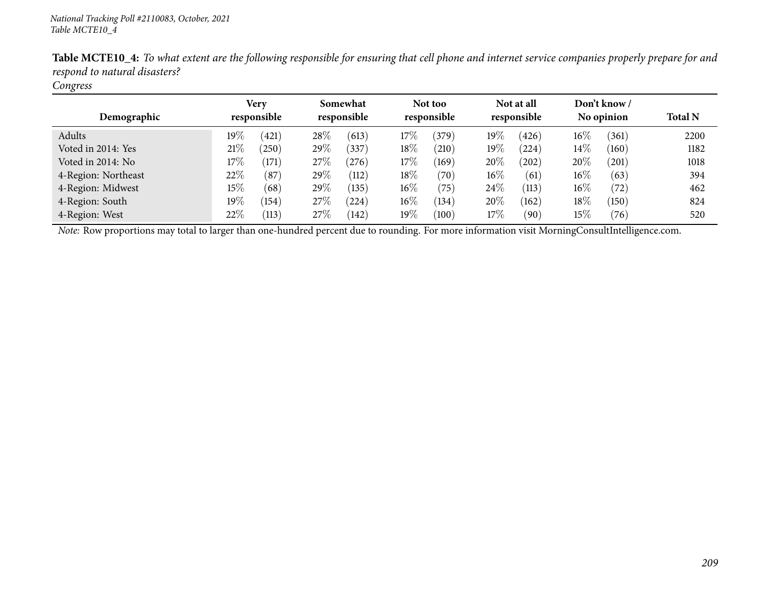| ັ<br>Demographic    | Very<br>responsible |       | Somewhat<br>responsible |            |        | Not too<br>responsible |        | Not at all<br>responsible |        | Don't know /<br>No opinion | <b>Total N</b> |
|---------------------|---------------------|-------|-------------------------|------------|--------|------------------------|--------|---------------------------|--------|----------------------------|----------------|
| Adults              | 19 $\%$             | (421) | 28\%                    | (613)      | 17%    | 379                    | $19\%$ | (426)                     | $16\%$ | (361)                      | 2200           |
| Voted in 2014: Yes  | 21%                 | (250) | 29\%                    | (337)      | $18\%$ | (210)                  | $19\%$ | (224)                     | $14\%$ | (160)                      | 1182           |
| Voted in 2014: No   | $17\%$              | (171) | 27\%                    | $^{'}276)$ | 17%    | (169)                  | 20\%   | (202)                     | 20%    | (201)                      | 1018           |
| 4-Region: Northeast | 22\%                | (87)  | 29\%                    | (112)      | $18\%$ | (70)                   | $16\%$ | (61)                      | $16\%$ | (63)                       | 394            |
| 4-Region: Midwest   | $15\%$              | (68)  | 29\%                    | (135)      | $16\%$ | (75)                   | $24\%$ | (113)                     | $16\%$ | (72)                       | 462            |
| 4-Region: South     | $19\%$              | (154) | 27\%                    | (224)      | $16\%$ | (134)                  | 20\%   | (162)                     | 18%    | (150)                      | 824            |
| 4-Region: West      | 22%                 | (113) | 27\%                    | (142)      | 19%    | (100)                  | 17%    | (90)                      | 15%    | (76)                       | 520            |

Table MCTE10\_4: To what extent are the following responsible for ensuring that cell phone and internet service companies properly prepare for and *respon<sup>d</sup> to natural disasters?*

## *Congress*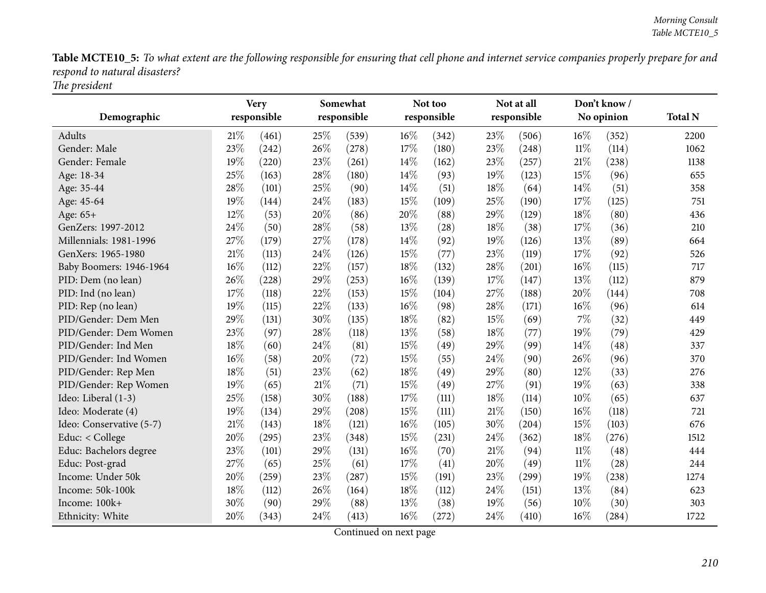Table MCTE10\_5: To what extent are the following responsible for ensuring that cell phone and internet service companies properly prepare for and *respon<sup>d</sup> to natural disasters? The president*

|                          |     | <b>Very</b> |        | Somewhat    |        | Not too     |        | Not at all          |        | Don't know/         |                |
|--------------------------|-----|-------------|--------|-------------|--------|-------------|--------|---------------------|--------|---------------------|----------------|
| Demographic              |     | responsible |        | responsible |        | responsible |        | responsible         |        | No opinion          | <b>Total N</b> |
| Adults                   | 21% | (461)       | 25%    | (539)       | 16%    | (342)       | 23%    | (506)               | $16\%$ | (352)               | 2200           |
| Gender: Male             | 23% | (242)       | 26%    | (278)       | 17%    | (180)       | 23%    | (248)               | $11\%$ | (114)               | 1062           |
| Gender: Female           | 19% | (220)       | 23%    | (261)       | 14%    | (162)       | 23%    | (257)               | 21%    | (238)               | 1138           |
| Age: 18-34               | 25% | (163)       | 28%    | (180)       | 14%    | (93)        | 19%    | (123)               | 15%    | (96)                | 655            |
| Age: 35-44               | 28% | (101)       | 25%    | (90)        | 14%    | (51)        | 18%    | (64)                | 14\%   | (51)                | 358            |
| Age: 45-64               | 19% | (144)       | 24%    | (183)       | 15%    | (109)       | 25%    | (190)               | 17%    | (125)               | 751            |
| Age: 65+                 | 12% | (53)        | 20%    | (86)        | 20%    | (88)        | 29%    | (129)               | 18%    | (80)                | 436            |
| GenZers: 1997-2012       | 24% | (50)        | 28%    | (58)        | 13%    | (28)        | 18%    | (38)                | 17%    | (36)                | 210            |
| Millennials: 1981-1996   | 27% | (179)       | 27%    | (178)       | 14%    | (92)        | 19%    | (126)               | 13%    | (89)                | 664            |
| GenXers: 1965-1980       | 21% | (113)       | 24%    | (126)       | 15%    | (77)        | 23%    | (119)               | 17%    | (92)                | 526            |
| Baby Boomers: 1946-1964  | 16% | (112)       | 22%    | (157)       | 18%    | (132)       | 28%    | (201)               | 16%    | (115)               | 717            |
| PID: Dem (no lean)       | 26% | (228)       | 29%    | (253)       | 16%    | (139)       | 17%    | (147)               | 13%    | (112)               | 879            |
| PID: Ind (no lean)       | 17% | (118)       | 22%    | (153)       | 15%    | (104)       | 27%    | (188)               | 20%    | (144)               | 708            |
| PID: Rep (no lean)       | 19% | (115)       | 22%    | (133)       | $16\%$ | (98)        | 28%    | (171)               | 16%    | (96)                | 614            |
| PID/Gender: Dem Men      | 29% | (131)       | 30%    | (135)       | 18%    | (82)        | 15%    | (69)                | $7\%$  | (32)                | 449            |
| PID/Gender: Dem Women    | 23% | (97)        | 28\%   | (118)       | 13%    | (58)        | 18%    | (77)                | 19%    | (79)                | 429            |
| PID/Gender: Ind Men      | 18% | (60)        | 24%    | (81)        | 15%    | (49)        | 29%    | (99)                | 14%    | (48)                | 337            |
| PID/Gender: Ind Women    | 16% | (58)        | 20%    | (72)        | 15%    | (55)        | 24\%   | (90)                | 26%    | (96)                | 370            |
| PID/Gender: Rep Men      | 18% | (51)        | 23%    | (62)        | 18%    | (49)        | 29%    | (80)                | 12%    | (33)                | 276            |
| PID/Gender: Rep Women    | 19% | (65)        | $21\%$ | (71)        | 15%    | (49)        | 27%    | (91)                | 19%    | (63)                | 338            |
| Ideo: Liberal (1-3)      | 25% | (158)       | 30%    | (188)       | 17%    | (111)       | 18%    | (114)               | 10%    | (65)                | 637            |
| Ideo: Moderate (4)       | 19% | (134)       | 29%    | (208)       | 15%    | (111)       | 21\%   | (150)               | 16%    | (118)               | 721            |
| Ideo: Conservative (5-7) | 21% | (143)       | 18%    | (121)       | 16%    | (105)       | 30%    | $\left( 204\right)$ | 15%    | (103)               | 676            |
| Educ: < College          | 20% | (295)       | 23%    | (348)       | 15%    | (231)       | 24%    | (362)               | 18%    | (276)               | 1512           |
| Educ: Bachelors degree   | 23% | (101)       | 29%    | (131)       | 16%    | (70)        | $21\%$ | (94)                | $11\%$ | (48)                | 444            |
| Educ: Post-grad          | 27% | (65)        | 25%    | (61)        | 17%    | (41)        | 20%    | (49)                | $11\%$ | (28)                | 244            |
| Income: Under 50k        | 20% | (259)       | 23%    | (287)       | 15%    | (191)       | 23%    | (299)               | 19%    | (238)               | 1274           |
| Income: 50k-100k         | 18% | (112)       | 26%    | (164)       | 18%    | (112)       | 24\%   | (151)               | 13%    | (84)                | 623            |
| Income: 100k+            | 30% | (90)        | 29%    | (88)        | 13%    | (38)        | 19%    | (56)                | 10%    | (30)                | 303            |
| Ethnicity: White         | 20% | (343)       | 24%    | (413)       | 16%    | (272)       | 24%    | (410)               | 16%    | $\left( 284\right)$ | 1722           |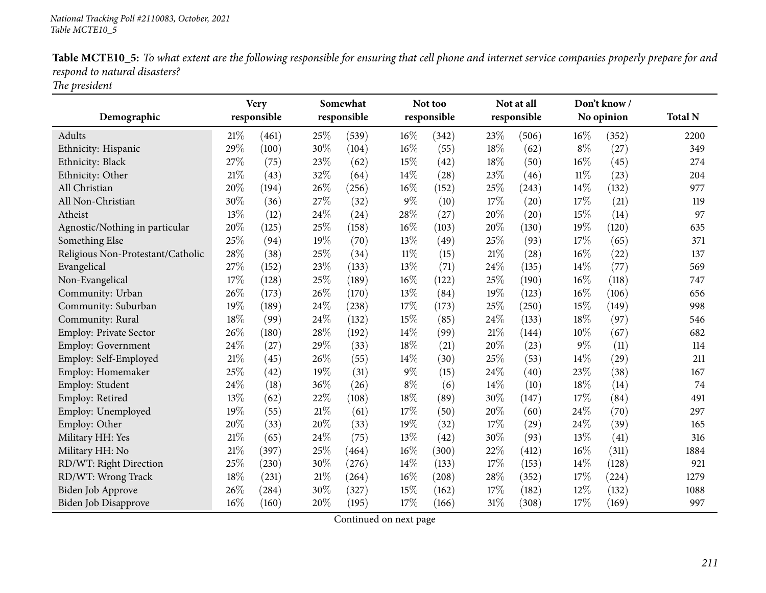|                               | Table MCTE10_5: To what extent are the following responsible for ensuring that cell phone and internet service companies properly prepare for and |  |  |  |
|-------------------------------|---------------------------------------------------------------------------------------------------------------------------------------------------|--|--|--|
| respond to natural disasters? |                                                                                                                                                   |  |  |  |
|                               |                                                                                                                                                   |  |  |  |

*The president*

|                                   |      | <b>Very</b>         |        | Somewhat    |        | Not too     |     | Not at all  |        | Don't know/ |                |
|-----------------------------------|------|---------------------|--------|-------------|--------|-------------|-----|-------------|--------|-------------|----------------|
| Demographic                       |      | responsible         |        | responsible |        | responsible |     | responsible |        | No opinion  | <b>Total N</b> |
| Adults                            | 21\% | (461)               | 25%    | (539)       | 16%    | (342)       | 23% | (506)       | 16%    | (352)       | 2200           |
| Ethnicity: Hispanic               | 29%  | (100)               | 30%    | (104)       | 16%    | (55)        | 18% | (62)        | $8\%$  | (27)        | 349            |
| Ethnicity: Black                  | 27%  | (75)                | 23%    | (62)        | 15%    | (42)        | 18% | (50)        | 16%    | (45)        | 274            |
| Ethnicity: Other                  | 21\% | (43)                | 32%    | (64)        | 14%    | (28)        | 23% | (46)        | 11%    | (23)        | 204            |
| All Christian                     | 20%  | (194)               | $26\%$ | (256)       | $16\%$ | (152)       | 25% | (243)       | 14%    | (132)       | 977            |
| All Non-Christian                 | 30%  | (36)                | 27%    | (32)        | $9\%$  | (10)        | 17% | (20)        | 17%    | (21)        | 119            |
| Atheist                           | 13%  | (12)                | 24%    | (24)        | 28%    | (27)        | 20% | (20)        | 15%    | (14)        | 97             |
| Agnostic/Nothing in particular    | 20%  | (125)               | 25%    | (158)       | 16%    | (103)       | 20% | (130)       | 19%    | (120)       | 635            |
| Something Else                    | 25%  | (94)                | 19%    | (70)        | 13%    | (49)        | 25% | (93)        | 17%    | (65)        | 371            |
| Religious Non-Protestant/Catholic | 28\% | (38)                | 25%    | (34)        | $11\%$ | (15)        | 21% | (28)        | 16%    | (22)        | 137            |
| Evangelical                       | 27%  | (152)               | 23%    | (133)       | 13%    | (71)        | 24% | (135)       | 14%    | (77)        | 569            |
| Non-Evangelical                   | 17%  | (128)               | 25%    | (189)       | 16%    | (122)       | 25% | (190)       | 16%    | (118)       | 747            |
| Community: Urban                  | 26%  | (173)               | 26%    | (170)       | 13%    | (84)        | 19% | (123)       | 16%    | (106)       | 656            |
| Community: Suburban               | 19%  | (189)               | 24%    | (238)       | 17%    | (173)       | 25% | (250)       | 15%    | (149)       | 998            |
| Community: Rural                  | 18%  | (99)                | 24%    | (132)       | 15%    | (85)        | 24% | (133)       | 18%    | (97)        | 546            |
| Employ: Private Sector            | 26%  | (180)               | $28\%$ | (192)       | 14%    | (99)        | 21% | (144)       | $10\%$ | (67)        | 682            |
| Employ: Government                | 24%  | (27)                | 29%    | (33)        | 18%    | (21)        | 20% | (23)        | $9\%$  | (11)        | 114            |
| Employ: Self-Employed             | 21\% | (45)                | 26%    | (55)        | 14%    | (30)        | 25% | (53)        | 14%    | (29)        | 211            |
| Employ: Homemaker                 | 25%  | (42)                | 19%    | (31)        | $9\%$  | (15)        | 24% | (40)        | 23%    | (38)        | 167            |
| Employ: Student                   | 24%  | (18)                | 36%    | (26)        | $8\%$  | (6)         | 14% | (10)        | 18%    | (14)        | 74             |
| Employ: Retired                   | 13%  | (62)                | 22%    | (108)       | 18%    | (89)        | 30% | (147)       | 17%    | (84)        | 491            |
| Employ: Unemployed                | 19%  | (55)                | 21%    | (61)        | 17%    | (50)        | 20% | (60)        | 24%    | (70)        | 297            |
| Employ: Other                     | 20%  | (33)                | 20%    | (33)        | 19%    | (32)        | 17% | (29)        | 24\%   | (39)        | 165            |
| Military HH: Yes                  | 21%  | (65)                | 24%    | (75)        | 13%    | (42)        | 30% | (93)        | 13%    | (41)        | 316            |
| Military HH: No                   | 21%  | (397)               | 25%    | (464)       | 16%    | (300)       | 22% | (412)       | 16%    | (311)       | 1884           |
| RD/WT: Right Direction            | 25%  | (230)               | 30%    | (276)       | 14%    | (133)       | 17% | (153)       | 14%    | (128)       | 921            |
| RD/WT: Wrong Track                | 18%  | (231)               | 21%    | (264)       | 16%    | (208)       | 28% | (352)       | 17%    | (224)       | 1279           |
| Biden Job Approve                 | 26%  | $\left( 284\right)$ | 30%    | (327)       | 15%    | (162)       | 17% | (182)       | 12%    | (132)       | 1088           |
| Biden Job Disapprove              | 16%  | (160)               | 20%    | (195)       | 17%    | (166)       | 31% | (308)       | 17%    | (169)       | 997            |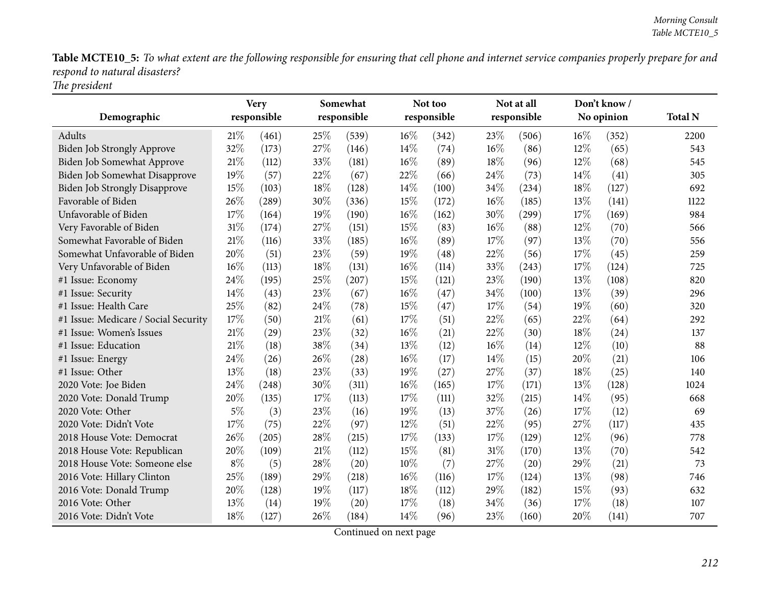Table MCTE10\_5: To what extent are the following responsible for ensuring that cell phone and internet service companies properly prepare for and *respon<sup>d</sup> to natural disasters? The president*

|                                      |        | <b>Very</b> |        | Somewhat    |        | Not too     |     | Not at all  |      | Don't know/ |                |
|--------------------------------------|--------|-------------|--------|-------------|--------|-------------|-----|-------------|------|-------------|----------------|
| Demographic                          |        | responsible |        | responsible |        | responsible |     | responsible |      | No opinion  | <b>Total N</b> |
| Adults                               | 21%    | (461)       | 25%    | (539)       | 16%    | (342)       | 23% | (506)       | 16%  | (352)       | 2200           |
| <b>Biden Job Strongly Approve</b>    | 32%    | (173)       | 27%    | (146)       | 14%    | (74)        | 16% | (86)        | 12%  | (65)        | 543            |
| Biden Job Somewhat Approve           | 21%    | (112)       | 33%    | (181)       | $16\%$ | (89)        | 18% | (96)        | 12%  | (68)        | 545            |
| Biden Job Somewhat Disapprove        | 19%    | (57)        | 22%    | (67)        | 22%    | (66)        | 24% | (73)        | 14\% | (41)        | 305            |
| <b>Biden Job Strongly Disapprove</b> | 15%    | (103)       | 18%    | (128)       | 14%    | (100)       | 34% | (234)       | 18%  | (127)       | 692            |
| Favorable of Biden                   | 26%    | (289)       | 30%    | (336)       | 15%    | (172)       | 16% | (185)       | 13%  | (141)       | 1122           |
| Unfavorable of Biden                 | 17%    | (164)       | 19%    | (190)       | 16%    | (162)       | 30% | (299)       | 17%  | (169)       | 984            |
| Very Favorable of Biden              | 31%    | (174)       | 27%    | (151)       | 15%    | (83)        | 16% | (88)        | 12%  | (70)        | 566            |
| Somewhat Favorable of Biden          | 21%    | (116)       | 33%    | (185)       | 16%    | (89)        | 17% | (97)        | 13%  | (70)        | 556            |
| Somewhat Unfavorable of Biden        | 20%    | (51)        | 23%    | (59)        | 19%    | (48)        | 22% | (56)        | 17%  | (45)        | 259            |
| Very Unfavorable of Biden            | $16\%$ | (113)       | 18%    | (131)       | 16%    | (114)       | 33% | (243)       | 17%  | (124)       | 725            |
| #1 Issue: Economy                    | 24\%   | (195)       | 25%    | (207)       | 15%    | (121)       | 23% | (190)       | 13%  | (108)       | 820            |
| #1 Issue: Security                   | 14%    | (43)        | 23%    | (67)        | 16%    | (47)        | 34% | (100)       | 13%  | (39)        | 296            |
| #1 Issue: Health Care                | 25%    | (82)        | 24%    | (78)        | 15%    | (47)        | 17% | (54)        | 19%  | (60)        | 320            |
| #1 Issue: Medicare / Social Security | 17%    | (50)        | 21%    | (61)        | 17%    | (51)        | 22% | (65)        | 22%  | (64)        | 292            |
| #1 Issue: Women's Issues             | 21%    | (29)        | 23%    | (32)        | 16%    | (21)        | 22% | (30)        | 18%  | (24)        | 137            |
| #1 Issue: Education                  | 21%    | (18)        | 38%    | (34)        | 13%    | (12)        | 16% | (14)        | 12%  | (10)        | 88             |
| #1 Issue: Energy                     | 24%    | (26)        | 26%    | (28)        | 16%    | (17)        | 14% | (15)        | 20%  | (21)        | 106            |
| #1 Issue: Other                      | 13%    | (18)        | 23%    | (33)        | 19%    | (27)        | 27% | (37)        | 18%  | (25)        | 140            |
| 2020 Vote: Joe Biden                 | 24%    | (248)       | 30%    | (311)       | 16%    | (165)       | 17% | (171)       | 13%  | (128)       | 1024           |
| 2020 Vote: Donald Trump              | 20%    | (135)       | 17%    | (113)       | 17%    | (111)       | 32% | (215)       | 14%  | (95)        | 668            |
| 2020 Vote: Other                     | $5\%$  | (3)         | 23%    | (16)        | 19%    | (13)        | 37% | (26)        | 17%  | (12)        | 69             |
| 2020 Vote: Didn't Vote               | 17%    | (75)        | 22%    | (97)        | 12%    | (51)        | 22% | (95)        | 27%  | (117)       | 435            |
| 2018 House Vote: Democrat            | 26%    | (205)       | 28%    | (215)       | 17%    | (133)       | 17% | (129)       | 12%  | (96)        | 778            |
| 2018 House Vote: Republican          | 20%    | (109)       | $21\%$ | (112)       | 15%    | (81)        | 31% | (170)       | 13%  | (70)        | 542            |
| 2018 House Vote: Someone else        | $8\%$  | (5)         | 28%    | (20)        | 10%    | (7)         | 27% | (20)        | 29%  | (21)        | 73             |
| 2016 Vote: Hillary Clinton           | 25%    | (189)       | 29%    | (218)       | 16%    | (116)       | 17% | (124)       | 13%  | (98)        | 746            |
| 2016 Vote: Donald Trump              | 20%    | (128)       | 19%    | (117)       | 18%    | (112)       | 29% | (182)       | 15%  | (93)        | 632            |
| 2016 Vote: Other                     | 13%    | (14)        | 19%    | (20)        | 17%    | (18)        | 34% | (36)        | 17%  | (18)        | 107            |
| 2016 Vote: Didn't Vote               | 18%    | (127)       | 26%    | (184)       | 14%    | (96)        | 23% | (160)       | 20%  | (141)       | 707            |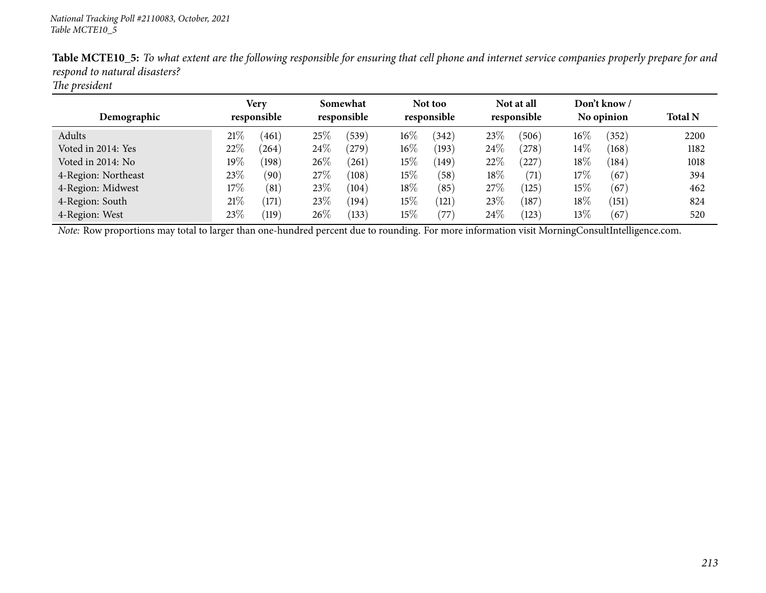| Demographic         | <b>Very</b><br>responsible |                    | Somewhat<br>responsible |       | Not too<br>responsible |       | Not at all<br>responsible |       | Don't know /<br>No opinion |                 | <b>Total N</b> |
|---------------------|----------------------------|--------------------|-------------------------|-------|------------------------|-------|---------------------------|-------|----------------------------|-----------------|----------------|
| Adults              | 21%                        | (461)              | 25%                     | (539) | $16\%$                 | (342) | 23\%                      | (506) | 16%                        | (352)           | 2200           |
| Voted in 2014: Yes  | 22%                        | (264)              | 24\%                    | (279) | $16\%$                 | (193) | 24\%                      | (278) | 14\%                       | $^{\prime}168)$ | 1182           |
| Voted in 2014: No   | $19\%$                     | (198)              | 26\%                    | (261) | 15%                    | (149) | $22\%$                    | (227) | $18\%$                     | (184)           | 1018           |
| 4-Region: Northeast | 23\%                       | (90)               | 27\%                    | (108) | 15%                    | (58)  | 18%                       | (71)  | $17\%$                     | (67)            | 394            |
| 4-Region: Midwest   | 17%                        | (81)               | 23\%                    | (104) | 18%                    | (85)  | $27\%$                    | (125) | $15\%$                     | (67)            | 462            |
| 4-Region: South     | 21%                        | (171)              | 23\%                    | (194) | 15%                    | (121) | 23\%                      | (187) | $18\%$                     | (151)           | 824            |
| 4-Region: West      | $23\%$                     | $\left(119\right)$ | $26\%$                  | (133) | 15%                    | 77    | 24\%                      | (123) | $13\%$                     | (67)            | 520            |

Table MCTE10\_5: To what extent are the following responsible for ensuring that cell phone and internet service companies properly prepare for and *respon<sup>d</sup> to natural disasters?*

*The president*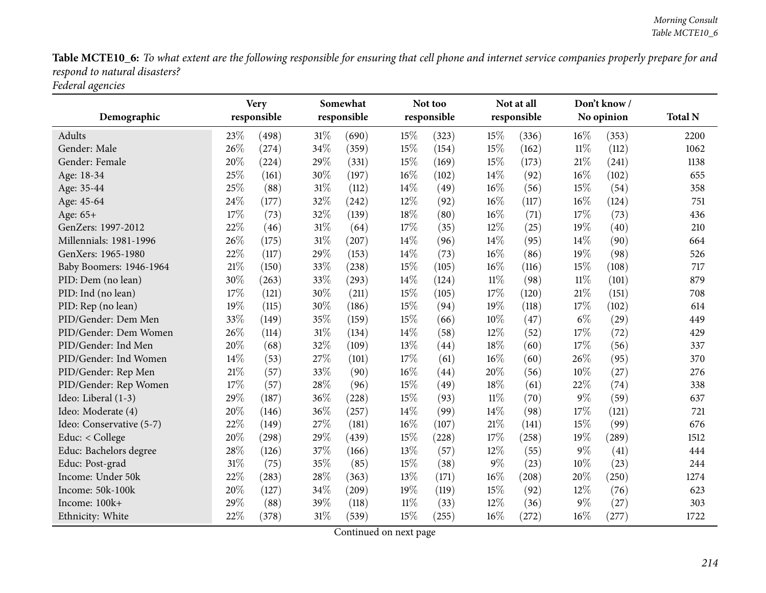Table MCTE10\_6: To what extent are the following responsible for ensuring that cell phone and internet service companies properly prepare for and *respon<sup>d</sup> to natural disasters?*

*Federal agencies*

|                          | <b>Very</b> |             | Somewhat |             |        | Not too     |        | Not at all  |        | Don't know/ |                |
|--------------------------|-------------|-------------|----------|-------------|--------|-------------|--------|-------------|--------|-------------|----------------|
| Demographic              |             | responsible |          | responsible |        | responsible |        | responsible |        | No opinion  | <b>Total N</b> |
| <b>Adults</b>            | 23\%        | (498)       | $31\%$   | (690)       | 15%    | (323)       | 15%    | (336)       | 16%    | (353)       | 2200           |
| Gender: Male             | 26%         | (274)       | 34%      | (359)       | 15%    | (154)       | 15%    | (162)       | $11\%$ | (112)       | 1062           |
| Gender: Female           | 20%         | (224)       | 29%      | (331)       | 15%    | (169)       | 15%    | (173)       | 21\%   | (241)       | 1138           |
| Age: 18-34               | 25%         | (161)       | 30%      | (197)       | 16%    | (102)       | 14%    | (92)        | 16%    | (102)       | 655            |
| Age: 35-44               | 25%         | (88)        | $31\%$   | (112)       | 14%    | (49)        | 16%    | (56)        | 15%    | (54)        | 358            |
| Age: 45-64               | 24%         | (177)       | 32%      | (242)       | 12%    | (92)        | 16%    | (117)       | 16%    | (124)       | 751            |
| Age: 65+                 | 17%         | (73)        | 32%      | (139)       | 18%    | (80)        | 16%    | (71)        | 17%    | (73)        | 436            |
| GenZers: 1997-2012       | 22%         | (46)        | $31\%$   | (64)        | 17%    | (35)        | 12%    | (25)        | 19%    | (40)        | 210            |
| Millennials: 1981-1996   | 26%         | (175)       | 31%      | (207)       | 14%    | (96)        | 14\%   | (95)        | 14%    | (90)        | 664            |
| GenXers: 1965-1980       | 22%         | (117)       | 29%      | (153)       | 14%    | (73)        | 16%    | (86)        | 19%    | (98)        | 526            |
| Baby Boomers: 1946-1964  | $21\%$      | (150)       | 33%      | (238)       | 15%    | (105)       | 16%    | (116)       | 15%    | (108)       | 717            |
| PID: Dem (no lean)       | 30%         | (263)       | 33%      | (293)       | 14%    | (124)       | 11%    | (98)        | 11%    | (101)       | 879            |
| PID: Ind (no lean)       | 17%         | (121)       | 30%      | (211)       | 15%    | (105)       | 17%    | (120)       | 21%    | (151)       | 708            |
| PID: Rep (no lean)       | 19%         | (115)       | 30%      | (186)       | 15%    | (94)        | 19%    | (118)       | 17%    | (102)       | 614            |
| PID/Gender: Dem Men      | 33%         | (149)       | 35%      | (159)       | 15%    | (66)        | 10%    | (47)        | $6\%$  | (29)        | 449            |
| PID/Gender: Dem Women    | 26%         | (114)       | $31\%$   | (134)       | 14%    | (58)        | 12%    | (52)        | 17%    | (72)        | 429            |
| PID/Gender: Ind Men      | 20%         | (68)        | 32%      | (109)       | 13%    | (44)        | 18%    | (60)        | 17%    | (56)        | 337            |
| PID/Gender: Ind Women    | 14%         | (53)        | 27%      | (101)       | 17%    | (61)        | $16\%$ | (60)        | 26%    | (95)        | 370            |
| PID/Gender: Rep Men      | 21%         | (57)        | 33%      | (90)        | 16%    | (44)        | 20%    | (56)        | 10%    | (27)        | 276            |
| PID/Gender: Rep Women    | 17%         | (57)        | 28\%     | (96)        | 15%    | (49)        | 18%    | (61)        | 22%    | (74)        | 338            |
| Ideo: Liberal (1-3)      | 29%         | (187)       | 36%      | (228)       | 15%    | (93)        | $11\%$ | (70)        | $9\%$  | (59)        | 637            |
| Ideo: Moderate (4)       | 20%         | (146)       | 36%      | (257)       | 14%    | (99)        | 14%    | (98)        | 17%    | (121)       | 721            |
| Ideo: Conservative (5-7) | 22%         | (149)       | 27%      | (181)       | 16%    | (107)       | 21%    | (141)       | 15%    | (99)        | 676            |
| Educ: < College          | 20%         | (298)       | 29%      | (439)       | 15%    | (228)       | 17%    | (258)       | 19%    | (289)       | 1512           |
| Educ: Bachelors degree   | 28%         | (126)       | 37%      | (166)       | 13%    | (57)        | 12%    | (55)        | 9%     | (41)        | 444            |
| Educ: Post-grad          | 31%         | (75)        | 35%      | (85)        | 15%    | (38)        | $9\%$  | (23)        | 10%    | (23)        | 244            |
| Income: Under 50k        | 22%         | (283)       | $28\%$   | (363)       | 13%    | (171)       | 16%    | (208)       | 20%    | (250)       | 1274           |
| Income: 50k-100k         | 20%         | (127)       | 34%      | (209)       | 19%    | (119)       | 15%    | (92)        | 12%    | (76)        | 623            |
| Income: 100k+            | 29%         | (88)        | 39%      | (118)       | $11\%$ | (33)        | 12%    | (36)        | $9\%$  | (27)        | 303            |
| Ethnicity: White         | 22%         | (378)       | $31\%$   | (539)       | 15%    | (255)       | 16%    | (272)       | 16%    | (277)       | 1722           |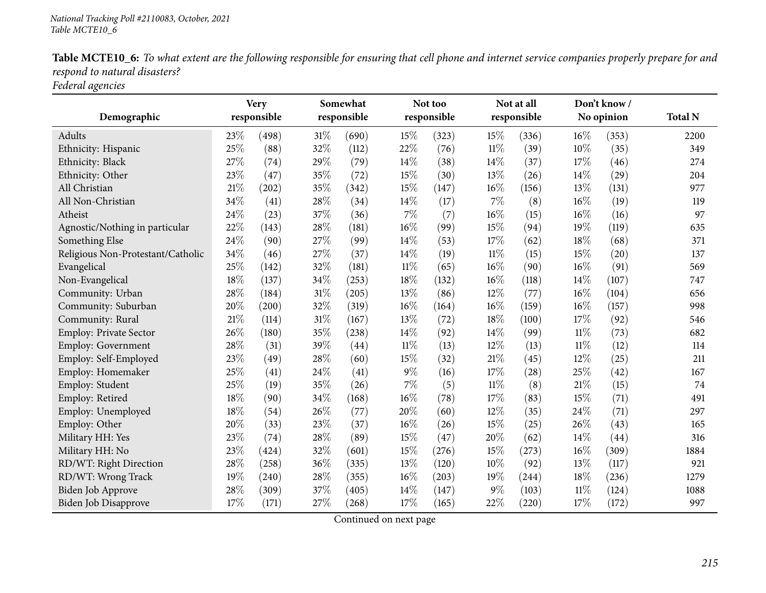|                               | Table MCTE10_6: To what extent are the following responsible for ensuring that cell phone and internet service companies properly prepare for and |  |  |  |
|-------------------------------|---------------------------------------------------------------------------------------------------------------------------------------------------|--|--|--|
| respond to natural disasters? |                                                                                                                                                   |  |  |  |
| ____                          |                                                                                                                                                   |  |  |  |

*Federal agencies*

|                                   |        | <b>Very</b> |        | Somewhat    |        | Not too     |        | Not at all  |        | Don't know / |                |
|-----------------------------------|--------|-------------|--------|-------------|--------|-------------|--------|-------------|--------|--------------|----------------|
| Demographic                       |        | responsible |        | responsible |        | responsible |        | responsible |        | No opinion   | <b>Total N</b> |
| Adults                            | 23\%   | (498)       | 31%    | (690)       | 15%    | (323)       | 15%    | (336)       | 16%    | (353)        | 2200           |
| Ethnicity: Hispanic               | 25%    | (88)        | 32%    | (112)       | 22%    | (76)        | 11%    | (39)        | 10%    | (35)         | 349            |
| Ethnicity: Black                  | 27%    | (74)        | 29%    | (79)        | 14%    | (38)        | 14\%   | (37)        | 17%    | (46)         | 274            |
| Ethnicity: Other                  | 23%    | (47)        | 35%    | (72)        | 15%    | (30)        | 13%    | (26)        | 14%    | (29)         | 204            |
| All Christian                     | 21%    | (202)       | 35%    | (342)       | 15%    | (147)       | 16%    | (156)       | 13%    | (131)        | 977            |
| All Non-Christian                 | 34%    | (41)        | 28%    | (34)        | 14%    | (17)        | 7%     | (8)         | 16%    | (19)         | 119            |
| Atheist                           | 24%    | (23)        | 37%    | (36)        | $7\%$  | (7)         | 16%    | (15)        | 16%    | (16)         | 97             |
| Agnostic/Nothing in particular    | 22%    | (143)       | 28%    | (181)       | 16%    | (99)        | 15%    | (94)        | 19%    | (119)        | 635            |
| Something Else                    | 24%    | (90)        | 27%    | (99)        | 14%    | (53)        | 17%    | (62)        | 18%    | (68)         | 371            |
| Religious Non-Protestant/Catholic | 34%    | (46)        | $27\%$ | (37)        | 14%    | (19)        | $11\%$ | (15)        | 15%    | (20)         | 137            |
| Evangelical                       | 25%    | (142)       | 32%    | (181)       | $11\%$ | (65)        | 16%    | (90)        | 16%    | (91)         | 569            |
| Non-Evangelical                   | 18%    | (137)       | 34%    | (253)       | 18%    | (132)       | 16%    | (118)       | 14%    | (107)        | 747            |
| Community: Urban                  | 28%    | (184)       | 31%    | (205)       | 13%    | (86)        | 12%    | (77)        | 16%    | (104)        | 656            |
| Community: Suburban               | 20%    | (200)       | 32%    | (319)       | 16%    | (164)       | 16%    | (159)       | 16%    | (157)        | 998            |
| Community: Rural                  | 21%    | (114)       | $31\%$ | (167)       | 13%    | (72)        | 18%    | (100)       | 17%    | (92)         | 546            |
| <b>Employ: Private Sector</b>     | 26%    | (180)       | 35%    | (238)       | 14%    | (92)        | 14%    | (99)        | $11\%$ | (73)         | 682            |
| Employ: Government                | 28%    | (31)        | 39%    | (44)        | $11\%$ | (13)        | 12%    | (13)        | $11\%$ | (12)         | 114            |
| Employ: Self-Employed             | 23%    | (49)        | 28%    | (60)        | 15%    | (32)        | 21%    | (45)        | 12%    | (25)         | 211            |
| Employ: Homemaker                 | 25%    | (41)        | 24%    | (41)        | $9\%$  | (16)        | 17%    | (28)        | 25%    | (42)         | 167            |
| Employ: Student                   | 25%    | (19)        | 35%    | (26)        | $7\%$  | (5)         | $11\%$ | (8)         | 21%    | (15)         | 74             |
| Employ: Retired                   | 18%    | (90)        | $34\%$ | (168)       | 16%    | (78)        | 17%    | (83)        | 15%    | (71)         | 491            |
| Employ: Unemployed                | 18%    | (54)        | 26%    | (77)        | 20%    | (60)        | 12%    | (35)        | 24%    | (71)         | 297            |
| Employ: Other                     | 20%    | (33)        | 23%    | (37)        | 16%    | (26)        | 15%    | (25)        | 26%    | (43)         | 165            |
| Military HH: Yes                  | $23\%$ | (74)        | 28%    | (89)        | 15%    | (47)        | 20%    | (62)        | 14\%   | (44)         | 316            |
| Military HH: No                   | 23%    | (424)       | 32%    | (601)       | 15%    | (276)       | 15%    | (273)       | 16%    | (309)        | 1884           |
| RD/WT: Right Direction            | 28%    | (258)       | 36%    | (335)       | 13%    | (120)       | 10%    | (92)        | 13%    | (117)        | 921            |
| RD/WT: Wrong Track                | 19%    | (240)       | 28\%   | (355)       | $16\%$ | (203)       | 19%    | (244)       | 18%    | (236)        | 1279           |
| Biden Job Approve                 | 28%    | (309)       | 37%    | (405)       | 14%    | (147)       | $9\%$  | (103)       | 11%    | (124)        | 1088           |
| Biden Job Disapprove              | 17%    | (171)       | 27%    | (268)       | 17%    | (165)       | 22%    | (220)       | 17%    | (172)        | 997            |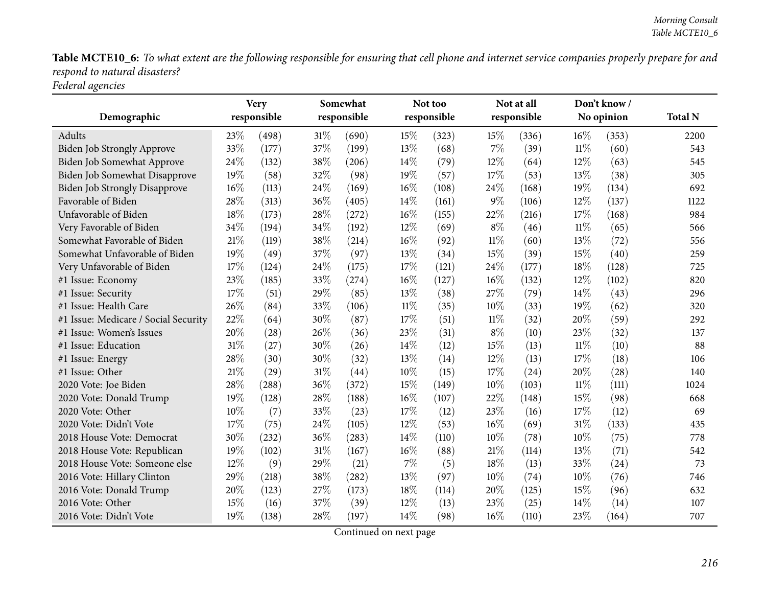Table MCTE10\_6: To what extent are the following responsible for ensuring that cell phone and internet service companies properly prepare for and *respon<sup>d</sup> to natural disasters? Federal agencies*

| Demographic                          | <b>Very</b><br>responsible |       | Somewhat<br>responsible |       |        | Not too<br>responsible |        | Not at all<br>responsible |        | Don't know/<br>No opinion | <b>Total N</b> |
|--------------------------------------|----------------------------|-------|-------------------------|-------|--------|------------------------|--------|---------------------------|--------|---------------------------|----------------|
|                                      |                            |       |                         |       |        |                        |        |                           |        |                           |                |
| <b>Adults</b>                        | 23%                        | (498) | $31\%$                  | (690) | 15%    | (323)                  | 15%    | (336)                     | 16%    | (353)                     | 2200           |
| <b>Biden Job Strongly Approve</b>    | 33%                        | (177) | 37%                     | (199) | 13%    | (68)                   | 7%     | (39)                      | 11%    | (60)                      | 543            |
| Biden Job Somewhat Approve           | 24%                        | (132) | 38%                     | (206) | 14%    | (79)                   | 12%    | (64)                      | 12%    | (63)                      | 545            |
| Biden Job Somewhat Disapprove        | 19%                        | (58)  | 32%                     | (98)  | 19%    | (57)                   | 17%    | (53)                      | 13%    | (38)                      | 305            |
| <b>Biden Job Strongly Disapprove</b> | 16%                        | (113) | 24\%                    | (169) | 16%    | (108)                  | 24%    | (168)                     | 19%    | (134)                     | 692            |
| Favorable of Biden                   | 28%                        | (313) | 36%                     | (405) | 14%    | (161)                  | $9\%$  | (106)                     | 12%    | (137)                     | 1122           |
| Unfavorable of Biden                 | 18%                        | (173) | 28%                     | (272) | $16\%$ | (155)                  | 22%    | (216)                     | 17%    | (168)                     | 984            |
| Very Favorable of Biden              | 34%                        | (194) | 34%                     | (192) | 12%    | (69)                   | $8\%$  | (46)                      | 11%    | (65)                      | 566            |
| Somewhat Favorable of Biden          | 21%                        | (119) | 38%                     | (214) | $16\%$ | (92)                   | $11\%$ | (60)                      | 13%    | (72)                      | 556            |
| Somewhat Unfavorable of Biden        | 19%                        | (49)  | 37%                     | (97)  | 13%    | (34)                   | 15%    | (39)                      | 15%    | (40)                      | 259            |
| Very Unfavorable of Biden            | 17%                        | (124) | 24\%                    | (175) | 17%    | (121)                  | 24%    | (177)                     | 18%    | (128)                     | 725            |
| #1 Issue: Economy                    | 23%                        | (185) | 33%                     | (274) | 16%    | (127)                  | 16%    | (132)                     | 12%    | (102)                     | 820            |
| #1 Issue: Security                   | 17%                        | (51)  | 29%                     | (85)  | 13%    | (38)                   | 27%    | (79)                      | 14\%   | (43)                      | 296            |
| #1 Issue: Health Care                | 26%                        | (84)  | 33%                     | (106) | $11\%$ | (35)                   | 10%    | (33)                      | 19%    | (62)                      | 320            |
| #1 Issue: Medicare / Social Security | 22%                        | (64)  | 30%                     | (87)  | 17%    | (51)                   | $11\%$ | (32)                      | 20%    | (59)                      | 292            |
| #1 Issue: Women's Issues             | 20%                        | (28)  | 26%                     | (36)  | 23%    | (31)                   | $8\%$  | (10)                      | 23%    | (32)                      | 137            |
| #1 Issue: Education                  | 31%                        | (27)  | 30%                     | (26)  | 14%    | (12)                   | 15%    | (13)                      | $11\%$ | (10)                      | 88             |
| #1 Issue: Energy                     | 28%                        | (30)  | 30%                     | (32)  | 13%    | (14)                   | 12%    | (13)                      | 17%    | (18)                      | 106            |
| #1 Issue: Other                      | $21\%$                     | (29)  | $31\%$                  | (44)  | 10%    | (15)                   | 17%    | (24)                      | 20%    | (28)                      | 140            |
| 2020 Vote: Joe Biden                 | 28%                        | (288) | 36%                     | (372) | 15%    | (149)                  | 10%    | (103)                     | 11%    | (111)                     | 1024           |
| 2020 Vote: Donald Trump              | 19%                        | (128) | 28%                     | (188) | 16%    | (107)                  | 22%    | (148)                     | 15%    | (98)                      | 668            |
| 2020 Vote: Other                     | $10\%$                     | (7)   | 33%                     | (23)  | 17%    | (12)                   | 23%    | (16)                      | 17%    | (12)                      | 69             |
| 2020 Vote: Didn't Vote               | 17%                        | (75)  | 24\%                    | (105) | 12%    | (53)                   | 16%    | (69)                      | 31%    | (133)                     | 435            |
| 2018 House Vote: Democrat            | 30%                        | (232) | 36%                     | (283) | 14%    | (110)                  | 10%    | (78)                      | 10%    | (75)                      | 778            |
| 2018 House Vote: Republican          | 19%                        | (102) | $31\%$                  | (167) | 16%    | (88)                   | $21\%$ | (114)                     | 13%    | (71)                      | 542            |
| 2018 House Vote: Someone else        | $12\%$                     | (9)   | 29%                     | (21)  | $7\%$  | (5)                    | 18%    | (13)                      | 33%    | (24)                      | 73             |
| 2016 Vote: Hillary Clinton           | 29%                        | (218) | 38%                     | (282) | 13%    | (97)                   | 10%    | (74)                      | 10%    | (76)                      | 746            |
| 2016 Vote: Donald Trump              | 20%                        | (123) | 27%                     | (173) | 18%    | (114)                  | 20%    | (125)                     | 15%    | (96)                      | 632            |
| 2016 Vote: Other                     | 15%                        | (16)  | 37%                     | (39)  | 12%    | (13)                   | 23%    | (25)                      | 14%    | (14)                      | 107            |
| 2016 Vote: Didn't Vote               | 19%                        | (138) | 28%                     | (197) | 14%    | (98)                   | 16%    | (110)                     | 23%    | (164)                     | 707            |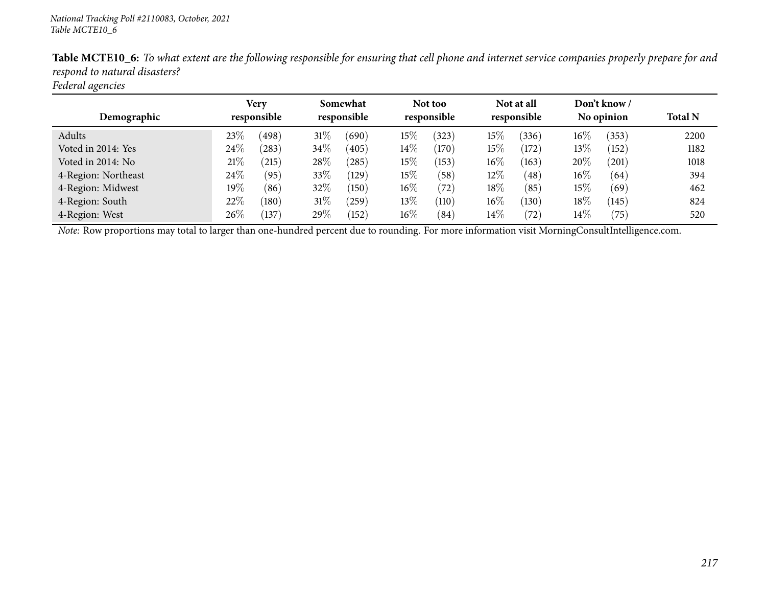| ັ                   |                     |       |                         |            |                        |       |                           |       |                            |                |                |
|---------------------|---------------------|-------|-------------------------|------------|------------------------|-------|---------------------------|-------|----------------------------|----------------|----------------|
| Demographic         | Very<br>responsible |       | Somewhat<br>responsible |            | Not too<br>responsible |       | Not at all<br>responsible |       | Don't know /<br>No opinion |                | <b>Total N</b> |
| Adults              | 23%                 | (498) | $31\%$                  | (690)      | 15%                    | (323) | 15%                       | (336) | $16\%$                     | (353)          | 2200           |
| Voted in 2014: Yes  | 24\%                | (283) | $34\%$                  | (405)      | $14\%$                 | (170) | 15%                       | (172) | 13\%                       | (152)          | 1182           |
| Voted in 2014: No   | 21%                 | (215) | 28\%                    | (285)      | 15%                    | (153) | $16\%$                    | (163) | 20%                        | $^{'}201)$     | 1018           |
| 4-Region: Northeast | 24\%                | (95)  | 33\%                    | (129)      | $15\%$                 | (58)  | 12\%                      | (48)  | $16\%$                     | (64)           | 394            |
| 4-Region: Midwest   | $19\%$              | (86)  | 32%                     | (150)      | $16\%$                 | (72)  | 18\%                      | (85)  | 15%                        | (69)           | 462            |
| 4-Region: South     | 22\%                | (180) | $31\%$                  | $^{'}259)$ | $13\%$                 | (110) | $16\%$                    | (130) | 18%                        | (145)          | 824            |
| 4-Region: West      | 26%                 | (137) | 29\%                    | (152)      | $16\%$                 | (84)  | $14\%$                    | (72)  | $14\%$                     | $^{\prime}75)$ | 520            |

Table MCTE10\_6: To what extent are the following responsible for ensuring that cell phone and internet service companies properly prepare for and *respon<sup>d</sup> to natural disasters?*

*Federal agencies*

*Note:* Row proportions may total to larger than one-hundred percen<sup>t</sup> due to rounding. For more information visit [MorningConsultIntelligence.com](https://morningconsultintelligence.com).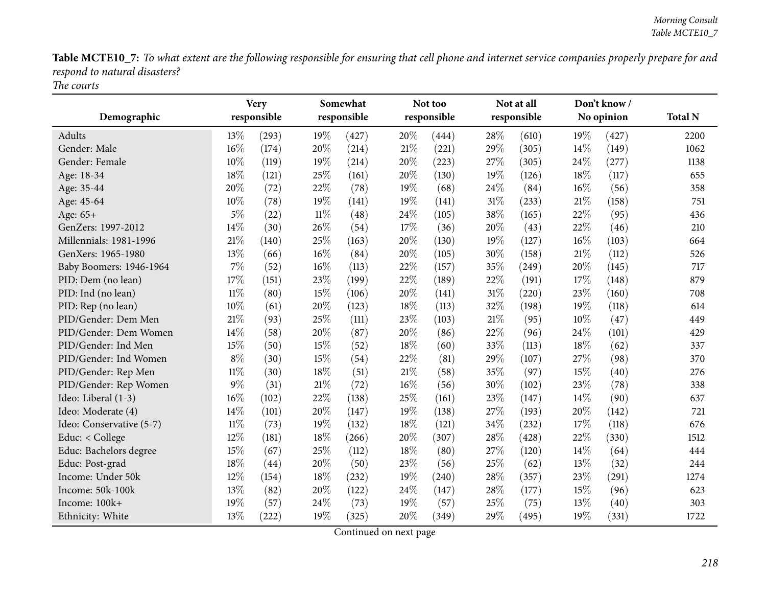Table MCTE10\_7: To what extent are the following responsible for ensuring that cell phone and internet service companies properly prepare for and *respon<sup>d</sup> to natural disasters? The courts*

| Demographic              |        | <b>Very</b><br>responsible |        | Somewhat<br>responsible |        | Not too<br>responsible |     | Not at all<br>responsible |     | Don't know/<br>No opinion | <b>Total N</b> |
|--------------------------|--------|----------------------------|--------|-------------------------|--------|------------------------|-----|---------------------------|-----|---------------------------|----------------|
| Adults                   | 13%    | (293)                      | 19%    | (427)                   | 20%    | (444)                  | 28% | (610)                     | 19% | (427)                     | 2200           |
| Gender: Male             | 16%    | (174)                      | 20%    | (214)                   | 21%    | (221)                  | 29% | (305)                     | 14% | (149)                     | 1062           |
| Gender: Female           | 10%    | (119)                      | 19%    | (214)                   | 20%    | (223)                  | 27% | (305)                     | 24% | (277)                     | 1138           |
| Age: 18-34               | 18%    | (121)                      | 25%    | (161)                   | 20%    | (130)                  | 19% | (126)                     | 18% | (117)                     | 655            |
| Age: 35-44               | 20%    | (72)                       | 22%    | (78)                    | 19%    | (68)                   | 24% | (84)                      | 16% | (56)                      | 358            |
| Age: 45-64               | 10%    | (78)                       | 19%    | (141)                   | 19%    | (141)                  | 31% | (233)                     | 21% | (158)                     | 751            |
| Age: 65+                 | $5\%$  | (22)                       | $11\%$ | (48)                    | 24%    | (105)                  | 38% | (165)                     | 22% | (95)                      | 436            |
| GenZers: 1997-2012       | 14%    | (30)                       | 26%    | (54)                    | 17%    | (36)                   | 20% | (43)                      | 22% | (46)                      | 210            |
| Millennials: 1981-1996   | 21%    | (140)                      | 25%    | (163)                   | 20%    | (130)                  | 19% | (127)                     | 16% | (103)                     | 664            |
| GenXers: 1965-1980       | 13%    | (66)                       | 16%    | (84)                    | 20%    | (105)                  | 30% | (158)                     | 21% | (112)                     | 526            |
| Baby Boomers: 1946-1964  | $7\%$  | (52)                       | 16%    | (113)                   | 22%    | (157)                  | 35% | (249)                     | 20% | (145)                     | 717            |
| PID: Dem (no lean)       | 17%    | (151)                      | 23%    | (199)                   | 22%    | (189)                  | 22% | (191)                     | 17% | (148)                     | 879            |
| PID: Ind (no lean)       | $11\%$ | (80)                       | 15%    | (106)                   | 20%    | (141)                  | 31% | (220)                     | 23% | (160)                     | 708            |
| PID: Rep (no lean)       | 10%    | (61)                       | 20%    | (123)                   | 18%    | (113)                  | 32% | (198)                     | 19% | (118)                     | 614            |
| PID/Gender: Dem Men      | 21%    | (93)                       | 25%    | (111)                   | 23%    | (103)                  | 21% | (95)                      | 10% | (47)                      | 449            |
| PID/Gender: Dem Women    | 14%    | (58)                       | 20%    | (87)                    | 20%    | (86)                   | 22% | (96)                      | 24% | (101)                     | 429            |
| PID/Gender: Ind Men      | 15%    | (50)                       | 15%    | (52)                    | 18%    | (60)                   | 33% | (113)                     | 18% | (62)                      | 337            |
| PID/Gender: Ind Women    | $8\%$  | (30)                       | 15%    | (54)                    | 22%    | (81)                   | 29% | (107)                     | 27% | (98)                      | 370            |
| PID/Gender: Rep Men      | $11\%$ | (30)                       | $18\%$ | (51)                    | $21\%$ | (58)                   | 35% | (97)                      | 15% | (40)                      | 276            |
| PID/Gender: Rep Women    | $9\%$  | (31)                       | $21\%$ | (72)                    | 16%    | (56)                   | 30% | (102)                     | 23% | (78)                      | 338            |
| Ideo: Liberal (1-3)      | 16%    | (102)                      | 22%    | (138)                   | 25%    | (161)                  | 23% | (147)                     | 14% | (90)                      | 637            |
| Ideo: Moderate (4)       | 14%    | (101)                      | 20%    | (147)                   | 19%    | (138)                  | 27% | (193)                     | 20% | (142)                     | 721            |
| Ideo: Conservative (5-7) | $11\%$ | (73)                       | 19%    | (132)                   | 18%    | (121)                  | 34% | (232)                     | 17% | (118)                     | 676            |
| Educ: < College          | 12%    | (181)                      | 18%    | (266)                   | 20%    | (307)                  | 28% | (428)                     | 22% | (330)                     | 1512           |
| Educ: Bachelors degree   | 15%    | (67)                       | 25%    | (112)                   | 18%    | (80)                   | 27% | (120)                     | 14% | (64)                      | 444            |
| Educ: Post-grad          | 18%    | (44)                       | 20%    | (50)                    | 23%    | (56)                   | 25% | (62)                      | 13% | (32)                      | 244            |
| Income: Under 50k        | 12%    | (154)                      | 18%    | (232)                   | 19%    | (240)                  | 28% | (357)                     | 23% | (291)                     | 1274           |
| Income: 50k-100k         | 13%    | (82)                       | 20%    | (122)                   | 24%    | (147)                  | 28% | (177)                     | 15% | (96)                      | 623            |
| Income: 100k+            | 19%    | (57)                       | 24%    | (73)                    | 19%    | (57)                   | 25% | (75)                      | 13% | (40)                      | 303            |
| Ethnicity: White         | 13%    | (222)                      | 19%    | (325)                   | 20%    | (349)                  | 29% | (495)                     | 19% | (331)                     | 1722           |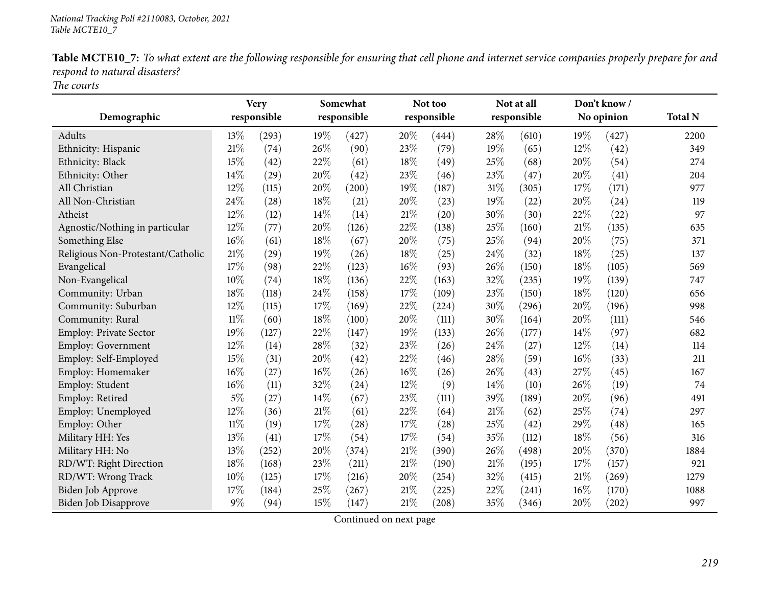|                               | Table MCTE10_7: To what extent are the following responsible for ensuring that cell phone and internet service companies properly prepare for and |  |  |  |
|-------------------------------|---------------------------------------------------------------------------------------------------------------------------------------------------|--|--|--|
| respond to natural disasters? |                                                                                                                                                   |  |  |  |

*The courts*

| Demographic                       |        | <b>Very</b><br>Somewhat<br>responsible<br>responsible |        |       |     | Not too<br>responsible |        | Not at all<br>responsible | Don't know/<br>No opinion |       | <b>Total N</b> |
|-----------------------------------|--------|-------------------------------------------------------|--------|-------|-----|------------------------|--------|---------------------------|---------------------------|-------|----------------|
| Adults                            | 13%    | (293)                                                 | 19%    | (427) | 20% | (444)                  | 28%    | (610)                     | 19%                       | (427) | 2200           |
| Ethnicity: Hispanic               | 21%    | (74)                                                  | 26%    | (90)  | 23% | (79)                   | 19%    | (65)                      | 12%                       | (42)  | 349            |
| Ethnicity: Black                  | 15%    | (42)                                                  | 22%    | (61)  | 18% | (49)                   | 25%    | (68)                      | 20%                       | (54)  | 274            |
| Ethnicity: Other                  | 14%    | (29)                                                  | 20%    | (42)  | 23% | (46)                   | 23%    | (47)                      | 20%                       | (41)  | 204            |
| All Christian                     | 12%    | (115)                                                 | 20%    | (200) | 19% | (187)                  | 31%    | (305)                     | 17%                       | (171) | 977            |
| All Non-Christian                 | 24%    | (28)                                                  | 18%    | (21)  | 20% | (23)                   | 19%    | (22)                      | 20%                       | (24)  | 119            |
| Atheist                           | 12%    | (12)                                                  | 14%    | (14)  | 21% | (20)                   | 30%    | (30)                      | 22%                       | (22)  | 97             |
| Agnostic/Nothing in particular    | 12%    | (77)                                                  | 20%    | (126) | 22% | (138)                  | 25%    | (160)                     | 21%                       | (135) | 635            |
| Something Else                    | 16%    | (61)                                                  | 18%    | (67)  | 20% | (75)                   | 25%    | (94)                      | 20%                       | (75)  | 371            |
| Religious Non-Protestant/Catholic | $21\%$ | (29)                                                  | 19%    | (26)  | 18% | (25)                   | 24%    | (32)                      | 18%                       | (25)  | 137            |
| Evangelical                       | 17%    | (98)                                                  | 22%    | (123) | 16% | (93)                   | 26%    | (150)                     | 18%                       | (105) | 569            |
| Non-Evangelical                   | 10%    | (74)                                                  | 18%    | (136) | 22% | (163)                  | 32%    | (235)                     | 19%                       | (139) | 747            |
| Community: Urban                  | 18%    | (118)                                                 | 24%    | (158) | 17% | (109)                  | 23%    | (150)                     | $18\%$                    | (120) | 656            |
| Community: Suburban               | 12%    | (115)                                                 | 17%    | (169) | 22% | (224)                  | 30%    | (296)                     | 20%                       | (196) | 998            |
| Community: Rural                  | $11\%$ | (60)                                                  | $18\%$ | (100) | 20% | (111)                  | 30%    | (164)                     | 20%                       | (111) | 546            |
| <b>Employ: Private Sector</b>     | 19%    | (127)                                                 | 22%    | (147) | 19% | (133)                  | 26%    | (177)                     | 14%                       | (97)  | 682            |
| <b>Employ: Government</b>         | 12%    | (14)                                                  | 28%    | (32)  | 23% | (26)                   | 24%    | (27)                      | 12%                       | (14)  | 114            |
| Employ: Self-Employed             | 15%    | (31)                                                  | 20%    | (42)  | 22% | (46)                   | 28%    | (59)                      | 16%                       | (33)  | 211            |
| Employ: Homemaker                 | 16%    | (27)                                                  | 16%    | (26)  | 16% | (26)                   | 26%    | (43)                      | 27%                       | (45)  | 167            |
| Employ: Student                   | 16%    | (11)                                                  | 32%    | (24)  | 12% | (9)                    | 14%    | (10)                      | 26%                       | (19)  | 74             |
| Employ: Retired                   | $5\%$  | (27)                                                  | 14%    | (67)  | 23% | (111)                  | 39%    | (189)                     | 20%                       | (96)  | 491            |
| Employ: Unemployed                | 12%    | (36)                                                  | $21\%$ | (61)  | 22% | (64)                   | 21%    | (62)                      | 25%                       | (74)  | 297            |
| Employ: Other                     | $11\%$ | (19)                                                  | 17%    | (28)  | 17% | (28)                   | 25%    | (42)                      | 29%                       | (48)  | 165            |
| Military HH: Yes                  | 13%    | (41)                                                  | 17%    | (54)  | 17% | (54)                   | 35%    | (112)                     | 18%                       | (56)  | 316            |
| Military HH: No                   | 13%    | (252)                                                 | 20%    | (374) | 21% | (390)                  | 26%    | (498)                     | 20%                       | (370) | 1884           |
| RD/WT: Right Direction            | 18%    | (168)                                                 | 23%    | (211) | 21% | (190)                  | $21\%$ | (195)                     | 17%                       | (157) | 921            |
| RD/WT: Wrong Track                | 10%    | (125)                                                 | 17%    | (216) | 20% | (254)                  | 32%    | (415)                     | 21%                       | (269) | 1279           |
| <b>Biden Job Approve</b>          | 17%    | (184)                                                 | 25%    | (267) | 21% | (225)                  | 22%    | (241)                     | 16%                       | (170) | 1088           |
| Biden Job Disapprove              | 9%     | (94)                                                  | 15%    | (147) | 21% | (208)                  | 35%    | (346)                     | 20%                       | (202) | 997            |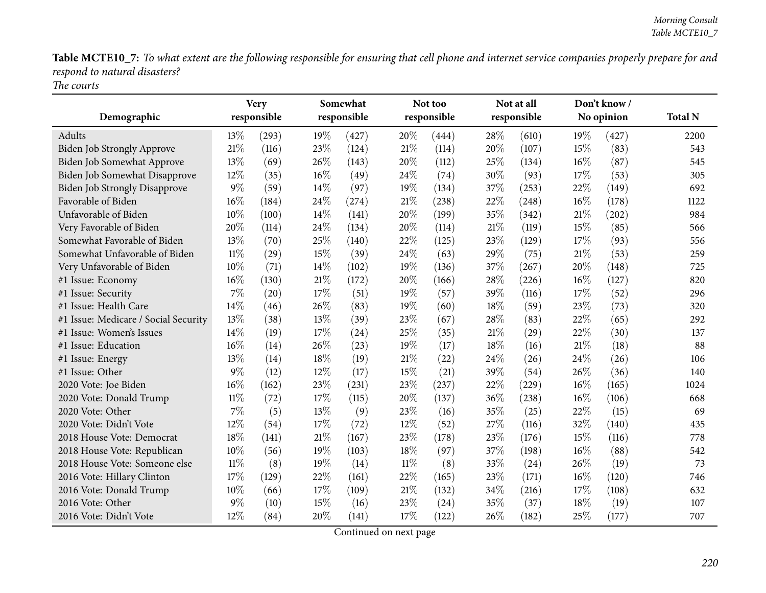Table MCTE10\_7: To what extent are the following responsible for ensuring that cell phone and internet service companies properly prepare for and *respon<sup>d</sup> to natural disasters? The courts*

|                                      |        | <b>Very</b> | Somewhat |             |        | Not too     |      | Not at all  | Don't know/ |            |                |
|--------------------------------------|--------|-------------|----------|-------------|--------|-------------|------|-------------|-------------|------------|----------------|
| Demographic                          |        | responsible |          | responsible |        | responsible |      | responsible |             | No opinion | <b>Total N</b> |
| <b>Adults</b>                        | 13%    | (293)       | 19%      | (427)       | 20%    | (444)       | 28%  | (610)       | 19%         | (427)      | 2200           |
| Biden Job Strongly Approve           | 21\%   | (116)       | 23%      | (124)       | 21%    | (114)       | 20%  | (107)       | 15%         | (83)       | 543            |
| Biden Job Somewhat Approve           | 13%    | (69)        | 26%      | (143)       | 20%    | (112)       | 25%  | (134)       | 16%         | (87)       | 545            |
| Biden Job Somewhat Disapprove        | 12%    | (35)        | 16%      | (49)        | 24%    | (74)        | 30%  | (93)        | 17%         | (53)       | 305            |
| <b>Biden Job Strongly Disapprove</b> | 9%     | (59)        | 14%      | (97)        | 19%    | (134)       | 37%  | (253)       | 22%         | (149)      | 692            |
| Favorable of Biden                   | 16%    | (184)       | 24\%     | (274)       | 21%    | (238)       | 22%  | (248)       | 16%         | (178)      | 1122           |
| Unfavorable of Biden                 | 10%    | (100)       | 14%      | (141)       | 20%    | (199)       | 35%  | (342)       | 21%         | (202)      | 984            |
| Very Favorable of Biden              | 20%    | (114)       | 24%      | (134)       | 20%    | (114)       | 21%  | (119)       | 15%         | (85)       | 566            |
| Somewhat Favorable of Biden          | 13%    | (70)        | 25%      | (140)       | 22%    | (125)       | 23%  | (129)       | 17%         | (93)       | 556            |
| Somewhat Unfavorable of Biden        | $11\%$ | (29)        | 15%      | (39)        | 24%    | (63)        | 29%  | (75)        | 21%         | (53)       | 259            |
| Very Unfavorable of Biden            | 10%    | (71)        | 14%      | (102)       | 19%    | (136)       | 37%  | (267)       | 20%         | (148)      | 725            |
| #1 Issue: Economy                    | 16%    | (130)       | 21\%     | (172)       | 20%    | (166)       | 28%  | (226)       | 16%         | (127)      | 820            |
| #1 Issue: Security                   | 7%     | (20)        | 17%      | (51)        | 19%    | (57)        | 39%  | (116)       | 17%         | (52)       | 296            |
| #1 Issue: Health Care                | 14%    | (46)        | 26%      | (83)        | 19%    | (60)        | 18%  | (59)        | 23%         | (73)       | 320            |
| #1 Issue: Medicare / Social Security | 13%    | (38)        | 13%      | (39)        | 23%    | (67)        | 28%  | (83)        | 22%         | (65)       | 292            |
| #1 Issue: Women's Issues             | 14%    | (19)        | 17%      | (24)        | 25%    | (35)        | 21\% | (29)        | 22%         | (30)       | 137            |
| #1 Issue: Education                  | 16%    | (14)        | 26%      | (23)        | 19%    | (17)        | 18%  | (16)        | 21%         | (18)       | 88             |
| #1 Issue: Energy                     | 13%    | (14)        | 18%      | (19)        | 21%    | (22)        | 24%  | (26)        | 24%         | (26)       | 106            |
| #1 Issue: Other                      | $9\%$  | (12)        | 12%      | (17)        | 15%    | (21)        | 39%  | (54)        | $26\%$      | (36)       | 140            |
| 2020 Vote: Joe Biden                 | 16%    | (162)       | 23%      | (231)       | 23%    | (237)       | 22%  | (229)       | 16%         | (165)      | 1024           |
| 2020 Vote: Donald Trump              | $11\%$ | (72)        | 17%      | (115)       | 20%    | (137)       | 36%  | (238)       | 16%         | (106)      | 668            |
| 2020 Vote: Other                     | 7%     | (5)         | 13%      | (9)         | 23%    | (16)        | 35%  | (25)        | 22%         | (15)       | 69             |
| 2020 Vote: Didn't Vote               | 12%    | (54)        | 17%      | (72)        | 12%    | (52)        | 27%  | (116)       | 32%         | (140)      | 435            |
| 2018 House Vote: Democrat            | 18%    | (141)       | $21\%$   | (167)       | 23%    | (178)       | 23%  | (176)       | 15%         | (116)      | 778            |
| 2018 House Vote: Republican          | 10%    | (56)        | 19%      | (103)       | 18%    | (97)        | 37%  | (198)       | $16\%$      | (88)       | 542            |
| 2018 House Vote: Someone else        | $11\%$ | (8)         | 19%      | (14)        | $11\%$ | (8)         | 33%  | (24)        | 26%         | (19)       | 73             |
| 2016 Vote: Hillary Clinton           | 17%    | (129)       | 22%      | (161)       | 22%    | (165)       | 23%  | (171)       | 16%         | (120)      | 746            |
| 2016 Vote: Donald Trump              | 10%    | (66)        | 17%      | (109)       | 21%    | (132)       | 34\% | (216)       | 17\%        | (108)      | 632            |
| 2016 Vote: Other                     | 9%     | (10)        | 15%      | (16)        | 23%    | (24)        | 35%  | (37)        | 18%         | (19)       | 107            |
| 2016 Vote: Didn't Vote               | 12%    | (84)        | 20%      | (141)       | 17%    | (122)       | 26%  | (182)       | 25%         | (177)      | 707            |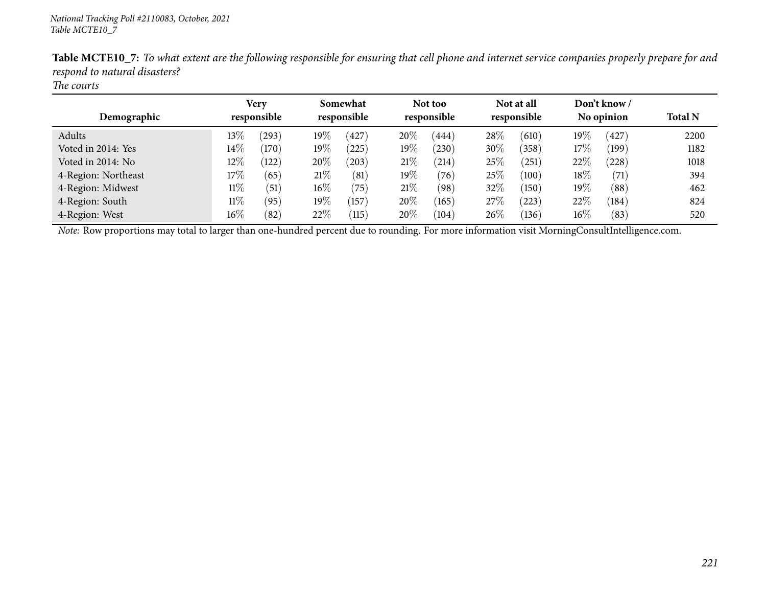| Demographic         | Very<br>responsible |       | Somewhat<br>responsible |            |        | Not too<br>responsible |        | Not at all<br>responsible |        | Don't know /<br>No opinion | <b>Total N</b> |
|---------------------|---------------------|-------|-------------------------|------------|--------|------------------------|--------|---------------------------|--------|----------------------------|----------------|
| Adults              | $13\%$              | (293) | $19\%$                  | (427)      | 20%    | (444)                  | 28\%   | (610)                     | $19\%$ | (427)                      | 2200           |
| Voted in 2014: Yes  | $14\%$              | (170) | $19\%$                  | (225)      | $19\%$ | (230)                  | 30\%   | (358)                     | $17\%$ | (199)                      | 1182           |
| Voted in 2014: No   | $12\%$              | 122   | 20%                     | $^{'}203)$ | 21%    | $^{(214)}$             | $25\%$ | (251)                     | $22\%$ | (228)                      | 1018           |
| 4-Region: Northeast | $17\%$              | (65)  | 21%                     | (81)       | $19\%$ | (76)                   | $25\%$ | (100)                     | 18\%   | (71)                       | 394            |
| 4-Region: Midwest   | $11\%$              | (51)  | $16\%$                  | (75)       | 21%    | (98)                   | 32%    | (150)                     | $19\%$ | (88)                       | 462            |
| 4-Region: South     | $11\%$              | (95)  | $19\%$                  | 157        | 20%    | (165)                  | 27%    | (223)                     | $22\%$ | (184)                      | 824            |
| 4-Region: West      | $16\%$              | (82)  | 22\%                    | (115)      | 20%    | (104)                  | $26\%$ | (136)                     | $16\%$ | (83)                       | 520            |

Table MCTE10\_7: To what extent are the following responsible for ensuring that cell phone and internet service companies properly prepare for and *respon<sup>d</sup> to natural disasters?*

*The courts*

*Note:* Row proportions may total to larger than one-hundred percen<sup>t</sup> due to rounding. For more information visit [MorningConsultIntelligence.com](https://morningconsultintelligence.com).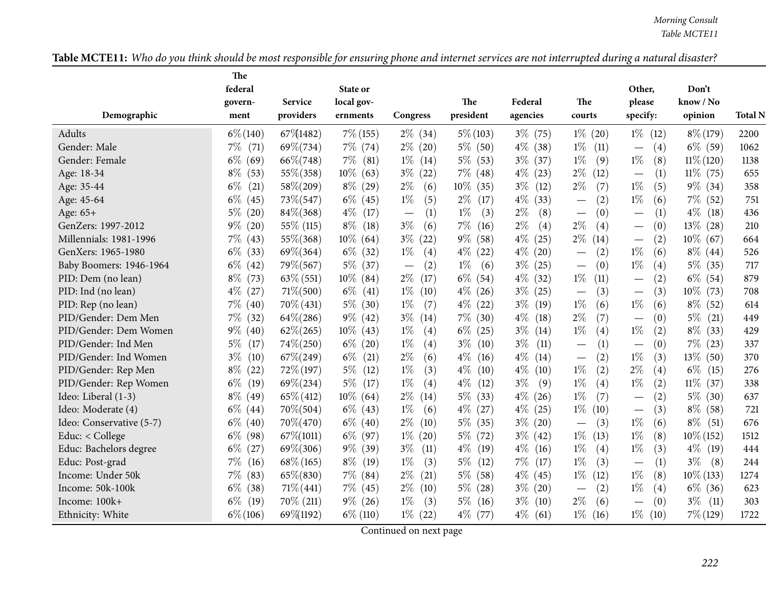| Table MCTE11: Who do you think should be most responsible for ensuring phone and internet services are not interrupted during a natural disaster? |
|---------------------------------------------------------------------------------------------------------------------------------------------------|
|---------------------------------------------------------------------------------------------------------------------------------------------------|

|                          | The             |                      |                        |                                 |                  |                     |                                 |                                          |                      |                |
|--------------------------|-----------------|----------------------|------------------------|---------------------------------|------------------|---------------------|---------------------------------|------------------------------------------|----------------------|----------------|
|                          | federal         |                      | State or               |                                 |                  |                     |                                 | Other,                                   | Don't                |                |
| Demographic              | govern-<br>ment | Service<br>providers | local gov-<br>ernments | Congress                        | The<br>president | Federal<br>agencies | The<br>courts                   | please<br>specify:                       | know / No<br>opinion | <b>Total N</b> |
|                          |                 |                      |                        |                                 |                  |                     |                                 |                                          |                      |                |
| Adults                   | $6\% (140)$     | 67\%1482)            | $7\%$ (155)            | $2\%$ (34)                      | $5\% (103)$      | $3\%$<br>(75)       | $1\%$<br>(20)                   | $1\%$<br>(12)                            | $8\% (179)$          | 2200           |
| Gender: Male             | $7\%$ (71)      | $69\% (734)$         | $7\%$ (74)             | $2\%$ (20)                      | $5\%$ (50)       | $4\%$<br>(38)       | $1\%$<br>(11)                   | (4)                                      | $6\%$ (59)           | 1062           |
| Gender: Female           | $6\%$<br>(69)   | $66\% (748)$         | $7\%$<br>(81)          | $1\%$<br>(14)                   | $5\%$<br>(53)    | $3\%$<br>(37)       | $1\%$<br>(9)                    | $1\%$<br>(8)                             | $11\% (120)$         | 1138           |
| Age: 18-34               | $8\%$<br>(53)   | $55\% (358)$         | $10\%$ (63)            | $3\%$<br>(22)                   | $7\%$ (48)       | $4\%$<br>(23)       | $2\%$<br>(12)                   | (1)                                      | $11\%$ (75)          | 655            |
| Age: 35-44               | $6\%$<br>(21)   | 58\%(209)            | $8\%$ (29)             | $2\%$<br>(6)                    | $10\%$<br>(35)   | $3\%$<br>(12)       | $2\%$<br>(7)                    | $1\%$<br>(5)                             | $9\%$ (34)           | 358            |
| Age: 45-64               | $6\%$<br>(45)   | $73\% (547)$         | $6\%$ (45)             | (5)<br>$1\%$                    | $2\%$<br>(17)    | $4\%$<br>(33)       | (2)                             | $1\%$<br>(6)                             | $7\%$ (52)           | 751            |
| Age: 65+                 | $5\%$<br>(20)   | $84\% (368)$         | $4\%$<br>(17)          | (1)<br>$\overline{\phantom{m}}$ | $1\%$<br>(3)     | $2\%$<br>(8)        | (0)<br>$\overline{\phantom{m}}$ | (1)                                      | $4\%$<br>(18)        | 436            |
| GenZers: 1997-2012       | $9\%$ (20)      | 55\% (115)           | $8\%$<br>(18)          | $3\%$<br>(6)                    | $7\%$<br>(16)    | $2\%$<br>(4)        | $2\%$<br>(4)                    | (0)<br>$\overbrace{\phantom{123221111}}$ | $13\%$ (28)          | 210            |
| Millennials: 1981-1996   | $7\%$<br>(43)   | $55\% (368)$         | $10\%$ (64)            | $3\%$<br>(22)                   | $9\%$<br>(58)    | $4\%$<br>(25)       | $2\%$<br>(14)                   | (2)<br>$\overbrace{\phantom{aaaaa}}$     | $10\%$ (67)          | 664            |
| GenXers: 1965-1980       | $6\%$<br>(33)   | $69\% (364)$         | $6\%$ (32)             | $1\%$<br>(4)                    | $4\%$<br>(22)    | $4\%$<br>(20)       | (2)                             | $1\%$<br>(6)                             | $8\%$ (44)           | 526            |
| Baby Boomers: 1946-1964  | $6\%$<br>(42)   | $79\% (567)$         | $5\%$ (37)             | (2)                             | $1\%$<br>(6)     | $3\%$<br>(25)       | (0)<br>$\overline{\phantom{m}}$ | $1\%$<br>(4)                             | $5\%$ (35)           | 717            |
| PID: Dem (no lean)       | $8\%$<br>(73)   | $63\%$ (551)         | $10\%$ (84)            | $2\%$<br>(17)                   | $6\%$<br>(54)    | $4\%$<br>(32)       | $1\%$<br>(11)                   | (2)                                      | $6\%$ (54)           | 879            |
| PID: Ind (no lean)       | $4\%$<br>(27)   | $71\% (500)$         | $6\%$<br>(41)          | $1\%$<br>(10)                   | $4\%$<br>(26)    | $3\%$<br>(25)       | (3)<br>$\overline{\phantom{m}}$ | (3)                                      | $10\%$ (73)          | 708            |
| PID: Rep (no lean)       | $7\%$<br>(40)   | $70\%$ (431)         | $5\%$<br>(30)          | $1\%$<br>(7)                    | $4\%$<br>(22)    | $3\%$<br>(19)       | $1\%$<br>(6)                    | $1\%$<br>(6)                             | $8\%$ (52)           | 614            |
| PID/Gender: Dem Men      | $7\%$<br>(32)   | $64\% (286)$         | $9\%$ (42)             | $3\%$<br>(14)                   | $7\%$<br>(30)    | $4\%$<br>(18)       | $2\%$<br>(7)                    | (0)                                      | $5\%$<br>(21)        | 449            |
| PID/Gender: Dem Women    | $9\%$<br>(40)   | $62\% (265)$         | $10\%$ (43)            | $1\%$<br>(4)                    | $6\%$<br>(25)    | $3\%$<br>(14)       | $1\%$<br>(4)                    | $1\%$<br>(2)                             | $8\%$ (33)           | 429            |
| PID/Gender: Ind Men      | $5\%$<br>(17)   | $74\% (250)$         | $6\%$ (20)             | $1\%$<br>(4)                    | $3\%$<br>(10)    | $3\%$<br>(11)       | (1)                             | (0)                                      | $7\%$ (23)           | 337            |
| PID/Gender: Ind Women    | $3\%$<br>(10)   | $67\% (249)$         | $6\%$<br>(21)          | $2\%$<br>(6)                    | $4\%$<br>(16)    | $4\%$<br>(14)       | (2)<br>$\overline{\phantom{m}}$ | $1\%$<br>(3)                             | $13\%$ (50)          | 370            |
| PID/Gender: Rep Men      | $8\%$<br>(22)   | $72\%$ (197)         | $5\%$<br>(12)          | $1\%$<br>(3)                    | $4\%$<br>(10)    | $4\%$<br>(10)       | $1\%$<br>(2)                    | $2\%$<br>(4)                             | $6\%$<br>(15)        | 276            |
| PID/Gender: Rep Women    | $6\%$<br>(19)   | $69\% (234)$         | $5\%$<br>(17)          | $1\%$<br>(4)                    | $4\%$<br>(12)    | $3\%$<br>(9)        | $1\%$<br>(4)                    | $1\%$<br>(2)                             | $11\%$ (37)          | 338            |
| Ideo: Liberal (1-3)      | $8\%$ (49)      | $65\% (412)$         | $10\%$ (64)            | $2\%$<br>(14)                   | $5\%$<br>(33)    | $4\%$<br>(26)       | $1\%$<br>(7)                    | (2)                                      | $5\%$ (30)           | 637            |
| Ideo: Moderate (4)       | $6\%$<br>(44)   | $70\% (504)$         | $6\%$ (43)             | (6)<br>$1\%$                    | $4\%$<br>(27)    | $4\%$<br>(25)       | $1\%$<br>(10)                   | (3)<br>$\overbrace{\phantom{123221111}}$ | $8\%$ (58)           | 721            |
| Ideo: Conservative (5-7) | $6\%$<br>(40)   | 70\%(470)            | $6\%$ (40)             | $2\%$<br>(10)                   | $5\%$<br>(35)    | $3\%$<br>(20)       | (3)                             | $1\%$<br>(6)                             | $8\%$<br>(51)        | 676            |
| Educ: < College          | $6\%$<br>(98)   | $67\% (1011)$        | $6\%$ (97)             | $1\%$<br>(20)                   | $5\%$<br>(72)    | $3\%$<br>(42)       | $1\%$<br>(13)                   | $1\%$<br>(8)                             | $10\% (152)$         | 1512           |
| Educ: Bachelors degree   | $6\%$<br>(27)   | $69\% (306)$         | $9\%$<br>(39)          | $3\%$<br>(11)                   | $4\%$<br>(19)    | $4\%$<br>(16)       | $1\%$<br>(4)                    | $1\%$<br>(3)                             | $4\%$ (19)           | 444            |
| Educ: Post-grad          | $7\%$<br>(16)   | $68\% (165)$         | $8\%$<br>(19)          | $1\%$<br>(3)                    | $5\%$<br>(12)    | $7\%$<br>(17)       | $1\%$<br>(3)                    | (1)                                      | $3\%$<br>(8)         | 244            |
| Income: Under 50k        | $7\%$<br>(83)   | $65\% (830)$         | $7\%$ (84)             | $2\%$<br>(21)                   | $5\%$<br>(58)    | $4\%$<br>(45)       | $1\%$<br>(12)                   | $1\%$<br>(8)                             | $10\% (133)$         | 1274           |
| Income: 50k-100k         | $6\%$<br>(38)   | $71\% (441)$         | $7\%$ (45)             | $2\%$<br>(10)                   | $5\%$<br>(28)    | $3\%$<br>(20)       | (2)                             | $1\%$<br>(4)                             | $6\%$ (36)           | 623            |
| Income: 100k+            | $6\%$<br>(19)   | $70\%$ (211)         | $9\%$ (26)             | (3)<br>$1\%$                    | $5\%$<br>(16)    | $3\%$<br>(10)       | $2\%$<br>(6)                    | (0)                                      | $3\%$<br>(11)        | 303            |
| Ethnicity: White         | $6\% (106)$     | 69%(1192)            | $6\%$ (110)            | $1\%$ (22)                      | $4\%$ (77)       | $4\%$<br>(61)       | $1\%$<br>(16)                   | $1\%$<br>(10)                            | $7\%$ (129)          | 1722           |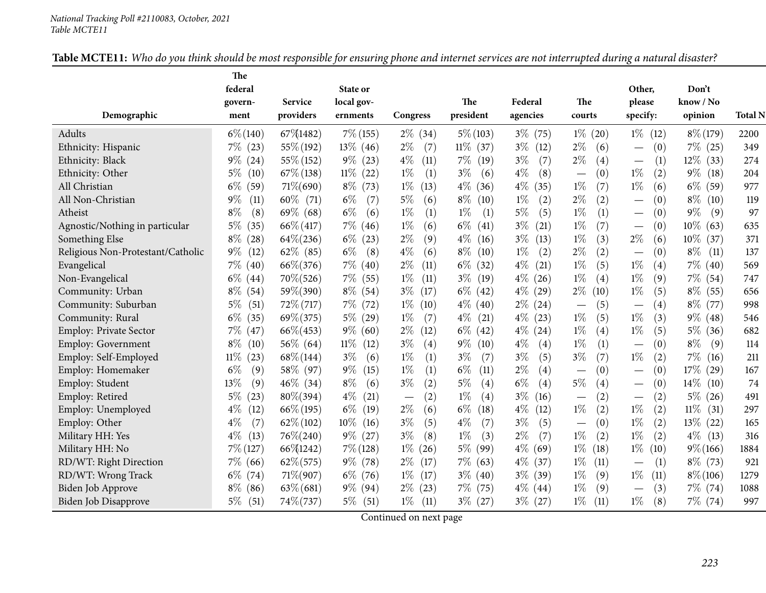| <b>Table MCTE11:</b> Who do you think should be most responsible for ensuring phone and internet services are not interrupted during a natural disaster? |
|----------------------------------------------------------------------------------------------------------------------------------------------------------|
|----------------------------------------------------------------------------------------------------------------------------------------------------------|

|                                   | The            |                |                |                                 |               |               |                                 |                                          |               |                |
|-----------------------------------|----------------|----------------|----------------|---------------------------------|---------------|---------------|---------------------------------|------------------------------------------|---------------|----------------|
|                                   | federal        |                | State or       |                                 |               |               |                                 | Other,                                   | Don't         |                |
|                                   | govern-        | <b>Service</b> | local gov-     |                                 | The           | Federal       | The                             | please                                   | know / No     |                |
| Demographic                       | ment           | providers      | ernments       | Congress                        | president     | agencies      | courts                          | specify:                                 | opinion       | <b>Total N</b> |
| Adults                            | $6\% (140)$    | 67\%1482)      | $7\%$ (155)    | $2\%$ (34)                      | $5\% (103)$   | $3\%$<br>(75) | $1\%$<br>(20)                   | $1\%$<br>(12)                            | $8\% (179)$   | 2200           |
| Ethnicity: Hispanic               | $7\%$ (23)     | 55\% (192)     | $13\%$ (46)    | $2\%$<br>(7)                    | $11\%$ (37)   | $3\%$<br>(12) | $2\%$<br>(6)                    | (0)                                      | $7\%$ (25)    | 349            |
| Ethnicity: Black                  | $9\%$ (24)     | 55\% (152)     | $9\%$ (23)     | $4\%$<br>(11)                   | $7\%$<br>(19) | $3\%$<br>(7)  | $2\%$<br>(4)                    | (1)<br>$\overbrace{\phantom{123221111}}$ | $12\%$ (33)   | 274            |
| Ethnicity: Other                  | $5\%$<br>(10)  | $67\%$ (138)   | $11\%$ (22)    | $1\%$<br>(1)                    | $3\%$<br>(6)  | $4\%$<br>(8)  | (0)<br>$\overline{\phantom{m}}$ | $1\%$<br>(2)                             | $9\%$<br>(18) | 204            |
| All Christian                     | $6\%$<br>(59)  | $71\% (690)$   | $8\%$ (73)     | $1\%$<br>(13)                   | $4\%$<br>(36) | $4\%$<br>(35) | $1\%$<br>(7)                    | $1\%$<br>(6)                             | $6\%$ (59)    | 977            |
| All Non-Christian                 | $9\%$<br>(11)  | $60\%$ (71)    | (7)<br>$6\%$   | 5%<br>(6)                       | $8\%$<br>(10) | $1\%$<br>(2)  | $2\%$<br>(2)                    | (0)                                      | $8\%$<br>(10) | 119            |
| Atheist                           | $8\%$<br>(8)   | $69\%$ (68)    | $6\%$<br>(6)   | (1)<br>$1\%$                    | $1\%$<br>(1)  | $5\%$<br>(5)  | $1\%$<br>(1)                    | (0)<br>$\overline{\phantom{0}}$          | $9\%$<br>(9)  | 97             |
| Agnostic/Nothing in particular    | $5\%$<br>(35)  | $66\% (417)$   | $7\%$ (46)     | $1\%$<br>(6)                    | $6\%$<br>(41) | $3\%$<br>(21) | (7)<br>$1\%$                    | (0)                                      | $10\%$ (63)   | 635            |
| Something Else                    | $8\%$<br>(28)  | $64\% (236)$   | $6\%$<br>(23)  | $2\%$<br>(9)                    | $4\%$<br>(16) | $3\%$<br>(13) | $1\%$<br>(3)                    | $2\%$<br>(6)                             | $10\%$ (37)   | 371            |
| Religious Non-Protestant/Catholic | $9\%$<br>(12)  | $62\%$ (85)    | $6\%$<br>(8)   | $4\%$<br>(6)                    | $8\%$<br>(10) | $1\%$<br>(2)  | $2\%$<br>(2)                    | (0)                                      | $8\%$<br>(11) | 137            |
| Evangelical                       | $7\%$<br>(40)  | $66\% (376)$   | $7\%$ (40)     | $2\%$<br>(11)                   | $6\%$<br>(32) | $4\%$<br>(21) | $1\%$<br>(5)                    | $1\%$<br>(4)                             | $7\%$ (40)    | 569            |
| Non-Evangelical                   | $6\%$ (44)     | $70\% (526)$   | $7\%$ (55)     | $1\%$<br>(11)                   | $3\%$<br>(19) | $4\%$<br>(26) | $1\%$<br>(4)                    | $1\%$<br>(9)                             | $7\%$ (54)    | 747            |
| Community: Urban                  | $8\%$ (54)     | 59\%(390)      | $8\%$ (54)     | $3\%$<br>(17)                   | $6\%$<br>(42) | $4\%$<br>(29) | $2\%$<br>(10)                   | $1\%$<br>(5)                             | $8\%$ (55)    | 656            |
| Community: Suburban               | $5\%$<br>(51)  | $72\%$ (717)   | $7\%$ (72)     | $1\%$<br>(10)                   | $4\%$<br>(40) | $2\%$<br>(24) | (5)<br>$\overline{\phantom{m}}$ | (4)                                      | $8\%$ (77)    | 998            |
| Community: Rural                  | $6\%$<br>(35)  | $69\% (375)$   | $5\%$ (29)     | (7)<br>$1\%$                    | $4\%$<br>(21) | $4\%$<br>(23) | $1\%$<br>(5)                    | $1\%$<br>(3)                             | $9\%$ (48)    | 546            |
| Employ: Private Sector            | $7\%$<br>(47)  | $66\% (453)$   | $9\%$ (60)     | $2\%$<br>(12)                   | $6\%$<br>(42) | $4\%$<br>(24) | $1\%$<br>(4)                    | $1\%$<br>(5)                             | $5\%$ (36)    | 682            |
| Employ: Government                | $8\%$<br>(10)  | $56\%$ (64)    | $11\%$<br>(12) | $3\%$<br>(4)                    | $9\%$<br>(10) | $4\%$<br>(4)  | $1\%$<br>(1)                    | (0)                                      | $8\%$<br>(9)  | 114            |
| Employ: Self-Employed             | $11\%$<br>(23) | $68\% (144)$   | $3\%$<br>(6)   | $1\%$<br>(1)                    | $3\%$<br>(7)  | $3\%$<br>(5)  | $3\%$<br>(7)                    | $1\%$<br>(2)                             | 7%<br>(16)    | 211            |
| Employ: Homemaker                 | $6\%$<br>(9)   | 58\% (97)      | $9\%$<br>(15)  | $1\%$<br>(1)                    | $6\%$<br>(11) | $2\%$<br>(4)  | (0)                             | (0)                                      | $17\%$ (29)   | 167            |
| Employ: Student                   | 13%<br>(9)     | $46\%$ (34)    | $8\%$<br>(6)   | $3\%$<br>(2)                    | $5\%$<br>(4)  | $6\%$<br>(4)  | $5\%$<br>(4)                    | (0)<br>—                                 | $14\%$ (10)   | 74             |
| Employ: Retired                   | $5\%$<br>(23)  | $80\% (394)$   | $4\%$<br>(21)  | (2)<br>$\overline{\phantom{m}}$ | $1\%$<br>(4)  | $3\%$<br>(16) | (2)                             | (2)<br>$\overline{\phantom{m}}$          | $5\%$ (26)    | 491            |
| Employ: Unemployed                | $4\%$<br>(12)  | $66\% (195)$   | $6\%$<br>(19)  | $2\%$<br>(6)                    | $6\%$<br>(18) | $4\%$<br>(12) | $1\%$<br>(2)                    | $1\%$<br>(2)                             | $11\%$ (31)   | 297            |
| Employ: Other                     | $4\%$<br>(7)   | $62\% (102)$   | $10\%$<br>(16) | (5)<br>$3\%$                    | $4\%$<br>(7)  | $3\%$<br>(5)  | (0)                             | $1\%$<br>(2)                             | $13\%$ (22)   | 165            |
| Military HH: Yes                  | $4\%$<br>(13)  | $76\% (240)$   | $9\%$ (27)     | $3\%$<br>(8)                    | $1\%$<br>(3)  | $2\%$<br>(7)  | $1\%$<br>(2)                    | $1\%$<br>(2)                             | $4\%$ (13)    | 316            |
| Military HH: No                   | $7\%$ (127)    | 66\\$\pm01242) | $7\%$ (128)    | (26)<br>$1\%$                   | $5\%$<br>(99) | $4\%$<br>(69) | $1\%$<br>(18)                   | $1\%$<br>(10)                            | $9\% (166)$   | 1884           |
| RD/WT: Right Direction            | $7\%$ (66)     | $62\% (575)$   | $9\%$ (78)     | $2\%$<br>(17)                   | $7\%$<br>(63) | $4\%$<br>(37) | $1\%$<br>(11)                   | (1)                                      | $8\%$ (73)    | 921            |
| RD/WT: Wrong Track                | $6\%$ (74)     | $71\% (907)$   | $6\%$ (76)     | $1\%$<br>(17)                   | $3\%$<br>(40) | $3\%$<br>(39) | $1\%$<br>(9)                    | $1\%$<br>(11)                            | $8\% (106)$   | 1279           |
| Biden Job Approve                 | $8\%$<br>(86)  | $63\%$ (681)   | $9\%$ (94)     | $2\%$<br>(23)                   | 7%<br>(75)    | $4\%$<br>(44) | $1\%$<br>(9)                    | (3)                                      | $7\%$ (74)    | 1088           |
| Biden Job Disapprove              | $5\%$<br>(51)  | $74\% (737)$   | $5\%$ (51)     | (11)<br>$1\%$                   | $3\%$ (27)    | $3\%$ (27)    | $1\%$<br>(11)                   | $1\%$<br>(8)                             | $7\%$ (74)    | 997            |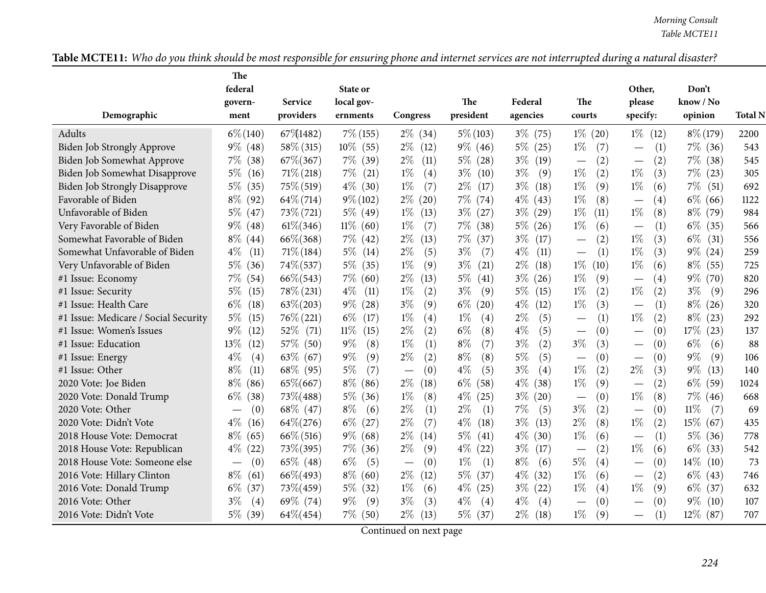| Table MCTE11: Who do you think should be most responsible for ensuring phone and internet services are not interrupted during a natural disaster? |
|---------------------------------------------------------------------------------------------------------------------------------------------------|
|---------------------------------------------------------------------------------------------------------------------------------------------------|

|                                      | The<br>federal                  |                | State or       |                                        |               |               |                                 | Other,                                       | Don't          |                |
|--------------------------------------|---------------------------------|----------------|----------------|----------------------------------------|---------------|---------------|---------------------------------|----------------------------------------------|----------------|----------------|
|                                      | govern-                         | <b>Service</b> | local gov-     |                                        | The           | Federal       | The                             | please                                       | know / No      |                |
| Demographic                          | ment                            | providers      | ernments       | Congress                               | president     | agencies      | courts                          | specify:                                     | opinion        | <b>Total N</b> |
| Adults                               | $6\% (140)$                     | 67\\$1482)     | $7\%$ (155)    | $2\%$ (34)                             | $5\% (103)$   | $3\%$<br>(75) | $1\%$<br>(20)                   | $1\%$<br>(12)                                | $8\% (179)$    | 2200           |
| Biden Job Strongly Approve           | $9\%$ (48)                      | 58\% (315)     | $10\%$ (55)    | $2\%$<br>(12)                          | $9\%$ (46)    | $5\%$<br>(25) | $1\%$<br>(7)                    | (1)<br>$\overline{\phantom{0}}$              | $7\%$ (36)     | 543            |
| Biden Job Somewhat Approve           | $7\%$ (38)                      | $67\% (367)$   | $7\%$ (39)     | $2\%$<br>(11)                          | $5\%$ (28)    | $3\%$<br>(19) | (2)                             | (2)                                          | $7\%$ (38)     | 545            |
| Biden Job Somewhat Disapprove        | $5\%$<br>(16)                   | $71\% (218)$   | 7%<br>(21)     | $1\%$<br>(4)                           | $3\%$<br>(10) | $3\%$<br>(9)  | (2)<br>$1\%$                    | $1\%$<br>(3)                                 | $7\%$ (23)     | 305            |
| Biden Job Strongly Disapprove        | $5\%$<br>(35)                   | $75\%$ (519)   | $4\%$ (30)     | (7)<br>$1\%$                           | $2\%$<br>(17) | $3\%$<br>(18) | (9)<br>$1\%$                    | $1\%$<br>(6)                                 | $7\%$<br>(51)  | 692            |
| Favorable of Biden                   | $8\%$ (92)                      | $64\% (714)$   | $9\% (102)$    | $2\%$<br>(20)                          | $7\%$ (74)    | $4\%$<br>(43) | $1\%$<br>(8)                    | $\left( 4\right)$                            | $6\%$ (66)     | 1122           |
| Unfavorable of Biden                 | $5\%$ (47)                      | $73\% (721)$   | $5\%$ (49)     | $1\%$<br>(13)                          | $3\%$<br>(27) | $3\%$<br>(29) | $1\%$<br>(11)                   | $1\%$<br>(8)                                 | $8\%$ (79)     | 984            |
| Very Favorable of Biden              | $9\%$ (48)                      | $61\% (346)$   | $11\%$ (60)    | $1\%$<br>(7)                           | $7\%$<br>(38) | $5\%$<br>(26) | $1\%$<br>(6)                    | $\left(1\right)$<br>$\overline{\phantom{m}}$ | $6\%$ (35)     | 566            |
| Somewhat Favorable of Biden          | $8\%$ (44)                      | $66\% (368)$   | $7\%$ (42)     | $2\%$<br>(13)                          | 7%<br>(37)    | $3\%$<br>(17) | (2)<br>$\overline{\phantom{0}}$ | $1\%$<br>(3)                                 | $6\%$<br>(31)  | 556            |
| Somewhat Unfavorable of Biden        | $4\%$<br>(11)                   | $71\% (184)$   | $5\%$<br>(14)  | $2\%$<br>(5)                           | (7)<br>$3\%$  | $4\%$<br>(11) | (1)<br>$\overline{\phantom{m}}$ | $1\%$<br>(3)                                 | $9\%$ (24)     | 259            |
| Very Unfavorable of Biden            | $5\%$<br>(36)                   | $74\% (537)$   | $5\%$<br>(35)  | $1\%$<br>(9)                           | (21)<br>$3\%$ | $2\%$<br>(18) | $1\%$<br>(10)                   | $1\%$<br>(6)                                 | $8\%$<br>(55)  | 725            |
| #1 Issue: Economy                    | $7\%$<br>(54)                   | $66\% (543)$   | $7\%$<br>(60)  | $2\%$<br>(13)                          | $5\%$<br>(41) | $3\%$<br>(26) | $1\%$<br>(9)                    | $\left( 4\right)$                            | $9\%$ (70)     | 820            |
| #1 Issue: Security                   | $5\%$<br>(15)                   | $78\%$ (231)   | $4\%$<br>(11)  | (2)<br>$1\%$                           | $3\%$<br>(9)  | $5\%$<br>(15) | $1\%$<br>(2)                    | $1\%$<br>(2)                                 | $3\%$<br>(9)   | 296            |
| #1 Issue: Health Care                | $6\%$<br>(18)                   | $63\% (203)$   | $9\%$<br>(28)  | $3\%$<br>(9)                           | $6\%$<br>(20) | $4\%$<br>(12) | $1\%$<br>(3)                    | (1)                                          | $8\%$<br>(26)  | 320            |
| #1 Issue: Medicare / Social Security | $5\%$<br>(15)                   | $76\% (221)$   | $6\%$<br>(17)  | $1\%$<br>(4)                           | $1\%$<br>(4)  | $2\%$<br>(5)  | (1)                             | $1\%$<br>(2)                                 | $8\%$<br>(23)  | 292            |
| #1 Issue: Women's Issues             | $9\%$<br>(12)                   | $52\%$ (71)    | $11\%$<br>(15) | $2\%$<br>(2)                           | $6\%$<br>(8)  | $4\%$<br>(5)  | (0)                             | (0)                                          | $17\%$ (23)    | 137            |
| #1 Issue: Education                  | 13%<br>(12)                     | 57\% (50)      | $9\%$<br>(8)   | $1\%$<br>(1)                           | (7)<br>$8\%$  | $3\%$<br>(2)  | $3\%$<br>(3)                    | (0)                                          | $6\%$<br>(6)   | 88             |
| #1 Issue: Energy                     | $4\%$<br>(4)                    | $63\%$ (67)    | $9\%$<br>(9)   | $2\%$<br>(2)                           | $8\%$<br>(8)  | $5\%$<br>(5)  | (0)                             | (0)                                          | $9\%$<br>(9)   | 106            |
| #1 Issue: Other                      | $8\%$<br>(11)                   | $68\%$ (95)    | (7)<br>$5\%$   | (0)<br>$\overline{\phantom{m}}$        | $4\%$<br>(5)  | $3\%$<br>(4)  | $1\%$<br>(2)                    | $2\%$<br>(3)                                 | $9\%$<br>(13)  | 140            |
| 2020 Vote: Joe Biden                 | $8\%$<br>(86)                   | 65\%(667)      | $8\%$<br>(86)  | $2\%$<br>(18)                          | $6\%$<br>(58) | $4\%$<br>(38) | $1\%$<br>(9)                    | (2)                                          | $6\%$<br>(59)  | 1024           |
| 2020 Vote: Donald Trump              | $6\%$<br>(38)                   | $73\% (488)$   | $5\%$<br>(36)  | $1\%$<br>(8)                           | $4\%$<br>(25) | $3\%$<br>(20) | (0)<br>$\overline{\phantom{m}}$ | $1\%$<br>(8)                                 | $7\%$ (46)     | 668            |
| 2020 Vote: Other                     | (0)<br>$\overline{\phantom{m}}$ | $68\%$ (47)    | $8\%$<br>(6)   | $2\%$<br>(1)                           | $2\%$<br>(1)  | $7\%$<br>(5)  | $3\%$<br>(2)                    | (0)                                          | $11\%$<br>(7)  | 69             |
| 2020 Vote: Didn't Vote               | $4\%$<br>(16)                   | $64\% (276)$   | $6\%$<br>(27)  | $2\%$<br>(7)                           | $4\%$<br>(18) | $3\%$<br>(13) | $2\%$<br>(8)                    | $1\%$<br>(2)                                 | $15\%$ (67)    | 435            |
| 2018 House Vote: Democrat            | $8\%$<br>(65)                   | $66\% (516)$   | (68)<br>$9\%$  | $2\%$<br>(14)                          | 5%<br>(41)    | $4\%$<br>(30) | $1\%$<br>(6)                    | (1)<br>$\overbrace{\phantom{123221111}}$     | $5\%$ (36)     | 778            |
| 2018 House Vote: Republican          | $4\%$<br>(22)                   | $73\% (395)$   | $7\%$<br>(36)  | $2\%$<br>(9)                           | $4\%$<br>(22) | $3\%$<br>(17) | (2)                             | $1\%$<br>(6)                                 | $6\%$<br>(33)  | 542            |
| 2018 House Vote: Someone else        | (0)                             | $65\%$ (48)    | (5)<br>$6\%$   | (0)<br>$\hspace{0.1mm}-\hspace{0.1mm}$ | $1\%$<br>(1)  | $8\%$<br>(6)  | 5%<br>(4)                       | (0)                                          | $14\%$<br>(10) | 73             |
| 2016 Vote: Hillary Clinton           | $8\%$<br>(61)                   | $66\% (493)$   | $8\%$<br>(60)  | $2\%$<br>(12)                          | $5\%$<br>(37) | $4\%$<br>(32) | $1\%$<br>(6)                    | (2)<br>$\overline{\phantom{m}}$              | $6\%$ (43)     | 746            |
| 2016 Vote: Donald Trump              | $6\%$<br>(37)                   | $73\% (459)$   | $5\%$<br>(32)  | $1\%$<br>(6)                           | $4\%$<br>(25) | $3\%$<br>(22) | $1\%$<br>(4)                    | $1\%$<br>(9)                                 | $6\%$ (37)     | 632            |
| 2016 Vote: Other                     | $3\%$<br>(4)                    | $69\%$ (74)    | $9\%$<br>(9)   | $3\%$<br>(3)                           | $4\%$<br>(4)  | $4\%$<br>(4)  | (0)                             | (0)                                          | $9\%$ (10)     | 107            |
| 2016 Vote: Didn't Vote               | 5% (39)                         | $64\% (454)$   | $7\%$ (50)     | $2\%$<br>(13)                          | $5\%$ (37)    | $2\%$<br>(18) | $1\%$<br>(9)                    | (1)                                          | $12\%$ (87)    | 707            |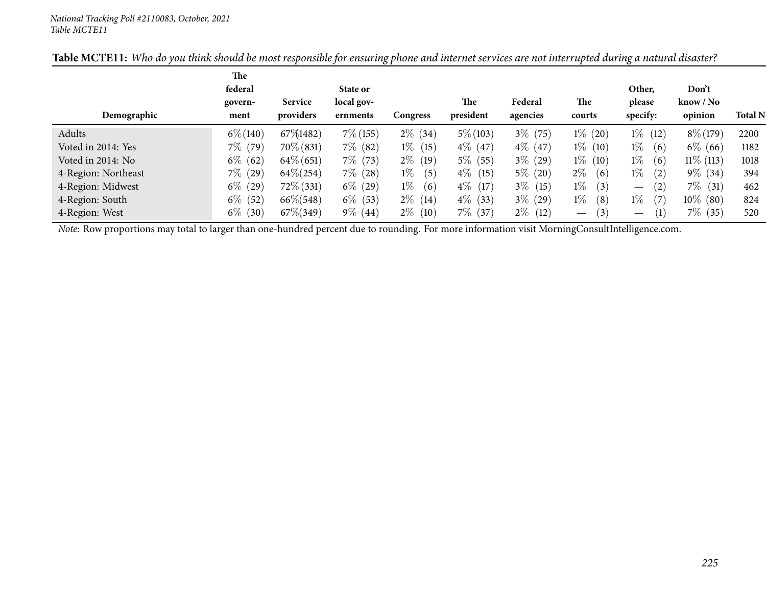| Demographic                                                                                                                                    | The<br>federal<br>govern-<br>ment | <b>Service</b><br>providers | State or<br>local gov-<br>ernments | Congress     | <b>The</b><br>president | Federal<br>agencies | The<br>courts                   | Other.<br>please<br>specify:    | Don't<br>$\text{know} / \text{No}$<br>opinion | <b>Total N</b> |
|------------------------------------------------------------------------------------------------------------------------------------------------|-----------------------------------|-----------------------------|------------------------------------|--------------|-------------------------|---------------------|---------------------------------|---------------------------------|-----------------------------------------------|----------------|
| Adults                                                                                                                                         | $6\% (140)$                       | 67\\$1482)                  | $7\%$ (155)                        | $2\%$ (34)   | $5\% (103)$             | $3\%$ (75)          | $1\%$ (20)                      | $1\%$ (12)                      | $8\% (179)$                                   | 2200           |
|                                                                                                                                                |                                   |                             |                                    |              |                         |                     |                                 |                                 |                                               |                |
| Voted in 2014: Yes                                                                                                                             | $7\%$ (79)                        | $70\%$ (831)                | $7\%$ (82)                         | $1\%$ (15)   | $4\%$ (47)              | $4\%$ (47)          | $1\%$ (10)                      | $1\%$<br>(6)                    | $6\%$ (66)                                    | 1182           |
| Voted in 2014: No                                                                                                                              | $6\%$<br>(62)                     | $64\%$ (651)                | $7\%$ (73)                         | $2\%$ (19)   | $5\%$ (55)              | $3\%$ (29)          | $1\%$ (10)                      | $1\%$<br>(6)                    | $11\%$ (113)                                  | 1018           |
| 4-Region: Northeast                                                                                                                            | $7\%$ (29)                        | $64\% (254)$                | $7\%$ (28)                         | $1\%$<br>(5) | $4\%$ (15)              | $5\%$ (20)          | $2\%$<br>(6)                    | $1\%$<br>(2)                    | $9\%$ (34)                                    | 394            |
| 4-Region: Midwest                                                                                                                              | $6\%$<br>(29)                     | $72\%$ (331)                | $6\%$ (29)                         | $1\%$<br>(6) | $4\%$ (17)              | $3\%$ (15)          | $1\%$<br>(3)                    | (2)<br>$\overline{\phantom{m}}$ | $7\%$<br>(31)                                 | 462            |
| 4-Region: South                                                                                                                                | $6\%$<br>(52)                     | $66\% (548)$                | $6\%$ (53)                         | $2\%$ (14)   | $4\%$ (33)              | $3\%$ (29)          | $1\%$<br>(8)                    | $1\%$<br>(7)                    | $10\%$ (80)                                   | 824            |
| 4-Region: West                                                                                                                                 | $6\%$<br>(30)                     | $67\% (349)$                | $9\%$ (44)                         | $2\%$ (10)   | $7\%$ (37)              | $2\%$ (12)          | (3)<br>$\overline{\phantom{0}}$ | (1)                             | $7\%$ (35)                                    | 520            |
| Note: Row proportions may total to larger than one-hundred percent due to rounding. For more information visit MorningConsultIntelligence.com. |                                   |                             |                                    |              |                         |                     |                                 |                                 |                                               |                |

### Table MCTE11: Who do you think should be most responsible for ensuring phone and internet services are not interrupted during a natural disaster?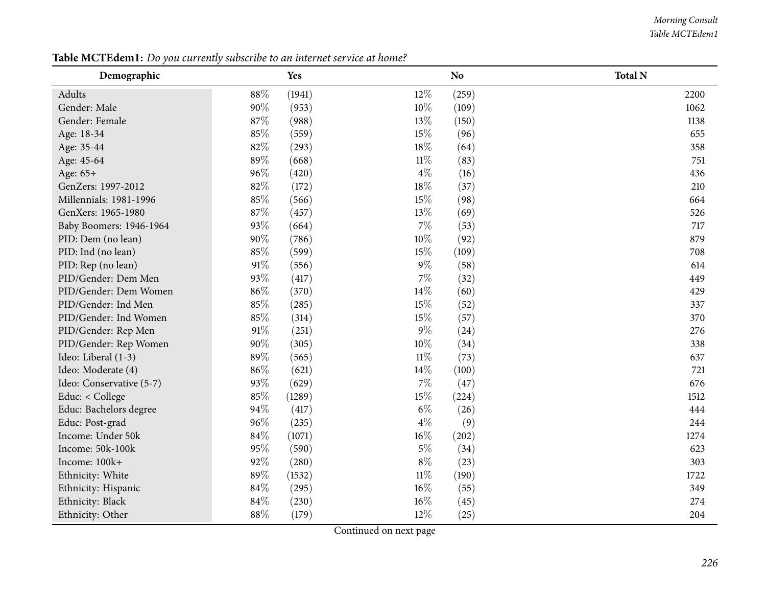### *Morning Consult Table MCTEdem1*

| Demographic              |        | Yes    |        | N <sub>o</sub> | <b>Total N</b> |
|--------------------------|--------|--------|--------|----------------|----------------|
| Adults                   | 88%    | (1941) | $12\%$ | (259)          | 2200           |
| Gender: Male             | 90%    | (953)  | 10%    | (109)          | 1062           |
| Gender: Female           | 87%    | (988)  | $13\%$ | (150)          | 1138           |
| Age: 18-34               | 85%    | (559)  | 15%    | (96)           | 655            |
| Age: 35-44               | 82%    | (293)  | 18%    | (64)           | 358            |
| Age: 45-64               | 89%    | (668)  | $11\%$ | (83)           | 751            |
| Age: 65+                 | 96%    | (420)  | $4\%$  | (16)           | 436            |
| GenZers: 1997-2012       | 82%    | (172)  | 18%    | (37)           | 210            |
| Millennials: 1981-1996   | 85%    | (566)  | 15%    | (98)           | 664            |
| GenXers: 1965-1980       | 87%    | (457)  | 13%    | (69)           | 526            |
| Baby Boomers: 1946-1964  | 93%    | (664)  | $7\%$  | (53)           | 717            |
| PID: Dem (no lean)       | 90%    | (786)  | 10%    | (92)           | 879            |
| PID: Ind (no lean)       | 85%    | (599)  | 15%    | (109)          | 708            |
| PID: Rep (no lean)       | $91\%$ | (556)  | $9\%$  | (58)           | 614            |
| PID/Gender: Dem Men      | 93%    | (417)  | $7\%$  | (32)           | 449            |
| PID/Gender: Dem Women    | 86%    | (370)  | 14\%   | (60)           | 429            |
| PID/Gender: Ind Men      | 85%    | (285)  | 15%    | (52)           | 337            |
| PID/Gender: Ind Women    | 85%    | (314)  | 15%    | (57)           | 370            |
| PID/Gender: Rep Men      | $91\%$ | (251)  | $9\%$  | (24)           | 276            |
| PID/Gender: Rep Women    | 90%    | (305)  | 10%    | (34)           | 338            |
| Ideo: Liberal (1-3)      | 89%    | (565)  | $11\%$ | (73)           | 637            |
| Ideo: Moderate (4)       | 86%    | (621)  | 14\%   | (100)          | 721            |
| Ideo: Conservative (5-7) | 93%    | (629)  | $7\%$  | (47)           | 676            |
| Educ: < College          | 85%    | (1289) | 15%    | (224)          | 1512           |
| Educ: Bachelors degree   | 94%    | (417)  | $6\%$  | (26)           | 444            |
| Educ: Post-grad          | 96%    | (235)  | $4\%$  | (9)            | 244            |
| Income: Under 50k        | 84%    | (1071) | $16\%$ | (202)          | 1274           |
| Income: 50k-100k         | 95%    | (590)  | $5\%$  | (34)           | 623            |
| Income: 100k+            | 92%    | (280)  | $8\%$  | (23)           | 303            |
| Ethnicity: White         | 89%    | (1532) | $11\%$ | (190)          | 1722           |
| Ethnicity: Hispanic      | 84%    | (295)  | $16\%$ | (55)           | 349            |
| Ethnicity: Black         | $84\%$ | (230)  | $16\%$ | (45)           | 274            |
| Ethnicity: Other         | 88%    | (179)  | 12%    | (25)           | 204            |

Table MCTEdem1: Do you currently subscribe to an internet service at home?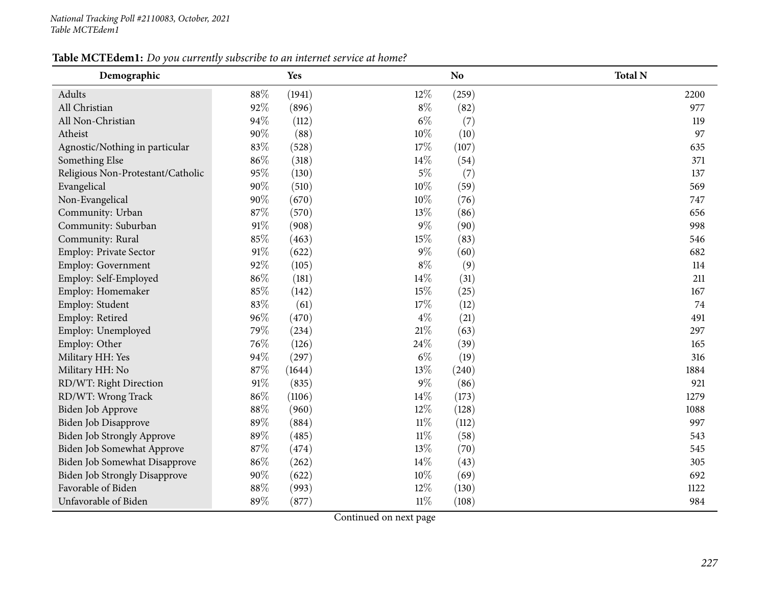## Table MCTEdem1: Do you currently subscribe to an internet service at home?

| Demographic                          |        | Yes    |        | N <sub>o</sub> | <b>Total N</b> |
|--------------------------------------|--------|--------|--------|----------------|----------------|
| Adults                               | 88%    | (1941) | 12%    | (259)          | 2200           |
| All Christian                        | 92%    | (896)  | $8\%$  | (82)           | 977            |
| All Non-Christian                    | 94%    | (112)  | $6\%$  | (7)            | 119            |
| Atheist                              | 90%    | (88)   | 10%    | (10)           | 97             |
| Agnostic/Nothing in particular       | 83%    | (528)  | 17%    | (107)          | 635            |
| Something Else                       | 86%    | (318)  | 14%    | (54)           | 371            |
| Religious Non-Protestant/Catholic    | 95%    | (130)  | $5\%$  | (7)            | 137            |
| Evangelical                          | 90%    | (510)  | 10%    | (59)           | 569            |
| Non-Evangelical                      | 90%    | (670)  | 10%    | (76)           | 747            |
| Community: Urban                     | 87%    | (570)  | 13%    | (86)           | 656            |
| Community: Suburban                  | $91\%$ | (908)  | $9\%$  | (90)           | 998            |
| Community: Rural                     | 85%    | (463)  | 15%    | (83)           | 546            |
| Employ: Private Sector               | $91\%$ | (622)  | $9\%$  | (60)           | 682            |
| Employ: Government                   | 92%    | (105)  | $8\%$  | (9)            | 114            |
| Employ: Self-Employed                | 86%    | (181)  | 14%    | (31)           | 211            |
| Employ: Homemaker                    | 85%    | (142)  | 15%    | (25)           | 167            |
| Employ: Student                      | 83%    | (61)   | 17%    | (12)           | 74             |
| Employ: Retired                      | 96%    | (470)  | $4\%$  | (21)           | 491            |
| Employ: Unemployed                   | 79%    | (234)  | $21\%$ | (63)           | 297            |
| Employ: Other                        | 76%    | (126)  | 24%    | (39)           | 165            |
| Military HH: Yes                     | 94%    | (297)  | $6\%$  | (19)           | 316            |
| Military HH: No                      | 87%    | (1644) | 13%    | (240)          | 1884           |
| RD/WT: Right Direction               | $91\%$ | (835)  | $9\%$  | (86)           | 921            |
| RD/WT: Wrong Track                   | 86%    | (1106) | 14%    | (173)          | 1279           |
| Biden Job Approve                    | 88%    | (960)  | 12%    | (128)          | 1088           |
| Biden Job Disapprove                 | 89%    | (884)  | $11\%$ | (112)          | 997            |
| Biden Job Strongly Approve           | 89%    | (485)  | $11\%$ | (58)           | 543            |
| Biden Job Somewhat Approve           | $87\%$ | (474)  | 13%    | (70)           | 545            |
| Biden Job Somewhat Disapprove        | 86%    | (262)  | 14%    | (43)           | 305            |
| <b>Biden Job Strongly Disapprove</b> | 90%    | (622)  | 10%    | (69)           | 692            |
| Favorable of Biden                   | 88%    | (993)  | 12%    | (130)          | 1122           |
| Unfavorable of Biden                 | 89%    | (877)  | $11\%$ | (108)          | 984            |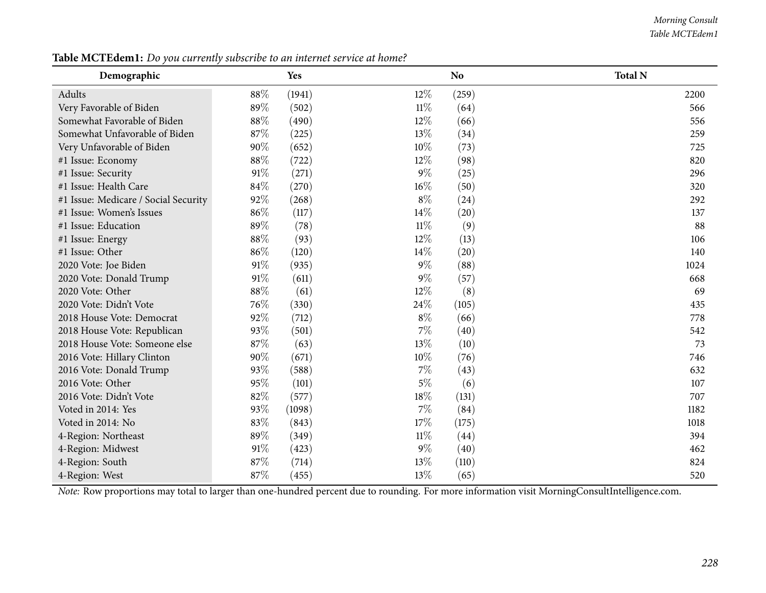### *Morning Consult Table MCTEdem1*

| Demographic                          |     | Yes    |        | N <sub>o</sub> | <b>Total N</b> |
|--------------------------------------|-----|--------|--------|----------------|----------------|
| Adults                               | 88% | (1941) | $12\%$ | (259)          | 2200           |
| Very Favorable of Biden              | 89% | (502)  | $11\%$ | (64)           | 566            |
| Somewhat Favorable of Biden          | 88% | (490)  | $12\%$ | (66)           | 556            |
| Somewhat Unfavorable of Biden        | 87% | (225)  | 13%    | (34)           | 259            |
| Very Unfavorable of Biden            | 90% | (652)  | $10\%$ | (73)           | 725            |
| #1 Issue: Economy                    | 88% | (722)  | $12\%$ | (98)           | 820            |
| #1 Issue: Security                   | 91% | (271)  | $9\%$  | (25)           | 296            |
| #1 Issue: Health Care                | 84% | (270)  | $16\%$ | (50)           | 320            |
| #1 Issue: Medicare / Social Security | 92% | (268)  | $8\%$  | (24)           | 292            |
| #1 Issue: Women's Issues             | 86% | (117)  | 14%    | (20)           | 137            |
| #1 Issue: Education                  | 89% | (78)   | $11\%$ | (9)            | 88             |
| #1 Issue: Energy                     | 88% | (93)   | 12%    | (13)           | 106            |
| #1 Issue: Other                      | 86% | (120)  | 14%    | (20)           | 140            |
| 2020 Vote: Joe Biden                 | 91% | (935)  | $9\%$  | (88)           | 1024           |
| 2020 Vote: Donald Trump              | 91% | (611)  | $9\%$  | (57)           | 668            |
| 2020 Vote: Other                     | 88% | (61)   | $12\%$ | (8)            | 69             |
| 2020 Vote: Didn't Vote               | 76% | (330)  | 24\%   | (105)          | 435            |
| 2018 House Vote: Democrat            | 92% | (712)  | $8\%$  | (66)           | 778            |
| 2018 House Vote: Republican          | 93% | (501)  | $7\%$  | (40)           | 542            |
| 2018 House Vote: Someone else        | 87% | (63)   | 13%    | (10)           | 73             |
| 2016 Vote: Hillary Clinton           | 90% | (671)  | 10%    | (76)           | 746            |
| 2016 Vote: Donald Trump              | 93% | (588)  | $7\%$  | (43)           | 632            |
| 2016 Vote: Other                     | 95% | (101)  | $5\%$  | (6)            | 107            |
| 2016 Vote: Didn't Vote               | 82% | (577)  | 18%    | (131)          | 707            |
| Voted in 2014: Yes                   | 93% | (1098) | $7\%$  | (84)           | 1182           |
| Voted in 2014: No                    | 83% | (843)  | 17%    | (175)          | 1018           |
| 4-Region: Northeast                  | 89% | (349)  | $11\%$ | (44)           | 394            |
| 4-Region: Midwest                    | 91% | (423)  | $9\%$  | (40)           | 462            |
| 4-Region: South                      | 87% | (714)  | 13%    | (110)          | 824            |
| 4-Region: West                       | 87% | (455)  | 13\%   | (65)           | 520            |

Table MCTEdem1: Do you currently subscribe to an internet service at home?

*Note:* Row proportions may total to larger than one-hundred percen<sup>t</sup> due to rounding. For more information visit [MorningConsultIntelligence.com](https://morningconsultintelligence.com).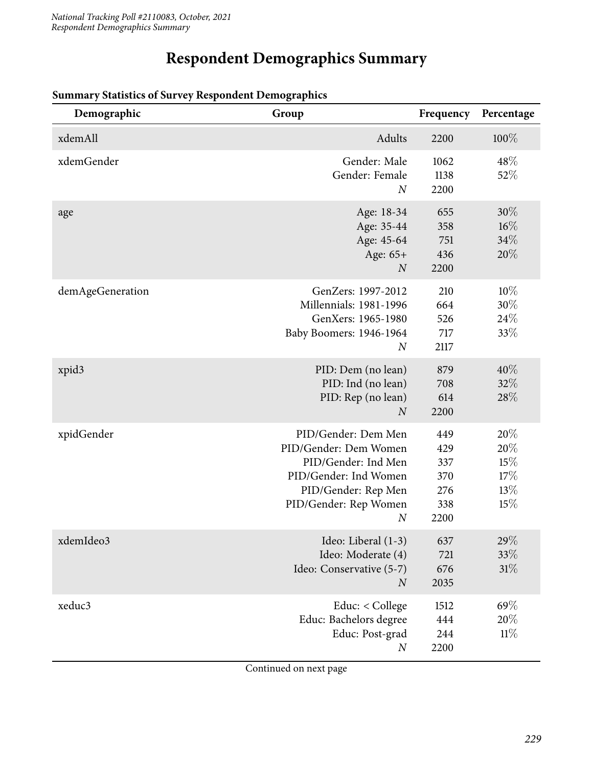# **Respondent Demographics Summary**

| Demographic      | Group                                                                                                                                                            | Frequency                                      | Percentage                             |
|------------------|------------------------------------------------------------------------------------------------------------------------------------------------------------------|------------------------------------------------|----------------------------------------|
| xdemAll          | Adults                                                                                                                                                           | 2200                                           | 100%                                   |
| xdemGender       | Gender: Male<br>Gender: Female<br>$\boldsymbol{N}$                                                                                                               | 1062<br>1138<br>2200                           | 48%<br>52%                             |
| age              | Age: 18-34<br>Age: 35-44<br>Age: 45-64<br>Age: 65+<br>$\boldsymbol{N}$                                                                                           | 655<br>358<br>751<br>436<br>2200               | $30\%$<br>$16\%$<br>34%<br>20%         |
| demAgeGeneration | GenZers: 1997-2012<br>Millennials: 1981-1996<br>GenXers: 1965-1980<br>Baby Boomers: 1946-1964<br>$\boldsymbol{N}$                                                | 210<br>664<br>526<br>717<br>2117               | 10%<br>30%<br>24\%<br>33%              |
| xpid3            | PID: Dem (no lean)<br>PID: Ind (no lean)<br>PID: Rep (no lean)<br>$\overline{N}$                                                                                 | 879<br>708<br>614<br>2200                      | 40%<br>32%<br>28%                      |
| xpidGender       | PID/Gender: Dem Men<br>PID/Gender: Dem Women<br>PID/Gender: Ind Men<br>PID/Gender: Ind Women<br>PID/Gender: Rep Men<br>PID/Gender: Rep Women<br>$\boldsymbol{N}$ | 449<br>429<br>337<br>370<br>276<br>338<br>2200 | 20%<br>20%<br>15%<br>17%<br>13%<br>15% |
| xdemIdeo3        | Ideo: Liberal (1-3)<br>Ideo: Moderate (4)<br>Ideo: Conservative (5-7)<br>$\boldsymbol{N}$                                                                        | 637<br>721<br>676<br>2035                      | 29\%<br>33\%<br>31%                    |
| xeduc3           | Educ: < College<br>Educ: Bachelors degree<br>Educ: Post-grad<br>$\boldsymbol{N}$                                                                                 | 1512<br>444<br>244<br>2200                     | 69%<br>20%<br>11%                      |

### **Summary Statistics of Survey Respondent Demographics**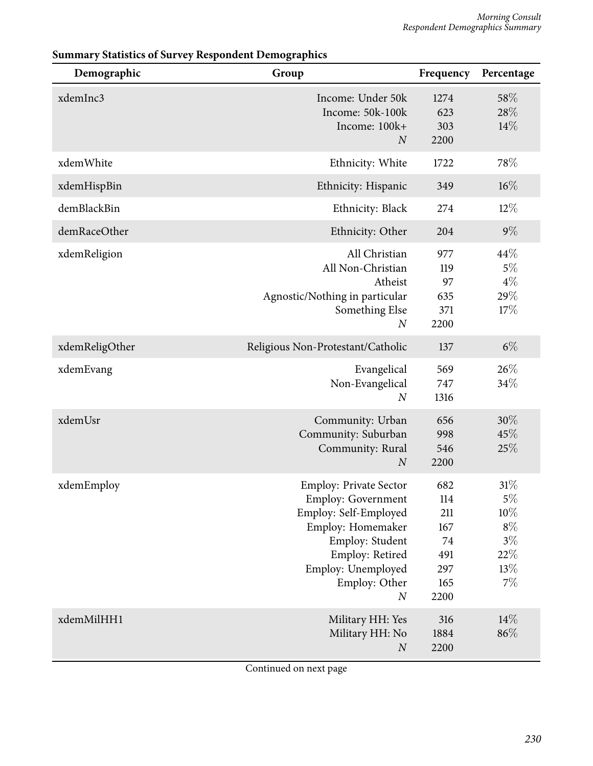| Demographic    | Group                                                                                                                                                                                                     | Frequency                                                   | Percentage                                                         |
|----------------|-----------------------------------------------------------------------------------------------------------------------------------------------------------------------------------------------------------|-------------------------------------------------------------|--------------------------------------------------------------------|
| xdemInc3       | Income: Under 50k<br>Income: 50k-100k<br>Income: 100k+<br>$\overline{N}$                                                                                                                                  | 1274<br>623<br>303<br>2200                                  | 58%<br>28%<br>14%                                                  |
| xdemWhite      | Ethnicity: White                                                                                                                                                                                          | 1722                                                        | 78%                                                                |
| xdemHispBin    | Ethnicity: Hispanic                                                                                                                                                                                       | 349                                                         | $16\%$                                                             |
| demBlackBin    | Ethnicity: Black                                                                                                                                                                                          | 274                                                         | $12\%$                                                             |
| demRaceOther   | Ethnicity: Other                                                                                                                                                                                          | 204                                                         | $9\%$                                                              |
| xdemReligion   | All Christian<br>All Non-Christian<br>Atheist<br>Agnostic/Nothing in particular<br>Something Else<br>$\boldsymbol{N}$                                                                                     | 977<br>119<br>97<br>635<br>371<br>2200                      | 44%<br>5%<br>$4\%$<br>29%<br>17%                                   |
| xdemReligOther | Religious Non-Protestant/Catholic                                                                                                                                                                         | 137                                                         | $6\%$                                                              |
| xdemEvang      | Evangelical<br>Non-Evangelical<br>$\boldsymbol{N}$                                                                                                                                                        | 569<br>747<br>1316                                          | 26\%<br>34%                                                        |
| xdemUsr        | Community: Urban<br>Community: Suburban<br>Community: Rural<br>$\overline{N}$                                                                                                                             | 656<br>998<br>546<br>2200                                   | 30%<br>45%<br>25%                                                  |
| xdemEmploy     | <b>Employ: Private Sector</b><br><b>Employ: Government</b><br>Employ: Self-Employed<br>Employ: Homemaker<br>Employ: Student<br>Employ: Retired<br>Employ: Unemployed<br>Employ: Other<br>$\boldsymbol{N}$ | 682<br>114<br>211<br>167<br>74<br>491<br>297<br>165<br>2200 | 31%<br>$5\%$<br>$10\%$<br>$8\%$<br>$3\%$<br>$22\%$<br>13%<br>$7\%$ |
| xdemMilHH1     | Military HH: Yes<br>Military HH: No<br>$\cal N$                                                                                                                                                           | 316<br>1884<br>2200                                         | 14%<br>86%                                                         |

## **Summary Statistics of Survey Respondent Demographics**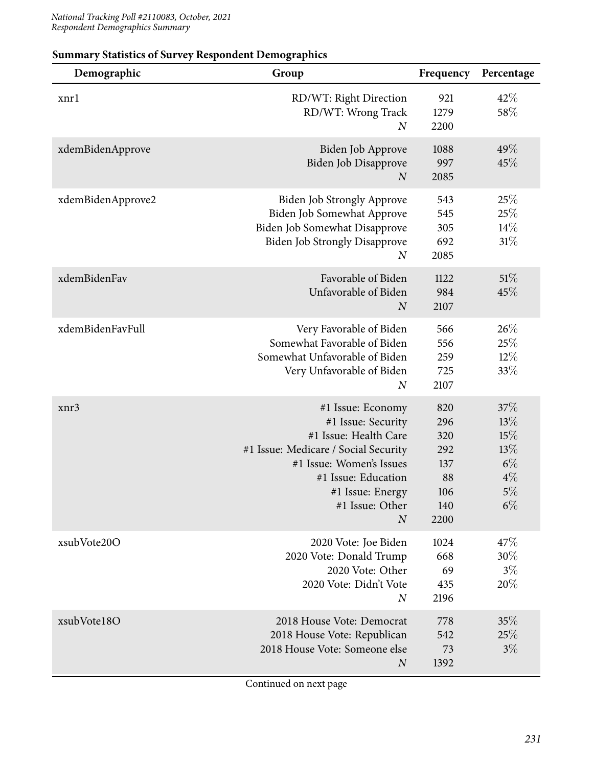| Demographic       | Group                                                                                                                                                                                                                  | Frequency                                                   | Percentage                                                   |
|-------------------|------------------------------------------------------------------------------------------------------------------------------------------------------------------------------------------------------------------------|-------------------------------------------------------------|--------------------------------------------------------------|
| xnrl              | RD/WT: Right Direction<br>RD/WT: Wrong Track<br>$\boldsymbol{N}$                                                                                                                                                       | 921<br>1279<br>2200                                         | 42%<br>58%                                                   |
| xdemBidenApprove  | Biden Job Approve<br>Biden Job Disapprove<br>$\boldsymbol{N}$                                                                                                                                                          | 1088<br>997<br>2085                                         | 49\%<br>45%                                                  |
| xdemBidenApprove2 | <b>Biden Job Strongly Approve</b><br>Biden Job Somewhat Approve<br>Biden Job Somewhat Disapprove<br><b>Biden Job Strongly Disapprove</b><br>$\boldsymbol{N}$                                                           | 543<br>545<br>305<br>692<br>2085                            | 25%<br>25%<br>$14\%$<br>31%                                  |
| xdemBidenFav      | Favorable of Biden<br>Unfavorable of Biden<br>$\boldsymbol{N}$                                                                                                                                                         | 1122<br>984<br>2107                                         | 51%<br>45%                                                   |
| xdemBidenFavFull  | Very Favorable of Biden<br>Somewhat Favorable of Biden<br>Somewhat Unfavorable of Biden<br>Very Unfavorable of Biden<br>$\boldsymbol{N}$                                                                               | 566<br>556<br>259<br>725<br>2107                            | 26\%<br>25%<br>$12\%$<br>33\%                                |
| xnr3              | #1 Issue: Economy<br>#1 Issue: Security<br>#1 Issue: Health Care<br>#1 Issue: Medicare / Social Security<br>#1 Issue: Women's Issues<br>#1 Issue: Education<br>#1 Issue: Energy<br>#1 Issue: Other<br>$\boldsymbol{N}$ | 820<br>296<br>320<br>292<br>137<br>88<br>106<br>140<br>2200 | 37%<br>13%<br>15%<br>13%<br>$6\%$<br>$4\%$<br>$5\%$<br>$6\%$ |
| xsubVote20O       | 2020 Vote: Joe Biden<br>2020 Vote: Donald Trump<br>2020 Vote: Other<br>2020 Vote: Didn't Vote<br>$\boldsymbol{N}$                                                                                                      | 1024<br>668<br>69<br>435<br>2196                            | 47\%<br>30%<br>$3\%$<br>20%                                  |
| xsubVote18O       | 2018 House Vote: Democrat<br>2018 House Vote: Republican<br>2018 House Vote: Someone else<br>$\boldsymbol{N}$                                                                                                          | 778<br>542<br>73<br>1392                                    | 35%<br>25%<br>$3\%$                                          |

## **Summary Statistics of Survey Respondent Demographics**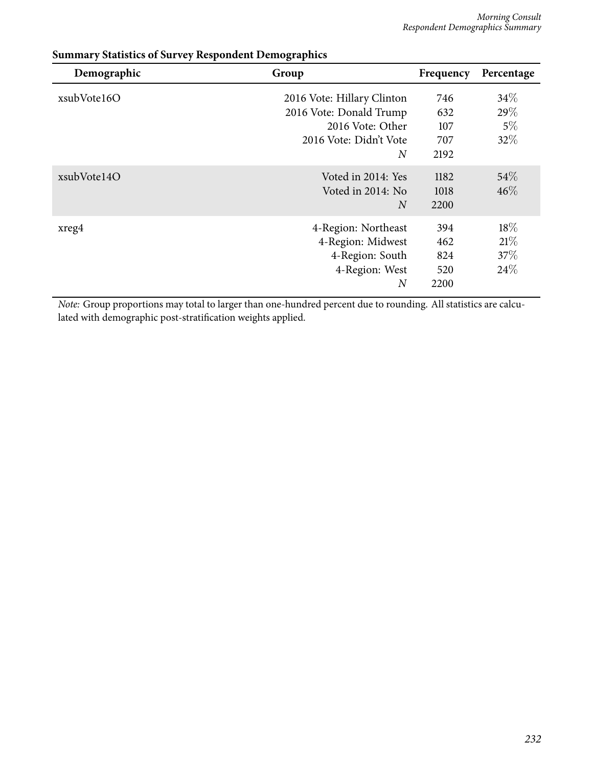| Demographic | Group                      | Frequency | Percentage |
|-------------|----------------------------|-----------|------------|
| xsubVote16O | 2016 Vote: Hillary Clinton | 746       | 34%        |
|             | 2016 Vote: Donald Trump    | 632       | 29\%       |
|             | 2016 Vote: Other           | 107       | $5\%$      |
|             | 2016 Vote: Didn't Vote     | 707       | 32%        |
|             | $\overline{N}$             | 2192      |            |
| xsubVote14O | Voted in 2014: Yes         | 1182      | $54\%$     |
|             | Voted in 2014: No          | 1018      | $46\%$     |
|             | $\overline{N}$             | 2200      |            |
| xreg4       | 4-Region: Northeast        | 394       | 18\%       |
|             | 4-Region: Midwest          | 462       | 21%        |
|             | 4-Region: South            | 824       | 37\%       |
|             | 4-Region: West             | 520       | 24\%       |
|             | $\boldsymbol{N}$           | 2200      |            |

## **Summary Statistics of Survey Respondent Demographics**

*Note:* Group proportions may total to larger than one-hundred percent due to rounding. All statistics are calculated with demographic post-stratification weights applied.